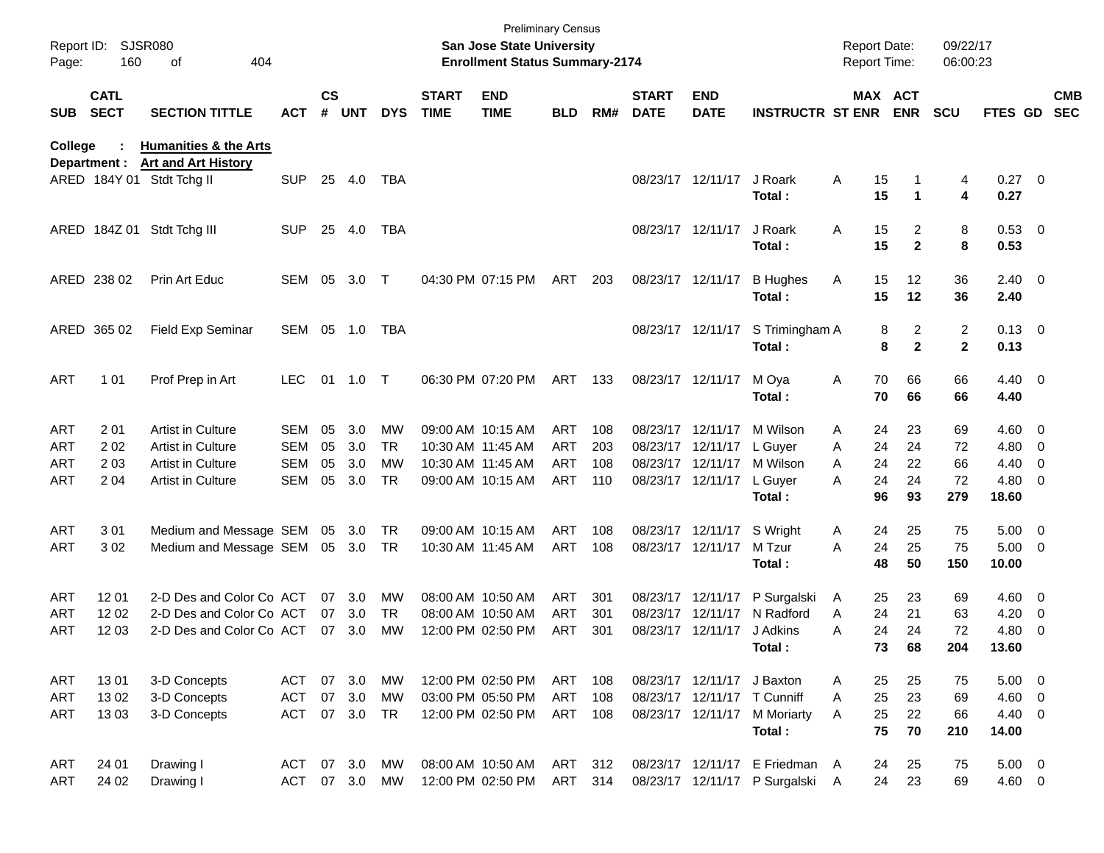| Report ID:<br>Page: | 160                        | <b>SJSR080</b><br>οf<br>404                             |               |                    |            |            |                             | <b>Preliminary Census</b><br><b>San Jose State University</b><br><b>Enrollment Status Summary-2174</b> |            |       |                             |                            |                                        | <b>Report Date:</b><br>Report Time: |                             | 09/22/17<br>06:00:23                    |                        |                          |                          |
|---------------------|----------------------------|---------------------------------------------------------|---------------|--------------------|------------|------------|-----------------------------|--------------------------------------------------------------------------------------------------------|------------|-------|-----------------------------|----------------------------|----------------------------------------|-------------------------------------|-----------------------------|-----------------------------------------|------------------------|--------------------------|--------------------------|
| <b>SUB</b>          | <b>CATL</b><br><b>SECT</b> | <b>SECTION TITTLE</b>                                   | <b>ACT</b>    | $\mathsf{cs}$<br># | <b>UNT</b> | <b>DYS</b> | <b>START</b><br><b>TIME</b> | <b>END</b><br><b>TIME</b>                                                                              | <b>BLD</b> | RM#   | <b>START</b><br><b>DATE</b> | <b>END</b><br><b>DATE</b>  | <b>INSTRUCTR ST ENR ENR</b>            |                                     | MAX ACT                     | <b>SCU</b>                              | <b>FTES GD</b>         |                          | <b>CMB</b><br><b>SEC</b> |
| College             |                            | <b>Humanities &amp; the Arts</b>                        |               |                    |            |            |                             |                                                                                                        |            |       |                             |                            |                                        |                                     |                             |                                         |                        |                          |                          |
|                     | Department :               | <b>Art and Art History</b><br>ARED 184Y 01 Stdt Tchg II | <b>SUP</b>    | 25                 | - 4.0      | TBA        |                             |                                                                                                        |            |       |                             | 08/23/17 12/11/17          | J Roark<br>Total:                      | Α<br>15<br>15                       | 1                           | 4<br>4                                  | $0.27$ 0<br>0.27       |                          |                          |
|                     |                            | ARED 184Z 01 Stdt Tchg III                              | <b>SUP</b>    | 25                 | -4.0       | TBA        |                             |                                                                                                        |            |       |                             | 08/23/17 12/11/17          | J Roark<br>Total:                      | 15<br>Α<br>15                       | 2<br>$\mathbf{2}$           | 8<br>8                                  | 0.53 0<br>0.53         |                          |                          |
|                     | ARED 238 02                | Prin Art Educ                                           | SEM 05        |                    | 3.0        | $\top$     |                             | 04:30 PM 07:15 PM                                                                                      | ART        | 203   |                             | 08/23/17 12/11/17          | <b>B</b> Hughes<br>Total:              | Α<br>15<br>15                       | 12<br>12                    | 36<br>36                                | $2.40 \ 0$<br>2.40     |                          |                          |
|                     | ARED 365 02                | Field Exp Seminar                                       | SEM 05 1.0    |                    |            | TBA        |                             |                                                                                                        |            |       |                             | 08/23/17 12/11/17          | S Trimingham A<br>Total:               |                                     | 2<br>8<br>$\mathbf{2}$<br>8 | $\overline{\mathbf{c}}$<br>$\mathbf{2}$ | $0.13 \quad 0$<br>0.13 |                          |                          |
| <b>ART</b>          | 1 0 1                      | Prof Prep in Art                                        | <b>LEC</b>    | 01                 | 1.0        | $\top$     |                             | 06:30 PM 07:20 PM                                                                                      | ART        | - 133 |                             | 08/23/17 12/11/17          | M Oya<br>Total:                        | 70<br>A<br>70                       | 66<br>66                    | 66<br>66                                | $4.40 \ 0$<br>4.40     |                          |                          |
| ART                 | 201                        | Artist in Culture                                       | SEM           | 05                 | 3.0        | <b>MW</b>  |                             | 09:00 AM 10:15 AM                                                                                      | ART        | 108   |                             | 08/23/17 12/11/17          | M Wilson                               | 24<br>A                             | 23                          | 69                                      | $4.60 \ 0$             |                          |                          |
| ART                 | 202                        | <b>Artist in Culture</b>                                | SEM           | 05                 | 3.0        | <b>TR</b>  |                             | 10:30 AM 11:45 AM                                                                                      | ART        | 203   |                             | 08/23/17 12/11/17          | L Guyer                                | Α<br>24                             | 24                          | 72                                      | 4.80 0                 |                          |                          |
| ART                 | 203                        | <b>Artist in Culture</b>                                | <b>SEM</b>    | 05                 | 3.0        | МW         |                             | 10:30 AM 11:45 AM                                                                                      | ART        | 108   |                             |                            | 08/23/17 12/11/17 M Wilson             | 24<br>A                             | 22                          | 66                                      | 4.40                   | $\overline{\phantom{0}}$ |                          |
| ART                 | 204                        | Artist in Culture                                       | <b>SEM</b>    | 05                 | 3.0        | <b>TR</b>  |                             | 09:00 AM 10:15 AM                                                                                      | ART        | 110   |                             | 08/23/17 12/11/17          | L Guyer<br>Total:                      | 24<br>A<br>96                       | 24<br>93                    | 72<br>279                               | $4.80$ 0<br>18.60      |                          |                          |
| <b>ART</b>          | 301                        | Medium and Message SEM 05 3.0                           |               |                    |            | TR         |                             | 09:00 AM 10:15 AM                                                                                      | ART        | 108   |                             | 08/23/17 12/11/17          | S Wright                               | 24<br>A                             | 25                          | 75                                      | $5.00 \quad 0$         |                          |                          |
| <b>ART</b>          | 302                        | Medium and Message SEM                                  |               |                    | 05 3.0     | TR         |                             | 10:30 AM 11:45 AM                                                                                      | ART        | 108   |                             | 08/23/17 12/11/17          | M Tzur<br>Total:                       | 24<br>Α<br>48                       | 25<br>50                    | 75<br>150                               | $5.00 \t 0$<br>10.00   |                          |                          |
| ART                 | 12 01                      | 2-D Des and Color Co ACT                                |               | 07                 | 3.0        | MW         |                             | 08:00 AM 10:50 AM                                                                                      | ART        | 301   |                             | 08/23/17 12/11/17          | P Surgalski                            | 25<br>A                             | 23                          | 69                                      | $4.60 \ 0$             |                          |                          |
| ART                 | 12 02                      | 2-D Des and Color Co ACT                                |               | 07                 | 3.0        | <b>TR</b>  |                             | 08:00 AM 10:50 AM                                                                                      | <b>ART</b> | 301   |                             | 08/23/17 12/11/17          | N Radford                              | 24<br>A                             | 21                          | 63                                      | 4.20                   | $\overline{\mathbf{0}}$  |                          |
| ART                 | 1203                       | 2-D Des and Color Co ACT                                |               |                    | 07 3.0     | МW         |                             | 12:00 PM 02:50 PM                                                                                      | ART        | 301   |                             | 08/23/17 12/11/17 J Adkins |                                        | Α                                   | 24<br>24                    | 72                                      | 4.80                   | $\overline{\phantom{0}}$ |                          |
|                     |                            |                                                         |               |                    |            |            |                             |                                                                                                        |            |       |                             |                            | Total:                                 | 73                                  | 68                          | 204                                     | 13.60                  |                          |                          |
| ART                 | 1301                       | 3-D Concepts                                            | ACT           |                    | 07 3.0     | MW         |                             | 12:00 PM 02:50 PM                                                                                      | ART        | 108   |                             | 08/23/17 12/11/17 J Baxton |                                        | 25<br>A                             | 25                          | 75                                      | $5.00 \t 0$            |                          |                          |
| ART                 | 1302                       | 3-D Concepts                                            | <b>ACT</b>    |                    | 07 3.0     | MW         |                             | 03:00 PM 05:50 PM                                                                                      | ART        | 108   |                             |                            | 08/23/17 12/11/17 T Cunniff            | 25<br>Α                             | 23                          | 69                                      | 4.60 0                 |                          |                          |
| ART                 | 1303                       | 3-D Concepts                                            | ACT           |                    | 07 3.0     | TR         |                             | 12:00 PM 02:50 PM                                                                                      | ART 108    |       |                             |                            | 08/23/17 12/11/17 M Moriarty<br>Total: | 25<br>A<br>75                       | 22<br>70                    | 66<br>210                               | 4.40 0<br>14.00        |                          |                          |
| ART                 | 24 01                      | Drawing I                                               | ACT           |                    | 07 3.0     | MW         |                             | 08:00 AM 10:50 AM                                                                                      | ART 312    |       |                             |                            | 08/23/17 12/11/17 E Friedman A         | 24                                  | 25                          | 75                                      | $5.00 \t 0$            |                          |                          |
| ART                 | 24 02                      | Drawing I                                               | ACT 07 3.0 MW |                    |            |            |                             | 12:00 PM 02:50 PM                                                                                      | ART 314    |       |                             |                            | 08/23/17 12/11/17 P Surgalski A        |                                     | 24<br>23                    | 69                                      | 4.60 0                 |                          |                          |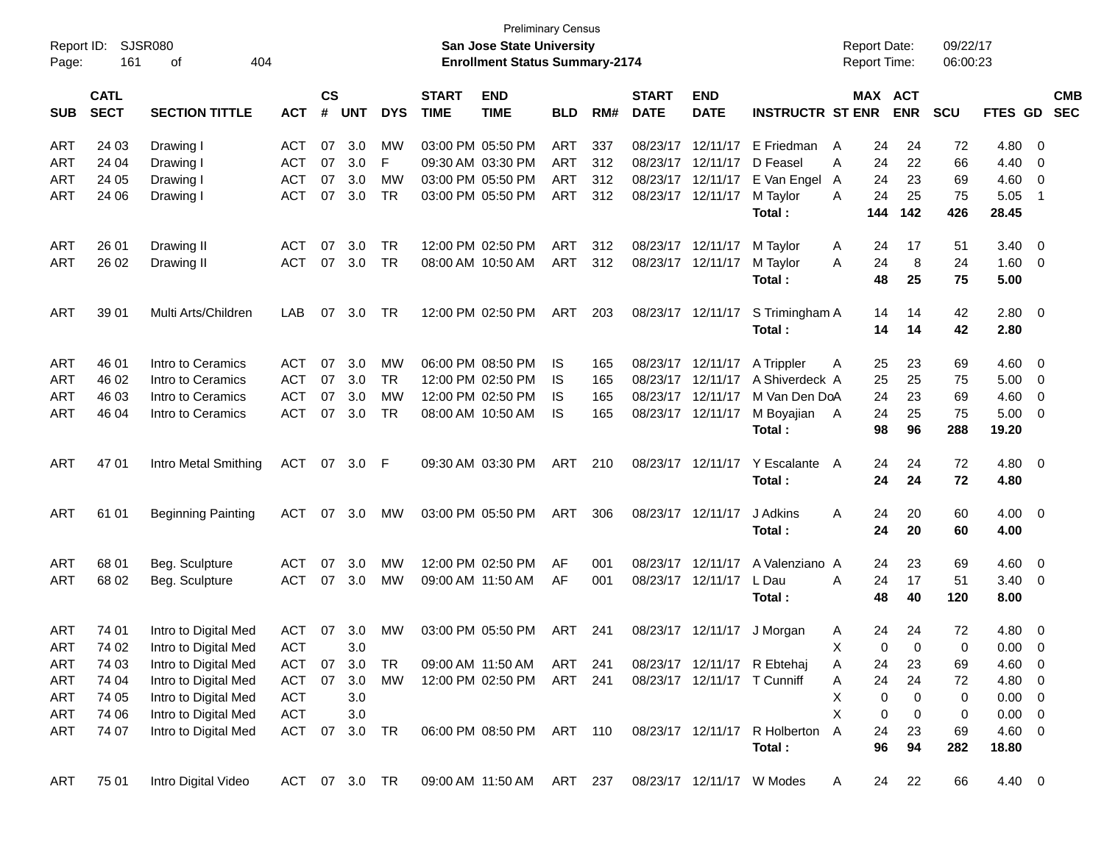| Report ID:<br>Page: | 161                        | <b>SJSR080</b><br>404<br>оf |               |                |            |            |                             | <b>Preliminary Census</b><br>San Jose State University<br><b>Enrollment Status Summary-2174</b> |            |     |                             |                           |                             | <b>Report Date:</b> | <b>Report Time:</b>              | 09/22/17<br>06:00:23 |                 |                          |            |
|---------------------|----------------------------|-----------------------------|---------------|----------------|------------|------------|-----------------------------|-------------------------------------------------------------------------------------------------|------------|-----|-----------------------------|---------------------------|-----------------------------|---------------------|----------------------------------|----------------------|-----------------|--------------------------|------------|
| <b>SUB</b>          | <b>CATL</b><br><b>SECT</b> | <b>SECTION TITTLE</b>       | <b>ACT</b>    | <b>CS</b><br># | <b>UNT</b> | <b>DYS</b> | <b>START</b><br><b>TIME</b> | <b>END</b><br><b>TIME</b>                                                                       | <b>BLD</b> | RM# | <b>START</b><br><b>DATE</b> | <b>END</b><br><b>DATE</b> | <b>INSTRUCTR ST ENR</b>     |                     | MAX ACT<br><b>ENR</b>            | <b>SCU</b>           | FTES GD SEC     |                          | <b>CMB</b> |
| ART                 | 24 03                      | Drawing I                   | ACT           | 07             | 3.0        | <b>MW</b>  |                             | 03:00 PM 05:50 PM                                                                               | ART        | 337 |                             | 08/23/17 12/11/17         | E Friedman                  | A                   | 24<br>24                         | 72                   | 4.80            | - 0                      |            |
| ART                 | 24 04                      | Drawing I                   | ACT           | 07             | 3.0        | F          |                             | 09:30 AM 03:30 PM                                                                               | ART        | 312 | 08/23/17                    | 12/11/17                  | D Feasel                    | Α                   | 24<br>22                         | 66                   | 4.40            | $\mathbf 0$              |            |
| ART                 | 24 05                      | Drawing I                   | ACT           | 07             | 3.0        | MW         |                             | 03:00 PM 05:50 PM                                                                               | ART        | 312 | 08/23/17                    | 12/11/17                  | E Van Engel                 | A                   | 24<br>23                         | 69                   | 4.60            | $\overline{\mathbf{0}}$  |            |
| ART                 | 24 06                      | Drawing I                   | <b>ACT</b>    | 07             | 3.0        | <b>TR</b>  |                             | 03:00 PM 05:50 PM                                                                               | ART        | 312 |                             | 08/23/17 12/11/17         | M Taylor                    | A                   | 24<br>25                         | 75                   | 5.05            | $\overline{1}$           |            |
|                     |                            |                             |               |                |            |            |                             |                                                                                                 |            |     |                             |                           | Total:                      |                     | 142<br>144                       | 426                  | 28.45           |                          |            |
| ART                 | 26 01                      | Drawing II                  | ACT           | 07             | 3.0        | TR         |                             | 12:00 PM 02:50 PM                                                                               | ART        | 312 |                             | 08/23/17 12/11/17         | M Taylor                    | A                   | 17<br>24                         | 51                   | 3.40            | $\overline{\mathbf{0}}$  |            |
| ART                 | 26 02                      | Drawing II                  | ACT           | 07             | 3.0        | TR         |                             | 08:00 AM 10:50 AM                                                                               | ART        | 312 |                             | 08/23/17 12/11/17         | M Taylor                    | A                   | 24<br>8                          | 24                   | 1.60            | $\overline{\mathbf{0}}$  |            |
|                     |                            |                             |               |                |            |            |                             |                                                                                                 |            |     |                             |                           | Total:                      |                     | 48<br>25                         | 75                   | 5.00            |                          |            |
| ART                 | 39 01                      | Multi Arts/Children         | LAB           | 07             | 3.0        | TR         |                             | 12:00 PM 02:50 PM                                                                               | ART        | 203 |                             | 08/23/17 12/11/17         | S Trimingham A              |                     | 14<br>14                         | 42                   | 2.80            | $\overline{\phantom{0}}$ |            |
|                     |                            |                             |               |                |            |            |                             |                                                                                                 |            |     |                             |                           | Total:                      |                     | 14<br>14                         | 42                   | 2.80            |                          |            |
| ART                 | 46 01                      | Intro to Ceramics           | ACT           | 07             | 3.0        | MW         |                             | 06:00 PM 08:50 PM                                                                               | IS.        | 165 |                             | 08/23/17 12/11/17         | A Trippler                  | A                   | 25<br>23                         | 69                   | 4.60            | $\overline{\mathbf{0}}$  |            |
| ART                 | 46 02                      | Intro to Ceramics           | ACT           | 07             | 3.0        | <b>TR</b>  |                             | 12:00 PM 02:50 PM                                                                               | IS         | 165 | 08/23/17 12/11/17           |                           | A Shiverdeck A              |                     | 25<br>25                         | 75                   | 5.00            | $\overline{\mathbf{0}}$  |            |
| ART                 | 46 03                      | Intro to Ceramics           | <b>ACT</b>    | 07             | 3.0        | МW         |                             | 12:00 PM 02:50 PM                                                                               | IS         | 165 | 08/23/17 12/11/17           |                           | M Van Den DoA               |                     | 24<br>23                         | 69                   | 4.60            | $\overline{0}$           |            |
| ART                 | 46 04                      | Intro to Ceramics           | ACT           | 07             | 3.0        | TR         |                             | 08:00 AM 10:50 AM                                                                               | IS         | 165 |                             | 08/23/17 12/11/17         | M Boyajian A<br>Total:      |                     | 24<br>25<br>98<br>96             | 75<br>288            | 5.00<br>19.20   | $\overline{0}$           |            |
|                     |                            |                             |               |                |            |            |                             |                                                                                                 |            |     |                             |                           |                             |                     |                                  |                      |                 |                          |            |
| ART                 | 4701                       | Intro Metal Smithing        | ACT           |                | 07 3.0 F   |            |                             | 09:30 AM 03:30 PM                                                                               | ART        | 210 |                             | 08/23/17 12/11/17         | Y Escalante A               |                     | 24<br>24                         | 72                   | 4.80            | $\overline{\mathbf{0}}$  |            |
|                     |                            |                             |               |                |            |            |                             |                                                                                                 |            |     |                             |                           | Total:                      |                     | 24<br>24                         | 72                   | 4.80            |                          |            |
| ART                 | 61 01                      | <b>Beginning Painting</b>   | ACT           | 07             | 3.0        | <b>MW</b>  |                             | 03:00 PM 05:50 PM                                                                               | ART        | 306 |                             | 08/23/17 12/11/17         | J Adkins                    | A                   | 24<br>20                         | 60                   | 4.00            | $\overline{\phantom{0}}$ |            |
|                     |                            |                             |               |                |            |            |                             |                                                                                                 |            |     |                             |                           | Total:                      |                     | 24<br>20                         | 60                   | 4.00            |                          |            |
| ART                 | 68 01                      | Beg. Sculpture              | ACT           | 07             | 3.0        | <b>MW</b>  |                             | 12:00 PM 02:50 PM                                                                               | AF         | 001 | 08/23/17                    | 12/11/17                  | A Valenziano A              |                     | 23<br>24                         | 69                   | 4.60            | $\overline{\mathbf{0}}$  |            |
| ART                 | 68 02                      | Beg. Sculpture              | <b>ACT</b>    | 07             | 3.0        | <b>MW</b>  |                             | 09:00 AM 11:50 AM                                                                               | AF         | 001 |                             | 08/23/17 12/11/17         | L Dau                       | Α                   | 17<br>24                         | 51                   | 3.40            | $\overline{0}$           |            |
|                     |                            |                             |               |                |            |            |                             |                                                                                                 |            |     |                             |                           | Total:                      |                     | 48<br>40                         | 120                  | 8.00            |                          |            |
| ART                 | 74 01                      | Intro to Digital Med        | ACT           |                | 07 3.0     | <b>MW</b>  |                             | 03:00 PM 05:50 PM                                                                               | ART        | 241 |                             |                           | 08/23/17 12/11/17 J Morgan  | A                   | 24<br>24                         | 72                   | 4.80            | $\overline{\mathbf{0}}$  |            |
| ART                 | 74 02                      | Intro to Digital Med        | ACT           |                | 3.0        |            |                             |                                                                                                 |            |     |                             |                           |                             | X                   | $\overline{0}$<br>$\overline{0}$ | 0                    | $0.00 \t 0$     |                          |            |
| ART                 | 74 03                      | Intro to Digital Med        | ACT           | 07             | 3.0        | TR         |                             | 09:00 AM 11:50 AM                                                                               | ART 241    |     |                             |                           | 08/23/17 12/11/17 R Ebtehaj | Α                   | 24<br>23                         | 69                   | $4.60 \quad 0$  |                          |            |
| ART                 | 74 04                      | Intro to Digital Med        | <b>ACT</b>    | 07             | 3.0        | МW         |                             | 12:00 PM 02:50 PM ART 241                                                                       |            |     |                             |                           | 08/23/17 12/11/17 T Cunniff | Α                   | 24<br>24                         | 72                   | 4.80            | $\overline{\phantom{0}}$ |            |
| ART                 | 74 05                      | Intro to Digital Med        | <b>ACT</b>    |                | 3.0        |            |                             |                                                                                                 |            |     |                             |                           |                             | Χ                   | 0<br>0                           | 0                    | $0.00 \t 0$     |                          |            |
| ART                 | 74 06                      | Intro to Digital Med        | <b>ACT</b>    |                | 3.0        |            |                             |                                                                                                 |            |     |                             |                           |                             | X                   | 0<br>0                           | 0                    | $0.00 \t 0$     |                          |            |
| ART                 | 74 07                      | Intro to Digital Med        | ACT           | 07             | 3.0        | TR         |                             | 06:00 PM 08:50 PM ART 110                                                                       |            |     |                             | 08/23/17 12/11/17         | R Holberton A<br>Total:     |                     | 24<br>23<br>96<br>94             | 69<br>282            | 4.60 0<br>18.80 |                          |            |
| ART                 | 75 01                      | Intro Digital Video         | ACT 07 3.0 TR |                |            |            |                             | 09:00 AM 11:50 AM ART 237                                                                       |            |     |                             |                           | 08/23/17 12/11/17 W Modes   | A                   | 22<br>24                         | 66                   | 4.40 0          |                          |            |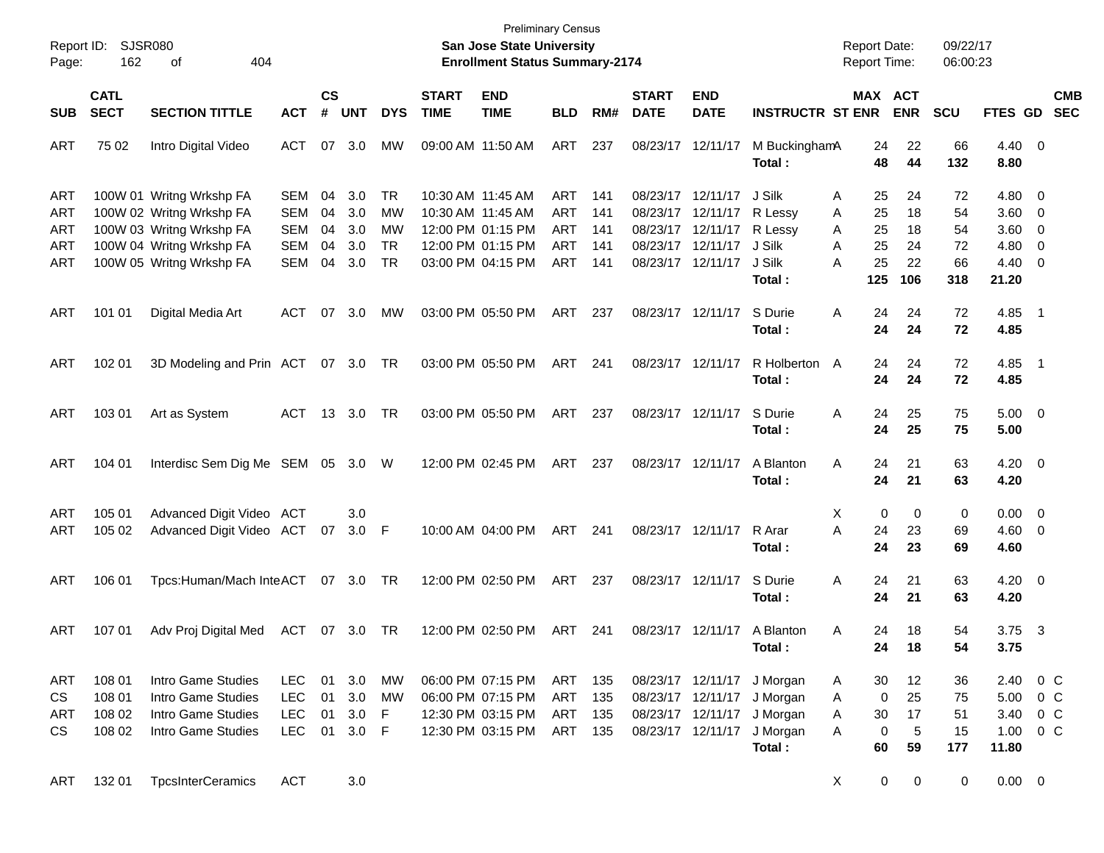|            |             |                                   |            |                        |            |              |              |                                       | <b>Preliminary Census</b> |     |                   |                   |                         |                     |            |            |             |                          |            |
|------------|-------------|-----------------------------------|------------|------------------------|------------|--------------|--------------|---------------------------------------|---------------------------|-----|-------------------|-------------------|-------------------------|---------------------|------------|------------|-------------|--------------------------|------------|
| Report ID: | SJSR080     |                                   |            |                        |            |              |              | <b>San Jose State University</b>      |                           |     |                   |                   |                         | <b>Report Date:</b> |            | 09/22/17   |             |                          |            |
| Page:      | 162         | 404<br>оf                         |            |                        |            |              |              | <b>Enrollment Status Summary-2174</b> |                           |     |                   |                   |                         | Report Time:        |            | 06:00:23   |             |                          |            |
|            | <b>CATL</b> |                                   |            | $\mathbf{c}\mathbf{s}$ |            |              | <b>START</b> | <b>END</b>                            |                           |     | <b>START</b>      | <b>END</b>        |                         |                     | MAX ACT    |            |             |                          | <b>CMB</b> |
| <b>SUB</b> | <b>SECT</b> | <b>SECTION TITTLE</b>             | <b>ACT</b> | #                      | <b>UNT</b> | <b>DYS</b>   | <b>TIME</b>  | <b>TIME</b>                           | <b>BLD</b>                | RM# | <b>DATE</b>       | <b>DATE</b>       | <b>INSTRUCTR ST ENR</b> |                     | <b>ENR</b> | <b>SCU</b> | FTES GD     |                          | <b>SEC</b> |
| ART        | 75 02       | Intro Digital Video               | <b>ACT</b> | 07                     | 3.0        | MW           |              | 09:00 AM 11:50 AM                     | ART                       | 237 | 08/23/17          | 12/11/17          | M BuckinghamA           | 24                  | 22         | 66         | 4.40        | $\overline{\mathbf{0}}$  |            |
|            |             |                                   |            |                        |            |              |              |                                       |                           |     |                   |                   | Total:                  | 48                  | 44         | 132        | 8.80        |                          |            |
| ART        |             | 100W 01 Writng Wrkshp FA          | <b>SEM</b> | 04                     | 3.0        | TR           |              | 10:30 AM 11:45 AM                     | <b>ART</b>                | 141 | 08/23/17          | 12/11/17          | J Silk                  | A<br>25             | 24         | 72         | 4.80        | $\overline{0}$           |            |
| ART        |             | 100W 02 Writng Wrkshp FA          | <b>SEM</b> | 04                     | 3.0        | MW           |              | 10:30 AM 11:45 AM                     | <b>ART</b>                | 141 | 08/23/17          | 12/11/17          | R Lessy                 | 25<br>A             | 18         | 54         | 3.60        | 0                        |            |
| ART        |             | 100W 03 Writng Wrkshp FA          | <b>SEM</b> | 04                     | 3.0        | MW           |              | 12:00 PM 01:15 PM                     | ART                       | 141 | 08/23/17          | 12/11/17          | R Lessy                 | 25<br>A             | 18         | 54         | 3.60        | 0                        |            |
| ART        |             | 100W 04 Writng Wrkshp FA          | <b>SEM</b> | 04                     | 3.0        | <b>TR</b>    |              | 12:00 PM 01:15 PM                     | ART                       | 141 | 08/23/17          | 12/11/17          | J Silk                  | 25<br>Α             | 24         | 72         | 4.80        | 0                        |            |
| ART        |             | 100W 05 Writng Wrkshp FA          | <b>SEM</b> | 04                     | 3.0        | <b>TR</b>    |              | 03:00 PM 04:15 PM                     | ART                       | 141 |                   | 08/23/17 12/11/17 | J Silk                  | 25<br>Α             | 22         | 66         | 4.40        | 0                        |            |
|            |             |                                   |            |                        |            |              |              |                                       |                           |     |                   |                   | Total:                  | 125                 | 106        | 318        | 21.20       |                          |            |
| ART        | 101 01      | Digital Media Art                 | <b>ACT</b> | 07                     | 3.0        | MW           |              | 03:00 PM 05:50 PM                     | ART                       | 237 |                   | 08/23/17 12/11/17 | S Durie                 | Α<br>24             | 24         | 72         | 4.85        | - 1                      |            |
|            |             |                                   |            |                        |            |              |              |                                       |                           |     |                   |                   | Total:                  | 24                  | 24         | 72         | 4.85        |                          |            |
| ART        | 102 01      | 3D Modeling and Prin ACT 07 3.0   |            |                        |            | TR.          |              | 03:00 PM 05:50 PM                     | ART                       | 241 |                   | 08/23/17 12/11/17 | R Holberton A           | 24                  | 24         | 72         | 4.85        | - 1                      |            |
|            |             |                                   |            |                        |            |              |              |                                       |                           |     |                   |                   | Total:                  | 24                  | 24         | 72         | 4.85        |                          |            |
| ART        | 103 01      | Art as System                     | ACT        | 13                     | 3.0        | TR           |              | 03:00 PM 05:50 PM                     | ART                       | 237 |                   | 08/23/17 12/11/17 | S Durie                 | Α<br>24             | 25         | 75         | 5.00        | $\overline{\phantom{0}}$ |            |
|            |             |                                   |            |                        |            |              |              |                                       |                           |     |                   |                   | Total:                  | 24                  | 25         | 75         | 5.00        |                          |            |
| ART        | 104 01      | Interdisc Sem Dig Me SEM 05 3.0 W |            |                        |            |              |              | 12:00 PM 02:45 PM                     | ART                       | 237 |                   | 08/23/17 12/11/17 | A Blanton               | Α<br>24             | 21         | 63         | 4.20        | $\overline{\phantom{0}}$ |            |
|            |             |                                   |            |                        |            |              |              |                                       |                           |     |                   |                   | Total:                  | 24                  | 21         | 63         | 4.20        |                          |            |
| ART        | 105 01      | Advanced Digit Video              | ACT        |                        | 3.0        |              |              |                                       |                           |     |                   |                   |                         | Χ                   | 0<br>0     | 0          | 0.00        | $\overline{\mathbf{0}}$  |            |
| ART        | 105 02      | Advanced Digit Video ACT          |            | 07                     | $3.0$ F    |              |              | 10:00 AM 04:00 PM                     | ART                       | 241 |                   | 08/23/17 12/11/17 | R Arar                  | A<br>24             | 23         | 69         | 4.60        | $\overline{\mathbf{0}}$  |            |
|            |             |                                   |            |                        |            |              |              |                                       |                           |     |                   |                   | Total:                  | 24                  | 23         | 69         | 4.60        |                          |            |
| ART        | 106 01      | Tpcs:Human/Mach InteACT           |            |                        | 07 3.0     | TR           |              | 12:00 PM 02:50 PM                     | ART                       | 237 |                   | 08/23/17 12/11/17 | S Durie                 | Α<br>24             | 21         | 63         | 4.20        | $\overline{\phantom{0}}$ |            |
|            |             |                                   |            |                        |            |              |              |                                       |                           |     |                   |                   | Total:                  | 24                  | 21         | 63         | 4.20        |                          |            |
| ART        | 107 01      | Adv Proj Digital Med              | ACT 07 3.0 |                        |            | TR           |              | 12:00 PM 02:50 PM                     | ART                       | 241 |                   | 08/23/17 12/11/17 | A Blanton               | Α<br>24             | 18         | 54         | 3.75        | $\overline{\mathbf{3}}$  |            |
|            |             |                                   |            |                        |            |              |              |                                       |                           |     |                   |                   | Total:                  |                     | 24<br>18   | 54         | 3.75        |                          |            |
| ART        | 108 01      | Intro Game Studies                | <b>LEC</b> | 01                     | 3.0        | <b>MW</b>    |              | 06:00 PM 07:15 PM                     | ART                       | 135 |                   | 08/23/17 12/11/17 | J Morgan                | 30<br>A             | 12         | 36         | 2.40        | $0\,$ C                  |            |
| CS         | 108 01      | Intro Game Studies                | <b>LEC</b> | 01                     | 3.0        | <b>MW</b>    |              | 06:00 PM 07:15 PM                     | <b>ART</b>                | 135 | 08/23/17 12/11/17 |                   | J Morgan                | Α                   | 25<br>0    | 75         | 5.00        | 0 <sup>o</sup>           |            |
| ART        | 108 02      | Intro Game Studies                | <b>LEC</b> | 01                     | 3.0        | F            |              | 12:30 PM 03:15 PM                     | <b>ART</b>                | 135 | 08/23/17 12/11/17 |                   | J Morgan                | Α<br>30             | 17         | 51         | 3.40        | $0\,$ C                  |            |
| CS         | 108 02      | Intro Game Studies                | <b>LEC</b> | 01                     | 3.0        | $\mathsf{F}$ |              | 12:30 PM 03:15 PM                     | ART                       | 135 | 08/23/17 12/11/17 |                   | J Morgan                | Α                   | 0<br>5     | 15         | 1.00        | $0\,C$                   |            |
|            |             |                                   |            |                        |            |              |              |                                       |                           |     |                   |                   | Total:                  | 60                  | 59         | 177        | 11.80       |                          |            |
| ART        | 132 01      | <b>TpcsInterCeramics</b>          | <b>ACT</b> |                        | 3.0        |              |              |                                       |                           |     |                   |                   |                         | X                   | 0<br>0     | 0          | $0.00 \t 0$ |                          |            |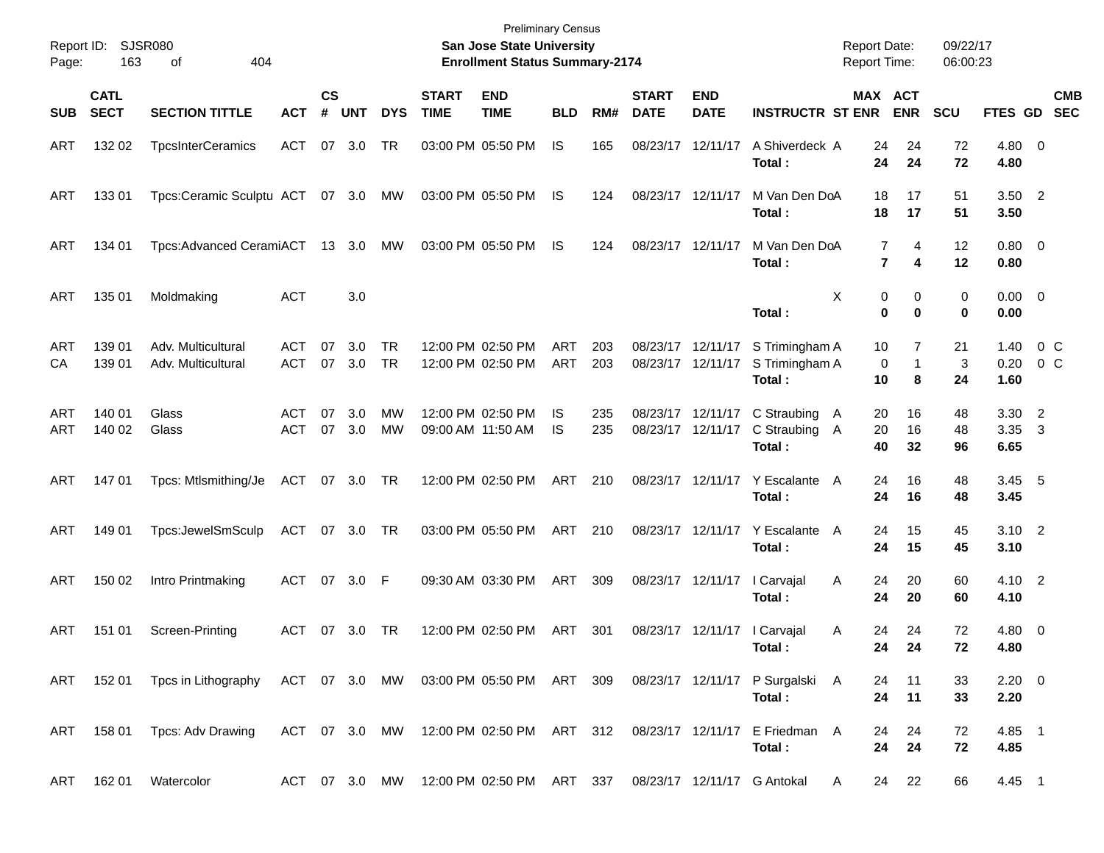| Report ID:<br>Page: | 163                        | <b>SJSR080</b><br>404<br>οf                                                                 |                          |                             |               |                 |                             | <b>Preliminary Census</b><br>San Jose State University<br><b>Enrollment Status Summary-2174</b> |            |            |                                        |                                        |                                            | <b>Report Date:</b><br><b>Report Time:</b> |                       | 09/22/17<br>06:00:23 |                        |                      |                          |
|---------------------|----------------------------|---------------------------------------------------------------------------------------------|--------------------------|-----------------------------|---------------|-----------------|-----------------------------|-------------------------------------------------------------------------------------------------|------------|------------|----------------------------------------|----------------------------------------|--------------------------------------------|--------------------------------------------|-----------------------|----------------------|------------------------|----------------------|--------------------------|
| <b>SUB</b>          | <b>CATL</b><br><b>SECT</b> | <b>SECTION TITTLE</b>                                                                       | <b>ACT</b>               | $\mathbf{c}\mathbf{s}$<br># | <b>UNT</b>    | <b>DYS</b>      | <b>START</b><br><b>TIME</b> | <b>END</b><br><b>TIME</b>                                                                       | <b>BLD</b> | RM#        | <b>START</b><br><b>DATE</b>            | <b>END</b><br><b>DATE</b>              | <b>INSTRUCTR ST ENR</b>                    | MAX ACT                                    | <b>ENR</b>            | <b>SCU</b>           | FTES GD                |                      | <b>CMB</b><br><b>SEC</b> |
| ART                 | 132 02                     | <b>TpcsInterCeramics</b>                                                                    | <b>ACT</b>               | 07                          | 3.0           | TR              |                             | 03:00 PM 05:50 PM                                                                               | IS         | 165        | 08/23/17 12/11/17                      |                                        | A Shiverdeck A<br>Total:                   | 24<br>24                                   | 24<br>24              | 72<br>72             | 4.80 0<br>4.80         |                      |                          |
| ART                 | 13301                      | Tpcs:Ceramic Sculptu ACT                                                                    |                          |                             | 07 3.0        | МW              |                             | 03:00 PM 05:50 PM                                                                               | IS         | 124        | 08/23/17 12/11/17                      |                                        | M Van Den DoA<br>Total:                    | 18<br>18                                   | 17<br>17              | 51<br>51             | $3.50$ 2<br>3.50       |                      |                          |
| ART                 | 134 01                     | Tpcs:Advanced CeramiACT                                                                     |                          |                             | 13 3.0        | МW              |                             | 03:00 PM 05:50 PM                                                                               | IS         | 124        | 08/23/17 12/11/17                      |                                        | M Van Den DoA<br>Total:                    | 7<br>7                                     | 4<br>4                | 12<br>12             | $0.80 \ 0$<br>0.80     |                      |                          |
| ART                 | 135 01                     | Moldmaking                                                                                  | <b>ACT</b>               |                             | 3.0           |                 |                             |                                                                                                 |            |            |                                        |                                        | Total:                                     | Х<br>0<br>0                                | 0<br>0                | 0<br>0               | $0.00 \t 0$<br>0.00    |                      |                          |
| ART<br>CA           | 139 01<br>139 01           | Adv. Multicultural<br>Adv. Multicultural                                                    | <b>ACT</b><br><b>ACT</b> | 07                          | 3.0<br>07 3.0 | TR<br><b>TR</b> |                             | 12:00 PM 02:50 PM<br>12:00 PM 02:50 PM                                                          | ART<br>ART | 203<br>203 | 08/23/17 12/11/17<br>08/23/17 12/11/17 |                                        | S Trimingham A<br>S Trimingham A<br>Total: | 10<br>0<br>10                              | 7<br>$\mathbf 1$<br>8 | 21<br>3<br>24        | 1.40<br>0.20<br>1.60   | $0\,$ C<br>0 C       |                          |
| ART<br>ART          | 140 01<br>140 02           | Glass<br>Glass                                                                              | <b>ACT</b><br><b>ACT</b> | 07<br>07                    | 3.0<br>3.0    | MW<br>МW        |                             | 12:00 PM 02:50 PM<br>09:00 AM 11:50 AM                                                          | IS<br>IS   | 235<br>235 |                                        | 08/23/17 12/11/17<br>08/23/17 12/11/17 | C Straubing<br>C Straubing<br>Total:       | 20<br>A<br>20<br>A<br>40                   | 16<br>16<br>32        | 48<br>48<br>96       | 3.30<br>3.35<br>6.65   | $\overline{2}$<br>-3 |                          |
| ART                 | 14701                      | Tpcs: Mtlsmithing/Je                                                                        | ACT                      |                             | 07 3.0        | TR              |                             | 12:00 PM 02:50 PM                                                                               | <b>ART</b> | 210        |                                        | 08/23/17 12/11/17                      | Y Escalante<br>Total:                      | 24<br>A<br>24                              | 16<br>16              | 48<br>48             | 3.45<br>3.45           | $-5$                 |                          |
| ART                 | 149 01                     | Tpcs:JewelSmSculp                                                                           | ACT                      |                             | 07 3.0        | TR              |                             | 03:00 PM 05:50 PM                                                                               | <b>ART</b> | 210        |                                        | 08/23/17 12/11/17                      | Y Escalante<br>Total:                      | 24<br>A<br>24                              | 15<br>15              | 45<br>45             | $3.10 \quad 2$<br>3.10 |                      |                          |
| ART                 | 150 02                     | Intro Printmaking                                                                           | ACT                      |                             | 07 3.0        | F               |                             | 09:30 AM 03:30 PM                                                                               | ART        | 309        |                                        | 08/23/17 12/11/17                      | I Carvajal<br>Total:                       | 24<br>A<br>24                              | 20<br>20              | 60<br>60             | 4.10 2<br>4.10         |                      |                          |
| ART                 | 151 01                     | Screen-Printing                                                                             | ACT                      | 07                          | 3.0           | TR              |                             | 12:00 PM 02:50 PM                                                                               | ART        | 301        |                                        | 08/23/17 12/11/17                      | I Carvajal<br>Total:                       | Α<br>24<br>24                              | 24<br>24              | 72<br>72             | $4.80\ 0$<br>4.80      |                      |                          |
| ART                 | 152 01                     | Tpcs in Lithography ACT 07 3.0 MW 03:00 PM 05:50 PM ART 309 08/23/17 12/11/17 P Surgalski A |                          |                             |               |                 |                             |                                                                                                 |            |            |                                        |                                        | Total:                                     | 24<br>24                                   | 11<br>11              | 33<br>33             | $2.20 \t 0$<br>2.20    |                      |                          |
| ART                 | 158 01                     | Tpcs: Adv Drawing                                                                           |                          |                             |               |                 |                             | ACT 07 3.0 MW 12:00 PM 02:50 PM ART 312                                                         |            |            |                                        |                                        | 08/23/17 12/11/17 E Friedman A<br>Total:   | 24<br>24                                   | 24<br>24              | 72<br>72             | 4.85 1<br>4.85         |                      |                          |
| ART                 | 162 01                     | Watercolor                                                                                  |                          |                             |               |                 |                             | ACT 07 3.0 MW 12:00 PM 02:50 PM ART 337                                                         |            |            |                                        |                                        | 08/23/17 12/11/17 G Antokal                | 24<br>A                                    | 22                    | 66                   | 4.45 1                 |                      |                          |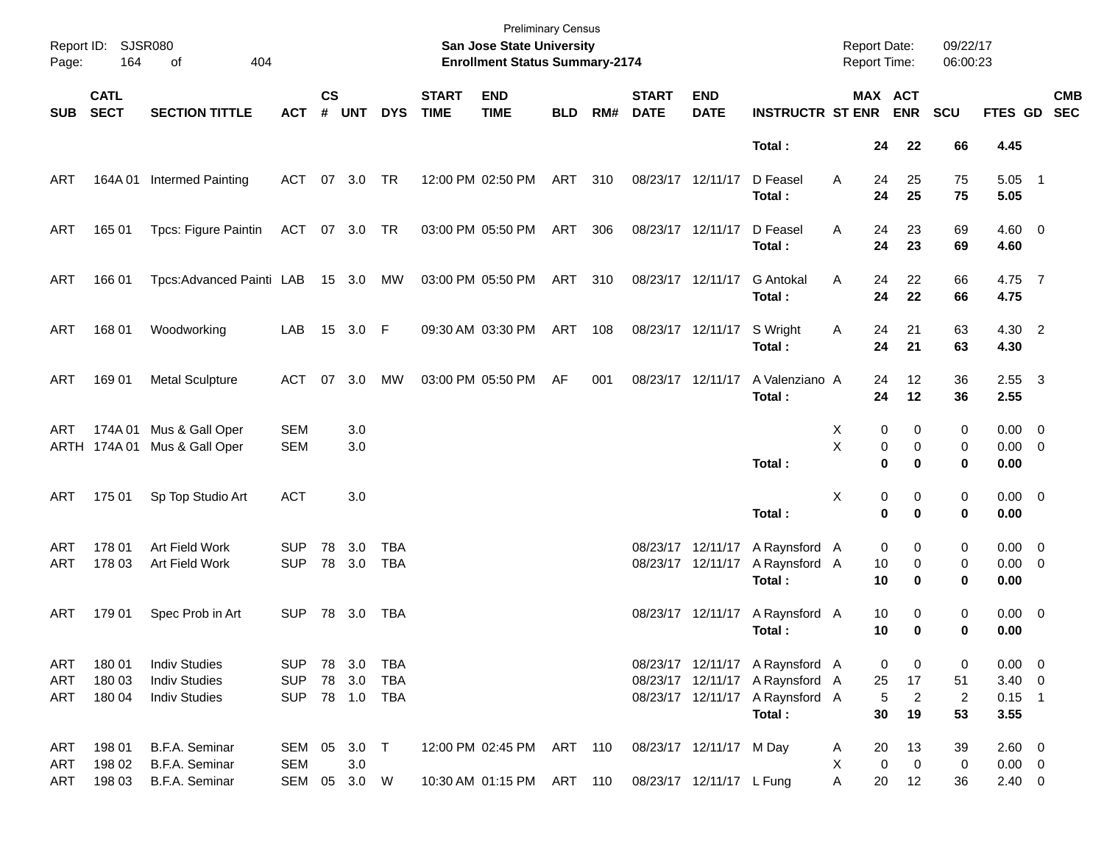| Page:             | Report ID: SJSR080<br>164  | 404<br>of                                                            |                                        |                    |                                |                          |                             | <b>Preliminary Census</b><br>San Jose State University<br><b>Enrollment Status Summary-2174</b> |            |     |                                        |                                                     |                                                                                                                 | <b>Report Date:</b><br>Report Time: |                         |                                 | 09/22/17<br>06:00:23            |                                               |                           |
|-------------------|----------------------------|----------------------------------------------------------------------|----------------------------------------|--------------------|--------------------------------|--------------------------|-----------------------------|-------------------------------------------------------------------------------------------------|------------|-----|----------------------------------------|-----------------------------------------------------|-----------------------------------------------------------------------------------------------------------------|-------------------------------------|-------------------------|---------------------------------|---------------------------------|-----------------------------------------------|---------------------------|
| <b>SUB</b>        | <b>CATL</b><br><b>SECT</b> | <b>SECTION TITTLE</b>                                                | <b>ACT</b>                             | $\mathsf{cs}$<br># | <b>UNT</b>                     | <b>DYS</b>               | <b>START</b><br><b>TIME</b> | <b>END</b><br><b>TIME</b>                                                                       | <b>BLD</b> | RM# | <b>START</b><br><b>DATE</b>            | <b>END</b><br><b>DATE</b>                           | <b>INSTRUCTR ST ENR</b>                                                                                         |                                     |                         | MAX ACT<br><b>ENR</b>           | SCU                             |                                               | <b>CMB</b><br>FTES GD SEC |
|                   |                            |                                                                      |                                        |                    |                                |                          |                             |                                                                                                 |            |     |                                        |                                                     | Total:                                                                                                          |                                     | 24                      | 22                              | 66                              | 4.45                                          |                           |
| ART               |                            | 164A 01 Intermed Painting                                            | ACT                                    |                    | 07 3.0                         | TR                       |                             | 12:00 PM 02:50 PM                                                                               | ART        | 310 | 08/23/17 12/11/17                      |                                                     | D Feasel<br>Total:                                                                                              | A                                   | 24<br>24                | 25<br>25                        | 75<br>75                        | $5.05$ 1<br>5.05                              |                           |
| ART               | 165 01                     | Tpcs: Figure Paintin                                                 | ACT 07 3.0 TR                          |                    |                                |                          |                             | 03:00 PM 05:50 PM                                                                               | ART        | 306 | 08/23/17 12/11/17                      |                                                     | D Feasel<br>Total:                                                                                              | A                                   | 24<br>24                | 23<br>23                        | 69<br>69                        | $4.60 \ 0$<br>4.60                            |                           |
| ART               | 166 01                     | Tpcs:Advanced Painti LAB                                             |                                        |                    | 15 3.0                         | MW                       |                             | 03:00 PM 05:50 PM                                                                               | ART 310    |     | 08/23/17 12/11/17                      |                                                     | <b>G</b> Antokal<br>Total:                                                                                      | A                                   | 24<br>24                | 22<br>22                        | 66<br>66                        | 4.75 7<br>4.75                                |                           |
| ART               | 168 01                     | Woodworking                                                          | LAB                                    |                    | 15 3.0 F                       |                          |                             | 09:30 AM 03:30 PM                                                                               | ART        | 108 |                                        | 08/23/17 12/11/17                                   | S Wright<br>Total:                                                                                              | Α                                   | 24<br>24                | 21<br>21                        | 63<br>63                        | 4.30 2<br>4.30                                |                           |
| ART               | 169 01                     | <b>Metal Sculpture</b>                                               | ACT                                    | 07                 | 3.0                            | MW                       |                             | 03:00 PM 05:50 PM                                                                               | AF         | 001 | 08/23/17 12/11/17                      |                                                     | A Valenziano A<br>Total:                                                                                        |                                     | 24<br>24                | 12<br>12                        | 36<br>36                        | $2.55 \quad 3$<br>2.55                        |                           |
| ART               |                            | 174A 01 Mus & Gall Oper<br>ARTH 174A 01 Mus & Gall Oper              | <b>SEM</b><br><b>SEM</b>               |                    | 3.0<br>3.0                     |                          |                             |                                                                                                 |            |     |                                        |                                                     | Total:                                                                                                          | Χ<br>X                              | 0<br>0<br>$\mathbf 0$   | 0<br>0<br>$\bf{0}$              | 0<br>0<br>0                     | $0.00 \t 0$<br>$0.00 \t 0$<br>0.00            |                           |
| ART               | 175 01                     | Sp Top Studio Art                                                    | <b>ACT</b>                             |                    | 3.0                            |                          |                             |                                                                                                 |            |     |                                        |                                                     | Total:                                                                                                          | Χ                                   | 0<br>$\mathbf 0$        | 0<br>$\bf{0}$                   | 0<br>0                          | $0.00 \t 0$<br>0.00                           |                           |
| ART<br>ART        | 178 01<br>178 03           | Art Field Work<br>Art Field Work                                     | <b>SUP</b><br><b>SUP</b>               | 78                 | 3.0<br>78 3.0                  | TBA<br><b>TBA</b>        |                             |                                                                                                 |            |     | 08/23/17 12/11/17<br>08/23/17 12/11/17 |                                                     | A Raynsford A<br>A Raynsford A<br>Total:                                                                        |                                     | 0<br>10<br>10           | 0<br>0<br>0                     | 0<br>0<br>0                     | $0.00 \t 0$<br>$0.00 \t 0$<br>0.00            |                           |
| ART               | 179 01                     | Spec Prob in Art                                                     | <b>SUP</b>                             |                    | 78 3.0                         | TBA                      |                             |                                                                                                 |            |     |                                        | 08/23/17 12/11/17                                   | A Raynsford A<br>Total:                                                                                         |                                     | 10<br>10                | 0<br>0                          | 0<br>0                          | $0.00 \ 0$<br>0.00                            |                           |
| ART<br>ART<br>ART | 180 01<br>180 03<br>180 04 | <b>Indiv Studies</b><br><b>Indiv Studies</b><br><b>Indiv Studies</b> | <b>SUP</b><br><b>SUP</b><br><b>SUP</b> |                    | 78 3.0<br>78 3.0<br>78 1.0 TBA | <b>TBA</b><br><b>TBA</b> |                             |                                                                                                 |            |     |                                        |                                                     | 08/23/17 12/11/17 A Raynsford A<br>08/23/17 12/11/17 A Raynsford A<br>08/23/17 12/11/17 A Raynsford A<br>Total: |                                     | 0<br>25<br>5<br>30      | 0<br>17<br>$\overline{a}$<br>19 | 0<br>51<br>$\overline{2}$<br>53 | $0.00 \t 0$<br>$3.40 \ 0$<br>$0.15$ 1<br>3.55 |                           |
| ART<br>ART<br>ART | 198 01<br>198 02<br>198 03 | B.F.A. Seminar<br>B.F.A. Seminar<br>B.F.A. Seminar                   | SEM 05 3.0 T<br><b>SEM</b><br>SEM      |                    | 3.0<br>05 3.0 W                |                          |                             | 12:00 PM 02:45 PM ART 110<br>10:30 AM 01:15 PM ART 110                                          |            |     |                                        | 08/23/17 12/11/17 M Day<br>08/23/17 12/11/17 L Fung |                                                                                                                 | A<br>X<br>Α                         | 20<br>$\mathbf 0$<br>20 | 13<br>$\mathbf 0$<br>12         | 39<br>0<br>36                   | 2.60 0<br>$0.00 \t 0$<br>$2.40 \t 0$          |                           |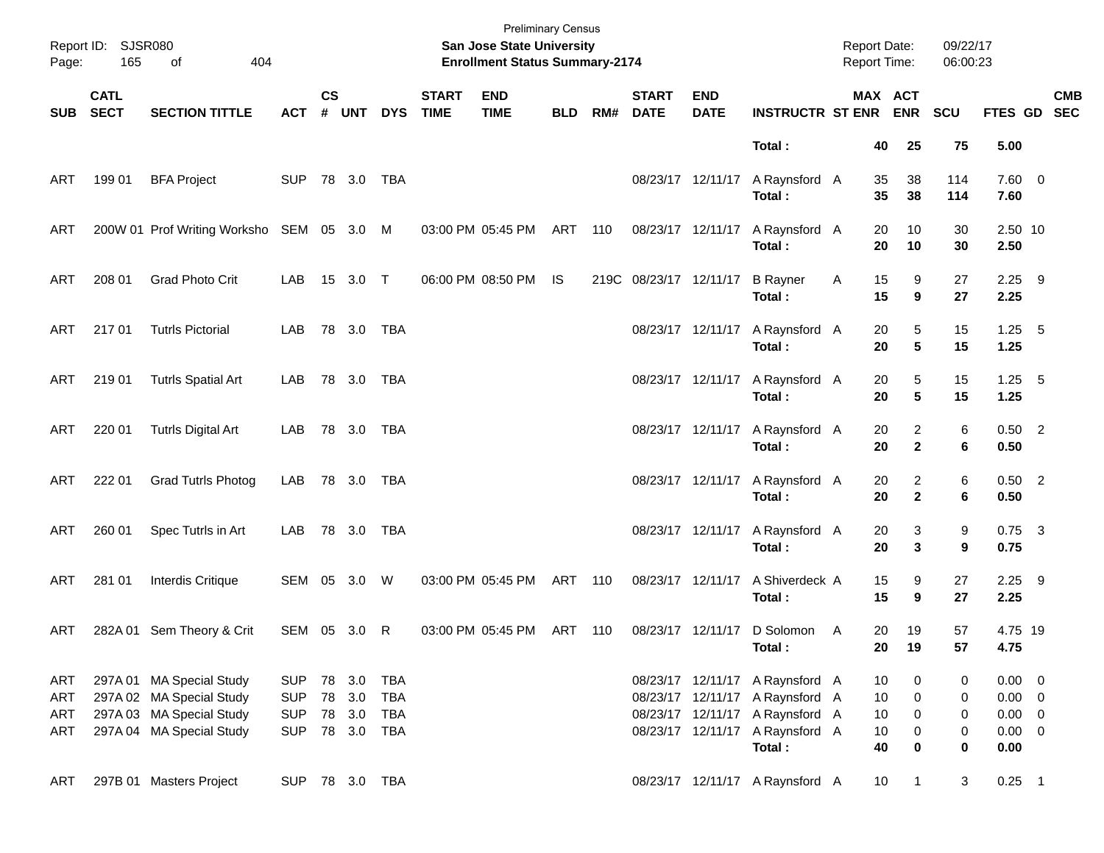| Page:                    | Report ID: SJSR080<br>165  | 404<br>of                                                                                                    |                                                      |                    |                                          |                   |                             | <b>Preliminary Census</b><br>San Jose State University<br><b>Enrollment Status Summary-2174</b> |            |     |                             |                                        |                                                                                                      | <b>Report Date:</b><br>Report Time: |                                | 09/22/17<br>06:00:23 |                                                          |            |
|--------------------------|----------------------------|--------------------------------------------------------------------------------------------------------------|------------------------------------------------------|--------------------|------------------------------------------|-------------------|-----------------------------|-------------------------------------------------------------------------------------------------|------------|-----|-----------------------------|----------------------------------------|------------------------------------------------------------------------------------------------------|-------------------------------------|--------------------------------|----------------------|----------------------------------------------------------|------------|
| <b>SUB</b>               | <b>CATL</b><br><b>SECT</b> | <b>SECTION TITTLE</b>                                                                                        | <b>ACT</b>                                           | $\mathsf{cs}$<br># | <b>UNT</b>                               | <b>DYS</b>        | <b>START</b><br><b>TIME</b> | <b>END</b><br><b>TIME</b>                                                                       | <b>BLD</b> | RM# | <b>START</b><br><b>DATE</b> | <b>END</b><br><b>DATE</b>              | <b>INSTRUCTR ST ENR</b>                                                                              |                                     | MAX ACT<br><b>ENR</b>          | <b>SCU</b>           | FTES GD SEC                                              | <b>CMB</b> |
|                          |                            |                                                                                                              |                                                      |                    |                                          |                   |                             |                                                                                                 |            |     |                             |                                        | Total:                                                                                               | 40                                  | 25                             | 75                   | 5.00                                                     |            |
| ART                      | 199 01                     | <b>BFA Project</b>                                                                                           | <b>SUP</b>                                           |                    | 78 3.0                                   | TBA               |                             |                                                                                                 |            |     |                             | 08/23/17 12/11/17                      | A Raynsford A<br>Total:                                                                              | 35<br>35                            | 38<br>38                       | 114<br>114           | 7.60 0<br>7.60                                           |            |
| ART                      |                            | 200W 01 Prof Writing Worksho SEM 05 3.0 M                                                                    |                                                      |                    |                                          |                   |                             | 03:00 PM 05:45 PM                                                                               | ART        | 110 | 08/23/17 12/11/17           |                                        | A Raynsford A<br>Total:                                                                              | 20<br>20                            | 10<br>10                       | 30<br>30             | 2.50 10<br>2.50                                          |            |
| ART                      | 208 01                     | <b>Grad Photo Crit</b>                                                                                       | LAB                                                  |                    | 15 3.0 T                                 |                   |                             | 06:00 PM 08:50 PM                                                                               | IS.        |     | 219C 08/23/17 12/11/17      |                                        | <b>B</b> Rayner<br>Total:                                                                            | 15<br>Α<br>15                       | 9<br>9                         | 27<br>27             | $2.25$ 9<br>2.25                                         |            |
| ART                      | 21701                      | <b>Tutrls Pictorial</b>                                                                                      | LAB                                                  |                    | 78 3.0                                   | TBA               |                             |                                                                                                 |            |     |                             | 08/23/17 12/11/17                      | A Raynsford A<br>Total:                                                                              | 20<br>20                            | 5<br>5                         | 15<br>15             | $1.25$ 5<br>1.25                                         |            |
| ART                      | 219 01                     | <b>Tutrls Spatial Art</b>                                                                                    | LAB                                                  |                    | 78 3.0                                   | TBA               |                             |                                                                                                 |            |     |                             | 08/23/17 12/11/17                      | A Raynsford A<br>Total:                                                                              | 20<br>20                            | 5<br>5                         | 15<br>15             | $1.25$ 5<br>1.25                                         |            |
| ART                      | 220 01                     | <b>Tutrls Digital Art</b>                                                                                    | LAB                                                  |                    | 78 3.0                                   | TBA               |                             |                                                                                                 |            |     |                             | 08/23/17 12/11/17                      | A Raynsford A<br>Total:                                                                              | 20<br>20                            | $\overline{a}$<br>$\mathbf{2}$ | 6<br>6               | $0.50$ 2<br>0.50                                         |            |
| ART                      | 222 01                     | <b>Grad Tutrls Photog</b>                                                                                    | LAB                                                  |                    | 78 3.0                                   | TBA               |                             |                                                                                                 |            |     |                             | 08/23/17 12/11/17                      | A Raynsford A<br>Total:                                                                              | 20<br>20                            | $\overline{a}$<br>$\mathbf{2}$ | 6<br>6               | $0.50$ 2<br>0.50                                         |            |
| ART                      | 260 01                     | Spec Tutrls in Art                                                                                           | LAB                                                  |                    | 78 3.0                                   | TBA               |                             |                                                                                                 |            |     |                             | 08/23/17 12/11/17                      | A Raynsford A<br>Total:                                                                              | 20<br>20                            | 3<br>$\mathbf{3}$              | 9<br>9               | $0.75$ 3<br>0.75                                         |            |
| ART                      | 281 01                     | Interdis Critique                                                                                            | SEM 05 3.0                                           |                    |                                          | W                 |                             | 03:00 PM 05:45 PM                                                                               | ART 110    |     | 08/23/17 12/11/17           |                                        | A Shiverdeck A<br>Total:                                                                             | 15<br>15                            | 9<br>9                         | 27<br>27             | $2.25$ 9<br>2.25                                         |            |
| ART                      |                            | 282A 01 Sem Theory & Crit                                                                                    | SEM 05 3.0 R                                         |                    |                                          |                   |                             | 03:00 PM 05:45 PM                                                                               | ART 110    |     |                             | 08/23/17 12/11/17                      | D Solomon<br>Total:                                                                                  | 20<br>A<br>20                       | 19<br>19                       | 57<br>57             | 4.75 19<br>4.75                                          |            |
| ART<br>ART<br>ART<br>ART |                            | 297A 01 MA Special Study<br>297A 02 MA Special Study<br>297A 03 MA Special Study<br>297A 04 MA Special Study | <b>SUP</b><br><b>SUP</b><br><b>SUP</b><br><b>SUP</b> |                    | 78 3.0<br>78 3.0<br>78 3.0<br>78 3.0 TBA | TBA<br>TBA<br>TBA |                             |                                                                                                 |            |     |                             | 08/23/17 12/11/17<br>08/23/17 12/11/17 | 08/23/17 12/11/17 A Raynsford A<br>08/23/17 12/11/17 A Raynsford A<br>A Raynsford A<br>A Raynsford A | 10<br>10<br>10<br>10                | 0<br>0<br>0<br>$\pmb{0}$       | 0<br>0<br>0<br>0     | $0.00 \t 0$<br>$0.00 \t 0$<br>$0.00 \t 0$<br>$0.00 \t 0$ |            |
| ART                      |                            | 297B 01 Masters Project                                                                                      | SUP 78 3.0 TBA                                       |                    |                                          |                   |                             |                                                                                                 |            |     |                             |                                        | Total:<br>08/23/17 12/11/17 A Raynsford A                                                            | 40<br>10                            | 0<br>$\mathbf{1}$              | 0<br>3               | 0.00<br>$0.25$ 1                                         |            |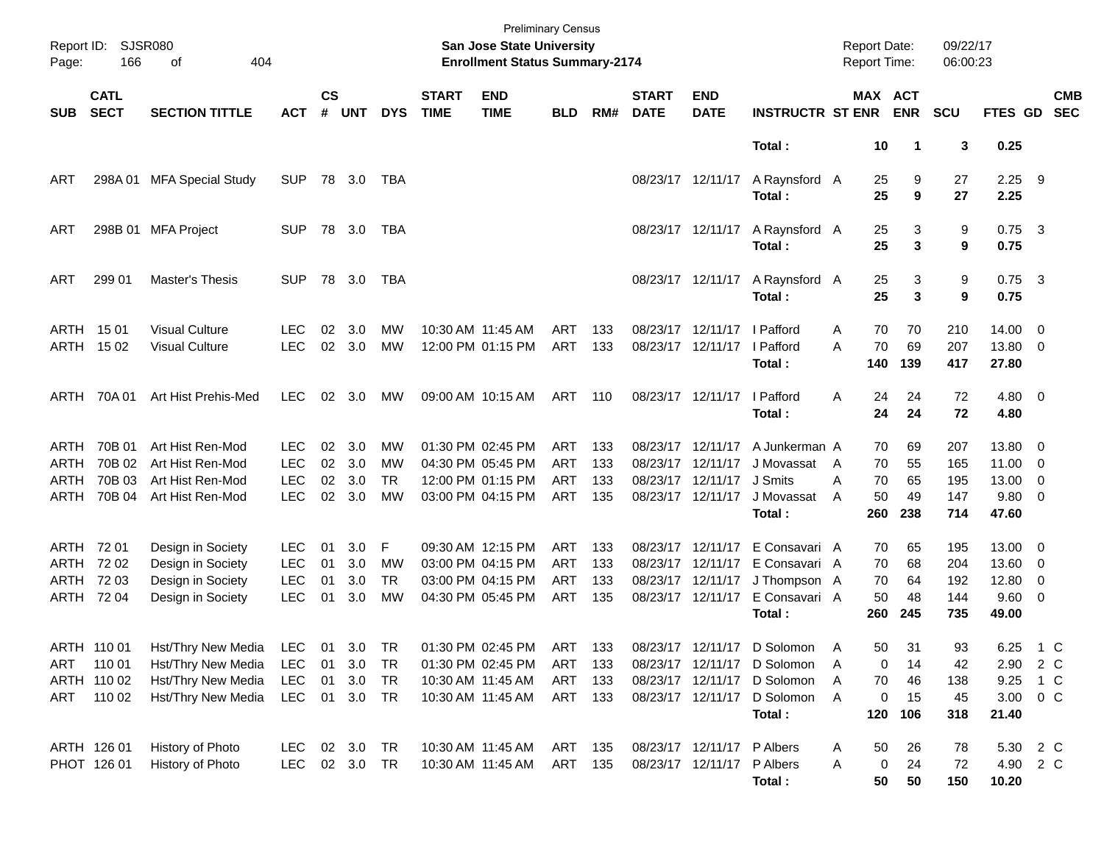| Report ID:<br>Page:                 | 166                                            | <b>SJSR080</b><br>404<br>οf                                                          |                                                      |                      |                                   |                                          |                             | <b>San Jose State University</b><br><b>Enrollment Status Summary-2174</b>        | <b>Preliminary Census</b>                     |                          |                             |                                                                                  |                                                                                                        | <b>Report Date:</b><br>Report Time:                        |                             | 09/22/17<br>06:00:23            |                                              |                                            |
|-------------------------------------|------------------------------------------------|--------------------------------------------------------------------------------------|------------------------------------------------------|----------------------|-----------------------------------|------------------------------------------|-----------------------------|----------------------------------------------------------------------------------|-----------------------------------------------|--------------------------|-----------------------------|----------------------------------------------------------------------------------|--------------------------------------------------------------------------------------------------------|------------------------------------------------------------|-----------------------------|---------------------------------|----------------------------------------------|--------------------------------------------|
| <b>SUB</b>                          | <b>CATL</b><br><b>SECT</b>                     | <b>SECTION TITTLE</b>                                                                | <b>ACT</b>                                           | $\mathsf{cs}$<br>#   | <b>UNT</b>                        | <b>DYS</b>                               | <b>START</b><br><b>TIME</b> | <b>END</b><br><b>TIME</b>                                                        | <b>BLD</b>                                    | RM#                      | <b>START</b><br><b>DATE</b> | <b>END</b><br><b>DATE</b>                                                        | <b>INSTRUCTR ST ENR</b>                                                                                | MAX ACT                                                    | <b>ENR</b>                  | SCU                             | FTES GD                                      | <b>CMB</b><br><b>SEC</b>                   |
|                                     |                                                |                                                                                      |                                                      |                      |                                   |                                          |                             |                                                                                  |                                               |                          |                             |                                                                                  | Total:                                                                                                 | 10                                                         | 1                           | 3                               | 0.25                                         |                                            |
| ART                                 | 298A01                                         | <b>MFA Special Study</b>                                                             | <b>SUP</b>                                           |                      | 78 3.0                            | TBA                                      |                             |                                                                                  |                                               |                          | 08/23/17 12/11/17           |                                                                                  | A Raynsford A<br>Total:                                                                                | 25<br>25                                                   | 9<br>9                      | 27<br>27                        | $2.25$ 9<br>2.25                             |                                            |
| ART                                 |                                                | 298B 01 MFA Project                                                                  | <b>SUP</b>                                           |                      | 78 3.0                            | TBA                                      |                             |                                                                                  |                                               |                          |                             | 08/23/17 12/11/17                                                                | A Raynsford A<br>Total:                                                                                | 25<br>25                                                   | 3<br>3                      | 9<br>9                          | $0.75$ 3<br>0.75                             |                                            |
| ART                                 | 299 01                                         | Master's Thesis                                                                      | <b>SUP</b>                                           |                      | 78 3.0                            | TBA                                      |                             |                                                                                  |                                               |                          |                             | 08/23/17 12/11/17                                                                | A Raynsford A<br>Total:                                                                                | 25<br>25                                                   | 3<br>3                      | 9<br>9                          | $0.75$ 3<br>0.75                             |                                            |
|                                     | ARTH 1501<br>ARTH 1502                         | <b>Visual Culture</b><br><b>Visual Culture</b>                                       | <b>LEC</b><br><b>LEC</b>                             | 02<br>02             | 3.0<br>3.0                        | MW<br><b>MW</b>                          |                             | 10:30 AM 11:45 AM<br>12:00 PM 01:15 PM                                           | <b>ART</b><br>ART                             | 133<br>133               |                             | 08/23/17 12/11/17<br>08/23/17 12/11/17                                           | I Pafford<br>I Pafford<br>Total:                                                                       | 70<br>Α<br>70<br>A<br>140                                  | 70<br>69<br>139             | 210<br>207<br>417               | $14.00 \t 0$<br>13.80 0<br>27.80             |                                            |
|                                     | ARTH 70A 01                                    | Art Hist Prehis-Med                                                                  | <b>LEC</b>                                           | 02                   | 3.0                               | МW                                       |                             | 09:00 AM 10:15 AM                                                                | ART 110                                       |                          |                             | 08/23/17 12/11/17                                                                | I Pafford<br>Total:                                                                                    | 24<br>A<br>24                                              | 24<br>24                    | 72<br>72                        | $4.80\ 0$<br>4.80                            |                                            |
| ARTH<br>ARTH<br>ARTH<br><b>ARTH</b> | 70B 01<br>70B 02<br>70B 03<br>70B 04           | Art Hist Ren-Mod<br>Art Hist Ren-Mod<br>Art Hist Ren-Mod<br>Art Hist Ren-Mod         | <b>LEC</b><br><b>LEC</b><br><b>LEC</b><br><b>LEC</b> | 02<br>02<br>02<br>02 | 3.0<br>3.0<br>3.0<br>3.0          | MW<br>MW<br><b>TR</b><br><b>MW</b>       |                             | 01:30 PM 02:45 PM<br>04:30 PM 05:45 PM<br>12:00 PM 01:15 PM<br>03:00 PM 04:15 PM | <b>ART</b><br><b>ART</b><br><b>ART</b><br>ART | 133<br>133<br>133<br>135 | 08/23/17 12/11/17           | 08/23/17 12/11/17<br>08/23/17 12/11/17<br>08/23/17 12/11/17                      | A Junkerman A<br>J Movassat<br>J Smits<br>J Movassat<br>Total:                                         | 70<br>70<br>A<br>70<br>A<br>50<br>A<br>260                 | 69<br>55<br>65<br>49<br>238 | 207<br>165<br>195<br>147<br>714 | 13.80 0<br>11.00<br>13.00<br>9.80 0<br>47.60 | $\overline{\phantom{0}}$<br>0              |
| ARTH<br>ARTH                        | ARTH 72 01<br>72 02<br>72 03<br>ARTH 72 04     | Design in Society<br>Design in Society<br>Design in Society<br>Design in Society     | <b>LEC</b><br><b>LEC</b><br><b>LEC</b><br><b>LEC</b> | 01<br>01<br>01<br>01 | 3.0<br>3.0<br>3.0<br>3.0          | F<br><b>MW</b><br><b>TR</b><br><b>MW</b> |                             | 09:30 AM 12:15 PM<br>03:00 PM 04:15 PM<br>03:00 PM 04:15 PM<br>04:30 PM 05:45 PM | <b>ART</b><br><b>ART</b><br><b>ART</b><br>ART | 133<br>133<br>133<br>135 |                             | 08/23/17 12/11/17<br>08/23/17 12/11/17<br>08/23/17 12/11/17<br>08/23/17 12/11/17 | E Consavari A<br>E Consavari A<br>J Thompson A<br>E Consavari A<br>Total:                              | 70<br>70<br>70<br>50<br>260                                | 65<br>68<br>64<br>48<br>245 | 195<br>204<br>192<br>144<br>735 | 13.00 0<br>13.60<br>12.80<br>9.60 0<br>49.00 | $\overline{\phantom{0}}$<br>$\overline{0}$ |
| ART<br>ART                          | ARTH 110 01<br>110 01<br>ARTH 110 02<br>110 02 | Hst/Thry New Media<br>Hst/Thry New Media<br>Hst/Thry New Media<br>Hst/Thry New Media | LEC<br><b>LEC</b><br><b>LEC</b><br><b>LEC</b>        | 01<br>01             | 01 3.0 TR<br>3.0<br>3.0<br>01 3.0 | TR<br><b>TR</b><br>TR                    |                             | 01:30 PM 02:45 PM<br>10:30 AM 11:45 AM<br>10:30 AM 11:45 AM                      | <b>ART</b><br>ART<br>ART 133                  | 133<br>133               |                             | 08/23/17 12/11/17<br>08/23/17 12/11/17<br>08/23/17 12/11/17                      | 01:30 PM 02:45 PM ART 133 08/23/17 12/11/17 D Solomon<br>D Solomon<br>D Solomon<br>D Solomon<br>Total: | $\overline{A}$<br>50<br>0<br>A<br>70<br>Α<br>A<br>0<br>120 | 31<br>14<br>46<br>15<br>106 | 93<br>42<br>138<br>45<br>318    | 6.25<br>2.90<br>9.25<br>3.00<br>21.40        | $1\,C$<br>2 C<br>1 C<br>$0\,C$             |
|                                     | ARTH 126 01<br>PHOT 126 01                     | History of Photo<br>History of Photo                                                 | LEC<br><b>LEC</b>                                    |                      | 02 3.0<br>02 3.0                  | TR<br><b>TR</b>                          |                             | 10:30 AM 11:45 AM<br>10:30 AM 11:45 AM                                           | ART<br>ART 135                                | 135                      |                             | 08/23/17 12/11/17 P Albers<br>08/23/17 12/11/17 P Albers                         | Total:                                                                                                 | 50<br>Α<br>0<br>Α<br>50                                    | 26<br>24<br>50              | 78<br>72<br>150                 | 5.30 2 C<br>4.90 2 C<br>10.20                |                                            |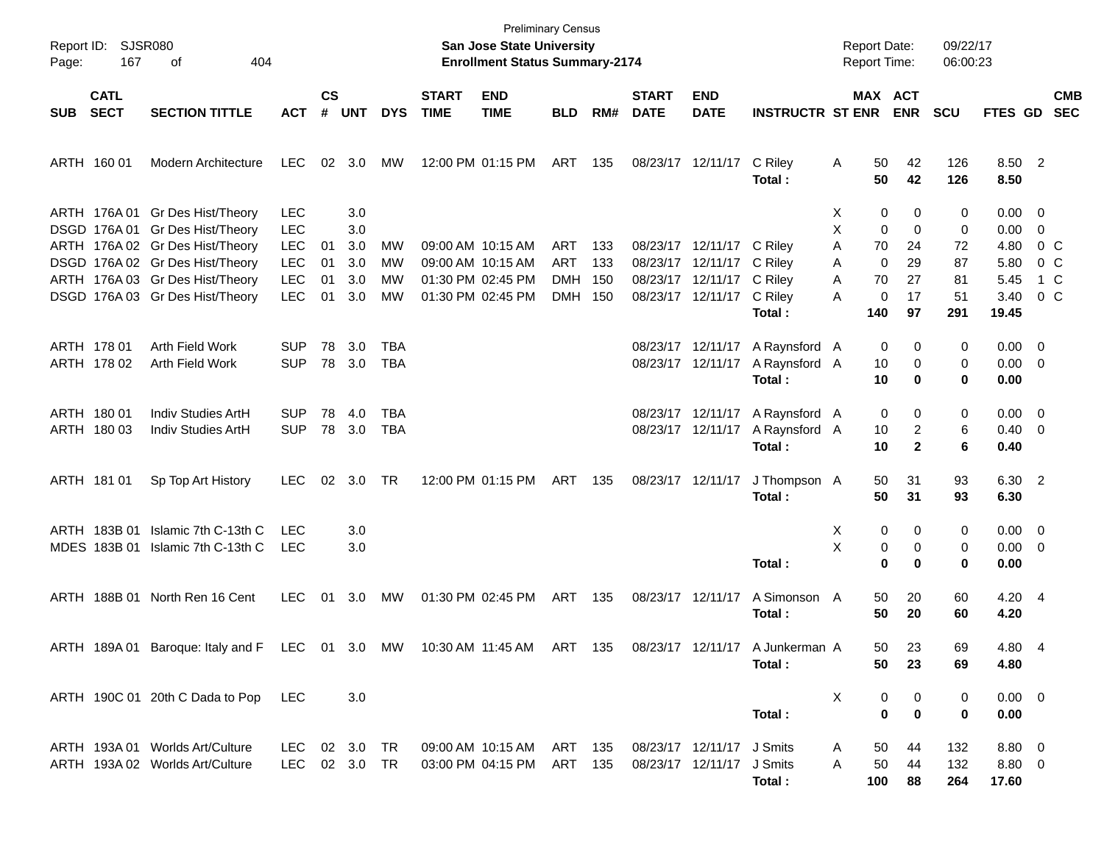| Page:      | Report ID: SJSR080<br>167<br>404<br>οf<br><b>CATL</b> |                                                                                                       |                                        |                    |                   |                |                                                             | <b>Preliminary Census</b><br>San Jose State University<br><b>Enrollment Status Summary-2174</b> |                          |                   |                             |                                                             |                                                            | <b>Report Date:</b><br><b>Report Time:</b> |                                          | 09/22/17<br>06:00:23 |                                       |                           |  |
|------------|-------------------------------------------------------|-------------------------------------------------------------------------------------------------------|----------------------------------------|--------------------|-------------------|----------------|-------------------------------------------------------------|-------------------------------------------------------------------------------------------------|--------------------------|-------------------|-----------------------------|-------------------------------------------------------------|------------------------------------------------------------|--------------------------------------------|------------------------------------------|----------------------|---------------------------------------|---------------------------|--|
| <b>SUB</b> | <b>SECT</b>                                           | <b>SECTION TITTLE</b>                                                                                 | <b>ACT</b>                             | $\mathsf{cs}$<br># | <b>UNT</b>        | <b>DYS</b>     | <b>START</b><br><b>TIME</b>                                 | <b>END</b><br><b>TIME</b>                                                                       | <b>BLD</b>               | RM#               | <b>START</b><br><b>DATE</b> | <b>END</b><br><b>DATE</b>                                   | <b>INSTRUCTR ST ENR ENR</b>                                |                                            | MAX ACT                                  | <b>SCU</b>           | FTES GD SEC                           | <b>CMB</b>                |  |
|            | ARTH 160 01                                           | Modern Architecture                                                                                   | LEC.                                   |                    | 02 3.0            | МW             | 12:00 PM 01:15 PM                                           |                                                                                                 | ART 135                  |                   |                             | 08/23/17 12/11/17                                           | C Riley<br>Total:                                          | A<br>50<br>50                              | 42<br>42                                 | 126<br>126           | 8.50 2<br>8.50                        |                           |  |
|            |                                                       | ARTH 176A 01 Gr Des Hist/Theory<br>DSGD 176A 01 Gr Des Hist/Theory                                    | <b>LEC</b><br><b>LEC</b>               |                    | 3.0<br>3.0        |                |                                                             |                                                                                                 |                          |                   |                             |                                                             |                                                            | X.<br>X                                    | 0<br>0<br>$\mathbf 0$<br>$\mathbf 0$     | 0<br>0               | $0.00 \t 0$<br>$0.00 \t 0$            |                           |  |
|            |                                                       | ARTH 176A 02 Gr Des Hist/Theory<br>DSGD 176A 02 Gr Des Hist/Theory<br>ARTH 176A 03 Gr Des Hist/Theory | <b>LEC</b><br><b>LEC</b><br><b>LEC</b> | 01<br>01<br>01     | 3.0<br>3.0<br>3.0 | MW<br>MW<br>MW | 09:00 AM 10:15 AM<br>09:00 AM 10:15 AM<br>01:30 PM 02:45 PM |                                                                                                 | ART<br>ART<br><b>DMH</b> | 133<br>133<br>150 |                             | 08/23/17 12/11/17<br>08/23/17 12/11/17<br>08/23/17 12/11/17 | C Riley<br>C Riley<br>C Riley                              | 70<br>A<br>A<br>70<br>A                    | 24<br>0<br>29<br>27                      | 72<br>87<br>81       | 4.80<br>5.80<br>5.45                  | $0\,$ C<br>$0\,$ C<br>1 C |  |
|            |                                                       | DSGD 176A 03 Gr Des Hist/Theory                                                                       | <b>LEC</b>                             | 01                 | 3.0               | MW             | 01:30 PM 02:45 PM                                           |                                                                                                 | <b>DMH</b>               | 150               |                             | 08/23/17 12/11/17                                           | C Riley<br>Total:                                          | A<br>140                                   | 0<br>17<br>97                            | 51<br>291            | 3.40<br>19.45                         | 0 C                       |  |
|            | ARTH 178 01<br>ARTH 178 02                            | Arth Field Work<br>Arth Field Work                                                                    | <b>SUP</b><br><b>SUP</b>               | 78                 | 3.0<br>78 3.0     | TBA<br>TBA     |                                                             |                                                                                                 |                          |                   |                             | 08/23/17 12/11/17                                           | 08/23/17 12/11/17 A Raynsford A<br>A Raynsford A<br>Total: | 10<br>10                                   | 0<br>0<br>0<br>0                         | 0<br>0<br>0          | $0.00 \t 0$<br>$0.00 \t 0$<br>0.00    |                           |  |
|            | ARTH 180 01<br>ARTH 180 03                            | Indiv Studies ArtH<br>Indiv Studies ArtH                                                              | <b>SUP</b><br><b>SUP</b>               | 78                 | 4.0<br>78 3.0     | TBA<br>TBA     |                                                             |                                                                                                 |                          |                   |                             | 08/23/17 12/11/17<br>08/23/17 12/11/17                      | A Raynsford A<br>A Raynsford A<br>Total:                   | 10<br>10                                   | 0<br>0<br>$\overline{2}$<br>$\mathbf{2}$ | 0<br>6<br>6          | $0.00 \t 0$<br>$0.40 \quad 0$<br>0.40 |                           |  |
|            | ARTH 181 01                                           | Sp Top Art History                                                                                    | <b>LEC</b>                             |                    | 02 3.0            | TR             | 12:00 PM 01:15 PM                                           |                                                                                                 | ART 135                  |                   |                             | 08/23/17 12/11/17                                           | J Thompson A<br>Total:                                     | 50<br>50                                   | 31<br>31                                 | 93<br>93             | 6.30 2<br>6.30                        |                           |  |
|            |                                                       | ARTH 183B 01 Islamic 7th C-13th C<br>MDES 183B 01 Islamic 7th C-13th C                                | LEC<br>LEC                             |                    | 3.0<br>3.0        |                |                                                             |                                                                                                 |                          |                   |                             |                                                             | Total:                                                     | X<br>X                                     | 0<br>0<br>0<br>0<br>$\bf{0}$<br>0        | 0<br>0<br>0          | $0.00 \t 0$<br>$0.00 \t 0$<br>0.00    |                           |  |
|            |                                                       | ARTH 188B 01 North Ren 16 Cent                                                                        | <b>LEC</b>                             | 01                 | 3.0               | MW             | 01:30 PM 02:45 PM                                           |                                                                                                 | ART 135                  |                   |                             | 08/23/17 12/11/17                                           | A Simonson A<br>Total :                                    | 50<br>50                                   | 20<br>20                                 | 60<br>60             | 4.20 4<br>4.20                        |                           |  |
|            |                                                       | ARTH 189A 01 Baroque: Italy and F LEC 01 3.0 MW 10:30 AM 11:45 AM                                     |                                        |                    |                   |                |                                                             |                                                                                                 |                          | ART 135           |                             |                                                             | 08/23/17 12/11/17 A Junkerman A<br>Total:                  |                                            | 50<br>23<br>50<br>23                     | 69<br>69             | 4.80 4<br>4.80                        |                           |  |
|            |                                                       | ARTH 190C 01 20th C Dada to Pop                                                                       | <b>LEC</b>                             |                    | 3.0               |                |                                                             |                                                                                                 |                          |                   |                             |                                                             | Total:                                                     | X                                          | 0<br>0<br>$\bf{0}$<br>$\bf{0}$           | 0<br>0               | $0.00 \quad 0$<br>0.00                |                           |  |
|            |                                                       | ARTH 193A 01 Worlds Art/Culture<br>ARTH 193A 02 Worlds Art/Culture                                    | LEC 02 3.0<br>LEC 02 3.0 TR            |                    |                   | TR             |                                                             | 09:00 AM 10:15 AM ART 135<br>03:00 PM 04:15 PM ART 135                                          |                          |                   |                             | 08/23/17 12/11/17 J Smits<br>08/23/17 12/11/17              | J Smits<br>Total:                                          | A<br>50<br>50<br>A<br>100                  | 44<br>44<br>88                           | 132<br>132<br>264    | $8.80\quad 0$<br>8.80 0<br>17.60      |                           |  |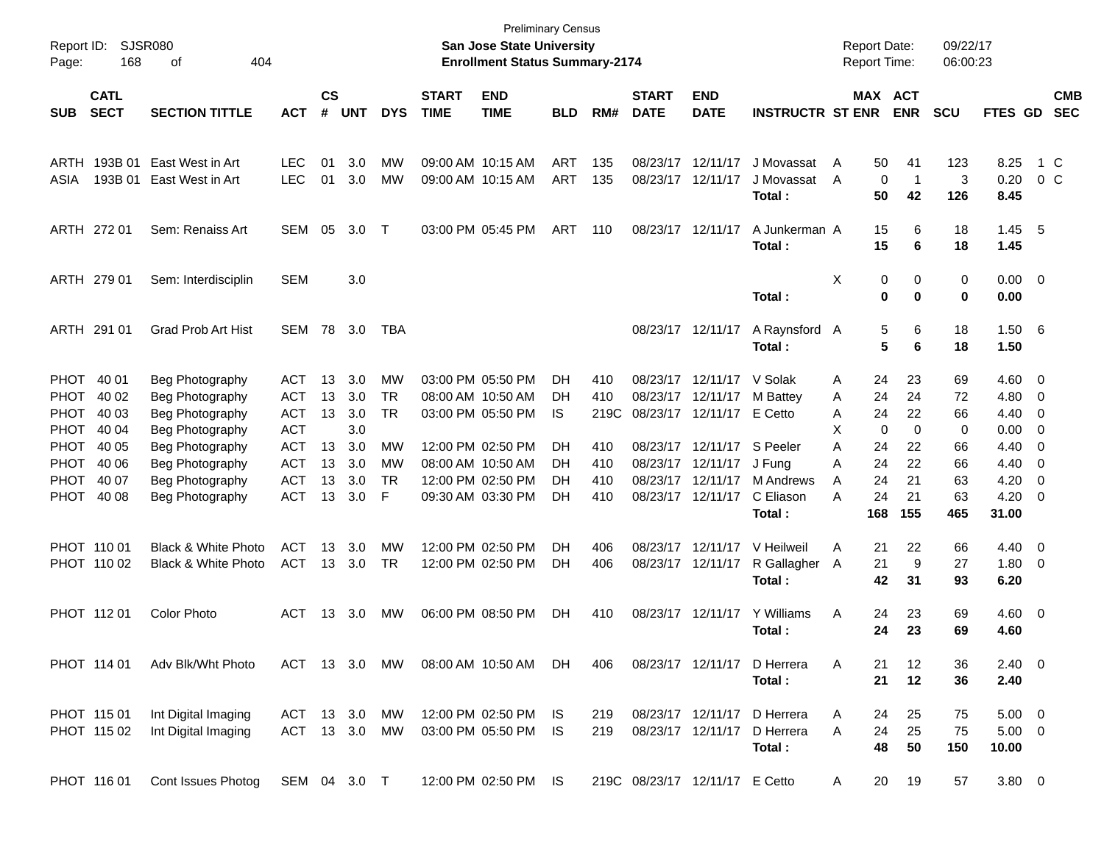| Report ID:<br>Page: | SJSR080<br>168             | 404                            |              |                    |            |            | <b>Preliminary Census</b><br><b>San Jose State University</b><br><b>Enrollment Status Summary-2174</b> |                           |            |      |                             |                                | <b>Report Date:</b><br>Report Time: |                  | 09/22/17<br>06:00:23 |            |                |                          |                          |
|---------------------|----------------------------|--------------------------------|--------------|--------------------|------------|------------|--------------------------------------------------------------------------------------------------------|---------------------------|------------|------|-----------------------------|--------------------------------|-------------------------------------|------------------|----------------------|------------|----------------|--------------------------|--------------------------|
| <b>SUB</b>          | <b>CATL</b><br><b>SECT</b> | <b>SECTION TITTLE</b>          | <b>ACT</b>   | $\mathsf{cs}$<br># | <b>UNT</b> | <b>DYS</b> | <b>START</b><br><b>TIME</b>                                                                            | <b>END</b><br><b>TIME</b> | <b>BLD</b> | RM#  | <b>START</b><br><b>DATE</b> | <b>END</b><br><b>DATE</b>      | <b>INSTRUCTR ST ENR</b>             | MAX ACT          | <b>ENR</b>           | <b>SCU</b> | <b>FTES GD</b> |                          | <b>CMB</b><br><b>SEC</b> |
|                     |                            |                                |              |                    |            |            |                                                                                                        |                           |            |      |                             |                                |                                     |                  |                      |            |                |                          |                          |
| ARTH                | 193B 01                    | East West in Art               | <b>LEC</b>   | 01                 | 3.0        | MW         |                                                                                                        | 09:00 AM 10:15 AM         | <b>ART</b> | 135  | 08/23/17                    | 12/11/17                       | J Movassat                          | 50<br>A          | 41                   | 123        | 8.25           |                          | 1 C                      |
| ASIA                | 193B 01                    | East West in Art               | <b>LEC</b>   | 01                 | 3.0        | <b>MW</b>  |                                                                                                        | 09:00 AM 10:15 AM         | <b>ART</b> | 135  | 08/23/17                    | 12/11/17                       | J Movassat                          | $\mathbf 0$<br>A | $\mathbf{1}$         | 3          | 0.20           |                          | 0 <sup>o</sup>           |
|                     |                            |                                |              |                    |            |            |                                                                                                        |                           |            |      |                             |                                | Total:                              | 50               | 42                   | 126        | 8.45           |                          |                          |
|                     | ARTH 272 01                | Sem: Renaiss Art               | <b>SEM</b>   | 05                 | 3.0        | $\top$     |                                                                                                        | 03:00 PM 05:45 PM         | ART        | 110  | 08/23/17                    | 12/11/17                       | A Junkerman A                       | 15               | 6                    | 18         | 1.45           | $-5$                     |                          |
|                     |                            |                                |              |                    |            |            |                                                                                                        |                           |            |      |                             |                                | Total:                              | 15               | 6                    | 18         | 1.45           |                          |                          |
|                     |                            |                                |              |                    |            |            |                                                                                                        |                           |            |      |                             |                                |                                     |                  |                      |            |                |                          |                          |
|                     | ARTH 279 01                | Sem: Interdisciplin            | <b>SEM</b>   |                    | 3.0        |            |                                                                                                        |                           |            |      |                             |                                |                                     | X<br>0           | 0                    | 0          | $0.00 \t 0$    |                          |                          |
|                     |                            |                                |              |                    |            |            |                                                                                                        |                           |            |      |                             |                                | Total:                              | 0                | 0                    | 0          | 0.00           |                          |                          |
|                     |                            |                                |              |                    |            |            |                                                                                                        |                           |            |      |                             |                                |                                     |                  |                      |            |                |                          |                          |
|                     | ARTH 291 01                | Grad Prob Art Hist             | SEM          | 78                 | 3.0        | TBA        |                                                                                                        |                           |            |      |                             | 08/23/17 12/11/17              | A Raynsford A<br>Total:             | 5<br>5           | 6<br>6               | 18<br>18   | 1.506<br>1.50  |                          |                          |
|                     |                            |                                |              |                    |            |            |                                                                                                        |                           |            |      |                             |                                |                                     |                  |                      |            |                |                          |                          |
| <b>PHOT</b>         | 40 01                      | Beg Photography                | <b>ACT</b>   | 13                 | 3.0        | <b>MW</b>  |                                                                                                        | 03:00 PM 05:50 PM         | DH         | 410  | 08/23/17                    | 12/11/17                       | V Solak                             | 24<br>Α          | 23                   | 69         | 4.60           | $\overline{\phantom{0}}$ |                          |
| <b>PHOT</b>         | 40 02                      | Beg Photography                | <b>ACT</b>   | 13                 | 3.0        | <b>TR</b>  |                                                                                                        | 08:00 AM 10:50 AM         | DH         | 410  | 08/23/17                    | 12/11/17                       | M Battey                            | 24<br>Α          | 24                   | 72         | 4.80           | $\overline{\mathbf{0}}$  |                          |
| <b>PHOT</b>         | 40 03                      | Beg Photography                | <b>ACT</b>   | 13                 | 3.0        | <b>TR</b>  |                                                                                                        | 03:00 PM 05:50 PM         | IS         | 219C | 08/23/17                    | 12/11/17                       | E Cetto                             | 24<br>Α          | 22                   | 66         | 4.40           | $\overline{\mathbf{0}}$  |                          |
| <b>PHOT</b>         | 40 04                      | Beg Photography                | <b>ACT</b>   |                    | 3.0        |            |                                                                                                        |                           |            |      |                             |                                |                                     | X<br>$\mathbf 0$ | $\mathbf 0$          | 0          | 0.00           | $\overline{\mathbf{0}}$  |                          |
| <b>PHOT</b>         | 40 05                      | Beg Photography                | <b>ACT</b>   | 13                 | 3.0        | <b>MW</b>  |                                                                                                        | 12:00 PM 02:50 PM         | DН         | 410  | 08/23/17                    | 12/11/17                       | S Peeler                            | Α<br>24          | 22                   | 66         | 4.40           | 0                        |                          |
| <b>PHOT</b>         | 40 06                      | Beg Photography                | <b>ACT</b>   | 13                 | 3.0        | <b>MW</b>  |                                                                                                        | 08:00 AM 10:50 AM         | DH         | 410  | 08/23/17                    | 12/11/17                       | J Fung                              | 24<br>Α          | 22                   | 66         | 4.40           | 0                        |                          |
| <b>PHOT</b>         | 40 07                      | Beg Photography                | <b>ACT</b>   | 13                 | 3.0        | <b>TR</b>  |                                                                                                        | 12:00 PM 02:50 PM         | DH         | 410  | 08/23/17                    | 12/11/17                       | M Andrews                           | 24<br>A          | 21                   | 63         | 4.20           | $\overline{0}$           |                          |
| <b>PHOT</b>         | 40 08                      | Beg Photography                | <b>ACT</b>   | 13                 | 3.0        | F          |                                                                                                        | 09:30 AM 03:30 PM         | DH         | 410  |                             | 08/23/17 12/11/17              | C Eliason                           | 24<br>A          | 21                   | 63         | 4.20           | - 0                      |                          |
|                     |                            |                                |              |                    |            |            |                                                                                                        |                           |            |      |                             |                                | Total:                              | 168              | 155                  | 465        | 31.00          |                          |                          |
|                     | PHOT 110 01                | <b>Black &amp; White Photo</b> | <b>ACT</b>   | 13                 | 3.0        | <b>MW</b>  |                                                                                                        | 12:00 PM 02:50 PM         | <b>DH</b>  | 406  | 08/23/17                    | 12/11/17                       | V Heilweil                          | Α<br>21          | 22                   | 66         | 4.40           | $\overline{\phantom{0}}$ |                          |
|                     | PHOT 110 02                | <b>Black &amp; White Photo</b> | <b>ACT</b>   | 13                 | 3.0        | <b>TR</b>  |                                                                                                        | 12:00 PM 02:50 PM         | DH         | 406  |                             | 08/23/17 12/11/17              | R Gallagher                         | 21<br>A          | 9                    | 27         | 1.80           | $\overline{\mathbf{0}}$  |                          |
|                     |                            |                                |              |                    |            |            |                                                                                                        |                           |            |      |                             |                                | Total:                              | 42               | 31                   | 93         | 6.20           |                          |                          |
|                     |                            |                                |              |                    |            |            |                                                                                                        |                           |            |      |                             |                                |                                     |                  |                      |            |                |                          |                          |
|                     | PHOT 11201                 | <b>Color Photo</b>             | <b>ACT</b>   | 13                 | 3.0        | MW         |                                                                                                        | 06:00 PM 08:50 PM         | <b>DH</b>  | 410  |                             | 08/23/17 12/11/17              | Y Williams                          | 24<br>Α          | 23                   | 69         | $4.60$ 0       |                          |                          |
|                     |                            |                                |              |                    |            |            |                                                                                                        |                           |            |      |                             |                                | Total:                              | 24               | 23                   | 69         | 4.60           |                          |                          |
|                     |                            |                                |              |                    |            |            |                                                                                                        |                           |            |      |                             |                                |                                     |                  |                      |            |                |                          |                          |
|                     | PHOT 114 01                | Adv Blk/Wht Photo              | ACT 13 3.0   |                    |            | MW         |                                                                                                        | 08:00 AM 10:50 AM         | DH.        | 406  |                             | 08/23/17 12/11/17              | D Herrera                           | 21<br>Α<br>21    | 12                   | 36         | $2.40 \ 0$     |                          |                          |
|                     |                            |                                |              |                    |            |            |                                                                                                        |                           |            |      |                             |                                | Total:                              |                  | 12                   | 36         | 2.40           |                          |                          |
|                     | PHOT 115 01                | Int Digital Imaging            | ACT 13 3.0   |                    |            | MW         |                                                                                                        | 12:00 PM 02:50 PM IS      |            | 219  |                             | 08/23/17 12/11/17              | D Herrera                           | 24<br>A          | 25                   | 75         | $5.00 \t 0$    |                          |                          |
|                     | PHOT 115 02                | Int Digital Imaging            | ACT 13 3.0   |                    |            | MW         |                                                                                                        | 03:00 PM 05:50 PM IS      |            | 219  |                             | 08/23/17 12/11/17              | D Herrera                           | 24<br>Α          | 25                   | 75         | $5.00 \t 0$    |                          |                          |
|                     |                            |                                |              |                    |            |            |                                                                                                        |                           |            |      |                             |                                | Total:                              | 48               | 50                   | 150        | 10.00          |                          |                          |
|                     |                            |                                |              |                    |            |            |                                                                                                        |                           |            |      |                             |                                |                                     |                  |                      |            |                |                          |                          |
|                     | PHOT 116 01                | Cont Issues Photog             | SEM 04 3.0 T |                    |            |            |                                                                                                        | 12:00 PM 02:50 PM IS      |            |      |                             | 219C 08/23/17 12/11/17 E Cetto |                                     | 20<br>A          | 19                   | 57         | $3.80\ 0$      |                          |                          |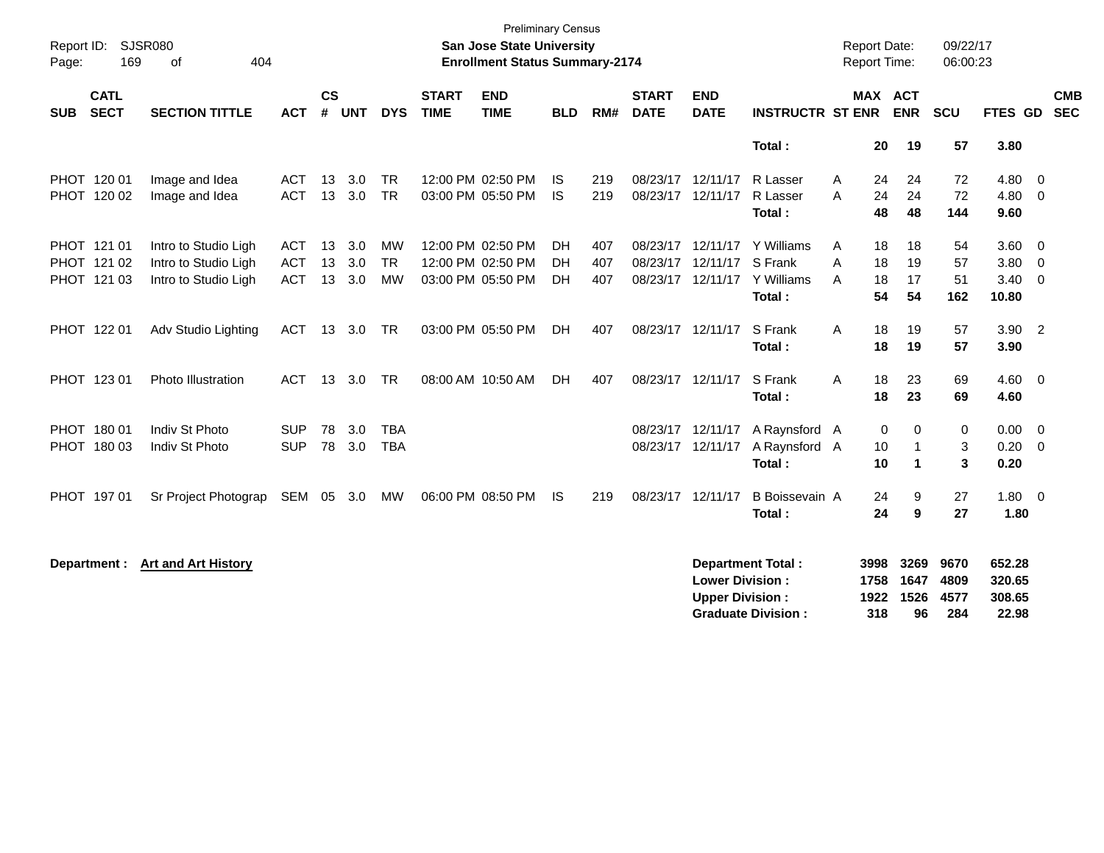| Report ID:<br>169<br>Page:               | SJSR080<br>404<br>of                         |                          |                    |            |                          |                             | <b>Preliminary Census</b><br>San Jose State University<br><b>Enrollment Status Summary-2174</b> |                  |            |                                        |                                                  |                                                       |        | <b>Report Date:</b><br>Report Time: |                                             | 09/22/17<br>06:00:23        |                                     |                          |
|------------------------------------------|----------------------------------------------|--------------------------|--------------------|------------|--------------------------|-----------------------------|-------------------------------------------------------------------------------------------------|------------------|------------|----------------------------------------|--------------------------------------------------|-------------------------------------------------------|--------|-------------------------------------|---------------------------------------------|-----------------------------|-------------------------------------|--------------------------|
| <b>CATL</b><br><b>SECT</b><br><b>SUB</b> | <b>SECTION TITTLE</b>                        | <b>ACT</b>               | $\mathsf{cs}$<br># | <b>UNT</b> | <b>DYS</b>               | <b>START</b><br><b>TIME</b> | <b>END</b><br><b>TIME</b>                                                                       | <b>BLD</b>       | RM#        | <b>START</b><br><b>DATE</b>            | <b>END</b><br><b>DATE</b>                        | <b>INSTRUCTR ST ENR</b>                               |        | MAX ACT                             | <b>ENR</b>                                  | <b>SCU</b>                  | FTES GD                             | <b>CMB</b><br><b>SEC</b> |
|                                          |                                              |                          |                    |            |                          |                             |                                                                                                 |                  |            |                                        |                                                  | Total:                                                |        | 20                                  | 19                                          | 57                          | 3.80                                |                          |
| PHOT 120 01<br>PHOT 120 02               | Image and Idea<br>Image and Idea             | ACT<br><b>ACT</b>        | 13<br>13           | 3.0<br>3.0 | <b>TR</b><br><b>TR</b>   |                             | 12:00 PM 02:50 PM<br>03:00 PM 05:50 PM                                                          | IS.<br><b>IS</b> | 219<br>219 | 08/23/17 12/11/17<br>08/23/17 12/11/17 |                                                  | R Lasser<br>R Lasser<br>Total:                        | A<br>A | 24<br>24<br>48                      | 24<br>24<br>48                              | 72<br>72<br>144             | 4.80<br>4.80<br>9.60                | - 0<br>$\overline{0}$    |
| PHOT 121 01<br>PHOT 121 02               | Intro to Studio Ligh<br>Intro to Studio Ligh | <b>ACT</b><br><b>ACT</b> | 13<br>13           | 3.0<br>3.0 | <b>MW</b><br><b>TR</b>   |                             | 12:00 PM 02:50 PM<br>12:00 PM 02:50 PM                                                          | DH<br><b>DH</b>  | 407<br>407 | 08/23/17 12/11/17                      | 08/23/17 12/11/17 S Frank                        | Y Williams                                            | A<br>A | 18<br>18                            | 18<br>19                                    | 54<br>57                    | 3.60<br>3.80                        | - 0<br>- 0               |
| PHOT 121 03                              | Intro to Studio Ligh                         | <b>ACT</b>               | 13                 | 3.0        | <b>MW</b>                |                             | 03:00 PM 05:50 PM                                                                               | <b>DH</b>        | 407        |                                        |                                                  | 08/23/17 12/11/17 Y Williams<br>Total:                | A      | 18<br>54                            | 17<br>54                                    | 51<br>162                   | 3.40<br>10.80                       | $\overline{0}$           |
| PHOT 122 01                              | Adv Studio Lighting                          | <b>ACT</b>               | 13                 | 3.0        | <b>TR</b>                |                             | 03:00 PM 05:50 PM                                                                               | <b>DH</b>        | 407        | 08/23/17 12/11/17                      |                                                  | S Frank<br>Total:                                     | A      | 18<br>18                            | 19<br>19                                    | 57<br>57                    | $3.90$ 2<br>3.90                    |                          |
| PHOT 123 01                              | Photo Illustration                           | <b>ACT</b>               | 13                 | 3.0        | <b>TR</b>                |                             | 08:00 AM 10:50 AM                                                                               | DH.              | 407        | 08/23/17 12/11/17                      |                                                  | S Frank<br>Total:                                     | A      | 18<br>18                            | 23<br>23                                    | 69<br>69                    | 4.60<br>4.60                        | $\overline{\phantom{0}}$ |
| PHOT 180 01<br>PHOT 180 03               | Indiv St Photo<br>Indiv St Photo             | <b>SUP</b><br><b>SUP</b> | 78<br>78           | 3.0<br>3.0 | <b>TBA</b><br><b>TBA</b> |                             |                                                                                                 |                  |            | 08/23/17 12/11/17<br>08/23/17 12/11/17 |                                                  | A Raynsford A<br>A Raynsford A<br>Total:              |        | 0<br>10<br>10                       | 0<br>$\overline{1}$<br>$\blacktriangleleft$ | 0<br>3<br>3                 | 0.00<br>0.20<br>0.20                | - 0<br>- 0               |
| PHOT 197 01                              | Sr Project Photograp                         | SEM 05 3.0               |                    |            | MW                       |                             | 06:00 PM 08:50 PM                                                                               | IS.              | 219        | 08/23/17 12/11/17                      |                                                  | B Boissevain A<br>Total:                              |        | 24<br>24                            | 9<br>9                                      | 27<br>27                    | 1.80 0<br>1.80                      |                          |
| Department :                             | <b>Art and Art History</b>                   |                          |                    |            |                          |                             |                                                                                                 |                  |            |                                        | <b>Lower Division:</b><br><b>Upper Division:</b> | <b>Department Total:</b><br><b>Graduate Division:</b> |        | 3998<br>1758<br>1922<br>318         | 3269<br>1647<br>1526<br>96                  | 9670<br>4809<br>4577<br>284 | 652.28<br>320.65<br>308.65<br>22.98 |                          |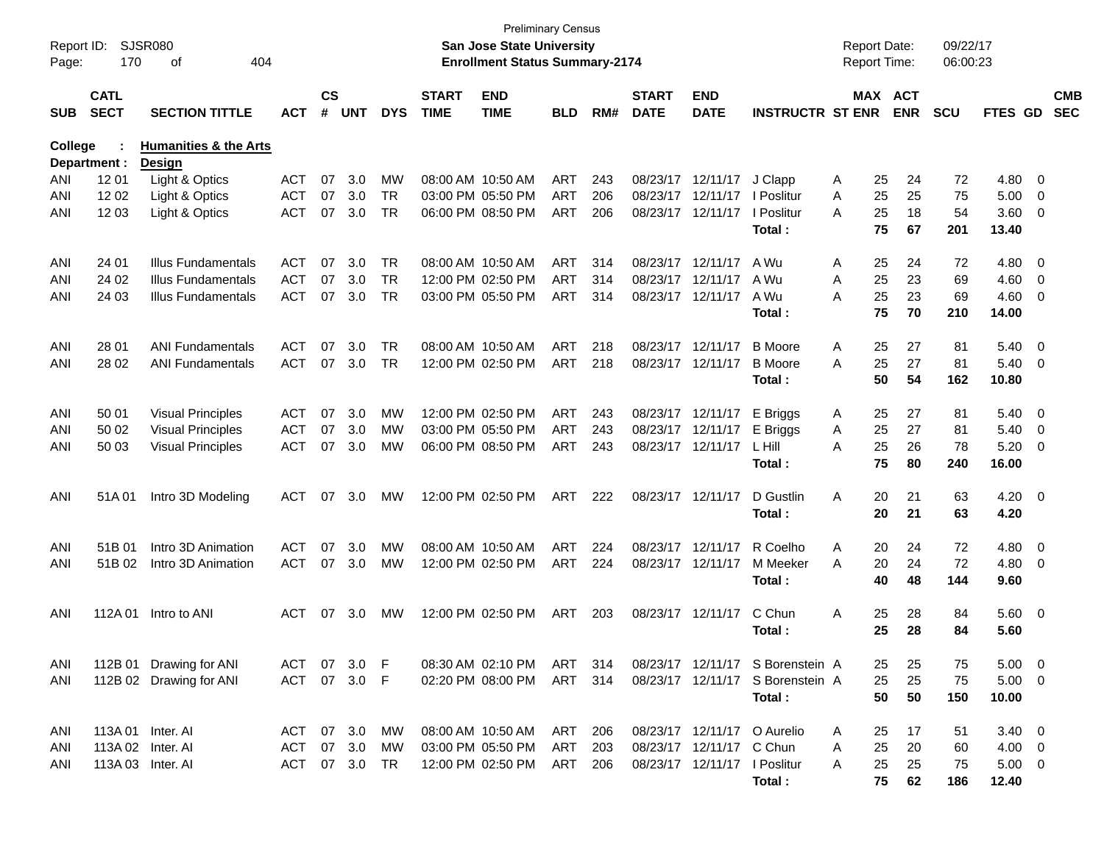| Report ID:<br>Page: | 170                        | <b>SJSR080</b><br>οf<br>404      |            |                    |            |            |                             | <b>Preliminary Census</b><br><b>San Jose State University</b><br><b>Enrollment Status Summary-2174</b> |            |     |                             |                              |                                  |   | <b>Report Date:</b><br>Report Time: |                       | 09/22/17<br>06:00:23 |                |                          |                          |
|---------------------|----------------------------|----------------------------------|------------|--------------------|------------|------------|-----------------------------|--------------------------------------------------------------------------------------------------------|------------|-----|-----------------------------|------------------------------|----------------------------------|---|-------------------------------------|-----------------------|----------------------|----------------|--------------------------|--------------------------|
| <b>SUB</b>          | <b>CATL</b><br><b>SECT</b> | <b>SECTION TITTLE</b>            | <b>ACT</b> | $\mathsf{cs}$<br># | <b>UNT</b> | <b>DYS</b> | <b>START</b><br><b>TIME</b> | <b>END</b><br><b>TIME</b>                                                                              | <b>BLD</b> | RM# | <b>START</b><br><b>DATE</b> | <b>END</b><br><b>DATE</b>    | <b>INSTRUCTR ST ENR</b>          |   |                                     | MAX ACT<br><b>ENR</b> | <b>SCU</b>           | <b>FTES GD</b> |                          | <b>CMB</b><br><b>SEC</b> |
| <b>College</b>      |                            | <b>Humanities &amp; the Arts</b> |            |                    |            |            |                             |                                                                                                        |            |     |                             |                              |                                  |   |                                     |                       |                      |                |                          |                          |
|                     | Department :               | <b>Design</b>                    |            |                    |            |            |                             |                                                                                                        |            |     |                             |                              |                                  |   |                                     |                       |                      |                |                          |                          |
| ANI                 | 12 01                      | Light & Optics                   | <b>ACT</b> | 07                 | 3.0        | MW         |                             | 08:00 AM 10:50 AM                                                                                      | ART        | 243 | 08/23/17                    | 12/11/17                     | J Clapp                          | A | 25                                  | 24                    | 72                   | 4.80           | $\overline{0}$           |                          |
| ANI                 | 12 02                      | Light & Optics                   | <b>ACT</b> | 07                 | 3.0        | <b>TR</b>  |                             | 03:00 PM 05:50 PM                                                                                      | ART        | 206 | 08/23/17                    | 12/11/17                     | I Poslitur                       | Α | 25                                  | 25                    | 75                   | 5.00           | 0                        |                          |
| ANI                 | 1203                       | Light & Optics                   | <b>ACT</b> | 07                 | 3.0        | <b>TR</b>  |                             | 06:00 PM 08:50 PM                                                                                      | ART        | 206 |                             | 08/23/17 12/11/17            | I Poslitur                       | A | 25                                  | 18                    | 54                   | 3.60           | 0                        |                          |
|                     |                            |                                  |            |                    |            |            |                             |                                                                                                        |            |     |                             |                              | Total:                           |   | 75                                  | 67                    | 201                  | 13.40          |                          |                          |
| ANI                 | 24 01                      | <b>Illus Fundamentals</b>        | <b>ACT</b> | 07                 | 3.0        | <b>TR</b>  |                             | 08:00 AM 10:50 AM                                                                                      | ART        | 314 |                             | 08/23/17 12/11/17            | A Wu                             | A | 25                                  | 24                    | 72                   | 4.80           | $\overline{0}$           |                          |
| ANI                 | 24 02                      | <b>Illus Fundamentals</b>        | <b>ACT</b> | 07                 | 3.0        | <b>TR</b>  |                             | 12:00 PM 02:50 PM                                                                                      | <b>ART</b> | 314 | 08/23/17                    | 12/11/17                     | A Wu                             | Α | 25                                  | 23                    | 69                   | 4.60           | $\overline{0}$           |                          |
| ANI                 | 24 03                      | Illus Fundamentals               | <b>ACT</b> | 07                 | 3.0        | <b>TR</b>  |                             | 03:00 PM 05:50 PM                                                                                      | ART        | 314 |                             | 08/23/17 12/11/17            | A Wu                             | А | 25                                  | 23                    | 69                   | 4.60           | 0                        |                          |
|                     |                            |                                  |            |                    |            |            |                             |                                                                                                        |            |     |                             |                              | Total:                           |   | 75                                  | 70                    | 210                  | 14.00          |                          |                          |
| ANI                 | 28 01                      | <b>ANI Fundamentals</b>          | <b>ACT</b> | 07                 | 3.0        | <b>TR</b>  |                             | 08:00 AM 10:50 AM                                                                                      | <b>ART</b> | 218 |                             | 08/23/17 12/11/17            | <b>B</b> Moore                   | Α | 25                                  | 27                    | 81                   | 5.40           | $\overline{\mathbf{0}}$  |                          |
| ANI                 | 28 02                      | <b>ANI Fundamentals</b>          | <b>ACT</b> | 07                 | 3.0        | <b>TR</b>  |                             | 12:00 PM 02:50 PM                                                                                      | <b>ART</b> | 218 |                             | 08/23/17 12/11/17            | <b>B</b> Moore                   | A | 25                                  | 27                    | 81                   | 5.40           | $\overline{0}$           |                          |
|                     |                            |                                  |            |                    |            |            |                             |                                                                                                        |            |     |                             |                              | Total:                           |   | 50                                  | 54                    | 162                  | 10.80          |                          |                          |
| ANI                 | 50 01                      | <b>Visual Principles</b>         | <b>ACT</b> | 07                 | 3.0        | МW         |                             | 12:00 PM 02:50 PM                                                                                      | ART        | 243 |                             | 08/23/17 12/11/17            | E Briggs                         | A | 25                                  | 27                    | 81                   | 5.40           | $\overline{\mathbf{0}}$  |                          |
| ANI                 | 50 02                      | <b>Visual Principles</b>         | <b>ACT</b> | 07                 | 3.0        | МW         |                             | 03:00 PM 05:50 PM                                                                                      | <b>ART</b> | 243 | 08/23/17                    | 12/11/17                     | E Briggs                         | Α | 25                                  | 27                    | 81                   | 5.40           | $\overline{0}$           |                          |
| ANI                 | 50 03                      | <b>Visual Principles</b>         | <b>ACT</b> | 07                 | 3.0        | МW         |                             | 06:00 PM 08:50 PM                                                                                      | ART        | 243 |                             | 08/23/17 12/11/17            | L Hill                           | Α | 25                                  | 26                    | 78                   | 5.20           | 0                        |                          |
|                     |                            |                                  |            |                    |            |            |                             |                                                                                                        |            |     |                             |                              | Total:                           |   | 75                                  | 80                    | 240                  | 16.00          |                          |                          |
| ANI                 | 51A01                      | Intro 3D Modeling                | ACT        | 07                 | 3.0        | MW         |                             | 12:00 PM 02:50 PM                                                                                      | <b>ART</b> | 222 |                             | 08/23/17 12/11/17            | D Gustlin                        | A | 20                                  | 21                    | 63                   | $4.20 \ 0$     |                          |                          |
|                     |                            |                                  |            |                    |            |            |                             |                                                                                                        |            |     |                             |                              | Total:                           |   | 20                                  | 21                    | 63                   | 4.20           |                          |                          |
| ANI                 | 51B01                      | Intro 3D Animation               | <b>ACT</b> | 07                 | 3.0        | <b>MW</b>  |                             | 08:00 AM 10:50 AM                                                                                      | <b>ART</b> | 224 |                             | 08/23/17 12/11/17            | R Coelho                         | Α | 20                                  | 24                    | 72                   | 4.80           | $\overline{\mathbf{0}}$  |                          |
| ANI                 | 51B 02                     | Intro 3D Animation               | <b>ACT</b> | 07                 | 3.0        | МW         |                             | 12:00 PM 02:50 PM                                                                                      | <b>ART</b> | 224 |                             | 08/23/17 12/11/17            | M Meeker                         | Α | 20                                  | 24                    | 72                   | 4.80           | $\overline{0}$           |                          |
|                     |                            |                                  |            |                    |            |            |                             |                                                                                                        |            |     |                             |                              | Total:                           |   | 40                                  | 48                    | 144                  | 9.60           |                          |                          |
| ANI                 | 112A 01                    | Intro to ANI                     | ACT        | 07                 | 3.0        | MW         |                             | 12:00 PM 02:50 PM                                                                                      | <b>ART</b> | 203 |                             | 08/23/17 12/11/17            | C Chun                           | Α | 25                                  | 28                    | 84                   | 5.60           | $\overline{\phantom{0}}$ |                          |
|                     |                            |                                  |            |                    |            |            |                             |                                                                                                        |            |     |                             |                              | Total :                          |   | 25                                  | 28                    | 84                   | 5.60           |                          |                          |
| ANI                 |                            | 112B 01 Drawing for ANI          | ACT        |                    | 07 3.0 F   |            |                             | 08:30 AM 02:10 PM                                                                                      | ART 314    |     |                             |                              | 08/23/17 12/11/17 S Borenstein A |   | 25                                  | 25                    | 75                   | $5.00 \t 0$    |                          |                          |
| ANI                 |                            | 112B 02 Drawing for ANI          | <b>ACT</b> | 07                 | 3.0 F      |            |                             | 02:20 PM 08:00 PM                                                                                      | ART        | 314 |                             | 08/23/17 12/11/17            | S Borenstein A                   |   | 25                                  | 25                    | 75                   | $5.00 \t 0$    |                          |                          |
|                     |                            |                                  |            |                    |            |            |                             |                                                                                                        |            |     |                             |                              | Total:                           |   | 50                                  | 50                    | 150                  | 10.00          |                          |                          |
| ANI                 |                            | 113A 01 Inter. AI                | ACT        |                    | 07 3.0     | МW         |                             | 08:00 AM 10:50 AM                                                                                      | ART        | 206 |                             |                              | 08/23/17 12/11/17 O Aurelio      | A | 25                                  | 17                    | 51                   | $3.40 \ 0$     |                          |                          |
| ANI                 |                            | 113A 02 Inter. AI                | <b>ACT</b> | 07                 | 3.0        | MW         |                             | 03:00 PM 05:50 PM                                                                                      | <b>ART</b> | 203 |                             | 08/23/17 12/11/17            | C Chun                           | Α | 25                                  | 20                    | 60                   | $4.00 \ 0$     |                          |                          |
| ANI                 |                            | 113A 03 Inter. AI                | <b>ACT</b> |                    | 07 3.0     | TR         |                             | 12:00 PM 02:50 PM                                                                                      | ART        | 206 |                             | 08/23/17 12/11/17 I Poslitur |                                  | A | 25                                  | 25                    | 75                   | $5.00 \t 0$    |                          |                          |
|                     |                            |                                  |            |                    |            |            |                             |                                                                                                        |            |     |                             |                              | Total:                           |   | 75                                  | 62                    | 186                  | 12.40          |                          |                          |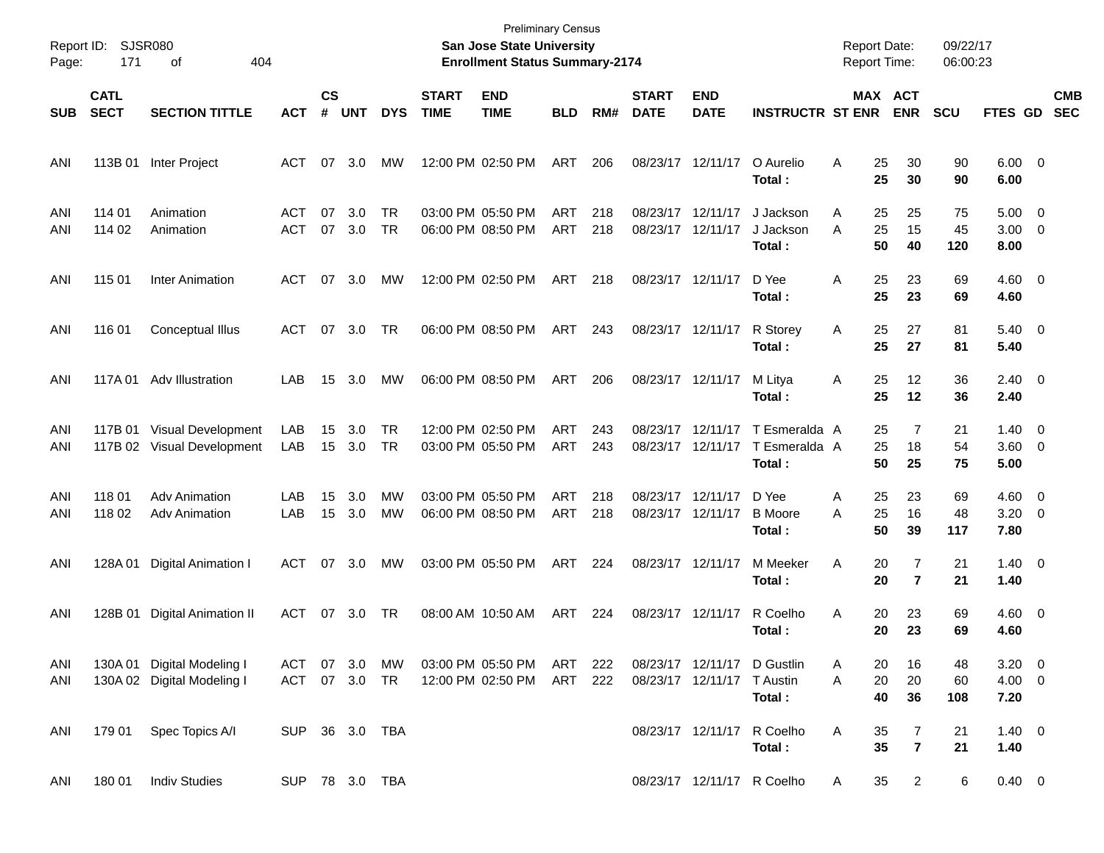| Page:      | Report ID: SJSR080<br>171  | 404<br>οf                                                |                          |                |            |                        |                             | <b>Preliminary Census</b><br>San Jose State University<br><b>Enrollment Status Summary-2174</b> |                          |            |                             |                               |                                          | <b>Report Date:</b><br><b>Report Time:</b> |                                              | 09/22/17<br>06:00:23 |                                   |                          |
|------------|----------------------------|----------------------------------------------------------|--------------------------|----------------|------------|------------------------|-----------------------------|-------------------------------------------------------------------------------------------------|--------------------------|------------|-----------------------------|-------------------------------|------------------------------------------|--------------------------------------------|----------------------------------------------|----------------------|-----------------------------------|--------------------------|
| <b>SUB</b> | <b>CATL</b><br><b>SECT</b> | <b>SECTION TITTLE</b>                                    | <b>ACT</b>               | <b>CS</b><br># | <b>UNT</b> | <b>DYS</b>             | <b>START</b><br><b>TIME</b> | <b>END</b><br><b>TIME</b>                                                                       | <b>BLD</b>               | RM#        | <b>START</b><br><b>DATE</b> | <b>END</b><br><b>DATE</b>     | <b>INSTRUCTR ST ENR</b>                  |                                            | MAX ACT<br><b>ENR</b>                        | <b>SCU</b>           | FTES GD                           | <b>CMB</b><br><b>SEC</b> |
| ANI        | 113B 01                    | Inter Project                                            | ACT                      | 07             | 3.0        | МW                     |                             | 12:00 PM 02:50 PM                                                                               | ART                      | 206        |                             | 08/23/17 12/11/17             | O Aurelio<br>Total:                      | A                                          | 25<br>30<br>25<br>30                         | 90<br>90             | $6.00 \t 0$<br>6.00               |                          |
| ANI<br>ANI | 114 01<br>114 02           | Animation<br>Animation                                   | <b>ACT</b><br><b>ACT</b> | 07<br>07       | 3.0<br>3.0 | TR<br>TR               |                             | 03:00 PM 05:50 PM<br>06:00 PM 08:50 PM                                                          | <b>ART</b><br><b>ART</b> | 218<br>218 | 08/23/17<br>08/23/17        | 12/11/17<br>12/11/17          | J Jackson<br>J Jackson<br>Total:         | A<br>A                                     | 25<br>25<br>25<br>15<br>50<br>40             | 75<br>45<br>120      | $5.00 \t 0$<br>$3.00 \ 0$<br>8.00 |                          |
| ANI        | 115 01                     | <b>Inter Animation</b>                                   | <b>ACT</b>               | 07             | 3.0        | MW                     |                             | 12:00 PM 02:50 PM                                                                               | ART                      | 218        |                             | 08/23/17 12/11/17             | D Yee<br>Total:                          | Α                                          | 25<br>23<br>25<br>23                         | 69<br>69             | $4.60$ 0<br>4.60                  |                          |
| ANI        | 116 01                     | Conceptual Illus                                         | ACT                      | 07             | 3.0        | TR                     |                             | 06:00 PM 08:50 PM                                                                               | ART                      | 243        |                             | 08/23/17 12/11/17             | R Storey<br>Total:                       | Α                                          | 25<br>27<br>25<br>27                         | 81<br>81             | $5.40 \ 0$<br>5.40                |                          |
| ANI        |                            | 117A 01 Adv Illustration                                 | LAB                      | 15             | 3.0        | MW                     |                             | 06:00 PM 08:50 PM                                                                               | ART                      | 206        |                             | 08/23/17 12/11/17             | M Litya<br>Total:                        | A                                          | 25<br>12<br>25<br>12                         | 36<br>36             | $2.40 \ 0$<br>2.40                |                          |
| ANI<br>ANI | 117B 01                    | Visual Development<br>117B 02 Visual Development         | LAB<br>LAB               | 15<br>15       | 3.0<br>3.0 | TR<br>TR               |                             | 12:00 PM 02:50 PM<br>03:00 PM 05:50 PM                                                          | <b>ART</b><br><b>ART</b> | 243<br>243 | 08/23/17                    | 12/11/17<br>08/23/17 12/11/17 | T Esmeralda A<br>T Esmeralda A<br>Total: |                                            | 7<br>25<br>25<br>18<br>50<br>25              | 21<br>54<br>75       | $1.40 \ 0$<br>3.60 0<br>5.00      |                          |
| ANI<br>ANI | 118 01<br>118 02           | <b>Adv Animation</b><br><b>Adv Animation</b>             | LAB<br>LAB               | 15<br>15       | 3.0<br>3.0 | <b>MW</b><br><b>MW</b> |                             | 03:00 PM 05:50 PM<br>06:00 PM 08:50 PM                                                          | <b>ART</b><br><b>ART</b> | 218<br>218 | 08/23/17                    | 12/11/17<br>08/23/17 12/11/17 | D Yee<br><b>B</b> Moore<br>Total:        | Α<br>Α                                     | 25<br>23<br>25<br>16<br>50<br>39             | 69<br>48<br>117      | $4.60$ 0<br>$3.20 \ 0$<br>7.80    |                          |
| ANI        | 128A 01                    | Digital Animation I                                      | ACT                      | 07             | 3.0        | MW                     |                             | 03:00 PM 05:50 PM                                                                               | <b>ART</b>               | 224        |                             | 08/23/17 12/11/17             | M Meeker<br>Total:                       | Α                                          | 20<br>$\overline{7}$<br>20<br>$\overline{7}$ | 21<br>21             | $1.40 \ 0$<br>1.40                |                          |
| ANI        | 128B 01                    | <b>Digital Animation II</b>                              | ACT                      | 07             | 3.0        | TR                     |                             | 08:00 AM 10:50 AM                                                                               | <b>ART</b>               | 224        |                             | 08/23/17 12/11/17             | R Coelho<br>Total :                      | Α                                          | 20<br>23<br>20<br>23                         | 69<br>69             | $4.60$ 0<br>4.60                  |                          |
| ANI<br>ANI |                            | 130A 01 Digital Modeling I<br>130A 02 Digital Modeling I | ACT 07 3.0<br>ACT 07 3.0 |                |            | МW<br><b>TR</b>        |                             | 03:00 PM 05:50 PM<br>12:00 PM 02:50 PM                                                          | ART<br>ART               | 222<br>222 |                             | 08/23/17 12/11/17 T Austin    | 08/23/17 12/11/17 D Gustlin<br>Total:    | Α<br>Α                                     | 20<br>16<br>20<br>20<br>40<br>36             | 48<br>60<br>108      | $3.20 \ 0$<br>$4.00 \ 0$<br>7.20  |                          |
| ANI        | 179 01                     | Spec Topics A/I                                          | SUP 36 3.0 TBA           |                |            |                        |                             |                                                                                                 |                          |            |                             |                               | 08/23/17 12/11/17 R Coelho<br>Total:     | Α                                          | 35<br>7<br>35<br>$\overline{\mathbf{r}}$     | 21<br>21             | $1.40 \ 0$<br>1.40                |                          |
| ANI        | 18001                      | <b>Indiv Studies</b>                                     | SUP 78 3.0 TBA           |                |            |                        |                             |                                                                                                 |                          |            |                             |                               | 08/23/17 12/11/17 R Coelho               | A                                          | 35<br>$\overline{2}$                         | 6                    | $0.40 \quad 0$                    |                          |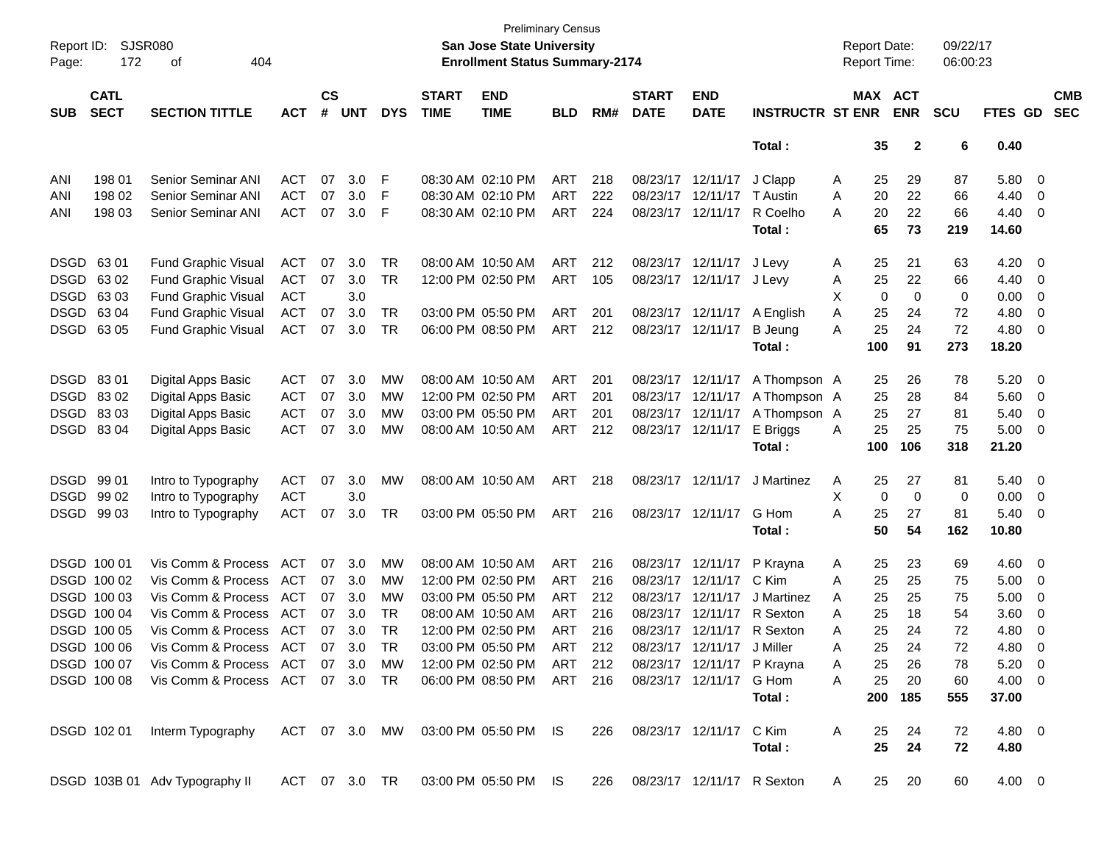| Report ID:<br>Page: | 172                        | SJSR080<br>404<br>οf                      |            |                    |            |               |                             | <b>Preliminary Census</b><br><b>San Jose State University</b><br><b>Enrollment Status Summary-2174</b> |            |     |                             |                            |                                | <b>Report Date:</b><br>Report Time: |     |              | 09/22/17<br>06:00:23 |             |                         |                          |
|---------------------|----------------------------|-------------------------------------------|------------|--------------------|------------|---------------|-----------------------------|--------------------------------------------------------------------------------------------------------|------------|-----|-----------------------------|----------------------------|--------------------------------|-------------------------------------|-----|--------------|----------------------|-------------|-------------------------|--------------------------|
| <b>SUB</b>          | <b>CATL</b><br><b>SECT</b> | <b>SECTION TITTLE</b>                     | <b>ACT</b> | $\mathsf{cs}$<br># | <b>UNT</b> | <b>DYS</b>    | <b>START</b><br><b>TIME</b> | <b>END</b><br><b>TIME</b>                                                                              | <b>BLD</b> | RM# | <b>START</b><br><b>DATE</b> | <b>END</b><br><b>DATE</b>  | <b>INSTRUCTR ST ENR</b>        | MAX ACT                             |     | <b>ENR</b>   | <b>SCU</b>           | FTES GD     |                         | <b>CMB</b><br><b>SEC</b> |
|                     |                            |                                           |            |                    |            |               |                             |                                                                                                        |            |     |                             |                            | Total:                         |                                     | 35  | $\mathbf{2}$ | 6                    | 0.40        |                         |                          |
| ANI                 | 198 01                     | Senior Seminar ANI                        | <b>ACT</b> | 07                 | 3.0        | F             |                             | 08:30 AM 02:10 PM                                                                                      | ART        | 218 |                             | 08/23/17 12/11/17          | J Clapp                        | A                                   | 25  | 29           | 87                   | 5.80        | - 0                     |                          |
| ANI                 | 198 02                     | Senior Seminar ANI                        | <b>ACT</b> | 07                 | 3.0        | F             |                             | 08:30 AM 02:10 PM                                                                                      | ART        | 222 |                             | 08/23/17 12/11/17          | T Austin                       | Α                                   | 20  | 22           | 66                   | 4.40        | $\overline{0}$          |                          |
| ANI                 | 198 03                     | Senior Seminar ANI                        | <b>ACT</b> | 07                 | 3.0        | F             |                             | 08:30 AM 02:10 PM                                                                                      | ART        | 224 |                             | 08/23/17 12/11/17          | R Coelho                       | A                                   | 20  | 22           | 66                   | 4.40        | $\overline{0}$          |                          |
|                     |                            |                                           |            |                    |            |               |                             |                                                                                                        |            |     |                             |                            | Total:                         |                                     | 65  | 73           | 219                  | 14.60       |                         |                          |
|                     | DSGD 6301                  | <b>Fund Graphic Visual</b>                | <b>ACT</b> | 07                 | 3.0        | TR            |                             | 08:00 AM 10:50 AM                                                                                      | ART        | 212 |                             | 08/23/17 12/11/17          | J Levy                         | A                                   | 25  | 21           | 63                   | 4.20        | - 0                     |                          |
|                     | DSGD 6302                  | Fund Graphic Visual                       | <b>ACT</b> | 07                 | 3.0        | TR            |                             | 12:00 PM 02:50 PM                                                                                      | ART        | 105 | 08/23/17                    | 12/11/17                   | J Levy                         | A                                   | 25  | 22           | 66                   | 4.40        | 0                       |                          |
|                     | DSGD 6303                  | Fund Graphic Visual                       | <b>ACT</b> |                    | 3.0        |               |                             |                                                                                                        |            |     |                             |                            |                                | X                                   | 0   | $\mathbf 0$  | 0                    | 0.00        | 0                       |                          |
|                     | DSGD 6304                  | <b>Fund Graphic Visual</b>                | <b>ACT</b> | 07                 | 3.0        | TR            |                             | 03:00 PM 05:50 PM                                                                                      | ART        | 201 |                             | 08/23/17 12/11/17          | A English                      | Α                                   | 25  | 24           | 72                   | 4.80        | 0                       |                          |
|                     | DSGD 63 05                 | Fund Graphic Visual                       | <b>ACT</b> | 07                 | 3.0        | TR            |                             | 06:00 PM 08:50 PM                                                                                      | ART        | 212 |                             | 08/23/17 12/11/17          | <b>B</b> Jeung                 | A                                   | 25  | 24           | 72                   | 4.80        | 0                       |                          |
|                     |                            |                                           |            |                    |            |               |                             |                                                                                                        |            |     |                             |                            | Total:                         |                                     | 100 | 91           | 273                  | 18.20       |                         |                          |
|                     | DSGD 83 01                 | <b>Digital Apps Basic</b>                 | <b>ACT</b> | 07                 | 3.0        | MW            |                             | 08:00 AM 10:50 AM                                                                                      | ART        | 201 |                             | 08/23/17 12/11/17          | A Thompson A                   |                                     | 25  | 26           | 78                   | 5.20        | - 0                     |                          |
|                     | DSGD 8302                  | <b>Digital Apps Basic</b>                 | <b>ACT</b> | 07                 | 3.0        | MW            |                             | 12:00 PM 02:50 PM                                                                                      | <b>ART</b> | 201 |                             | 08/23/17 12/11/17          | A Thompson A                   |                                     | 25  | 28           | 84                   | 5.60        | - 0                     |                          |
|                     | DSGD 8303                  | <b>Digital Apps Basic</b>                 | <b>ACT</b> | 07                 | 3.0        | MW            |                             | 03:00 PM 05:50 PM                                                                                      | ART        | 201 |                             | 08/23/17 12/11/17          | A Thompson A                   |                                     | 25  | 27           | 81                   | 5.40        | 0                       |                          |
|                     | DSGD 8304                  | <b>Digital Apps Basic</b>                 | <b>ACT</b> | 07                 | 3.0        | МW            |                             | 08:00 AM 10:50 AM                                                                                      | ART        | 212 |                             | 08/23/17 12/11/17          | E Briggs                       | A                                   | 25  | 25           | 75                   | 5.00        | $\overline{\mathbf{0}}$ |                          |
|                     |                            |                                           |            |                    |            |               |                             |                                                                                                        |            |     |                             |                            | Total:                         |                                     | 100 | 106          | 318                  | 21.20       |                         |                          |
|                     | DSGD 99 01                 | Intro to Typography                       | <b>ACT</b> | 07                 | 3.0        | MW            |                             | 08:00 AM 10:50 AM                                                                                      | ART        | 218 |                             | 08/23/17 12/11/17          | J Martinez                     | A                                   | 25  | 27           | 81                   | 5.40        | - 0                     |                          |
|                     | DSGD 99 02                 | Intro to Typography                       | ACT        |                    | 3.0        |               |                             |                                                                                                        |            |     |                             |                            |                                | X                                   | 0   | 0            | 0                    | 0.00        | - 0                     |                          |
|                     | DSGD 99 03                 | Intro to Typography                       | <b>ACT</b> | 07                 | 3.0        | TR            |                             | 03:00 PM 05:50 PM                                                                                      | ART        | 216 |                             | 08/23/17 12/11/17          | G Hom                          | A                                   | 25  | 27           | 81                   | 5.40        | $\overline{0}$          |                          |
|                     |                            |                                           |            |                    |            |               |                             |                                                                                                        |            |     |                             |                            | Total :                        |                                     | 50  | 54           | 162                  | 10.80       |                         |                          |
|                     | DSGD 100 01                | Vis Comm & Process                        | ACT        | 07                 | 3.0        | MW            |                             | 08:00 AM 10:50 AM                                                                                      | ART        | 216 |                             | 08/23/17 12/11/17          | P Krayna                       | A                                   | 25  | 23           | 69                   | 4.60        | - 0                     |                          |
|                     | DSGD 100 02                | Vis Comm & Process                        | <b>ACT</b> | 07                 | 3.0        | MW            |                             | 12:00 PM 02:50 PM                                                                                      | ART        | 216 |                             | 08/23/17 12/11/17          | C Kim                          | Α                                   | 25  | 25           | 75                   | 5.00        | 0                       |                          |
|                     | DSGD 100 03                | Vis Comm & Process                        | <b>ACT</b> | 07                 | 3.0        | MW            |                             | 03:00 PM 05:50 PM                                                                                      | <b>ART</b> | 212 | 08/23/17                    | 12/11/17                   | J Martinez                     | A                                   | 25  | 25           | 75                   | 5.00        | 0                       |                          |
|                     | DSGD 100 04                | Vis Comm & Process                        | <b>ACT</b> | 07                 | 3.0        | TR            |                             | 08:00 AM 10:50 AM                                                                                      | ART        | 216 |                             | 08/23/17 12/11/17          | R Sexton                       | A                                   | 25  | 18           | 54                   | 3.60        | 0                       |                          |
|                     | DSGD 100 05                | Vis Comm & Process                        | ACT        | 07                 | 3.0        | <b>TR</b>     |                             | 12:00 PM 02:50 PM                                                                                      | ART        | 216 |                             | 08/23/17 12/11/17 R Sexton |                                | Α                                   | 25  | 24           | 72                   | 4.80        | 0                       |                          |
|                     | DSGD 100 06                | Vis Comm & Process ACT                    |            |                    | 07 30      | <b>TR</b>     |                             | 03:00 PM 05:50 PM                                                                                      | <b>ART</b> | 212 |                             | 08/23/17 12/11/17 J Miller |                                | А                                   | 25  | 24           | 72                   | 4.80        | $\Omega$                |                          |
|                     | DSGD 100 07                | Vis Comm & Process ACT 07 3.0             |            |                    |            | MW            |                             | 12:00 PM_02:50 PM                                                                                      | ART 212    |     |                             | 08/23/17 12/11/17 P Krayna |                                | A                                   | 25  | 26           | 78                   | $5.20 \ 0$  |                         |                          |
|                     |                            | DSGD 100 08 Vis Comm & Process ACT 07 3.0 |            |                    |            | TR            |                             | 06:00 PM 08:50 PM ART 216                                                                              |            |     |                             | 08/23/17 12/11/17 G Hom    |                                | A                                   | 25  | 20           | 60                   | $4.00 \t 0$ |                         |                          |
|                     |                            |                                           |            |                    |            |               |                             |                                                                                                        |            |     |                             |                            | Total:                         |                                     | 200 | 185          | 555                  | 37.00       |                         |                          |
|                     | DSGD 102 01                | Interm Typography                         |            |                    |            | ACT 07 3.0 MW |                             | 03:00 PM 05:50 PM IS                                                                                   |            | 226 |                             | 08/23/17 12/11/17 C Kim    |                                | A                                   | 25  | 24           | 72                   | $4.80$ 0    |                         |                          |
|                     |                            |                                           |            |                    |            |               |                             |                                                                                                        |            |     |                             |                            | Total:                         |                                     | 25  | 24           | 72                   | 4.80        |                         |                          |
|                     |                            | DSGD 103B 01 Adv Typography II            |            |                    |            | ACT 07 3.0 TR |                             | 03:00 PM 05:50 PM IS                                                                                   |            |     |                             |                            | 226 08/23/17 12/11/17 R Sexton | A                                   | 25  | 20           | 60                   | 4.00 0      |                         |                          |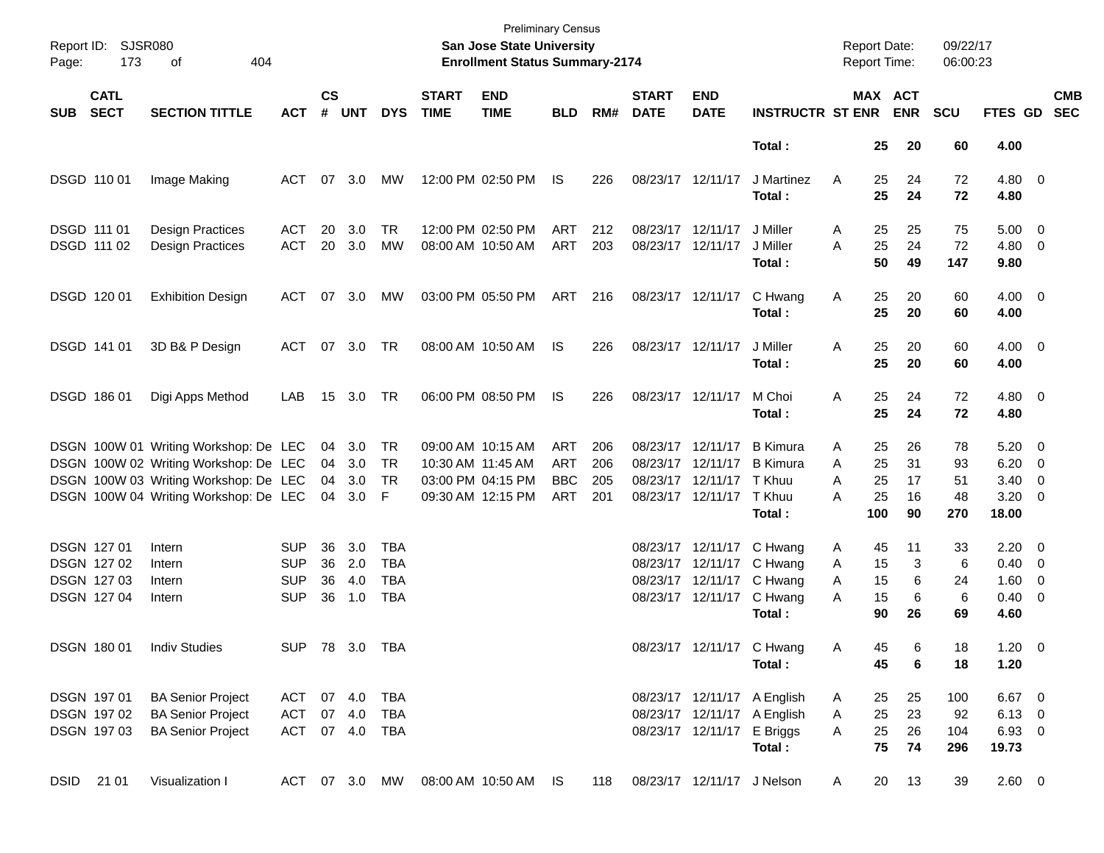| Page: | Report ID: SJSR080<br>173                                | 404<br>оf                                                                                                                                                        |                                                      |                      |                          |                                               |                             | San Jose State University<br><b>Enrollment Status Summary-2174</b>               | <b>Preliminary Census</b>                     |                          |                             |                                                                                              |                                                                      | <b>Report Date:</b><br><b>Report Time:</b>      |                            | 09/22/17<br>06:00:23        |                                                                       |                                                      |                          |
|-------|----------------------------------------------------------|------------------------------------------------------------------------------------------------------------------------------------------------------------------|------------------------------------------------------|----------------------|--------------------------|-----------------------------------------------|-----------------------------|----------------------------------------------------------------------------------|-----------------------------------------------|--------------------------|-----------------------------|----------------------------------------------------------------------------------------------|----------------------------------------------------------------------|-------------------------------------------------|----------------------------|-----------------------------|-----------------------------------------------------------------------|------------------------------------------------------|--------------------------|
| SUB   | <b>CATL</b><br><b>SECT</b>                               | <b>SECTION TITTLE</b>                                                                                                                                            | <b>ACT</b>                                           | $\mathsf{cs}$<br>#   | <b>UNT</b>               | <b>DYS</b>                                    | <b>START</b><br><b>TIME</b> | <b>END</b><br><b>TIME</b>                                                        | <b>BLD</b>                                    | RM#                      | <b>START</b><br><b>DATE</b> | <b>END</b><br><b>DATE</b>                                                                    | <b>INSTRUCTR ST ENR</b>                                              |                                                 | MAX ACT<br><b>ENR</b>      | <b>SCU</b>                  | <b>FTES GD</b>                                                        |                                                      | <b>CMB</b><br><b>SEC</b> |
|       |                                                          |                                                                                                                                                                  |                                                      |                      |                          |                                               |                             |                                                                                  |                                               |                          |                             |                                                                                              | Total:                                                               | 25                                              | 20                         | 60                          | 4.00                                                                  |                                                      |                          |
|       | DSGD 110 01                                              | Image Making                                                                                                                                                     | ACT                                                  | 07                   | 3.0                      | MW                                            |                             | 12:00 PM 02:50 PM                                                                | IS                                            | 226                      | 08/23/17 12/11/17           |                                                                                              | J Martinez<br>Total:                                                 | 25<br>A<br>25                                   | 24<br>24                   | 72<br>72                    | $4.80$ 0<br>4.80                                                      |                                                      |                          |
|       | DSGD 111 01<br>DSGD 111 02                               | <b>Design Practices</b><br>Design Practices                                                                                                                      | ACT<br><b>ACT</b>                                    | 20<br>20             | 3.0<br>3.0               | <b>TR</b><br><b>MW</b>                        |                             | 12:00 PM 02:50 PM<br>08:00 AM 10:50 AM                                           | ART<br>ART                                    | 212<br>203               | 08/23/17 12/11/17           | 08/23/17 12/11/17                                                                            | J Miller<br>J Miller<br>Total:                                       | 25<br>A<br>25<br>A<br>50                        | 25<br>24<br>49             | 75<br>72<br>147             | $5.00 \t 0$<br>$4.80\ 0$<br>9.80                                      |                                                      |                          |
|       | DSGD 120 01                                              | <b>Exhibition Design</b>                                                                                                                                         | ACT                                                  |                      | 07 3.0                   | МW                                            |                             | 03:00 PM 05:50 PM                                                                | ART                                           | 216                      | 08/23/17 12/11/17           |                                                                                              | C Hwang<br>Total:                                                    | 25<br>Α<br>25                                   | 20<br>20                   | 60<br>60                    | $4.00 \ 0$<br>4.00                                                    |                                                      |                          |
|       | DSGD 141 01                                              | 3D B& P Design                                                                                                                                                   | ACT 07 3.0 TR                                        |                      |                          |                                               |                             | 08:00 AM 10:50 AM                                                                | IS                                            | 226                      | 08/23/17 12/11/17           |                                                                                              | J Miller<br>Total:                                                   | 25<br>Α<br>25                                   | 20<br>20                   | 60<br>60                    | $4.00 \ 0$<br>4.00                                                    |                                                      |                          |
|       | DSGD 186 01                                              | Digi Apps Method                                                                                                                                                 | LAB                                                  | 15                   | 3.0 TR                   |                                               |                             | 06:00 PM 08:50 PM                                                                | IS                                            | 226                      | 08/23/17 12/11/17           |                                                                                              | M Choi<br>Total:                                                     | 25<br>Α<br>25                                   | 24<br>24                   | 72<br>72                    | $4.80$ 0<br>4.80                                                      |                                                      |                          |
|       |                                                          | DSGN 100W 01 Writing Workshop: De LEC<br>DSGN 100W 02 Writing Workshop: De LEC<br>DSGN 100W 03 Writing Workshop: De LEC<br>DSGN 100W 04 Writing Workshop: De LEC |                                                      | 04<br>04<br>04<br>04 | 3.0<br>3.0<br>3.0<br>3.0 | TR<br><b>TR</b><br>TR<br>F                    |                             | 09:00 AM 10:15 AM<br>10:30 AM 11:45 AM<br>03:00 PM 04:15 PM<br>09:30 AM 12:15 PM | ART<br><b>ART</b><br><b>BBC</b><br><b>ART</b> | 206<br>206<br>205<br>201 |                             | 08/23/17 12/11/17<br>08/23/17 12/11/17<br>08/23/17 12/11/17 TKhuu<br>08/23/17 12/11/17 TKhuu | <b>B</b> Kimura<br><b>B</b> Kimura<br>Total:                         | 25<br>Α<br>25<br>Α<br>25<br>А<br>25<br>А<br>100 | 26<br>31<br>17<br>16<br>90 | 78<br>93<br>51<br>48<br>270 | $5.20 \ 0$<br>6.20<br>3.40<br>$3.20 \ 0$<br>18.00                     | $\overline{\phantom{0}}$<br>$\overline{\phantom{0}}$ |                          |
|       | DSGN 127 01<br>DSGN 127 02<br>DSGN 127 03<br>DSGN 127 04 | Intern<br>Intern<br>Intern<br>Intern                                                                                                                             | <b>SUP</b><br><b>SUP</b><br><b>SUP</b><br><b>SUP</b> | 36<br>36<br>36<br>36 | 3.0<br>2.0<br>4.0<br>1.0 | TBA<br><b>TBA</b><br><b>TBA</b><br><b>TBA</b> |                             |                                                                                  |                                               |                          |                             | 08/23/17 12/11/17<br>08/23/17 12/11/17<br>08/23/17 12/11/17                                  | C Hwang<br>C Hwang<br>08/23/17 12/11/17 C Hwang<br>C Hwang<br>Total: | 45<br>A<br>15<br>A<br>15<br>A<br>15<br>A<br>90  | 11<br>3<br>6<br>6<br>26    | 33<br>6<br>24<br>6<br>69    | $2.20 \t 0$<br>$0.40 \quad 0$<br>$1.60 \ 0$<br>$0.40 \quad 0$<br>4.60 |                                                      |                          |
|       | DSGN 180 01                                              | <b>Indiv Studies</b>                                                                                                                                             |                                                      |                      | SUP 78 3.0 TBA           |                                               |                             |                                                                                  |                                               |                          |                             |                                                                                              | 08/23/17 12/11/17 C Hwang<br>Total:                                  | Α<br>45<br>45                                   | 6<br>6                     | 18<br>18                    | $1.20 \t 0$<br>1.20                                                   |                                                      |                          |
|       | DSGN 197 01<br>DSGN 197 02<br>DSGN 197 03                | <b>BA Senior Project</b><br><b>BA Senior Project</b><br><b>BA Senior Project</b>                                                                                 | ACT 07 4.0 TBA<br>ACT 07 4.0<br>ACT 07 4.0 TBA       |                      |                          | TBA                                           |                             |                                                                                  |                                               |                          |                             | 08/23/17 12/11/17 E Briggs                                                                   | 08/23/17 12/11/17 A English<br>08/23/17 12/11/17 A English<br>Total: | 25<br>A<br>25<br>A<br>25<br>A<br>75             | 25<br>23<br>26<br>74       | 100<br>92<br>104<br>296     | $6.67$ 0<br>$6.13 \quad 0$<br>$6.93$ 0<br>19.73                       |                                                      |                          |
|       | DSID 21 01                                               | Visualization I                                                                                                                                                  |                                                      |                      |                          | ACT 07 3.0 MW                                 |                             | 08:00 AM 10:50 AM IS                                                             |                                               | 118                      |                             | 08/23/17 12/11/17 J Nelson                                                                   |                                                                      | 20<br>A                                         | 13                         | 39                          | 2.60 0                                                                |                                                      |                          |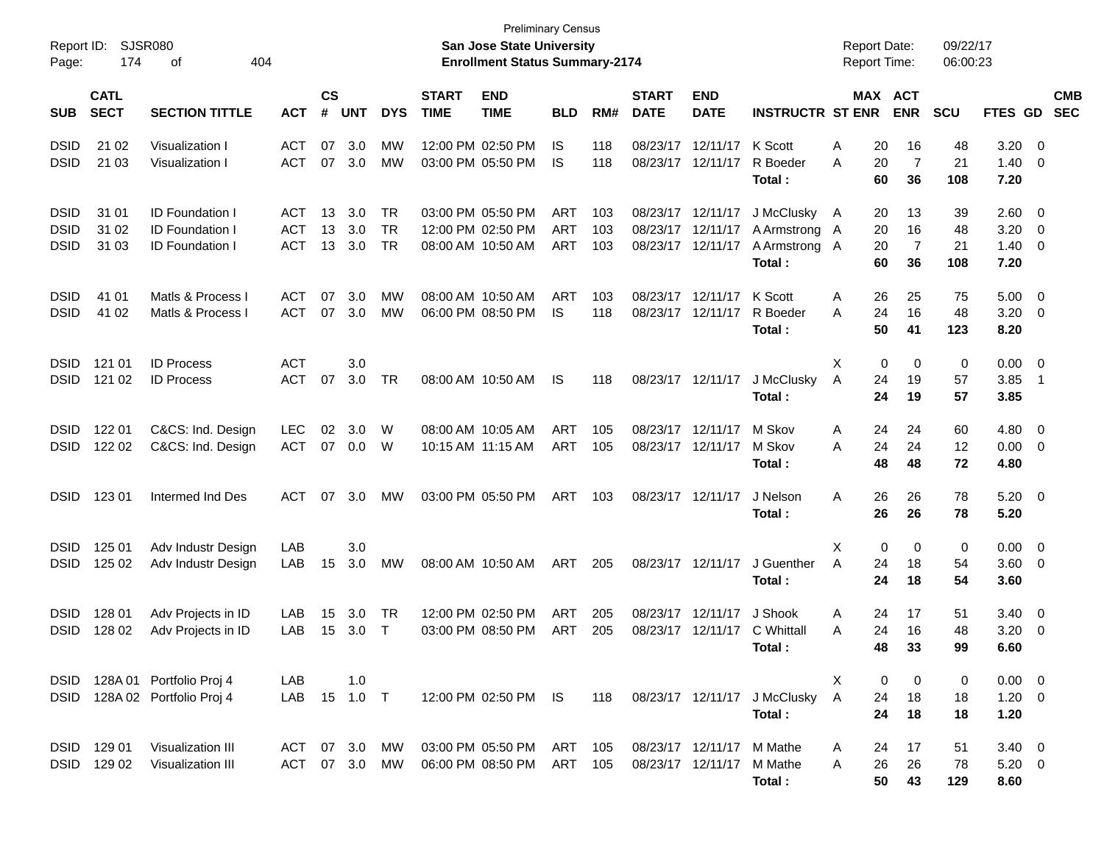| Report ID:<br>Page:                       | 174                        | SJSR080<br>404<br>оf                                                       |                                        |                |                   |                                     |                           | <b>Preliminary Census</b><br>San Jose State University<br><b>Enrollment Status Summary-2174</b> |                                        |                             |                                                             |                                        |                                                        | <b>Report Date:</b><br><b>Report Time:</b> |                                                          | 09/22/17<br>06:00:23  |                                    |                                                                                |  |
|-------------------------------------------|----------------------------|----------------------------------------------------------------------------|----------------------------------------|----------------|-------------------|-------------------------------------|---------------------------|-------------------------------------------------------------------------------------------------|----------------------------------------|-----------------------------|-------------------------------------------------------------|----------------------------------------|--------------------------------------------------------|--------------------------------------------|----------------------------------------------------------|-----------------------|------------------------------------|--------------------------------------------------------------------------------|--|
| <b>SUB</b>                                | <b>CATL</b><br><b>SECT</b> | <b>ACT</b>                                                                 | $\mathsf{cs}$<br>#                     | <b>UNT</b>     | <b>DYS</b>        | <b>START</b><br><b>TIME</b>         | <b>END</b><br><b>TIME</b> | <b>BLD</b>                                                                                      | RM#                                    | <b>START</b><br><b>DATE</b> | <b>END</b><br><b>DATE</b>                                   | <b>INSTRUCTR ST ENR</b>                |                                                        | MAX ACT<br><b>ENR</b>                      | <b>SCU</b>                                               | FTES GD               |                                    | <b>CMB</b><br><b>SEC</b>                                                       |  |
| <b>DSID</b><br><b>DSID</b>                | 21 02<br>21 03             | Visualization I<br>Visualization I                                         | <b>ACT</b><br><b>ACT</b>               | 07<br>07       | 3.0<br>3.0        | МW<br>МW                            |                           | 12:00 PM 02:50 PM<br>03:00 PM 05:50 PM                                                          | IS<br>IS                               | 118<br>118                  | 08/23/17<br>08/23/17                                        | 12/11/17<br>12/11/17                   | K Scott<br>R Boeder<br>Total:                          | Α<br>A                                     | 20<br>16<br>20<br>$\overline{7}$<br>60<br>36             | 48<br>21<br>108       | 3.20<br>1.40<br>7.20               | $\overline{\mathbf{0}}$<br>- 0                                                 |  |
| <b>DSID</b><br><b>DSID</b><br><b>DSID</b> | 31 01<br>31 02<br>31 03    | <b>ID Foundation I</b><br><b>ID Foundation I</b><br><b>ID Foundation I</b> | <b>ACT</b><br><b>ACT</b><br><b>ACT</b> | 13<br>13<br>13 | 3.0<br>3.0<br>3.0 | <b>TR</b><br><b>TR</b><br><b>TR</b> |                           | 03:00 PM 05:50 PM<br>12:00 PM 02:50 PM<br>08:00 AM 10:50 AM                                     | <b>ART</b><br><b>ART</b><br><b>ART</b> | 103<br>103<br>103           | 08/23/17 12/11/17<br>08/23/17 12/11/17<br>08/23/17 12/11/17 |                                        | J McClusky<br>A Armstrong A<br>A Armstrong A<br>Total: | A                                          | 13<br>20<br>16<br>20<br>$\overline{7}$<br>20<br>60<br>36 | 39<br>48<br>21<br>108 | 2.60<br>3.20<br>1.40<br>7.20       | $\overline{\phantom{0}}$<br>$\overline{\mathbf{0}}$<br>$\overline{\mathbf{0}}$ |  |
| <b>DSID</b><br><b>DSID</b>                | 41 01<br>41 02             | Matls & Process I<br>Matls & Process I                                     | <b>ACT</b><br><b>ACT</b>               | 07<br>07       | 3.0<br>3.0        | <b>MW</b><br><b>MW</b>              |                           | 08:00 AM 10:50 AM<br>06:00 PM 08:50 PM                                                          | <b>ART</b><br><b>IS</b>                | 103<br>118                  | 08/23/17<br>08/23/17 12/11/17                               | 12/11/17                               | K Scott<br>R Boeder<br>Total:                          | Α<br>Α                                     | 26<br>25<br>24<br>16<br>50<br>41                         | 75<br>48<br>123       | 5.00<br>3.20<br>8.20               | - 0<br>$\overline{\phantom{0}}$                                                |  |
| <b>DSID</b><br><b>DSID</b>                | 121 01<br>121 02           | <b>ID Process</b><br><b>ID Process</b>                                     | <b>ACT</b><br><b>ACT</b>               | 07             | 3.0<br>3.0        | TR                                  |                           | 08:00 AM 10:50 AM                                                                               | IS.                                    | 118                         | 08/23/17 12/11/17                                           |                                        | J McClusky<br>Total:                                   | X<br>A                                     | 0<br>0<br>24<br>19<br>24<br>19                           | 0<br>57<br>57         | 0.00<br>3.85<br>3.85               | $\overline{\mathbf{0}}$<br>$\overline{\phantom{1}}$                            |  |
| <b>DSID</b><br><b>DSID</b>                | 122 01<br>122 02           | C&CS: Ind. Design<br>C&CS: Ind. Design                                     | <b>LEC</b><br><b>ACT</b>               | 02<br>07       | 3.0<br>0.0        | W<br>W                              |                           | 08:00 AM 10:05 AM<br>10:15 AM 11:15 AM                                                          | <b>ART</b><br><b>ART</b>               | 105<br>105                  | 08/23/17 12/11/17<br>08/23/17 12/11/17                      |                                        | M Skov<br>M Skov<br>Total:                             | A<br>Α                                     | 24<br>24<br>24<br>24<br>48<br>48                         | 60<br>12<br>72        | 4.80<br>0.00<br>4.80               | $\overline{\mathbf{0}}$<br>$\overline{\phantom{0}}$                            |  |
| <b>DSID</b>                               | 123 01                     | Intermed Ind Des                                                           | <b>ACT</b>                             | 07             | 3.0               | МW                                  |                           | 03:00 PM 05:50 PM                                                                               | <b>ART</b>                             | 103                         | 08/23/17 12/11/17                                           |                                        | J Nelson<br>Total:                                     | A                                          | 26<br>26<br>26<br>26                                     | 78<br>78              | $5.20 \ 0$<br>5.20                 |                                                                                |  |
| <b>DSID</b><br><b>DSID</b>                | 125 01<br>125 02           | Adv Industr Design<br>Adv Industr Design                                   | LAB<br>LAB                             | 15             | 3.0<br>3.0        | МW                                  |                           | 08:00 AM 10:50 AM                                                                               | <b>ART</b>                             | 205                         | 08/23/17 12/11/17                                           |                                        | J Guenther<br>Total :                                  | X<br>A                                     | 0<br>0<br>24<br>18<br>24<br>18                           | 0<br>54<br>54         | 0.00<br>$3.60 \ 0$<br>3.60         | $\overline{\mathbf{0}}$                                                        |  |
| <b>DSID</b><br><b>DSID</b>                | 128 01<br>128 02           | Adv Projects in ID<br>Adv Projects in ID                                   | LAB<br>LAB                             | 15<br>15       | 3.0<br>3.0        | TR<br>$\top$                        |                           | 12:00 PM 02:50 PM<br>03:00 PM 08:50 PM                                                          | <b>ART</b><br>ART                      | 205<br>205                  | 08/23/17                                                    | 12/11/17<br>08/23/17 12/11/17          | J Shook<br>C Whittall<br>Total:                        | A<br>A                                     | 24<br>17<br>24<br>16<br>48<br>33                         | 51<br>48<br>99        | 3.40<br>3.20<br>6.60               | $\overline{\phantom{0}}$<br>- 0                                                |  |
| <b>DSID</b>                               |                            | DSID 128A 01 Portfolio Proj 4<br>128A 02 Portfolio Proj 4                  | LAB<br>LAB                             |                | 1.0<br>15  1.0  T |                                     |                           | 12:00 PM 02:50 PM IS                                                                            |                                        | 118                         |                                                             | 08/23/17 12/11/17                      | J McClusky<br>Total:                                   | X<br>$\overline{A}$                        | 0<br>0<br>24<br>18<br>24<br>18                           | 0<br>18<br>18         | $0.00 \t 0$<br>$1.20 \t 0$<br>1.20 |                                                                                |  |
|                                           | DSID 129 01<br>DSID 129 02 | Visualization III<br>Visualization III                                     | ACT 07 3.0<br>ACT                      |                | 07 3.0            | MW<br>MW                            |                           | 03:00 PM 05:50 PM<br>06:00 PM 08:50 PM                                                          | ART<br>ART                             | 105<br>105                  |                                                             | 08/23/17 12/11/17<br>08/23/17 12/11/17 | M Mathe<br>M Mathe<br>Total:                           | A<br>Α                                     | 24<br>17<br>26<br>26<br>50<br>43                         | 51<br>78<br>129       | $3.40 \ 0$<br>$5.20 \ 0$<br>8.60   |                                                                                |  |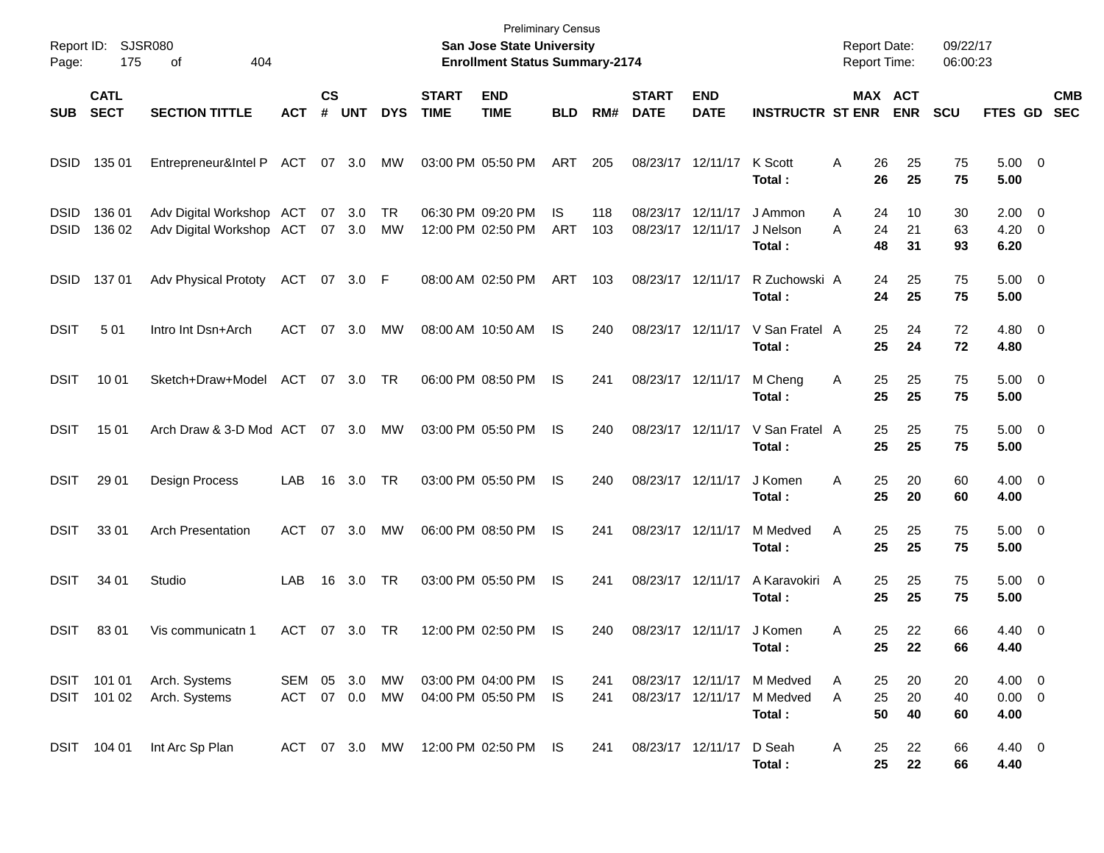| Page:                      | Report ID: SJSR080<br>175  | 404<br>of                                            |                   |                    |               |            |                             | <b>Preliminary Census</b><br>San Jose State University<br><b>Enrollment Status Summary-2174</b> |                   |            |                             |                           |                                                  | Report Date:<br>Report Time: |                                  | 09/22/17<br>06:00:23 |                                    |                          |
|----------------------------|----------------------------|------------------------------------------------------|-------------------|--------------------|---------------|------------|-----------------------------|-------------------------------------------------------------------------------------------------|-------------------|------------|-----------------------------|---------------------------|--------------------------------------------------|------------------------------|----------------------------------|----------------------|------------------------------------|--------------------------|
| <b>SUB</b>                 | <b>CATL</b><br><b>SECT</b> | <b>SECTION TITTLE</b>                                | <b>ACT</b>        | $\mathsf{cs}$<br># | <b>UNT</b>    | <b>DYS</b> | <b>START</b><br><b>TIME</b> | <b>END</b><br><b>TIME</b>                                                                       | <b>BLD</b>        | RM#        | <b>START</b><br><b>DATE</b> | <b>END</b><br><b>DATE</b> | <b>INSTRUCTR ST ENR</b>                          |                              | MAX ACT<br><b>ENR</b>            | <b>SCU</b>           | <b>FTES GD</b>                     | <b>CMB</b><br><b>SEC</b> |
| <b>DSID</b>                | 135 01                     | Entrepreneur&Intel P ACT                             |                   |                    | 07 3.0        | МW         |                             | 03:00 PM 05:50 PM                                                                               | ART               | 205        | 08/23/17 12/11/17           |                           | K Scott<br>Total:                                | A                            | 26<br>25<br>26<br>25             | 75<br>75             | $5.00 \t 0$<br>5.00                |                          |
| <b>DSID</b><br><b>DSID</b> | 136 01<br>136 02           | Adv Digital Workshop ACT<br>Adv Digital Workshop ACT |                   | 07                 | 3.0<br>07 3.0 | TR<br>MW   |                             | 06:30 PM 09:20 PM<br>12:00 PM 02:50 PM                                                          | IS.<br><b>ART</b> | 118<br>103 | 08/23/17<br>08/23/17        | 12/11/17<br>12/11/17      | J Ammon<br>J Nelson<br>Total :                   | Α<br>Α                       | 10<br>24<br>24<br>21<br>48<br>31 | 30<br>63<br>93       | $2.00 \t 0$<br>$4.20 \ 0$<br>6.20  |                          |
| <b>DSID</b>                | 13701                      | <b>Adv Physical Prototy</b>                          | ACT               |                    | 07 3.0 F      |            |                             | 08:00 AM 02:50 PM                                                                               | ART               | 103        | 08/23/17 12/11/17           |                           | R Zuchowski A<br>Total:                          |                              | 24<br>25<br>24<br>25             | 75<br>75             | $5.00 \quad 0$<br>5.00             |                          |
| <b>DSIT</b>                | 501                        | Intro Int Dsn+Arch                                   | ACT               | 07                 | 3.0           | МW         |                             | 08:00 AM 10:50 AM                                                                               | IS                | 240        |                             | 08/23/17 12/11/17         | V San Fratel A<br>Total:                         |                              | 25<br>24<br>25<br>24             | 72<br>72             | $4.80\ 0$<br>4.80                  |                          |
| <b>DSIT</b>                | 10 01                      | Sketch+Draw+Model                                    | ACT               |                    | 07 3.0        | TR         |                             | 06:00 PM 08:50 PM                                                                               | IS                | 241        | 08/23/17 12/11/17           |                           | M Cheng<br>Total:                                | A                            | 25<br>25<br>25<br>25             | 75<br>75             | $5.00 \t 0$<br>5.00                |                          |
| <b>DSIT</b>                | 15 01                      | Arch Draw & 3-D Mod ACT                              |                   |                    | 07 3.0        | МW         |                             | 03:00 PM 05:50 PM                                                                               | IS                | 240        |                             | 08/23/17 12/11/17         | V San Fratel A<br>Total:                         |                              | 25<br>25<br>25<br>25             | 75<br>75             | $5.00 \t 0$<br>5.00                |                          |
| <b>DSIT</b>                | 29 01                      | Design Process                                       | LAB               | 16                 | 3.0           | TR         |                             | 03:00 PM 05:50 PM                                                                               | IS                | 240        | 08/23/17 12/11/17           |                           | J Komen<br>Total:                                | A                            | 25<br>20<br>25<br>20             | 60<br>60             | $4.00 \t 0$<br>4.00                |                          |
| <b>DSIT</b>                | 33 01                      | <b>Arch Presentation</b>                             | ACT               |                    | 07 3.0        | МW         |                             | 06:00 PM 08:50 PM                                                                               | IS                | 241        | 08/23/17 12/11/17           |                           | M Medved<br>Total :                              | Α                            | 25<br>25<br>25<br>25             | 75<br>75             | $5.00 \t 0$<br>5.00                |                          |
| <b>DSIT</b>                | 34 01                      | Studio                                               | LAB               | 16                 | 3.0           | TR         |                             | 03:00 PM 05:50 PM                                                                               | IS                | 241        |                             | 08/23/17 12/11/17         | A Karavokiri A<br>Total :                        |                              | 25<br>25<br>25<br>25             | 75<br>75             | $5.00 \t 0$<br>5.00                |                          |
| <b>DSIT</b>                | 8301                       | Vis communicatn 1                                    | ACT               | 07                 | 3.0           | TR         |                             | 12:00 PM 02:50 PM                                                                               | IS                | 240        | 08/23/17 12/11/17           |                           | J Komen<br>Total :                               | Α                            | 25<br>22<br>25<br>22             | 66<br>66             | $4.40 \quad 0$<br>4.40             |                          |
| DSIT                       | DSIT 101 01<br>101 02      | Arch. Systems<br>Arch. Systems                       | SEM 05 3.0<br>ACT | 07 0.0             |               | MW<br>MW   |                             | 03:00 PM 04:00 PM<br>04:00 PM 05:50 PM                                                          | IS.<br>IS         | 241<br>241 | 08/23/17 12/11/17           |                           | 08/23/17 12/11/17 M Medved<br>M Medved<br>Total: | A<br>Α                       | 20<br>25<br>25<br>20<br>50<br>40 | 20<br>40<br>60       | $4.00 \t 0$<br>$0.00 \t 0$<br>4.00 |                          |
|                            | DSIT 104 01                | Int Arc Sp Plan                                      | ACT 07 3.0 MW     |                    |               |            |                             | 12:00 PM 02:50 PM IS                                                                            |                   | 241        | 08/23/17 12/11/17           |                           | D Seah<br>Total:                                 | A                            | 25<br>22<br>25<br>22             | 66<br>66             | 4.40 0<br>4.40                     |                          |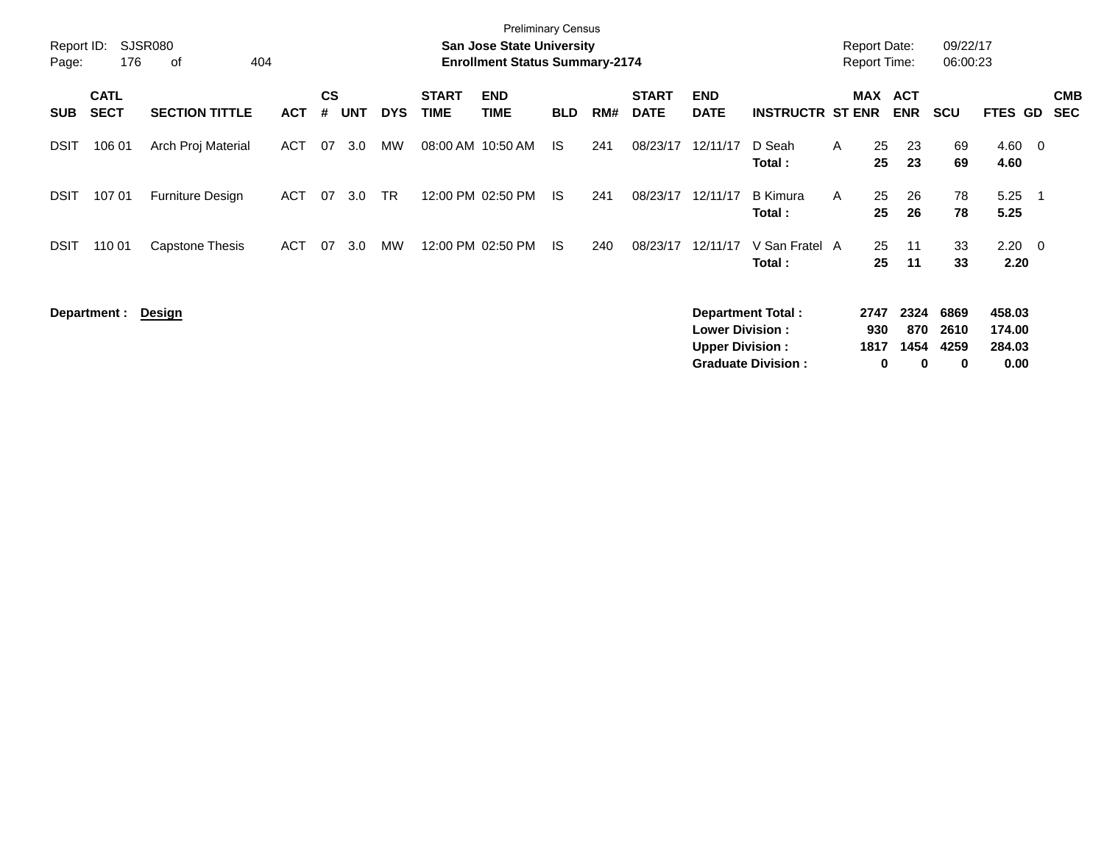| Page:       | <b>Preliminary Census</b><br>SJSR080<br><b>San Jose State University</b><br>Report ID:<br>176<br><b>Enrollment Status Summary-2174</b><br>404<br>0f |                         |            |                    |     |            |                             |                           |            |     |                             |                                                  |                                                       |   |                          | <b>Report Date:</b><br><b>Report Time:</b> | 09/22/17<br>06:00:23      |                                    |                         |                          |
|-------------|-----------------------------------------------------------------------------------------------------------------------------------------------------|-------------------------|------------|--------------------|-----|------------|-----------------------------|---------------------------|------------|-----|-----------------------------|--------------------------------------------------|-------------------------------------------------------|---|--------------------------|--------------------------------------------|---------------------------|------------------------------------|-------------------------|--------------------------|
| <b>SUB</b>  | <b>CATL</b><br><b>SECT</b>                                                                                                                          | <b>SECTION TITTLE</b>   | <b>ACT</b> | $\mathsf{cs}$<br># | UNT | <b>DYS</b> | <b>START</b><br><b>TIME</b> | <b>END</b><br><b>TIME</b> | <b>BLD</b> | RM# | <b>START</b><br><b>DATE</b> | <b>END</b><br><b>DATE</b>                        | <b>INSTRUCTR ST ENR</b>                               |   |                          | <b>MAX ACT</b><br><b>ENR</b>               | <b>SCU</b>                | FTES GD                            |                         | <b>CMB</b><br><b>SEC</b> |
| <b>DSIT</b> | 106 01                                                                                                                                              | Arch Proj Material      | <b>ACT</b> | 07                 | 3.0 | MW         | 08:00 AM 10:50 AM           |                           | IS.        | 241 | 08/23/17                    | 12/11/17                                         | D Seah<br>Total:                                      | A | 25<br>25                 | 23<br>23                                   | 69<br>69                  | 4.60<br>4.60                       | $\overline{\mathbf{0}}$ |                          |
| DSIT        | 107 01                                                                                                                                              | <b>Furniture Design</b> | <b>ACT</b> | 07                 | 3.0 | TR         |                             | 12:00 PM 02:50 PM         | IS.        | 241 | 08/23/17                    | 12/11/17                                         | <b>B</b> Kimura<br>Total:                             | A | 25<br>25                 | 26<br>26                                   | 78<br>78                  | 5.25<br>5.25                       | - 1                     |                          |
| DSIT        | 110 01                                                                                                                                              | Capstone Thesis         | <b>ACT</b> | 07                 | 3.0 | MW         |                             | 12:00 PM 02:50 PM         | -IS        | 240 | 08/23/17                    | 12/11/17                                         | V San Fratel A<br>Total:                              |   | 25<br>$25\,$             | 11<br>11                                   | 33<br>33                  | $2.20 \t 0$<br>2.20                |                         |                          |
|             | Department :                                                                                                                                        | <u>Design</u>           |            |                    |     |            |                             |                           |            |     |                             | <b>Lower Division:</b><br><b>Upper Division:</b> | <b>Department Total:</b><br><b>Graduate Division:</b> |   | 2747<br>930<br>1817<br>0 | 2324<br>870<br>1454<br>0                   | 6869<br>2610<br>4259<br>0 | 458.03<br>174.00<br>284.03<br>0.00 |                         |                          |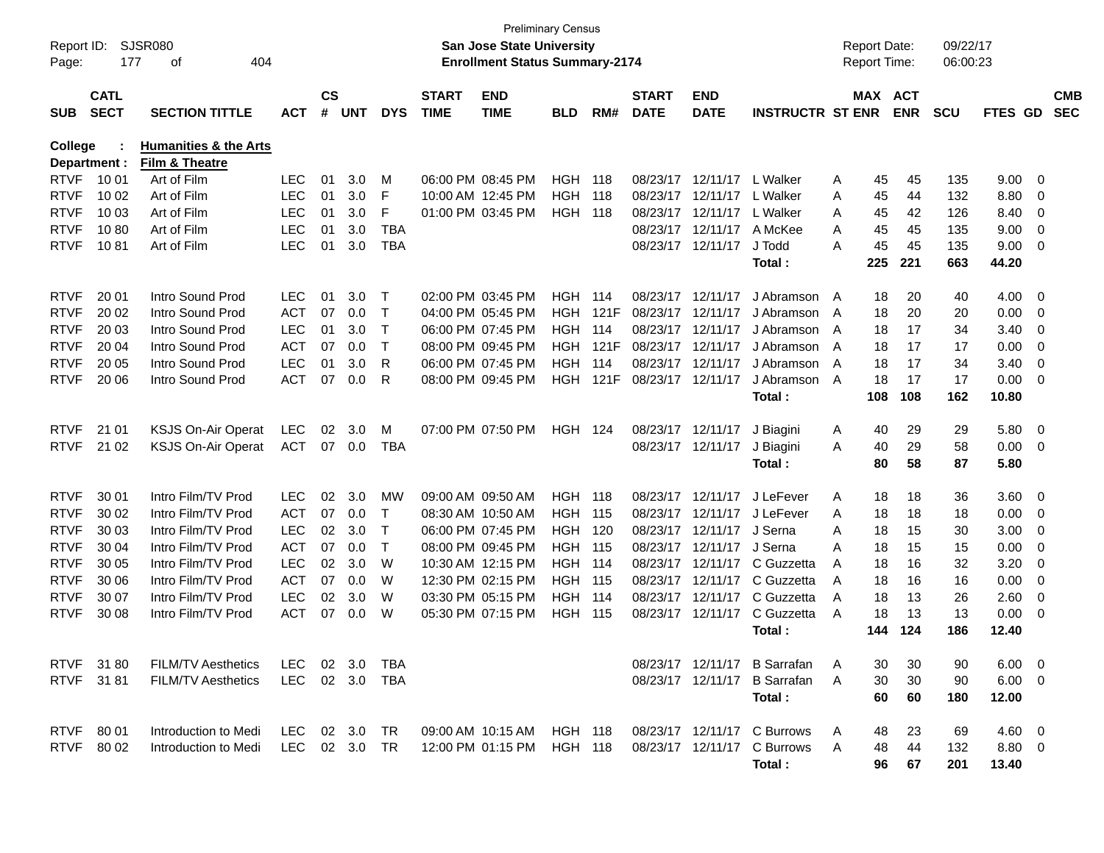| Report ID:<br>Page: | 177                        | SJSR080<br>404<br>οf                               |               |                    |                |            |                             | <b>San Jose State University</b><br><b>Enrollment Status Summary-2174</b> | <b>Preliminary Census</b> |       |                             |                           |                              |                | <b>Report Date:</b><br>Report Time: |            | 09/22/17<br>06:00:23 |                |                         |                          |
|---------------------|----------------------------|----------------------------------------------------|---------------|--------------------|----------------|------------|-----------------------------|---------------------------------------------------------------------------|---------------------------|-------|-----------------------------|---------------------------|------------------------------|----------------|-------------------------------------|------------|----------------------|----------------|-------------------------|--------------------------|
| <b>SUB</b>          | <b>CATL</b><br><b>SECT</b> | <b>SECTION TITTLE</b>                              | <b>ACT</b>    | $\mathsf{cs}$<br># | <b>UNT</b>     | <b>DYS</b> | <b>START</b><br><b>TIME</b> | <b>END</b><br><b>TIME</b>                                                 | <b>BLD</b>                | RM#   | <b>START</b><br><b>DATE</b> | <b>END</b><br><b>DATE</b> | <b>INSTRUCTR ST ENR</b>      |                | MAX ACT                             | <b>ENR</b> | <b>SCU</b>           | <b>FTES GD</b> |                         | <b>CMB</b><br><b>SEC</b> |
| College             | Department :               | <b>Humanities &amp; the Arts</b><br>Film & Theatre |               |                    |                |            |                             |                                                                           |                           |       |                             |                           |                              |                |                                     |            |                      |                |                         |                          |
| <b>RTVF</b>         | 10 01                      | Art of Film                                        | <b>LEC</b>    | 01                 | 3.0            | М          |                             | 06:00 PM 08:45 PM                                                         | <b>HGH</b>                | 118   |                             | 08/23/17 12/11/17         | L Walker                     | A              | 45                                  | 45         | 135                  | 9.00           | $\overline{\mathbf{0}}$ |                          |
| <b>RTVF</b>         | 10 02                      | Art of Film                                        | <b>LEC</b>    | 01                 | 3.0            | F          |                             | 10:00 AM 12:45 PM                                                         | <b>HGH</b>                | - 118 |                             | 08/23/17 12/11/17         | L Walker                     | A              | 45                                  | 44         | 132                  | 8.80           | 0                       |                          |
| <b>RTVF</b>         | 10 03                      | Art of Film                                        | <b>LEC</b>    | 01                 | 3.0            | F          |                             | 01:00 PM 03:45 PM                                                         | <b>HGH 118</b>            |       |                             | 08/23/17 12/11/17         | L Walker                     | A              | 45                                  | 42         | 126                  | 8.40           | 0                       |                          |
| <b>RTVF</b>         | 1080                       | Art of Film                                        | <b>LEC</b>    | 01                 | 3.0            | <b>TBA</b> |                             |                                                                           |                           |       |                             | 08/23/17 12/11/17         | A McKee                      | A              | 45                                  | 45         | 135                  | 9.00           | 0                       |                          |
| <b>RTVF</b>         | 1081                       | Art of Film                                        | <b>LEC</b>    | 01                 | 3.0            | <b>TBA</b> |                             |                                                                           |                           |       |                             | 08/23/17 12/11/17         | J Todd                       | A              | 45                                  | 45         | 135                  | 9.00           | 0                       |                          |
|                     |                            |                                                    |               |                    |                |            |                             |                                                                           |                           |       |                             |                           | Total:                       |                | 225                                 | 221        | 663                  | 44.20          |                         |                          |
| <b>RTVF</b>         | 20 01                      | Intro Sound Prod                                   | <b>LEC</b>    | 01                 | 3.0            | $\top$     |                             | 02:00 PM 03:45 PM                                                         | HGH.                      | - 114 |                             | 08/23/17 12/11/17         | J Abramson                   | A              | 18                                  | 20         | 40                   | 4.00           | 0                       |                          |
| <b>RTVF</b>         | 20 02                      | Intro Sound Prod                                   | <b>ACT</b>    | 07                 | 0.0            | Т          |                             | 04:00 PM 05:45 PM                                                         | <b>HGH</b>                | 121F  | 08/23/17                    | 12/11/17                  | J Abramson                   | A              | 18                                  | 20         | 20                   | 0.00           | 0                       |                          |
| <b>RTVF</b>         | 20 03                      | Intro Sound Prod                                   | <b>LEC</b>    | 01                 | 3.0            | Т          |                             | 06:00 PM 07:45 PM                                                         | <b>HGH</b>                | 114   | 08/23/17                    | 12/11/17                  | J Abramson                   | A              | 18                                  | 17         | 34                   | 3.40           | 0                       |                          |
| <b>RTVF</b>         | 20 04                      | Intro Sound Prod                                   | <b>ACT</b>    | 07                 | 0.0            | Т          |                             | 08:00 PM 09:45 PM                                                         | <b>HGH</b>                | 121F  |                             | 08/23/17 12/11/17         | J Abramson                   | A              | 18                                  | 17         | 17                   | 0.00           | 0                       |                          |
| <b>RTVF</b>         | 20 05                      | Intro Sound Prod                                   | <b>LEC</b>    | 01                 | 3.0            | R          |                             | 06:00 PM 07:45 PM                                                         | <b>HGH</b>                | 114   |                             | 08/23/17 12/11/17         | J Abramson                   | $\overline{A}$ | 18                                  | 17         | 34                   | 3.40           | 0                       |                          |
| <b>RTVF</b>         | 20 06                      | Intro Sound Prod                                   | <b>ACT</b>    | 07                 | 0.0            | R          |                             | 08:00 PM 09:45 PM                                                         | <b>HGH</b>                | 121F  | 08/23/17 12/11/17           |                           | J Abramson                   | A              | 18                                  | 17         | 17                   | 0.00           | 0                       |                          |
|                     |                            |                                                    |               |                    |                |            |                             |                                                                           |                           |       |                             |                           | Total:                       |                | 108                                 | 108        | 162                  | 10.80          |                         |                          |
| <b>RTVF</b>         | 21 01                      | <b>KSJS On-Air Operat</b>                          | <b>LEC</b>    | 02                 | 3.0            | M          |                             | 07:00 PM 07:50 PM                                                         | <b>HGH 124</b>            |       |                             | 08/23/17 12/11/17         | J Biagini                    | A              | 40                                  | 29         | 29                   | 5.80           | $\overline{\mathbf{0}}$ |                          |
| <b>RTVF</b>         | 21 02                      | <b>KSJS On-Air Operat</b>                          | <b>ACT</b>    | 07                 | 0.0            | <b>TBA</b> |                             |                                                                           |                           |       |                             | 08/23/17 12/11/17         | J Biagini                    | A              | 40                                  | 29         | 58                   | 0.00           | $\overline{\mathbf{0}}$ |                          |
|                     |                            |                                                    |               |                    |                |            |                             |                                                                           |                           |       |                             |                           | Total:                       |                | 80                                  | 58         | 87                   | 5.80           |                         |                          |
| <b>RTVF</b>         | 30 01                      | Intro Film/TV Prod                                 | <b>LEC</b>    | 02                 | 3.0            | <b>MW</b>  |                             | 09:00 AM 09:50 AM                                                         | <b>HGH 118</b>            |       |                             | 08/23/17 12/11/17         | J LeFever                    | A              | 18                                  | 18         | 36                   | 3.60           | $\overline{\mathbf{0}}$ |                          |
| <b>RTVF</b>         | 30 02                      | Intro Film/TV Prod                                 | <b>ACT</b>    | 07                 | 0.0            | Т          |                             | 08:30 AM 10:50 AM                                                         | <b>HGH 115</b>            |       | 08/23/17                    | 12/11/17                  | J LeFever                    | A              | 18                                  | 18         | 18                   | 0.00           | 0                       |                          |
| <b>RTVF</b>         | 30 03                      | Intro Film/TV Prod                                 | <b>LEC</b>    | 02                 | 3.0            | Т          |                             | 06:00 PM 07:45 PM                                                         | HGH                       | 120   |                             | 08/23/17 12/11/17         | J Serna                      | A              | 18                                  | 15         | 30                   | 3.00           | 0                       |                          |
| <b>RTVF</b>         | 30 04                      | Intro Film/TV Prod                                 | <b>ACT</b>    | 07                 | 0.0            | Т          |                             | 08:00 PM 09:45 PM                                                         | <b>HGH 115</b>            |       |                             | 08/23/17 12/11/17         | J Serna                      | A              | 18                                  | 15         | 15                   | 0.00           | 0                       |                          |
| <b>RTVF</b>         | 30 05                      | Intro Film/TV Prod                                 | <b>LEC</b>    | 02                 | 3.0            | W          |                             | 10:30 AM 12:15 PM                                                         | <b>HGH 114</b>            |       |                             | 08/23/17 12/11/17         | C Guzzetta                   | A              | 18                                  | 16         | 32                   | 3.20           | 0                       |                          |
| <b>RTVF</b>         | 30 06                      | Intro Film/TV Prod                                 | <b>ACT</b>    | 07                 | 0.0            | W          |                             | 12:30 PM 02:15 PM                                                         | <b>HGH 115</b>            |       |                             | 08/23/17 12/11/17         | C Guzzetta                   | A              | 18                                  | 16         | 16                   | 0.00           | 0                       |                          |
| <b>RTVF</b>         | 30 07                      | Intro Film/TV Prod                                 | <b>LEC</b>    | 02                 | 3.0            | W          |                             | 03:30 PM 05:15 PM                                                         | <b>HGH</b>                | - 114 |                             | 08/23/17 12/11/17         | C Guzzetta                   | A              | 18                                  | 13         | 26                   | 2.60           | 0                       |                          |
| <b>RTVF</b>         | 30 08                      | Intro Film/TV Prod                                 | <b>ACT</b>    | 07                 | 0.0            | W          |                             | 05:30 PM 07:15 PM                                                         | HGH                       | - 115 |                             | 08/23/17 12/11/17         | C Guzzetta                   | A              | 18                                  | 13         | 13                   | 0.00           | 0                       |                          |
|                     |                            |                                                    |               |                    |                |            |                             |                                                                           |                           |       |                             |                           | Total :                      |                | 144                                 | 124        | 186                  | 12.40          |                         |                          |
|                     | RTVF 3180                  | <b>FILM/TV Aesthetics</b>                          | LEC           |                    | $02 \quad 3.0$ | TBA        |                             |                                                                           |                           |       |                             |                           | 08/23/17 12/11/17 B Sarrafan |                | 30                                  | 30         | 90                   | $6.00 \quad 0$ |                         |                          |
|                     | RTVF 3181                  | <b>FILM/TV Aesthetics</b>                          | LEC           |                    |                | 02 3.0 TBA |                             |                                                                           |                           |       |                             |                           | 08/23/17 12/11/17 B Sarrafan | A              | 30                                  | 30         | 90                   | $6.00 \quad 0$ |                         |                          |
|                     |                            |                                                    |               |                    |                |            |                             |                                                                           |                           |       |                             |                           | Total:                       |                | 60                                  | 60         | 180                  | 12.00          |                         |                          |
|                     | RTVF 80 01                 | Introduction to Medi                               | LEC 02 3.0 TR |                    |                |            |                             | 09:00 AM 10:15 AM HGH 118                                                 |                           |       |                             |                           | 08/23/17 12/11/17 C Burrows  | A              | 48                                  | 23         | 69                   | $4.60 \quad 0$ |                         |                          |
|                     | RTVF 80 02                 | Introduction to Medi                               | LEC 02 3.0 TR |                    |                |            |                             | 12:00 PM 01:15 PM                                                         | <b>HGH 118</b>            |       |                             |                           | 08/23/17 12/11/17 C Burrows  | A              | 48                                  | 44         | 132                  | 8.80 0         |                         |                          |
|                     |                            |                                                    |               |                    |                |            |                             |                                                                           |                           |       |                             |                           | Total:                       |                | 96                                  | 67         | 201                  | 13.40          |                         |                          |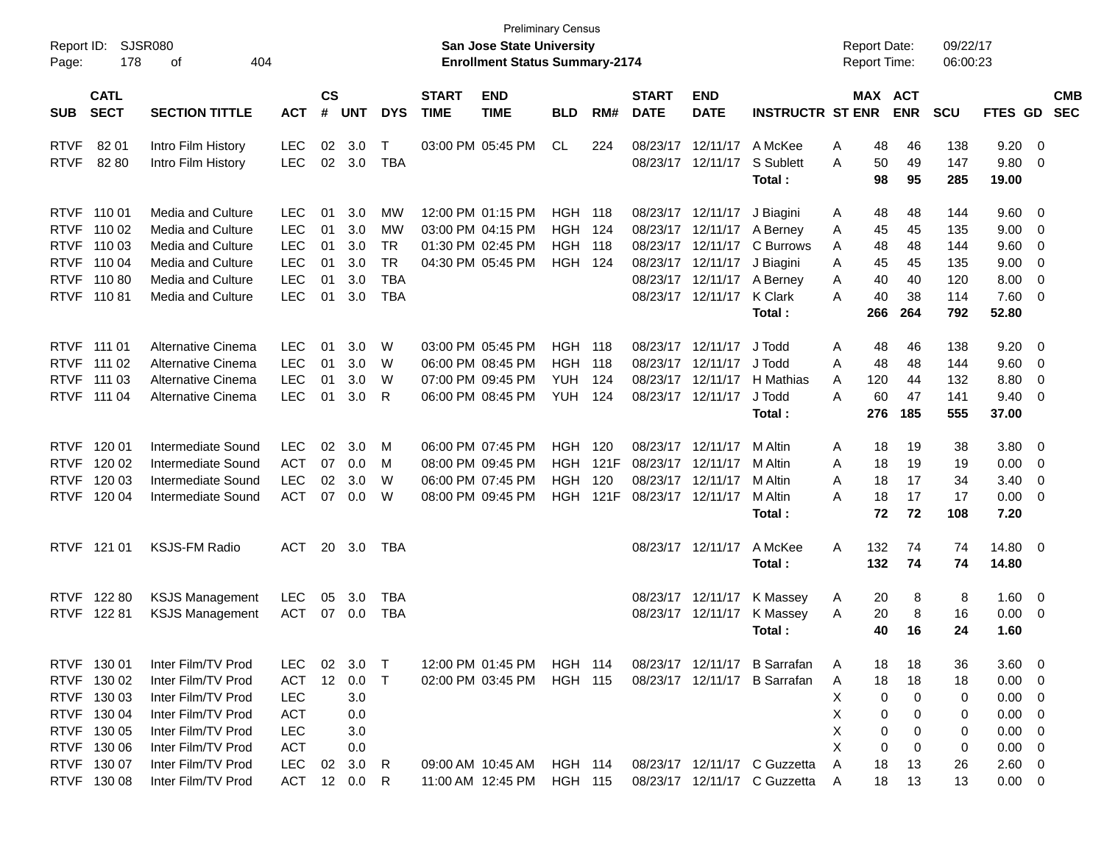| Report ID:<br>Page: | 178                        | <b>SJSR080</b><br>404<br>οf |                    |            |            |                             |                           | San Jose State University<br><b>Enrollment Status Summary-2174</b> | <b>Preliminary Census</b> |                             |                           |                         |                              |   | <b>Report Date:</b><br><b>Report Time:</b> |            | 09/22/17<br>06:00:23 |                |                          |  |
|---------------------|----------------------------|-----------------------------|--------------------|------------|------------|-----------------------------|---------------------------|--------------------------------------------------------------------|---------------------------|-----------------------------|---------------------------|-------------------------|------------------------------|---|--------------------------------------------|------------|----------------------|----------------|--------------------------|--|
| <b>SUB</b>          | <b>CATL</b><br><b>SECT</b> | <b>ACT</b>                  | $\mathsf{cs}$<br># | <b>UNT</b> | <b>DYS</b> | <b>START</b><br><b>TIME</b> | <b>END</b><br><b>TIME</b> | <b>BLD</b>                                                         | RM#                       | <b>START</b><br><b>DATE</b> | <b>END</b><br><b>DATE</b> | <b>INSTRUCTR ST ENR</b> |                              |   | MAX ACT<br><b>ENR</b>                      | <b>SCU</b> | FTES GD              |                | <b>CMB</b><br><b>SEC</b> |  |
| <b>RTVF</b>         | 82 01                      | Intro Film History          | LEC                | 02         | 3.0        | T                           |                           | 03:00 PM 05:45 PM                                                  | CL                        | 224                         | 08/23/17                  | 12/11/17                | A McKee                      | Α | 48                                         | 46         | 138                  | 9.20           | $\overline{0}$           |  |
| <b>RTVF</b>         | 8280                       | Intro Film History          | <b>LEC</b>         | 02         | 3.0        | <b>TBA</b>                  |                           |                                                                    |                           |                             |                           | 08/23/17 12/11/17       | S Sublett<br>Total:          | Α | 50<br>98                                   | 49<br>95   | 147<br>285           | 9.80<br>19.00  | 0                        |  |
| <b>RTVF</b>         | 110 01                     | Media and Culture           | <b>LEC</b>         | 01         | 3.0        | МW                          |                           | 12:00 PM 01:15 PM                                                  | HGH                       | 118                         |                           | 08/23/17 12/11/17       | J Biagini                    | A | 48                                         | 48         | 144                  | 9.60           | $\overline{\mathbf{0}}$  |  |
| <b>RTVF</b>         | 110 02                     | Media and Culture           | <b>LEC</b>         | 01         | 3.0        | MW                          |                           | 03:00 PM 04:15 PM                                                  | <b>HGH</b>                | 124                         |                           | 08/23/17 12/11/17       | A Berney                     | A | 45                                         | 45         | 135                  | 9.00           | 0                        |  |
| <b>RTVF</b>         | 110 03                     | Media and Culture           | <b>LEC</b>         | 01         | 3.0        | <b>TR</b>                   |                           | 01:30 PM 02:45 PM                                                  | <b>HGH</b>                | 118                         | 08/23/17                  | 12/11/17                | C Burrows                    | A | 48                                         | 48         | 144                  | 9.60           | $\mathbf 0$              |  |
| <b>RTVF</b>         | 110 04                     | Media and Culture           | <b>LEC</b>         | 01         | 3.0        | <b>TR</b>                   |                           | 04:30 PM 05:45 PM                                                  | HGH                       | 124                         |                           | 08/23/17 12/11/17       | J Biagini                    | A | 45                                         | 45         | 135                  | 9.00           | 0                        |  |
| <b>RTVF</b>         | 11080                      | Media and Culture           | <b>LEC</b>         | 01         | 3.0        | <b>TBA</b>                  |                           |                                                                    |                           |                             |                           | 08/23/17 12/11/17       | A Berney                     | Α | 40                                         | 40         | 120                  | 8.00           | 0                        |  |
| <b>RTVF</b>         | 11081                      | Media and Culture           | <b>LEC</b>         | 01         | 3.0        | <b>TBA</b>                  |                           |                                                                    |                           |                             |                           | 08/23/17 12/11/17       | <b>K</b> Clark               | A | 40                                         | 38         | 114                  | 7.60           | 0                        |  |
|                     |                            |                             |                    |            |            |                             |                           |                                                                    |                           |                             |                           |                         | Total:                       |   | 266                                        | 264        | 792                  | 52.80          |                          |  |
|                     | RTVF 111 01                | Alternative Cinema          | <b>LEC</b>         | 01         | 3.0        | W                           |                           | 03:00 PM 05:45 PM                                                  | <b>HGH</b>                | 118                         |                           | 08/23/17 12/11/17       | J Todd                       | Α | 48                                         | 46         | 138                  | 9.20           | $\overline{\mathbf{0}}$  |  |
| <b>RTVF</b>         | 111 02                     | Alternative Cinema          | <b>LEC</b>         | 01         | 3.0        | W                           |                           | 06:00 PM 08:45 PM                                                  | <b>HGH</b>                | 118                         | 08/23/17                  | 12/11/17                | J Todd                       | A | 48                                         | 48         | 144                  | 9.60           | $\mathbf 0$              |  |
| <b>RTVF</b>         | 111 03                     | Alternative Cinema          | <b>LEC</b>         | 01         | 3.0        | W                           |                           | 07:00 PM 09:45 PM                                                  | <b>YUH</b>                | 124                         | 08/23/17                  | 12/11/17                | H Mathias                    | A | 120                                        | 44         | 132                  | 8.80           | 0                        |  |
| <b>RTVF</b>         | 111 04                     | Alternative Cinema          | <b>LEC</b>         | 01         | 3.0        | R                           |                           | 06:00 PM 08:45 PM                                                  | <b>YUH</b>                | 124                         |                           | 08/23/17 12/11/17       | J Todd                       | A | 60                                         | 47         | 141                  | 9.40           | 0                        |  |
|                     |                            |                             |                    |            |            |                             |                           |                                                                    |                           |                             |                           |                         | Total:                       |   | 276                                        | 185        | 555                  | 37.00          |                          |  |
| <b>RTVF</b>         | 120 01                     | Intermediate Sound          | <b>LEC</b>         | 02         | 3.0        | М                           |                           | 06:00 PM 07:45 PM                                                  | <b>HGH</b>                | 120                         |                           | 08/23/17 12/11/17       | M Altin                      | Α | 18                                         | 19         | 38                   | 3.80           | 0                        |  |
| <b>RTVF</b>         | 120 02                     | Intermediate Sound          | <b>ACT</b>         | 07         | 0.0        | М                           |                           | 08:00 PM 09:45 PM                                                  | HGH                       | 121F                        | 08/23/17                  | 12/11/17                | M Altin                      | A | 18                                         | 19         | 19                   | 0.00           | 0                        |  |
| <b>RTVF</b>         | 120 03                     | Intermediate Sound          | <b>LEC</b>         | 02         | 3.0        | W                           |                           | 06:00 PM 07:45 PM                                                  | <b>HGH</b>                | 120                         |                           | 08/23/17 12/11/17       | M Altin                      | A | 18                                         | 17         | 34                   | 3.40           | 0                        |  |
| <b>RTVF</b>         | 120 04                     | Intermediate Sound          | <b>ACT</b>         | 07         | 0.0        | W                           |                           | 08:00 PM 09:45 PM                                                  | HGH                       | 121F                        | 08/23/17 12/11/17         |                         | M Altin                      | Α | 18                                         | 17         | 17                   | 0.00           | 0                        |  |
|                     |                            |                             |                    |            |            |                             |                           |                                                                    |                           |                             |                           |                         | Total:                       |   | 72                                         | 72         | 108                  | 7.20           |                          |  |
|                     | RTVF 121 01                | <b>KSJS-FM Radio</b>        | ACT                | 20         | 3.0        | TBA                         |                           |                                                                    |                           |                             |                           | 08/23/17 12/11/17       | A McKee                      | Α | 132                                        | 74         | 74                   | 14.80          | $\overline{\mathbf{0}}$  |  |
|                     |                            |                             |                    |            |            |                             |                           |                                                                    |                           |                             |                           |                         | Total:                       |   | 132                                        | 74         | 74                   | 14.80          |                          |  |
|                     | RTVF 122 80                | <b>KSJS Management</b>      | LEC                | 05         | 3.0        | TBA                         |                           |                                                                    |                           |                             |                           | 08/23/17 12/11/17       | K Massey                     | A | 20                                         | 8          | 8                    | 1.60           | $\overline{0}$           |  |
| <b>RTVF</b>         | 122 81                     | <b>KSJS Management</b>      | <b>ACT</b>         | 07         | 0.0        | TBA                         |                           |                                                                    |                           |                             |                           | 08/23/17 12/11/17       | K Massey                     | A | 20                                         | 8          | 16                   | 0.00           | - 0                      |  |
|                     |                            |                             |                    |            |            |                             |                           |                                                                    |                           |                             |                           |                         | Total:                       |   | 40                                         | 16         | 24                   | 1.60           |                          |  |
|                     | RTVF 130 01                | Inter Film/TV Prod          | <b>LEC</b>         | 02         | 3.0        | $\top$                      |                           | 12:00 PM 01:45 PM                                                  | <b>HGH 114</b>            |                             |                           |                         | 08/23/17 12/11/17 B Sarrafan | A | 18                                         | 18         | 36                   | 3.60           | $\overline{\phantom{0}}$ |  |
|                     | RTVF 130 02                | Inter Film/TV Prod          | <b>ACT</b>         | 12         | 0.0        | $\top$                      |                           | 02:00 PM 03:45 PM                                                  | <b>HGH 115</b>            |                             |                           |                         | 08/23/17 12/11/17 B Sarrafan | A | 18                                         | 18         | 18                   | 0.00           | - 0                      |  |
|                     | RTVF 130 03                | Inter Film/TV Prod          | <b>LEC</b>         |            | 3.0        |                             |                           |                                                                    |                           |                             |                           |                         |                              | х | 0                                          | 0          | 0                    | 0.00           | $\overline{\mathbf{0}}$  |  |
|                     | RTVF 130 04                | Inter Film/TV Prod          | <b>ACT</b>         |            | 0.0        |                             |                           |                                                                    |                           |                             |                           |                         |                              | х | 0                                          | 0          | 0                    | 0.00           | - 0                      |  |
|                     | RTVF 130 05                | Inter Film/TV Prod          | <b>LEC</b>         |            | 3.0        |                             |                           |                                                                    |                           |                             |                           |                         |                              | х | 0                                          | 0          | 0                    | 0.00           | - 0                      |  |
|                     | RTVF 130 06                | Inter Film/TV Prod          | ACT                |            | 0.0        |                             |                           |                                                                    |                           |                             |                           |                         |                              | X | 0                                          | 0          | 0                    | 0.00           | $\overline{\mathbf{0}}$  |  |
|                     | RTVF 130 07                | Inter Film/TV Prod          | LEC                |            | 02 3.0     | R                           |                           | 09:00 AM 10:45 AM                                                  | <b>HGH 114</b>            |                             |                           |                         | 08/23/17 12/11/17 C Guzzetta | A | 18                                         | 13         | 26                   | $2.60 \quad 0$ |                          |  |
|                     | RTVF 130 08                | Inter Film/TV Prod          | <b>ACT</b>         |            | 12 0.0     | R                           |                           | 11:00 AM 12:45 PM                                                  | HGH 115                   |                             |                           |                         | 08/23/17 12/11/17 C Guzzetta | A | 18                                         | 13         | 13                   | $0.00 \t 0$    |                          |  |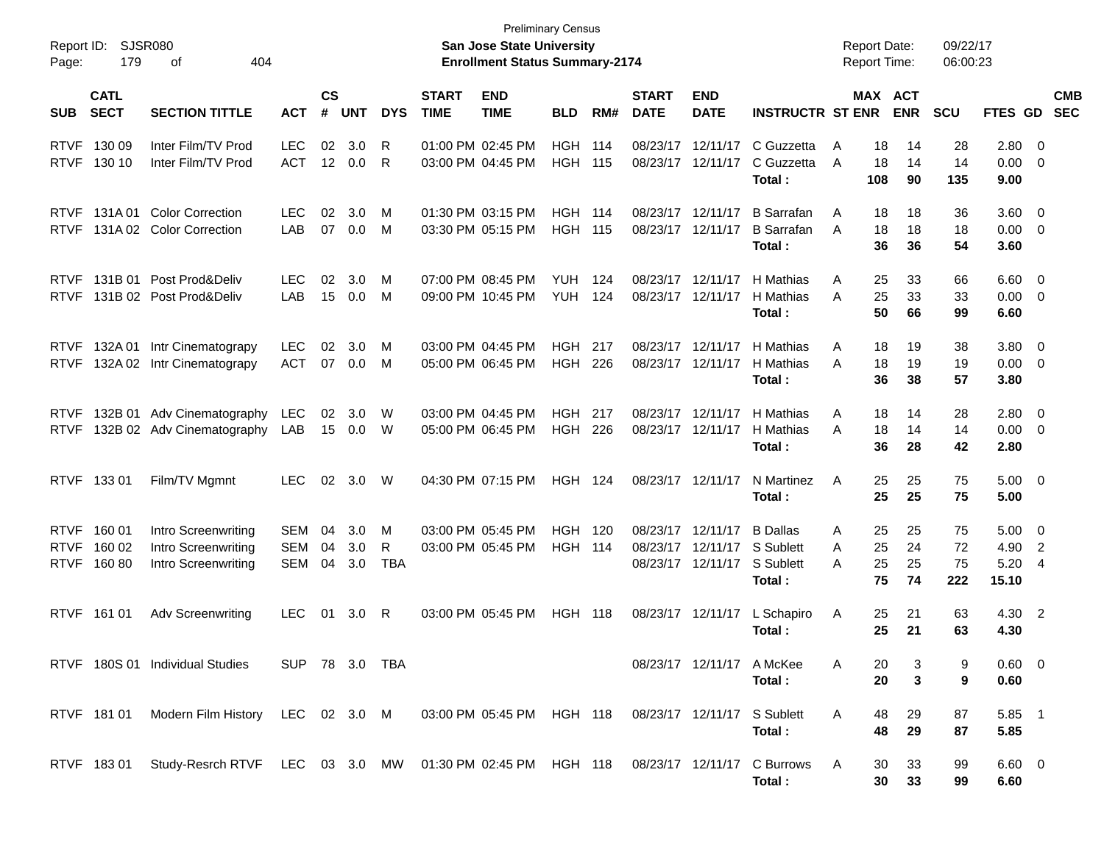| Report ID:<br>Page:                       | 179                        | SJSR080<br>404<br>οf                                                                               |                          |                        |                   |                      |                             | San Jose State University<br><b>Enrollment Status Summary-2174</b> | <b>Preliminary Census</b>        |            |                                        |                                                    |                                                     |             |                      | <b>Report Date:</b><br><b>Report Time:</b> | 09/22/17<br>06:00:23  |                               |                                    |                          |
|-------------------------------------------|----------------------------|----------------------------------------------------------------------------------------------------|--------------------------|------------------------|-------------------|----------------------|-----------------------------|--------------------------------------------------------------------|----------------------------------|------------|----------------------------------------|----------------------------------------------------|-----------------------------------------------------|-------------|----------------------|--------------------------------------------|-----------------------|-------------------------------|------------------------------------|--------------------------|
| <b>SUB</b>                                | <b>CATL</b><br><b>SECT</b> | <b>SECTION TITTLE</b>                                                                              | <b>ACT</b>               | $\mathsf{cs}$<br>#     | <b>UNT</b>        | <b>DYS</b>           | <b>START</b><br><b>TIME</b> | <b>END</b><br><b>TIME</b>                                          | <b>BLD</b>                       | RM#        | <b>START</b><br><b>DATE</b>            | <b>END</b><br><b>DATE</b>                          | <b>INSTRUCTR ST ENR</b>                             |             |                      | MAX ACT<br><b>ENR</b>                      | <b>SCU</b>            | <b>FTES GD</b>                |                                    | <b>CMB</b><br><b>SEC</b> |
| <b>RTVF</b><br><b>RTVF</b>                | 130 09<br>130 10           | Inter Film/TV Prod<br>Inter Film/TV Prod                                                           | <b>LEC</b><br><b>ACT</b> | 02<br>12 <sup>12</sup> | 3.0<br>0.0        | R<br>R               |                             | 01:00 PM 02:45 PM<br>03:00 PM 04:45 PM                             | <b>HGH 114</b><br><b>HGH 115</b> |            | 08/23/17<br>08/23/17 12/11/17          | 12/11/17                                           | C Guzzetta<br>C Guzzetta<br>Total:                  | A<br>A      | 18<br>18<br>108      | 14<br>14<br>90                             | 28<br>14<br>135       | 2.80 0<br>0.00<br>9.00        | - 0                                |                          |
| <b>RTVF</b><br><b>RTVF</b>                | 131A01                     | <b>Color Correction</b><br>131A 02 Color Correction                                                | <b>LEC</b><br>LAB        | 02<br>07               | 3.0<br>0.0        | М<br>м               |                             | 01:30 PM 03:15 PM<br>03:30 PM 05:15 PM                             | <b>HGH 114</b><br><b>HGH 115</b> |            | 08/23/17 12/11/17<br>08/23/17 12/11/17 |                                                    | <b>B</b> Sarrafan<br><b>B</b> Sarrafan<br>Total:    | A<br>A      | 18<br>18<br>36       | 18<br>18<br>36                             | 36<br>18<br>54        | 3.60<br>0.00<br>3.60          | $\overline{\mathbf{0}}$<br>- 0     |                          |
| <b>RTVF</b><br><b>RTVF</b>                | 131B 01                    | Post Prod&Deliv<br>131B 02 Post Prod&Deliv                                                         | <b>LEC</b><br>LAB        | 02<br>15               | 3.0<br>0.0        | М<br>M               |                             | 07:00 PM 08:45 PM<br>09:00 PM 10:45 PM                             | <b>YUH</b><br><b>YUH</b>         | 124<br>124 | 08/23/17<br>08/23/17                   | 12/11/17<br>12/11/17                               | H Mathias<br>H Mathias<br>Total:                    | A<br>A      | 25<br>25<br>50       | 33<br>33<br>66                             | 66<br>33<br>99        | 6.60<br>0.00<br>6.60          | $\overline{\phantom{0}}$<br>- 0    |                          |
| <b>RTVF</b><br><b>RTVF</b>                | 132A 01<br>132A 02         | Intr Cinematograpy<br>Intr Cinematograpy                                                           | <b>LEC</b><br><b>ACT</b> | 02                     | 3.0<br>07 0.0     | M<br>M               |                             | 03:00 PM 04:45 PM<br>05:00 PM 06:45 PM                             | <b>HGH 217</b><br><b>HGH</b>     | 226        | 08/23/17<br>08/23/17 12/11/17          | 12/11/17                                           | H Mathias<br>H Mathias<br>Total:                    | A<br>A      | 18<br>18<br>36       | 19<br>19<br>38                             | 38<br>19<br>57        | 3.80<br>0.00<br>3.80          | $\overline{\mathbf{0}}$<br>- 0     |                          |
| <b>RTVF</b><br><b>RTVF</b>                |                            | 132B 01 Adv Cinematography<br>132B 02 Adv Cinematography                                           | <b>LEC</b><br>LAB        | 02<br>15               | 3.0<br>0.0        | W<br>W               |                             | 03:00 PM 04:45 PM<br>05:00 PM 06:45 PM                             | <b>HGH 217</b><br>HGH            | 226        | 08/23/17<br>08/23/17 12/11/17          | 12/11/17                                           | H Mathias<br>H Mathias<br>Total:                    | Α<br>A      | 18<br>18<br>36       | 14<br>14<br>28                             | 28<br>14<br>42        | 2.80 0<br>0.00<br>2.80        | - 0                                |                          |
| <b>RTVF</b>                               | 13301                      | Film/TV Mgmnt                                                                                      | LEC.                     | 02                     | 3.0               | W                    |                             | 04:30 PM 07:15 PM                                                  | <b>HGH 124</b>                   |            | 08/23/17 12/11/17                      |                                                    | N Martinez<br>Total:                                | Α           | 25<br>25             | 25<br>25                                   | 75<br>75              | $5.00 \quad 0$<br>5.00        |                                    |                          |
| <b>RTVF</b><br><b>RTVF</b><br><b>RTVF</b> | 160 01<br>160 02<br>16080  | Intro Screenwriting<br>Intro Screenwriting<br>Intro Screenwriting                                  | SEM<br>SEM<br>SEM        | 04<br>04<br>04         | 3.0<br>3.0<br>3.0 | М<br>R<br><b>TBA</b> |                             | 03:00 PM 05:45 PM<br>03:00 PM 05:45 PM                             | <b>HGH 120</b><br><b>HGH 114</b> |            | 08/23/17                               | 08/23/17 12/11/17<br>12/11/17<br>08/23/17 12/11/17 | <b>B</b> Dallas<br>S Sublett<br>S Sublett<br>Total: | A<br>A<br>A | 25<br>25<br>25<br>75 | 25<br>24<br>25<br>74                       | 75<br>72<br>75<br>222 | 5.00<br>4.90<br>5.20<br>15.10 | $\overline{\mathbf{0}}$<br>2<br>-4 |                          |
| <b>RTVF</b>                               | 161 01                     | <b>Adv Screenwriting</b>                                                                           | <b>LEC</b>               | 01                     | 3.0               | R                    |                             | 03:00 PM 05:45 PM                                                  | <b>HGH 118</b>                   |            |                                        | 08/23/17 12/11/17                                  | L Schapiro<br>Total:                                | Α           | 25<br>25             | 21<br>21                                   | 63<br>63              | 4.30 2<br>4.30                |                                    |                          |
|                                           |                            | RTVF 180S 01 Individual Studies                                                                    | SUP 78 3.0 TBA           |                        |                   |                      |                             |                                                                    |                                  |            |                                        | 08/23/17 12/11/17 A McKee                          | Total:                                              | A           | 20<br>20             | 3<br>3                                     | 9                     | $0.60 \quad 0$<br>0.60        |                                    |                          |
|                                           |                            | RTVF 181 01 Modern Film History LEC 02 3.0 M 03:00 PM 05:45 PM HGH 118 08/23/17 12/11/17 S Sublett |                          |                        |                   |                      |                             |                                                                    |                                  |            |                                        |                                                    | Total:                                              | A           | 48<br>48             | 29<br>29                                   | 87<br>87              | $5.85$ 1<br>5.85              |                                    |                          |
|                                           | RTVF 18301                 | Study-Resrch RTVF LEC 03 3.0 MW 01:30 PM 02:45 PM HGH 118 08/23/17 12/11/17 C Burrows              |                          |                        |                   |                      |                             |                                                                    |                                  |            |                                        |                                                    | Total:                                              | A           | 30<br>30             | 33<br>33                                   | 99<br>99              | $6.60 \quad 0$<br>6.60        |                                    |                          |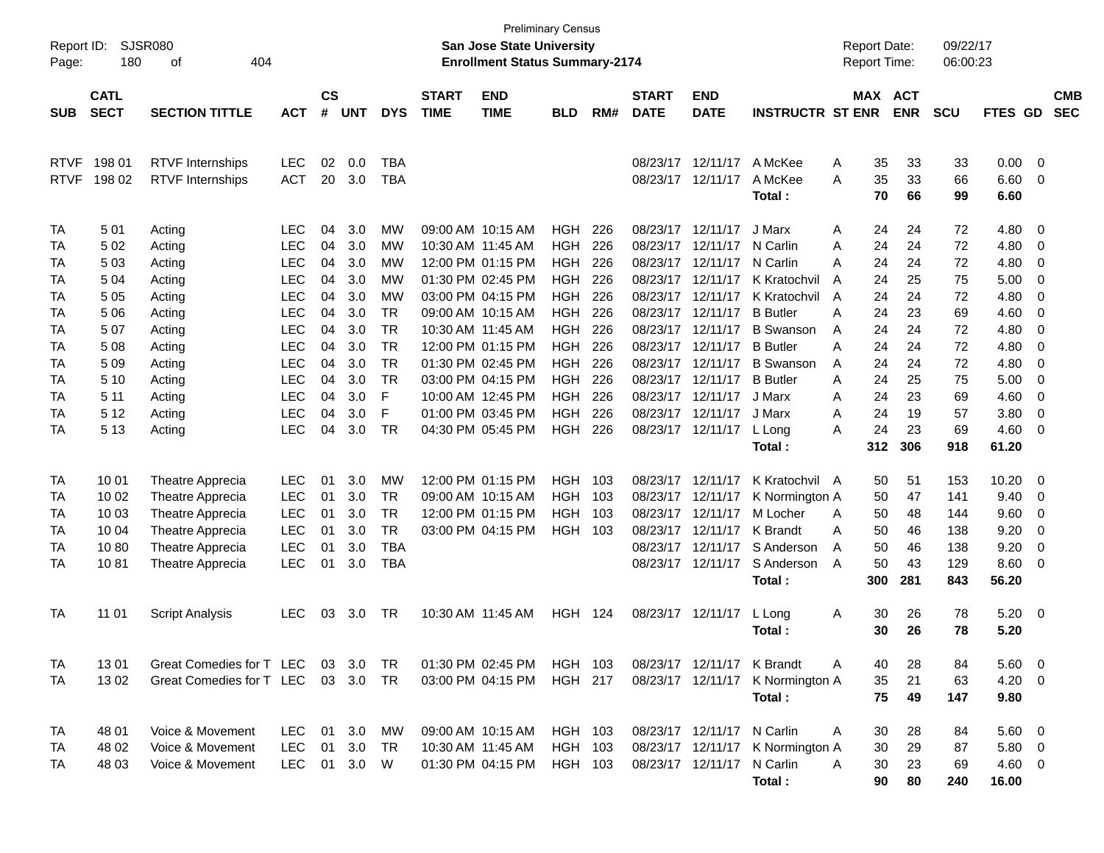| Report ID:<br>Page: | 180                        | <b>SJSR080</b><br>404<br>оf |                    |            |            |                             |                           | <b>Preliminary Census</b><br><b>San Jose State University</b><br><b>Enrollment Status Summary-2174</b> |                |                             |                           |                            |                  |         | <b>Report Date:</b><br><b>Report Time:</b> |            | 09/22/17<br>06:00:23 |             |                          |  |
|---------------------|----------------------------|-----------------------------|--------------------|------------|------------|-----------------------------|---------------------------|--------------------------------------------------------------------------------------------------------|----------------|-----------------------------|---------------------------|----------------------------|------------------|---------|--------------------------------------------|------------|----------------------|-------------|--------------------------|--|
| <b>SUB</b>          | <b>CATL</b><br><b>SECT</b> | <b>ACT</b>                  | $\mathsf{cs}$<br># | <b>UNT</b> | <b>DYS</b> | <b>START</b><br><b>TIME</b> | <b>END</b><br><b>TIME</b> | <b>BLD</b>                                                                                             | RM#            | <b>START</b><br><b>DATE</b> | <b>END</b><br><b>DATE</b> | <b>INSTRUCTR ST ENR</b>    |                  | MAX ACT | <b>ENR</b>                                 | <b>SCU</b> | FTES GD              |             | <b>CMB</b><br><b>SEC</b> |  |
|                     |                            | <b>SECTION TITTLE</b>       |                    |            |            |                             |                           |                                                                                                        |                |                             |                           |                            |                  |         |                                            |            |                      |             |                          |  |
| <b>RTVF</b>         | 198 01                     | <b>RTVF</b> Internships     | <b>LEC</b>         | 02         | 0.0        | <b>TBA</b>                  |                           |                                                                                                        |                |                             | 08/23/17                  | 12/11/17                   | A McKee          | A       | 35                                         | 33         | 33                   | 0.00        | - 0                      |  |
| <b>RTVF</b>         | 198 02                     | <b>RTVF</b> Internships     | <b>ACT</b>         | 20         | 3.0        | <b>TBA</b>                  |                           |                                                                                                        |                |                             |                           | 08/23/17 12/11/17          | A McKee          | A       | 35                                         | 33         | 66                   | 6.60        | $\overline{0}$           |  |
|                     |                            |                             |                    |            |            |                             |                           |                                                                                                        |                |                             |                           |                            | Total:           |         | 70                                         | 66         | 99                   | 6.60        |                          |  |
| <b>TA</b>           | 501                        | Acting                      | <b>LEC</b>         | 04         | 3.0        | <b>MW</b>                   |                           | 09:00 AM 10:15 AM                                                                                      | <b>HGH</b>     | 226                         | 08/23/17                  | 12/11/17                   | J Marx           | A       | 24                                         | 24         | 72                   | 4.80        | 0                        |  |
| <b>TA</b>           | 5 0 2                      | Acting                      | <b>LEC</b>         | 04         | 3.0        | МW                          | 10:30 AM 11:45 AM         |                                                                                                        | <b>HGH</b>     | 226                         | 08/23/17                  | 12/11/17                   | N Carlin         | A       | 24                                         | 24         | 72                   | 4.80        | 0                        |  |
| TA                  | 503                        | Acting                      | <b>LEC</b>         | 04         | 3.0        | МW                          |                           | 12:00 PM 01:15 PM                                                                                      | <b>HGH</b>     | 226                         | 08/23/17                  | 12/11/17                   | N Carlin         | А       | 24                                         | 24         | 72                   | 4.80        | 0                        |  |
| <b>TA</b>           | 504                        | Acting                      | <b>LEC</b>         | 04         | 3.0        | <b>MW</b>                   |                           | 01:30 PM 02:45 PM                                                                                      | <b>HGH</b>     | 226                         | 08/23/17                  | 12/11/17                   | K Kratochvil     | A       | 24                                         | 25         | 75                   | 5.00        | 0                        |  |
| <b>TA</b>           | 505                        | Acting                      | <b>LEC</b>         | 04         | 3.0        | <b>MW</b>                   |                           | 03:00 PM 04:15 PM                                                                                      | <b>HGH</b>     | 226                         | 08/23/17                  | 12/11/17                   | K Kratochvil     | A       | 24                                         | 24         | 72                   | 4.80        | $\mathbf 0$              |  |
| <b>TA</b>           | 5 0 6                      | Acting                      | <b>LEC</b>         | 04         | 3.0        | <b>TR</b>                   |                           | 09:00 AM 10:15 AM                                                                                      | <b>HGH</b>     | 226                         | 08/23/17                  | 12/11/17                   | <b>B</b> Butler  | Α       | 24                                         | 23         | 69                   | 4.60        | 0                        |  |
| <b>TA</b>           | 507                        | Acting                      | <b>LEC</b>         | 04         | 3.0        | <b>TR</b>                   | 10:30 AM 11:45 AM         |                                                                                                        | <b>HGH</b>     | 226                         | 08/23/17                  | 12/11/17                   | <b>B</b> Swanson | A       | 24                                         | 24         | 72                   | 4.80        | $\mathbf 0$              |  |
| <b>TA</b>           | 508                        | Acting                      | <b>LEC</b>         | 04         | 3.0        | <b>TR</b>                   |                           | 12:00 PM 01:15 PM                                                                                      | <b>HGH</b>     | 226                         | 08/23/17                  | 12/11/17                   | <b>B</b> Butler  | Α       | 24                                         | 24         | 72                   | 4.80        | $\mathbf 0$              |  |
| <b>TA</b>           | 5 0 9                      | Acting                      | <b>LEC</b>         | 04         | 3.0        | <b>TR</b>                   |                           | 01:30 PM 02:45 PM                                                                                      | <b>HGH</b>     | 226                         | 08/23/17                  | 12/11/17                   | <b>B</b> Swanson | A       | 24                                         | 24         | 72                   | 4.80        | $\mathbf 0$              |  |
| TA                  | 5 1 0                      | Acting                      | <b>LEC</b>         | 04         | 3.0        | <b>TR</b>                   |                           | 03:00 PM 04:15 PM                                                                                      | <b>HGH</b>     | 226                         | 08/23/17                  | 12/11/17                   | <b>B</b> Butler  | Α       | 24                                         | 25         | 75                   | 5.00        | $\mathbf 0$              |  |
| <b>TA</b>           | 5 1 1                      | Acting                      | <b>LEC</b>         | 04         | 3.0        | F                           |                           | 10:00 AM 12:45 PM                                                                                      | <b>HGH</b>     | 226                         | 08/23/17                  | 12/11/17                   | J Marx           | A       | 24                                         | 23         | 69                   | 4.60        | $\mathbf 0$              |  |
| <b>TA</b>           | 5 1 2                      | Acting                      | <b>LEC</b>         | 04         | 3.0        | F                           |                           | 01:00 PM 03:45 PM                                                                                      | <b>HGH</b>     | 226                         | 08/23/17                  | 12/11/17                   | J Marx           | A       | 24                                         | 19         | 57                   | 3.80        | $\mathbf 0$              |  |
| TA                  | 5 1 3                      | Acting                      | <b>LEC</b>         | 04         | 3.0        | <b>TR</b>                   |                           | 04:30 PM 05:45 PM                                                                                      | <b>HGH</b>     | 226                         | 08/23/17                  | 12/11/17                   | L Long           | A       | 24                                         | 23         | 69                   | 4.60        | $\mathbf 0$              |  |
|                     |                            |                             |                    |            |            |                             |                           |                                                                                                        |                |                             |                           |                            | Total:           |         | 312                                        | 306        | 918                  | 61.20       |                          |  |
| <b>TA</b>           | 10 01                      | Theatre Apprecia            | <b>LEC</b>         | 01         | 3.0        | <b>MW</b>                   |                           | 12:00 PM 01:15 PM                                                                                      | <b>HGH</b>     | 103                         | 08/23/17                  | 12/11/17                   | K Kratochvil A   |         | 50                                         | 51         | 153                  | 10.20       | 0                        |  |
| TA                  | 10 02                      | Theatre Apprecia            | <b>LEC</b>         | 01         | 3.0        | <b>TR</b>                   |                           | 09:00 AM 10:15 AM                                                                                      | <b>HGH</b>     | 103                         | 08/23/17                  | 12/11/17                   | K Normington A   |         | 50                                         | 47         | 141                  | 9.40        | 0                        |  |
| TA                  | 10 03                      | Theatre Apprecia            | <b>LEC</b>         | 01         | 3.0        | <b>TR</b>                   |                           | 12:00 PM 01:15 PM                                                                                      | <b>HGH</b>     | 103                         | 08/23/17                  | 12/11/17                   | M Locher         | A       | 50                                         | 48         | 144                  | 9.60        | 0                        |  |
| <b>TA</b>           | 10 04                      | Theatre Apprecia            | <b>LEC</b>         | 01         | 3.0        | <b>TR</b>                   |                           | 03:00 PM 04:15 PM                                                                                      | <b>HGH</b>     | - 103                       | 08/23/17                  | 12/11/17                   | <b>K</b> Brandt  | A       | 50                                         | 46         | 138                  | 9.20        | $\mathbf 0$              |  |
| <b>TA</b>           | 1080                       | Theatre Apprecia            | <b>LEC</b>         | 01         | 3.0        | <b>TBA</b>                  |                           |                                                                                                        |                |                             | 08/23/17                  | 12/11/17                   | S Anderson       | A       | 50                                         | 46         | 138                  | 9.20        | 0                        |  |
| <b>TA</b>           | 1081                       | Theatre Apprecia            | <b>LEC</b>         | 01         | 3.0        | <b>TBA</b>                  |                           |                                                                                                        |                |                             |                           | 08/23/17 12/11/17          | S Anderson       | A       | 50                                         | 43         | 129                  | 8.60        | $\mathbf 0$              |  |
|                     |                            |                             |                    |            |            |                             |                           |                                                                                                        |                |                             |                           |                            | Total:           |         | 300                                        | 281        | 843                  | 56.20       |                          |  |
| <b>TA</b>           | 11 01                      | <b>Script Analysis</b>      | <b>LEC</b>         | 03         | 3.0        | <b>TR</b>                   |                           | 10:30 AM 11:45 AM                                                                                      | <b>HGH 124</b> |                             | 08/23/17 12/11/17         |                            | L Long           | Α       | 30                                         | 26         | 78                   | 5.20        | $\overline{\mathbf{0}}$  |  |
|                     |                            |                             |                    |            |            |                             |                           |                                                                                                        |                |                             |                           |                            | Total:           |         | 30                                         | 26         | 78                   | 5.20        |                          |  |
| TA                  | 1301                       | Great Comedies for T LEC    |                    |            | 03 3.0     | TR                          |                           | 01:30 PM 02:45 PM                                                                                      | HGH 103        |                             |                           | 08/23/17 12/11/17 K Brandt |                  | A       | 40                                         | 28         | 84                   | 5.60        | $\overline{\phantom{0}}$ |  |
| TA                  | 1302                       | Great Comedies for T LEC    |                    |            | 03 3.0     | <b>TR</b>                   |                           | 03:00 PM 04:15 PM                                                                                      | <b>HGH 217</b> |                             |                           | 08/23/17 12/11/17          | K Normington A   |         | 35                                         | 21         | 63                   | $4.20 \ 0$  |                          |  |
|                     |                            |                             |                    |            |            |                             |                           |                                                                                                        |                |                             |                           |                            | Total:           |         | 75                                         | 49         | 147                  | 9.80        |                          |  |
| TA                  | 48 01                      | Voice & Movement            | <b>LEC</b>         | 01         | 3.0        | MW                          |                           | 09:00 AM 10:15 AM                                                                                      | HGH 103        |                             |                           | 08/23/17 12/11/17 N Carlin |                  | A       | 30                                         | 28         | 84                   | $5.60 \t 0$ |                          |  |
| TA                  | 48 02                      | Voice & Movement            | <b>LEC</b>         | 01         | 3.0        | <b>TR</b>                   | 10:30 AM 11:45 AM         |                                                                                                        | HGH 103        |                             |                           | 08/23/17 12/11/17          | K Normington A   |         | 30                                         | 29         | 87                   | 5.80 0      |                          |  |
| TA                  | 48 03                      | Voice & Movement            | <b>LEC</b>         | 01         | 3.0        | W                           |                           | 01:30 PM 04:15 PM                                                                                      | HGH 103        |                             |                           | 08/23/17 12/11/17          | N Carlin         | Α       | 30                                         | 23         | 69                   | 4.60 0      |                          |  |
|                     |                            |                             |                    |            |            |                             |                           |                                                                                                        |                |                             |                           |                            | Total:           |         | 90                                         | 80         | 240                  | 16.00       |                          |  |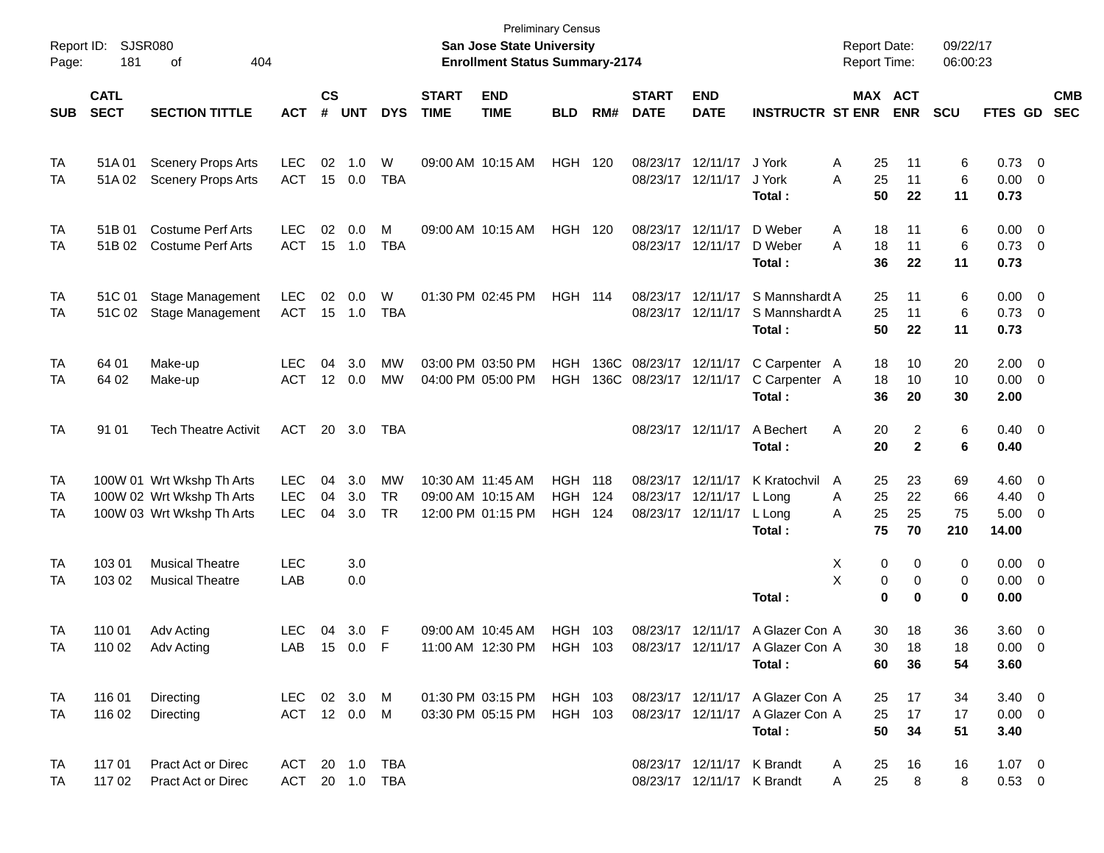| Report ID:<br>Page: | <b>SJSR080</b><br>181                                             |                                                                                     |                                        |                    |                   |                              | <b>Preliminary Census</b><br><b>San Jose State University</b><br><b>Enrollment Status Summary-2174</b> |                                        |                                        |                   |                             |                                                          | <b>Report Date:</b><br><b>Report Time:</b>                                     |                                     | 09/22/17<br>06:00:23 |                       |                                       |                                                    |                          |
|---------------------|-------------------------------------------------------------------|-------------------------------------------------------------------------------------|----------------------------------------|--------------------|-------------------|------------------------------|--------------------------------------------------------------------------------------------------------|----------------------------------------|----------------------------------------|-------------------|-----------------------------|----------------------------------------------------------|--------------------------------------------------------------------------------|-------------------------------------|----------------------|-----------------------|---------------------------------------|----------------------------------------------------|--------------------------|
| <b>SUB</b>          | <b>CATL</b><br><b>SECT</b><br><b>SECTION TITTLE</b><br><b>ACT</b> |                                                                                     |                                        | $\mathsf{cs}$<br># | <b>UNT</b>        | <b>DYS</b>                   | <b>START</b><br><b>TIME</b>                                                                            | <b>END</b><br><b>TIME</b>              | <b>BLD</b>                             | RM#               | <b>START</b><br><b>DATE</b> | <b>END</b><br><b>DATE</b>                                | <b>INSTRUCTR ST ENR</b>                                                        | MAX ACT                             | <b>ENR</b>           | <b>SCU</b>            | <b>FTES GD</b>                        |                                                    | <b>CMB</b><br><b>SEC</b> |
| TA<br>TA            | 51A 01<br>51A02                                                   | <b>Scenery Props Arts</b><br><b>Scenery Props Arts</b>                              | <b>LEC</b><br><b>ACT</b>               | 02<br>15           | 1.0<br>0.0        | W<br><b>TBA</b>              | 09:00 AM 10:15 AM                                                                                      |                                        | <b>HGH</b>                             | 120               | 08/23/17                    | 12/11/17<br>08/23/17 12/11/17                            | J York<br>J York                                                               | Α<br>25<br>Α<br>25                  | 11<br>11             | 6<br>6                | 0.73<br>0.00                          | - 0<br>0                                           |                          |
| TA<br>TA            | 51B 01<br>51B 02                                                  | <b>Costume Perf Arts</b><br><b>Costume Perf Arts</b>                                | <b>LEC</b><br><b>ACT</b>               | 02<br>15           | 0.0<br>1.0        | М<br><b>TBA</b>              | 09:00 AM 10:15 AM                                                                                      |                                        | HGH                                    | 120               | 08/23/17                    | 12/11/17<br>08/23/17 12/11/17                            | Total:<br>D Weber<br>D Weber                                                   | 50<br>Α<br>18<br>А<br>18            | 22<br>11<br>11       | 11<br>6<br>6          | 0.73<br>0.00<br>0.73                  | $\overline{\mathbf{0}}$<br>$\overline{\mathbf{0}}$ |                          |
| TA                  | 51C 01                                                            | <b>Stage Management</b>                                                             | <b>LEC</b>                             | 02                 | 0.0               | W                            |                                                                                                        | 01:30 PM 02:45 PM                      | HGH                                    | 114               | 08/23/17                    | 12/11/17                                                 | Total:<br>S Mannshardt A                                                       | 36<br>25                            | 22<br>11             | 11<br>6               | 0.73<br>0.00                          | $\overline{\mathbf{0}}$                            |                          |
| TA                  | 51C 02                                                            | Stage Management                                                                    | <b>ACT</b>                             |                    | 15 1.0            | <b>TBA</b>                   |                                                                                                        |                                        |                                        |                   |                             | 08/23/17 12/11/17                                        | S Mannshardt A<br>Total:                                                       | 25<br>50                            | 11<br>22             | 6<br>11               | 0.73<br>0.73                          | $\overline{\mathbf{0}}$                            |                          |
| TA<br>TA            | 64 01<br>64 02                                                    | Make-up<br>Make-up                                                                  | <b>LEC</b><br><b>ACT</b>               | 04<br>12           | 3.0<br>0.0        | MW<br>MW                     | 03:00 PM 03:50 PM                                                                                      | 04:00 PM 05:00 PM                      | <b>HGH</b><br><b>HGH</b>               | 136C<br>136C      | 08/23/17<br>08/23/17        | 12/11/17<br>12/11/17                                     | C Carpenter A<br>C Carpenter A<br>Total:                                       | 18<br>18<br>36                      | 10<br>10<br>20       | 20<br>10<br>30        | 2.00<br>0.00<br>2.00                  | $\mathbf 0$<br>0                                   |                          |
| TA                  | 91 01                                                             | <b>Tech Theatre Activit</b>                                                         | <b>ACT</b>                             | 20                 | 3.0               | TBA                          |                                                                                                        |                                        |                                        |                   |                             | 08/23/17 12/11/17                                        | A Bechert<br>Total:                                                            | Α<br>20<br>20                       | 2<br>$\mathbf{2}$    | 6<br>6                | 0.40<br>0.40                          | $\overline{\phantom{0}}$                           |                          |
| TA<br>TA<br>TA      |                                                                   | 100W 01 Wrt Wkshp Th Arts<br>100W 02 Wrt Wkshp Th Arts<br>100W 03 Wrt Wkshp Th Arts | <b>LEC</b><br><b>LEC</b><br><b>LEC</b> | 04<br>04<br>04     | 3.0<br>3.0<br>3.0 | MW<br><b>TR</b><br><b>TR</b> | 10:30 AM 11:45 AM<br>09:00 AM 10:15 AM                                                                 | 12:00 PM 01:15 PM                      | <b>HGH</b><br><b>HGH</b><br><b>HGH</b> | 118<br>124<br>124 | 08/23/17<br>08/23/17        | 12/11/17<br>12/11/17<br>08/23/17 12/11/17                | K Kratochvil<br>L Long<br>L Long<br>Total:                                     | A<br>25<br>25<br>Α<br>25<br>A<br>75 | 23<br>22<br>25<br>70 | 69<br>66<br>75<br>210 | 4.60<br>4.40<br>5.00<br>14.00         | $\overline{0}$<br>$\mathbf 0$<br>0                 |                          |
| TA<br>TA            | 103 01<br>103 02                                                  | <b>Musical Theatre</b><br><b>Musical Theatre</b>                                    | <b>LEC</b><br>LAB                      |                    | 3.0<br>0.0        |                              |                                                                                                        |                                        |                                        |                   |                             |                                                          | Total:                                                                         | X<br>0<br>X<br>0<br>$\bf{0}$        | 0<br>0<br>0          | 0<br>0<br>0           | 0.00<br>0.00<br>0.00                  | $\overline{\mathbf{0}}$<br>0                       |                          |
| TA<br>TA            | 110 01<br>110 02                                                  | Adv Acting<br>Adv Acting                                                            | <b>LEC</b><br>LAB 15 0.0 F             | 04                 | 3.0               | F                            | 09:00 AM 10:45 AM                                                                                      | 11:00 AM 12:30 PM                      | <b>HGH</b><br>HGH 103                  | 103               |                             | 08/23/17 12/11/17                                        | A Glazer Con A<br>08/23/17 12/11/17 A Glazer Con A<br>Total:                   | 30<br>30<br>60                      | 18<br>18<br>36       | 36<br>18<br>54        | 3.60<br>$0.00 \t 0$<br>3.60           | $\overline{0}$                                     |                          |
| TA<br>TA            | 116 01<br>116 02                                                  | Directing<br>Directing                                                              | LEC 02 3.0 M<br>ACT 12 0.0 M           |                    |                   |                              |                                                                                                        | 01:30 PM 03:15 PM<br>03:30 PM 05:15 PM | HGH 103<br>HGH 103                     |                   |                             |                                                          | 08/23/17 12/11/17 A Glazer Con A<br>08/23/17 12/11/17 A Glazer Con A<br>Total: | 25<br>25<br>50                      | 17<br>17<br>34       | 34<br>17<br>51        | $3.40 \quad 0$<br>$0.00 \t 0$<br>3.40 |                                                    |                          |
| TA<br>TA            | 117 01<br>117 02                                                  | <b>Pract Act or Direc</b><br>Pract Act or Direc                                     | ACT 20 1.0 TBA<br>ACT 20 1.0 TBA       |                    |                   |                              |                                                                                                        |                                        |                                        |                   |                             | 08/23/17 12/11/17 K Brandt<br>08/23/17 12/11/17 K Brandt |                                                                                | 25<br>A<br>25<br>A                  | 16<br>8              | 16<br>8               | $1.07 \t 0$<br>$0.53 \t 0$            |                                                    |                          |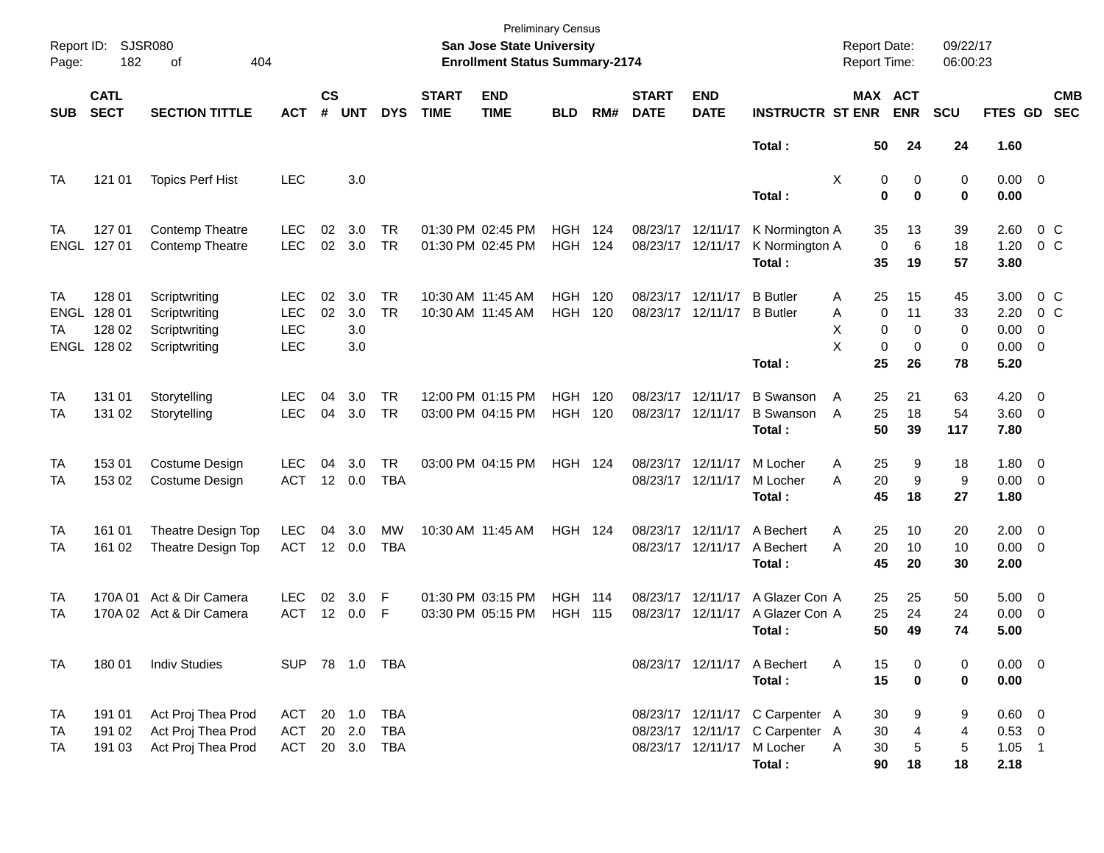| Report ID:<br>Page:                 | 182                                       | <b>SJSR080</b><br>404<br>οf                                      |                                               |                    |                                    |                         |                             | <b>Preliminary Census</b><br>San Jose State University<br><b>Enrollment Status Summary-2174</b> |                    |              |                                        |                           |                                                                                          | <b>Report Date:</b><br>Report Time:                |                                    | 09/22/17<br>06:00:23     |                                             |                                       |                          |
|-------------------------------------|-------------------------------------------|------------------------------------------------------------------|-----------------------------------------------|--------------------|------------------------------------|-------------------------|-----------------------------|-------------------------------------------------------------------------------------------------|--------------------|--------------|----------------------------------------|---------------------------|------------------------------------------------------------------------------------------|----------------------------------------------------|------------------------------------|--------------------------|---------------------------------------------|---------------------------------------|--------------------------|
| <b>SUB</b>                          | <b>CATL</b><br><b>SECT</b>                | <b>SECTION TITTLE</b>                                            | <b>ACT</b>                                    | $\mathsf{cs}$<br># | <b>UNT</b>                         | <b>DYS</b>              | <b>START</b><br><b>TIME</b> | <b>END</b><br><b>TIME</b>                                                                       | <b>BLD</b>         | RM#          | <b>START</b><br><b>DATE</b>            | <b>END</b><br><b>DATE</b> | <b>INSTRUCTR ST ENR</b>                                                                  |                                                    | MAX ACT<br><b>ENR</b>              | <b>SCU</b>               | FTES GD                                     |                                       | <b>CMB</b><br><b>SEC</b> |
|                                     |                                           |                                                                  |                                               |                    |                                    |                         |                             |                                                                                                 |                    |              |                                        |                           | Total:                                                                                   | 50                                                 | 24                                 | 24                       | 1.60                                        |                                       |                          |
| TA                                  | 121 01                                    | <b>Topics Perf Hist</b>                                          | <b>LEC</b>                                    |                    | 3.0                                |                         |                             |                                                                                                 |                    |              |                                        |                           | Total:                                                                                   | Χ                                                  | 0<br>0<br>$\bf{0}$<br>$\bf{0}$     | 0<br>0                   | $0.00 \t 0$<br>0.00                         |                                       |                          |
| TA                                  | 127 01<br>ENGL 127 01                     | <b>Contemp Theatre</b><br>Contemp Theatre                        | LEC<br><b>LEC</b>                             | 02<br>02           | 3.0<br>3.0                         | TR.<br><b>TR</b>        |                             | 01:30 PM 02:45 PM<br>01:30 PM 02:45 PM                                                          | HGH<br><b>HGH</b>  | 124<br>124   | 08/23/17 12/11/17<br>08/23/17 12/11/17 |                           | K Normington A<br>K Normington A<br>Total:                                               | 35<br>$\mathbf 0$<br>35                            | 13<br>6<br>19                      | 39<br>18<br>57           | 2.60<br>1.20<br>3.80                        | 0 <sup>o</sup><br>0 <sup>o</sup>      |                          |
| TA<br>ENGL<br>TA                    | 128 01<br>128 01<br>128 02<br>ENGL 128 02 | Scriptwriting<br>Scriptwriting<br>Scriptwriting<br>Scriptwriting | LEC<br><b>LEC</b><br><b>LEC</b><br><b>LEC</b> | 02<br>02           | 3.0<br>3.0<br>3.0<br>3.0           | TR.<br><b>TR</b>        |                             | 10:30 AM 11:45 AM<br>10:30 AM 11:45 AM                                                          | HGH.<br><b>HGH</b> | 120<br>120   | 08/23/17 12/11/17                      | 08/23/17 12/11/17         | <b>B</b> Butler<br><b>B</b> Butler<br>Total:                                             | 25<br>Α<br>$\Omega$<br>A<br>х<br>0<br>X<br>0<br>25 | 15<br>11<br>0<br>$\mathbf 0$<br>26 | 45<br>33<br>0<br>0<br>78 | 3.00<br>2.20<br>0.00<br>$0.00 \t 0$<br>5.20 | 0 <sup>o</sup><br>0 <sup>o</sup><br>0 |                          |
| TA<br>TA                            | 131 01<br>131 02                          | Storytelling<br>Storytelling                                     | LEC<br><b>LEC</b>                             | 04<br>04           | 3.0<br>3.0                         | TR.<br><b>TR</b>        |                             | 12:00 PM 01:15 PM<br>03:00 PM 04:15 PM                                                          | HGH.<br><b>HGH</b> | 120<br>120   | 08/23/17 12/11/17<br>08/23/17 12/11/17 |                           | <b>B</b> Swanson<br><b>B</b> Swanson<br>Total:                                           | 25<br>Α<br>25<br>A<br>50                           | 21<br>18<br>39                     | 63<br>54<br>117          | 4.20<br>$3.60 \ 0$<br>7.80                  | $\overline{\phantom{0}}$              |                          |
| <b>TA</b><br>TA                     | 15301<br>153 02                           | Costume Design<br>Costume Design                                 | LEC<br><b>ACT</b>                             | 04<br>12           | 3.0<br>0.0                         | <b>TR</b><br><b>TBA</b> |                             | 03:00 PM 04:15 PM                                                                               | <b>HGH 124</b>     |              | 08/23/17 12/11/17<br>08/23/17 12/11/17 |                           | M Locher<br>M Locher<br>Total:                                                           | 25<br>Α<br>20<br>A<br>45                           | 9<br>9<br>18                       | 18<br>9<br>27            | $1.80 \ 0$<br>$0.00 \t 0$<br>1.80           |                                       |                          |
| TA<br>TA                            | 161 01<br>161 02                          | Theatre Design Top<br>Theatre Design Top                         | <b>LEC</b><br><b>ACT</b>                      | 04<br>12           | 3.0<br>0.0                         | МW<br><b>TBA</b>        |                             | 10:30 AM 11:45 AM                                                                               | <b>HGH 124</b>     |              | 08/23/17 12/11/17<br>08/23/17 12/11/17 |                           | A Bechert<br>A Bechert<br>Total:                                                         | 25<br>Α<br>20<br>A<br>45                           | 10<br>10<br>20                     | 20<br>10<br>30           | $2.00 \t 0$<br>$0.00 \t 0$<br>2.00          |                                       |                          |
| TA<br>TA                            |                                           | 170A 01 Act & Dir Camera<br>170A 02 Act & Dir Camera             | LEC<br><b>ACT</b>                             | 02<br>12           | 3.0<br>0.0                         | F<br>F                  |                             | 01:30 PM 03:15 PM<br>03:30 PM 05:15 PM                                                          | HGH.<br><b>HGH</b> | 114<br>- 115 | 08/23/17 12/11/17<br>08/23/17 12/11/17 |                           | A Glazer Con A<br>A Glazer Con A<br>Total:                                               | 25<br>25<br>50                                     | 25<br>24<br>49                     | 50<br>24<br>74           | $5.00 \t 0$<br>0.00<br>5.00                 | $\overline{\phantom{0}}$              |                          |
| <b>TA</b>                           | 18001                                     | <b>Indiv Studies</b>                                             | SUP 78 1.0 TBA                                |                    |                                    |                         |                             |                                                                                                 |                    |              |                                        |                           | 08/23/17 12/11/17 A Bechert<br>Total:                                                    | 15<br>Α<br>15                                      | 0<br>0                             | 0<br>0                   | $0.00 \t 0$<br>0.00                         |                                       |                          |
| <b>TA</b><br><b>TA</b><br><b>TA</b> | 191 01<br>191 02<br>191 03                | Act Proj Thea Prod<br>Act Proj Thea Prod<br>Act Proj Thea Prod   | ACT<br>ACT<br>ACT                             |                    | 20 1.0 TBA<br>20 2.0<br>20 3.0 TBA | TBA                     |                             |                                                                                                 |                    |              |                                        | 08/23/17 12/11/17         | 08/23/17 12/11/17 C Carpenter A<br>08/23/17 12/11/17 C Carpenter A<br>M Locher<br>Total: | 30<br>30<br>30<br>A<br>90                          | 9<br>4<br>5<br>18                  | 9<br>4<br>5<br>18        | 0.60 0<br>$0.53$ 0<br>$1.05$ 1<br>2.18      |                                       |                          |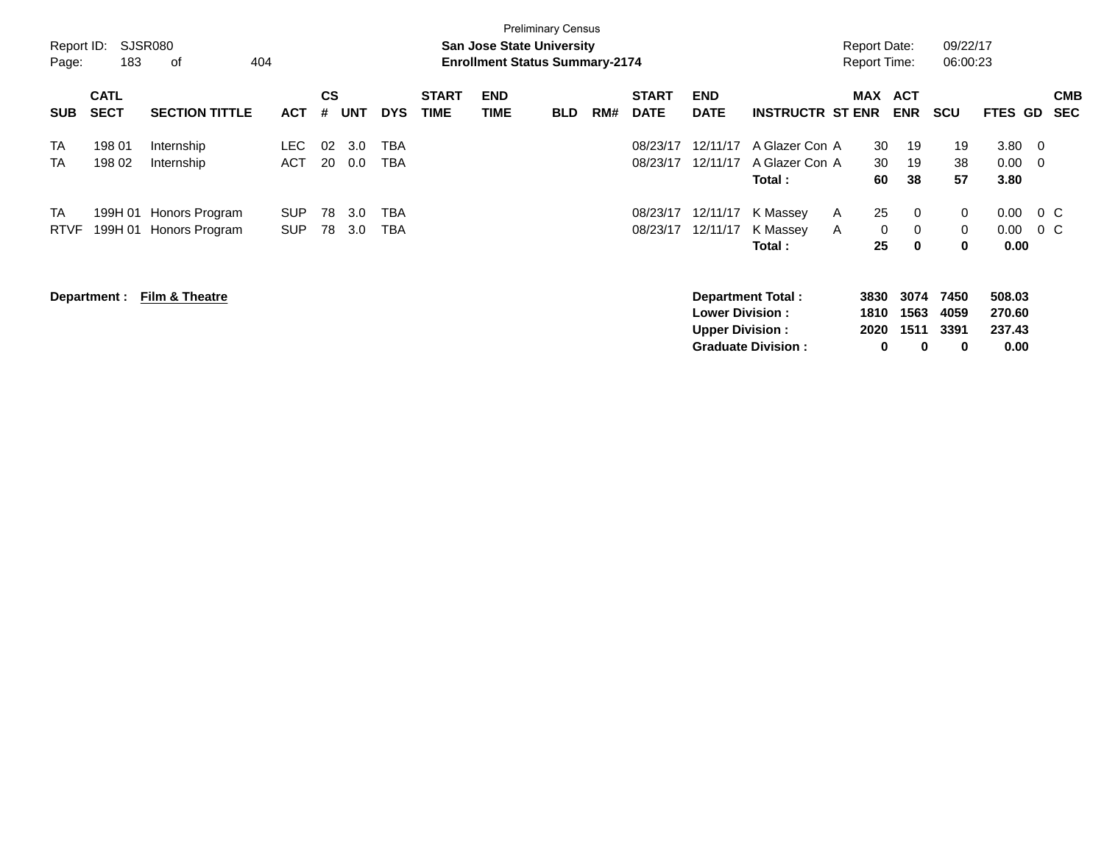| <b>Preliminary Census</b><br>SJSR080<br>Report ID:<br><b>San Jose State University</b><br>183<br>404<br><b>Enrollment Status Summary-2174</b><br>оf<br>Page: |                            |                                                  |                          |                |            |                          |                             |                           |            |     |                             |                                                  |                                                | <b>Report Date:</b><br><b>Report Time:</b> |                                                | 09/22/17<br>06:00:23      |                                          |               |                          |
|--------------------------------------------------------------------------------------------------------------------------------------------------------------|----------------------------|--------------------------------------------------|--------------------------|----------------|------------|--------------------------|-----------------------------|---------------------------|------------|-----|-----------------------------|--------------------------------------------------|------------------------------------------------|--------------------------------------------|------------------------------------------------|---------------------------|------------------------------------------|---------------|--------------------------|
| <b>SUB</b>                                                                                                                                                   | <b>CATL</b><br><b>SECT</b> | <b>SECTION TITTLE</b>                            | <b>ACT</b>               | <b>CS</b><br># | <b>UNT</b> | <b>DYS</b>               | <b>START</b><br><b>TIME</b> | <b>END</b><br><b>TIME</b> | <b>BLD</b> | RM# | <b>START</b><br><b>DATE</b> | <b>END</b><br><b>DATE</b>                        | <b>INSTRUCTR ST ENR</b>                        | MAX                                        | <b>ACT</b><br><b>ENR</b>                       | <b>SCU</b>                | <b>FTES GD</b>                           |               | <b>CMB</b><br><b>SEC</b> |
| <b>TA</b><br><b>TA</b>                                                                                                                                       | 198 01<br>198 02           | Internship<br>Internship                         | LEC.<br><b>ACT</b>       | 02<br>20       | 3.0<br>0.0 | <b>TBA</b><br><b>TBA</b> |                             |                           |            |     | 08/23/17<br>08/23/17        | 12/11/17<br>12/11/17                             | A Glazer Con A<br>A Glazer Con A<br>Total :    | 30<br>30<br>60                             | 19<br>19<br>38                                 | 19<br>38<br>57            | $3.80 \quad 0$<br>$0.00 \quad 0$<br>3.80 |               |                          |
| <b>TA</b><br><b>RTVF</b>                                                                                                                                     |                            | 199H 01 Honors Program<br>199H 01 Honors Program | <b>SUP</b><br><b>SUP</b> | 78<br>78       | 3.0<br>3.0 | <b>TBA</b><br><b>TBA</b> |                             |                           |            |     | 08/23/17<br>08/23/17        | 12/11/17<br>12/11/17                             | K Massey<br>K Massey<br>Total:                 | 25<br>A<br>A<br>25                         | $\mathbf 0$<br>$\mathbf 0$<br>0<br>$\mathbf 0$ | 0<br>0<br>0               | 0.00<br>0.00<br>0.00                     | $0\,C$<br>0 C |                          |
|                                                                                                                                                              | Department :               | Film & Theatre                                   |                          |                |            |                          |                             |                           |            |     |                             | <b>Lower Division:</b><br><b>Upper Division:</b> | Department Total:<br><b>Graduate Division:</b> | 3830<br>1810<br>2020                       | 3074<br>1563<br>1511<br>$\bf{0}$<br>0          | 7450<br>4059<br>3391<br>0 | 508.03<br>270.60<br>237.43<br>0.00       |               |                          |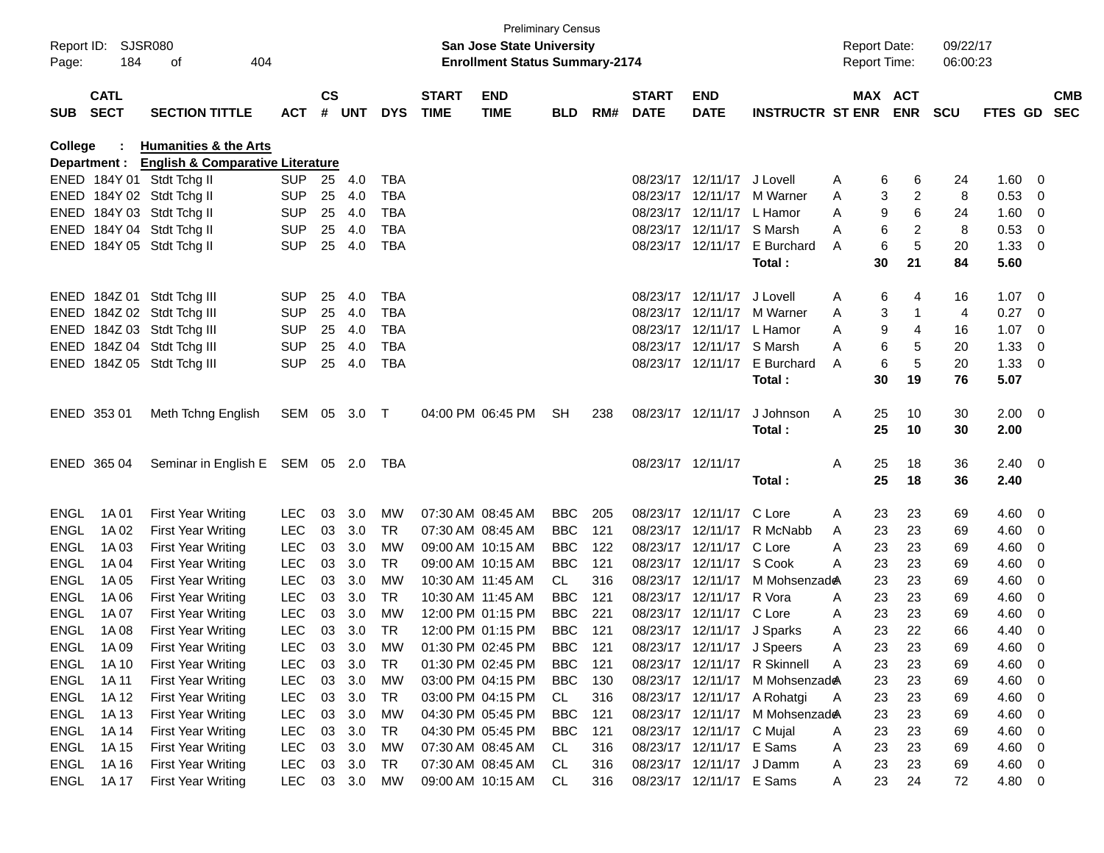| Page:       | Report ID: SJSR080<br>184  | 404<br>оf                                   |            |                    |            |            |                             | <b>Preliminary Census</b><br><b>San Jose State University</b><br><b>Enrollment Status Summary-2174</b> |            |     |                             |                            |                                | <b>Report Date:</b><br><b>Report Time:</b> |    |                       | 09/22/17<br>06:00:23 |                |                          |            |
|-------------|----------------------------|---------------------------------------------|------------|--------------------|------------|------------|-----------------------------|--------------------------------------------------------------------------------------------------------|------------|-----|-----------------------------|----------------------------|--------------------------------|--------------------------------------------|----|-----------------------|----------------------|----------------|--------------------------|------------|
| <b>SUB</b>  | <b>CATL</b><br><b>SECT</b> | <b>SECTION TITTLE</b>                       | <b>ACT</b> | $\mathsf{cs}$<br># | <b>UNT</b> | <b>DYS</b> | <b>START</b><br><b>TIME</b> | <b>END</b><br><b>TIME</b>                                                                              | <b>BLD</b> | RM# | <b>START</b><br><b>DATE</b> | <b>END</b><br><b>DATE</b>  | <b>INSTRUCTR ST ENR</b>        |                                            |    | MAX ACT<br><b>ENR</b> | <b>SCU</b>           | FTES GD SEC    |                          | <b>CMB</b> |
| College     |                            | <b>Humanities &amp; the Arts</b>            |            |                    |            |            |                             |                                                                                                        |            |     |                             |                            |                                |                                            |    |                       |                      |                |                          |            |
|             | Department :               | <b>English &amp; Comparative Literature</b> |            |                    |            |            |                             |                                                                                                        |            |     |                             |                            |                                |                                            |    |                       |                      |                |                          |            |
|             |                            | ENED 184Y 01 Stdt Tchg II                   | <b>SUP</b> | 25                 | 4.0        | <b>TBA</b> |                             |                                                                                                        |            |     |                             | 08/23/17 12/11/17 J Lovell |                                | A                                          | 6  | 6                     | 24                   | 1.60           | - 0                      |            |
|             |                            | ENED 184Y 02 Stdt Tchg II                   | <b>SUP</b> | 25                 | 4.0        | <b>TBA</b> |                             |                                                                                                        |            |     |                             | 08/23/17 12/11/17          | M Warner                       | A                                          | 3  | 2                     | 8                    | 0.53           | 0                        |            |
|             |                            | ENED 184Y 03 Stdt Tchg II                   | <b>SUP</b> | 25                 | 4.0        | <b>TBA</b> |                             |                                                                                                        |            |     |                             | 08/23/17 12/11/17 L Hamor  |                                | A                                          | 9  | 6                     | 24                   | 1.60           | $\overline{\mathbf{0}}$  |            |
|             |                            | ENED 184Y 04 Stdt Tchg II                   | <b>SUP</b> | 25                 | 4.0        | <b>TBA</b> |                             |                                                                                                        |            |     |                             | 08/23/17 12/11/17 S Marsh  |                                | A                                          | 6  | 2                     | 8                    | 0.53           | $\overline{0}$           |            |
|             |                            | ENED 184Y 05 Stdt Tchg II                   | <b>SUP</b> | 25                 | 4.0        | <b>TBA</b> |                             |                                                                                                        |            |     |                             | 08/23/17 12/11/17          | E Burchard                     | A                                          | 6  | 5                     | 20                   | 1.33           | $\overline{\phantom{0}}$ |            |
|             |                            |                                             |            |                    |            |            |                             |                                                                                                        |            |     |                             |                            | Total:                         |                                            | 30 | 21                    | 84                   | 5.60           |                          |            |
|             |                            | ENED 184Z 01 Stdt Tchg III                  | <b>SUP</b> | 25                 | 4.0        | <b>TBA</b> |                             |                                                                                                        |            |     |                             | 08/23/17 12/11/17          | J Lovell                       | A                                          | 6  | 4                     | 16                   | $1.07 \quad 0$ |                          |            |
|             |                            | ENED 184Z 02 Stdt Tchg III                  | <b>SUP</b> | 25                 | 4.0        | <b>TBA</b> |                             |                                                                                                        |            |     |                             |                            | 08/23/17 12/11/17 M Warner     | Α                                          | 3  | 1                     | 4                    | 0.27           | - 0                      |            |
|             |                            | ENED 184Z 03 Stdt Tchg III                  | <b>SUP</b> | 25                 | 4.0        | <b>TBA</b> |                             |                                                                                                        |            |     |                             | 08/23/17 12/11/17 L Hamor  |                                | A                                          | 9  | 4                     | 16                   | 1.07           | - 0                      |            |
|             |                            | ENED 184Z 04 Stdt Tchg III                  | <b>SUP</b> | 25                 | 4.0        | <b>TBA</b> |                             |                                                                                                        |            |     |                             | 08/23/17 12/11/17 S Marsh  |                                | A                                          | 6  | 5                     | 20                   | 1.33           | - 0                      |            |
|             |                            | ENED 184Z 05 Stdt Tchg III                  | <b>SUP</b> | 25                 | 4.0        | <b>TBA</b> |                             |                                                                                                        |            |     |                             | 08/23/17 12/11/17          | E Burchard                     | A                                          | 6  | 5                     | 20                   | 1.33           | $\overline{\phantom{0}}$ |            |
|             |                            |                                             |            |                    |            |            |                             |                                                                                                        |            |     |                             |                            | Total:                         |                                            | 30 | 19                    | 76                   | 5.07           |                          |            |
|             | ENED 353 01                | Meth Tchng English                          | SEM 05 3.0 |                    |            | $\top$     |                             | 04:00 PM 06:45 PM                                                                                      | <b>SH</b>  | 238 |                             | 08/23/17 12/11/17          | J Johnson                      | A                                          | 25 | 10                    | 30                   | $2.00 \t 0$    |                          |            |
|             |                            |                                             |            |                    |            |            |                             |                                                                                                        |            |     |                             |                            | Total:                         |                                            | 25 | 10                    | 30                   | 2.00           |                          |            |
|             |                            |                                             |            |                    |            |            |                             |                                                                                                        |            |     |                             |                            |                                |                                            |    |                       |                      |                |                          |            |
|             | ENED 365 04                | Seminar in English E SEM 05 2.0             |            |                    |            | TBA        |                             |                                                                                                        |            |     | 08/23/17 12/11/17           |                            |                                | A                                          | 25 | 18                    | 36                   | $2.40 \quad 0$ |                          |            |
|             |                            |                                             |            |                    |            |            |                             |                                                                                                        |            |     |                             |                            | Total:                         |                                            | 25 | 18                    | 36                   | 2.40           |                          |            |
| ENGL        | 1A 01                      | <b>First Year Writing</b>                   | <b>LEC</b> | 03                 | 3.0        | <b>MW</b>  |                             | 07:30 AM 08:45 AM                                                                                      | <b>BBC</b> | 205 |                             | 08/23/17 12/11/17 C Lore   |                                | A                                          | 23 | 23                    | 69                   | 4.60           | $\overline{\phantom{0}}$ |            |
| <b>ENGL</b> | 1A 02                      | <b>First Year Writing</b>                   | <b>LEC</b> | 03                 | 3.0        | TR.        |                             | 07:30 AM 08:45 AM                                                                                      | <b>BBC</b> | 121 |                             |                            | 08/23/17 12/11/17 R McNabb     | A                                          | 23 | 23                    | 69                   | 4.60           | - 0                      |            |
| <b>ENGL</b> | 1A 03                      | <b>First Year Writing</b>                   | <b>LEC</b> | 03                 | 3.0        | МW         |                             | 09:00 AM 10:15 AM                                                                                      | <b>BBC</b> | 122 |                             | 08/23/17 12/11/17 C Lore   |                                | Α                                          | 23 | 23                    | 69                   | 4.60           | - 0                      |            |
| <b>ENGL</b> | 1A 04                      | <b>First Year Writing</b>                   | <b>LEC</b> | 03                 | 3.0        | <b>TR</b>  |                             | 09:00 AM 10:15 AM                                                                                      | <b>BBC</b> | 121 |                             | 08/23/17 12/11/17 S Cook   |                                | A                                          | 23 | 23                    | 69                   | 4.60           | 0                        |            |
| <b>ENGL</b> | 1A 05                      | <b>First Year Writing</b>                   | <b>LEC</b> | 03                 | 3.0        | МW         |                             | 10:30 AM 11:45 AM                                                                                      | CL         | 316 |                             | 08/23/17 12/11/17          | M Mohsenzad <del>@</del>       |                                            | 23 | 23                    | 69                   | 4.60           | 0                        |            |
| <b>ENGL</b> | 1A 06                      | <b>First Year Writing</b>                   | <b>LEC</b> | 03                 | 3.0        | <b>TR</b>  |                             | 10:30 AM 11:45 AM                                                                                      | <b>BBC</b> | 121 |                             | 08/23/17 12/11/17 R Vora   |                                | A                                          | 23 | 23                    | 69                   | 4.60           | 0                        |            |
| <b>ENGL</b> | 1A 07                      | <b>First Year Writing</b>                   | <b>LEC</b> | 03                 | 3.0        | МW         |                             | 12:00 PM 01:15 PM                                                                                      | <b>BBC</b> | 221 |                             | 08/23/17 12/11/17 C Lore   |                                | A                                          | 23 | 23                    | 69                   | 4.60           | 0                        |            |
| ENGL        | 1A 08                      | <b>First Year Writing</b>                   | <b>LEC</b> | 03                 | 3.0        | TR         |                             | 12:00 PM 01:15 PM                                                                                      | <b>BBC</b> | 121 |                             | 08/23/17 12/11/17 J Sparks |                                | A                                          | 23 | 22                    | 66                   | 4.40           | 0                        |            |
| ENGL        | 1A 09                      | <b>First Year Writing</b>                   | <b>LEC</b> | 03                 | 3.0        | MW         |                             | 01:30 PM 02:45 PM                                                                                      | <b>BBC</b> | 121 |                             | 08/23/17 12/11/17 J Speers |                                | Α                                          | 23 | 23                    | 69                   | 4.60           | - 0                      |            |
| ENGL        | 1A 10                      | <b>First Year Writing</b>                   | <b>LEC</b> | 03                 | 3.0        | TR         |                             | 01:30 PM 02:45 PM                                                                                      | <b>BBC</b> | 121 |                             |                            | 08/23/17 12/11/17 R Skinnell   | Α                                          | 23 | 23                    | 69                   | 4.60           | $\overline{\mathbf{0}}$  |            |
| ENGL        | 1A 11                      | <b>First Year Writing</b>                   | <b>LEC</b> | 03                 | 3.0        | <b>MW</b>  |                             | 03:00 PM 04:15 PM                                                                                      | <b>BBC</b> | 130 |                             |                            | 08/23/17 12/11/17 M Mohsenzade |                                            | 23 | 23                    | 69                   | 4.60           | $\overline{\mathbf{0}}$  |            |
| ENGL        | 1A 12                      | <b>First Year Writing</b>                   | <b>LEC</b> |                    | 03 3.0     | TR         |                             | 03:00 PM 04:15 PM                                                                                      | CL.        | 316 |                             |                            | 08/23/17 12/11/17 A Rohatgi    | A                                          | 23 | 23                    | 69                   | 4.60 0         |                          |            |
| ENGL        | 1A 13                      | <b>First Year Writing</b>                   | <b>LEC</b> | 03                 | 3.0        | <b>MW</b>  |                             | 04:30 PM 05:45 PM                                                                                      | <b>BBC</b> | 121 |                             |                            | 08/23/17 12/11/17 M Mohsenzade |                                            | 23 | 23                    | 69                   | 4.60           | $\overline{\phantom{0}}$ |            |
| <b>ENGL</b> | 1A 14                      | <b>First Year Writing</b>                   | <b>LEC</b> | 03                 | 3.0        | TR         |                             | 04:30 PM 05:45 PM                                                                                      | <b>BBC</b> | 121 |                             | 08/23/17 12/11/17 C Mujal  |                                | A                                          | 23 | 23                    | 69                   | 4.60           | $\overline{\phantom{0}}$ |            |
| ENGL        | 1A 15                      | First Year Writing                          | <b>LEC</b> | 03                 | 3.0        | МW         |                             | 07:30 AM 08:45 AM                                                                                      | CL         | 316 |                             | 08/23/17 12/11/17 E Sams   |                                | A                                          | 23 | 23                    | 69                   | $4.60$ 0       |                          |            |
| ENGL        | 1A 16                      | First Year Writing                          | <b>LEC</b> |                    | 03 3.0     | TR         |                             | 07:30 AM 08:45 AM                                                                                      | CL         | 316 |                             | 08/23/17 12/11/17 J Damm   |                                | A                                          | 23 | 23                    | 69                   | 4.60 0         |                          |            |
| ENGL        | 1A 17                      | First Year Writing                          | <b>LEC</b> |                    | 03 3.0     | МW         |                             | 09:00 AM 10:15 AM                                                                                      | CL         | 316 |                             | 08/23/17 12/11/17 E Sams   |                                | A                                          | 23 | 24                    | 72                   | 4.80 0         |                          |            |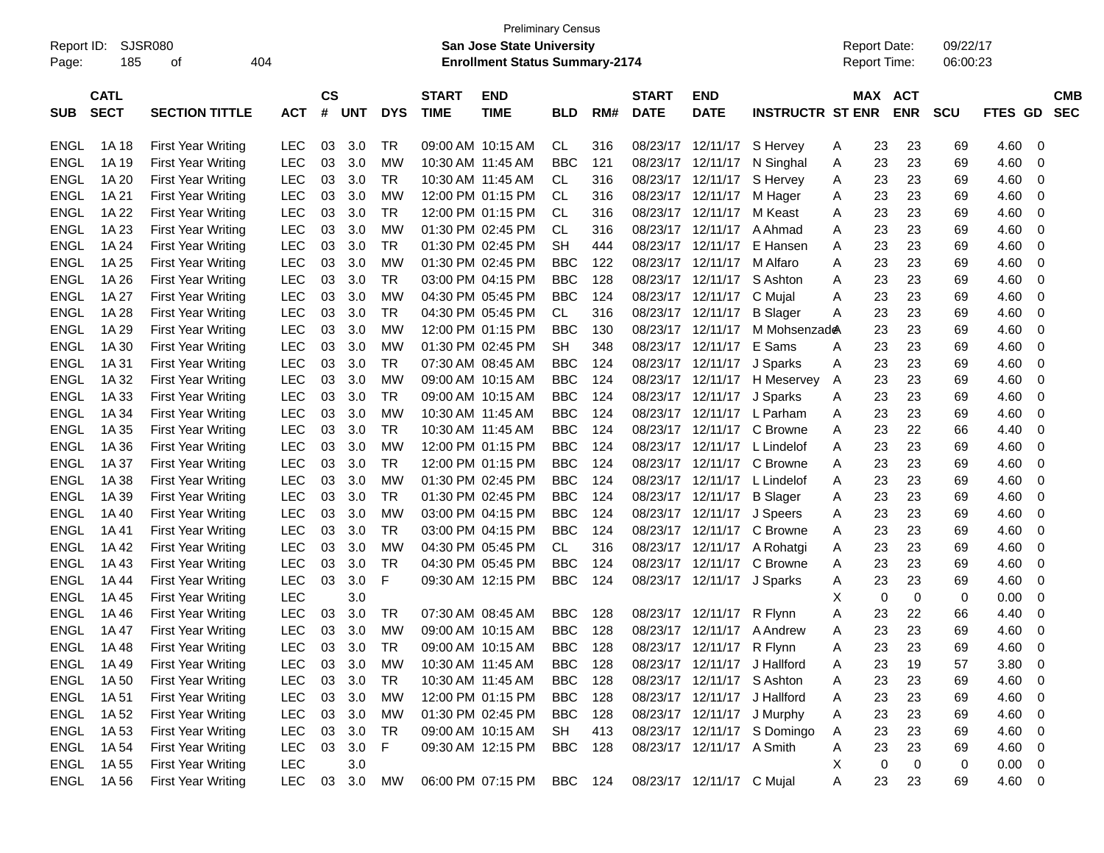| Report ID:<br>Page: | 185                        | <b>SJSR080</b><br>404<br>οf |            |                    |            |            |                             | <b>Preliminary Census</b><br><b>San Jose State University</b><br><b>Enrollment Status Summary-2174</b> |            |     |                             |                              |                             | <b>Report Date:</b><br>Report Time: |                       |                  | 09/22/17<br>06:00:23 |                   |                          |
|---------------------|----------------------------|-----------------------------|------------|--------------------|------------|------------|-----------------------------|--------------------------------------------------------------------------------------------------------|------------|-----|-----------------------------|------------------------------|-----------------------------|-------------------------------------|-----------------------|------------------|----------------------|-------------------|--------------------------|
| <b>SUB</b>          | <b>CATL</b><br><b>SECT</b> | <b>SECTION TITTLE</b>       | <b>ACT</b> | $\mathsf{cs}$<br># | <b>UNT</b> | <b>DYS</b> | <b>START</b><br><b>TIME</b> | <b>END</b><br><b>TIME</b>                                                                              | <b>BLD</b> | RM# | <b>START</b><br><b>DATE</b> | <b>END</b><br><b>DATE</b>    | <b>INSTRUCTR ST ENR</b>     |                                     | MAX ACT<br><b>ENR</b> |                  | <b>SCU</b>           | <b>FTES</b><br>GD | <b>CMB</b><br><b>SEC</b> |
| <b>ENGL</b>         | 1A 18                      | <b>First Year Writing</b>   | <b>LEC</b> | 03                 | 3.0        | TR         | 09:00 AM 10:15 AM           |                                                                                                        | <b>CL</b>  | 316 | 08/23/17                    | 12/11/17                     | S Hervey                    | A                                   | 23                    | 23               | 69                   | 4.60              | -0                       |
| <b>ENGL</b>         | 1A 19                      | <b>First Year Writing</b>   | <b>LEC</b> | 03                 | 3.0        | МW         |                             | 10:30 AM 11:45 AM                                                                                      | <b>BBC</b> | 121 | 08/23/17                    | 12/11/17                     | N Singhal                   | Α                                   | 23                    | 23               | 69                   | 4.60              | 0                        |
| <b>ENGL</b>         | 1A 20                      | <b>First Year Writing</b>   | <b>LEC</b> | 03                 | 3.0        | TR         |                             | 10:30 AM 11:45 AM                                                                                      | CL.        | 316 |                             | 08/23/17 12/11/17            | S Hervey                    | Α                                   | 23                    | 23               | 69                   | 4.60              | 0                        |
| <b>ENGL</b>         | 1A 21                      | <b>First Year Writing</b>   | <b>LEC</b> | 03                 | 3.0        | МW         |                             | 12:00 PM 01:15 PM                                                                                      | CL         | 316 |                             | 08/23/17 12/11/17            | M Hager                     | Α                                   | 23                    | 23               | 69                   | 4.60              | 0                        |
| <b>ENGL</b>         | 1A 22                      | <b>First Year Writing</b>   | <b>LEC</b> | 03                 | 3.0        | TR         |                             | 12:00 PM 01:15 PM                                                                                      | <b>CL</b>  | 316 |                             | 08/23/17 12/11/17            | M Keast                     | Α                                   | 23                    | 23               | 69                   | 4.60              | 0                        |
| <b>ENGL</b>         | 1A 23                      | <b>First Year Writing</b>   | <b>LEC</b> | 03                 | 3.0        | МW         |                             | 01:30 PM 02:45 PM                                                                                      | <b>CL</b>  | 316 | 08/23/17                    | 12/11/17                     | A Ahmad                     | A                                   | 23                    | 23               | 69                   | 4.60              | 0                        |
| <b>ENGL</b>         | 1A 24                      | <b>First Year Writing</b>   | <b>LEC</b> | 03                 | 3.0        | TR         |                             | 01:30 PM 02:45 PM                                                                                      | <b>SH</b>  | 444 | 08/23/17                    | 12/11/17                     | E Hansen                    | Α                                   | 23                    | 23               | 69                   | 4.60              | 0                        |
| <b>ENGL</b>         | 1A 25                      | <b>First Year Writing</b>   | <b>LEC</b> | 03                 | 3.0        | МW         |                             | 01:30 PM 02:45 PM                                                                                      | <b>BBC</b> | 122 | 08/23/17                    | 12/11/17                     | M Alfaro                    | Α                                   | 23                    | 23               | 69                   | 4.60              | 0                        |
| <b>ENGL</b>         | 1A 26                      | <b>First Year Writing</b>   | <b>LEC</b> | 03                 | 3.0        | TR         |                             | 03:00 PM 04:15 PM                                                                                      | <b>BBC</b> | 128 | 08/23/17                    | 12/11/17                     | S Ashton                    | Α                                   | 23                    | 23               | 69                   | 4.60              | 0                        |
| <b>ENGL</b>         | 1A 27                      | <b>First Year Writing</b>   | <b>LEC</b> | 03                 | 3.0        | МW         |                             | 04:30 PM 05:45 PM                                                                                      | <b>BBC</b> | 124 | 08/23/17                    | 12/11/17                     | C Mujal                     | Α                                   | 23                    | 23               | 69                   | 4.60              | 0                        |
| <b>ENGL</b>         | 1A 28                      | <b>First Year Writing</b>   | <b>LEC</b> | 03                 | 3.0        | TR         |                             | 04:30 PM 05:45 PM                                                                                      | <b>CL</b>  | 316 |                             | 08/23/17 12/11/17            | <b>B</b> Slager             | Α                                   | 23                    | 23               | 69                   | 4.60              | 0                        |
| <b>ENGL</b>         | 1A 29                      | <b>First Year Writing</b>   | <b>LEC</b> | 03                 | 3.0        | МW         |                             | 12:00 PM 01:15 PM                                                                                      | <b>BBC</b> | 130 |                             | 08/23/17 12/11/17            | M Mohsenzade                |                                     | 23                    | 23               | 69                   | 4.60              | 0                        |
| <b>ENGL</b>         | 1A 30                      | <b>First Year Writing</b>   | <b>LEC</b> | 03                 | 3.0        | МW         |                             | 01:30 PM 02:45 PM                                                                                      | <b>SH</b>  | 348 | 08/23/17                    | 12/11/17                     | E Sams                      | A                                   | 23                    | 23               | 69                   | 4.60              | 0                        |
| <b>ENGL</b>         | 1A 31                      | <b>First Year Writing</b>   | <b>LEC</b> | 03                 | 3.0        | TR         |                             | 07:30 AM 08:45 AM                                                                                      | <b>BBC</b> | 124 | 08/23/17                    | 12/11/17                     | J Sparks                    | Α                                   | 23                    | 23               | 69                   | 4.60              | 0                        |
| <b>ENGL</b>         | 1A 32                      | <b>First Year Writing</b>   | <b>LEC</b> | 03                 | 3.0        | МW         | 09:00 AM 10:15 AM           |                                                                                                        | <b>BBC</b> | 124 | 08/23/17                    | 12/11/17                     | H Meservey                  | Α                                   | 23                    | 23               | 69                   | 4.60              | 0                        |
| <b>ENGL</b>         | 1A 33                      | <b>First Year Writing</b>   | <b>LEC</b> | 03                 | 3.0        | TR         |                             | 09:00 AM 10:15 AM                                                                                      | <b>BBC</b> | 124 |                             | 08/23/17 12/11/17            | J Sparks                    | Α                                   | 23                    | 23               | 69                   | 4.60              | 0                        |
| <b>ENGL</b>         | 1A 34                      | <b>First Year Writing</b>   | <b>LEC</b> | 03                 | 3.0        | МW         | 10:30 AM 11:45 AM           |                                                                                                        | <b>BBC</b> | 124 |                             | 08/23/17 12/11/17            | L Parham                    | Α                                   | 23                    | 23               | 69                   | 4.60              | 0                        |
| <b>ENGL</b>         | 1A 35                      | <b>First Year Writing</b>   | <b>LEC</b> | 03                 | 3.0        | TR         |                             | 10:30 AM 11:45 AM                                                                                      | <b>BBC</b> | 124 | 08/23/17                    | 12/11/17                     | C Browne                    | Α                                   | 23                    | 22               | 66                   | 4.40              | 0                        |
| <b>ENGL</b>         | 1A 36                      | <b>First Year Writing</b>   | <b>LEC</b> | 03                 | 3.0        | МW         |                             | 12:00 PM 01:15 PM                                                                                      | <b>BBC</b> | 124 | 08/23/17                    | 12/11/17                     | L Lindelof                  | A                                   | 23                    | 23               | 69                   | 4.60              | 0                        |
| <b>ENGL</b>         | 1A 37                      | <b>First Year Writing</b>   | <b>LEC</b> | 03                 | 3.0        | TR         |                             | 12:00 PM 01:15 PM                                                                                      | <b>BBC</b> | 124 | 08/23/17                    | 12/11/17                     | C Browne                    | Α                                   | 23                    | 23               | 69                   | 4.60              | 0                        |
| <b>ENGL</b>         | 1A 38                      | <b>First Year Writing</b>   | <b>LEC</b> | 03                 | 3.0        | МW         |                             | 01:30 PM 02:45 PM                                                                                      | <b>BBC</b> | 124 | 08/23/17                    | 12/11/17                     | L Lindelof                  | Α                                   | 23                    | 23               | 69                   | 4.60              | 0                        |
| <b>ENGL</b>         | 1A 39                      | <b>First Year Writing</b>   | <b>LEC</b> | 03                 | 3.0        | TR         |                             | 01:30 PM 02:45 PM                                                                                      | <b>BBC</b> | 124 | 08/23/17                    | 12/11/17                     | <b>B</b> Slager             | Α                                   | 23                    | 23               | 69                   | 4.60              | 0                        |
| <b>ENGL</b>         | 1A 40                      | <b>First Year Writing</b>   | <b>LEC</b> | 03                 | 3.0        | МW         |                             | 03:00 PM 04:15 PM                                                                                      | <b>BBC</b> | 124 |                             | 08/23/17 12/11/17            | J Speers                    | Α                                   | 23                    | 23               | 69                   | 4.60              | 0                        |
| <b>ENGL</b>         | 1A 41                      | <b>First Year Writing</b>   | <b>LEC</b> | 03                 | 3.0        | TR         |                             | 03:00 PM 04:15 PM                                                                                      | <b>BBC</b> | 124 | 08/23/17                    | 12/11/17                     | C Browne                    | Α                                   | 23                    | 23               | 69                   | 4.60              | 0                        |
| <b>ENGL</b>         | 1A42                       | <b>First Year Writing</b>   | <b>LEC</b> | 03                 | 3.0        | МW         |                             | 04:30 PM 05:45 PM                                                                                      | CL.        | 316 | 08/23/17                    | 12/11/17                     | A Rohatgi                   | Α                                   | 23                    | 23               | 69                   | 4.60              | 0                        |
| <b>ENGL</b>         | 1A43                       | <b>First Year Writing</b>   | <b>LEC</b> | 03                 | 3.0        | TR         |                             | 04:30 PM 05:45 PM                                                                                      | <b>BBC</b> | 124 | 08/23/17                    | 12/11/17                     | C Browne                    | Α                                   | 23                    | 23               | 69                   | 4.60              | 0                        |
| <b>ENGL</b>         | 1A 44                      | <b>First Year Writing</b>   | <b>LEC</b> | 03                 | 3.0        | F          |                             | 09:30 AM 12:15 PM                                                                                      | <b>BBC</b> | 124 |                             | 08/23/17 12/11/17            | J Sparks                    | Α                                   | 23                    | 23               | 69                   | 4.60              | 0                        |
| <b>ENGL</b>         | 1A 45                      | <b>First Year Writing</b>   | <b>LEC</b> |                    | 3.0        |            |                             |                                                                                                        |            |     |                             |                              |                             | х                                   | 0                     | 0                | 0                    | 0.00              | 0                        |
| <b>ENGL</b>         | 1A46                       | <b>First Year Writing</b>   | <b>LEC</b> | 03                 | 3.0        | TR         | 07:30 AM 08:45 AM           |                                                                                                        | <b>BBC</b> | 128 | 08/23/17                    | 12/11/17                     | R Flynn                     | Α                                   | 23                    | 22               | 66                   | 4.40              | 0                        |
| <b>ENGL</b>         | 1A 47                      | <b>First Year Writing</b>   | <b>LEC</b> | 03                 | 3.0        | МW         |                             | 09:00 AM 10:15 AM                                                                                      | <b>BBC</b> | 128 |                             | 08/23/17 12/11/17            | A Andrew                    | Α                                   | 23                    | 23               | 69                   | 4.60              | 0                        |
| ENGL                | 1A 48                      | <b>First Year Writing</b>   | <b>LEC</b> | 03                 | 3.0        | TR         |                             | 09:00 AM 10:15 AM                                                                                      | <b>BBC</b> | 128 |                             | 08/23/17 12/11/17 R Flynn    |                             | A                                   | 23                    | 23               | 69                   | 4.60              | $\overline{0}$           |
| ENGL                | 1A 49                      | <b>First Year Writing</b>   | <b>LEC</b> | 03                 | 3.0        | МW         |                             | 10:30 AM 11:45 AM                                                                                      | <b>BBC</b> | 128 |                             | 08/23/17 12/11/17 J Hallford |                             | A                                   | 23                    | 19               | 57                   | 3.80              | - 0                      |
| ENGL                | 1A 50                      | First Year Writing          | <b>LEC</b> |                    | 03 3.0     | <b>TR</b>  |                             | 10:30 AM 11:45 AM                                                                                      | <b>BBC</b> | 128 |                             | 08/23/17 12/11/17 S Ashton   |                             | A                                   | 23                    | 23               | 69                   | 4.60              | $\overline{\mathbf{0}}$  |
| ENGL                | 1A 51                      | First Year Writing          | <b>LEC</b> |                    | 03 3.0     | МW         |                             | 12:00 PM 01:15 PM                                                                                      | BBC        | 128 |                             | 08/23/17 12/11/17 J Hallford |                             | A                                   | 23                    | 23               | 69                   | 4.60              | $\overline{\mathbf{0}}$  |
| ENGL                | 1A 52                      | First Year Writing          | <b>LEC</b> |                    | 03 3.0     | МW         |                             | 01:30 PM 02:45 PM                                                                                      | <b>BBC</b> | 128 |                             | 08/23/17 12/11/17 J Murphy   |                             | A                                   | 23                    | 23               | 69                   | 4.60              | $\overline{\mathbf{0}}$  |
| ENGL                | 1A 53                      | First Year Writing          | <b>LEC</b> | 03                 | 3.0        | TR         |                             | 09:00 AM 10:15 AM                                                                                      | SH         | 413 |                             |                              | 08/23/17 12/11/17 S Domingo | Α                                   | 23                    | 23               | 69                   | 4.60              | $\overline{\mathbf{0}}$  |
| ENGL                | 1A 54                      | First Year Writing          | <b>LEC</b> | 03                 | 3.0        | F          |                             | 09:30 AM 12:15 PM                                                                                      | <b>BBC</b> | 128 |                             | 08/23/17 12/11/17 A Smith    |                             | Α                                   | 23                    | 23               | 69                   | 4.60              | $\overline{\mathbf{0}}$  |
| ENGL                | 1A 55                      | <b>First Year Writing</b>   | <b>LEC</b> |                    | 3.0        |            |                             |                                                                                                        |            |     |                             |                              |                             | X                                   | 0                     | $\boldsymbol{0}$ | 0                    | $0.00 \t 0$       |                          |
| ENGL                | 1A 56                      | <b>First Year Writing</b>   | <b>LEC</b> | 03                 | 3.0        | <b>MW</b>  |                             | 06:00 PM 07:15 PM                                                                                      | BBC        | 124 |                             | 08/23/17 12/11/17 C Mujal    |                             | Α                                   | 23                    | 23               | 69                   | 4.60 0            |                          |
|                     |                            |                             |            |                    |            |            |                             |                                                                                                        |            |     |                             |                              |                             |                                     |                       |                  |                      |                   |                          |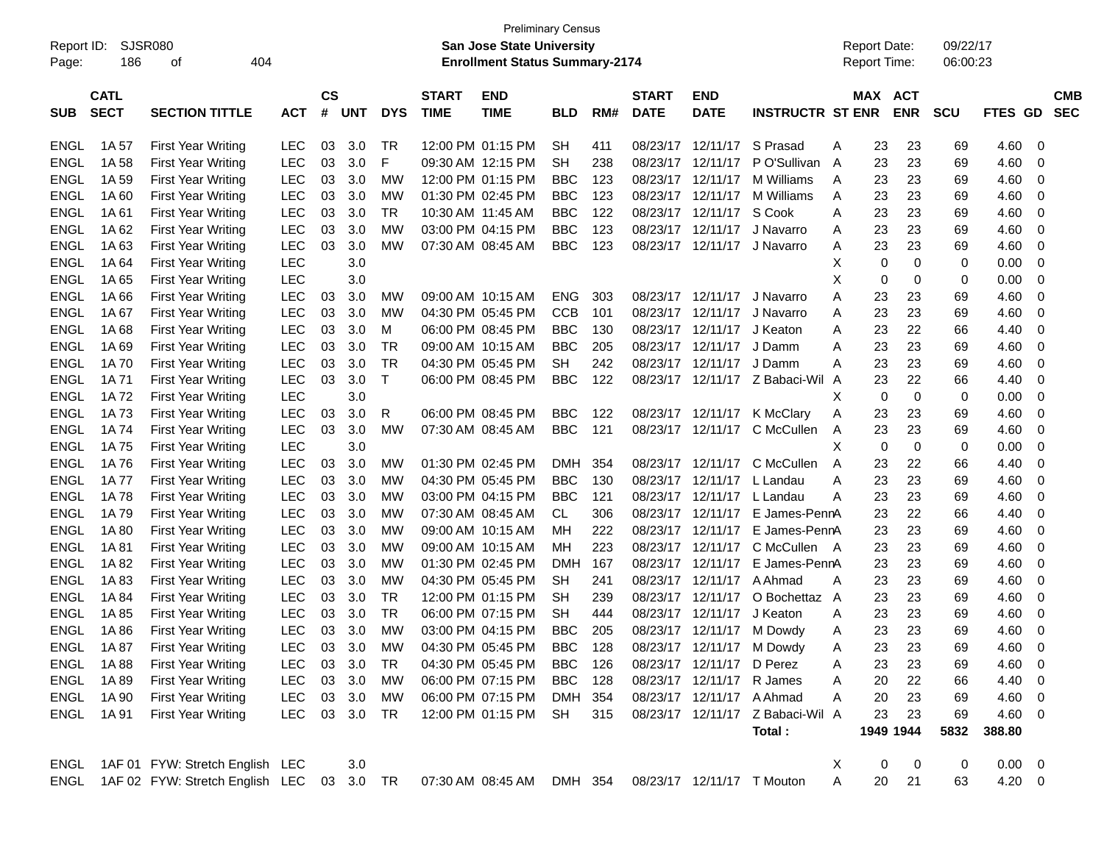|             | <b>Preliminary Census</b><br>SJSR080<br><b>San Jose State University</b><br><b>Report Date:</b><br>09/22/17<br>Report ID: |                                        |            |           |            |             |                   |                                       |            |     |              |                            |                                  |   |                     |            |            |            |                         |
|-------------|---------------------------------------------------------------------------------------------------------------------------|----------------------------------------|------------|-----------|------------|-------------|-------------------|---------------------------------------|------------|-----|--------------|----------------------------|----------------------------------|---|---------------------|------------|------------|------------|-------------------------|
|             |                                                                                                                           |                                        |            |           |            |             |                   |                                       |            |     |              |                            |                                  |   |                     |            |            |            |                         |
| Page:       | 186                                                                                                                       | 404<br>οf                              |            |           |            |             |                   | <b>Enrollment Status Summary-2174</b> |            |     |              |                            |                                  |   | <b>Report Time:</b> |            | 06:00:23   |            |                         |
|             |                                                                                                                           |                                        |            |           |            |             |                   |                                       |            |     |              |                            |                                  |   |                     |            |            |            |                         |
|             | <b>CATL</b>                                                                                                               |                                        |            | <b>CS</b> |            |             | <b>START</b>      | <b>END</b>                            |            |     | <b>START</b> | <b>END</b>                 |                                  |   | <b>MAX</b>          | <b>ACT</b> |            |            | <b>CMB</b>              |
| <b>SUB</b>  | <b>SECT</b>                                                                                                               | <b>SECTION TITTLE</b>                  | <b>ACT</b> | #         | <b>UNT</b> | <b>DYS</b>  | <b>TIME</b>       | <b>TIME</b>                           | <b>BLD</b> | RM# | <b>DATE</b>  | <b>DATE</b>                | <b>INSTRUCTR ST ENR</b>          |   |                     | <b>ENR</b> | <b>SCU</b> | FTES GD    | <b>SEC</b>              |
|             |                                                                                                                           |                                        |            |           |            |             |                   |                                       |            |     |              |                            |                                  |   |                     |            |            |            |                         |
| ENGL        | 1A 57                                                                                                                     | <b>First Year Writing</b>              | <b>LEC</b> | 03        | 3.0        | TR          |                   | 12:00 PM 01:15 PM                     | <b>SH</b>  | 411 | 08/23/17     | 12/11/17                   | S Prasad                         | Α | 23                  | 23         | 69         | 4.60       | 0                       |
| <b>ENGL</b> | 1A 58                                                                                                                     | <b>First Year Writing</b>              | <b>LEC</b> | 03        | 3.0        | F           |                   | 09:30 AM 12:15 PM                     | <b>SH</b>  | 238 | 08/23/17     | 12/11/17                   | P O'Sullivan                     | A | 23                  | 23         | 69         | 4.60       | 0                       |
| <b>ENGL</b> | 1A 59                                                                                                                     | <b>First Year Writing</b>              | <b>LEC</b> | 03        | 3.0        | MW          |                   | 12:00 PM 01:15 PM                     | <b>BBC</b> | 123 | 08/23/17     | 12/11/17                   | M Williams                       | A | 23                  | 23         | 69         | 4.60       | 0                       |
| <b>ENGL</b> | 1A 60                                                                                                                     | <b>First Year Writing</b>              | <b>LEC</b> | 03        | 3.0        | <b>MW</b>   |                   | 01:30 PM 02:45 PM                     | <b>BBC</b> | 123 | 08/23/17     | 12/11/17                   | M Williams                       | Α | 23                  | 23         | 69         | 4.60       | 0                       |
| <b>ENGL</b> | 1A 61                                                                                                                     | <b>First Year Writing</b>              | <b>LEC</b> | 03        | 3.0        | TR          | 10:30 AM 11:45 AM |                                       | <b>BBC</b> | 122 | 08/23/17     | 12/11/17                   | S Cook                           | Α | 23                  | 23         | 69         | 4.60       | 0                       |
| <b>ENGL</b> | 1A 62                                                                                                                     | <b>First Year Writing</b>              | <b>LEC</b> | 03        | 3.0        | МW          |                   | 03:00 PM 04:15 PM                     | <b>BBC</b> | 123 | 08/23/17     | 12/11/17                   | J Navarro                        | Α | 23                  | 23         | 69         | 4.60       | 0                       |
| <b>ENGL</b> | 1A63                                                                                                                      | <b>First Year Writing</b>              | <b>LEC</b> | 03        | 3.0        | МW          |                   | 07:30 AM 08:45 AM                     | <b>BBC</b> | 123 | 08/23/17     | 12/11/17                   | J Navarro                        | Α | 23                  | 23         | 69         | 4.60       | 0                       |
| <b>ENGL</b> | 1A 64                                                                                                                     | <b>First Year Writing</b>              | <b>LEC</b> |           | 3.0        |             |                   |                                       |            |     |              |                            |                                  | х | 0                   | 0          | 0          | 0.00       | 0                       |
| <b>ENGL</b> | 1A 65                                                                                                                     | <b>First Year Writing</b>              | <b>LEC</b> |           | 3.0        |             |                   |                                       |            |     |              |                            |                                  | Χ | 0                   | 0          | 0          | 0.00       | 0                       |
| <b>ENGL</b> | 1A 66                                                                                                                     | <b>First Year Writing</b>              | <b>LEC</b> | 03        | 3.0        | <b>MW</b>   | 09:00 AM 10:15 AM |                                       | <b>ENG</b> | 303 | 08/23/17     | 12/11/17                   | J Navarro                        | А | 23                  | 23         | 69         | 4.60       | 0                       |
| <b>ENGL</b> | 1A 67                                                                                                                     | <b>First Year Writing</b>              | <b>LEC</b> | 03        | 3.0        | МW          |                   | 04:30 PM 05:45 PM                     | <b>CCB</b> | 101 | 08/23/17     | 12/11/17                   | J Navarro                        | Α | 23                  | 23         | 69         | 4.60       | 0                       |
| <b>ENGL</b> | 1A68                                                                                                                      | <b>First Year Writing</b>              | <b>LEC</b> | 03        | 3.0        | М           |                   | 06:00 PM 08:45 PM                     | <b>BBC</b> | 130 | 08/23/17     | 12/11/17                   | J Keaton                         | Α | 23                  | 22         | 66         | 4.40       | 0                       |
| <b>ENGL</b> | 1A69                                                                                                                      | <b>First Year Writing</b>              | <b>LEC</b> | 03        | 3.0        | TR          |                   | 09:00 AM 10:15 AM                     | <b>BBC</b> | 205 | 08/23/17     | 12/11/17                   | J Damm                           | Α | 23                  | 23         | 69         | 4.60       | 0                       |
| <b>ENGL</b> | 1A 70                                                                                                                     | <b>First Year Writing</b>              | <b>LEC</b> | 03        | 3.0        | <b>TR</b>   |                   | 04:30 PM 05:45 PM                     | <b>SH</b>  | 242 | 08/23/17     | 12/11/17                   | J Damm                           | А | 23                  | 23         | 69         | 4.60       | 0                       |
| <b>ENGL</b> | 1A 71                                                                                                                     | <b>First Year Writing</b>              | <b>LEC</b> | 03        | 3.0        | $\mathsf T$ |                   | 06:00 PM 08:45 PM                     | <b>BBC</b> | 122 | 08/23/17     |                            | 12/11/17 Z Babaci-Wil A          |   | 23                  | 22         | 66         | 4.40       | 0                       |
| <b>ENGL</b> | 1A 72                                                                                                                     | <b>First Year Writing</b>              | <b>LEC</b> |           | 3.0        |             |                   |                                       |            |     |              |                            |                                  | Х | 0                   | 0          | 0          | 0.00       | 0                       |
| <b>ENGL</b> | 1A 73                                                                                                                     | <b>First Year Writing</b>              | <b>LEC</b> | 03        | 3.0        | R           |                   | 06:00 PM 08:45 PM                     | <b>BBC</b> | 122 | 08/23/17     | 12/11/17                   | <b>K</b> McClary                 | Α | 23                  | 23         | 69         | 4.60       | 0                       |
| <b>ENGL</b> | 1A 74                                                                                                                     | <b>First Year Writing</b>              | <b>LEC</b> | 03        | 3.0        | МW          |                   | 07:30 AM 08:45 AM                     | <b>BBC</b> | 121 |              | 08/23/17 12/11/17          | C McCullen                       | A | 23                  | 23         | 69         | 4.60       | 0                       |
| <b>ENGL</b> | 1A 75                                                                                                                     | <b>First Year Writing</b>              | <b>LEC</b> |           | 3.0        |             |                   |                                       |            |     |              |                            |                                  | X | 0                   | 0          | 0          | 0.00       | 0                       |
| <b>ENGL</b> | 1A76                                                                                                                      | <b>First Year Writing</b>              | <b>LEC</b> | 03        | 3.0        | <b>MW</b>   | 01:30 PM 02:45 PM |                                       | <b>DMH</b> | 354 | 08/23/17     | 12/11/17                   | C McCullen                       | A | 23                  | 22         | 66         | 4.40       | 0                       |
| <b>ENGL</b> | 1A 77                                                                                                                     | <b>First Year Writing</b>              | <b>LEC</b> | 03        | 3.0        | <b>MW</b>   |                   | 04:30 PM 05:45 PM                     | <b>BBC</b> | 130 | 08/23/17     | 12/11/17                   | L Landau                         | Α | 23                  | 23         | 69         | 4.60       | 0                       |
| <b>ENGL</b> | 1A 78                                                                                                                     | <b>First Year Writing</b>              | <b>LEC</b> | 03        | 3.0        | <b>MW</b>   |                   | 03:00 PM 04:15 PM                     | <b>BBC</b> | 121 | 08/23/17     | 12/11/17                   | L Landau                         | Α | 23                  | 23         | 69         | 4.60       | 0                       |
| <b>ENGL</b> | 1A 79                                                                                                                     | <b>First Year Writing</b>              | <b>LEC</b> | 03        | 3.0        | <b>MW</b>   |                   | 07:30 AM 08:45 AM                     | CL.        | 306 | 08/23/17     | 12/11/17                   | E James-PennA                    |   | 23                  | 22         | 66         | 4.40       | 0                       |
| <b>ENGL</b> | 1A 80                                                                                                                     | <b>First Year Writing</b>              | <b>LEC</b> | 03        | 3.0        | <b>MW</b>   |                   | 09:00 AM 10:15 AM                     | МH         | 222 | 08/23/17     | 12/11/17                   | E James-PennA                    |   | 23                  | 23         | 69         | 4.60       | 0                       |
| <b>ENGL</b> | 1A 81                                                                                                                     | <b>First Year Writing</b>              | <b>LEC</b> | 03        | 3.0        | <b>MW</b>   |                   | 09:00 AM 10:15 AM                     | МH         | 223 | 08/23/17     | 12/11/17                   | C McCullen A                     |   | 23                  | 23         | 69         | 4.60       | 0                       |
| <b>ENGL</b> | 1A 82                                                                                                                     | <b>First Year Writing</b>              | <b>LEC</b> | 03        | 3.0        | <b>MW</b>   |                   | 01:30 PM 02:45 PM                     | DMH        | 167 | 08/23/17     | 12/11/17                   | E James-PennA                    |   | 23                  | 23         | 69         | 4.60       | 0                       |
| <b>ENGL</b> | 1A83                                                                                                                      | <b>First Year Writing</b>              | <b>LEC</b> | 03        | 3.0        | <b>MW</b>   |                   | 04:30 PM 05:45 PM                     | <b>SH</b>  | 241 | 08/23/17     | 12/11/17                   | A Ahmad                          | Α | 23                  | 23         | 69         | 4.60       | 0                       |
|             |                                                                                                                           | <b>First Year Writing</b>              |            | 03        | 3.0        | TR          |                   | 12:00 PM 01:15 PM                     | <b>SH</b>  |     | 08/23/17     | 12/11/17                   | O Bochettaz A                    |   | 23                  | 23         |            |            |                         |
| <b>ENGL</b> | 1A 84                                                                                                                     |                                        | <b>LEC</b> |           |            |             |                   |                                       |            | 239 |              |                            |                                  |   |                     |            | 69         | 4.60       | 0                       |
| <b>ENGL</b> | 1A 85                                                                                                                     | <b>First Year Writing</b>              | LEC        | 03        | 3.0        | TR          |                   | 06:00 PM 07:15 PM                     | <b>SH</b>  | 444 | 08/23/17     | 12/11/17                   | J Keaton                         | А | 23                  | 23         | 69         | 4.60       | 0                       |
| ENGL        | 1A 86                                                                                                                     | <b>First Year Writing</b>              | <b>LEC</b> | 03        | 3.0        | МW          |                   | 03:00 PM 04:15 PM                     | <b>BBC</b> | 205 |              | 08/23/17 12/11/17 M Dowdy  |                                  | Α | 23                  | 23         | 69         | 4.60       | 0                       |
| ENGL        | 1A 87                                                                                                                     | <b>First Year Writing</b>              | LEC        | 03        | 3.0        | <b>MW</b>   |                   | 04:30 PM 05:45 PM                     | <b>BBC</b> | 128 |              | 08/23/17 12/11/17 M Dowdy  |                                  | A | 23                  | 23         | 69         | 4.60       | $\mathbf 0$             |
| ENGL        | 1A 88                                                                                                                     | <b>First Year Writing</b>              | <b>LEC</b> | 03        | 3.0        | TR          |                   | 04:30 PM 05:45 PM                     | BBC        | 126 |              | 08/23/17 12/11/17 D Perez  |                                  | Α | 23                  | 23         | 69         | 4.60       | 0                       |
| <b>ENGL</b> | 1A 89                                                                                                                     | <b>First Year Writing</b>              | LEC        |           | 03 3.0     | МW          |                   | 06:00 PM 07:15 PM                     | BBC        | 128 |              | 08/23/17 12/11/17 R James  |                                  | Α | 20                  | 22         | 66         | 4.40       | 0                       |
| <b>ENGL</b> | 1A 90                                                                                                                     | <b>First Year Writing</b>              | LEC        | 03        | 3.0        | МW          |                   | 06:00 PM 07:15 PM                     | DMH 354    |     |              | 08/23/17 12/11/17 A Ahmad  |                                  | Α | 20                  | 23         | 69         | 4.60       | 0                       |
| ENGL        | 1A 91                                                                                                                     | <b>First Year Writing</b>              | LEC        |           | 03 3.0     | TR          |                   | 12:00 PM 01:15 PM                     | SH         | 315 |              |                            | 08/23/17 12/11/17 Z Babaci-Wil A |   | 23                  | 23         | 69         | 4.60       | 0                       |
|             |                                                                                                                           |                                        |            |           |            |             |                   |                                       |            |     |              |                            | Total:                           |   |                     | 1949 1944  | 5832       | 388.80     |                         |
| ENGL        |                                                                                                                           | 1AF 01 FYW: Stretch English LEC        |            |           | 3.0        |             |                   |                                       |            |     |              |                            |                                  | X | 0                   | 0          | 0          | 0.00       | $\overline{\mathbf{0}}$ |
| ENGL        |                                                                                                                           | 1AF 02 FYW: Stretch English LEC 03 3.0 |            |           |            | TR          |                   | 07:30 AM 08:45 AM                     | DMH 354    |     |              | 08/23/17 12/11/17 T Mouton |                                  | Α | 20                  | 21         | 63         | $4.20 \ 0$ |                         |
|             |                                                                                                                           |                                        |            |           |            |             |                   |                                       |            |     |              |                            |                                  |   |                     |            |            |            |                         |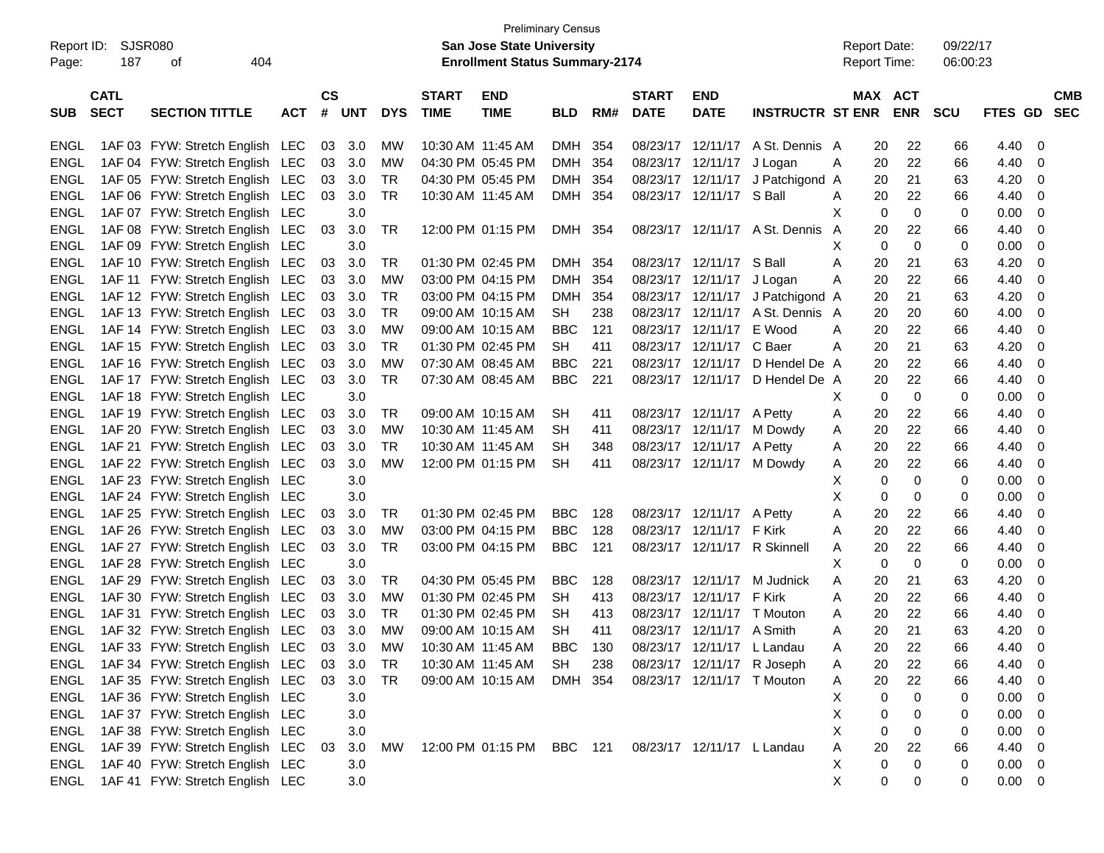| Report ID:  | SJSR080                    |                                        |            |                             |            |            |                             | <b>Preliminary Census</b><br><b>San Jose State University</b> |            |     |                             |                            |                                  |   |             | <b>Report Date:</b>   | 09/22/17   |                                  |                          |
|-------------|----------------------------|----------------------------------------|------------|-----------------------------|------------|------------|-----------------------------|---------------------------------------------------------------|------------|-----|-----------------------------|----------------------------|----------------------------------|---|-------------|-----------------------|------------|----------------------------------|--------------------------|
| Page:       | 187                        | οf<br>404                              |            |                             |            |            |                             | <b>Enrollment Status Summary-2174</b>                         |            |     |                             |                            |                                  |   |             | <b>Report Time:</b>   | 06:00:23   |                                  |                          |
| <b>SUB</b>  | <b>CATL</b><br><b>SECT</b> | <b>SECTION TITTLE</b>                  | <b>ACT</b> | $\mathbf{c}\mathbf{s}$<br># | <b>UNT</b> | <b>DYS</b> | <b>START</b><br><b>TIME</b> | <b>END</b><br><b>TIME</b>                                     | <b>BLD</b> | RM# | <b>START</b><br><b>DATE</b> | <b>END</b><br><b>DATE</b>  | <b>INSTRUCTR ST ENR</b>          |   |             | MAX ACT<br><b>ENR</b> | <b>SCU</b> | FTES GD                          | <b>CMB</b><br><b>SEC</b> |
| <b>ENGL</b> |                            | 1AF 03 FYW: Stretch English LEC        |            |                             | 03 3.0     | <b>MW</b>  | 10:30 AM 11:45 AM           |                                                               | DMH        | 354 |                             |                            | 08/23/17 12/11/17 A St. Dennis A |   | 20          | 22                    | 66         | 4.40                             | 0                        |
| <b>ENGL</b> |                            | 1AF 04 FYW: Stretch English LEC        |            | 03                          | 3.0        | MW         | 04:30 PM 05:45 PM           |                                                               | DMH        | 354 |                             | 08/23/17 12/11/17 J Logan  |                                  | A | 20          | 22                    | 66         | 4.40                             | 0                        |
| ENGL        |                            | 1AF 05 FYW: Stretch English LEC        |            | 03                          | 3.0        | TR         |                             | 04:30 PM 05:45 PM                                             | DMH        | 354 |                             |                            | 08/23/17 12/11/17 J Patchigond A |   | 20          | 21                    | 63         | 4.20                             | 0                        |
| <b>ENGL</b> |                            | 1AF 06 FYW: Stretch English LEC        |            | 03                          | 3.0        | TR         | 10:30 AM 11:45 AM           |                                                               | DMH 354    |     |                             | 08/23/17 12/11/17 S Ball   |                                  | A | 20          | 22                    | 66         | 4.40                             | 0                        |
| <b>ENGL</b> |                            | 1AF 07 FYW: Stretch English LEC        |            |                             | 3.0        |            |                             |                                                               |            |     |                             |                            |                                  | X | 0           | 0                     | 0          | 0.00                             | 0                        |
| <b>ENGL</b> |                            | 1AF 08 FYW: Stretch English LEC        |            | 03                          | 3.0        | TR         |                             | 12:00 PM 01:15 PM                                             | DMH 354    |     |                             |                            | 08/23/17 12/11/17 A St. Dennis   | A | 20          | 22                    | 66         | 4.40                             | 0                        |
| <b>ENGL</b> |                            | 1AF 09 FYW: Stretch English LEC        |            |                             | 3.0        |            |                             |                                                               |            |     |                             |                            |                                  | х | $\Omega$    | 0                     | 0          | 0.00                             | 0                        |
| <b>ENGL</b> |                            | 1AF 10 FYW: Stretch English LEC        |            | 03                          | 3.0        | TR         |                             | 01:30 PM 02:45 PM                                             | DMH        | 354 |                             | 08/23/17 12/11/17 S Ball   |                                  | Α | 20          | 21                    | 63         | 4.20                             | 0                        |
| <b>ENGL</b> |                            | 1AF 11 FYW: Stretch English LEC        |            | 03                          | 3.0        | MW         |                             | 03:00 PM 04:15 PM                                             | <b>DMH</b> | 354 |                             | 08/23/17 12/11/17 J Logan  |                                  | Α | 20          | 22                    | 66         | 4.40                             | 0                        |
| <b>ENGL</b> |                            | 1AF 12 FYW: Stretch English LEC        |            | 03                          | 3.0        | TR         |                             | 03:00 PM 04:15 PM                                             | <b>DMH</b> | 354 |                             |                            | 08/23/17 12/11/17 J Patchigond A |   | 20          | 21                    | 63         | 4.20                             | 0                        |
| <b>ENGL</b> |                            | 1AF 13 FYW: Stretch English LEC        |            | 03                          | 3.0        | TR         |                             | 09:00 AM 10:15 AM                                             | <b>SH</b>  | 238 |                             |                            | 08/23/17 12/11/17 A St. Dennis A |   | 20          | 20                    | 60         | 4.00                             | 0                        |
| <b>ENGL</b> |                            | 1AF 14 FYW: Stretch English LEC        |            | 03                          | 3.0        | МW         |                             | 09:00 AM 10:15 AM                                             | <b>BBC</b> | 121 |                             | 08/23/17 12/11/17 E Wood   |                                  | A | 20          | 22                    | 66         | 4.40                             | 0                        |
| <b>ENGL</b> |                            | 1AF 15 FYW: Stretch English LEC        |            | 03                          | 3.0        | TR         |                             | 01:30 PM 02:45 PM                                             | <b>SH</b>  | 411 |                             | 08/23/17 12/11/17 C Baer   |                                  | Α | 20          | 21                    | 63         | 4.20                             | 0                        |
| <b>ENGL</b> |                            | 1AF 16 FYW: Stretch English LEC        |            | 03                          | 3.0        | MW         |                             | 07:30 AM 08:45 AM                                             | <b>BBC</b> | 221 |                             | 08/23/17 12/11/17          | D Hendel De A                    |   | 20          | 22                    | 66         | 4.40                             | 0                        |
| <b>ENGL</b> |                            | 1AF 17 FYW: Stretch English LEC        |            | 03                          | 3.0        | TR         |                             | 07:30 AM 08:45 AM                                             | <b>BBC</b> | 221 |                             |                            | 08/23/17 12/11/17 D Hendel De A  |   | 20          | 22                    | 66         | 4.40                             | 0                        |
| <b>ENGL</b> |                            | 1AF 18 FYW: Stretch English LEC        |            |                             | 3.0        |            |                             |                                                               |            |     |                             |                            |                                  | Х | 0           | 0                     | 0          | 0.00                             | 0                        |
| <b>ENGL</b> |                            | 1AF 19 FYW: Stretch English LEC        |            | 03                          | 3.0        | TR         |                             | 09:00 AM 10:15 AM                                             | <b>SH</b>  | 411 |                             | 08/23/17 12/11/17 A Petty  |                                  | Α | 20          | 22                    | 66         | 4.40                             | 0                        |
| <b>ENGL</b> |                            | 1AF 20 FYW: Stretch English LEC        |            | 03                          | 3.0        | МW         | 10:30 AM 11:45 AM           |                                                               | <b>SH</b>  | 411 |                             | 08/23/17 12/11/17 M Dowdy  |                                  | Α | 20          | 22                    | 66         | 4.40                             | 0                        |
| <b>ENGL</b> |                            | 1AF 21 FYW: Stretch English LEC        |            | 03                          | 3.0        | TR         | 10:30 AM 11:45 AM           |                                                               | <b>SH</b>  | 348 |                             | 08/23/17 12/11/17 A Petty  |                                  | Α | 20          | 22                    | 66         | 4.40                             | 0                        |
| <b>ENGL</b> |                            | 1AF 22 FYW: Stretch English LEC        |            | 03                          | 3.0        | MW         |                             | 12:00 PM 01:15 PM                                             | <b>SH</b>  | 411 |                             | 08/23/17 12/11/17 M Dowdy  |                                  | A | 20          | 22                    | 66         | 4.40                             | 0                        |
| <b>ENGL</b> |                            | 1AF 23 FYW: Stretch English LEC        |            |                             | 3.0        |            |                             |                                                               |            |     |                             |                            |                                  | Х | 0           | 0                     | 0          | 0.00                             | 0                        |
| <b>ENGL</b> |                            | 1AF 24 FYW: Stretch English LEC        |            |                             | 3.0        |            |                             |                                                               |            |     |                             |                            |                                  | X | 0           | 0                     | 0          | 0.00                             | 0                        |
| <b>ENGL</b> |                            | 1AF 25 FYW: Stretch English LEC        |            | 03                          | 3.0        | TR         |                             | 01:30 PM 02:45 PM                                             | <b>BBC</b> | 128 |                             | 08/23/17 12/11/17 A Petty  |                                  | Α | 20          | 22                    | 66         | 4.40                             | 0                        |
| <b>ENGL</b> |                            | 1AF 26 FYW: Stretch English LEC        |            | 03                          | 3.0        | MW         |                             | 03:00 PM 04:15 PM                                             | <b>BBC</b> | 128 |                             | 08/23/17 12/11/17 F Kirk   |                                  | Α | 20          | 22                    | 66         | 4.40                             | 0                        |
| <b>ENGL</b> |                            | 1AF 27 FYW: Stretch English LEC        |            | 03                          | 3.0        | <b>TR</b>  |                             | 03:00 PM 04:15 PM                                             | <b>BBC</b> | 121 |                             |                            | 08/23/17 12/11/17 R Skinnell     | A | 20          | 22                    | 66         | 4.40                             | 0                        |
| <b>ENGL</b> |                            | 1AF 28 FYW: Stretch English LEC        |            |                             | 3.0        |            |                             |                                                               |            |     |                             |                            |                                  | х | 0           | 0                     | 0          | 0.00                             | 0                        |
| ENGL        |                            | 1AF 29 FYW: Stretch English LEC        |            | 03                          | 3.0        | TR         |                             | 04:30 PM 05:45 PM                                             | <b>BBC</b> | 128 |                             | 08/23/17 12/11/17          | M Judnick                        | A | 20          | 21                    | 63         | 4.20                             | 0                        |
| ENGL        |                            | 1AF 30 FYW: Stretch English LEC        |            | 03                          | 3.0        | MW         |                             | 01:30 PM 02:45 PM                                             | <b>SH</b>  | 413 |                             | 08/23/17 12/11/17 F Kirk   |                                  | Α | 20          | 22                    | 66         | 4.40                             | 0                        |
| ENGL        |                            | 1AF 31 FYW: Stretch English LEC        |            | 03                          | 3.0        | TR         |                             | 01:30 PM 02:45 PM                                             | <b>SH</b>  | 413 |                             | 08/23/17 12/11/17 T Mouton |                                  | Α | 20          | 22                    | 66         | 4.40                             | 0                        |
| ENGL        |                            | 1AF 32 FYW: Stretch English LEC        |            | 03                          | 3.0        | MW         |                             | 09:00 AM 10:15 AM                                             | <b>SH</b>  | 411 |                             | 08/23/17 12/11/17 A Smith  |                                  | A | 20          | 21                    | 63         | 4.20                             | 0                        |
|             |                            | ENGL 1AF 33 FYW: Stretch English LEC   |            |                             | 03 3.0     | MW         |                             | 10:30 AM 11:45 AM                                             | BBC        | 130 |                             | 08/23/17 12/11/17 L Landau |                                  | A | 20          | 22                    | 66         | 4.40                             | $\mathbf 0$              |
| ENGL        |                            | 1AF 34 FYW: Stretch English LEC        |            |                             | 03 3.0     | TR         |                             | 10:30 AM 11:45 AM                                             | SH         | 238 |                             | 08/23/17 12/11/17 R Joseph |                                  | A | 20          | 22                    | 66         | 4.40                             | 0                        |
| ENGL        |                            | 1AF 35 FYW: Stretch English LEC 03 3.0 |            |                             |            | TR         |                             | 09:00 AM 10:15 AM                                             | DMH 354    |     |                             | 08/23/17 12/11/17 T Mouton |                                  | A | 20          | 22                    | 66         | 4.40                             | 0                        |
| ENGL        |                            | 1AF 36 FYW: Stretch English LEC        |            |                             | 3.0        |            |                             |                                                               |            |     |                             |                            |                                  | X | 0           | $\Omega$              | 0          | $0.00 \t 0$                      |                          |
| ENGL        |                            | 1AF 37 FYW: Stretch English LEC        |            |                             | 3.0        |            |                             |                                                               |            |     |                             |                            |                                  | Χ | 0           | 0                     | 0          | 0.00<br>$\overline{\phantom{0}}$ |                          |
| ENGL        |                            | 1AF 38 FYW: Stretch English LEC        |            |                             | 3.0        |            |                             |                                                               |            |     |                             |                            |                                  | X | $\mathbf 0$ | 0                     | 0          | 0.00                             | 0                        |
| ENGL        |                            | 1AF 39 FYW: Stretch English LEC        |            | 03                          | 3.0        | МW         |                             | 12:00 PM 01:15 PM BBC 121 08/23/17 12/11/17 L Landau          |            |     |                             |                            |                                  | Α | 20          | 22                    | 66         | 4.40                             | 0                        |
| ENGL        |                            | 1AF 40 FYW: Stretch English LEC        |            |                             | 3.0        |            |                             |                                                               |            |     |                             |                            |                                  | X | 0           | $\Omega$              | 0          | $0.00 \t 0$                      |                          |
| ENGL        |                            | 1AF 41 FYW: Stretch English LEC        |            |                             | 3.0        |            |                             |                                                               |            |     |                             |                            |                                  | X | 0           | 0                     | 0          | $0.00 \t 0$                      |                          |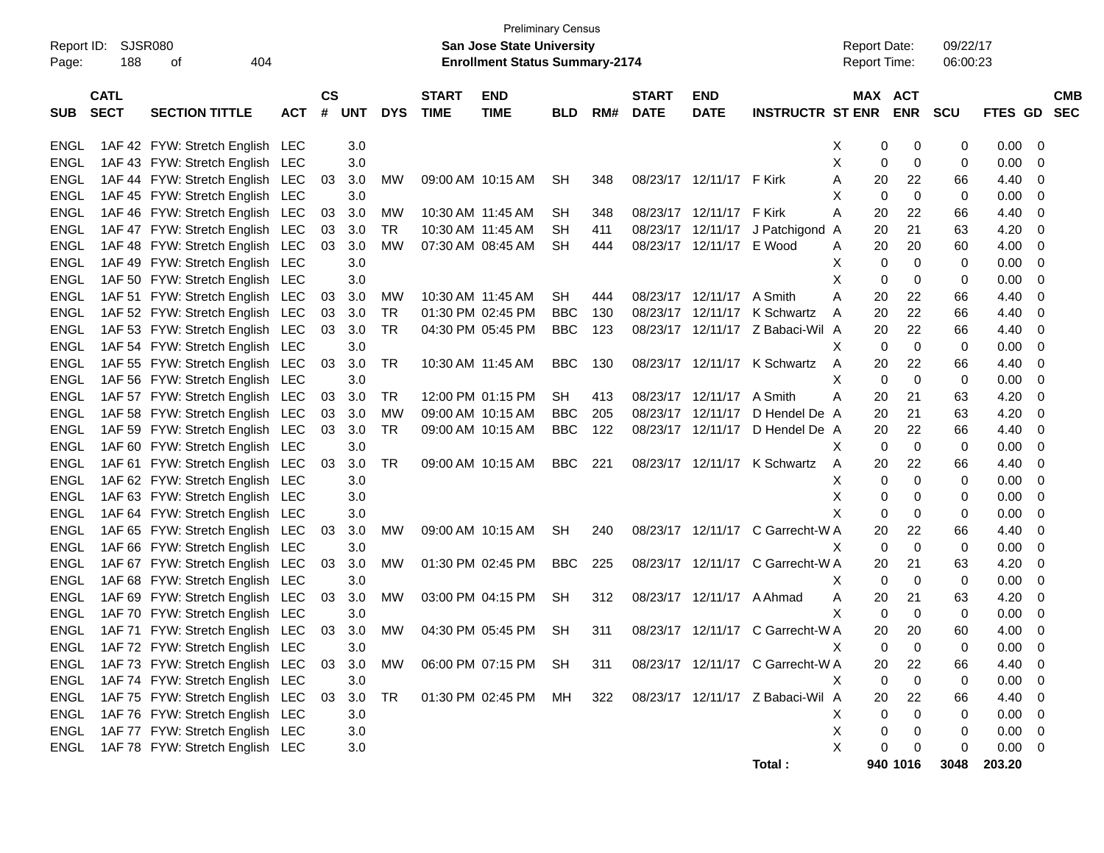| <b>Preliminary Census</b><br>SJSR080<br><b>San Jose State University</b><br><b>Report Date:</b> |             |                                 |     |               |            |            |                   |                                       |            |     |              |                           |                                  |              |    |             |            |             |                          |
|-------------------------------------------------------------------------------------------------|-------------|---------------------------------|-----|---------------|------------|------------|-------------------|---------------------------------------|------------|-----|--------------|---------------------------|----------------------------------|--------------|----|-------------|------------|-------------|--------------------------|
| Report ID:                                                                                      |             |                                 |     |               |            |            |                   |                                       |            |     |              |                           |                                  |              |    |             | 09/22/17   |             |                          |
| Page:                                                                                           | 188         | 404<br>оf                       |     |               |            |            |                   | <b>Enrollment Status Summary-2174</b> |            |     |              |                           |                                  | Report Time: |    |             | 06:00:23   |             |                          |
|                                                                                                 | <b>CATL</b> |                                 |     | $\mathsf{cs}$ |            |            | <b>START</b>      | <b>END</b>                            |            |     | <b>START</b> | <b>END</b>                |                                  |              |    | MAX ACT     |            |             | <b>CMB</b>               |
| <b>SUB</b>                                                                                      | <b>SECT</b> | <b>SECTION TITTLE</b>           | ACT | #             | <b>UNT</b> | <b>DYS</b> | <b>TIME</b>       | <b>TIME</b>                           | <b>BLD</b> | RM# | <b>DATE</b>  | <b>DATE</b>               | <b>INSTRUCTR ST ENR</b>          |              |    | <b>ENR</b>  | <b>SCU</b> | FTES GD SEC |                          |
|                                                                                                 |             |                                 |     |               |            |            |                   |                                       |            |     |              |                           |                                  |              |    |             |            |             |                          |
| ENGL                                                                                            |             | 1AF 42 FYW: Stretch English LEC |     |               | 3.0        |            |                   |                                       |            |     |              |                           |                                  | X            | 0  | 0           | 0          | 0.00        | - 0                      |
| ENGL                                                                                            |             | 1AF 43 FYW: Stretch English LEC |     |               | 3.0        |            |                   |                                       |            |     |              |                           |                                  | X            | 0  | 0           | 0          | 0.00        | - 0                      |
| <b>ENGL</b>                                                                                     |             | 1AF 44 FYW: Stretch English LEC |     | 03            | 3.0        | МW         |                   | 09:00 AM 10:15 AM                     | SH         | 348 |              | 08/23/17 12/11/17 F Kirk  |                                  | Α            | 20 | 22          | 66         | 4.40        | 0                        |
| <b>ENGL</b>                                                                                     |             | 1AF 45 FYW: Stretch English LEC |     |               | 3.0        |            |                   |                                       |            |     |              |                           |                                  | Х            | 0  | $\mathbf 0$ | 0          | 0.00        | 0                        |
| ENGL                                                                                            |             | 1AF 46 FYW: Stretch English LEC |     | 03            | 3.0        | МW         | 10:30 AM 11:45 AM |                                       | SН         | 348 |              | 08/23/17 12/11/17         | F Kirk                           | Α            | 20 | 22          | 66         | 4.40        | 0                        |
| <b>ENGL</b>                                                                                     |             | 1AF 47 FYW: Stretch English LEC |     | 03            | 3.0        | TR         | 10:30 AM 11:45 AM |                                       | SН         | 411 |              | 08/23/17 12/11/17         | J Patchigond                     | A            | 20 | 21          | 63         | 4.20        | 0                        |
| <b>ENGL</b>                                                                                     |             | 1AF 48 FYW: Stretch English LEC |     | 03            | 3.0        | МW         |                   | 07:30 AM 08:45 AM                     | <b>SH</b>  | 444 |              | 08/23/17 12/11/17 E Wood  |                                  | A            | 20 | 20          | 60         | 4.00        | 0                        |
| <b>ENGL</b>                                                                                     |             | 1AF 49 FYW: Stretch English LEC |     |               | 3.0        |            |                   |                                       |            |     |              |                           |                                  | X            | 0  | 0           | 0          | 0.00        | 0                        |
| <b>ENGL</b>                                                                                     |             | 1AF 50 FYW: Stretch English LEC |     |               | 3.0        |            |                   |                                       |            |     |              |                           |                                  | X            | 0  | 0           | 0          | 0.00        | 0                        |
| <b>ENGL</b>                                                                                     |             | 1AF 51 FYW: Stretch English LEC |     | 03            | 3.0        | МW         | 10:30 AM 11:45 AM |                                       | <b>SH</b>  | 444 |              | 08/23/17 12/11/17 A Smith |                                  | Α            | 20 | 22          | 66         | 4.40        | 0                        |
| <b>ENGL</b>                                                                                     |             | 1AF 52 FYW: Stretch English LEC |     | 03            | 3.0        | TR         |                   | 01:30 PM 02:45 PM                     | <b>BBC</b> | 130 |              |                           | 08/23/17 12/11/17 K Schwartz     | A            | 20 | 22          | 66         | 4.40        | 0                        |
| <b>ENGL</b>                                                                                     |             | 1AF 53 FYW: Stretch English LEC |     | 03            | 3.0        | <b>TR</b>  |                   | 04:30 PM 05:45 PM                     | <b>BBC</b> | 123 |              |                           | 08/23/17 12/11/17 Z Babaci-Wil A |              | 20 | 22          | 66         | 4.40        | 0                        |
| <b>ENGL</b>                                                                                     |             | 1AF 54 FYW: Stretch English LEC |     |               | 3.0        |            |                   |                                       |            |     |              |                           |                                  | X            | 0  | 0           | 0          | 0.00        | 0                        |
| <b>ENGL</b>                                                                                     |             | 1AF 55 FYW: Stretch English LEC |     | 03            | 3.0        | TR         |                   | 10:30 AM 11:45 AM                     | <b>BBC</b> | 130 |              |                           | 08/23/17 12/11/17 K Schwartz     | A            | 20 | 22          | 66         | 4.40        | 0                        |
| <b>ENGL</b>                                                                                     |             | 1AF 56 FYW: Stretch English LEC |     |               | 3.0        |            |                   |                                       |            |     |              |                           |                                  | Х            | 0  | $\mathbf 0$ | 0          | 0.00        | 0                        |
| <b>ENGL</b>                                                                                     |             | 1AF 57 FYW: Stretch English LEC |     | 03            | 3.0        | TR         |                   | 12:00 PM 01:15 PM                     | <b>SH</b>  | 413 |              | 08/23/17 12/11/17         | A Smith                          | Α            | 20 | 21          | 63         | 4.20        | 0                        |
| <b>ENGL</b>                                                                                     |             | 1AF 58 FYW: Stretch English LEC |     | 03            | 3.0        | <b>MW</b>  |                   | 09:00 AM 10:15 AM                     | <b>BBC</b> | 205 |              | 08/23/17 12/11/17         | D Hendel De A                    |              | 20 | 21          | 63         | 4.20        | 0                        |
| <b>ENGL</b>                                                                                     |             | 1AF 59 FYW: Stretch English LEC |     | 03            | 3.0        | TR         |                   | 09:00 AM 10:15 AM                     | <b>BBC</b> | 122 |              | 08/23/17 12/11/17         | D Hendel De A                    |              | 20 | 22          | 66         | 4.40        | 0                        |
| <b>ENGL</b>                                                                                     |             | 1AF 60 FYW: Stretch English LEC |     |               | 3.0        |            |                   |                                       |            |     |              |                           |                                  | Х            | 0  | 0           | 0          | 0.00        | 0                        |
| <b>ENGL</b>                                                                                     |             | 1AF 61 FYW: Stretch English LEC |     | 03            | 3.0        | TR         |                   | 09:00 AM 10:15 AM                     | <b>BBC</b> | 221 |              |                           | 08/23/17 12/11/17 K Schwartz     | A            | 20 | 22          | 66         | 4.40        | 0                        |
| <b>ENGL</b>                                                                                     |             | 1AF 62 FYW: Stretch English LEC |     |               | 3.0        |            |                   |                                       |            |     |              |                           |                                  | х            | 0  | 0           | 0          | 0.00        | 0                        |
| <b>ENGL</b>                                                                                     |             | 1AF 63 FYW: Stretch English LEC |     |               | 3.0        |            |                   |                                       |            |     |              |                           |                                  | Х            | 0  | 0           | 0          | 0.00        | 0                        |
| <b>ENGL</b>                                                                                     |             | 1AF 64 FYW: Stretch English LEC |     |               | 3.0        |            |                   |                                       |            |     |              |                           |                                  | X            | 0  | 0           | 0          | 0.00        | 0                        |
| <b>ENGL</b>                                                                                     |             | 1AF 65 FYW: Stretch English LEC |     | 03            | 3.0        | МW         |                   | 09:00 AM 10:15 AM                     | SН         | 240 |              |                           | 08/23/17 12/11/17 C Garrecht-W A |              | 20 | 22          | 66         | 4.40        | 0                        |
| <b>ENGL</b>                                                                                     |             | 1AF 66 FYW: Stretch English LEC |     |               | 3.0        |            |                   |                                       |            |     |              |                           |                                  | X            | 0  | $\mathbf 0$ | 0          | 0.00        | 0                        |
| <b>ENGL</b>                                                                                     |             | 1AF 67 FYW: Stretch English LEC |     | 03            | 3.0        | МW         |                   | 01:30 PM 02:45 PM                     | <b>BBC</b> | 225 |              |                           | 08/23/17 12/11/17 C Garrecht-W A |              | 20 | 21          | 63         | 4.20        | 0                        |
| <b>ENGL</b>                                                                                     |             | 1AF 68 FYW: Stretch English LEC |     |               | 3.0        |            |                   |                                       |            |     |              |                           |                                  | X            | 0  | 0           | 0          | 0.00        | 0                        |
| <b>ENGL</b>                                                                                     |             | 1AF 69 FYW: Stretch English LEC |     | 03            | 3.0        | МW         |                   | 03:00 PM 04:15 PM                     | SH         | 312 |              | 08/23/17 12/11/17 A Ahmad |                                  | A            | 20 | 21          | 63         | 4.20        | 0                        |
| <b>ENGL</b>                                                                                     |             | 1AF 70 FYW: Stretch English LEC |     |               | 3.0        |            |                   |                                       |            |     |              |                           |                                  | X            | 0  | 0           | 0          | 0.00        | 0                        |
| ENGL                                                                                            |             | 1AF 71 FYW: Stretch English LEC |     | 03            | 3.0        | МW         |                   | 04:30 PM 05:45 PM                     | SH         | 311 |              |                           | 08/23/17 12/11/17 C Garrecht-W A |              | 20 | 20          | 60         | 4.00        | 0                        |
| ENGL                                                                                            |             | 1AF 72 FYW: Stretch English LEC |     |               | $3.0\,$    |            |                   |                                       |            |     |              |                           |                                  |              | 0  | $\mathbf 0$ | 0          | 0.00        | $\overline{\phantom{0}}$ |
| ENGL                                                                                            |             | 1AF 73 FYW: Stretch English LEC |     | 03            | 3.0        | МW         |                   | 06:00 PM 07:15 PM                     | SH         | 311 |              |                           | 08/23/17 12/11/17 C Garrecht-W A |              | 20 | 22          | 66         | 4.40        | $\overline{\mathbf{0}}$  |
| <b>ENGL</b>                                                                                     |             | 1AF 74 FYW: Stretch English LEC |     |               | 3.0        |            |                   |                                       |            |     |              |                           |                                  | Χ            | 0  | $\pmb{0}$   | 0          | 0.00        | $\overline{\mathbf{0}}$  |
| ENGL                                                                                            |             | 1AF 75 FYW: Stretch English LEC |     | 03            | 3.0        | <b>TR</b>  |                   | 01:30 PM 02:45 PM                     | MН         | 322 |              |                           | 08/23/17 12/11/17 Z Babaci-Wil A |              | 20 | 22          | 66         | 4.40 0      |                          |
| <b>ENGL</b>                                                                                     |             | 1AF 76 FYW: Stretch English LEC |     |               | 3.0        |            |                   |                                       |            |     |              |                           |                                  | Х            | 0  | 0           | 0          | $0.00 \t 0$ |                          |
| <b>ENGL</b>                                                                                     |             | 1AF 77 FYW: Stretch English LEC |     |               | 3.0        |            |                   |                                       |            |     |              |                           |                                  | X            | 0  | 0           | 0          | $0.00 \t 0$ |                          |
| ENGL                                                                                            |             | 1AF 78 FYW: Stretch English LEC |     |               | 3.0        |            |                   |                                       |            |     |              |                           |                                  | X            | 0  | 0           | 0          | $0.00 \t 0$ |                          |
|                                                                                                 |             |                                 |     |               |            |            |                   |                                       |            |     |              |                           | Total:                           |              |    | 940 1016    | 3048       | 203.20      |                          |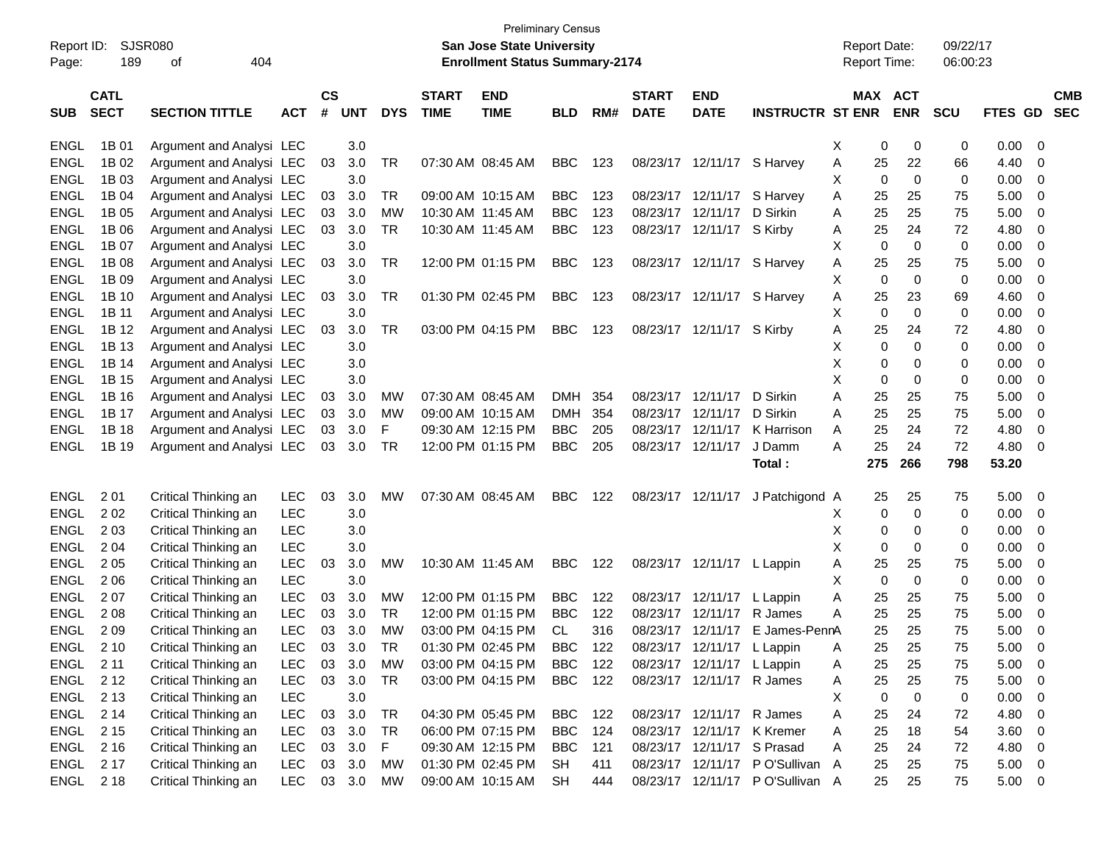|             |             |                          |            |               |            |            |                   | <b>Preliminary Census</b>             |            |     |              |                            |                                 |   |                     |             |             |         |                         |
|-------------|-------------|--------------------------|------------|---------------|------------|------------|-------------------|---------------------------------------|------------|-----|--------------|----------------------------|---------------------------------|---|---------------------|-------------|-------------|---------|-------------------------|
| Report ID:  |             | <b>SJSR080</b>           |            |               |            |            |                   | <b>San Jose State University</b>      |            |     |              |                            |                                 |   | <b>Report Date:</b> |             | 09/22/17    |         |                         |
| Page:       | 189         | 404<br>οf                |            |               |            |            |                   | <b>Enrollment Status Summary-2174</b> |            |     |              |                            |                                 |   | <b>Report Time:</b> |             | 06:00:23    |         |                         |
|             |             |                          |            |               |            |            |                   |                                       |            |     |              |                            |                                 |   |                     |             |             |         |                         |
|             | <b>CATL</b> |                          |            | $\mathsf{cs}$ |            |            | <b>START</b>      | <b>END</b>                            |            |     | <b>START</b> | <b>END</b>                 |                                 |   | MAX ACT             |             |             |         | <b>CMB</b>              |
| <b>SUB</b>  | <b>SECT</b> | <b>SECTION TITTLE</b>    | <b>ACT</b> | #             | <b>UNT</b> | <b>DYS</b> | <b>TIME</b>       | <b>TIME</b>                           | <b>BLD</b> | RM# | <b>DATE</b>  | <b>DATE</b>                | <b>INSTRUCTR ST ENR</b>         |   |                     | <b>ENR</b>  | <b>SCU</b>  | FTES GD | <b>SEC</b>              |
| <b>ENGL</b> | 1B 01       | Argument and Analysi LEC |            |               | 3.0        |            |                   |                                       |            |     |              |                            |                                 | Х | 0                   | 0           | 0           | 0.00    | -0                      |
| <b>ENGL</b> | 1B 02       | Argument and Analysi LEC |            | 03            | 3.0        | TR         | 07:30 AM 08:45 AM |                                       | <b>BBC</b> | 123 | 08/23/17     | 12/11/17 S Harvey          |                                 | A | 25                  | 22          | 66          | 4.40    | 0                       |
| <b>ENGL</b> | 1B 03       | Argument and Analysi LEC |            |               | 3.0        |            |                   |                                       |            |     |              |                            |                                 | х | 0                   | $\mathbf 0$ | 0           | 0.00    | 0                       |
| <b>ENGL</b> | 1B 04       | Argument and Analysi LEC |            | 03            | 3.0        | TR         | 09:00 AM 10:15 AM |                                       | <b>BBC</b> | 123 | 08/23/17     | 12/11/17                   | S Harvey                        | A | 25                  | 25          | 75          | 5.00    | 0                       |
| <b>ENGL</b> | 1B 05       | Argument and Analysi LEC |            | 03            | 3.0        | <b>MW</b>  | 10:30 AM 11:45 AM |                                       | <b>BBC</b> | 123 | 08/23/17     | 12/11/17                   | D Sirkin                        | Α | 25                  | 25          | 75          | 5.00    | 0                       |
| <b>ENGL</b> | 1B 06       | Argument and Analysi LEC |            | 03            | 3.0        | <b>TR</b>  | 10:30 AM 11:45 AM |                                       | <b>BBC</b> | 123 | 08/23/17     | 12/11/17 S Kirby           |                                 | A | 25                  | 24          | 72          | 4.80    | 0                       |
| <b>ENGL</b> | 1B 07       | Argument and Analysi LEC |            |               | 3.0        |            |                   |                                       |            |     |              |                            |                                 | х | 0                   | $\mathbf 0$ | $\mathbf 0$ | 0.00    | 0                       |
| <b>ENGL</b> | 1B 08       | Argument and Analysi LEC |            | 03            | 3.0        | <b>TR</b>  |                   | 12:00 PM 01:15 PM                     | <b>BBC</b> | 123 |              | 08/23/17 12/11/17 S Harvey |                                 | A | 25                  | 25          | 75          | 5.00    | 0                       |
| <b>ENGL</b> | 1B 09       | Argument and Analysi LEC |            |               | 3.0        |            |                   |                                       |            |     |              |                            |                                 | х | 0                   | 0           | $\mathbf 0$ | 0.00    | $\mathbf 0$             |
| <b>ENGL</b> | 1B 10       | Argument and Analysi LEC |            | 03            | 3.0        | <b>TR</b>  |                   | 01:30 PM 02:45 PM                     | <b>BBC</b> | 123 |              | 08/23/17 12/11/17 S Harvey |                                 | A | 25                  | 23          | 69          | 4.60    | 0                       |
| <b>ENGL</b> | 1B 11       | Argument and Analysi LEC |            |               | 3.0        |            |                   |                                       |            |     |              |                            |                                 | х | 0                   | 0           | $\mathbf 0$ | 0.00    | 0                       |
| <b>ENGL</b> | 1B 12       | Argument and Analysi LEC |            | 03            | 3.0        | TR         |                   | 03:00 PM 04:15 PM                     | <b>BBC</b> | 123 |              | 08/23/17 12/11/17 S Kirby  |                                 | A | 25                  | 24          | 72          | 4.80    | 0                       |
| <b>ENGL</b> | 1B 13       | Argument and Analysi LEC |            |               | 3.0        |            |                   |                                       |            |     |              |                            |                                 | х | 0                   | $\Omega$    | $\mathbf 0$ | 0.00    | 0                       |
| <b>ENGL</b> | 1B 14       | Argument and Analysi LEC |            |               | 3.0        |            |                   |                                       |            |     |              |                            |                                 | х | 0                   | 0           | 0           | 0.00    | 0                       |
| <b>ENGL</b> | 1B 15       | Argument and Analysi LEC |            |               | 3.0        |            |                   |                                       |            |     |              |                            |                                 | х | 0                   | 0           | 0           | 0.00    | $\mathbf 0$             |
| <b>ENGL</b> | 1B 16       | Argument and Analysi LEC |            | 03            | 3.0        | MW         | 07:30 AM 08:45 AM |                                       | <b>DMH</b> | 354 | 08/23/17     | 12/11/17                   | D Sirkin                        | A | 25                  | 25          | 75          | 5.00    | 0                       |
| <b>ENGL</b> | 1B 17       | Argument and Analysi LEC |            | 03            | 3.0        | <b>MW</b>  | 09:00 AM 10:15 AM |                                       | <b>DMH</b> | 354 | 08/23/17     | 12/11/17                   | D Sirkin                        | A | 25                  | 25          | 75          | 5.00    | 0                       |
| <b>ENGL</b> | 1B 18       | Argument and Analysi LEC |            | 03            | 3.0        | F          |                   | 09:30 AM 12:15 PM                     | <b>BBC</b> | 205 | 08/23/17     | 12/11/17                   | K Harrison                      | A | 25                  | 24          | 72          | 4.80    | 0                       |
| ENGL        | 1B 19       | Argument and Analysi LEC |            | 03            | 3.0        | TR         |                   | 12:00 PM 01:15 PM                     | <b>BBC</b> | 205 | 08/23/17     | 12/11/17                   | J Damm                          | A | 25                  | 24          | 72          | 4.80    | 0                       |
|             |             |                          |            |               |            |            |                   |                                       |            |     |              |                            | Total:                          |   | 275                 | 266         | 798         | 53.20   |                         |
|             |             |                          |            |               |            |            |                   |                                       |            |     |              |                            |                                 |   |                     |             |             |         |                         |
| <b>ENGL</b> | 2 0 1       | Critical Thinking an     | <b>LEC</b> | 03            | 3.0        | МW         | 07:30 AM 08:45 AM |                                       | <b>BBC</b> | 122 | 08/23/17     | 12/11/17                   | J Patchigond A                  |   | 25                  | 25          | 75          | 5.00    | -0                      |
| <b>ENGL</b> | 202         | Critical Thinking an     | LEC        |               | 3.0        |            |                   |                                       |            |     |              |                            |                                 | X | 0                   | 0           | 0           | 0.00    | 0                       |
| <b>ENGL</b> | 2 0 3       | Critical Thinking an     | <b>LEC</b> |               | 3.0        |            |                   |                                       |            |     |              |                            |                                 | Х | 0                   | 0           | 0           | 0.00    | 0                       |
| <b>ENGL</b> | 2 0 4       | Critical Thinking an     | LEC        |               | 3.0        |            |                   |                                       |            |     |              |                            |                                 | х | 0                   | 0           | 0           | 0.00    | 0                       |
| <b>ENGL</b> | 2 0 5       | Critical Thinking an     | <b>LEC</b> | 03            | 3.0        | MW         | 10:30 AM 11:45 AM |                                       | <b>BBC</b> | 122 |              | 08/23/17 12/11/17 L Lappin |                                 | Α | 25                  | 25          | 75          | 5.00    | 0                       |
| <b>ENGL</b> | 2 0 6       | Critical Thinking an     | LEC        |               | 3.0        |            |                   |                                       |            |     |              |                            |                                 | х | 0                   | $\mathbf 0$ | $\mathbf 0$ | 0.00    | 0                       |
| <b>ENGL</b> | 207         | Critical Thinking an     | <b>LEC</b> | 03            | 3.0        | MW         |                   | 12:00 PM 01:15 PM                     | <b>BBC</b> | 122 | 08/23/17     | 12/11/17                   | L Lappin                        | Α | 25                  | 25          | 75          | 5.00    | 0                       |
| <b>ENGL</b> | 208         | Critical Thinking an     | LEC        | 03            | 3.0        | TR         |                   | 12:00 PM 01:15 PM                     | <b>BBC</b> | 122 | 08/23/17     | 12/11/17                   | R James                         | A | 25                  | 25          | 75          | 5.00    | -0                      |
| ENGL        | 2 0 9       | Critical Thinking an     | <b>LEC</b> | 03            | 3.0        | <b>MW</b>  |                   | 03:00 PM 04:15 PM                     | <b>CL</b>  | 316 |              |                            | 08/23/17 12/11/17 E James-PennA |   | 25                  | 25          | 75          | 5.00    | 0                       |
| ENGL        | 2 1 0       | Critical Thinking an     | LEC        | 03            | 3.0        | <b>TR</b>  |                   | 01:30 PM 02:45 PM                     | <b>BBC</b> | 122 |              | 08/23/17 12/11/17 L Lappin |                                 | A | 25                  | 25          | 75          | 5.00    | $\overline{0}$          |
| <b>ENGL</b> | 2 11        | Critical Thinking an     | <b>LEC</b> | 03            | 3.0        | <b>MW</b>  |                   | 03:00 PM 04:15 PM                     | <b>BBC</b> | 122 |              | 08/23/17 12/11/17 L Lappin |                                 | Α | 25                  | 25          | 75          | 5.00    | $\overline{0}$          |
| ENGL        | 2 1 2       | Critical Thinking an     | LEC        |               | 03 3.0     | <b>TR</b>  |                   | 03:00 PM 04:15 PM                     | <b>BBC</b> | 122 |              | 08/23/17 12/11/17 R James  |                                 | Α | 25                  | 25          | 75          | 5.00    | $\overline{0}$          |
| ENGL        | 2 1 3       | Critical Thinking an     | <b>LEC</b> |               | 3.0        |            |                   |                                       |            |     |              |                            |                                 | Х | 0                   | 0           | 0           | 0.00    | $\overline{0}$          |
| ENGL        | 2 14        | Critical Thinking an     | <b>LEC</b> | 03            | 3.0        | <b>TR</b>  |                   | 04:30 PM 05:45 PM                     | BBC        | 122 |              | 08/23/17 12/11/17 R James  |                                 | Α | 25                  | 24          | 72          | 4.80    | $\overline{0}$          |
| ENGL        | 2 1 5       | Critical Thinking an     | <b>LEC</b> | 03            | 3.0        | <b>TR</b>  |                   | 06:00 PM 07:15 PM                     | <b>BBC</b> | 124 |              | 08/23/17 12/11/17 K Kremer |                                 | Α | 25                  | 18          | 54          | 3.60    | $\overline{0}$          |
| ENGL        | 2 1 6       | Critical Thinking an     | LEC        | 03            | 3.0        | F          |                   | 09:30 AM 12:15 PM                     | <b>BBC</b> | 121 |              | 08/23/17 12/11/17 S Prasad |                                 | A | 25                  | 24          | 72          | 4.80    | $\overline{0}$          |
| <b>ENGL</b> | 2 1 7       | Critical Thinking an     | <b>LEC</b> | 03            | 3.0        | MW         |                   | 01:30 PM 02:45 PM                     | SH         | 411 |              |                            | 08/23/17 12/11/17 PO'Sullivan A |   | 25                  | 25          | 75          | 5.00    | $\overline{0}$          |
| ENGL        | 2 1 8       | Critical Thinking an     | <b>LEC</b> |               | 03 3.0     | MW         |                   | 09:00 AM 10:15 AM                     | <b>SH</b>  | 444 |              |                            | 08/23/17 12/11/17 PO'Sullivan A |   | 25                  | 25          | 75          | 5.00    | $\overline{\mathbf{0}}$ |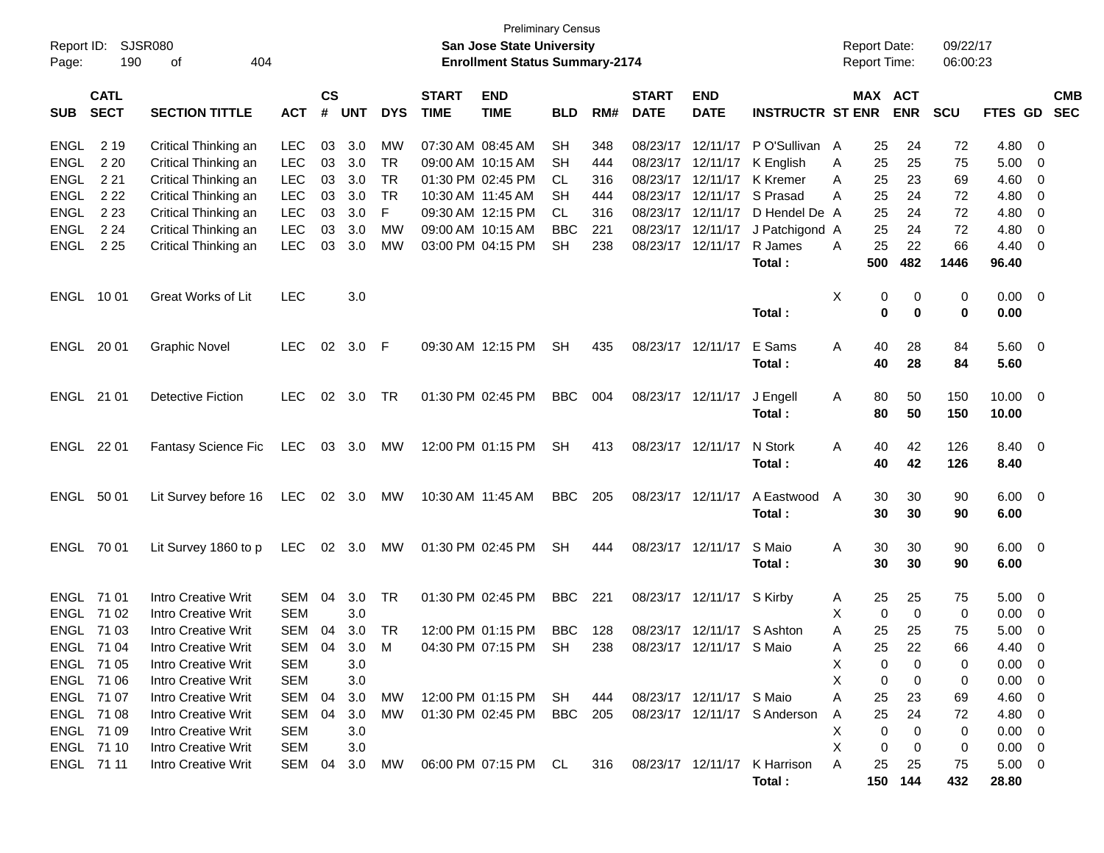| Page:                                        | Report ID: SJSR080<br>190  | 404<br>οf                                                                              |                                        |                    |                   |                              |                             | <b>Preliminary Census</b><br><b>San Jose State University</b><br><b>Enrollment Status Summary-2174</b> |                          |                   |                                        |                                                 |                                        |                | <b>Report Date:</b><br><b>Report Time:</b> |                         | 09/22/17<br>06:00:23 |                              |                                                                                  |  |
|----------------------------------------------|----------------------------|----------------------------------------------------------------------------------------|----------------------------------------|--------------------|-------------------|------------------------------|-----------------------------|--------------------------------------------------------------------------------------------------------|--------------------------|-------------------|----------------------------------------|-------------------------------------------------|----------------------------------------|----------------|--------------------------------------------|-------------------------|----------------------|------------------------------|----------------------------------------------------------------------------------|--|
| <b>SUB</b>                                   | <b>CATL</b><br><b>SECT</b> | <b>SECTION TITTLE</b>                                                                  | <b>ACT</b>                             | $\mathsf{cs}$<br># | <b>UNT</b>        | <b>DYS</b>                   | <b>START</b><br><b>TIME</b> | <b>END</b><br><b>TIME</b>                                                                              | <b>BLD</b>               | RM#               | <b>START</b><br><b>DATE</b>            | <b>END</b><br><b>DATE</b>                       | <b>INSTRUCTR ST ENR</b>                |                | MAX ACT                                    | <b>ENR</b>              | <b>SCU</b>           | FTES GD                      | <b>CMB</b><br><b>SEC</b>                                                         |  |
| ENGL<br><b>ENGL</b><br><b>ENGL</b>           | 2 1 9<br>2 2 0<br>2 2 1    | Critical Thinking an<br>Critical Thinking an<br>Critical Thinking an                   | <b>LEC</b><br><b>LEC</b><br><b>LEC</b> | 03<br>03<br>03     | 3.0<br>3.0<br>3.0 | <b>MW</b><br>TR<br><b>TR</b> |                             | 07:30 AM 08:45 AM<br>09:00 AM 10:15 AM<br>01:30 PM 02:45 PM                                            | <b>SH</b><br>SH          | 348<br>444<br>316 | 08/23/17<br>08/23/17 12/11/17          | 12/11/17<br>08/23/17 12/11/17                   | PO'Sullivan A<br>K English<br>K Kremer | A              | 25<br>25                                   | 24<br>25<br>23          | 72<br>75<br>69       | 4.80<br>5.00<br>4.60         | - 0<br>- 0                                                                       |  |
| <b>ENGL</b><br><b>ENGL</b>                   | 2 2 2<br>2 2 3             | Critical Thinking an<br>Critical Thinking an                                           | <b>LEC</b><br><b>LEC</b>               | 03<br>03           | 3.0<br>3.0        | <b>TR</b><br>F.              |                             | 10:30 AM 11:45 AM<br>09:30 AM 12:15 PM                                                                 | CL.<br><b>SH</b><br>CL.  | 444<br>316        | 08/23/17 12/11/17<br>08/23/17 12/11/17 |                                                 | S Prasad<br>D Hendel De A              | A<br>A         | 25<br>25<br>25                             | 24<br>24                | 72<br>72             | 4.80<br>4.80                 | - 0<br>- 0<br>- 0                                                                |  |
| <b>ENGL</b><br><b>ENGL</b>                   | 2 2 4<br>2 2 5             | Critical Thinking an<br>Critical Thinking an                                           | <b>LEC</b><br><b>LEC</b>               | 03<br>03           | 3.0<br>3.0        | MW<br>MW                     |                             | 09:00 AM 10:15 AM<br>03:00 PM 04:15 PM                                                                 | <b>BBC</b><br><b>SH</b>  | 221<br>238        | 08/23/17 12/11/17<br>08/23/17          | 12/11/17                                        | J Patchigond A<br>R James<br>Total:    | A              | 25<br>25<br>500                            | 24<br>22<br>482         | 72<br>66<br>1446     | 4.80<br>4.40<br>96.40        | - 0<br>- 0                                                                       |  |
| ENGL 10 01                                   |                            | <b>Great Works of Lit</b>                                                              | <b>LEC</b>                             |                    | 3.0               |                              |                             |                                                                                                        |                          |                   |                                        |                                                 | Total:                                 | Х              | 0<br>0                                     | 0<br>$\bf{0}$           | 0<br>0               | 0.00<br>0.00                 | $\overline{\phantom{0}}$                                                         |  |
| ENGL 20 01                                   |                            | <b>Graphic Novel</b>                                                                   | <b>LEC</b>                             | 02                 | 3.0               | - F                          |                             | 09:30 AM 12:15 PM                                                                                      | <b>SH</b>                | 435               | 08/23/17 12/11/17                      |                                                 | E Sams<br>Total:                       | A              | 40<br>40                                   | 28<br>28                | 84<br>84             | 5.60<br>5.60                 | $\overline{\phantom{0}}$                                                         |  |
| ENGL 21 01                                   |                            | <b>Detective Fiction</b>                                                               | <b>LEC</b>                             | 02                 | 3.0               | TR                           |                             | 01:30 PM 02:45 PM                                                                                      | <b>BBC</b>               | 004               | 08/23/17 12/11/17                      |                                                 | J Engell<br>Total:                     | A              | 80<br>80                                   | 50<br>50                | 150<br>150           | $10.00 \t 0$<br>10.00        |                                                                                  |  |
| ENGL                                         | 22 01                      | <b>Fantasy Science Fic</b>                                                             | LEC                                    |                    | 03 3.0            | MW                           |                             | 12:00 PM 01:15 PM                                                                                      | <b>SH</b>                | 413               | 08/23/17 12/11/17                      |                                                 | N Stork<br>Total:                      | A              | 40<br>40                                   | 42<br>42                | 126<br>126           | 8.40 0<br>8.40               |                                                                                  |  |
| ENGL 50 01                                   |                            | Lit Survey before 16                                                                   | LEC                                    |                    | 02 3.0            | MW                           | 10:30 AM 11:45 AM           |                                                                                                        | <b>BBC</b>               | 205               | 08/23/17 12/11/17                      |                                                 | A Eastwood<br>Total:                   | $\overline{A}$ | 30<br>30                                   | 30<br>30                | 90<br>90             | $6.00 \quad 0$<br>6.00       |                                                                                  |  |
| ENGL 70 01                                   |                            | Lit Survey 1860 to p                                                                   | LEC                                    |                    | 02 3.0            | MW                           |                             | 01:30 PM 02:45 PM                                                                                      | <b>SH</b>                | 444               | 08/23/17 12/11/17                      |                                                 | S Maio<br>Total:                       | A              | 30<br>30                                   | 30<br>30                | 90<br>90             | $6.00 \quad 0$<br>6.00       |                                                                                  |  |
| <b>ENGL 7101</b><br>ENGL 71 02<br>ENGL 71 03 |                            | <b>Intro Creative Writ</b><br><b>Intro Creative Writ</b><br><b>Intro Creative Writ</b> | <b>SEM</b><br><b>SEM</b><br>SEM        | 04<br>04           | 3.0<br>3.0<br>3.0 | TR<br>TR                     |                             | 01:30 PM 02:45 PM<br>12:00 PM 01:15 PM                                                                 | <b>BBC</b><br><b>BBC</b> | 221<br>128        |                                        | 08/23/17 12/11/17<br>08/23/17 12/11/17 S Ashton | S Kirby                                | A<br>Χ<br>A    | 25<br>0<br>25                              | 25<br>$\mathbf 0$<br>25 | 75<br>0<br>75        | 5.00<br>0.00<br>5.00         | - 0<br>- 0<br>0                                                                  |  |
| ENGL 71 04<br>ENGL 71 05<br>ENGL 71 06       |                            | <b>Intro Creative Writ</b><br>Intro Creative Writ<br>Intro Creative Writ               | SEM 04 3.0<br><b>SEM</b><br><b>SEM</b> |                    | 3.0<br>3.0        | M                            |                             | 04:30 PM 07:15 PM SH                                                                                   |                          | 238               |                                        | 08/23/17 12/11/17 S Maio                        |                                        | Α<br>Х<br>X    | 25<br>0<br>0                               | 22<br>0<br>0            | 66<br>0<br>0         | 4.40<br>0.00<br>0.00         | $\overline{\phantom{0}}$<br>$\overline{\phantom{0}}$<br>$\overline{\phantom{0}}$ |  |
| ENGL 71 07<br>ENGL 71 08<br>ENGL 71 09       |                            | Intro Creative Writ<br>Intro Creative Writ<br>Intro Creative Writ                      | SEM<br>SEM<br><b>SEM</b>               | 04<br>04           | 3.0<br>3.0<br>3.0 | МW<br>МW                     |                             | 12:00 PM 01:15 PM SH<br>01:30 PM 02:45 PM                                                              | BBC                      | 444<br>205        |                                        | 08/23/17 12/11/17 S Maio                        | 08/23/17 12/11/17 S Anderson           | Α<br>A<br>X    | 25<br>25<br>0                              | 23<br>24<br>0           | 69<br>72<br>0        | 4.60<br>4.80<br>0.00         | - 0<br>- 0<br>$\overline{\phantom{0}}$                                           |  |
| ENGL 71 10<br>ENGL 71 11                     |                            | <b>Intro Creative Writ</b><br>Intro Creative Writ                                      | <b>SEM</b><br>SEM                      | 04                 | 3.0<br>3.0        | MW                           |                             | 06:00 PM 07:15 PM CL                                                                                   |                          | 316               |                                        |                                                 | 08/23/17 12/11/17 K Harrison<br>Total: | X<br>Α         | 0<br>25                                    | 0<br>25<br>150 144      | 0<br>75<br>432       | 0.00<br>$5.00 \t 0$<br>28.80 | $\overline{\phantom{0}}$                                                         |  |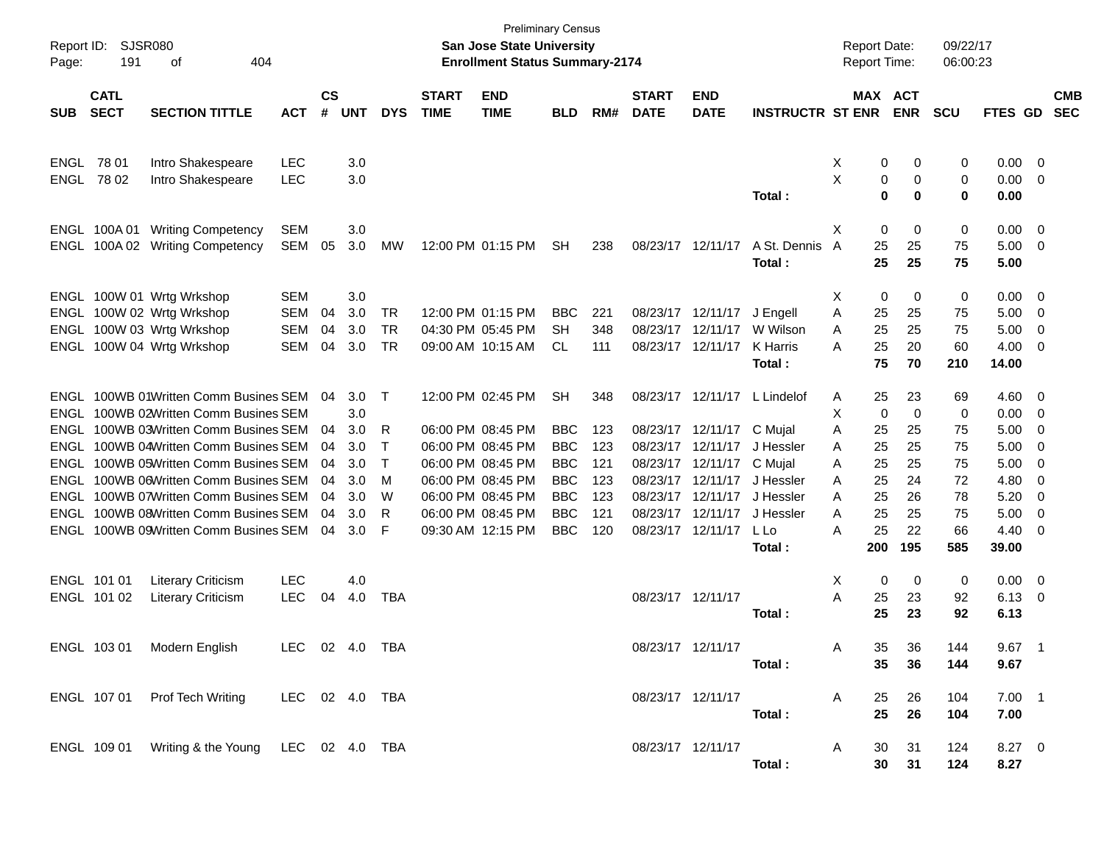| Page:      | Report ID: SJSR080<br>191  | 404                                            |                |                    |            |            | San Jose State University<br><b>Enrollment Status Summary-2174</b> | Preliminary Census        |            |     |                             |                           | <b>Report Date:</b><br><b>Report Time:</b> |                | 09/22/17<br>06:00:23  |            |               |                         |            |
|------------|----------------------------|------------------------------------------------|----------------|--------------------|------------|------------|--------------------------------------------------------------------|---------------------------|------------|-----|-----------------------------|---------------------------|--------------------------------------------|----------------|-----------------------|------------|---------------|-------------------------|------------|
| <b>SUB</b> | <b>CATL</b><br><b>SECT</b> | <b>SECTION TITTLE</b>                          | <b>ACT</b>     | $\mathsf{cs}$<br># | <b>UNT</b> | <b>DYS</b> | <b>START</b><br><b>TIME</b>                                        | <b>END</b><br><b>TIME</b> | <b>BLD</b> | RM# | <b>START</b><br><b>DATE</b> | <b>END</b><br><b>DATE</b> | <b>INSTRUCTR ST ENR</b>                    | MAX ACT        | <b>ENR</b>            | <b>SCU</b> | FTES GD SEC   |                         | <b>CMB</b> |
|            |                            |                                                |                |                    |            |            |                                                                    |                           |            |     |                             |                           |                                            |                |                       |            |               |                         |            |
|            | ENGL 78 01                 | Intro Shakespeare                              | <b>LEC</b>     |                    | 3.0        |            |                                                                    |                           |            |     |                             |                           |                                            | 0<br>X         | 0                     | 0          | 0.00          | - 0                     |            |
| ENGL       | 78 02                      | Intro Shakespeare                              | <b>LEC</b>     |                    | 3.0        |            |                                                                    |                           |            |     |                             |                           |                                            | X<br>0         | 0                     | 0          | 0.00          | $\overline{\mathbf{0}}$ |            |
|            |                            |                                                |                |                    |            |            |                                                                    |                           |            |     |                             |                           | Total:                                     | $\mathbf 0$    | 0                     | 0          | 0.00          |                         |            |
|            | ENGL 100A01                | <b>Writing Competency</b>                      | <b>SEM</b>     |                    | 3.0        |            |                                                                    |                           |            |     |                             |                           |                                            | Х<br>0         | 0                     | 0          | 0.00          | - 0                     |            |
| ENGL       |                            | 100A 02 Writing Competency                     | SEM            | 05                 | 3.0        | MW         |                                                                    | 12:00 PM 01:15 PM         | <b>SH</b>  | 238 | 08/23/17 12/11/17           |                           | A St. Dennis                               | A<br>25        | 25                    | 75         | 5.00          | - 0                     |            |
|            |                            |                                                |                |                    |            |            |                                                                    |                           |            |     |                             |                           | Total :                                    | 25             | 25                    | 75         | 5.00          |                         |            |
|            |                            | ENGL 100W 01 Wrtg Wrkshop                      | <b>SEM</b>     |                    | 3.0        |            |                                                                    |                           |            |     |                             |                           |                                            | 0<br>X         | 0                     | 0          | 0.00          | $\overline{\mathbf{0}}$ |            |
|            |                            | ENGL 100W 02 Wrtg Wrkshop                      | <b>SEM</b>     | 04                 | 3.0        | TR         |                                                                    | 12:00 PM 01:15 PM         | <b>BBC</b> | 221 |                             | 08/23/17 12/11/17         | J Engell                                   | Α<br>25        | 25                    | 75         | 5.00          | - 0                     |            |
|            |                            | ENGL 100W 03 Wrtg Wrkshop                      | <b>SEM</b>     | 04                 | 3.0        | <b>TR</b>  |                                                                    | 04:30 PM 05:45 PM         | SН         | 348 | 08/23/17 12/11/17           |                           | W Wilson                                   | 25<br>A        | 25                    | 75         | 5.00          | $\overline{0}$          |            |
|            |                            | ENGL 100W 04 Wrtg Wrkshop                      | <b>SEM</b>     | 04                 | 3.0        | TR         |                                                                    | 09:00 AM 10:15 AM         | CL.        | 111 |                             | 08/23/17 12/11/17         | K Harris                                   | 25<br>A        | 20                    | 60         | 4.00          | 0                       |            |
|            |                            |                                                |                |                    |            |            |                                                                    |                           |            |     |                             |                           | Total :                                    | 75             | 70                    | 210        | 14.00         |                         |            |
|            |                            | ENGL 100WB 01Written Comm Busines SEM          |                | 04                 | 3.0        | $\top$     |                                                                    | 12:00 PM 02:45 PM         | <b>SH</b>  | 348 |                             | 08/23/17 12/11/17         | L Lindelof                                 | 25<br>A        | 23                    | 69         | 4.60          | - 0                     |            |
|            |                            | ENGL 100WB 02Written Comm Busines SEM          |                |                    | 3.0        |            |                                                                    |                           |            |     |                             |                           |                                            | X<br>0         | 0                     | 0          | 0.00          | - 0                     |            |
|            |                            | ENGL 100WB 03Written Comm Busines SEM          |                | 04                 | 3.0        | R          |                                                                    | 06:00 PM 08:45 PM         | <b>BBC</b> | 123 |                             | 08/23/17 12/11/17         | C Mujal                                    | Α<br>25        | 25                    | 75         | 5.00          | $\overline{0}$          |            |
|            |                            | ENGL 100WB 04Written Comm Busines SEM          |                | 04                 | 3.0        | Т          |                                                                    | 06:00 PM 08:45 PM         | <b>BBC</b> | 123 |                             | 08/23/17 12/11/17         | J Hessler                                  | 25<br>A        | 25                    | 75         | 5.00          | 0                       |            |
|            |                            | ENGL 100WB 05Written Comm Busines SEM          |                | 04                 | 3.0        | Т          |                                                                    | 06:00 PM 08:45 PM         | <b>BBC</b> | 121 |                             | 08/23/17 12/11/17         | C Mujal                                    | 25<br>A        | 25                    | 75         | 5.00          | 0                       |            |
|            |                            | ENGL 100WB 06Written Comm Busines SEM          |                | 04                 | 3.0        | м          |                                                                    | 06:00 PM 08:45 PM         | <b>BBC</b> | 123 |                             | 08/23/17 12/11/17         | J Hessler                                  | 25<br>A        | 24                    | 72         | 4.80          | 0                       |            |
|            |                            | ENGL 100WB 07Written Comm Busines SEM          |                | 04                 | 3.0        | W          |                                                                    | 06:00 PM 08:45 PM         | <b>BBC</b> | 123 |                             | 08/23/17 12/11/17         | J Hessler                                  | 25<br>A        | 26                    | 78         | 5.20          | 0                       |            |
|            |                            | ENGL 100WB 08Written Comm Busines SEM          |                | 04                 | 3.0        | R          |                                                                    | 06:00 PM 08:45 PM         | <b>BBC</b> | 121 |                             | 08/23/17 12/11/17         | J Hessler                                  | 25<br>A        | 25                    | 75         | 5.00          | 0                       |            |
|            |                            | ENGL 100WB 09Written Comm Busines SEM          |                | 04                 | 3.0        | F          |                                                                    | 09:30 AM 12:15 PM         | <b>BBC</b> | 120 |                             | 08/23/17 12/11/17         | L Lo<br>Total :                            | 25<br>A<br>200 | 22<br>195             | 66<br>585  | 4.40<br>39.00 | 0                       |            |
|            |                            |                                                |                |                    |            |            |                                                                    |                           |            |     |                             |                           |                                            |                |                       |            |               |                         |            |
|            | ENGL 101 01                | <b>Literary Criticism</b>                      | <b>LEC</b>     |                    | 4.0        |            |                                                                    |                           |            |     |                             |                           |                                            | Χ<br>0         | 0                     | 0          | 0.00          | $\overline{\mathbf{0}}$ |            |
|            | ENGL 101 02                | <b>Literary Criticism</b>                      | <b>LEC</b>     | 04                 | 4.0        | TBA        |                                                                    |                           |            |     | 08/23/17 12/11/17           |                           |                                            | 25<br>A        | 23                    | 92         | 6.13          | - 0                     |            |
|            |                            |                                                |                |                    |            |            |                                                                    |                           |            |     |                             |                           | Total :                                    | 25             | 23                    | 92         | 6.13          |                         |            |
|            |                            | ENGL 103 01 Modern English                     | LEC 02 4.0 TBA |                    |            |            |                                                                    |                           |            |     | 08/23/17 12/11/17           |                           |                                            | 35<br>Α        | 36.                   | 144        | 9.67          | $\overline{1}$          |            |
|            |                            |                                                |                |                    |            |            |                                                                    |                           |            |     |                             |                           | Total :                                    | 35             | 36                    | 144        | 9.67          |                         |            |
|            |                            | ENGL 107 01 Prof Tech Writing                  | LEC 02 4.0 TBA |                    |            |            |                                                                    |                           |            |     | 08/23/17 12/11/17           |                           |                                            | A<br>25        | 26                    | 104        | $7.00$ 1      |                         |            |
|            |                            |                                                |                |                    |            |            |                                                                    |                           |            |     |                             |                           | Total:                                     | 25             | 26                    | 104        | 7.00          |                         |            |
|            |                            |                                                |                |                    |            |            |                                                                    |                           |            |     |                             |                           |                                            |                |                       |            |               |                         |            |
|            |                            | ENGL 109 01 Writing & the Young LEC 02 4.0 TBA |                |                    |            |            |                                                                    |                           |            |     | 08/23/17 12/11/17           |                           |                                            | A<br>30        | 31                    | 124        | 8.27 0        |                         |            |
|            |                            |                                                |                |                    |            |            |                                                                    |                           |            |     |                             |                           | Total:                                     |                | 30 <sub>o</sub><br>31 | 124        | 8.27          |                         |            |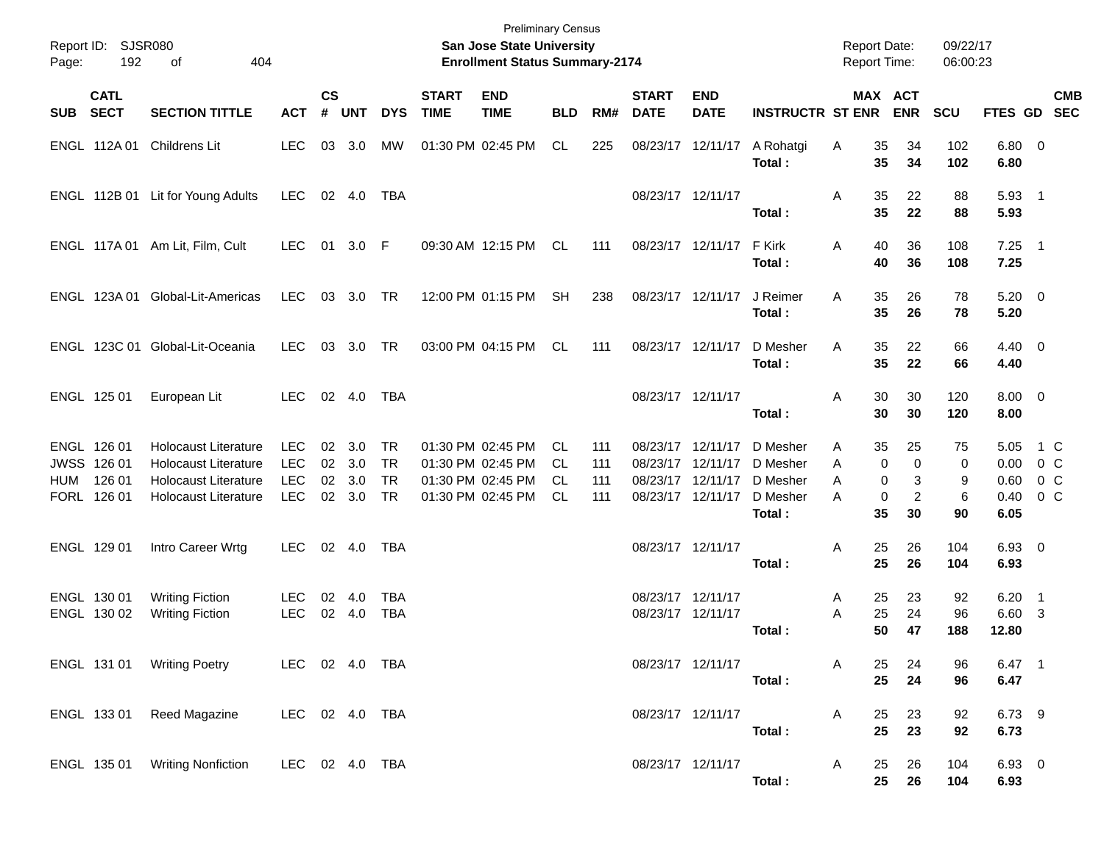| Page: | Report ID: SJSR080<br>192                           | 404<br>оf                                                                                                                |                                                      |                             |                                |                                                  |                             | <b>Preliminary Census</b><br>San Jose State University<br><b>Enrollment Status Summary-2174</b> |                                |                          |                                                                                  |                           |                                                        | <b>Report Date:</b><br><b>Report Time:</b> |                                                                           | 09/22/17<br>06:00:23    |                                      |                                                     |
|-------|-----------------------------------------------------|--------------------------------------------------------------------------------------------------------------------------|------------------------------------------------------|-----------------------------|--------------------------------|--------------------------------------------------|-----------------------------|-------------------------------------------------------------------------------------------------|--------------------------------|--------------------------|----------------------------------------------------------------------------------|---------------------------|--------------------------------------------------------|--------------------------------------------|---------------------------------------------------------------------------|-------------------------|--------------------------------------|-----------------------------------------------------|
|       | <b>CATL</b><br>SUB SECT                             | <b>SECTION TITTLE</b>                                                                                                    | <b>ACT</b>                                           | $\mathsf{cs}$<br>$\pmb{\#}$ | <b>UNT</b>                     | <b>DYS</b>                                       | <b>START</b><br><b>TIME</b> | <b>END</b><br><b>TIME</b>                                                                       | <b>BLD</b>                     | RM#                      | <b>START</b><br><b>DATE</b>                                                      | <b>END</b><br><b>DATE</b> | <b>INSTRUCTR ST ENR</b>                                |                                            | MAX ACT<br><b>ENR</b>                                                     | <b>SCU</b>              |                                      | <b>CMB</b><br>FTES GD SEC                           |
|       | ENGL 112A 01                                        | Childrens Lit                                                                                                            | <b>LEC</b>                                           | 03                          | 3.0                            | MW                                               |                             | 01:30 PM 02:45 PM                                                                               | CL.                            | 225                      |                                                                                  | 08/23/17 12/11/17         | A Rohatgi<br>Total:                                    | A                                          | 35<br>34<br>35<br>34                                                      | 102<br>102              | 6.80 0<br>6.80                       |                                                     |
|       |                                                     | ENGL 112B 01 Lit for Young Adults                                                                                        | <b>LEC</b>                                           |                             | 02 4.0                         | TBA                                              |                             |                                                                                                 |                                |                          | 08/23/17 12/11/17                                                                |                           | Total:                                                 | Α                                          | 35<br>22<br>35<br>22                                                      | 88<br>88                | $5.93$ 1<br>5.93                     |                                                     |
|       |                                                     | ENGL 117A 01 Am Lit, Film, Cult                                                                                          | LEC.                                                 | 01                          | 3.0 F                          |                                                  |                             | 09:30 AM 12:15 PM                                                                               | <b>CL</b>                      | 111                      | 08/23/17 12/11/17                                                                |                           | F Kirk<br>Total:                                       | Α                                          | 40<br>36<br>40<br>36                                                      | 108<br>108              | $7.25$ 1<br>7.25                     |                                                     |
|       |                                                     | ENGL 123A 01 Global-Lit-Americas                                                                                         | <b>LEC</b>                                           |                             | 03 3.0                         | TR                                               |                             | 12:00 PM 01:15 PM                                                                               | <b>SH</b>                      | 238                      | 08/23/17 12/11/17                                                                |                           | J Reimer<br>Total:                                     | Α                                          | 35<br>26<br>35<br>26                                                      | 78<br>78                | $5.20 \ 0$<br>5.20                   |                                                     |
|       |                                                     | ENGL 123C 01 Global-Lit-Oceania                                                                                          | <b>LEC</b>                                           | 03                          | 3.0                            | TR                                               |                             | 03:00 PM 04:15 PM                                                                               | CL                             | 111                      | 08/23/17 12/11/17                                                                |                           | D Mesher<br>Total:                                     | Α                                          | 35<br>22<br>35<br>22                                                      | 66<br>66                | $4.40 \quad 0$<br>4.40               |                                                     |
|       | ENGL 125 01                                         | European Lit                                                                                                             | LEC.                                                 |                             | 02 4.0                         | TBA                                              |                             |                                                                                                 |                                |                          | 08/23/17 12/11/17                                                                |                           | Total :                                                | Α                                          | 30<br>30<br>30<br>30                                                      | 120<br>120              | $8.00 \t 0$<br>8.00                  |                                                     |
| HUM   | ENGL 126 01<br>JWSS 126 01<br>126 01<br>FORL 126 01 | <b>Holocaust Literature</b><br><b>Holocaust Literature</b><br><b>Holocaust Literature</b><br><b>Holocaust Literature</b> | <b>LEC</b><br><b>LEC</b><br><b>LEC</b><br><b>LEC</b> | 02<br>02                    | 3.0<br>02 3.0<br>3.0<br>02 3.0 | <b>TR</b><br><b>TR</b><br><b>TR</b><br><b>TR</b> |                             | 01:30 PM 02:45 PM<br>01:30 PM 02:45 PM<br>01:30 PM 02:45 PM<br>01:30 PM 02:45 PM                | CL.<br>CL.<br>CL.<br><b>CL</b> | 111<br>111<br>111<br>111 | 08/23/17 12/11/17<br>08/23/17 12/11/17<br>08/23/17 12/11/17<br>08/23/17 12/11/17 |                           | D Mesher<br>D Mesher<br>D Mesher<br>D Mesher<br>Total: | A<br>A<br>A<br>A                           | 35<br>25<br>$\mathbf 0$<br>0<br>0<br>3<br>$\overline{2}$<br>0<br>35<br>30 | 75<br>0<br>9<br>6<br>90 | 5.05<br>0.00<br>0.60<br>0.40<br>6.05 | 1 C<br>0 <sup>o</sup><br>0 <sup>o</sup><br>$0\,C$   |
|       | ENGL 129 01                                         | Intro Career Wrtg                                                                                                        | <b>LEC</b>                                           |                             | 02 4.0                         | TBA                                              |                             |                                                                                                 |                                |                          | 08/23/17 12/11/17                                                                |                           | Total :                                                | Α                                          | 25<br>26<br>25<br>26                                                      | 104<br>104              | 6.93 0<br>6.93                       |                                                     |
|       | ENGL 130 01<br>ENGL 130 02                          | <b>Writing Fiction</b><br><b>Writing Fiction</b>                                                                         | <b>LEC</b><br><b>LEC</b>                             | 02                          | 4.0<br>02 4.0                  | <b>TBA</b><br><b>TBA</b>                         |                             |                                                                                                 |                                |                          | 08/23/17 12/11/17<br>08/23/17 12/11/17                                           |                           | Total:                                                 | A<br>Α                                     | 25<br>23<br>25<br>24<br>50<br>47                                          | 92<br>96<br>188         | 6.20<br>6.60<br>12.80                | $\overline{\phantom{1}}$<br>$\overline{\mathbf{3}}$ |
|       |                                                     | ENGL 131 01 Writing Poetry                                                                                               | LEC 02 4.0 TBA                                       |                             |                                |                                                  |                             |                                                                                                 |                                |                          |                                                                                  | 08/23/17 12/11/17         | Total:                                                 | A                                          | 25<br>24<br>25<br>24                                                      | 96<br>96                | 6.47 1<br>6.47                       |                                                     |
|       |                                                     | ENGL 133 01 Reed Magazine                                                                                                | LEC 02 4.0 TBA                                       |                             |                                |                                                  |                             |                                                                                                 |                                |                          | 08/23/17 12/11/17                                                                |                           | Total:                                                 | A                                          | 23<br>25<br>25<br>23                                                      | 92<br>92                | 6.73 9<br>6.73                       |                                                     |
|       |                                                     | ENGL 135 01 Writing Nonfiction                                                                                           | LEC 02 4.0 TBA                                       |                             |                                |                                                  |                             |                                                                                                 |                                |                          | 08/23/17 12/11/17                                                                |                           | Total:                                                 | A                                          | 26<br>25<br>25 26                                                         | 104<br>104              | 6.93 0<br>6.93                       |                                                     |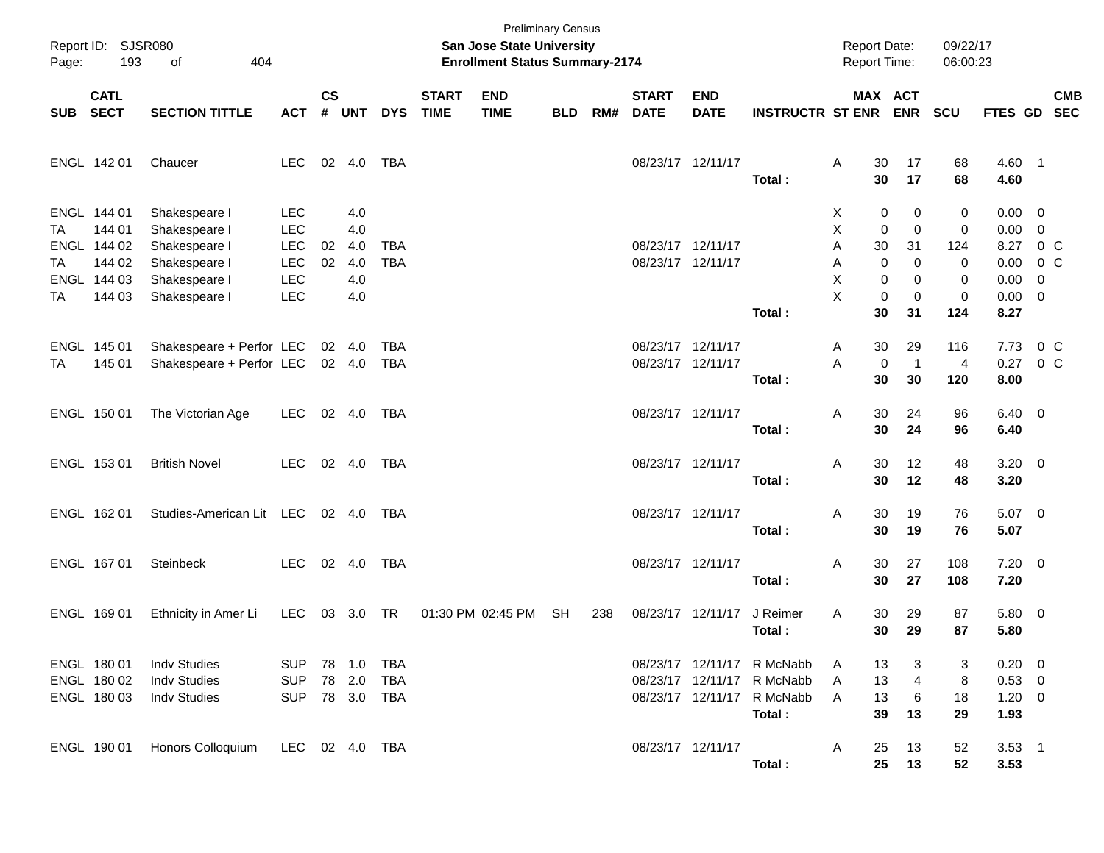| Page:    | Report ID: SJSR080<br>193                                     | 404<br>of                                                                         |                                                                    |                    |                                 |                          |                             | <b>San Jose State University</b><br><b>Enrollment Status Summary-2174</b> | <b>Preliminary Census</b> |     |                                        |                           |                                                                                                  | <b>Report Date:</b><br><b>Report Time:</b> |                                                                          | 09/22/17<br>06:00:23    |                                                                        |            |
|----------|---------------------------------------------------------------|-----------------------------------------------------------------------------------|--------------------------------------------------------------------|--------------------|---------------------------------|--------------------------|-----------------------------|---------------------------------------------------------------------------|---------------------------|-----|----------------------------------------|---------------------------|--------------------------------------------------------------------------------------------------|--------------------------------------------|--------------------------------------------------------------------------|-------------------------|------------------------------------------------------------------------|------------|
| SUB SECT | <b>CATL</b>                                                   | <b>SECTION TITTLE</b>                                                             | <b>ACT</b>                                                         | $\mathsf{cs}$<br># | <b>UNT</b>                      | <b>DYS</b>               | <b>START</b><br><b>TIME</b> | <b>END</b><br><b>TIME</b>                                                 | <b>BLD</b>                | RM# | <b>START</b><br><b>DATE</b>            | <b>END</b><br><b>DATE</b> | <b>INSTRUCTR ST ENR ENR</b>                                                                      |                                            | MAX ACT                                                                  | <b>SCU</b>              | FTES GD SEC                                                            | <b>CMB</b> |
|          | ENGL 142 01                                                   | Chaucer                                                                           | <b>LEC</b>                                                         |                    | 02 4.0                          | <b>TBA</b>               |                             |                                                                           |                           |     | 08/23/17 12/11/17                      |                           | Total:                                                                                           | 30<br>Α<br>30                              | 17<br>17                                                                 | 68<br>68                | 4.60 1<br>4.60                                                         |            |
| ТA<br>TA | ENGL 144 01<br>144 01<br>ENGL 144 02<br>144 02<br>ENGL 144 03 | Shakespeare I<br>Shakespeare I<br>Shakespeare I<br>Shakespeare I<br>Shakespeare I | <b>LEC</b><br><b>LEC</b><br><b>LEC</b><br><b>LEC</b><br><b>LEC</b> | 02<br>02           | 4.0<br>4.0<br>4.0<br>4.0<br>4.0 | <b>TBA</b><br><b>TBA</b> |                             |                                                                           |                           |     | 08/23/17 12/11/17<br>08/23/17 12/11/17 |                           |                                                                                                  | Х<br>X<br>Α<br>30<br>Α<br>X                | 0<br>0<br>$\mathbf 0$<br>0<br>31<br>$\mathbf 0$<br>$\mathbf 0$<br>0<br>0 | 0<br>0<br>124<br>0<br>0 | $0.00 \t 0$<br>$0.00 \t 0$<br>8.27 0 C<br>$0.00 \t 0 C$<br>$0.00 \t 0$ |            |
| TA       | 144 03                                                        | Shakespeare I                                                                     | <b>LEC</b>                                                         |                    | 4.0                             |                          |                             |                                                                           |                           |     |                                        |                           | Total:                                                                                           | X<br>30                                    | $\mathbf 0$<br>0<br>31                                                   | 0<br>124                | $0.00 \t 0$<br>8.27                                                    |            |
| TA       | ENGL 145 01<br>145 01                                         | Shakespeare + Perfor LEC<br>Shakespeare + Perfor LEC                              |                                                                    |                    | 02 4.0<br>02 4.0                | <b>TBA</b><br><b>TBA</b> |                             |                                                                           |                           |     | 08/23/17 12/11/17<br>08/23/17 12/11/17 |                           | Total:                                                                                           | 30<br>A<br>A<br>30                         | 29<br>0<br>$\mathbf{1}$<br>30                                            | 116<br>4<br>120         | 7.73 0 C<br>$0.27 \t 0 C$<br>8.00                                      |            |
|          | ENGL 150 01                                                   | The Victorian Age                                                                 | LEC                                                                |                    | 02 4.0                          | TBA                      |                             |                                                                           |                           |     | 08/23/17 12/11/17                      |                           | Total:                                                                                           | 30<br>Α<br>30                              | 24<br>24                                                                 | 96<br>96                | $6.40 \quad 0$<br>6.40                                                 |            |
|          | ENGL 153 01                                                   | <b>British Novel</b>                                                              | <b>LEC</b>                                                         |                    | 02 4.0                          | TBA                      |                             |                                                                           |                           |     | 08/23/17 12/11/17                      |                           | Total:                                                                                           | 30<br>Α<br>30                              | 12<br>12                                                                 | 48<br>48                | $3.20 \ 0$<br>3.20                                                     |            |
|          | ENGL 162 01                                                   | Studies-American Lit LEC 02 4.0                                                   |                                                                    |                    |                                 | TBA                      |                             |                                                                           |                           |     | 08/23/17 12/11/17                      |                           | Total:                                                                                           | Α<br>30<br>30                              | 19<br>19                                                                 | 76<br>76                | $5.07$ 0<br>5.07                                                       |            |
|          | ENGL 167 01                                                   | Steinbeck                                                                         | <b>LEC</b>                                                         |                    | 02 4.0                          | TBA                      |                             |                                                                           |                           |     | 08/23/17 12/11/17                      |                           | Total:                                                                                           | 30<br>Α<br>30                              | 27<br>27                                                                 | 108<br>108              | $7.20 \t 0$<br>7.20                                                    |            |
|          | ENGL 169 01                                                   | Ethnicity in Amer Li                                                              | LEC                                                                |                    | 03 3.0 TR                       |                          |                             | 01:30 PM 02:45 PM                                                         | <b>SH</b>                 | 238 | 08/23/17 12/11/17                      |                           | J Reimer<br>Total:                                                                               | Α<br>30<br>30                              | 29<br>29                                                                 | 87<br>87                | 5.80 0<br>5.80                                                         |            |
|          | ENGL 180 01<br>ENGL 180 02<br>ENGL 180 03                     | <b>Indv Studies</b><br><b>Indv Studies</b><br><b>Indv Studies</b>                 | <b>SUP</b><br><b>SUP</b><br>SUP                                    |                    | 78 2.0<br>78 3.0 TBA            | TBA                      |                             |                                                                           |                           |     |                                        |                           | 08/23/17 12/11/17 R McNabb<br>08/23/17 12/11/17 R McNabb<br>08/23/17 12/11/17 R McNabb<br>Total: | 13<br>A<br>13<br>A<br>13<br>A<br>39        | 3<br>4<br>6<br>13                                                        | 3<br>8<br>18<br>29      | $0.20 \ 0$<br>$0.53$ 0<br>$1.20 \t 0$<br>1.93                          |            |
|          | ENGL 190 01                                                   | Honors Colloquium                                                                 | LEC 02 4.0 TBA                                                     |                    |                                 |                          |                             |                                                                           |                           |     | 08/23/17 12/11/17                      |                           | Total:                                                                                           | 25<br>A<br>25                              | 13<br>13                                                                 | 52<br>52                | $3.53$ 1<br>3.53                                                       |            |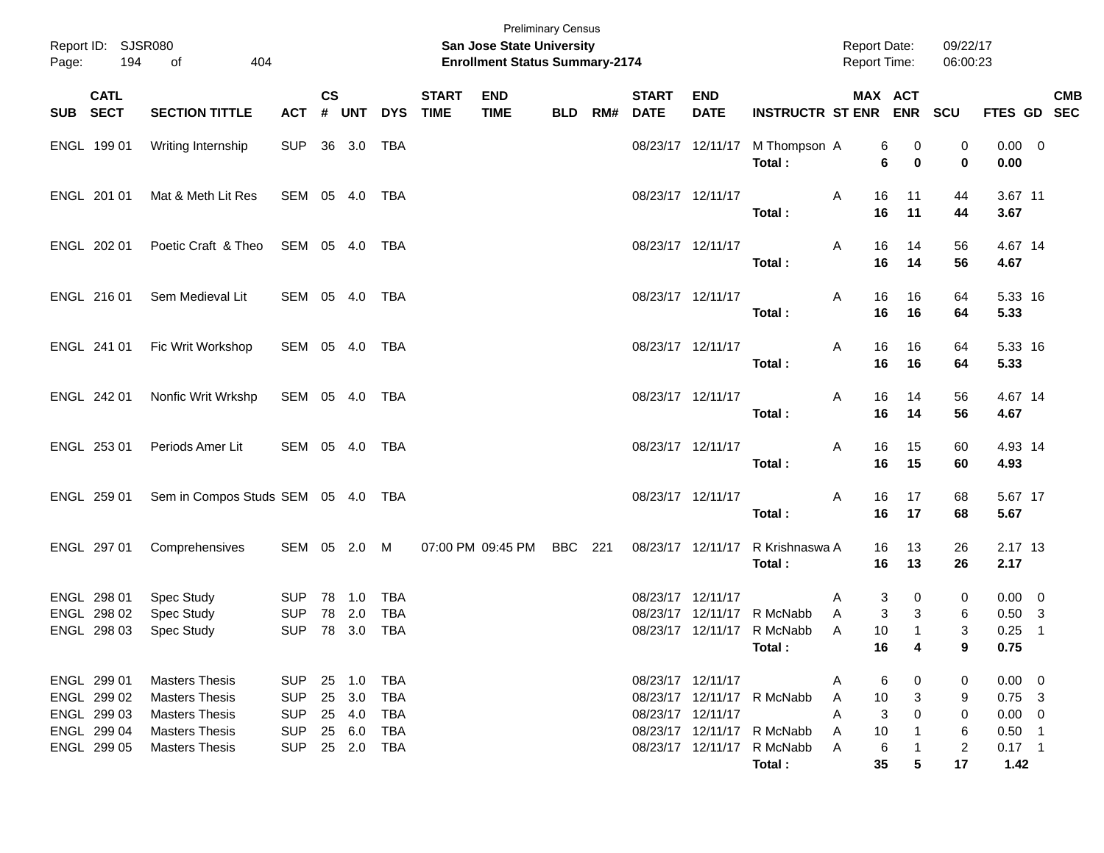| Page: | Report ID: SJSR080<br>194                                               | 404<br>of                                                                                                                 |                                                                    |                |                                                |                                        |                             | <b>Preliminary Census</b><br><b>San Jose State University</b><br><b>Enrollment Status Summary-2174</b> |            |     |                                        |                           |                                                                                                  |                       | <b>Report Date:</b><br><b>Report Time:</b> |                  | 09/22/17<br>06:00:23                     |                                                                        |                                                       |            |
|-------|-------------------------------------------------------------------------|---------------------------------------------------------------------------------------------------------------------------|--------------------------------------------------------------------|----------------|------------------------------------------------|----------------------------------------|-----------------------------|--------------------------------------------------------------------------------------------------------|------------|-----|----------------------------------------|---------------------------|--------------------------------------------------------------------------------------------------|-----------------------|--------------------------------------------|------------------|------------------------------------------|------------------------------------------------------------------------|-------------------------------------------------------|------------|
|       | <b>CATL</b><br>SUB SECT                                                 | <b>SECTION TITTLE</b>                                                                                                     | <b>ACT</b>                                                         | <b>CS</b><br># | <b>UNT</b>                                     | <b>DYS</b>                             | <b>START</b><br><b>TIME</b> | <b>END</b><br><b>TIME</b>                                                                              | <b>BLD</b> | RM# | <b>START</b><br><b>DATE</b>            | <b>END</b><br><b>DATE</b> | INSTRUCTR ST ENR ENR SCU                                                                         |                       | MAX ACT                                    |                  |                                          | FTES GD SEC                                                            |                                                       | <b>CMB</b> |
|       | ENGL 199 01                                                             | Writing Internship                                                                                                        | <b>SUP</b>                                                         |                | 36 3.0                                         | TBA                                    |                             |                                                                                                        |            |     |                                        | 08/23/17 12/11/17         | M Thompson A<br>Total:                                                                           |                       | 6<br>6                                     | 0<br>$\bf{0}$    | 0<br>$\mathbf 0$                         | $0.00 \t 0$<br>0.00                                                    |                                                       |            |
|       | ENGL 201 01                                                             | Mat & Meth Lit Res                                                                                                        | SEM 05 4.0                                                         |                |                                                | TBA                                    |                             |                                                                                                        |            |     | 08/23/17 12/11/17                      |                           | Total:                                                                                           | Α                     | 16<br>16                                   | 11<br>11         | 44<br>44                                 | 3.67 11<br>3.67                                                        |                                                       |            |
|       | ENGL 202 01                                                             | Poetic Craft & Theo                                                                                                       | SEM 05 4.0                                                         |                |                                                | TBA                                    |                             |                                                                                                        |            |     | 08/23/17 12/11/17                      |                           | Total:                                                                                           | Α                     | 16<br>16                                   | 14<br>14         | 56<br>56                                 | 4.67 14<br>4.67                                                        |                                                       |            |
|       | ENGL 216 01                                                             | Sem Medieval Lit                                                                                                          | SEM 05 4.0                                                         |                |                                                | TBA                                    |                             |                                                                                                        |            |     | 08/23/17 12/11/17                      |                           | Total:                                                                                           | Α                     | 16<br>16                                   | 16<br>16         | 64<br>64                                 | 5.33 16<br>5.33                                                        |                                                       |            |
|       | ENGL 241 01                                                             | Fic Writ Workshop                                                                                                         | SEM 05 4.0                                                         |                |                                                | TBA                                    |                             |                                                                                                        |            |     | 08/23/17 12/11/17                      |                           | Total:                                                                                           | Α                     | 16<br>16                                   | 16<br>16         | 64<br>64                                 | 5.33 16<br>5.33                                                        |                                                       |            |
|       | ENGL 242 01                                                             | Nonfic Writ Wrkshp                                                                                                        | SEM 05 4.0                                                         |                |                                                | TBA                                    |                             |                                                                                                        |            |     | 08/23/17 12/11/17                      |                           | Total:                                                                                           | Α                     | 16<br>16                                   | 14<br>14         | 56<br>56                                 | 4.67 14<br>4.67                                                        |                                                       |            |
|       | ENGL 253 01                                                             | Periods Amer Lit                                                                                                          | SEM 05 4.0                                                         |                |                                                | TBA                                    |                             |                                                                                                        |            |     | 08/23/17 12/11/17                      |                           | Total:                                                                                           | Α                     | 16<br>16                                   | 15<br>15         | 60<br>60                                 | 4.93 14<br>4.93                                                        |                                                       |            |
|       | ENGL 259 01                                                             | Sem in Compos Studs SEM 05 4.0 TBA                                                                                        |                                                                    |                |                                                |                                        |                             |                                                                                                        |            |     |                                        | 08/23/17 12/11/17         | Total:                                                                                           | Α                     | 16<br>16                                   | 17<br>17         | 68<br>68                                 | 5.67 17<br>5.67                                                        |                                                       |            |
|       | ENGL 297 01                                                             | Comprehensives                                                                                                            | SEM 05 2.0 M                                                       |                |                                                |                                        |                             | 07:00 PM 09:45 PM                                                                                      | BBC        | 221 |                                        | 08/23/17 12/11/17         | R Krishnaswa A<br>Total:                                                                         |                       | 16<br>16                                   | 13<br>13         | 26<br>26                                 | 2.17 13<br>2.17                                                        |                                                       |            |
|       | ENGL 298 01<br>ENGL 298 02<br>ENGL 298 03                               | Spec Study<br>Spec Study<br>Spec Study                                                                                    | <b>SUP</b><br><b>SUP</b><br><b>SUP</b>                             | 78             | 78 1.0<br>2.0<br>78 3.0                        | <b>TBA</b><br><b>TBA</b><br><b>TBA</b> |                             |                                                                                                        |            |     | 08/23/17 12/11/17                      |                           | 08/23/17 12/11/17 R McNabb<br>08/23/17 12/11/17 R McNabb<br>Total:                               | A<br>A<br>A           | 3<br>3<br>10<br>16                         | 0<br>3<br>1<br>4 | 0<br>6<br>3<br>9                         | $0.00 \ 0$<br>0.50<br>0.25<br>0.75                                     | $\overline{\mathbf{3}}$<br>$\overline{\phantom{0}}$ 1 |            |
|       | ENGL 299 01<br>ENGL 299 02<br>ENGL 299 03<br>ENGL 299 04<br>ENGL 299 05 | <b>Masters Thesis</b><br><b>Masters Thesis</b><br><b>Masters Thesis</b><br><b>Masters Thesis</b><br><b>Masters Thesis</b> | <b>SUP</b><br><b>SUP</b><br><b>SUP</b><br><b>SUP</b><br><b>SUP</b> |                | 25 1.0<br>25 3.0<br>25 4.0<br>25 6.0<br>25 2.0 | TBA<br>TBA<br>TBA<br>TBA<br>TBA        |                             |                                                                                                        |            |     | 08/23/17 12/11/17<br>08/23/17 12/11/17 |                           | 08/23/17 12/11/17 R McNabb<br>08/23/17 12/11/17 R McNabb<br>08/23/17 12/11/17 R McNabb<br>Total: | A<br>A<br>A<br>A<br>A | 6<br>10<br>3<br>10<br>6<br>35              | 0<br>3<br>0<br>5 | 0<br>9<br>0<br>6<br>$\overline{c}$<br>17 | $0.00 \t 0$<br>$0.75$ 3<br>$0.00 \t 0$<br>$0.50$ 1<br>$0.17$ 1<br>1.42 |                                                       |            |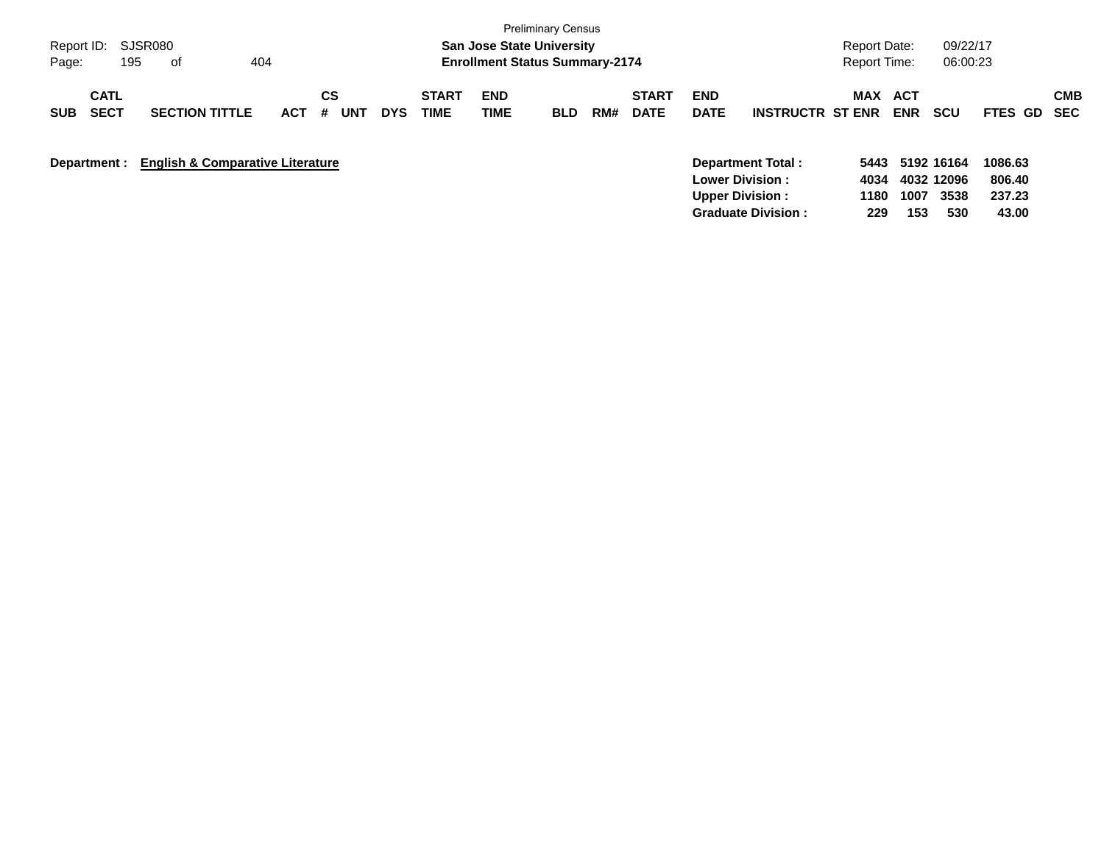|                                          |                                             |            |                |            |                             |                                       | <b>Preliminary Census</b> |     |                             |                                                  |                           |                      |                          |                                  |                             |                   |
|------------------------------------------|---------------------------------------------|------------|----------------|------------|-----------------------------|---------------------------------------|---------------------------|-----|-----------------------------|--------------------------------------------------|---------------------------|----------------------|--------------------------|----------------------------------|-----------------------------|-------------------|
| Report ID: SJSR080                       |                                             |            |                |            |                             | <b>San Jose State University</b>      |                           |     |                             |                                                  |                           | Report Date:         |                          | 09/22/17                         |                             |                   |
| 195<br>Page:                             | 404<br>оf                                   |            |                |            |                             | <b>Enrollment Status Summary-2174</b> |                           |     |                             |                                                  |                           | <b>Report Time:</b>  |                          | 06:00:23                         |                             |                   |
| <b>CATL</b><br><b>SECT</b><br><b>SUB</b> | <b>SECTION TITTLE</b>                       | <b>ACT</b> | СS<br>UNT<br># | <b>DYS</b> | <b>START</b><br><b>TIME</b> | <b>END</b><br>TIME                    | <b>BLD</b>                | RM# | <b>START</b><br><b>DATE</b> | <b>END</b><br><b>DATE</b>                        | <b>INSTRUCTR ST ENR</b>   | MAX                  | <b>ACT</b><br><b>ENR</b> | <b>SCU</b>                       | <b>FTES GD</b>              | <b>CMB</b><br>SEC |
| Department :                             | <b>English &amp; Comparative Literature</b> |            |                |            |                             |                                       |                           |     |                             | <b>Lower Division:</b><br><b>Upper Division:</b> | <b>Department Total:</b>  | 5443<br>4034<br>1180 | 1007                     | 5192 16164<br>4032 12096<br>3538 | 1086.63<br>806.40<br>237.23 |                   |
|                                          |                                             |            |                |            |                             |                                       |                           |     |                             |                                                  | <b>Graduate Division:</b> | 229                  | 153                      | 530                              | 43.00                       |                   |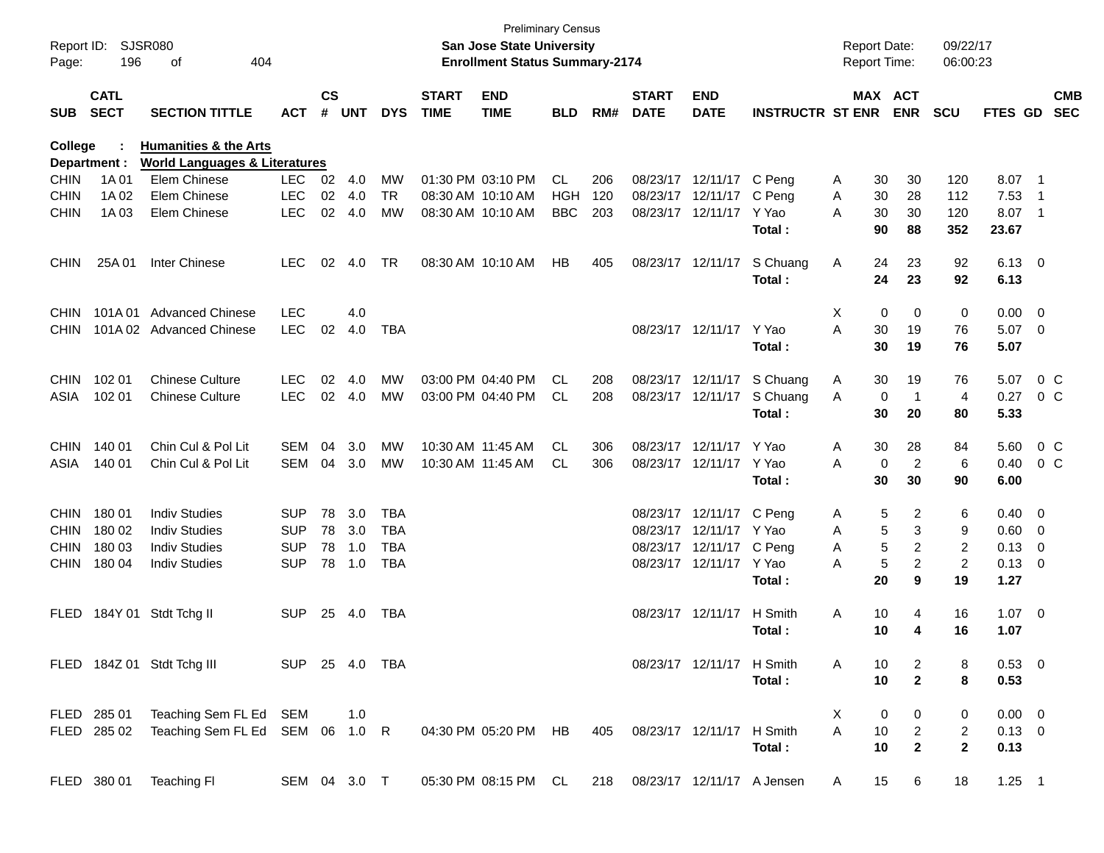| Report ID:<br>Page: | 196                        | SJSR080<br>404<br>οf                     |                |                |            |            |                             | <b>Preliminary Census</b><br><b>San Jose State University</b><br><b>Enrollment Status Summary-2174</b> |            |     |                             |                           |                                | <b>Report Date:</b><br><b>Report Time:</b> |         |                | 09/22/17<br>06:00:23 |                |                         |                          |
|---------------------|----------------------------|------------------------------------------|----------------|----------------|------------|------------|-----------------------------|--------------------------------------------------------------------------------------------------------|------------|-----|-----------------------------|---------------------------|--------------------------------|--------------------------------------------|---------|----------------|----------------------|----------------|-------------------------|--------------------------|
| <b>SUB</b>          | <b>CATL</b><br><b>SECT</b> | <b>SECTION TITTLE</b>                    | <b>ACT</b>     | <b>CS</b><br># | <b>UNT</b> | <b>DYS</b> | <b>START</b><br><b>TIME</b> | <b>END</b><br><b>TIME</b>                                                                              | <b>BLD</b> | RM# | <b>START</b><br><b>DATE</b> | <b>END</b><br><b>DATE</b> | <b>INSTRUCTR ST ENR</b>        |                                            | MAX ACT | <b>ENR</b>     | <b>SCU</b>           | FTES GD        |                         | <b>CMB</b><br><b>SEC</b> |
| College             |                            | <b>Humanities &amp; the Arts</b>         |                |                |            |            |                             |                                                                                                        |            |     |                             |                           |                                |                                            |         |                |                      |                |                         |                          |
|                     | Department :               | <b>World Languages &amp; Literatures</b> |                |                |            |            |                             |                                                                                                        |            |     |                             |                           |                                |                                            |         |                |                      |                |                         |                          |
| <b>CHIN</b>         | 1A 01                      | Elem Chinese                             | <b>LEC</b>     | 02             | 4.0        | МW         |                             | 01:30 PM 03:10 PM                                                                                      | CL         | 206 | 08/23/17                    | 12/11/17                  | C Pena                         | A                                          | 30      | 30             | 120                  | 8.07           | - 1                     |                          |
| <b>CHIN</b>         | 1A 02                      | Elem Chinese                             | <b>LEC</b>     | 02             | 4.0        | TR         | 08:30 AM 10:10 AM           |                                                                                                        | HGH        | 120 | 08/23/17                    | 12/11/17                  | C Peng                         | A                                          | 30      | 28             | 112                  | 7.53           | -1                      |                          |
| <b>CHIN</b>         | 1A 03                      | Elem Chinese                             | <b>LEC</b>     | 02             | 4.0        | <b>MW</b>  | 08:30 AM 10:10 AM           |                                                                                                        | <b>BBC</b> | 203 | 08/23/17                    | 12/11/17                  | Y Yao                          | A                                          | 30      | 30             | 120                  | 8.07           | - 1                     |                          |
|                     |                            |                                          |                |                |            |            |                             |                                                                                                        |            |     |                             |                           | Total:                         |                                            | 90      | 88             | 352                  | 23.67          |                         |                          |
| <b>CHIN</b>         | 25A 01                     | Inter Chinese                            | <b>LEC</b>     | 02             | 4.0        | TR         |                             | 08:30 AM 10:10 AM                                                                                      | HB         | 405 |                             | 08/23/17 12/11/17         | S Chuang                       | A                                          | 24      | 23             | 92                   | $6.13 \quad 0$ |                         |                          |
|                     |                            |                                          |                |                |            |            |                             |                                                                                                        |            |     |                             |                           | Total:                         |                                            | 24      | 23             | 92                   | 6.13           |                         |                          |
| <b>CHIN</b>         | 101A01                     | <b>Advanced Chinese</b>                  | <b>LEC</b>     |                | 4.0        |            |                             |                                                                                                        |            |     |                             |                           |                                | Χ                                          | 0       | 0              | 0                    | 0.00           | 0                       |                          |
| <b>CHIN</b>         | 101A 02                    | Advanced Chinese                         | <b>LEC</b>     | 02             | 4.0        | TBA        |                             |                                                                                                        |            |     |                             | 08/23/17 12/11/17         | Y Yao                          | A                                          | 30      | 19             | 76                   | 5.07           | 0                       |                          |
|                     |                            |                                          |                |                |            |            |                             |                                                                                                        |            |     |                             |                           | Total:                         |                                            | 30      | 19             | 76                   | 5.07           |                         |                          |
| <b>CHIN</b>         | 102 01                     | <b>Chinese Culture</b>                   | <b>LEC</b>     | 02             | 4.0        | <b>MW</b>  |                             | 03:00 PM 04:40 PM                                                                                      | CL         | 208 | 08/23/17                    | 12/11/17                  | S Chuang                       | A                                          | 30      | 19             | 76                   | 5.07           |                         | 0 <sup>C</sup>           |
| ASIA                | 102 01                     | <b>Chinese Culture</b>                   | <b>LEC</b>     | 02             | 4.0        | <b>MW</b>  |                             | 03:00 PM 04:40 PM                                                                                      | CL.        | 208 |                             | 08/23/17 12/11/17         | S Chuang                       | A                                          | 0       | -1             | 4                    | 0.27           |                         | $0\,$ C                  |
|                     |                            |                                          |                |                |            |            |                             |                                                                                                        |            |     |                             |                           | Total:                         |                                            | 30      | 20             | 80                   | 5.33           |                         |                          |
| <b>CHIN</b>         | 140 01                     | Chin Cul & Pol Lit                       | SEM            | 04             | 3.0        | МW         |                             | 10:30 AM 11:45 AM                                                                                      | CL.        | 306 | 08/23/17                    | 12/11/17                  | Y Yao                          | A                                          | 30      | 28             | 84                   | 5.60           |                         | $0\,C$                   |
| ASIA                | 140 01                     | Chin Cul & Pol Lit                       | SEM            | 04             | 3.0        | МW         |                             | 10:30 AM 11:45 AM                                                                                      | CL.        | 306 |                             | 08/23/17 12/11/17         | Y Yao                          | A                                          | 0       | $\overline{2}$ | 6                    | 0.40           |                         | $0\,$ C                  |
|                     |                            |                                          |                |                |            |            |                             |                                                                                                        |            |     |                             |                           | Total:                         |                                            | 30      | 30             | 90                   | 6.00           |                         |                          |
| <b>CHIN</b>         | 18001                      | <b>Indiv Studies</b>                     | <b>SUP</b>     | 78             | 3.0        | TBA        |                             |                                                                                                        |            |     | 08/23/17                    | 12/11/17                  | C Peng                         | A                                          | 5       | 2              | 6                    | 0.40           | $\mathbf{0}$            |                          |
| <b>CHIN</b>         | 180 02                     | <b>Indiv Studies</b>                     | <b>SUP</b>     | 78             | 3.0        | <b>TBA</b> |                             |                                                                                                        |            |     | 08/23/17                    | 12/11/17                  | Y Yao                          | A                                          | 5       | 3              | 9                    | 0.60           | 0                       |                          |
| <b>CHIN</b>         | 180 03                     | <b>Indiv Studies</b>                     | <b>SUP</b>     | 78             | 1.0        | TBA        |                             |                                                                                                        |            |     | 08/23/17                    | 12/11/17                  | C Peng                         | A                                          | 5       | 2              | 2                    | 0.13           | 0                       |                          |
| <b>CHIN</b>         | 180 04                     | <b>Indiv Studies</b>                     | <b>SUP</b>     | 78             | 1.0        | <b>TBA</b> |                             |                                                                                                        |            |     |                             | 08/23/17 12/11/17         | Y Yao                          | A                                          | 5       | $\overline{2}$ | $\overline{2}$       | 0.13           | 0                       |                          |
|                     |                            |                                          |                |                |            |            |                             |                                                                                                        |            |     |                             |                           | Total:                         |                                            | 20      | 9              | 19                   | 1.27           |                         |                          |
| <b>FLED</b>         | 184Y 01                    | Stdt Tchg II                             | <b>SUP</b>     | 25             | 4.0        | TBA        |                             |                                                                                                        |            |     |                             | 08/23/17 12/11/17         | H Smith                        | A                                          | 10      | 4              | 16                   | 1.07           | $\overline{\mathbf{0}}$ |                          |
|                     |                            |                                          |                |                |            |            |                             |                                                                                                        |            |     |                             |                           | Total:                         |                                            | 10      | 4              | 16                   | 1.07           |                         |                          |
|                     |                            | FLED 184Z 01 Stdt Tchg III               | SUP 25 4.0 TBA |                |            |            |                             |                                                                                                        |            |     |                             | 08/23/17 12/11/17 H Smith |                                | A                                          | 10      | 2              | 8                    | $0.53 \ 0$     |                         |                          |
|                     |                            |                                          |                |                |            |            |                             |                                                                                                        |            |     |                             |                           | Total:                         |                                            | 10      | $\mathbf{2}$   | 8                    | 0.53           |                         |                          |
|                     | FLED 285 01                | Teaching Sem FL Ed SEM                   |                |                | 1.0        |            |                             |                                                                                                        |            |     |                             |                           |                                | X                                          | 0       | 0              | 0                    | $0.00 \quad 0$ |                         |                          |
|                     | FLED 285 02                | Teaching Sem FL Ed SEM 06 1.0 R          |                |                |            |            |                             | 04:30 PM 05:20 PM HB                                                                                   |            | 405 |                             | 08/23/17 12/11/17 H Smith |                                | A                                          | 10      | $\overline{c}$ | $\overline{a}$       | $0.13 \ 0$     |                         |                          |
|                     |                            |                                          |                |                |            |            |                             |                                                                                                        |            |     |                             |                           | Total:                         |                                            | 10      | $\mathbf{2}$   | $\mathbf{2}$         | 0.13           |                         |                          |
|                     |                            | FLED 380 01 Teaching FI                  | SEM 04 3.0 T   |                |            |            |                             | 05:30 PM 08:15 PM CL                                                                                   |            |     |                             |                           | 218 08/23/17 12/11/17 A Jensen | A                                          | 15      | 6              | 18                   | $1.25$ 1       |                         |                          |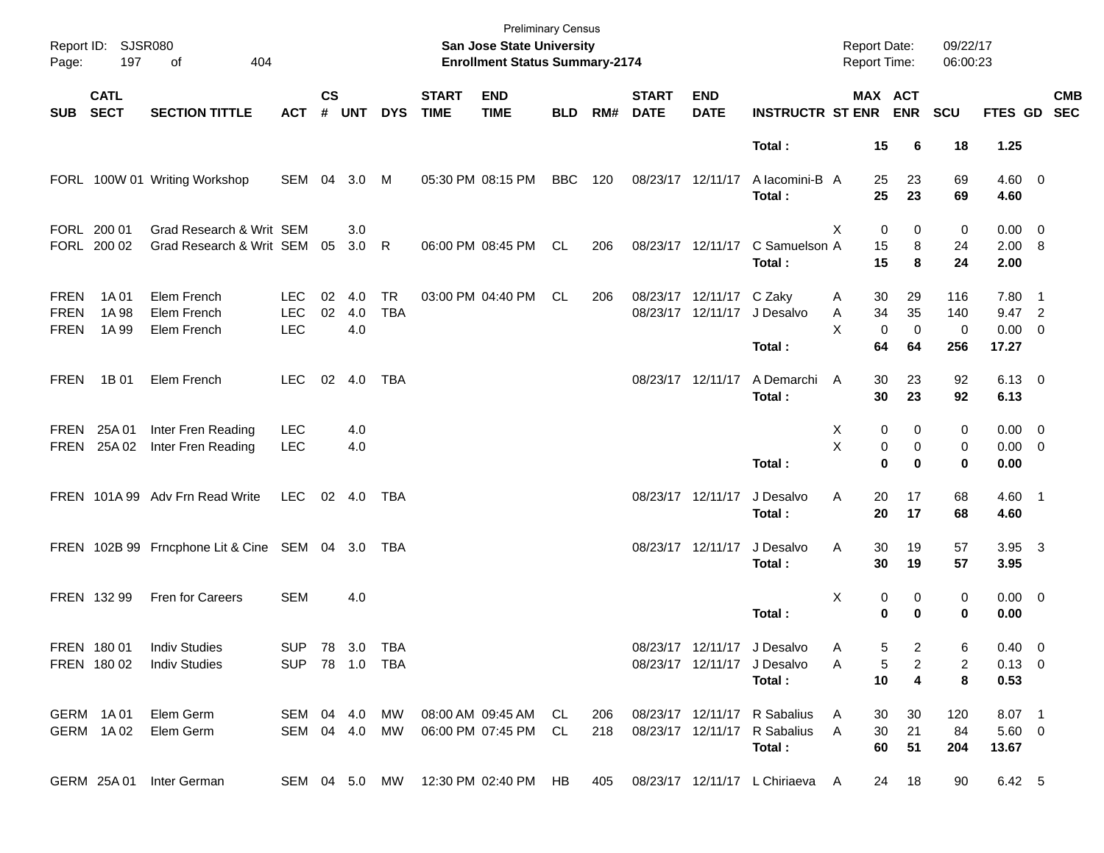| Page:                                     | Report ID: SJSR080<br>197  | 404<br>of                                            |                                        |               |                   |                         |                             | <b>Preliminary Census</b><br>San Jose State University<br><b>Enrollment Status Summary-2174</b> |            |            |                             |                           |                                                                        | <b>Report Date:</b><br>Report Time:          |                               | 09/22/17<br>06:00:23   |                                            |            |
|-------------------------------------------|----------------------------|------------------------------------------------------|----------------------------------------|---------------|-------------------|-------------------------|-----------------------------|-------------------------------------------------------------------------------------------------|------------|------------|-----------------------------|---------------------------|------------------------------------------------------------------------|----------------------------------------------|-------------------------------|------------------------|--------------------------------------------|------------|
| <b>SUB</b>                                | <b>CATL</b><br><b>SECT</b> | <b>SECTION TITTLE</b>                                | <b>ACT</b>                             | $\mathsf{cs}$ | # UNT             | <b>DYS</b>              | <b>START</b><br><b>TIME</b> | <b>END</b><br><b>TIME</b>                                                                       | <b>BLD</b> | RM#        | <b>START</b><br><b>DATE</b> | <b>END</b><br><b>DATE</b> | <b>INSTRUCTR ST ENR ENR</b>                                            |                                              | MAX ACT                       | <b>SCU</b>             | FTES GD SEC                                | <b>CMB</b> |
|                                           |                            |                                                      |                                        |               |                   |                         |                             |                                                                                                 |            |            |                             |                           | Total:                                                                 | 15                                           | 6                             | 18                     | 1.25                                       |            |
|                                           |                            | FORL 100W 01 Writing Workshop                        | SEM 04                                 |               | 3.0               | M                       |                             | 05:30 PM 08:15 PM                                                                               | BBC        | 120        |                             | 08/23/17 12/11/17         | A lacomini-B A<br>Total:                                               | 25<br>25                                     | 23<br>23                      | 69<br>69               | $4.60 \ 0$<br>4.60                         |            |
|                                           | FORL 200 01<br>FORL 200 02 | Grad Research & Writ SEM<br>Grad Research & Writ SEM |                                        | 05            | 3.0<br>3.0        | R                       |                             | 06:00 PM 08:45 PM                                                                               | CL.        | 206        |                             | 08/23/17 12/11/17         | C Samuelson A<br>Total:                                                | $\mathbf 0$<br>X<br>15<br>15                 | 0<br>8<br>8                   | 0<br>24<br>24          | $0.00 \t 0$<br>2.00 8<br>2.00              |            |
| <b>FREN</b><br><b>FREN</b><br><b>FREN</b> | 1A 01<br>1A 98<br>1A 99    | Elem French<br>Elem French<br>Elem French            | <b>LEC</b><br><b>LEC</b><br><b>LEC</b> | 02<br>02      | 4.0<br>4.0<br>4.0 | <b>TR</b><br><b>TBA</b> |                             | 03:00 PM 04:40 PM                                                                               | CL         | 206        |                             | 08/23/17 12/11/17 C Zaky  | 08/23/17 12/11/17 J Desalvo<br>Total:                                  | 30<br>A<br>34<br>Α<br>X<br>$\mathbf 0$<br>64 | 29<br>35<br>$\mathbf 0$<br>64 | 116<br>140<br>0<br>256 | $7.80$ 1<br>9.47 2<br>$0.00 \t 0$<br>17.27 |            |
| <b>FREN</b>                               | 1B 01                      | Elem French                                          | <b>LEC</b>                             | 02            | 4.0               | TBA                     |                             |                                                                                                 |            |            |                             | 08/23/17 12/11/17         | A Demarchi<br>Total:                                                   | 30<br>A<br>30                                | 23<br>23                      | 92<br>92               | $6.13 \quad 0$<br>6.13                     |            |
| FREN<br>FREN                              | 25A 01<br>25A 02           | Inter Fren Reading<br>Inter Fren Reading             | <b>LEC</b><br><b>LEC</b>               |               | 4.0<br>4.0        |                         |                             |                                                                                                 |            |            |                             |                           | Total:                                                                 | Χ<br>0<br>X<br>0<br>$\bf{0}$                 | 0<br>$\mathbf 0$<br>$\bf{0}$  | 0<br>0<br>0            | $0.00 \t 0$<br>$0.00 \t 0$<br>0.00         |            |
|                                           |                            | FREN 101A 99 Adv Frn Read Write                      | LEC                                    |               | $02 \quad 4.0$    | TBA                     |                             |                                                                                                 |            |            |                             | 08/23/17 12/11/17         | J Desalvo<br>Total:                                                    | 20<br>Α<br>20                                | 17<br>17                      | 68<br>68               | $4.60$ 1<br>4.60                           |            |
|                                           |                            | FREN 102B 99 Frncphone Lit & Cine SEM 04 3.0 TBA     |                                        |               |                   |                         |                             |                                                                                                 |            |            |                             | 08/23/17 12/11/17         | J Desalvo<br>Total:                                                    | 30<br>Α<br>30                                | 19<br>19                      | 57<br>57               | $3.95\quad 3$<br>3.95                      |            |
|                                           | FREN 132 99                | Fren for Careers                                     | <b>SEM</b>                             |               | 4.0               |                         |                             |                                                                                                 |            |            |                             |                           | Total:                                                                 | х<br>0<br>0                                  | 0<br>$\bf{0}$                 | 0<br>0                 | $0.00 \t 0$<br>0.00                        |            |
|                                           | FREN 180 01<br>FREN 180 02 | <b>Indiv Studies</b><br><b>Indiv Studies</b>         | SUP 78 3.0 TBA<br>SUP 78 1.0 TBA       |               |                   |                         |                             |                                                                                                 |            |            |                             |                           | 08/23/17 12/11/17 J Desalvo<br>08/23/17 12/11/17 J Desalvo<br>Total:   | 5<br>A<br>5<br>Α<br>10                       | 2<br>$\overline{c}$<br>4      | 6<br>2<br>8            | $0.40 \quad 0$<br>$0.13 \ 0$<br>0.53       |            |
|                                           | GERM 1A01<br>GERM 1A02     | Elem Germ<br>Elem Germ                               | SEM 04 4.0<br>SEM 04 4.0 MW            |               |                   | MW                      |                             | 08:00 AM 09:45 AM<br>06:00 PM 07:45 PM                                                          | CL.<br>CL. | 206<br>218 |                             |                           | 08/23/17 12/11/17 R Sabalius<br>08/23/17 12/11/17 R Sabalius<br>Total: | 30<br>A<br>A<br>30<br>60                     | 30<br>21<br>51                | 120<br>84<br>204       | 8.07 1<br>$5.60$ 0<br>13.67                |            |
|                                           | GERM 25A01                 | Inter German                                         |                                        |               |                   | SEM 04 5.0 MW           |                             | 12:30 PM 02:40 PM HB                                                                            |            | 405        |                             |                           | 08/23/17 12/11/17 L Chiriaeva A                                        | 24                                           | 18                            | 90                     | 6.42 5                                     |            |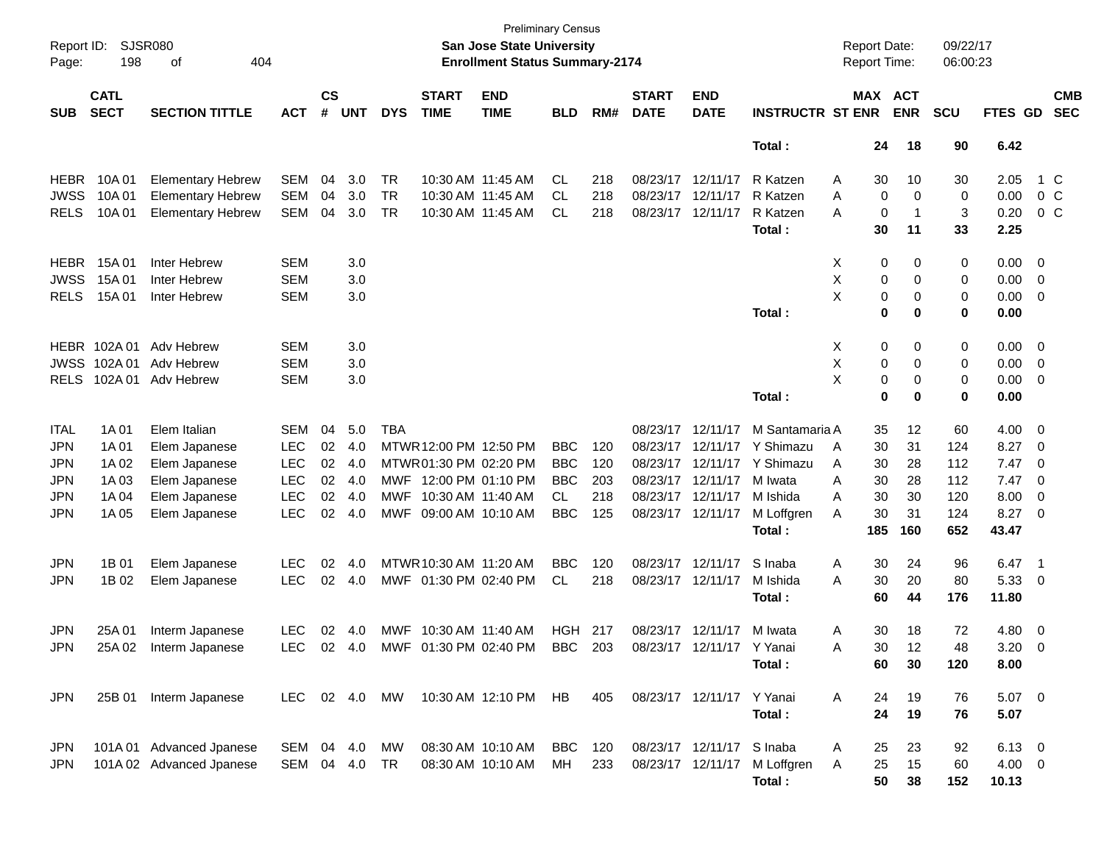| Page:       | SJSR080<br>Report ID:<br>198<br>404<br>of<br><b>CATL</b> |                          |               |                             |            |            |                             | <b>Preliminary Census</b><br><b>San Jose State University</b><br><b>Enrollment Status Summary-2174</b> |            |     |                             |                           |                         |   | <b>Report Date:</b><br>Report Time: |            | 09/22/17<br>06:00:23 |                |                          |                          |
|-------------|----------------------------------------------------------|--------------------------|---------------|-----------------------------|------------|------------|-----------------------------|--------------------------------------------------------------------------------------------------------|------------|-----|-----------------------------|---------------------------|-------------------------|---|-------------------------------------|------------|----------------------|----------------|--------------------------|--------------------------|
| <b>SUB</b>  | <b>SECT</b><br><b>SECTION TITTLE</b>                     |                          | <b>ACT</b>    | $\mathsf{cs}$<br>$\pmb{\#}$ | <b>UNT</b> | <b>DYS</b> | <b>START</b><br><b>TIME</b> | <b>END</b><br><b>TIME</b>                                                                              | <b>BLD</b> | RM# | <b>START</b><br><b>DATE</b> | <b>END</b><br><b>DATE</b> | <b>INSTRUCTR ST ENR</b> |   | MAX ACT                             | <b>ENR</b> | <b>SCU</b>           | FTES GD        |                          | <b>CMB</b><br><b>SEC</b> |
|             |                                                          |                          |               |                             |            |            |                             |                                                                                                        |            |     |                             |                           | Total:                  |   | 24                                  | 18         | 90                   | 6.42           |                          |                          |
| <b>HEBR</b> | 10A 01                                                   | <b>Elementary Hebrew</b> | <b>SEM</b>    | 04                          | 3.0        | TR         | 10:30 AM 11:45 AM           |                                                                                                        | CL.        | 218 | 08/23/17 12/11/17           |                           | R Katzen                | Α | 30                                  | 10         | 30                   | 2.05           |                          | 1 C                      |
| <b>JWSS</b> | 10A 01                                                   | <b>Elementary Hebrew</b> | <b>SEM</b>    | 04                          | 3.0        | <b>TR</b>  |                             | 10:30 AM 11:45 AM                                                                                      | CL.        | 218 | 08/23/17 12/11/17           |                           | R Katzen                | Α | 0                                   | 0          | 0                    | 0.00           | $0\,$ C                  |                          |
| <b>RELS</b> | 10A 01                                                   | <b>Elementary Hebrew</b> | <b>SEM</b>    | 04                          | 3.0        | <b>TR</b>  |                             | 10:30 AM 11:45 AM                                                                                      | <b>CL</b>  | 218 | 08/23/17 12/11/17           |                           | R Katzen                | A | 0                                   | 1          | 3                    | 0.20           |                          | $0\,$ C                  |
|             |                                                          |                          |               |                             |            |            |                             |                                                                                                        |            |     |                             |                           | Total:                  |   | 30                                  | 11         | 33                   | 2.25           |                          |                          |
| <b>HEBR</b> | 15A 01                                                   | Inter Hebrew             | <b>SEM</b>    |                             | 3.0        |            |                             |                                                                                                        |            |     |                             |                           |                         | X | 0                                   | 0          | 0                    | 0.00           | $\overline{\mathbf{0}}$  |                          |
| <b>JWSS</b> | 15A 01                                                   | Inter Hebrew             | <b>SEM</b>    |                             | 3.0        |            |                             |                                                                                                        |            |     |                             |                           |                         | Χ | 0                                   | 0          | 0                    | 0.00           | $\overline{\mathbf{0}}$  |                          |
| <b>RELS</b> | 15A 01                                                   | Inter Hebrew             | <b>SEM</b>    |                             | 3.0        |            |                             |                                                                                                        |            |     |                             |                           |                         | X | 0                                   | 0          | 0                    | 0.00           | $\overline{\mathbf{0}}$  |                          |
|             |                                                          |                          |               |                             |            |            |                             |                                                                                                        |            |     |                             |                           | Total:                  |   | 0                                   | 0          | 0                    | 0.00           |                          |                          |
| HEBR        | 102A 01                                                  | Adv Hebrew               | <b>SEM</b>    |                             | 3.0        |            |                             |                                                                                                        |            |     |                             |                           |                         | X | 0                                   | 0          | 0                    | 0.00           | $\overline{\mathbf{0}}$  |                          |
| <b>JWSS</b> | 102A01                                                   | Adv Hebrew               | <b>SEM</b>    |                             | 3.0        |            |                             |                                                                                                        |            |     |                             |                           |                         | х | 0                                   | 0          | 0                    | 0.00           | $\overline{\mathbf{0}}$  |                          |
| <b>RELS</b> | 102A 01                                                  | Adv Hebrew               | <b>SEM</b>    |                             | 3.0        |            |                             |                                                                                                        |            |     |                             |                           |                         | X | 0                                   | 0          | 0                    | 0.00           | 0                        |                          |
|             |                                                          |                          |               |                             |            |            |                             |                                                                                                        |            |     |                             |                           | Total:                  |   | 0                                   | 0          | 0                    | 0.00           |                          |                          |
| <b>ITAL</b> | 1A 01                                                    | Elem Italian             | <b>SEM</b>    | 04                          | 5.0        | <b>TBA</b> |                             |                                                                                                        |            |     | 08/23/17                    | 12/11/17                  | M Santamaria A          |   | 35                                  | 12         | 60                   | 4.00           | $\overline{\mathbf{0}}$  |                          |
| <b>JPN</b>  | 1A 01                                                    | Elem Japanese            | LEC           | 02                          | 4.0        |            | MTWR 12:00 PM 12:50 PM      |                                                                                                        | <b>BBC</b> | 120 | 08/23/17                    | 12/11/17                  | Y Shimazu               | A | 30                                  | 31         | 124                  | 8.27           | $\overline{\mathbf{0}}$  |                          |
| <b>JPN</b>  | 1A 02                                                    | Elem Japanese            | <b>LEC</b>    | 02                          | -4.0       |            | MTWR 01:30 PM 02:20 PM      |                                                                                                        | <b>BBC</b> | 120 | 08/23/17                    | 12/11/17                  | Y Shimazu               | Α | 30                                  | 28         | 112                  | 7.47           | 0                        |                          |
| <b>JPN</b>  | 1A 03                                                    | Elem Japanese            | <b>LEC</b>    | 02                          | 4.0        |            | MWF 12:00 PM 01:10 PM       |                                                                                                        | <b>BBC</b> | 203 | 08/23/17                    | 12/11/17                  | M Iwata                 | Α | 30                                  | 28         | 112                  | 7.47           | 0                        |                          |
| <b>JPN</b>  | 1A 04                                                    | Elem Japanese            | <b>LEC</b>    | 02                          | 4.0        | MWF        | 10:30 AM 11:40 AM           |                                                                                                        | CL         | 218 | 08/23/17 12/11/17           |                           | M Ishida                | A | 30                                  | 30         | 120                  | 8.00           | 0                        |                          |
| <b>JPN</b>  | 1A 05                                                    | Elem Japanese            | <b>LEC</b>    | 02                          | 4.0        | MWF        | 09:00 AM 10:10 AM           |                                                                                                        | <b>BBC</b> | 125 |                             | 08/23/17 12/11/17         | M Loffgren              | A | 30                                  | 31         | 124                  | 8.27           | $\overline{\mathbf{0}}$  |                          |
|             |                                                          |                          |               |                             |            |            |                             |                                                                                                        |            |     |                             |                           | Total:                  |   | 185                                 | 160        | 652                  | 43.47          |                          |                          |
| <b>JPN</b>  | 1B 01                                                    | Elem Japanese            | <b>LEC</b>    | 02                          | 4.0        |            | MTWR 10:30 AM 11:20 AM      |                                                                                                        | <b>BBC</b> | 120 |                             | 08/23/17 12/11/17         | S Inaba                 | Α | 30                                  | 24         | 96                   | 6.47           | - 1                      |                          |
| <b>JPN</b>  | 1B 02                                                    | Elem Japanese            | <b>LEC</b>    | 02                          | 4.0        |            | MWF 01:30 PM 02:40 PM       |                                                                                                        | CL         | 218 |                             | 08/23/17 12/11/17         | M Ishida                | Α | 30                                  | 20         | 80                   | 5.33           | 0                        |                          |
|             |                                                          |                          |               |                             |            |            |                             |                                                                                                        |            |     |                             |                           | Total:                  |   | 60                                  | 44         | 176                  | 11.80          |                          |                          |
| <b>JPN</b>  | 25A 01                                                   | Interm Japanese          | <b>LEC</b>    | 02                          | 4.0        |            | MWF 10:30 AM 11:40 AM       |                                                                                                        | <b>HGH</b> | 217 | 08/23/17                    | 12/11/17                  | M Iwata                 | A | 30                                  | 18         | 72                   | 4.80           | $\overline{\phantom{0}}$ |                          |
| <b>JPN</b>  | 25A 02                                                   | Interm Japanese          | <b>LEC</b>    |                             | 02 4.0     |            | MWF 01:30 PM 02:40 PM       |                                                                                                        | <b>BBC</b> | 203 |                             | 08/23/17 12/11/17 Y Yanai |                         | A | 30                                  | 12         | 48                   | $3.20 \ 0$     |                          |                          |
|             |                                                          |                          |               |                             |            |            |                             |                                                                                                        |            |     |                             |                           | Total:                  |   | 60                                  | 30         | 120                  | 8.00           |                          |                          |
| JPN         |                                                          | 25B 01 Interm Japanese   | LEC 02 4.0 MW |                             |            |            |                             | 10:30 AM 12:10 PM                                                                                      | HB         | 405 |                             | 08/23/17 12/11/17 Y Yanai |                         | Α | 24                                  | 19         | 76                   | $5.07$ 0       |                          |                          |
|             |                                                          |                          |               |                             |            |            |                             |                                                                                                        |            |     |                             |                           | Total:                  |   | 24                                  | 19         | 76                   | 5.07           |                          |                          |
| <b>JPN</b>  |                                                          | 101A 01 Advanced Jpanese | SEM           |                             | 04 4.0     | MW         |                             | 08:30 AM 10:10 AM                                                                                      | <b>BBC</b> | 120 |                             | 08/23/17 12/11/17         | S Inaba                 | Α | 25                                  | 23         | 92                   | $6.13 \quad 0$ |                          |                          |
| <b>JPN</b>  |                                                          | 101A 02 Advanced Jpanese | SEM           | 04                          | 4.0        | TR         |                             | 08:30 AM 10:10 AM                                                                                      | МH         | 233 |                             | 08/23/17 12/11/17         | M Loffgren              | A | 25                                  | 15         | 60                   | $4.00 \ 0$     |                          |                          |
|             |                                                          |                          |               |                             |            |            |                             |                                                                                                        |            |     |                             |                           | Total:                  |   | 50                                  | 38         | 152                  | 10.13          |                          |                          |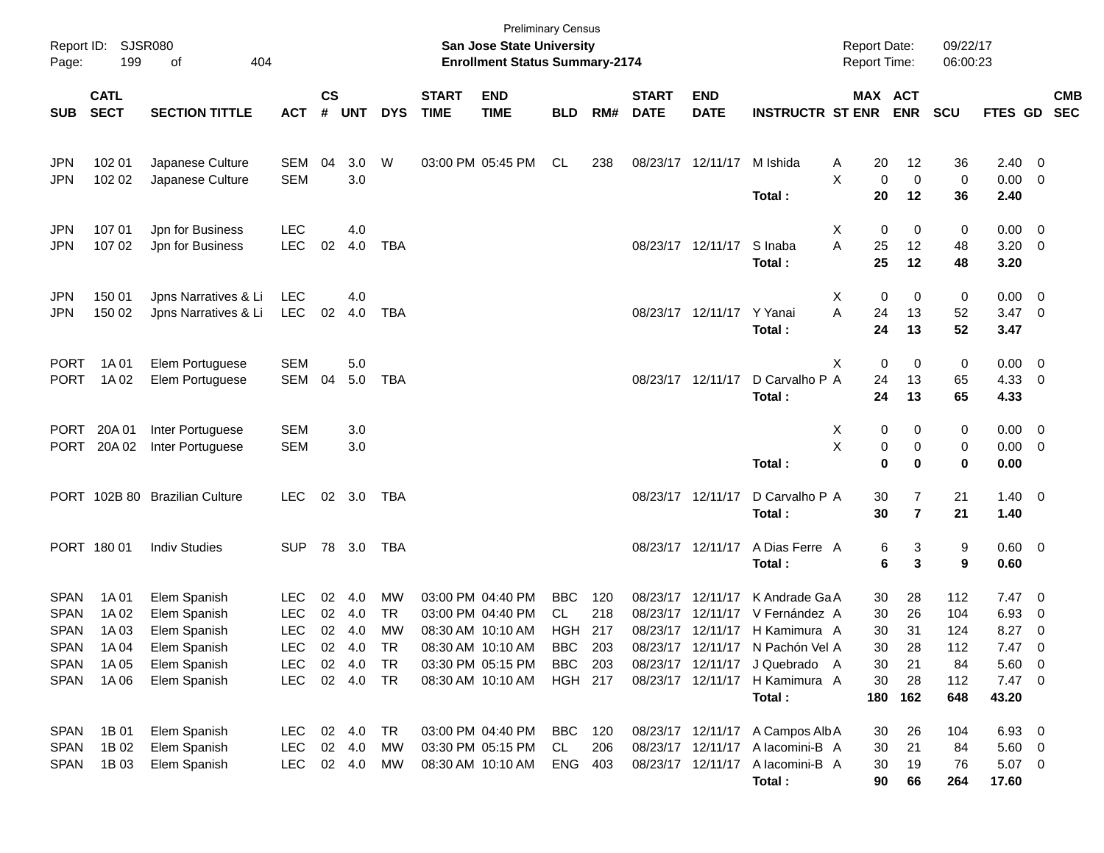| Page:                                     | Report ID: SJSR080<br>199                                         | of<br>404                                    |                                        |                |                            |                       |                             | <b>Preliminary Census</b><br>San Jose State University<br><b>Enrollment Status Summary-2174</b> |                                     |                   |                             |                                                             |                                                                            | <b>Report Date:</b><br><b>Report Time:</b> |                       | 09/22/17<br>06:00:23    |                                           |                                                      |            |
|-------------------------------------------|-------------------------------------------------------------------|----------------------------------------------|----------------------------------------|----------------|----------------------------|-----------------------|-----------------------------|-------------------------------------------------------------------------------------------------|-------------------------------------|-------------------|-----------------------------|-------------------------------------------------------------|----------------------------------------------------------------------------|--------------------------------------------|-----------------------|-------------------------|-------------------------------------------|------------------------------------------------------|------------|
| <b>SUB</b>                                | <b>CATL</b><br><b>SECT</b><br><b>SECTION TITTLE</b><br><b>ACT</b> |                                              |                                        |                | UNT                        | <b>DYS</b>            | <b>START</b><br><b>TIME</b> | <b>END</b><br><b>TIME</b>                                                                       | <b>BLD</b>                          | RM#               | <b>START</b><br><b>DATE</b> | <b>END</b><br><b>DATE</b>                                   | <b>INSTRUCTR ST ENR</b>                                                    | MAX ACT                                    | <b>ENR</b>            | <b>SCU</b>              | FTES GD SEC                               |                                                      | <b>CMB</b> |
| <b>JPN</b><br><b>JPN</b>                  | 102 01<br>102 02                                                  | Japanese Culture<br>Japanese Culture         | SEM<br><b>SEM</b>                      | 04             | 3.0<br>3.0                 | W                     |                             | 03:00 PM 05:45 PM                                                                               | CL                                  | 238               |                             | 08/23/17 12/11/17                                           | M Ishida                                                                   | 20<br>A<br>X<br>0                          | 12<br>$\mathbf 0$     | 36<br>0                 | 2.40<br>0.00                              | $\overline{\phantom{0}}$<br>$\overline{\phantom{0}}$ |            |
| <b>JPN</b><br><b>JPN</b>                  | 107 01<br>107 02                                                  | Jpn for Business<br>Jpn for Business         | <b>LEC</b><br><b>LEC</b>               | 02             | 4.0<br>4.0                 | <b>TBA</b>            |                             |                                                                                                 |                                     |                   |                             | 08/23/17 12/11/17                                           | Total:<br>S Inaba<br>Total:                                                | 20<br>Χ<br>0<br>A<br>25<br>25              | 12<br>0<br>12<br>12   | 36<br>0<br>48<br>48     | 2.40<br>$0.00 \t 0$<br>$3.20 \ 0$<br>3.20 |                                                      |            |
| <b>JPN</b><br><b>JPN</b>                  | 150 01<br>150 02                                                  | Jpns Narratives & Li<br>Jpns Narratives & Li | <b>LEC</b><br><b>LEC</b>               | 02             | 4.0<br>4.0                 | <b>TBA</b>            |                             |                                                                                                 |                                     |                   |                             | 08/23/17 12/11/17 Y Yanai                                   | Total:                                                                     | Χ<br>0<br>A<br>24<br>24                    | 0<br>13<br>13         | 0<br>52<br>52           | $0.00 \t 0$<br>$3.47 \ 0$<br>3.47         |                                                      |            |
| <b>PORT</b><br><b>PORT</b>                | 1A 01<br>1A 02                                                    | Elem Portuguese<br>Elem Portuguese           | <b>SEM</b><br>SEM                      | 04             | 5.0<br>5.0                 | <b>TBA</b>            |                             |                                                                                                 |                                     |                   |                             | 08/23/17 12/11/17                                           | D Carvalho P A<br>Total:                                                   | $\mathbf 0$<br>X<br>24<br>24               | 0<br>13<br>13         | 0<br>65<br>65           | $0.00 \t 0$<br>4.33<br>4.33               | $\overline{\phantom{0}}$                             |            |
| PORT<br><b>PORT</b>                       | 20A 01<br>20A 02                                                  | Inter Portuguese<br>Inter Portuguese         | <b>SEM</b><br><b>SEM</b>               |                | 3.0<br>3.0                 |                       |                             |                                                                                                 |                                     |                   |                             |                                                             | Total:                                                                     | Х<br>0<br>X<br>$\pmb{0}$<br>$\mathbf 0$    | 0<br>0<br>$\bf{0}$    | 0<br>0<br>0             | $0.00 \t 0$<br>$0.00 \t 0$<br>0.00        |                                                      |            |
|                                           |                                                                   | PORT 102B 80 Brazilian Culture               | <b>LEC</b>                             |                | 02 3.0                     | TBA                   |                             |                                                                                                 |                                     |                   | 08/23/17 12/11/17           |                                                             | D Carvalho P A<br>Total:                                                   | 30<br>30                                   | 7<br>$\overline{7}$   | 21<br>21                | $1.40 \ 0$<br>1.40                        |                                                      |            |
|                                           | PORT 180 01                                                       | <b>Indiv Studies</b>                         | <b>SUP</b>                             |                | 78 3.0                     | TBA                   |                             |                                                                                                 |                                     |                   |                             | 08/23/17 12/11/17                                           | A Dias Ferre A<br>Total:                                                   | 6<br>6                                     | 3<br>3                | 9<br>9                  | 0.60 0<br>0.60                            |                                                      |            |
| <b>SPAN</b><br><b>SPAN</b><br><b>SPAN</b> | 1A 01<br>1A 02<br>1A 03                                           | Elem Spanish<br>Elem Spanish<br>Elem Spanish | <b>LEC</b><br><b>LEC</b><br><b>LEC</b> | 02<br>02<br>02 | 4.0<br>4.0<br>4.0          | MW<br><b>TR</b><br>MW |                             | 03:00 PM 04:40 PM<br>03:00 PM 04:40 PM<br>08:30 AM 10:10 AM                                     | <b>BBC</b><br>CL<br><b>HGH</b>      | 120<br>218<br>217 |                             | 08/23/17 12/11/17<br>08/23/17 12/11/17                      | K Andrade GaA<br>V Fernández A<br>08/23/17 12/11/17 H Kamimura A           | 30<br>30<br>30                             | 28<br>26<br>31        | 112<br>104<br>124       | $7.47\quad 0$<br>6.93<br>8.27             | 0<br>$\overline{\mathbf{0}}$                         |            |
| <b>SPAN</b><br><b>SPAN</b><br><b>SPAN</b> | 1A 04<br>1A 05<br>1A 06                                           | Elem Spanish<br>Elem Spanish<br>Elem Spanish | <b>LEC</b><br><b>LEC</b><br><b>LEC</b> | 02<br>02       | 4.0<br>4.0<br>02 4.0       | TR<br><b>TR</b><br>TR |                             | 08:30 AM 10:10 AM<br>03:30 PM 05:15 PM<br>08:30 AM 10:10 AM                                     | BBC<br><b>BBC</b><br><b>HGH 217</b> | 203<br>203        |                             | 08/23/17 12/11/17<br>08/23/17 12/11/17                      | 08/23/17 12/11/17 N Pachón Vel A<br>J Quebrado A<br>H Kamimura A<br>Total: | 30<br>30<br>30<br>180                      | 28<br>21<br>28<br>162 | 112<br>84<br>112<br>648 | 7.47 0<br>5.60 0<br>$7.47$ 0<br>43.20     |                                                      |            |
| <b>SPAN</b><br><b>SPAN</b><br><b>SPAN</b> | 1B 01<br>1B 02<br>1B 03                                           | Elem Spanish<br>Elem Spanish<br>Elem Spanish | <b>LEC</b><br><b>LEC</b><br><b>LEC</b> |                | 02 4.0<br>02 4.0<br>02 4.0 | <b>TR</b><br>MW<br>МW |                             | 03:00 PM 04:40 PM<br>03:30 PM 05:15 PM<br>08:30 AM 10:10 AM                                     | BBC<br>CL<br>ENG                    | 120<br>206<br>403 |                             | 08/23/17 12/11/17<br>08/23/17 12/11/17<br>08/23/17 12/11/17 | A Campos Alb A<br>A lacomini-B A<br>A lacomini-B A<br>Total:               | 30<br>30<br>30<br>90                       | 26<br>21<br>19<br>66  | 104<br>84<br>76<br>264  | 6.93 0<br>$5.60\ 0$<br>5.07 0<br>17.60    |                                                      |            |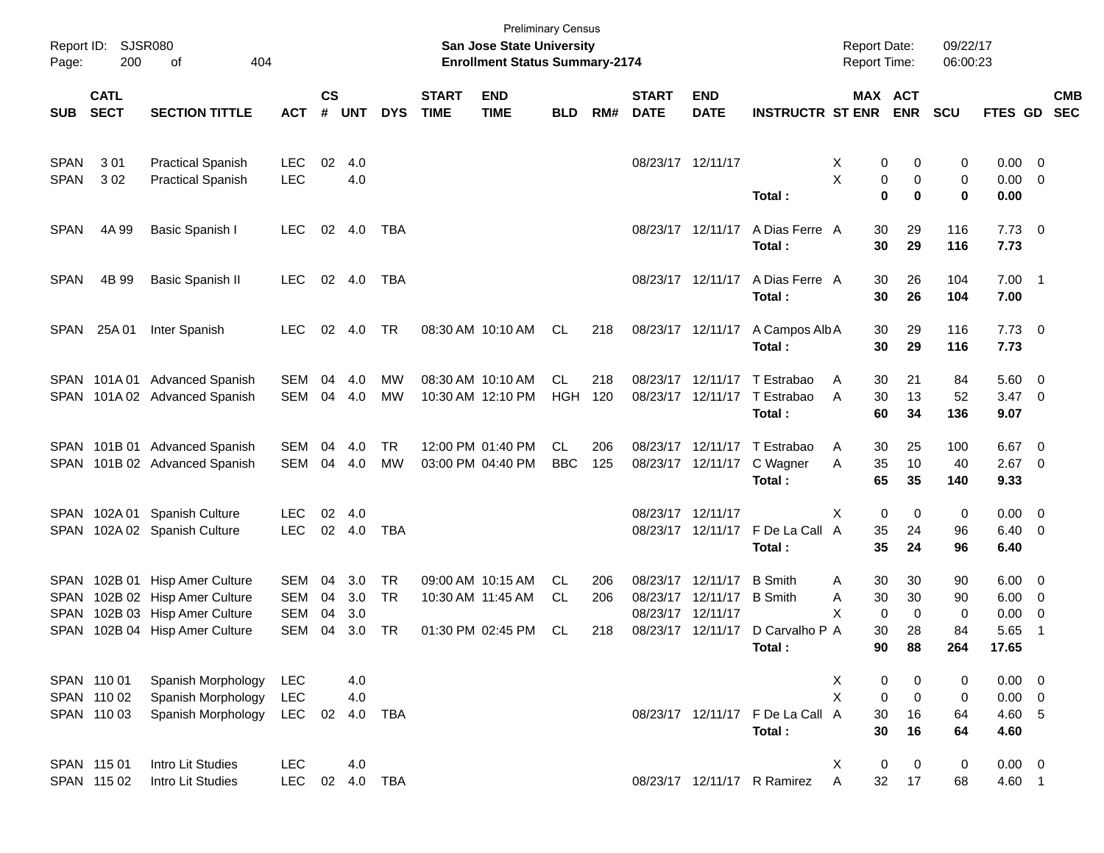| Page:               | Report ID: SJSR080<br>200                           | of<br>404                                                                          |                                 |                    |                   |                        |                             | <b>San Jose State University</b><br><b>Enrollment Status Summary-2174</b> | <b>Preliminary Census</b> |            |                             |                                                |                                                                        | <b>Report Date:</b><br>Report Time:            |                              | 09/22/17<br>06:00:23 |                                              |                          |            |
|---------------------|-----------------------------------------------------|------------------------------------------------------------------------------------|---------------------------------|--------------------|-------------------|------------------------|-----------------------------|---------------------------------------------------------------------------|---------------------------|------------|-----------------------------|------------------------------------------------|------------------------------------------------------------------------|------------------------------------------------|------------------------------|----------------------|----------------------------------------------|--------------------------|------------|
| <b>SUB</b>          | <b>CATL</b><br><b>SECT</b><br><b>SECTION TITTLE</b> |                                                                                    | <b>ACT</b>                      | $\mathsf{cs}$<br># | UNT               | <b>DYS</b>             | <b>START</b><br><b>TIME</b> | <b>END</b><br><b>TIME</b>                                                 | <b>BLD</b>                | RM#        | <b>START</b><br><b>DATE</b> | <b>END</b><br><b>DATE</b>                      | <b>INSTRUCTR ST ENR</b>                                                |                                                | <b>MAX ACT</b><br><b>ENR</b> | <b>SCU</b>           | FTES GD SEC                                  |                          | <b>CMB</b> |
| <b>SPAN</b>         | 301                                                 | <b>Practical Spanish</b>                                                           | <b>LEC</b>                      | 02                 | 4.0               |                        |                             |                                                                           |                           |            | 08/23/17 12/11/17           |                                                |                                                                        | X                                              | 0<br>0                       | 0                    | $0.00 \t 0$                                  |                          |            |
| <b>SPAN</b>         | 302                                                 | <b>Practical Spanish</b>                                                           | <b>LEC</b>                      |                    | 4.0               |                        |                             |                                                                           |                           |            |                             |                                                | Total:                                                                 | X<br>0<br>$\bf{0}$                             | 0<br>$\bf{0}$                | 0<br>0               | $0.00 \t 0$<br>0.00                          |                          |            |
| <b>SPAN</b>         | 4A 99                                               | Basic Spanish I                                                                    | LEC.                            |                    | 02 4.0            | TBA                    |                             |                                                                           |                           |            |                             | 08/23/17 12/11/17                              | A Dias Ferre A<br>Total:                                               | 30<br>30                                       | 29<br>29                     | 116<br>116           | $7.73 \t 0$<br>7.73                          |                          |            |
| <b>SPAN</b>         | 4B 99                                               | <b>Basic Spanish II</b>                                                            | <b>LEC</b>                      |                    | 02 4.0            | TBA                    |                             |                                                                           |                           |            |                             | 08/23/17 12/11/17                              | A Dias Ferre A<br>Total:                                               | 30<br>30                                       | 26<br>26                     | 104<br>104           | $7.00$ 1<br>7.00                             |                          |            |
| SPAN                | 25A 01                                              | Inter Spanish                                                                      | <b>LEC</b>                      | 02                 | 4.0               | TR                     |                             | 08:30 AM 10:10 AM                                                         | CL                        | 218        |                             | 08/23/17 12/11/17                              | A Campos Alb A<br>Total:                                               | 30<br>30                                       | 29<br>29                     | 116<br>116           | $7.73 \t 0$<br>7.73                          |                          |            |
|                     |                                                     | SPAN 101A 01 Advanced Spanish<br>SPAN 101A 02 Advanced Spanish                     | SEM<br>SEM                      | 04<br>04           | 4.0<br>4.0        | MW<br><b>MW</b>        |                             | 08:30 AM 10:10 AM<br>10:30 AM 12:10 PM                                    | CL.<br><b>HGH</b>         | 218<br>120 |                             |                                                | 08/23/17 12/11/17 T Estrabao<br>08/23/17 12/11/17 T Estrabao<br>Total: | 30<br>A<br>30<br>A<br>60                       | 21<br>13<br>34               | 84<br>52<br>136      | 5.60 0<br>$3.47 \quad 0$<br>9.07             |                          |            |
|                     |                                                     | SPAN 101B 01 Advanced Spanish<br>SPAN 101B 02 Advanced Spanish                     | SEM<br><b>SEM</b>               | 04<br>04           | 4.0<br>4.0        | TR<br><b>MW</b>        |                             | 12:00 PM 01:40 PM<br>03:00 PM 04:40 PM                                    | CL.<br><b>BBC</b>         | 206<br>125 |                             | 08/23/17 12/11/17                              | 08/23/17 12/11/17 T Estrabao<br>C Wagner<br>Total:                     | 30<br>A<br>35<br>Α<br>65                       | 25<br>10<br>35               | 100<br>40<br>140     | $6.67$ 0<br>$2.67$ 0<br>9.33                 |                          |            |
|                     |                                                     | SPAN 102A 01 Spanish Culture<br>SPAN 102A 02 Spanish Culture                       | <b>LEC</b><br><b>LEC</b>        | 02<br>02           | 4.0<br>4.0        | TBA                    |                             |                                                                           |                           |            | 08/23/17 12/11/17           |                                                | 08/23/17 12/11/17 F De La Call A<br>Total:                             | X<br>0<br>35<br>35                             | 0<br>24<br>24                | 0<br>96<br>96        | $0.00 \t 0$<br>$6.40 \quad 0$<br>6.40        |                          |            |
| <b>SPAN</b><br>SPAN | SPAN 102B 01                                        | <b>Hisp Amer Culture</b><br>102B 02 Hisp Amer Culture<br>102B 03 Hisp Amer Culture | SEM<br><b>SEM</b><br><b>SEM</b> | 04<br>04<br>04     | 3.0<br>3.0<br>3.0 | <b>TR</b><br><b>TR</b> |                             | 09:00 AM 10:15 AM<br>10:30 AM 11:45 AM                                    | CL.<br>CL                 | 206<br>206 | 08/23/17 12/11/17           | 08/23/17 12/11/17<br>08/23/17 12/11/17 B Smith | <b>B</b> Smith                                                         | 30<br>Α<br>30<br>Α<br>X<br>$\mathbf 0$         | 30<br>30<br>0                | 90<br>90<br>0        | $6.00 \quad 0$<br>$6.00 \t 0$<br>0.00        | $\overline{\phantom{0}}$ |            |
|                     |                                                     | SPAN 102B 04 Hisp Amer Culture                                                     | <b>SEM</b>                      | 04                 | 3.0               | TR                     |                             | 01:30 PM 02:45 PM                                                         | CL                        | 218        |                             |                                                | 08/23/17 12/11/17 D Carvalho P A<br>Total:                             | 30<br>90                                       | 28<br>88                     | 84<br>264            | 5.65<br>17.65                                | $\overline{1}$           |            |
|                     | SPAN 110 01<br>SPAN 110 02<br>SPAN 110 03           | Spanish Morphology<br>Spanish Morphology<br>Spanish Morphology                     | LEC<br><b>LEC</b><br><b>LEC</b> | 02                 | 4.0<br>4.0<br>4.0 | <b>TBA</b>             |                             |                                                                           |                           |            |                             |                                                | 08/23/17 12/11/17 F De La Call A<br>Total:                             | $\pmb{0}$<br>X<br>X<br>$\mathbf 0$<br>30<br>30 | 0<br>$\mathbf 0$<br>16<br>16 | 0<br>0<br>64<br>64   | $0.00 \t 0$<br>$0.00 \t 0$<br>4.60 5<br>4.60 |                          |            |
|                     | SPAN 115 01<br>SPAN 115 02                          | Intro Lit Studies<br>Intro Lit Studies                                             | <b>LEC</b><br><b>LEC</b>        | 02                 | 4.0               | 4.0 TBA                |                             |                                                                           |                           |            |                             |                                                | 08/23/17 12/11/17 R Ramirez                                            | 0<br>X<br>32<br>A                              | $\mathbf 0$<br>17            | $\pmb{0}$<br>68      | $0.00 \t 0$<br>4.60 1                        |                          |            |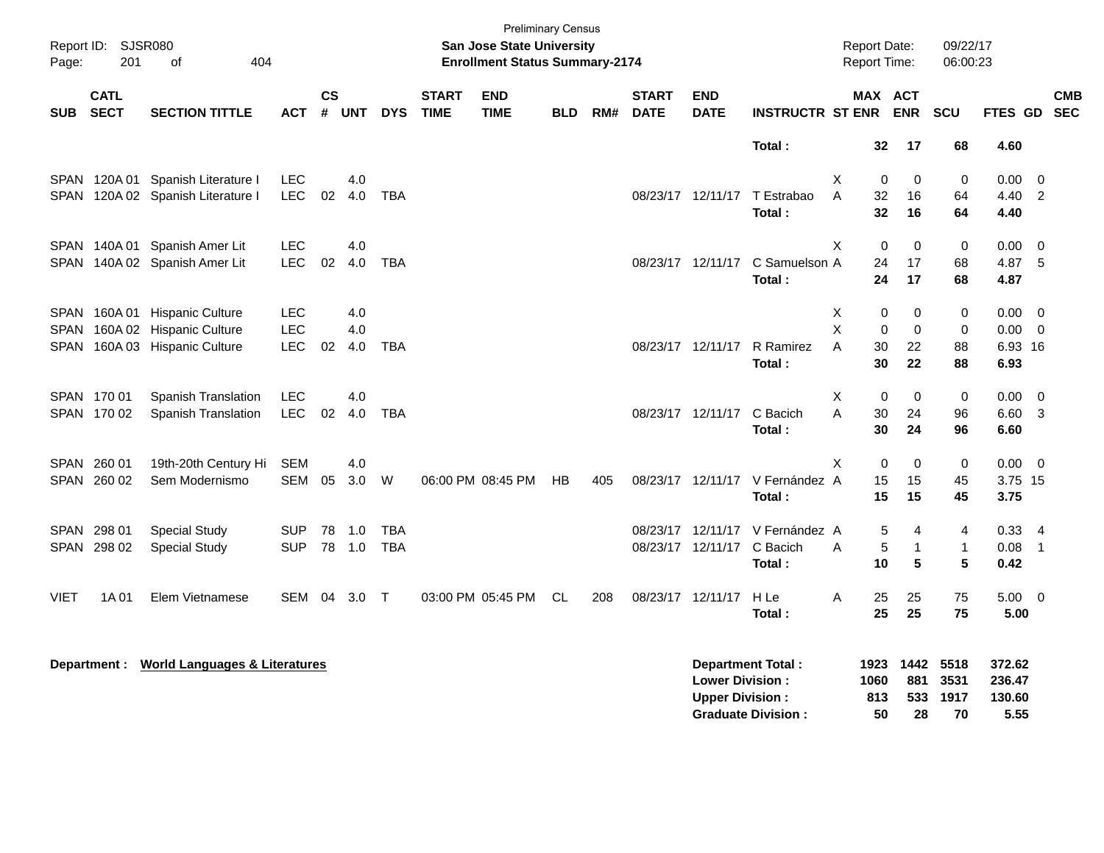| Page:       | Report ID: SJSR080<br>201                                  | of<br>404                                |            |                    |            |            |                             | <b>Preliminary Census</b><br>San Jose State University<br><b>Enrollment Status Summary-2174</b> |      |     |                             |                           |                             | <b>Report Date:</b><br>Report Time: |                            | 09/22/17<br>06:00:23 |                  |                            |            |
|-------------|------------------------------------------------------------|------------------------------------------|------------|--------------------|------------|------------|-----------------------------|-------------------------------------------------------------------------------------------------|------|-----|-----------------------------|---------------------------|-----------------------------|-------------------------------------|----------------------------|----------------------|------------------|----------------------------|------------|
| <b>SUB</b>  | <b>CATL</b><br><b>SECT</b><br><b>SECTION TITTLE</b><br>ACT |                                          |            | $\mathsf{cs}$<br># | <b>UNT</b> | <b>DYS</b> | <b>START</b><br><b>TIME</b> | <b>END</b><br><b>TIME</b>                                                                       | BLD. | RM# | <b>START</b><br><b>DATE</b> | <b>END</b><br><b>DATE</b> | <b>INSTRUCTR ST ENR ENR</b> |                                     | MAX ACT                    | SCU                  | FTES GD SEC      |                            | <b>CMB</b> |
|             |                                                            |                                          |            |                    |            |            |                             |                                                                                                 |      |     |                             |                           | Total:                      |                                     | 32<br>17                   | 68                   | 4.60             |                            |            |
|             | SPAN 120A 01                                               | Spanish Literature I                     | <b>LEC</b> |                    | 4.0        |            |                             |                                                                                                 |      |     |                             |                           |                             | X                                   | 0<br>0                     | 0                    | 0.00             | $\mathbf 0$                |            |
|             |                                                            | SPAN 120A 02 Spanish Literature I        | <b>LEC</b> | 02                 | 4.0        | <b>TBA</b> |                             |                                                                                                 |      |     |                             | 08/23/17 12/11/17         | T Estrabao                  | A                                   | 32<br>16                   | 64                   | 4.40             | $\overline{\phantom{0}}^2$ |            |
|             |                                                            |                                          |            |                    |            |            |                             |                                                                                                 |      |     |                             |                           | Total:                      |                                     | 32<br>16                   | 64                   | 4.40             |                            |            |
|             |                                                            | SPAN 140A 01 Spanish Amer Lit            | <b>LEC</b> |                    | 4.0        |            |                             |                                                                                                 |      |     |                             |                           |                             | X                                   | $\mathbf 0$<br>$\Omega$    | $\mathbf 0$          | 0.00             | $\overline{0}$             |            |
|             |                                                            | SPAN 140A 02 Spanish Amer Lit            | <b>LEC</b> | 02                 | 4.0        | <b>TBA</b> |                             |                                                                                                 |      |     |                             | 08/23/17 12/11/17         | C Samuelson A               |                                     | 24<br>17                   | 68                   | 4.87             | 5                          |            |
|             |                                                            |                                          |            |                    |            |            |                             |                                                                                                 |      |     |                             |                           | Total:                      |                                     | 24<br>17                   | 68                   | 4.87             |                            |            |
|             | SPAN 160A01                                                | <b>Hispanic Culture</b>                  | <b>LEC</b> |                    | 4.0        |            |                             |                                                                                                 |      |     |                             |                           |                             | X                                   | 0<br>0                     | 0                    | 0.00             | $\overline{\mathbf{0}}$    |            |
|             |                                                            | SPAN 160A 02 Hispanic Culture            | <b>LEC</b> |                    | 4.0        |            |                             |                                                                                                 |      |     |                             |                           |                             | X                                   | $\mathbf 0$<br>$\mathbf 0$ | $\mathbf 0$          | 0.00             | $\overline{0}$             |            |
| SPAN        | 160A 03                                                    | <b>Hispanic Culture</b>                  | LEC        | 02                 | 4.0        | <b>TBA</b> |                             |                                                                                                 |      |     |                             | 08/23/17 12/11/17         | R Ramirez                   | A                                   | 30<br>22                   | 88                   | 6.93 16          |                            |            |
|             |                                                            |                                          |            |                    |            |            |                             |                                                                                                 |      |     |                             |                           | Total:                      |                                     | 22<br>30                   | 88                   | 6.93             |                            |            |
|             | SPAN 170 01                                                | Spanish Translation                      | <b>LEC</b> |                    | 4.0        |            |                             |                                                                                                 |      |     |                             |                           |                             | X                                   | 0<br>0                     | 0                    | 0.00             | $\overline{0}$             |            |
|             | SPAN 170 02                                                | <b>Spanish Translation</b>               | <b>LEC</b> | 02                 | 4.0        | <b>TBA</b> |                             |                                                                                                 |      |     |                             | 08/23/17 12/11/17         | C Bacich                    | Α                                   | 30<br>24                   | 96                   | 6.60             | 3                          |            |
|             |                                                            |                                          |            |                    |            |            |                             |                                                                                                 |      |     |                             |                           | Total:                      |                                     | 30<br>24                   | 96                   | 6.60             |                            |            |
|             | SPAN 260 01                                                | 19th-20th Century Hi                     | <b>SEM</b> |                    | 4.0        |            |                             |                                                                                                 |      |     |                             |                           |                             | X                                   | $\mathbf 0$<br>0           | $\mathbf 0$          | 0.00             | $\overline{\mathbf{0}}$    |            |
|             | SPAN 260 02                                                | Sem Modernismo                           | <b>SEM</b> | 05                 | 3.0        | W          |                             | 06:00 PM 08:45 PM                                                                               | HB   | 405 |                             | 08/23/17 12/11/17         | V Fernández A               |                                     | 15<br>15                   | 45                   | 3.75 15          |                            |            |
|             |                                                            |                                          |            |                    |            |            |                             |                                                                                                 |      |     |                             |                           | Total:                      |                                     | 15<br>15                   | 45                   | 3.75             |                            |            |
|             | SPAN 298 01                                                | <b>Special Study</b>                     | <b>SUP</b> | 78                 | 1.0        | <b>TBA</b> |                             |                                                                                                 |      |     |                             | 08/23/17 12/11/17         | V Fernández A               |                                     | 5<br>4                     | 4                    | $0.33 - 4$       |                            |            |
|             | SPAN 298 02                                                | <b>Special Study</b>                     | <b>SUP</b> |                    | 78 1.0     | <b>TBA</b> |                             |                                                                                                 |      |     |                             | 08/23/17 12/11/17         | C Bacich                    | A                                   | $\sqrt{5}$<br>$\mathbf{1}$ | $\mathbf{1}$         | 0.08             | $\overline{1}$             |            |
|             |                                                            |                                          |            |                    |            |            |                             |                                                                                                 |      |     |                             |                           | Total:                      |                                     | 5<br>10                    | 5                    | 0.42             |                            |            |
| <b>VIET</b> | 1A 01                                                      | Elem Vietnamese                          | SEM 04     |                    | 3.0        | $\top$     |                             | 03:00 PM 05:45 PM                                                                               | CL   | 208 |                             | 08/23/17 12/11/17         | H Le                        | Α                                   | 25<br>25                   | 75                   | $5.00 \t 0$      |                            |            |
|             |                                                            |                                          |            |                    |            |            |                             |                                                                                                 |      |     |                             |                           | Total:                      |                                     | 25<br>25                   | 75                   | 5.00             |                            |            |
|             |                                                            |                                          |            |                    |            |            |                             |                                                                                                 |      |     |                             |                           |                             |                                     |                            |                      |                  |                            |            |
|             | <b>Department:</b>                                         | <b>World Languages &amp; Literatures</b> |            |                    |            |            |                             |                                                                                                 |      |     |                             | <b>Lower Division:</b>    | <b>Department Total:</b>    | 1923<br>1060                        | 1442                       | 5518                 | 372.62           |                            |            |
|             |                                                            |                                          |            |                    |            |            |                             |                                                                                                 |      |     |                             | <b>Upper Division:</b>    |                             | 813                                 | 881<br>533                 | 3531<br>1917         | 236.47<br>130.60 |                            |            |
|             |                                                            |                                          |            |                    |            |            |                             |                                                                                                 |      |     |                             |                           | <b>Graduate Division:</b>   |                                     | 50<br>28                   | 70                   | 5.55             |                            |            |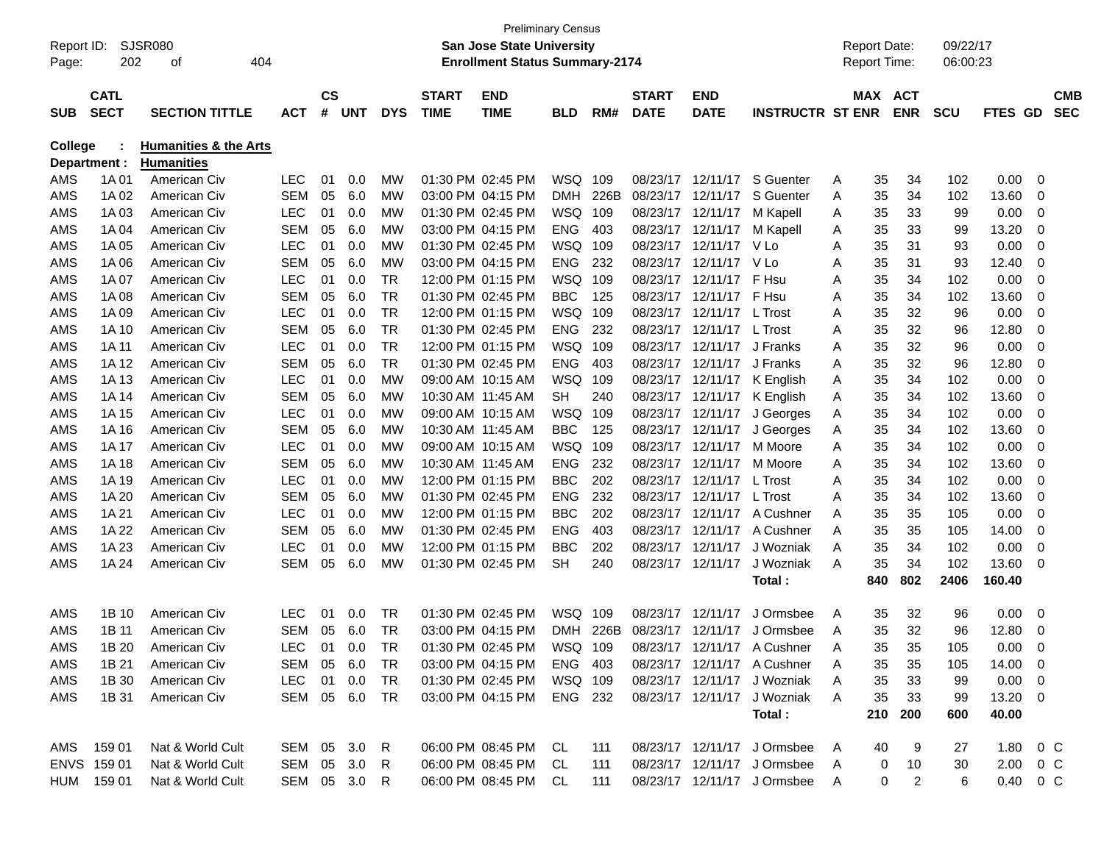| <b>San Jose State University</b><br>09/22/17<br>Report ID:<br>SJSR080<br><b>Report Date:</b><br>404<br><b>Enrollment Status Summary-2174</b><br>202<br><b>Report Time:</b><br>06:00:23<br>οf<br>$\mathbf{c}\mathbf{s}$<br><b>START</b><br><b>END</b><br><b>START</b><br>MAX ACT<br><b>CMB</b><br><b>CATL</b><br><b>END</b><br><b>SECT</b><br><b>SEC</b><br>#<br><b>DYS</b><br><b>TIME</b><br><b>TIME</b><br><b>DATE</b><br><b>DATE</b><br><b>INSTRUCTR ST ENR</b><br><b>ENR</b><br><b>SCU</b><br><b>SUB</b><br><b>SECTION TITTLE</b><br><b>ACT</b><br><b>UNT</b><br><b>BLD</b><br>RM#<br>FTES GD<br><b>College</b><br><b>Humanities &amp; the Arts</b><br>Department :<br><b>Humanities</b><br><b>LEC</b><br>01:30 PM 02:45 PM<br><b>WSQ</b><br>S Guenter<br>0.00<br>1A 01<br>American Civ<br>01<br>0.0<br>MW<br>109<br>08/23/17<br>12/11/17<br>35<br>34<br>102<br>0<br>Α<br><b>SEM</b><br>05<br>03:00 PM 04:15 PM<br>13.60<br>1A 02<br>American Civ<br>6.0<br><b>MW</b><br><b>DMH</b><br>226B<br>08/23/17<br>12/11/17<br>S Guenter<br>35<br>34<br>102<br>0<br>Α<br>01:30 PM 02:45 PM<br><b>WSQ</b><br>0.00<br>1A03<br>American Civ<br><b>LEC</b><br>01<br>0.0<br><b>MW</b><br>109<br>08/23/17<br>12/11/17<br>35<br>33<br>99<br>M Kapell<br>Α<br>0<br><b>SEM</b><br>05<br>03:00 PM 04:15 PM<br><b>ENG</b><br>13.20<br>1A 04<br>American Civ<br>6.0<br><b>MW</b><br>403<br>08/23/17<br>12/11/17<br>M Kapell<br>35<br>33<br>99<br>Α<br>0<br><b>LEC</b><br>01:30 PM 02:45 PM<br><b>WSQ</b><br>0.00<br>1A 05<br>American Civ<br>01<br>0.0<br><b>MW</b><br>109<br>08/23/17<br>12/11/17<br>V Lo<br>35<br>31<br>93<br>0<br>Α<br><b>SEM</b><br>05<br>03:00 PM 04:15 PM<br><b>ENG</b><br>232<br>12.40<br>1A 06<br>American Civ<br>6.0<br><b>MW</b><br>08/23/17<br>12/11/17<br>V Lo<br>35<br>31<br>93<br>0<br>Α<br><b>LEC</b><br>12:00 PM 01:15 PM<br><b>WSQ</b><br>0.00<br>1A 07<br>American Civ<br>01<br>0.0<br>TR<br>109<br>08/23/17<br>12/11/17<br>F Hsu<br>35<br>34<br>102<br>0<br>Α<br><b>SEM</b><br>05<br><b>TR</b><br>01:30 PM 02:45 PM<br><b>BBC</b><br>F Hsu<br>13.60<br>1A 08<br>American Civ<br>6.0<br>125<br>08/23/17<br>12/11/17<br>35<br>34<br>102<br>0<br>Α<br><b>LEC</b><br><b>TR</b><br>12:00 PM 01:15 PM<br><b>WSQ</b><br>0.00<br>1A 09<br>American Civ<br>01<br>0.0<br>109<br>08/23/17<br>12/11/17<br>L Trost<br>35<br>32<br>96<br>0<br>Α<br><b>SEM</b><br>05<br><b>TR</b><br>01:30 PM 02:45 PM<br><b>ENG</b><br>232<br>32<br>12.80<br>1A 10<br>American Civ<br>6.0<br>08/23/17<br>12/11/17<br>L Trost<br>35<br>96<br>0<br>Α<br><b>LEC</b><br><b>TR</b><br>12:00 PM 01:15 PM<br><b>WSQ</b><br>32<br>0.00<br>American Civ<br>01<br>0.0<br>109<br>08/23/17<br>12/11/17<br>J Franks<br>35<br>96<br>0<br>1A 11<br>Α<br><b>SEM</b><br>05<br><b>TR</b><br>01:30 PM 02:45 PM<br><b>ENG</b><br>32<br>12.80<br>1A 12<br>American Civ<br>6.0<br>403<br>08/23/17<br>12/11/17<br>J Franks<br>35<br>96<br>0<br>Α<br><b>LEC</b><br><b>WSQ</b><br>34<br>0.00<br>1A 13<br>American Civ<br>01<br>0.0<br><b>MW</b><br>09:00 AM 10:15 AM<br>109<br>08/23/17<br>12/11/17<br>35<br>102<br>0<br>K English<br>Α<br><b>SEM</b><br>05<br>13.60<br>American Civ<br>6.0<br><b>MW</b><br>10:30 AM 11:45 AM<br><b>SH</b><br>240<br>08/23/17<br>12/11/17<br>K English<br>35<br>34<br>102<br>0<br>1A 14<br>Α<br><b>LEC</b><br>0.00<br>American Civ<br>01<br>0.0<br>МW<br>09:00 AM 10:15 AM<br>WSQ<br>109<br>08/23/17<br>12/11/17<br>J Georges<br>35<br>34<br>102<br>0<br>1A 15<br>Α<br><b>SEM</b><br>05<br><b>BBC</b><br>13.60<br>American Civ<br>6.0<br><b>MW</b><br>10:30 AM 11:45 AM<br>125<br>08/23/17<br>12/11/17<br>J Georges<br>35<br>34<br>102<br>0<br>1A 16<br>Α<br><b>LEC</b><br><b>WSQ</b><br>0.00<br>1A 17<br>American Civ<br>01<br>0.0<br><b>MW</b><br>09:00 AM 10:15 AM<br>109<br>08/23/17<br>12/11/17<br>35<br>34<br>102<br>0<br>M Moore<br>Α<br><b>SEM</b><br>05<br><b>ENG</b><br>232<br>13.60<br>1A 18<br>American Civ<br>6.0<br><b>MW</b><br>10:30 AM 11:45 AM<br>08/23/17<br>12/11/17<br>M Moore<br>35<br>34<br>102<br>0<br>Α<br><b>LEC</b><br>12:00 PM 01:15 PM<br><b>BBC</b><br>0.00<br>1A 19<br>American Civ<br>01<br>0.0<br>МW<br>202<br>08/23/17<br>12/11/17<br>L Trost<br>35<br>34<br>102<br>0<br>Α<br><b>SEM</b><br>05<br>01:30 PM 02:45 PM<br><b>ENG</b><br>232<br>13.60<br>1A 20<br>American Civ<br>6.0<br><b>MW</b><br>08/23/17<br>12/11/17<br>L Trost<br>35<br>34<br>102<br>0<br>Α<br><b>LEC</b><br>12:00 PM 01:15 PM<br><b>BBC</b><br>202<br>A Cushner<br>0.00<br>1A 21<br>American Civ<br>01<br>0.0<br><b>MW</b><br>08/23/17<br>12/11/17<br>35<br>35<br>105<br>0<br>A<br><b>SEM</b><br>05<br>01:30 PM 02:45 PM<br>14.00<br>1A 22<br>American Civ<br>6.0<br><b>MW</b><br><b>ENG</b><br>403<br>08/23/17<br>12/11/17<br>A Cushner<br>35<br>35<br>105<br>0<br>A<br><b>LEC</b><br>12:00 PM 01:15 PM<br>12/11/17<br>35<br>34<br>0.00<br>1A 23<br>American Civ<br>01<br>0.0<br><b>MW</b><br><b>BBC</b><br>202<br>08/23/17<br>J Wozniak<br>102<br>0<br>Α<br><b>SEM</b><br>35<br>34<br>13.60<br>1A 24<br>American Civ<br>05<br>6.0<br>МW<br>01:30 PM 02:45 PM<br><b>SH</b><br>240<br>08/23/17<br>12/11/17<br>J Wozniak<br>Α<br>102<br>0<br>802<br>2406<br>Total:<br>840<br>160.40<br><b>LEC</b><br>01:30 PM 02:45 PM<br><b>WSQ</b><br>AMS<br>1B 10<br>American Civ<br>01<br>0.0<br>TR<br>109<br>08/23/17<br>12/11/17<br>J Ormsbee<br>35<br>32<br>96<br>0.00<br>0<br>Α<br><b>SEM</b><br><b>TR</b><br>12/11/17<br>32<br>12.80<br>AMS<br>1B 11<br>American Civ<br>05<br>6.0<br>03:00 PM 04:15 PM<br><b>DMH</b><br>226B<br>08/23/17<br>J Ormsbee<br>35<br>96<br>A<br>0<br>AMS<br><b>LEC</b><br><b>TR</b><br>01:30 PM 02:45 PM<br>WSQ 109<br>08/23/17 12/11/17 A Cushner<br>35<br>35<br>0.00<br>1B 20<br>American Civ<br>01 0.0<br>105<br>0<br>A<br>03:00 PM 04:15 PM<br>08/23/17 12/11/17 A Cushner<br>14.00 0<br>AMS<br>1B 21<br>American Civ<br>SEM 05 6.0<br>TR<br>ENG 403<br>35<br>35<br>A<br>105<br>American Civ<br>LEC 01 0.0<br>$0.00 \t 0$<br>AMS<br>1B 30<br>TR<br>01:30 PM 02:45 PM<br>WSQ 109<br>08/23/17 12/11/17<br>J Wozniak<br>35<br>33<br>99<br>A<br>SEM 05 6.0<br>03:00 PM 04:15 PM ENG 232<br>08/23/17 12/11/17 J Wozniak<br>AMS<br>1B 31<br>American Civ<br>TR.<br>35<br>33<br>13.20 0<br>A<br>99<br>40.00<br>Total:<br>210<br>200<br>600<br>AMS 159 01<br>Nat & World Cult<br>SEM 05 3.0 R<br>06:00 PM 08:45 PM CL<br>08/23/17 12/11/17 J Ormsbee<br>0 C<br>111<br>A<br>9<br>1.80<br>40<br>27<br>ENVS 159 01<br>SEM 05 3.0<br>08/23/17 12/11/17 J Ormsbee<br>Nat & World Cult<br>06:00 PM 08:45 PM<br>111<br>0<br>10<br>30<br>2.00<br>R.<br>- CL<br>A<br>$0\,$ C<br>HUM 159 01<br>SEM 05 3.0 R<br>06:00 PM 08:45 PM CL<br>08/23/17 12/11/17 J Ormsbee<br>0.40 0 C |       |                  |  |  |  | <b>Preliminary Census</b> |     |  |   |             |                |   |  |  |
|-------------------------------------------------------------------------------------------------------------------------------------------------------------------------------------------------------------------------------------------------------------------------------------------------------------------------------------------------------------------------------------------------------------------------------------------------------------------------------------------------------------------------------------------------------------------------------------------------------------------------------------------------------------------------------------------------------------------------------------------------------------------------------------------------------------------------------------------------------------------------------------------------------------------------------------------------------------------------------------------------------------------------------------------------------------------------------------------------------------------------------------------------------------------------------------------------------------------------------------------------------------------------------------------------------------------------------------------------------------------------------------------------------------------------------------------------------------------------------------------------------------------------------------------------------------------------------------------------------------------------------------------------------------------------------------------------------------------------------------------------------------------------------------------------------------------------------------------------------------------------------------------------------------------------------------------------------------------------------------------------------------------------------------------------------------------------------------------------------------------------------------------------------------------------------------------------------------------------------------------------------------------------------------------------------------------------------------------------------------------------------------------------------------------------------------------------------------------------------------------------------------------------------------------------------------------------------------------------------------------------------------------------------------------------------------------------------------------------------------------------------------------------------------------------------------------------------------------------------------------------------------------------------------------------------------------------------------------------------------------------------------------------------------------------------------------------------------------------------------------------------------------------------------------------------------------------------------------------------------------------------------------------------------------------------------------------------------------------------------------------------------------------------------------------------------------------------------------------------------------------------------------------------------------------------------------------------------------------------------------------------------------------------------------------------------------------------------------------------------------------------------------------------------------------------------------------------------------------------------------------------------------------------------------------------------------------------------------------------------------------------------------------------------------------------------------------------------------------------------------------------------------------------------------------------------------------------------------------------------------------------------------------------------------------------------------------------------------------------------------------------------------------------------------------------------------------------------------------------------------------------------------------------------------------------------------------------------------------------------------------------------------------------------------------------------------------------------------------------------------------------------------------------------------------------------------------------------------------------------------------------------------------------------------------------------------------------------------------------------------------------------------------------------------------------------------------------------------------------------------------------------------------------------------------------------------------------------------------------------------------------------------------------------------------------------------------------------------------------------------------------------------------------------------------------------------------------------------------------------------------------------------------------------------------------------------------------------------------------------------------------------------------------------------------------------------------------------------------------------------------------------------------------------------------------------------------------------------------------------------------------------------------------------------------------------------------------------------------------------------------------------------------------------------------------------------------------------------------------------------------------------------------------------------------------------------------------------------------------------------------------------------------------------------------------------------------------------------------------------------------------------------------------------------------------------------------------------------------------------------------------------------------------------------------------------------------------------------------------------------------------------------------------------------------------------|-------|------------------|--|--|--|---------------------------|-----|--|---|-------------|----------------|---|--|--|
|                                                                                                                                                                                                                                                                                                                                                                                                                                                                                                                                                                                                                                                                                                                                                                                                                                                                                                                                                                                                                                                                                                                                                                                                                                                                                                                                                                                                                                                                                                                                                                                                                                                                                                                                                                                                                                                                                                                                                                                                                                                                                                                                                                                                                                                                                                                                                                                                                                                                                                                                                                                                                                                                                                                                                                                                                                                                                                                                                                                                                                                                                                                                                                                                                                                                                                                                                                                                                                                                                                                                                                                                                                                                                                                                                                                                                                                                                                                                                                                                                                                                                                                                                                                                                                                                                                                                                                                                                                                                                                                                                                                                                                                                                                                                                                                                                                                                                                                                                                                                                                                                                                                                                                                                                                                                                                                                                                                                                                                                                                                                                                                                                                                                                                                                                                                                                                                                                                                                                                                                                                                                                                                                                                                                                                                                                                                                                                                                                                                                                                                                                                                                                                                                                     |       |                  |  |  |  |                           |     |  |   |             |                |   |  |  |
|                                                                                                                                                                                                                                                                                                                                                                                                                                                                                                                                                                                                                                                                                                                                                                                                                                                                                                                                                                                                                                                                                                                                                                                                                                                                                                                                                                                                                                                                                                                                                                                                                                                                                                                                                                                                                                                                                                                                                                                                                                                                                                                                                                                                                                                                                                                                                                                                                                                                                                                                                                                                                                                                                                                                                                                                                                                                                                                                                                                                                                                                                                                                                                                                                                                                                                                                                                                                                                                                                                                                                                                                                                                                                                                                                                                                                                                                                                                                                                                                                                                                                                                                                                                                                                                                                                                                                                                                                                                                                                                                                                                                                                                                                                                                                                                                                                                                                                                                                                                                                                                                                                                                                                                                                                                                                                                                                                                                                                                                                                                                                                                                                                                                                                                                                                                                                                                                                                                                                                                                                                                                                                                                                                                                                                                                                                                                                                                                                                                                                                                                                                                                                                                                                     | Page: |                  |  |  |  |                           |     |  |   |             |                |   |  |  |
|                                                                                                                                                                                                                                                                                                                                                                                                                                                                                                                                                                                                                                                                                                                                                                                                                                                                                                                                                                                                                                                                                                                                                                                                                                                                                                                                                                                                                                                                                                                                                                                                                                                                                                                                                                                                                                                                                                                                                                                                                                                                                                                                                                                                                                                                                                                                                                                                                                                                                                                                                                                                                                                                                                                                                                                                                                                                                                                                                                                                                                                                                                                                                                                                                                                                                                                                                                                                                                                                                                                                                                                                                                                                                                                                                                                                                                                                                                                                                                                                                                                                                                                                                                                                                                                                                                                                                                                                                                                                                                                                                                                                                                                                                                                                                                                                                                                                                                                                                                                                                                                                                                                                                                                                                                                                                                                                                                                                                                                                                                                                                                                                                                                                                                                                                                                                                                                                                                                                                                                                                                                                                                                                                                                                                                                                                                                                                                                                                                                                                                                                                                                                                                                                                     |       |                  |  |  |  |                           |     |  |   |             |                |   |  |  |
|                                                                                                                                                                                                                                                                                                                                                                                                                                                                                                                                                                                                                                                                                                                                                                                                                                                                                                                                                                                                                                                                                                                                                                                                                                                                                                                                                                                                                                                                                                                                                                                                                                                                                                                                                                                                                                                                                                                                                                                                                                                                                                                                                                                                                                                                                                                                                                                                                                                                                                                                                                                                                                                                                                                                                                                                                                                                                                                                                                                                                                                                                                                                                                                                                                                                                                                                                                                                                                                                                                                                                                                                                                                                                                                                                                                                                                                                                                                                                                                                                                                                                                                                                                                                                                                                                                                                                                                                                                                                                                                                                                                                                                                                                                                                                                                                                                                                                                                                                                                                                                                                                                                                                                                                                                                                                                                                                                                                                                                                                                                                                                                                                                                                                                                                                                                                                                                                                                                                                                                                                                                                                                                                                                                                                                                                                                                                                                                                                                                                                                                                                                                                                                                                                     |       |                  |  |  |  |                           |     |  |   |             |                |   |  |  |
|                                                                                                                                                                                                                                                                                                                                                                                                                                                                                                                                                                                                                                                                                                                                                                                                                                                                                                                                                                                                                                                                                                                                                                                                                                                                                                                                                                                                                                                                                                                                                                                                                                                                                                                                                                                                                                                                                                                                                                                                                                                                                                                                                                                                                                                                                                                                                                                                                                                                                                                                                                                                                                                                                                                                                                                                                                                                                                                                                                                                                                                                                                                                                                                                                                                                                                                                                                                                                                                                                                                                                                                                                                                                                                                                                                                                                                                                                                                                                                                                                                                                                                                                                                                                                                                                                                                                                                                                                                                                                                                                                                                                                                                                                                                                                                                                                                                                                                                                                                                                                                                                                                                                                                                                                                                                                                                                                                                                                                                                                                                                                                                                                                                                                                                                                                                                                                                                                                                                                                                                                                                                                                                                                                                                                                                                                                                                                                                                                                                                                                                                                                                                                                                                                     |       |                  |  |  |  |                           |     |  |   |             |                |   |  |  |
|                                                                                                                                                                                                                                                                                                                                                                                                                                                                                                                                                                                                                                                                                                                                                                                                                                                                                                                                                                                                                                                                                                                                                                                                                                                                                                                                                                                                                                                                                                                                                                                                                                                                                                                                                                                                                                                                                                                                                                                                                                                                                                                                                                                                                                                                                                                                                                                                                                                                                                                                                                                                                                                                                                                                                                                                                                                                                                                                                                                                                                                                                                                                                                                                                                                                                                                                                                                                                                                                                                                                                                                                                                                                                                                                                                                                                                                                                                                                                                                                                                                                                                                                                                                                                                                                                                                                                                                                                                                                                                                                                                                                                                                                                                                                                                                                                                                                                                                                                                                                                                                                                                                                                                                                                                                                                                                                                                                                                                                                                                                                                                                                                                                                                                                                                                                                                                                                                                                                                                                                                                                                                                                                                                                                                                                                                                                                                                                                                                                                                                                                                                                                                                                                                     |       |                  |  |  |  |                           |     |  |   |             |                |   |  |  |
|                                                                                                                                                                                                                                                                                                                                                                                                                                                                                                                                                                                                                                                                                                                                                                                                                                                                                                                                                                                                                                                                                                                                                                                                                                                                                                                                                                                                                                                                                                                                                                                                                                                                                                                                                                                                                                                                                                                                                                                                                                                                                                                                                                                                                                                                                                                                                                                                                                                                                                                                                                                                                                                                                                                                                                                                                                                                                                                                                                                                                                                                                                                                                                                                                                                                                                                                                                                                                                                                                                                                                                                                                                                                                                                                                                                                                                                                                                                                                                                                                                                                                                                                                                                                                                                                                                                                                                                                                                                                                                                                                                                                                                                                                                                                                                                                                                                                                                                                                                                                                                                                                                                                                                                                                                                                                                                                                                                                                                                                                                                                                                                                                                                                                                                                                                                                                                                                                                                                                                                                                                                                                                                                                                                                                                                                                                                                                                                                                                                                                                                                                                                                                                                                                     |       |                  |  |  |  |                           |     |  |   |             |                |   |  |  |
|                                                                                                                                                                                                                                                                                                                                                                                                                                                                                                                                                                                                                                                                                                                                                                                                                                                                                                                                                                                                                                                                                                                                                                                                                                                                                                                                                                                                                                                                                                                                                                                                                                                                                                                                                                                                                                                                                                                                                                                                                                                                                                                                                                                                                                                                                                                                                                                                                                                                                                                                                                                                                                                                                                                                                                                                                                                                                                                                                                                                                                                                                                                                                                                                                                                                                                                                                                                                                                                                                                                                                                                                                                                                                                                                                                                                                                                                                                                                                                                                                                                                                                                                                                                                                                                                                                                                                                                                                                                                                                                                                                                                                                                                                                                                                                                                                                                                                                                                                                                                                                                                                                                                                                                                                                                                                                                                                                                                                                                                                                                                                                                                                                                                                                                                                                                                                                                                                                                                                                                                                                                                                                                                                                                                                                                                                                                                                                                                                                                                                                                                                                                                                                                                                     | AMS   |                  |  |  |  |                           |     |  |   |             |                |   |  |  |
|                                                                                                                                                                                                                                                                                                                                                                                                                                                                                                                                                                                                                                                                                                                                                                                                                                                                                                                                                                                                                                                                                                                                                                                                                                                                                                                                                                                                                                                                                                                                                                                                                                                                                                                                                                                                                                                                                                                                                                                                                                                                                                                                                                                                                                                                                                                                                                                                                                                                                                                                                                                                                                                                                                                                                                                                                                                                                                                                                                                                                                                                                                                                                                                                                                                                                                                                                                                                                                                                                                                                                                                                                                                                                                                                                                                                                                                                                                                                                                                                                                                                                                                                                                                                                                                                                                                                                                                                                                                                                                                                                                                                                                                                                                                                                                                                                                                                                                                                                                                                                                                                                                                                                                                                                                                                                                                                                                                                                                                                                                                                                                                                                                                                                                                                                                                                                                                                                                                                                                                                                                                                                                                                                                                                                                                                                                                                                                                                                                                                                                                                                                                                                                                                                     | AMS   |                  |  |  |  |                           |     |  |   |             |                |   |  |  |
|                                                                                                                                                                                                                                                                                                                                                                                                                                                                                                                                                                                                                                                                                                                                                                                                                                                                                                                                                                                                                                                                                                                                                                                                                                                                                                                                                                                                                                                                                                                                                                                                                                                                                                                                                                                                                                                                                                                                                                                                                                                                                                                                                                                                                                                                                                                                                                                                                                                                                                                                                                                                                                                                                                                                                                                                                                                                                                                                                                                                                                                                                                                                                                                                                                                                                                                                                                                                                                                                                                                                                                                                                                                                                                                                                                                                                                                                                                                                                                                                                                                                                                                                                                                                                                                                                                                                                                                                                                                                                                                                                                                                                                                                                                                                                                                                                                                                                                                                                                                                                                                                                                                                                                                                                                                                                                                                                                                                                                                                                                                                                                                                                                                                                                                                                                                                                                                                                                                                                                                                                                                                                                                                                                                                                                                                                                                                                                                                                                                                                                                                                                                                                                                                                     | AMS   |                  |  |  |  |                           |     |  |   |             |                |   |  |  |
|                                                                                                                                                                                                                                                                                                                                                                                                                                                                                                                                                                                                                                                                                                                                                                                                                                                                                                                                                                                                                                                                                                                                                                                                                                                                                                                                                                                                                                                                                                                                                                                                                                                                                                                                                                                                                                                                                                                                                                                                                                                                                                                                                                                                                                                                                                                                                                                                                                                                                                                                                                                                                                                                                                                                                                                                                                                                                                                                                                                                                                                                                                                                                                                                                                                                                                                                                                                                                                                                                                                                                                                                                                                                                                                                                                                                                                                                                                                                                                                                                                                                                                                                                                                                                                                                                                                                                                                                                                                                                                                                                                                                                                                                                                                                                                                                                                                                                                                                                                                                                                                                                                                                                                                                                                                                                                                                                                                                                                                                                                                                                                                                                                                                                                                                                                                                                                                                                                                                                                                                                                                                                                                                                                                                                                                                                                                                                                                                                                                                                                                                                                                                                                                                                     | AMS   |                  |  |  |  |                           |     |  |   |             |                |   |  |  |
|                                                                                                                                                                                                                                                                                                                                                                                                                                                                                                                                                                                                                                                                                                                                                                                                                                                                                                                                                                                                                                                                                                                                                                                                                                                                                                                                                                                                                                                                                                                                                                                                                                                                                                                                                                                                                                                                                                                                                                                                                                                                                                                                                                                                                                                                                                                                                                                                                                                                                                                                                                                                                                                                                                                                                                                                                                                                                                                                                                                                                                                                                                                                                                                                                                                                                                                                                                                                                                                                                                                                                                                                                                                                                                                                                                                                                                                                                                                                                                                                                                                                                                                                                                                                                                                                                                                                                                                                                                                                                                                                                                                                                                                                                                                                                                                                                                                                                                                                                                                                                                                                                                                                                                                                                                                                                                                                                                                                                                                                                                                                                                                                                                                                                                                                                                                                                                                                                                                                                                                                                                                                                                                                                                                                                                                                                                                                                                                                                                                                                                                                                                                                                                                                                     | AMS   |                  |  |  |  |                           |     |  |   |             |                |   |  |  |
|                                                                                                                                                                                                                                                                                                                                                                                                                                                                                                                                                                                                                                                                                                                                                                                                                                                                                                                                                                                                                                                                                                                                                                                                                                                                                                                                                                                                                                                                                                                                                                                                                                                                                                                                                                                                                                                                                                                                                                                                                                                                                                                                                                                                                                                                                                                                                                                                                                                                                                                                                                                                                                                                                                                                                                                                                                                                                                                                                                                                                                                                                                                                                                                                                                                                                                                                                                                                                                                                                                                                                                                                                                                                                                                                                                                                                                                                                                                                                                                                                                                                                                                                                                                                                                                                                                                                                                                                                                                                                                                                                                                                                                                                                                                                                                                                                                                                                                                                                                                                                                                                                                                                                                                                                                                                                                                                                                                                                                                                                                                                                                                                                                                                                                                                                                                                                                                                                                                                                                                                                                                                                                                                                                                                                                                                                                                                                                                                                                                                                                                                                                                                                                                                                     | AMS   |                  |  |  |  |                           |     |  |   |             |                |   |  |  |
|                                                                                                                                                                                                                                                                                                                                                                                                                                                                                                                                                                                                                                                                                                                                                                                                                                                                                                                                                                                                                                                                                                                                                                                                                                                                                                                                                                                                                                                                                                                                                                                                                                                                                                                                                                                                                                                                                                                                                                                                                                                                                                                                                                                                                                                                                                                                                                                                                                                                                                                                                                                                                                                                                                                                                                                                                                                                                                                                                                                                                                                                                                                                                                                                                                                                                                                                                                                                                                                                                                                                                                                                                                                                                                                                                                                                                                                                                                                                                                                                                                                                                                                                                                                                                                                                                                                                                                                                                                                                                                                                                                                                                                                                                                                                                                                                                                                                                                                                                                                                                                                                                                                                                                                                                                                                                                                                                                                                                                                                                                                                                                                                                                                                                                                                                                                                                                                                                                                                                                                                                                                                                                                                                                                                                                                                                                                                                                                                                                                                                                                                                                                                                                                                                     | AMS   |                  |  |  |  |                           |     |  |   |             |                |   |  |  |
|                                                                                                                                                                                                                                                                                                                                                                                                                                                                                                                                                                                                                                                                                                                                                                                                                                                                                                                                                                                                                                                                                                                                                                                                                                                                                                                                                                                                                                                                                                                                                                                                                                                                                                                                                                                                                                                                                                                                                                                                                                                                                                                                                                                                                                                                                                                                                                                                                                                                                                                                                                                                                                                                                                                                                                                                                                                                                                                                                                                                                                                                                                                                                                                                                                                                                                                                                                                                                                                                                                                                                                                                                                                                                                                                                                                                                                                                                                                                                                                                                                                                                                                                                                                                                                                                                                                                                                                                                                                                                                                                                                                                                                                                                                                                                                                                                                                                                                                                                                                                                                                                                                                                                                                                                                                                                                                                                                                                                                                                                                                                                                                                                                                                                                                                                                                                                                                                                                                                                                                                                                                                                                                                                                                                                                                                                                                                                                                                                                                                                                                                                                                                                                                                                     | AMS   |                  |  |  |  |                           |     |  |   |             |                |   |  |  |
|                                                                                                                                                                                                                                                                                                                                                                                                                                                                                                                                                                                                                                                                                                                                                                                                                                                                                                                                                                                                                                                                                                                                                                                                                                                                                                                                                                                                                                                                                                                                                                                                                                                                                                                                                                                                                                                                                                                                                                                                                                                                                                                                                                                                                                                                                                                                                                                                                                                                                                                                                                                                                                                                                                                                                                                                                                                                                                                                                                                                                                                                                                                                                                                                                                                                                                                                                                                                                                                                                                                                                                                                                                                                                                                                                                                                                                                                                                                                                                                                                                                                                                                                                                                                                                                                                                                                                                                                                                                                                                                                                                                                                                                                                                                                                                                                                                                                                                                                                                                                                                                                                                                                                                                                                                                                                                                                                                                                                                                                                                                                                                                                                                                                                                                                                                                                                                                                                                                                                                                                                                                                                                                                                                                                                                                                                                                                                                                                                                                                                                                                                                                                                                                                                     | AMS   |                  |  |  |  |                           |     |  |   |             |                |   |  |  |
|                                                                                                                                                                                                                                                                                                                                                                                                                                                                                                                                                                                                                                                                                                                                                                                                                                                                                                                                                                                                                                                                                                                                                                                                                                                                                                                                                                                                                                                                                                                                                                                                                                                                                                                                                                                                                                                                                                                                                                                                                                                                                                                                                                                                                                                                                                                                                                                                                                                                                                                                                                                                                                                                                                                                                                                                                                                                                                                                                                                                                                                                                                                                                                                                                                                                                                                                                                                                                                                                                                                                                                                                                                                                                                                                                                                                                                                                                                                                                                                                                                                                                                                                                                                                                                                                                                                                                                                                                                                                                                                                                                                                                                                                                                                                                                                                                                                                                                                                                                                                                                                                                                                                                                                                                                                                                                                                                                                                                                                                                                                                                                                                                                                                                                                                                                                                                                                                                                                                                                                                                                                                                                                                                                                                                                                                                                                                                                                                                                                                                                                                                                                                                                                                                     | AMS   |                  |  |  |  |                           |     |  |   |             |                |   |  |  |
|                                                                                                                                                                                                                                                                                                                                                                                                                                                                                                                                                                                                                                                                                                                                                                                                                                                                                                                                                                                                                                                                                                                                                                                                                                                                                                                                                                                                                                                                                                                                                                                                                                                                                                                                                                                                                                                                                                                                                                                                                                                                                                                                                                                                                                                                                                                                                                                                                                                                                                                                                                                                                                                                                                                                                                                                                                                                                                                                                                                                                                                                                                                                                                                                                                                                                                                                                                                                                                                                                                                                                                                                                                                                                                                                                                                                                                                                                                                                                                                                                                                                                                                                                                                                                                                                                                                                                                                                                                                                                                                                                                                                                                                                                                                                                                                                                                                                                                                                                                                                                                                                                                                                                                                                                                                                                                                                                                                                                                                                                                                                                                                                                                                                                                                                                                                                                                                                                                                                                                                                                                                                                                                                                                                                                                                                                                                                                                                                                                                                                                                                                                                                                                                                                     | AMS   |                  |  |  |  |                           |     |  |   |             |                |   |  |  |
|                                                                                                                                                                                                                                                                                                                                                                                                                                                                                                                                                                                                                                                                                                                                                                                                                                                                                                                                                                                                                                                                                                                                                                                                                                                                                                                                                                                                                                                                                                                                                                                                                                                                                                                                                                                                                                                                                                                                                                                                                                                                                                                                                                                                                                                                                                                                                                                                                                                                                                                                                                                                                                                                                                                                                                                                                                                                                                                                                                                                                                                                                                                                                                                                                                                                                                                                                                                                                                                                                                                                                                                                                                                                                                                                                                                                                                                                                                                                                                                                                                                                                                                                                                                                                                                                                                                                                                                                                                                                                                                                                                                                                                                                                                                                                                                                                                                                                                                                                                                                                                                                                                                                                                                                                                                                                                                                                                                                                                                                                                                                                                                                                                                                                                                                                                                                                                                                                                                                                                                                                                                                                                                                                                                                                                                                                                                                                                                                                                                                                                                                                                                                                                                                                     | AMS   |                  |  |  |  |                           |     |  |   |             |                |   |  |  |
|                                                                                                                                                                                                                                                                                                                                                                                                                                                                                                                                                                                                                                                                                                                                                                                                                                                                                                                                                                                                                                                                                                                                                                                                                                                                                                                                                                                                                                                                                                                                                                                                                                                                                                                                                                                                                                                                                                                                                                                                                                                                                                                                                                                                                                                                                                                                                                                                                                                                                                                                                                                                                                                                                                                                                                                                                                                                                                                                                                                                                                                                                                                                                                                                                                                                                                                                                                                                                                                                                                                                                                                                                                                                                                                                                                                                                                                                                                                                                                                                                                                                                                                                                                                                                                                                                                                                                                                                                                                                                                                                                                                                                                                                                                                                                                                                                                                                                                                                                                                                                                                                                                                                                                                                                                                                                                                                                                                                                                                                                                                                                                                                                                                                                                                                                                                                                                                                                                                                                                                                                                                                                                                                                                                                                                                                                                                                                                                                                                                                                                                                                                                                                                                                                     | AMS   |                  |  |  |  |                           |     |  |   |             |                |   |  |  |
|                                                                                                                                                                                                                                                                                                                                                                                                                                                                                                                                                                                                                                                                                                                                                                                                                                                                                                                                                                                                                                                                                                                                                                                                                                                                                                                                                                                                                                                                                                                                                                                                                                                                                                                                                                                                                                                                                                                                                                                                                                                                                                                                                                                                                                                                                                                                                                                                                                                                                                                                                                                                                                                                                                                                                                                                                                                                                                                                                                                                                                                                                                                                                                                                                                                                                                                                                                                                                                                                                                                                                                                                                                                                                                                                                                                                                                                                                                                                                                                                                                                                                                                                                                                                                                                                                                                                                                                                                                                                                                                                                                                                                                                                                                                                                                                                                                                                                                                                                                                                                                                                                                                                                                                                                                                                                                                                                                                                                                                                                                                                                                                                                                                                                                                                                                                                                                                                                                                                                                                                                                                                                                                                                                                                                                                                                                                                                                                                                                                                                                                                                                                                                                                                                     | AMS   |                  |  |  |  |                           |     |  |   |             |                |   |  |  |
|                                                                                                                                                                                                                                                                                                                                                                                                                                                                                                                                                                                                                                                                                                                                                                                                                                                                                                                                                                                                                                                                                                                                                                                                                                                                                                                                                                                                                                                                                                                                                                                                                                                                                                                                                                                                                                                                                                                                                                                                                                                                                                                                                                                                                                                                                                                                                                                                                                                                                                                                                                                                                                                                                                                                                                                                                                                                                                                                                                                                                                                                                                                                                                                                                                                                                                                                                                                                                                                                                                                                                                                                                                                                                                                                                                                                                                                                                                                                                                                                                                                                                                                                                                                                                                                                                                                                                                                                                                                                                                                                                                                                                                                                                                                                                                                                                                                                                                                                                                                                                                                                                                                                                                                                                                                                                                                                                                                                                                                                                                                                                                                                                                                                                                                                                                                                                                                                                                                                                                                                                                                                                                                                                                                                                                                                                                                                                                                                                                                                                                                                                                                                                                                                                     | AMS   |                  |  |  |  |                           |     |  |   |             |                |   |  |  |
|                                                                                                                                                                                                                                                                                                                                                                                                                                                                                                                                                                                                                                                                                                                                                                                                                                                                                                                                                                                                                                                                                                                                                                                                                                                                                                                                                                                                                                                                                                                                                                                                                                                                                                                                                                                                                                                                                                                                                                                                                                                                                                                                                                                                                                                                                                                                                                                                                                                                                                                                                                                                                                                                                                                                                                                                                                                                                                                                                                                                                                                                                                                                                                                                                                                                                                                                                                                                                                                                                                                                                                                                                                                                                                                                                                                                                                                                                                                                                                                                                                                                                                                                                                                                                                                                                                                                                                                                                                                                                                                                                                                                                                                                                                                                                                                                                                                                                                                                                                                                                                                                                                                                                                                                                                                                                                                                                                                                                                                                                                                                                                                                                                                                                                                                                                                                                                                                                                                                                                                                                                                                                                                                                                                                                                                                                                                                                                                                                                                                                                                                                                                                                                                                                     | AMS   |                  |  |  |  |                           |     |  |   |             |                |   |  |  |
|                                                                                                                                                                                                                                                                                                                                                                                                                                                                                                                                                                                                                                                                                                                                                                                                                                                                                                                                                                                                                                                                                                                                                                                                                                                                                                                                                                                                                                                                                                                                                                                                                                                                                                                                                                                                                                                                                                                                                                                                                                                                                                                                                                                                                                                                                                                                                                                                                                                                                                                                                                                                                                                                                                                                                                                                                                                                                                                                                                                                                                                                                                                                                                                                                                                                                                                                                                                                                                                                                                                                                                                                                                                                                                                                                                                                                                                                                                                                                                                                                                                                                                                                                                                                                                                                                                                                                                                                                                                                                                                                                                                                                                                                                                                                                                                                                                                                                                                                                                                                                                                                                                                                                                                                                                                                                                                                                                                                                                                                                                                                                                                                                                                                                                                                                                                                                                                                                                                                                                                                                                                                                                                                                                                                                                                                                                                                                                                                                                                                                                                                                                                                                                                                                     | AMS   |                  |  |  |  |                           |     |  |   |             |                |   |  |  |
|                                                                                                                                                                                                                                                                                                                                                                                                                                                                                                                                                                                                                                                                                                                                                                                                                                                                                                                                                                                                                                                                                                                                                                                                                                                                                                                                                                                                                                                                                                                                                                                                                                                                                                                                                                                                                                                                                                                                                                                                                                                                                                                                                                                                                                                                                                                                                                                                                                                                                                                                                                                                                                                                                                                                                                                                                                                                                                                                                                                                                                                                                                                                                                                                                                                                                                                                                                                                                                                                                                                                                                                                                                                                                                                                                                                                                                                                                                                                                                                                                                                                                                                                                                                                                                                                                                                                                                                                                                                                                                                                                                                                                                                                                                                                                                                                                                                                                                                                                                                                                                                                                                                                                                                                                                                                                                                                                                                                                                                                                                                                                                                                                                                                                                                                                                                                                                                                                                                                                                                                                                                                                                                                                                                                                                                                                                                                                                                                                                                                                                                                                                                                                                                                                     | AMS   |                  |  |  |  |                           |     |  |   |             |                |   |  |  |
|                                                                                                                                                                                                                                                                                                                                                                                                                                                                                                                                                                                                                                                                                                                                                                                                                                                                                                                                                                                                                                                                                                                                                                                                                                                                                                                                                                                                                                                                                                                                                                                                                                                                                                                                                                                                                                                                                                                                                                                                                                                                                                                                                                                                                                                                                                                                                                                                                                                                                                                                                                                                                                                                                                                                                                                                                                                                                                                                                                                                                                                                                                                                                                                                                                                                                                                                                                                                                                                                                                                                                                                                                                                                                                                                                                                                                                                                                                                                                                                                                                                                                                                                                                                                                                                                                                                                                                                                                                                                                                                                                                                                                                                                                                                                                                                                                                                                                                                                                                                                                                                                                                                                                                                                                                                                                                                                                                                                                                                                                                                                                                                                                                                                                                                                                                                                                                                                                                                                                                                                                                                                                                                                                                                                                                                                                                                                                                                                                                                                                                                                                                                                                                                                                     | AMS   |                  |  |  |  |                           |     |  |   |             |                |   |  |  |
|                                                                                                                                                                                                                                                                                                                                                                                                                                                                                                                                                                                                                                                                                                                                                                                                                                                                                                                                                                                                                                                                                                                                                                                                                                                                                                                                                                                                                                                                                                                                                                                                                                                                                                                                                                                                                                                                                                                                                                                                                                                                                                                                                                                                                                                                                                                                                                                                                                                                                                                                                                                                                                                                                                                                                                                                                                                                                                                                                                                                                                                                                                                                                                                                                                                                                                                                                                                                                                                                                                                                                                                                                                                                                                                                                                                                                                                                                                                                                                                                                                                                                                                                                                                                                                                                                                                                                                                                                                                                                                                                                                                                                                                                                                                                                                                                                                                                                                                                                                                                                                                                                                                                                                                                                                                                                                                                                                                                                                                                                                                                                                                                                                                                                                                                                                                                                                                                                                                                                                                                                                                                                                                                                                                                                                                                                                                                                                                                                                                                                                                                                                                                                                                                                     | AMS   |                  |  |  |  |                           |     |  |   |             |                |   |  |  |
|                                                                                                                                                                                                                                                                                                                                                                                                                                                                                                                                                                                                                                                                                                                                                                                                                                                                                                                                                                                                                                                                                                                                                                                                                                                                                                                                                                                                                                                                                                                                                                                                                                                                                                                                                                                                                                                                                                                                                                                                                                                                                                                                                                                                                                                                                                                                                                                                                                                                                                                                                                                                                                                                                                                                                                                                                                                                                                                                                                                                                                                                                                                                                                                                                                                                                                                                                                                                                                                                                                                                                                                                                                                                                                                                                                                                                                                                                                                                                                                                                                                                                                                                                                                                                                                                                                                                                                                                                                                                                                                                                                                                                                                                                                                                                                                                                                                                                                                                                                                                                                                                                                                                                                                                                                                                                                                                                                                                                                                                                                                                                                                                                                                                                                                                                                                                                                                                                                                                                                                                                                                                                                                                                                                                                                                                                                                                                                                                                                                                                                                                                                                                                                                                                     | AMS   |                  |  |  |  |                           |     |  |   |             |                |   |  |  |
|                                                                                                                                                                                                                                                                                                                                                                                                                                                                                                                                                                                                                                                                                                                                                                                                                                                                                                                                                                                                                                                                                                                                                                                                                                                                                                                                                                                                                                                                                                                                                                                                                                                                                                                                                                                                                                                                                                                                                                                                                                                                                                                                                                                                                                                                                                                                                                                                                                                                                                                                                                                                                                                                                                                                                                                                                                                                                                                                                                                                                                                                                                                                                                                                                                                                                                                                                                                                                                                                                                                                                                                                                                                                                                                                                                                                                                                                                                                                                                                                                                                                                                                                                                                                                                                                                                                                                                                                                                                                                                                                                                                                                                                                                                                                                                                                                                                                                                                                                                                                                                                                                                                                                                                                                                                                                                                                                                                                                                                                                                                                                                                                                                                                                                                                                                                                                                                                                                                                                                                                                                                                                                                                                                                                                                                                                                                                                                                                                                                                                                                                                                                                                                                                                     | AMS   |                  |  |  |  |                           |     |  |   |             |                |   |  |  |
|                                                                                                                                                                                                                                                                                                                                                                                                                                                                                                                                                                                                                                                                                                                                                                                                                                                                                                                                                                                                                                                                                                                                                                                                                                                                                                                                                                                                                                                                                                                                                                                                                                                                                                                                                                                                                                                                                                                                                                                                                                                                                                                                                                                                                                                                                                                                                                                                                                                                                                                                                                                                                                                                                                                                                                                                                                                                                                                                                                                                                                                                                                                                                                                                                                                                                                                                                                                                                                                                                                                                                                                                                                                                                                                                                                                                                                                                                                                                                                                                                                                                                                                                                                                                                                                                                                                                                                                                                                                                                                                                                                                                                                                                                                                                                                                                                                                                                                                                                                                                                                                                                                                                                                                                                                                                                                                                                                                                                                                                                                                                                                                                                                                                                                                                                                                                                                                                                                                                                                                                                                                                                                                                                                                                                                                                                                                                                                                                                                                                                                                                                                                                                                                                                     | AMS   |                  |  |  |  |                           |     |  |   |             |                |   |  |  |
|                                                                                                                                                                                                                                                                                                                                                                                                                                                                                                                                                                                                                                                                                                                                                                                                                                                                                                                                                                                                                                                                                                                                                                                                                                                                                                                                                                                                                                                                                                                                                                                                                                                                                                                                                                                                                                                                                                                                                                                                                                                                                                                                                                                                                                                                                                                                                                                                                                                                                                                                                                                                                                                                                                                                                                                                                                                                                                                                                                                                                                                                                                                                                                                                                                                                                                                                                                                                                                                                                                                                                                                                                                                                                                                                                                                                                                                                                                                                                                                                                                                                                                                                                                                                                                                                                                                                                                                                                                                                                                                                                                                                                                                                                                                                                                                                                                                                                                                                                                                                                                                                                                                                                                                                                                                                                                                                                                                                                                                                                                                                                                                                                                                                                                                                                                                                                                                                                                                                                                                                                                                                                                                                                                                                                                                                                                                                                                                                                                                                                                                                                                                                                                                                                     | AMS   |                  |  |  |  |                           |     |  |   |             |                |   |  |  |
|                                                                                                                                                                                                                                                                                                                                                                                                                                                                                                                                                                                                                                                                                                                                                                                                                                                                                                                                                                                                                                                                                                                                                                                                                                                                                                                                                                                                                                                                                                                                                                                                                                                                                                                                                                                                                                                                                                                                                                                                                                                                                                                                                                                                                                                                                                                                                                                                                                                                                                                                                                                                                                                                                                                                                                                                                                                                                                                                                                                                                                                                                                                                                                                                                                                                                                                                                                                                                                                                                                                                                                                                                                                                                                                                                                                                                                                                                                                                                                                                                                                                                                                                                                                                                                                                                                                                                                                                                                                                                                                                                                                                                                                                                                                                                                                                                                                                                                                                                                                                                                                                                                                                                                                                                                                                                                                                                                                                                                                                                                                                                                                                                                                                                                                                                                                                                                                                                                                                                                                                                                                                                                                                                                                                                                                                                                                                                                                                                                                                                                                                                                                                                                                                                     |       |                  |  |  |  |                           |     |  |   |             |                |   |  |  |
|                                                                                                                                                                                                                                                                                                                                                                                                                                                                                                                                                                                                                                                                                                                                                                                                                                                                                                                                                                                                                                                                                                                                                                                                                                                                                                                                                                                                                                                                                                                                                                                                                                                                                                                                                                                                                                                                                                                                                                                                                                                                                                                                                                                                                                                                                                                                                                                                                                                                                                                                                                                                                                                                                                                                                                                                                                                                                                                                                                                                                                                                                                                                                                                                                                                                                                                                                                                                                                                                                                                                                                                                                                                                                                                                                                                                                                                                                                                                                                                                                                                                                                                                                                                                                                                                                                                                                                                                                                                                                                                                                                                                                                                                                                                                                                                                                                                                                                                                                                                                                                                                                                                                                                                                                                                                                                                                                                                                                                                                                                                                                                                                                                                                                                                                                                                                                                                                                                                                                                                                                                                                                                                                                                                                                                                                                                                                                                                                                                                                                                                                                                                                                                                                                     |       |                  |  |  |  |                           |     |  |   |             |                |   |  |  |
|                                                                                                                                                                                                                                                                                                                                                                                                                                                                                                                                                                                                                                                                                                                                                                                                                                                                                                                                                                                                                                                                                                                                                                                                                                                                                                                                                                                                                                                                                                                                                                                                                                                                                                                                                                                                                                                                                                                                                                                                                                                                                                                                                                                                                                                                                                                                                                                                                                                                                                                                                                                                                                                                                                                                                                                                                                                                                                                                                                                                                                                                                                                                                                                                                                                                                                                                                                                                                                                                                                                                                                                                                                                                                                                                                                                                                                                                                                                                                                                                                                                                                                                                                                                                                                                                                                                                                                                                                                                                                                                                                                                                                                                                                                                                                                                                                                                                                                                                                                                                                                                                                                                                                                                                                                                                                                                                                                                                                                                                                                                                                                                                                                                                                                                                                                                                                                                                                                                                                                                                                                                                                                                                                                                                                                                                                                                                                                                                                                                                                                                                                                                                                                                                                     |       |                  |  |  |  |                           |     |  |   |             |                |   |  |  |
|                                                                                                                                                                                                                                                                                                                                                                                                                                                                                                                                                                                                                                                                                                                                                                                                                                                                                                                                                                                                                                                                                                                                                                                                                                                                                                                                                                                                                                                                                                                                                                                                                                                                                                                                                                                                                                                                                                                                                                                                                                                                                                                                                                                                                                                                                                                                                                                                                                                                                                                                                                                                                                                                                                                                                                                                                                                                                                                                                                                                                                                                                                                                                                                                                                                                                                                                                                                                                                                                                                                                                                                                                                                                                                                                                                                                                                                                                                                                                                                                                                                                                                                                                                                                                                                                                                                                                                                                                                                                                                                                                                                                                                                                                                                                                                                                                                                                                                                                                                                                                                                                                                                                                                                                                                                                                                                                                                                                                                                                                                                                                                                                                                                                                                                                                                                                                                                                                                                                                                                                                                                                                                                                                                                                                                                                                                                                                                                                                                                                                                                                                                                                                                                                                     |       |                  |  |  |  |                           |     |  |   |             |                |   |  |  |
|                                                                                                                                                                                                                                                                                                                                                                                                                                                                                                                                                                                                                                                                                                                                                                                                                                                                                                                                                                                                                                                                                                                                                                                                                                                                                                                                                                                                                                                                                                                                                                                                                                                                                                                                                                                                                                                                                                                                                                                                                                                                                                                                                                                                                                                                                                                                                                                                                                                                                                                                                                                                                                                                                                                                                                                                                                                                                                                                                                                                                                                                                                                                                                                                                                                                                                                                                                                                                                                                                                                                                                                                                                                                                                                                                                                                                                                                                                                                                                                                                                                                                                                                                                                                                                                                                                                                                                                                                                                                                                                                                                                                                                                                                                                                                                                                                                                                                                                                                                                                                                                                                                                                                                                                                                                                                                                                                                                                                                                                                                                                                                                                                                                                                                                                                                                                                                                                                                                                                                                                                                                                                                                                                                                                                                                                                                                                                                                                                                                                                                                                                                                                                                                                                     |       |                  |  |  |  |                           |     |  |   |             |                |   |  |  |
|                                                                                                                                                                                                                                                                                                                                                                                                                                                                                                                                                                                                                                                                                                                                                                                                                                                                                                                                                                                                                                                                                                                                                                                                                                                                                                                                                                                                                                                                                                                                                                                                                                                                                                                                                                                                                                                                                                                                                                                                                                                                                                                                                                                                                                                                                                                                                                                                                                                                                                                                                                                                                                                                                                                                                                                                                                                                                                                                                                                                                                                                                                                                                                                                                                                                                                                                                                                                                                                                                                                                                                                                                                                                                                                                                                                                                                                                                                                                                                                                                                                                                                                                                                                                                                                                                                                                                                                                                                                                                                                                                                                                                                                                                                                                                                                                                                                                                                                                                                                                                                                                                                                                                                                                                                                                                                                                                                                                                                                                                                                                                                                                                                                                                                                                                                                                                                                                                                                                                                                                                                                                                                                                                                                                                                                                                                                                                                                                                                                                                                                                                                                                                                                                                     |       |                  |  |  |  |                           |     |  |   |             |                |   |  |  |
|                                                                                                                                                                                                                                                                                                                                                                                                                                                                                                                                                                                                                                                                                                                                                                                                                                                                                                                                                                                                                                                                                                                                                                                                                                                                                                                                                                                                                                                                                                                                                                                                                                                                                                                                                                                                                                                                                                                                                                                                                                                                                                                                                                                                                                                                                                                                                                                                                                                                                                                                                                                                                                                                                                                                                                                                                                                                                                                                                                                                                                                                                                                                                                                                                                                                                                                                                                                                                                                                                                                                                                                                                                                                                                                                                                                                                                                                                                                                                                                                                                                                                                                                                                                                                                                                                                                                                                                                                                                                                                                                                                                                                                                                                                                                                                                                                                                                                                                                                                                                                                                                                                                                                                                                                                                                                                                                                                                                                                                                                                                                                                                                                                                                                                                                                                                                                                                                                                                                                                                                                                                                                                                                                                                                                                                                                                                                                                                                                                                                                                                                                                                                                                                                                     |       |                  |  |  |  |                           |     |  |   |             |                |   |  |  |
|                                                                                                                                                                                                                                                                                                                                                                                                                                                                                                                                                                                                                                                                                                                                                                                                                                                                                                                                                                                                                                                                                                                                                                                                                                                                                                                                                                                                                                                                                                                                                                                                                                                                                                                                                                                                                                                                                                                                                                                                                                                                                                                                                                                                                                                                                                                                                                                                                                                                                                                                                                                                                                                                                                                                                                                                                                                                                                                                                                                                                                                                                                                                                                                                                                                                                                                                                                                                                                                                                                                                                                                                                                                                                                                                                                                                                                                                                                                                                                                                                                                                                                                                                                                                                                                                                                                                                                                                                                                                                                                                                                                                                                                                                                                                                                                                                                                                                                                                                                                                                                                                                                                                                                                                                                                                                                                                                                                                                                                                                                                                                                                                                                                                                                                                                                                                                                                                                                                                                                                                                                                                                                                                                                                                                                                                                                                                                                                                                                                                                                                                                                                                                                                                                     |       |                  |  |  |  |                           |     |  |   |             |                |   |  |  |
|                                                                                                                                                                                                                                                                                                                                                                                                                                                                                                                                                                                                                                                                                                                                                                                                                                                                                                                                                                                                                                                                                                                                                                                                                                                                                                                                                                                                                                                                                                                                                                                                                                                                                                                                                                                                                                                                                                                                                                                                                                                                                                                                                                                                                                                                                                                                                                                                                                                                                                                                                                                                                                                                                                                                                                                                                                                                                                                                                                                                                                                                                                                                                                                                                                                                                                                                                                                                                                                                                                                                                                                                                                                                                                                                                                                                                                                                                                                                                                                                                                                                                                                                                                                                                                                                                                                                                                                                                                                                                                                                                                                                                                                                                                                                                                                                                                                                                                                                                                                                                                                                                                                                                                                                                                                                                                                                                                                                                                                                                                                                                                                                                                                                                                                                                                                                                                                                                                                                                                                                                                                                                                                                                                                                                                                                                                                                                                                                                                                                                                                                                                                                                                                                                     |       |                  |  |  |  |                           |     |  |   |             |                |   |  |  |
|                                                                                                                                                                                                                                                                                                                                                                                                                                                                                                                                                                                                                                                                                                                                                                                                                                                                                                                                                                                                                                                                                                                                                                                                                                                                                                                                                                                                                                                                                                                                                                                                                                                                                                                                                                                                                                                                                                                                                                                                                                                                                                                                                                                                                                                                                                                                                                                                                                                                                                                                                                                                                                                                                                                                                                                                                                                                                                                                                                                                                                                                                                                                                                                                                                                                                                                                                                                                                                                                                                                                                                                                                                                                                                                                                                                                                                                                                                                                                                                                                                                                                                                                                                                                                                                                                                                                                                                                                                                                                                                                                                                                                                                                                                                                                                                                                                                                                                                                                                                                                                                                                                                                                                                                                                                                                                                                                                                                                                                                                                                                                                                                                                                                                                                                                                                                                                                                                                                                                                                                                                                                                                                                                                                                                                                                                                                                                                                                                                                                                                                                                                                                                                                                                     |       |                  |  |  |  |                           |     |  |   |             |                |   |  |  |
|                                                                                                                                                                                                                                                                                                                                                                                                                                                                                                                                                                                                                                                                                                                                                                                                                                                                                                                                                                                                                                                                                                                                                                                                                                                                                                                                                                                                                                                                                                                                                                                                                                                                                                                                                                                                                                                                                                                                                                                                                                                                                                                                                                                                                                                                                                                                                                                                                                                                                                                                                                                                                                                                                                                                                                                                                                                                                                                                                                                                                                                                                                                                                                                                                                                                                                                                                                                                                                                                                                                                                                                                                                                                                                                                                                                                                                                                                                                                                                                                                                                                                                                                                                                                                                                                                                                                                                                                                                                                                                                                                                                                                                                                                                                                                                                                                                                                                                                                                                                                                                                                                                                                                                                                                                                                                                                                                                                                                                                                                                                                                                                                                                                                                                                                                                                                                                                                                                                                                                                                                                                                                                                                                                                                                                                                                                                                                                                                                                                                                                                                                                                                                                                                                     |       |                  |  |  |  |                           |     |  |   |             |                |   |  |  |
|                                                                                                                                                                                                                                                                                                                                                                                                                                                                                                                                                                                                                                                                                                                                                                                                                                                                                                                                                                                                                                                                                                                                                                                                                                                                                                                                                                                                                                                                                                                                                                                                                                                                                                                                                                                                                                                                                                                                                                                                                                                                                                                                                                                                                                                                                                                                                                                                                                                                                                                                                                                                                                                                                                                                                                                                                                                                                                                                                                                                                                                                                                                                                                                                                                                                                                                                                                                                                                                                                                                                                                                                                                                                                                                                                                                                                                                                                                                                                                                                                                                                                                                                                                                                                                                                                                                                                                                                                                                                                                                                                                                                                                                                                                                                                                                                                                                                                                                                                                                                                                                                                                                                                                                                                                                                                                                                                                                                                                                                                                                                                                                                                                                                                                                                                                                                                                                                                                                                                                                                                                                                                                                                                                                                                                                                                                                                                                                                                                                                                                                                                                                                                                                                                     |       | Nat & World Cult |  |  |  |                           | 111 |  | A | $\mathbf 0$ | $\overline{2}$ | 6 |  |  |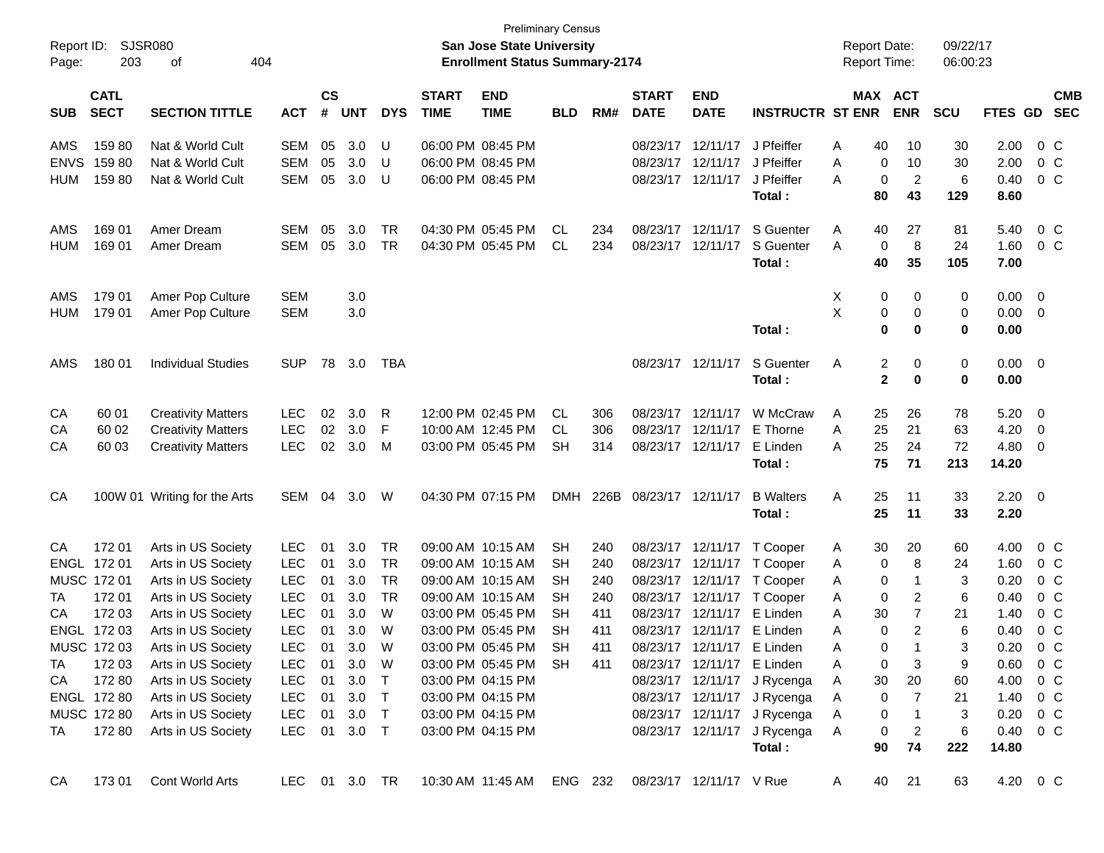| Report ID:<br>Page: | 203                                                                             | SJSR080<br>404<br>οf                     |                   |            |                             |                        |                             | San Jose State University<br><b>Enrollment Status Summary-2174</b> | <b>Preliminary Census</b> |            |                             |                                        |                             | <b>Report Date:</b><br><b>Report Time:</b> |                               | 09/22/17<br>06:00:23 |                |                          |                          |
|---------------------|---------------------------------------------------------------------------------|------------------------------------------|-------------------|------------|-----------------------------|------------------------|-----------------------------|--------------------------------------------------------------------|---------------------------|------------|-----------------------------|----------------------------------------|-----------------------------|--------------------------------------------|-------------------------------|----------------------|----------------|--------------------------|--------------------------|
|                     | <b>CATL</b><br><b>SECT</b><br><b>SECTION TITTLE</b><br><b>SUB</b><br><b>ACT</b> |                                          |                   |            | $\mathsf{cs}$<br><b>UNT</b> | <b>DYS</b>             | <b>START</b><br><b>TIME</b> | <b>END</b><br><b>TIME</b>                                          | <b>BLD</b>                | RM#        | <b>START</b><br><b>DATE</b> | <b>END</b><br><b>DATE</b>              | <b>INSTRUCTR ST ENR</b>     |                                            | MAX ACT<br><b>ENR</b>         | <b>SCU</b>           | FTES GD        |                          | <b>CMB</b><br><b>SEC</b> |
|                     |                                                                                 |                                          |                   | $\pmb{\#}$ |                             |                        |                             |                                                                    |                           |            |                             |                                        |                             |                                            |                               |                      |                |                          |                          |
| AMS                 | 15980                                                                           | Nat & World Cult                         | SEM               | 05         | 3.0                         | U                      |                             | 06:00 PM 08:45 PM                                                  |                           |            |                             | 08/23/17 12/11/17                      | J Pfeiffer                  | Α<br>40                                    | 10                            | 30                   | 2.00           | $0\,$ C                  |                          |
| <b>ENVS</b>         | 15980                                                                           | Nat & World Cult                         | <b>SEM</b>        | 05         | 3.0                         | U                      |                             | 06:00 PM 08:45 PM                                                  |                           |            |                             | 08/23/17 12/11/17                      | J Pfeiffer                  | Α                                          | 10<br>0                       | 30                   | 2.00           | $0\,$ C                  |                          |
| HUM                 | 15980                                                                           | Nat & World Cult                         | <b>SEM</b>        | 05         | 3.0                         | U                      |                             | 06:00 PM 08:45 PM                                                  |                           |            |                             | 08/23/17 12/11/17                      | J Pfeiffer                  | Α                                          | $\overline{2}$<br>0           | 6                    | 0.40           | $0\,$ C                  |                          |
|                     |                                                                                 |                                          |                   |            |                             |                        |                             |                                                                    |                           |            |                             |                                        | Total:                      | 80                                         | 43                            | 129                  | 8.60           |                          |                          |
| AMS                 | 169 01                                                                          | Amer Dream                               | SEM               | 05         | 3.0                         | TR                     |                             | 04:30 PM 05:45 PM                                                  | CL.                       | 234        |                             | 08/23/17 12/11/17                      | S Guenter                   | A<br>40                                    | 27                            | 81                   | 5.40           | $0\,$ C                  |                          |
| <b>HUM</b>          | 169 01                                                                          | Amer Dream                               | <b>SEM</b>        | 05         | 3.0                         | TR                     |                             | 04:30 PM 05:45 PM                                                  | CL                        | 234        |                             | 08/23/17 12/11/17                      | S Guenter                   | Α                                          | 8<br>0                        | 24                   | 1.60           | $0\,$ C                  |                          |
|                     |                                                                                 |                                          |                   |            |                             |                        |                             |                                                                    |                           |            |                             |                                        | Total:                      | 40                                         | 35                            | 105                  | 7.00           |                          |                          |
| AMS                 | 179 01                                                                          | Amer Pop Culture                         | <b>SEM</b>        |            | 3.0                         |                        |                             |                                                                    |                           |            |                             |                                        |                             | Х                                          | 0<br>0                        | 0                    | 0.00           | $\overline{\mathbf{0}}$  |                          |
| <b>HUM</b>          | 179 01                                                                          | Amer Pop Culture                         | <b>SEM</b>        |            | 3.0                         |                        |                             |                                                                    |                           |            |                             |                                        |                             | X                                          | 0<br>0                        | 0                    | 0.00           | $\overline{\mathbf{0}}$  |                          |
|                     |                                                                                 |                                          |                   |            |                             |                        |                             |                                                                    |                           |            |                             |                                        | Total:                      |                                            | 0<br>0                        | 0                    | 0.00           |                          |                          |
| AMS                 | 180 01                                                                          | <b>Individual Studies</b>                | <b>SUP</b>        | 78         | 3.0                         | TBA                    |                             |                                                                    |                           |            |                             | 08/23/17 12/11/17                      | S Guenter                   | Α                                          | 2<br>0                        | 0                    | $0.00 \quad 0$ |                          |                          |
|                     |                                                                                 |                                          |                   |            |                             |                        |                             |                                                                    |                           |            |                             |                                        | Total:                      |                                            | $\mathbf{2}$<br>0             | 0                    | 0.00           |                          |                          |
|                     |                                                                                 |                                          |                   |            |                             |                        |                             |                                                                    |                           |            |                             |                                        |                             |                                            |                               |                      |                |                          |                          |
| CA                  | 60 01                                                                           | <b>Creativity Matters</b>                | <b>LEC</b>        | 02         | 3.0                         | R                      |                             | 12:00 PM 02:45 PM                                                  | CL                        | 306        |                             | 08/23/17 12/11/17                      | W McCraw                    | A<br>25                                    | 26                            | 78                   | 5.20           | $\overline{\mathbf{0}}$  |                          |
| CA                  | 60 02                                                                           | <b>Creativity Matters</b>                | <b>LEC</b>        | 02         | 3.0                         | F                      |                             | 10:00 AM 12:45 PM                                                  | CL                        | 306        |                             | 08/23/17 12/11/17                      | E Thorne                    | Α<br>25                                    | 21                            | 63                   | 4.20           | 0                        |                          |
| CA                  | 60 03                                                                           | <b>Creativity Matters</b>                | <b>LEC</b>        | 02         | 3.0                         | M                      |                             | 03:00 PM 05:45 PM                                                  | <b>SH</b>                 | 314        |                             | 08/23/17 12/11/17                      | E Linden                    | 25<br>Α                                    | 24                            | 72                   | 4.80           | 0                        |                          |
|                     |                                                                                 |                                          |                   |            |                             |                        |                             |                                                                    |                           |            |                             |                                        | Total:                      | 75                                         | 71                            | 213                  | 14.20          |                          |                          |
| CA                  |                                                                                 | 100W 01 Writing for the Arts             | SEM               | 04         | 3.0                         | W                      |                             | 04:30 PM 07:15 PM                                                  | DMH                       | 226B       | 08/23/17 12/11/17           |                                        | <b>B</b> Walters            | Α<br>25                                    | 11                            | 33                   | 2.20           | $\overline{\phantom{0}}$ |                          |
|                     |                                                                                 |                                          |                   |            |                             |                        |                             |                                                                    |                           |            |                             |                                        | Total:                      | 25                                         | 11                            | 33                   | 2.20           |                          |                          |
|                     |                                                                                 |                                          |                   |            |                             |                        |                             |                                                                    |                           |            |                             |                                        |                             |                                            |                               |                      |                |                          |                          |
| CA                  | 172 01                                                                          | Arts in US Society                       | <b>LEC</b>        | 01         | 3.0                         | TR                     |                             | 09:00 AM 10:15 AM                                                  | <b>SH</b>                 | 240        |                             | 08/23/17 12/11/17                      | T Cooper                    | 30<br>A                                    | 20                            | 60                   | 4.00           | $0\,$ C                  |                          |
|                     | ENGL 172 01                                                                     | Arts in US Society                       | <b>LEC</b>        | 01         | 3.0                         | TR                     |                             | 09:00 AM 10:15 AM                                                  | SН                        | 240        |                             | 08/23/17 12/11/17                      | T Cooper                    | Α                                          | 8<br>0                        | 24                   | 1.60           | 0 <sup>o</sup>           |                          |
| TA                  | MUSC 172 01                                                                     | Arts in US Society                       | LEC<br><b>LEC</b> | 01         | 3.0<br>3.0                  | <b>TR</b><br><b>TR</b> |                             | 09:00 AM 10:15 AM<br>09:00 AM 10:15 AM                             | SН<br>SН                  | 240<br>240 |                             | 08/23/17 12/11/17<br>08/23/17 12/11/17 | T Cooper<br>T Cooper        | Α                                          | 0<br>-1                       | 3                    | 0.20<br>0.40   | $0\,$ C<br>$0\,$ C       |                          |
| CA                  | 172 01<br>172 03                                                                | Arts in US Society<br>Arts in US Society | <b>LEC</b>        | 01<br>01   | 3.0                         | W                      |                             | 03:00 PM 05:45 PM                                                  | SН                        | 411        |                             | 08/23/17 12/11/17                      | E Linden                    | Α<br>30<br>Α                               | 0<br>2<br>7                   | 6<br>21              | 1.40           | $0\,$ C                  |                          |
|                     | ENGL 172 03                                                                     | Arts in US Society                       | <b>LEC</b>        | 01         | 3.0                         | W                      |                             | 03:00 PM 05:45 PM                                                  | <b>SH</b>                 | 411        |                             | 08/23/17 12/11/17                      | E Linden                    | Α                                          | $\mathbf 0$<br>$\overline{2}$ | 6                    | 0.40           | 0 <sup>o</sup>           |                          |
|                     | MUSC 172 03                                                                     | Arts in US Society                       | <b>LEC</b>        | 01         | 3.0                         | W                      |                             | 03:00 PM 05:45 PM                                                  | <b>SH</b>                 | 411        |                             | 08/23/17 12/11/17 E Linden             |                             | А                                          | 0                             | 3                    | 0.20           | 0 <sub>C</sub>           |                          |
| TA                  | 172 03                                                                          | Arts in US Society                       | <b>LEC</b>        | 01         | 3.0                         | W                      |                             | 03:00 PM 05:45 PM                                                  | <b>SH</b>                 | 411        |                             | 08/23/17 12/11/17 E Linden             |                             | Α                                          | 0<br>3                        | 9                    | 0.60           | $0\,$ C                  |                          |
| CA                  | 172 80                                                                          | Arts in US Society                       | <b>LEC</b>        | 01         | 3.0                         | $\top$                 |                             | 03:00 PM 04:15 PM                                                  |                           |            |                             | 08/23/17 12/11/17                      | J Rycenga                   | 30<br>A                                    | 20                            | 60                   | 4.00           | $0\,$ C                  |                          |
|                     | ENGL 172 80                                                                     | Arts in US Society                       | <b>LEC</b>        | 01         | 3.0                         | $\top$                 |                             | 03:00 PM 04:15 PM                                                  |                           |            |                             |                                        | 08/23/17 12/11/17 J Rycenga | A                                          | 0<br>7                        | 21                   | 1.40           | $0\,$ C                  |                          |
|                     | MUSC 172 80                                                                     | Arts in US Society                       | <b>LEC</b>        | 01         | 3.0                         | $\top$                 |                             | 03:00 PM 04:15 PM                                                  |                           |            |                             | 08/23/17 12/11/17                      | J Rycenga                   | A                                          | 0<br>-1                       | 3                    | 0.20           | $0\,$ C                  |                          |
| TA                  | 172 80                                                                          | Arts in US Society                       | <b>LEC</b>        |            | 01 3.0 T                    |                        |                             | 03:00 PM 04:15 PM                                                  |                           |            |                             | 08/23/17 12/11/17                      | J Rycenga                   | A                                          | 0<br>$\overline{2}$           | 6                    | 0.40           | $0\,$ C                  |                          |
|                     |                                                                                 |                                          |                   |            |                             |                        |                             |                                                                    |                           |            |                             |                                        | Total:                      | 90                                         | 74                            | 222                  | 14.80          |                          |                          |
| CA                  | 17301                                                                           | Cont World Arts                          | LEC 01 3.0 TR     |            |                             |                        |                             | 10:30 AM 11:45 AM ENG 232                                          |                           |            |                             | 08/23/17 12/11/17 V Rue                |                             | A<br>40                                    | 21                            | 63                   | 4.20 0 C       |                          |                          |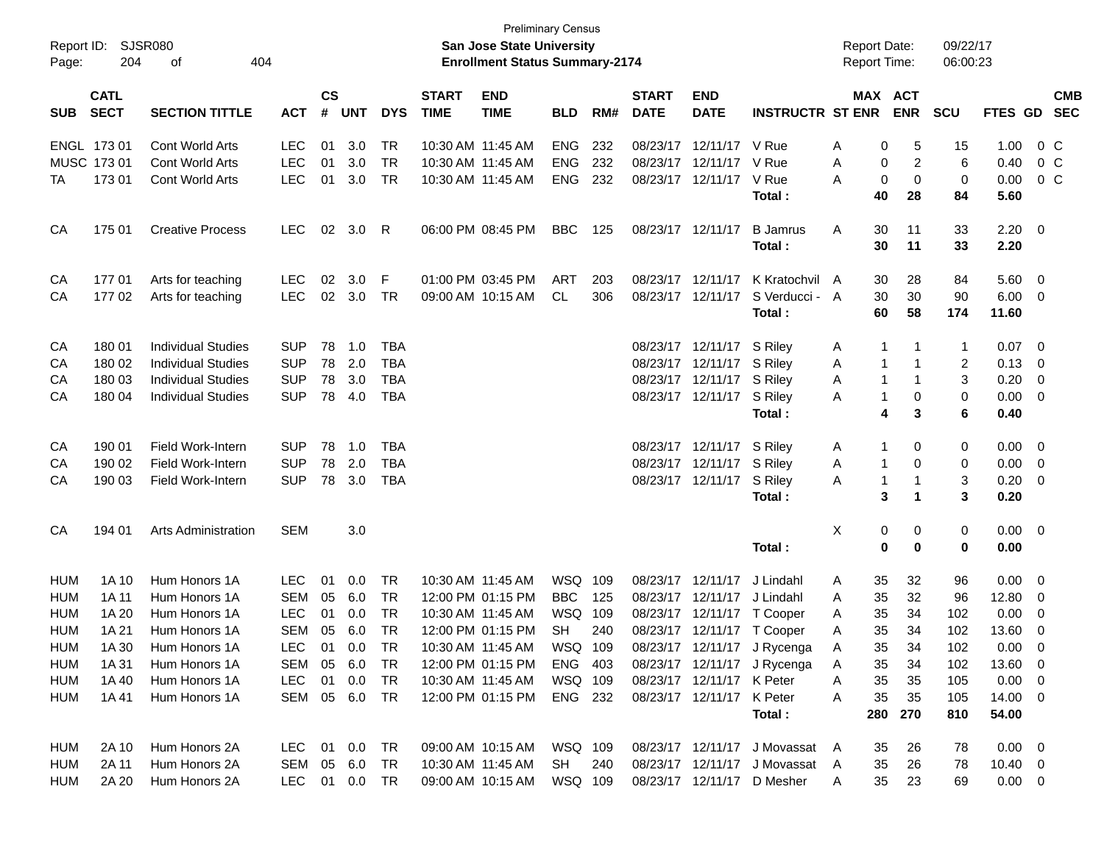| Page:      | Report ID: SJSR080<br>204  | 404<br>of                  |                             |            |            |                             |                           | <b>Preliminary Census</b><br>San Jose State University<br><b>Enrollment Status Summary-2174</b> |            |                             |                           |                           |                                | <b>Report Date:</b><br><b>Report Time:</b> |                       |             | 09/22/17<br>06:00:23 |                |                          |  |
|------------|----------------------------|----------------------------|-----------------------------|------------|------------|-----------------------------|---------------------------|-------------------------------------------------------------------------------------------------|------------|-----------------------------|---------------------------|---------------------------|--------------------------------|--------------------------------------------|-----------------------|-------------|----------------------|----------------|--------------------------|--|
| <b>SUB</b> | <b>CATL</b><br><b>SECT</b> | <b>ACT</b>                 | $\mathsf{cs}$<br>$\pmb{\#}$ | <b>UNT</b> | <b>DYS</b> | <b>START</b><br><b>TIME</b> | <b>END</b><br><b>TIME</b> | <b>BLD</b>                                                                                      | RM#        | <b>START</b><br><b>DATE</b> | <b>END</b><br><b>DATE</b> | <b>INSTRUCTR ST ENR</b>   |                                |                                            | MAX ACT<br><b>ENR</b> | <b>SCU</b>  | <b>FTES GD</b>       |                | <b>CMB</b><br><b>SEC</b> |  |
|            | ENGL 173 01                | <b>Cont World Arts</b>     | <b>LEC</b>                  | 01         | 3.0        | <b>TR</b>                   | 10:30 AM 11:45 AM         |                                                                                                 | <b>ENG</b> | 232                         |                           | 08/23/17 12/11/17 V Rue   |                                | Α                                          | 0                     | 5           | 15                   | 1.00           | $0\,$ C                  |  |
|            | MUSC 173 01                | Cont World Arts            | <b>LEC</b>                  | 01         | 3.0        | <b>TR</b>                   | 10:30 AM 11:45 AM         |                                                                                                 | <b>ENG</b> | 232                         |                           | 08/23/17 12/11/17         | V Rue                          | Α                                          | 0                     | 2           | 6                    | 0.40           | 0 <sup>o</sup>           |  |
| ТA         | 17301                      | <b>Cont World Arts</b>     | <b>LEC</b>                  | 01         | 3.0        | <b>TR</b>                   | 10:30 AM 11:45 AM         |                                                                                                 | <b>ENG</b> | 232                         |                           | 08/23/17 12/11/17         | V Rue                          | A                                          | 0                     | $\mathbf 0$ | 0                    | 0.00           | 0 <sup>o</sup>           |  |
|            |                            |                            |                             |            |            |                             |                           |                                                                                                 |            |                             |                           |                           | Total:                         |                                            | 40                    | 28          | 84                   | 5.60           |                          |  |
| CA         | 175 01                     | <b>Creative Process</b>    | <b>LEC</b>                  | 02         | 3.0        | R                           | 06:00 PM 08:45 PM         |                                                                                                 | <b>BBC</b> | 125                         | 08/23/17 12/11/17         |                           | <b>B</b> Jamrus                | Α                                          | 30                    | 11          | 33                   | $2.20 \t 0$    |                          |  |
|            |                            |                            |                             |            |            |                             |                           |                                                                                                 |            |                             |                           |                           | Total:                         |                                            | 30                    | 11          | 33                   | 2.20           |                          |  |
| CA         | 17701                      | Arts for teaching          | LEC.                        | 02         | 3.0        | F                           | 01:00 PM 03:45 PM         |                                                                                                 | ART        | 203                         |                           | 08/23/17 12/11/17         | K Kratochvil A                 |                                            | 30                    | 28          | 84                   | 5.60           | $\overline{\mathbf{0}}$  |  |
| CA         | 17702                      | Arts for teaching          | <b>LEC</b>                  | 02         | 3.0        | TR                          | 09:00 AM 10:15 AM         |                                                                                                 | CL         | 306                         |                           | 08/23/17 12/11/17         | S Verducci - A                 |                                            | 30                    | 30          | 90                   | 6.00           | $\overline{\mathbf{0}}$  |  |
|            |                            |                            |                             |            |            |                             |                           |                                                                                                 |            |                             |                           |                           | Total:                         |                                            | 60                    | 58          | 174                  | 11.60          |                          |  |
| CA         | 180 01                     | <b>Individual Studies</b>  | <b>SUP</b>                  | 78         | 1.0        | TBA                         |                           |                                                                                                 |            |                             |                           | 08/23/17 12/11/17         | S Riley                        | A                                          | -1                    |             | $\mathbf 1$          | 0.07           | $\overline{\phantom{0}}$ |  |
| CA         | 180 02                     | <b>Individual Studies</b>  | <b>SUP</b>                  | 78         | 2.0        | <b>TBA</b>                  |                           |                                                                                                 |            |                             |                           | 08/23/17 12/11/17         | S Riley                        | Α                                          | -1                    | 1           | 2                    | 0.13           | 0                        |  |
| CA         | 180 03                     | <b>Individual Studies</b>  | <b>SUP</b>                  | 78         | 3.0        | TBA                         |                           |                                                                                                 |            |                             |                           | 08/23/17 12/11/17         | S Riley                        | Α                                          | -1                    |             | 3                    | 0.20           | 0                        |  |
| CA         | 180 04                     | <b>Individual Studies</b>  | <b>SUP</b>                  | 78         | 4.0        | TBA                         |                           |                                                                                                 |            |                             |                           | 08/23/17 12/11/17         | S Riley                        | Α                                          | -1                    | 0           | 0                    | 0.00           | 0                        |  |
|            |                            |                            |                             |            |            |                             |                           |                                                                                                 |            |                             |                           |                           | Total:                         |                                            | 4                     | 3           | 6                    | 0.40           |                          |  |
| CA         | 190 01                     | Field Work-Intern          | <b>SUP</b>                  | 78         | 1.0        | TBA                         |                           |                                                                                                 |            |                             |                           | 08/23/17 12/11/17         | S Riley                        | A                                          | 1                     | 0           | 0                    | 0.00           | $\overline{\mathbf{0}}$  |  |
| CA         | 190 02                     | Field Work-Intern          | <b>SUP</b>                  | 78         | 2.0        | TBA                         |                           |                                                                                                 |            |                             |                           | 08/23/17 12/11/17         | S Riley                        | A                                          | -1                    | 0           | 0                    | 0.00           | $\overline{0}$           |  |
| CA         | 190 03                     | Field Work-Intern          | <b>SUP</b>                  | 78         | 3.0        | TBA                         |                           |                                                                                                 |            |                             |                           | 08/23/17 12/11/17         | S Riley                        | A                                          | -1                    | -1          | 3                    | 0.20           | $\overline{0}$           |  |
|            |                            |                            |                             |            |            |                             |                           |                                                                                                 |            |                             |                           |                           | Total:                         |                                            | 3                     | 1           | 3                    | 0.20           |                          |  |
| CA         | 194 01                     | <b>Arts Administration</b> | <b>SEM</b>                  |            | 3.0        |                             |                           |                                                                                                 |            |                             |                           |                           |                                | Χ                                          | 0                     | 0           | 0                    | $0.00 \quad 0$ |                          |  |
|            |                            |                            |                             |            |            |                             |                           |                                                                                                 |            |                             |                           |                           | Total:                         |                                            | $\bf{0}$              | $\mathbf 0$ | $\bf{0}$             | 0.00           |                          |  |
| <b>HUM</b> | 1A 10                      | Hum Honors 1A              | <b>LEC</b>                  | 01         | 0.0        | <b>TR</b>                   | 10:30 AM 11:45 AM         |                                                                                                 | WSQ 109    |                             |                           | 08/23/17 12/11/17         | J Lindahl                      | A                                          | 35                    | 32          | 96                   | 0.00           | $\overline{0}$           |  |
| <b>HUM</b> | 1A 11                      | Hum Honors 1A              | <b>SEM</b>                  | 05         | 6.0        | <b>TR</b>                   | 12:00 PM 01:15 PM         |                                                                                                 | <b>BBC</b> | 125                         |                           | 08/23/17 12/11/17         | J Lindahl                      | Α                                          | 35                    | 32          | 96                   | 12.80          | $\overline{0}$           |  |
| <b>HUM</b> | 1A 20                      | Hum Honors 1A              | <b>LEC</b>                  | 01         | 0.0        | <b>TR</b>                   | 10:30 AM 11:45 AM         |                                                                                                 | WSQ        | 109                         |                           |                           | 08/23/17 12/11/17 T Cooper     | A                                          | 35                    | 34          | 102                  | 0.00           | 0                        |  |
| <b>HUM</b> | 1A 21                      | Hum Honors 1A              | <b>SEM</b>                  | 05         | 6.0        | <b>TR</b>                   |                           | 12:00 PM 01:15 PM                                                                               | <b>SH</b>  | 240                         |                           |                           | 08/23/17 12/11/17 T Cooper     | A                                          | 35                    | 34          | 102                  | 13.60          | 0                        |  |
| <b>HUM</b> | 1A 30                      | Hum Honors 1A              | LEC 01 0.0 TR               |            |            |                             |                           | 10:30 AM 11:45 AM                                                                               | WSQ 109    |                             |                           |                           | 08/23/17 12/11/17 J Rycenga    | Α                                          | 35                    | 34          | 102                  | 0.00           | $\Omega$                 |  |
| HUM        | 1A 31                      | Hum Honors 1A              | SEM 05 6.0 TR               |            |            |                             |                           | 12:00 PM_01:15 PM                                                                               | ENG 403    |                             |                           |                           | 08/23/17 12/11/17 J Rycenga    | A                                          | 35                    | 34          | 102                  | 13.60 0        |                          |  |
| HUM        | 1A 40                      | Hum Honors 1A              | LEC                         | 01         | 0.0        | TR                          | 10:30 AM 11:45 AM         |                                                                                                 | WSQ 109    |                             |                           | 08/23/17 12/11/17 K Peter |                                | A                                          | 35                    | 35          | 105                  | $0.00 \t 0$    |                          |  |
| HUM        | 1A 41                      | Hum Honors 1A              | SEM 05 6.0 TR               |            |            |                             |                           | 12:00 PM 01:15 PM                                                                               | ENG 232    |                             |                           | 08/23/17 12/11/17 K Peter |                                | A                                          | 35                    | 35          | 105                  | 14.00 0        |                          |  |
|            |                            |                            |                             |            |            |                             |                           |                                                                                                 |            |                             |                           |                           | Total:                         |                                            | 280                   | 270         | 810                  | 54.00          |                          |  |
| <b>HUM</b> | 2A 10                      | Hum Honors 2A              | LEC 01 0.0 TR               |            |            |                             | 09:00 AM 10:15 AM         |                                                                                                 | WSQ 109    |                             |                           |                           | 08/23/17 12/11/17 J Movassat A |                                            | 35                    | 26          | 78                   | $0.00 \quad 0$ |                          |  |
| HUM        | 2A 11                      | Hum Honors 2A              | SEM 05 6.0                  |            |            | TR                          | 10:30 AM 11:45 AM         |                                                                                                 | SH         | 240                         |                           |                           | 08/23/17 12/11/17 J Movassat   | A                                          | 35                    | 26          | 78                   | $10.40 \t 0$   |                          |  |
| HUM        | 2A 20                      | Hum Honors 2A              | LEC 01 0.0 TR               |            |            |                             |                           | 09:00 AM 10:15 AM                                                                               | WSQ 109    |                             |                           |                           | 08/23/17 12/11/17 D Mesher     | A                                          | 35                    | 23          | 69                   | $0.00 \t 0$    |                          |  |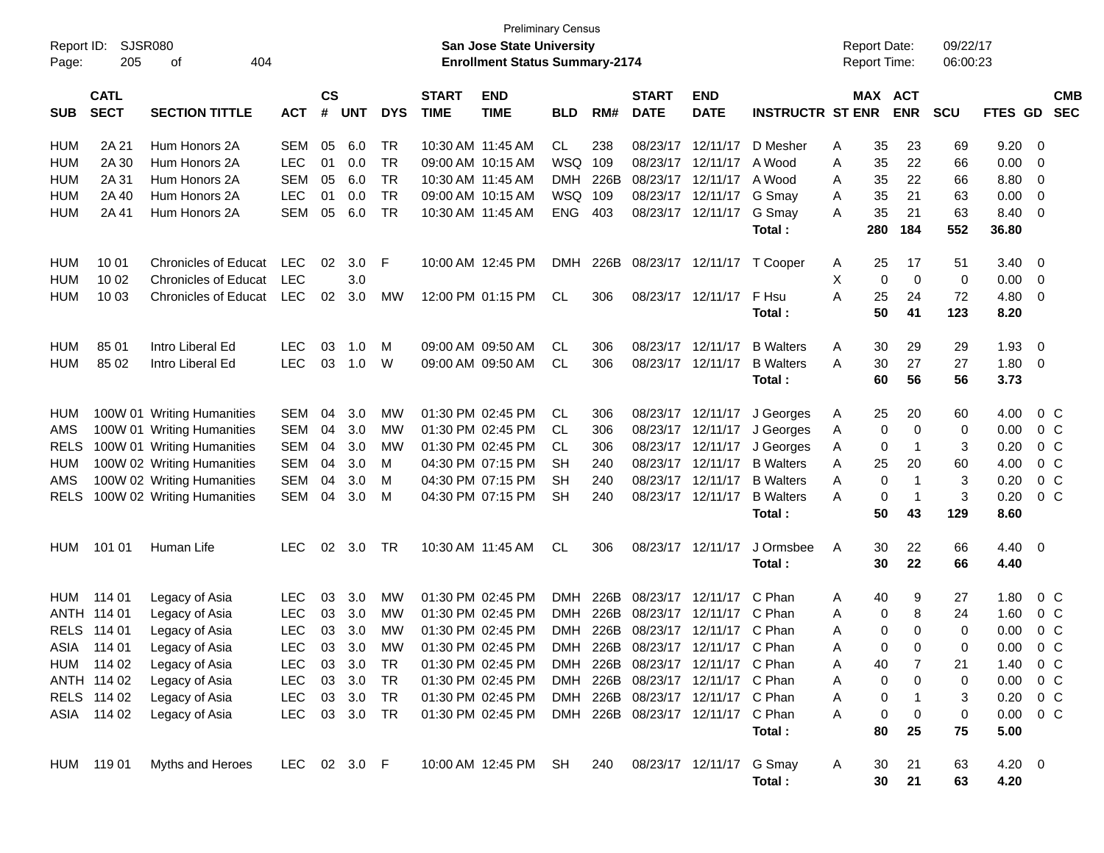| $\mathsf{cs}$<br><b>CATL</b><br><b>START</b><br><b>END</b><br>MAX ACT<br><b>CMB</b><br><b>START</b><br><b>END</b><br><b>SECT</b><br><b>ENR</b><br><b>SECTION TITTLE</b><br>#<br><b>UNT</b><br><b>DYS</b><br><b>TIME</b><br><b>TIME</b><br><b>DATE</b><br><b>DATE</b><br><b>INSTRUCTR ST ENR</b><br><b>SCU</b><br><b>FTES GD</b><br><b>SEC</b><br><b>SUB</b><br><b>ACT</b><br><b>BLD</b><br>RM#<br>2A 21<br>Hum Honors 2A<br>6.0<br>TR<br>CL<br>238<br>08/23/17<br>23<br>9.20<br>HUM<br>SEM<br>05<br>10:30 AM 11:45 AM<br>12/11/17<br>D Mesher<br>A<br>35<br>69<br>0<br>2A 30<br><b>LEC</b><br>0.0<br><b>TR</b><br>WSQ<br>109<br>08/23/17<br>12/11/17<br>22<br>0.00<br><b>HUM</b><br>Hum Honors 2A<br>01<br>09:00 AM 10:15 AM<br>A Wood<br>A<br>35<br>66<br>0<br>2A 31<br><b>SEM</b><br>6.0<br><b>TR</b><br><b>DMH</b><br>226B<br>08/23/17<br>12/11/17<br>22<br>8.80<br><b>HUM</b><br>Hum Honors 2A<br>05<br>10:30 AM 11:45 AM<br>A Wood<br>35<br>66<br>0<br>A<br><b>LEC</b><br><b>TR</b><br>WSQ<br>109<br>08/23/17 12/11/17<br>G Smay<br>0.00<br><b>HUM</b><br>2A 40<br>Hum Honors 2A<br>01<br>0.0<br>09:00 AM 10:15 AM<br>35<br>21<br>63<br>0<br>A<br><b>SEM</b><br>6.0<br><b>TR</b><br><b>ENG</b><br>403<br>08/23/17 12/11/17<br>35<br>21<br>63<br><b>HUM</b><br>2A 41<br>Hum Honors 2A<br>05<br>10:30 AM 11:45 AM<br>G Smay<br>8.40<br>0<br>A<br>280<br>184<br>552<br>36.80<br>Total:<br><b>HUM</b><br>10 01<br><b>Chronicles of Educat</b><br>LEC.<br>02<br>3.0<br>F<br>10:00 AM 12:45 PM<br>226B 08/23/17<br>17<br>3.40<br>0<br><b>DMH</b><br>12/11/17<br>T Cooper<br>A<br>25<br>51<br>10 02<br><b>LEC</b><br>3.0<br>X<br>$\mathbf 0$<br>0<br>0.00<br><b>HUM</b><br><b>Chronicles of Educat</b><br>0<br>0<br><b>LEC</b><br>25<br>72<br>4.80<br><b>HUM</b><br>10 03<br><b>Chronicles of Educat</b><br>02<br>3.0<br>12:00 PM 01:15 PM<br>08/23/17 12/11/17<br>F Hsu<br>Α<br>0<br><b>MW</b><br>CL.<br>306<br>24<br>41<br>50<br>123<br>8.20<br>Total:<br>85 01<br>Intro Liberal Ed<br><b>LEC</b><br>03<br>1.0<br>M<br>09:00 AM 09:50 AM<br>CL.<br>306<br>08/23/17<br>12/11/17<br><b>B</b> Walters<br>30<br>29<br>29<br>1.93<br>0<br>HUM<br>A<br>85 02<br><b>LEC</b><br>03<br>306<br>08/23/17 12/11/17<br>27<br>27<br>1.80<br><b>HUM</b><br>Intro Liberal Ed<br>1.0<br>W<br>09:00 AM 09:50 AM<br>CL.<br><b>B</b> Walters<br>A<br>30<br>$\mathbf{0}$<br>56<br>56<br>3.73<br>Total:<br>60<br>01:30 PM 02:45 PM<br>100W 01 Writing Humanities<br><b>SEM</b><br>3.0<br>20<br>4.00<br>$0\,$ C<br>HUM<br>04<br><b>MW</b><br>CL.<br>306<br>08/23/17 12/11/17<br>J Georges<br>25<br>60<br>A<br><b>SEM</b><br>3.0<br>01:30 PM 02:45 PM<br>08/23/17 12/11/17<br>0<br>0.00<br>0 <sup>o</sup><br>AMS<br>100W 01 Writing Humanities<br>04<br>MW<br>306<br>0<br>0<br>CL.<br>J Georges<br>A<br><b>RELS</b><br>100W 01 Writing Humanities<br><b>SEM</b><br>01:30 PM 02:45 PM<br>08/23/17 12/11/17<br>3<br>0.20<br>0 <sup>o</sup><br>04<br>3.0<br>MW<br>306<br>$\mathbf 1$<br>CL.<br>J Georges<br>A<br>0<br>100W 02 Writing Humanities<br><b>SEM</b><br>3.0<br>04:30 PM 07:15 PM<br>08/23/17<br>12/11/17<br>25<br>20<br>60<br>0 <sup>o</sup><br><b>HUM</b><br>04<br>м<br>SH<br>240<br><b>B</b> Walters<br>A<br>4.00<br>$0\,C$<br>AMS<br>100W 02 Writing Humanities<br><b>SEM</b><br>3.0<br>04:30 PM 07:15 PM<br>08/23/17<br>12/11/17<br><b>B</b> Walters<br>$\overline{1}$<br>3<br>0.20<br>04<br>SH<br>240<br>0<br>м<br>A<br>3<br><b>SEM</b><br>04:30 PM 07:15 PM<br>240<br>08/23/17 12/11/17<br>0.20<br>0 <sup>o</sup><br><b>RELS</b><br>100W 02 Writing Humanities<br>04<br>3.0<br>SH<br><b>B</b> Walters<br>Α<br>$\overline{1}$<br>M<br>0<br>50<br>43<br>129<br>8.60<br>Total:<br>101 01<br>Human Life<br>02<br>3.0<br>TR<br>10:30 AM 11:45 AM<br>CL.<br>306<br>08/23/17 12/11/17<br>J Ormsbee<br>30<br>22<br>66<br>4.40<br>0<br><b>HUM</b><br>LEC.<br>A<br>30<br>22<br>66<br>4.40<br>Total:<br>3.0<br>01:30 PM 02:45 PM<br>226B 08/23/17<br>C Phan<br>40<br>$0\,$ C<br>HUM<br>114 01<br>Legacy of Asia<br>LEC.<br>03<br><b>MW</b><br><b>DMH</b><br>12/11/17<br>9<br>27<br>1.80<br>A<br><b>LEC</b><br>01:30 PM 02:45 PM<br>226B<br>08/23/17<br>C Phan<br>8<br>24<br>0 <sup>C</sup><br>ANTH 114 01<br>Legacy of Asia<br>03<br>3.0<br><b>DMH</b><br>12/11/17<br>0<br>1.60<br><b>MW</b><br>A<br>0 <sup>o</sup><br>RELS 114 01<br><b>LEC</b><br>03<br>01:30 PM 02:45 PM<br>226B 08/23/17 12/11/17 C Phan<br>0<br>0<br>0.00<br>Legacy of Asia<br>3.0<br>MW<br>DMH<br>0<br>A<br><b>LEC</b><br>ASIA 114 01<br>Legacy of Asia<br>03 3.0<br><b>MW</b><br>01:30 PM 02:45 PM<br>DMH 226B 08/23/17 12/11/17 C Phan<br>$0.00 \t 0 C$<br>Α<br>0<br>0<br>HUM 114 02<br>Legacy of Asia<br>LEC.<br>03 3.0<br>01:30 PM 02:45 PM<br>DMH 226B 08/23/17 12/11/17 C Phan<br>40<br>7<br>1.40<br>$0\,$ C<br>TR.<br>Α<br>21<br>03 3.0<br>Legacy of Asia<br>DMH 226B 08/23/17 12/11/17 C Phan<br>0<br>0<br>0.00<br>$0\,C$<br>ANTH 114 02<br>LEC<br>TR<br>01:30 PM 02:45 PM<br>A<br>0<br>RELS 114 02<br><b>LEC</b><br>03 3.0<br>DMH 226B 08/23/17 12/11/17 C Phan<br>3<br>$0\,C$<br>Legacy of Asia<br>TR<br>01:30 PM 02:45 PM<br>Α<br>0<br>0.20<br>1<br>LEC 03 3.0 TR<br>01:30 PM 02:45 PM<br>DMH 226B 08/23/17 12/11/17 C Phan<br>Α<br>$\mathbf 0$<br>0<br>$0\,$ C<br>ASIA 114 02<br>Legacy of Asia<br>0<br>0.00<br>80<br>Total:<br>25<br>75<br>5.00<br>LEC 02 3.0 F<br>08/23/17 12/11/17 G Smay<br>$4.20 \ 0$<br>HUM 11901<br>Myths and Heroes<br>10:00 AM 12:45 PM SH<br>A<br>21<br>240<br>30<br>63<br>21<br>30<br>63<br>4.20<br>Total: | Report ID:<br>Page: | SJSR080<br>205 | 404<br>οf |  |  | <b>Preliminary Census</b><br>San Jose State University<br><b>Enrollment Status Summary-2174</b> |  |  | <b>Report Date:</b><br><b>Report Time:</b> |  | 09/22/17<br>06:00:23 |  |  |
|---------------------------------------------------------------------------------------------------------------------------------------------------------------------------------------------------------------------------------------------------------------------------------------------------------------------------------------------------------------------------------------------------------------------------------------------------------------------------------------------------------------------------------------------------------------------------------------------------------------------------------------------------------------------------------------------------------------------------------------------------------------------------------------------------------------------------------------------------------------------------------------------------------------------------------------------------------------------------------------------------------------------------------------------------------------------------------------------------------------------------------------------------------------------------------------------------------------------------------------------------------------------------------------------------------------------------------------------------------------------------------------------------------------------------------------------------------------------------------------------------------------------------------------------------------------------------------------------------------------------------------------------------------------------------------------------------------------------------------------------------------------------------------------------------------------------------------------------------------------------------------------------------------------------------------------------------------------------------------------------------------------------------------------------------------------------------------------------------------------------------------------------------------------------------------------------------------------------------------------------------------------------------------------------------------------------------------------------------------------------------------------------------------------------------------------------------------------------------------------------------------------------------------------------------------------------------------------------------------------------------------------------------------------------------------------------------------------------------------------------------------------------------------------------------------------------------------------------------------------------------------------------------------------------------------------------------------------------------------------------------------------------------------------------------------------------------------------------------------------------------------------------------------------------------------------------------------------------------------------------------------------------------------------------------------------------------------------------------------------------------------------------------------------------------------------------------------------------------------------------------------------------------------------------------------------------------------------------------------------------------------------------------------------------------------------------------------------------------------------------------------------------------------------------------------------------------------------------------------------------------------------------------------------------------------------------------------------------------------------------------------------------------------------------------------------------------------------------------------------------------------------------------------------------------------------------------------------------------------------------------------------------------------------------------------------------------------------------------------------------------------------------------------------------------------------------------------------------------------------------------------------------------------------------------------------------------------------------------------------------------------------------------------------------------------------------------------------------------------------------------------------------------------------------------------------------------------------------------------------------------------------------------------------------------------------------------------------------------------------------------------------------------------------------------------------------------------------------------------------------------------------------------------------------------------------------------------------------------------------------------------------------------------------------------------------------------------------------------------------------------------------------------------------------------------------------------------------------------------------------------|---------------------|----------------|-----------|--|--|-------------------------------------------------------------------------------------------------|--|--|--------------------------------------------|--|----------------------|--|--|
|                                                                                                                                                                                                                                                                                                                                                                                                                                                                                                                                                                                                                                                                                                                                                                                                                                                                                                                                                                                                                                                                                                                                                                                                                                                                                                                                                                                                                                                                                                                                                                                                                                                                                                                                                                                                                                                                                                                                                                                                                                                                                                                                                                                                                                                                                                                                                                                                                                                                                                                                                                                                                                                                                                                                                                                                                                                                                                                                                                                                                                                                                                                                                                                                                                                                                                                                                                                                                                                                                                                                                                                                                                                                                                                                                                                                                                                                                                                                                                                                                                                                                                                                                                                                                                                                                                                                                                                                                                                                                                                                                                                                                                                                                                                                                                                                                                                                                                                                                                                                                                                                                                                                                                                                                                                                                                                                                                                                                                                                                                   |                     |                |           |  |  |                                                                                                 |  |  |                                            |  |                      |  |  |
|                                                                                                                                                                                                                                                                                                                                                                                                                                                                                                                                                                                                                                                                                                                                                                                                                                                                                                                                                                                                                                                                                                                                                                                                                                                                                                                                                                                                                                                                                                                                                                                                                                                                                                                                                                                                                                                                                                                                                                                                                                                                                                                                                                                                                                                                                                                                                                                                                                                                                                                                                                                                                                                                                                                                                                                                                                                                                                                                                                                                                                                                                                                                                                                                                                                                                                                                                                                                                                                                                                                                                                                                                                                                                                                                                                                                                                                                                                                                                                                                                                                                                                                                                                                                                                                                                                                                                                                                                                                                                                                                                                                                                                                                                                                                                                                                                                                                                                                                                                                                                                                                                                                                                                                                                                                                                                                                                                                                                                                                                                   |                     |                |           |  |  |                                                                                                 |  |  |                                            |  |                      |  |  |
|                                                                                                                                                                                                                                                                                                                                                                                                                                                                                                                                                                                                                                                                                                                                                                                                                                                                                                                                                                                                                                                                                                                                                                                                                                                                                                                                                                                                                                                                                                                                                                                                                                                                                                                                                                                                                                                                                                                                                                                                                                                                                                                                                                                                                                                                                                                                                                                                                                                                                                                                                                                                                                                                                                                                                                                                                                                                                                                                                                                                                                                                                                                                                                                                                                                                                                                                                                                                                                                                                                                                                                                                                                                                                                                                                                                                                                                                                                                                                                                                                                                                                                                                                                                                                                                                                                                                                                                                                                                                                                                                                                                                                                                                                                                                                                                                                                                                                                                                                                                                                                                                                                                                                                                                                                                                                                                                                                                                                                                                                                   |                     |                |           |  |  |                                                                                                 |  |  |                                            |  |                      |  |  |
|                                                                                                                                                                                                                                                                                                                                                                                                                                                                                                                                                                                                                                                                                                                                                                                                                                                                                                                                                                                                                                                                                                                                                                                                                                                                                                                                                                                                                                                                                                                                                                                                                                                                                                                                                                                                                                                                                                                                                                                                                                                                                                                                                                                                                                                                                                                                                                                                                                                                                                                                                                                                                                                                                                                                                                                                                                                                                                                                                                                                                                                                                                                                                                                                                                                                                                                                                                                                                                                                                                                                                                                                                                                                                                                                                                                                                                                                                                                                                                                                                                                                                                                                                                                                                                                                                                                                                                                                                                                                                                                                                                                                                                                                                                                                                                                                                                                                                                                                                                                                                                                                                                                                                                                                                                                                                                                                                                                                                                                                                                   |                     |                |           |  |  |                                                                                                 |  |  |                                            |  |                      |  |  |
|                                                                                                                                                                                                                                                                                                                                                                                                                                                                                                                                                                                                                                                                                                                                                                                                                                                                                                                                                                                                                                                                                                                                                                                                                                                                                                                                                                                                                                                                                                                                                                                                                                                                                                                                                                                                                                                                                                                                                                                                                                                                                                                                                                                                                                                                                                                                                                                                                                                                                                                                                                                                                                                                                                                                                                                                                                                                                                                                                                                                                                                                                                                                                                                                                                                                                                                                                                                                                                                                                                                                                                                                                                                                                                                                                                                                                                                                                                                                                                                                                                                                                                                                                                                                                                                                                                                                                                                                                                                                                                                                                                                                                                                                                                                                                                                                                                                                                                                                                                                                                                                                                                                                                                                                                                                                                                                                                                                                                                                                                                   |                     |                |           |  |  |                                                                                                 |  |  |                                            |  |                      |  |  |
|                                                                                                                                                                                                                                                                                                                                                                                                                                                                                                                                                                                                                                                                                                                                                                                                                                                                                                                                                                                                                                                                                                                                                                                                                                                                                                                                                                                                                                                                                                                                                                                                                                                                                                                                                                                                                                                                                                                                                                                                                                                                                                                                                                                                                                                                                                                                                                                                                                                                                                                                                                                                                                                                                                                                                                                                                                                                                                                                                                                                                                                                                                                                                                                                                                                                                                                                                                                                                                                                                                                                                                                                                                                                                                                                                                                                                                                                                                                                                                                                                                                                                                                                                                                                                                                                                                                                                                                                                                                                                                                                                                                                                                                                                                                                                                                                                                                                                                                                                                                                                                                                                                                                                                                                                                                                                                                                                                                                                                                                                                   |                     |                |           |  |  |                                                                                                 |  |  |                                            |  |                      |  |  |
|                                                                                                                                                                                                                                                                                                                                                                                                                                                                                                                                                                                                                                                                                                                                                                                                                                                                                                                                                                                                                                                                                                                                                                                                                                                                                                                                                                                                                                                                                                                                                                                                                                                                                                                                                                                                                                                                                                                                                                                                                                                                                                                                                                                                                                                                                                                                                                                                                                                                                                                                                                                                                                                                                                                                                                                                                                                                                                                                                                                                                                                                                                                                                                                                                                                                                                                                                                                                                                                                                                                                                                                                                                                                                                                                                                                                                                                                                                                                                                                                                                                                                                                                                                                                                                                                                                                                                                                                                                                                                                                                                                                                                                                                                                                                                                                                                                                                                                                                                                                                                                                                                                                                                                                                                                                                                                                                                                                                                                                                                                   |                     |                |           |  |  |                                                                                                 |  |  |                                            |  |                      |  |  |
|                                                                                                                                                                                                                                                                                                                                                                                                                                                                                                                                                                                                                                                                                                                                                                                                                                                                                                                                                                                                                                                                                                                                                                                                                                                                                                                                                                                                                                                                                                                                                                                                                                                                                                                                                                                                                                                                                                                                                                                                                                                                                                                                                                                                                                                                                                                                                                                                                                                                                                                                                                                                                                                                                                                                                                                                                                                                                                                                                                                                                                                                                                                                                                                                                                                                                                                                                                                                                                                                                                                                                                                                                                                                                                                                                                                                                                                                                                                                                                                                                                                                                                                                                                                                                                                                                                                                                                                                                                                                                                                                                                                                                                                                                                                                                                                                                                                                                                                                                                                                                                                                                                                                                                                                                                                                                                                                                                                                                                                                                                   |                     |                |           |  |  |                                                                                                 |  |  |                                            |  |                      |  |  |
|                                                                                                                                                                                                                                                                                                                                                                                                                                                                                                                                                                                                                                                                                                                                                                                                                                                                                                                                                                                                                                                                                                                                                                                                                                                                                                                                                                                                                                                                                                                                                                                                                                                                                                                                                                                                                                                                                                                                                                                                                                                                                                                                                                                                                                                                                                                                                                                                                                                                                                                                                                                                                                                                                                                                                                                                                                                                                                                                                                                                                                                                                                                                                                                                                                                                                                                                                                                                                                                                                                                                                                                                                                                                                                                                                                                                                                                                                                                                                                                                                                                                                                                                                                                                                                                                                                                                                                                                                                                                                                                                                                                                                                                                                                                                                                                                                                                                                                                                                                                                                                                                                                                                                                                                                                                                                                                                                                                                                                                                                                   |                     |                |           |  |  |                                                                                                 |  |  |                                            |  |                      |  |  |
|                                                                                                                                                                                                                                                                                                                                                                                                                                                                                                                                                                                                                                                                                                                                                                                                                                                                                                                                                                                                                                                                                                                                                                                                                                                                                                                                                                                                                                                                                                                                                                                                                                                                                                                                                                                                                                                                                                                                                                                                                                                                                                                                                                                                                                                                                                                                                                                                                                                                                                                                                                                                                                                                                                                                                                                                                                                                                                                                                                                                                                                                                                                                                                                                                                                                                                                                                                                                                                                                                                                                                                                                                                                                                                                                                                                                                                                                                                                                                                                                                                                                                                                                                                                                                                                                                                                                                                                                                                                                                                                                                                                                                                                                                                                                                                                                                                                                                                                                                                                                                                                                                                                                                                                                                                                                                                                                                                                                                                                                                                   |                     |                |           |  |  |                                                                                                 |  |  |                                            |  |                      |  |  |
|                                                                                                                                                                                                                                                                                                                                                                                                                                                                                                                                                                                                                                                                                                                                                                                                                                                                                                                                                                                                                                                                                                                                                                                                                                                                                                                                                                                                                                                                                                                                                                                                                                                                                                                                                                                                                                                                                                                                                                                                                                                                                                                                                                                                                                                                                                                                                                                                                                                                                                                                                                                                                                                                                                                                                                                                                                                                                                                                                                                                                                                                                                                                                                                                                                                                                                                                                                                                                                                                                                                                                                                                                                                                                                                                                                                                                                                                                                                                                                                                                                                                                                                                                                                                                                                                                                                                                                                                                                                                                                                                                                                                                                                                                                                                                                                                                                                                                                                                                                                                                                                                                                                                                                                                                                                                                                                                                                                                                                                                                                   |                     |                |           |  |  |                                                                                                 |  |  |                                            |  |                      |  |  |
|                                                                                                                                                                                                                                                                                                                                                                                                                                                                                                                                                                                                                                                                                                                                                                                                                                                                                                                                                                                                                                                                                                                                                                                                                                                                                                                                                                                                                                                                                                                                                                                                                                                                                                                                                                                                                                                                                                                                                                                                                                                                                                                                                                                                                                                                                                                                                                                                                                                                                                                                                                                                                                                                                                                                                                                                                                                                                                                                                                                                                                                                                                                                                                                                                                                                                                                                                                                                                                                                                                                                                                                                                                                                                                                                                                                                                                                                                                                                                                                                                                                                                                                                                                                                                                                                                                                                                                                                                                                                                                                                                                                                                                                                                                                                                                                                                                                                                                                                                                                                                                                                                                                                                                                                                                                                                                                                                                                                                                                                                                   |                     |                |           |  |  |                                                                                                 |  |  |                                            |  |                      |  |  |
|                                                                                                                                                                                                                                                                                                                                                                                                                                                                                                                                                                                                                                                                                                                                                                                                                                                                                                                                                                                                                                                                                                                                                                                                                                                                                                                                                                                                                                                                                                                                                                                                                                                                                                                                                                                                                                                                                                                                                                                                                                                                                                                                                                                                                                                                                                                                                                                                                                                                                                                                                                                                                                                                                                                                                                                                                                                                                                                                                                                                                                                                                                                                                                                                                                                                                                                                                                                                                                                                                                                                                                                                                                                                                                                                                                                                                                                                                                                                                                                                                                                                                                                                                                                                                                                                                                                                                                                                                                                                                                                                                                                                                                                                                                                                                                                                                                                                                                                                                                                                                                                                                                                                                                                                                                                                                                                                                                                                                                                                                                   |                     |                |           |  |  |                                                                                                 |  |  |                                            |  |                      |  |  |
|                                                                                                                                                                                                                                                                                                                                                                                                                                                                                                                                                                                                                                                                                                                                                                                                                                                                                                                                                                                                                                                                                                                                                                                                                                                                                                                                                                                                                                                                                                                                                                                                                                                                                                                                                                                                                                                                                                                                                                                                                                                                                                                                                                                                                                                                                                                                                                                                                                                                                                                                                                                                                                                                                                                                                                                                                                                                                                                                                                                                                                                                                                                                                                                                                                                                                                                                                                                                                                                                                                                                                                                                                                                                                                                                                                                                                                                                                                                                                                                                                                                                                                                                                                                                                                                                                                                                                                                                                                                                                                                                                                                                                                                                                                                                                                                                                                                                                                                                                                                                                                                                                                                                                                                                                                                                                                                                                                                                                                                                                                   |                     |                |           |  |  |                                                                                                 |  |  |                                            |  |                      |  |  |
|                                                                                                                                                                                                                                                                                                                                                                                                                                                                                                                                                                                                                                                                                                                                                                                                                                                                                                                                                                                                                                                                                                                                                                                                                                                                                                                                                                                                                                                                                                                                                                                                                                                                                                                                                                                                                                                                                                                                                                                                                                                                                                                                                                                                                                                                                                                                                                                                                                                                                                                                                                                                                                                                                                                                                                                                                                                                                                                                                                                                                                                                                                                                                                                                                                                                                                                                                                                                                                                                                                                                                                                                                                                                                                                                                                                                                                                                                                                                                                                                                                                                                                                                                                                                                                                                                                                                                                                                                                                                                                                                                                                                                                                                                                                                                                                                                                                                                                                                                                                                                                                                                                                                                                                                                                                                                                                                                                                                                                                                                                   |                     |                |           |  |  |                                                                                                 |  |  |                                            |  |                      |  |  |
|                                                                                                                                                                                                                                                                                                                                                                                                                                                                                                                                                                                                                                                                                                                                                                                                                                                                                                                                                                                                                                                                                                                                                                                                                                                                                                                                                                                                                                                                                                                                                                                                                                                                                                                                                                                                                                                                                                                                                                                                                                                                                                                                                                                                                                                                                                                                                                                                                                                                                                                                                                                                                                                                                                                                                                                                                                                                                                                                                                                                                                                                                                                                                                                                                                                                                                                                                                                                                                                                                                                                                                                                                                                                                                                                                                                                                                                                                                                                                                                                                                                                                                                                                                                                                                                                                                                                                                                                                                                                                                                                                                                                                                                                                                                                                                                                                                                                                                                                                                                                                                                                                                                                                                                                                                                                                                                                                                                                                                                                                                   |                     |                |           |  |  |                                                                                                 |  |  |                                            |  |                      |  |  |
|                                                                                                                                                                                                                                                                                                                                                                                                                                                                                                                                                                                                                                                                                                                                                                                                                                                                                                                                                                                                                                                                                                                                                                                                                                                                                                                                                                                                                                                                                                                                                                                                                                                                                                                                                                                                                                                                                                                                                                                                                                                                                                                                                                                                                                                                                                                                                                                                                                                                                                                                                                                                                                                                                                                                                                                                                                                                                                                                                                                                                                                                                                                                                                                                                                                                                                                                                                                                                                                                                                                                                                                                                                                                                                                                                                                                                                                                                                                                                                                                                                                                                                                                                                                                                                                                                                                                                                                                                                                                                                                                                                                                                                                                                                                                                                                                                                                                                                                                                                                                                                                                                                                                                                                                                                                                                                                                                                                                                                                                                                   |                     |                |           |  |  |                                                                                                 |  |  |                                            |  |                      |  |  |
|                                                                                                                                                                                                                                                                                                                                                                                                                                                                                                                                                                                                                                                                                                                                                                                                                                                                                                                                                                                                                                                                                                                                                                                                                                                                                                                                                                                                                                                                                                                                                                                                                                                                                                                                                                                                                                                                                                                                                                                                                                                                                                                                                                                                                                                                                                                                                                                                                                                                                                                                                                                                                                                                                                                                                                                                                                                                                                                                                                                                                                                                                                                                                                                                                                                                                                                                                                                                                                                                                                                                                                                                                                                                                                                                                                                                                                                                                                                                                                                                                                                                                                                                                                                                                                                                                                                                                                                                                                                                                                                                                                                                                                                                                                                                                                                                                                                                                                                                                                                                                                                                                                                                                                                                                                                                                                                                                                                                                                                                                                   |                     |                |           |  |  |                                                                                                 |  |  |                                            |  |                      |  |  |
|                                                                                                                                                                                                                                                                                                                                                                                                                                                                                                                                                                                                                                                                                                                                                                                                                                                                                                                                                                                                                                                                                                                                                                                                                                                                                                                                                                                                                                                                                                                                                                                                                                                                                                                                                                                                                                                                                                                                                                                                                                                                                                                                                                                                                                                                                                                                                                                                                                                                                                                                                                                                                                                                                                                                                                                                                                                                                                                                                                                                                                                                                                                                                                                                                                                                                                                                                                                                                                                                                                                                                                                                                                                                                                                                                                                                                                                                                                                                                                                                                                                                                                                                                                                                                                                                                                                                                                                                                                                                                                                                                                                                                                                                                                                                                                                                                                                                                                                                                                                                                                                                                                                                                                                                                                                                                                                                                                                                                                                                                                   |                     |                |           |  |  |                                                                                                 |  |  |                                            |  |                      |  |  |
|                                                                                                                                                                                                                                                                                                                                                                                                                                                                                                                                                                                                                                                                                                                                                                                                                                                                                                                                                                                                                                                                                                                                                                                                                                                                                                                                                                                                                                                                                                                                                                                                                                                                                                                                                                                                                                                                                                                                                                                                                                                                                                                                                                                                                                                                                                                                                                                                                                                                                                                                                                                                                                                                                                                                                                                                                                                                                                                                                                                                                                                                                                                                                                                                                                                                                                                                                                                                                                                                                                                                                                                                                                                                                                                                                                                                                                                                                                                                                                                                                                                                                                                                                                                                                                                                                                                                                                                                                                                                                                                                                                                                                                                                                                                                                                                                                                                                                                                                                                                                                                                                                                                                                                                                                                                                                                                                                                                                                                                                                                   |                     |                |           |  |  |                                                                                                 |  |  |                                            |  |                      |  |  |
|                                                                                                                                                                                                                                                                                                                                                                                                                                                                                                                                                                                                                                                                                                                                                                                                                                                                                                                                                                                                                                                                                                                                                                                                                                                                                                                                                                                                                                                                                                                                                                                                                                                                                                                                                                                                                                                                                                                                                                                                                                                                                                                                                                                                                                                                                                                                                                                                                                                                                                                                                                                                                                                                                                                                                                                                                                                                                                                                                                                                                                                                                                                                                                                                                                                                                                                                                                                                                                                                                                                                                                                                                                                                                                                                                                                                                                                                                                                                                                                                                                                                                                                                                                                                                                                                                                                                                                                                                                                                                                                                                                                                                                                                                                                                                                                                                                                                                                                                                                                                                                                                                                                                                                                                                                                                                                                                                                                                                                                                                                   |                     |                |           |  |  |                                                                                                 |  |  |                                            |  |                      |  |  |
|                                                                                                                                                                                                                                                                                                                                                                                                                                                                                                                                                                                                                                                                                                                                                                                                                                                                                                                                                                                                                                                                                                                                                                                                                                                                                                                                                                                                                                                                                                                                                                                                                                                                                                                                                                                                                                                                                                                                                                                                                                                                                                                                                                                                                                                                                                                                                                                                                                                                                                                                                                                                                                                                                                                                                                                                                                                                                                                                                                                                                                                                                                                                                                                                                                                                                                                                                                                                                                                                                                                                                                                                                                                                                                                                                                                                                                                                                                                                                                                                                                                                                                                                                                                                                                                                                                                                                                                                                                                                                                                                                                                                                                                                                                                                                                                                                                                                                                                                                                                                                                                                                                                                                                                                                                                                                                                                                                                                                                                                                                   |                     |                |           |  |  |                                                                                                 |  |  |                                            |  |                      |  |  |
|                                                                                                                                                                                                                                                                                                                                                                                                                                                                                                                                                                                                                                                                                                                                                                                                                                                                                                                                                                                                                                                                                                                                                                                                                                                                                                                                                                                                                                                                                                                                                                                                                                                                                                                                                                                                                                                                                                                                                                                                                                                                                                                                                                                                                                                                                                                                                                                                                                                                                                                                                                                                                                                                                                                                                                                                                                                                                                                                                                                                                                                                                                                                                                                                                                                                                                                                                                                                                                                                                                                                                                                                                                                                                                                                                                                                                                                                                                                                                                                                                                                                                                                                                                                                                                                                                                                                                                                                                                                                                                                                                                                                                                                                                                                                                                                                                                                                                                                                                                                                                                                                                                                                                                                                                                                                                                                                                                                                                                                                                                   |                     |                |           |  |  |                                                                                                 |  |  |                                            |  |                      |  |  |
|                                                                                                                                                                                                                                                                                                                                                                                                                                                                                                                                                                                                                                                                                                                                                                                                                                                                                                                                                                                                                                                                                                                                                                                                                                                                                                                                                                                                                                                                                                                                                                                                                                                                                                                                                                                                                                                                                                                                                                                                                                                                                                                                                                                                                                                                                                                                                                                                                                                                                                                                                                                                                                                                                                                                                                                                                                                                                                                                                                                                                                                                                                                                                                                                                                                                                                                                                                                                                                                                                                                                                                                                                                                                                                                                                                                                                                                                                                                                                                                                                                                                                                                                                                                                                                                                                                                                                                                                                                                                                                                                                                                                                                                                                                                                                                                                                                                                                                                                                                                                                                                                                                                                                                                                                                                                                                                                                                                                                                                                                                   |                     |                |           |  |  |                                                                                                 |  |  |                                            |  |                      |  |  |
|                                                                                                                                                                                                                                                                                                                                                                                                                                                                                                                                                                                                                                                                                                                                                                                                                                                                                                                                                                                                                                                                                                                                                                                                                                                                                                                                                                                                                                                                                                                                                                                                                                                                                                                                                                                                                                                                                                                                                                                                                                                                                                                                                                                                                                                                                                                                                                                                                                                                                                                                                                                                                                                                                                                                                                                                                                                                                                                                                                                                                                                                                                                                                                                                                                                                                                                                                                                                                                                                                                                                                                                                                                                                                                                                                                                                                                                                                                                                                                                                                                                                                                                                                                                                                                                                                                                                                                                                                                                                                                                                                                                                                                                                                                                                                                                                                                                                                                                                                                                                                                                                                                                                                                                                                                                                                                                                                                                                                                                                                                   |                     |                |           |  |  |                                                                                                 |  |  |                                            |  |                      |  |  |
|                                                                                                                                                                                                                                                                                                                                                                                                                                                                                                                                                                                                                                                                                                                                                                                                                                                                                                                                                                                                                                                                                                                                                                                                                                                                                                                                                                                                                                                                                                                                                                                                                                                                                                                                                                                                                                                                                                                                                                                                                                                                                                                                                                                                                                                                                                                                                                                                                                                                                                                                                                                                                                                                                                                                                                                                                                                                                                                                                                                                                                                                                                                                                                                                                                                                                                                                                                                                                                                                                                                                                                                                                                                                                                                                                                                                                                                                                                                                                                                                                                                                                                                                                                                                                                                                                                                                                                                                                                                                                                                                                                                                                                                                                                                                                                                                                                                                                                                                                                                                                                                                                                                                                                                                                                                                                                                                                                                                                                                                                                   |                     |                |           |  |  |                                                                                                 |  |  |                                            |  |                      |  |  |
|                                                                                                                                                                                                                                                                                                                                                                                                                                                                                                                                                                                                                                                                                                                                                                                                                                                                                                                                                                                                                                                                                                                                                                                                                                                                                                                                                                                                                                                                                                                                                                                                                                                                                                                                                                                                                                                                                                                                                                                                                                                                                                                                                                                                                                                                                                                                                                                                                                                                                                                                                                                                                                                                                                                                                                                                                                                                                                                                                                                                                                                                                                                                                                                                                                                                                                                                                                                                                                                                                                                                                                                                                                                                                                                                                                                                                                                                                                                                                                                                                                                                                                                                                                                                                                                                                                                                                                                                                                                                                                                                                                                                                                                                                                                                                                                                                                                                                                                                                                                                                                                                                                                                                                                                                                                                                                                                                                                                                                                                                                   |                     |                |           |  |  |                                                                                                 |  |  |                                            |  |                      |  |  |
|                                                                                                                                                                                                                                                                                                                                                                                                                                                                                                                                                                                                                                                                                                                                                                                                                                                                                                                                                                                                                                                                                                                                                                                                                                                                                                                                                                                                                                                                                                                                                                                                                                                                                                                                                                                                                                                                                                                                                                                                                                                                                                                                                                                                                                                                                                                                                                                                                                                                                                                                                                                                                                                                                                                                                                                                                                                                                                                                                                                                                                                                                                                                                                                                                                                                                                                                                                                                                                                                                                                                                                                                                                                                                                                                                                                                                                                                                                                                                                                                                                                                                                                                                                                                                                                                                                                                                                                                                                                                                                                                                                                                                                                                                                                                                                                                                                                                                                                                                                                                                                                                                                                                                                                                                                                                                                                                                                                                                                                                                                   |                     |                |           |  |  |                                                                                                 |  |  |                                            |  |                      |  |  |
|                                                                                                                                                                                                                                                                                                                                                                                                                                                                                                                                                                                                                                                                                                                                                                                                                                                                                                                                                                                                                                                                                                                                                                                                                                                                                                                                                                                                                                                                                                                                                                                                                                                                                                                                                                                                                                                                                                                                                                                                                                                                                                                                                                                                                                                                                                                                                                                                                                                                                                                                                                                                                                                                                                                                                                                                                                                                                                                                                                                                                                                                                                                                                                                                                                                                                                                                                                                                                                                                                                                                                                                                                                                                                                                                                                                                                                                                                                                                                                                                                                                                                                                                                                                                                                                                                                                                                                                                                                                                                                                                                                                                                                                                                                                                                                                                                                                                                                                                                                                                                                                                                                                                                                                                                                                                                                                                                                                                                                                                                                   |                     |                |           |  |  |                                                                                                 |  |  |                                            |  |                      |  |  |
|                                                                                                                                                                                                                                                                                                                                                                                                                                                                                                                                                                                                                                                                                                                                                                                                                                                                                                                                                                                                                                                                                                                                                                                                                                                                                                                                                                                                                                                                                                                                                                                                                                                                                                                                                                                                                                                                                                                                                                                                                                                                                                                                                                                                                                                                                                                                                                                                                                                                                                                                                                                                                                                                                                                                                                                                                                                                                                                                                                                                                                                                                                                                                                                                                                                                                                                                                                                                                                                                                                                                                                                                                                                                                                                                                                                                                                                                                                                                                                                                                                                                                                                                                                                                                                                                                                                                                                                                                                                                                                                                                                                                                                                                                                                                                                                                                                                                                                                                                                                                                                                                                                                                                                                                                                                                                                                                                                                                                                                                                                   |                     |                |           |  |  |                                                                                                 |  |  |                                            |  |                      |  |  |
|                                                                                                                                                                                                                                                                                                                                                                                                                                                                                                                                                                                                                                                                                                                                                                                                                                                                                                                                                                                                                                                                                                                                                                                                                                                                                                                                                                                                                                                                                                                                                                                                                                                                                                                                                                                                                                                                                                                                                                                                                                                                                                                                                                                                                                                                                                                                                                                                                                                                                                                                                                                                                                                                                                                                                                                                                                                                                                                                                                                                                                                                                                                                                                                                                                                                                                                                                                                                                                                                                                                                                                                                                                                                                                                                                                                                                                                                                                                                                                                                                                                                                                                                                                                                                                                                                                                                                                                                                                                                                                                                                                                                                                                                                                                                                                                                                                                                                                                                                                                                                                                                                                                                                                                                                                                                                                                                                                                                                                                                                                   |                     |                |           |  |  |                                                                                                 |  |  |                                            |  |                      |  |  |
|                                                                                                                                                                                                                                                                                                                                                                                                                                                                                                                                                                                                                                                                                                                                                                                                                                                                                                                                                                                                                                                                                                                                                                                                                                                                                                                                                                                                                                                                                                                                                                                                                                                                                                                                                                                                                                                                                                                                                                                                                                                                                                                                                                                                                                                                                                                                                                                                                                                                                                                                                                                                                                                                                                                                                                                                                                                                                                                                                                                                                                                                                                                                                                                                                                                                                                                                                                                                                                                                                                                                                                                                                                                                                                                                                                                                                                                                                                                                                                                                                                                                                                                                                                                                                                                                                                                                                                                                                                                                                                                                                                                                                                                                                                                                                                                                                                                                                                                                                                                                                                                                                                                                                                                                                                                                                                                                                                                                                                                                                                   |                     |                |           |  |  |                                                                                                 |  |  |                                            |  |                      |  |  |
|                                                                                                                                                                                                                                                                                                                                                                                                                                                                                                                                                                                                                                                                                                                                                                                                                                                                                                                                                                                                                                                                                                                                                                                                                                                                                                                                                                                                                                                                                                                                                                                                                                                                                                                                                                                                                                                                                                                                                                                                                                                                                                                                                                                                                                                                                                                                                                                                                                                                                                                                                                                                                                                                                                                                                                                                                                                                                                                                                                                                                                                                                                                                                                                                                                                                                                                                                                                                                                                                                                                                                                                                                                                                                                                                                                                                                                                                                                                                                                                                                                                                                                                                                                                                                                                                                                                                                                                                                                                                                                                                                                                                                                                                                                                                                                                                                                                                                                                                                                                                                                                                                                                                                                                                                                                                                                                                                                                                                                                                                                   |                     |                |           |  |  |                                                                                                 |  |  |                                            |  |                      |  |  |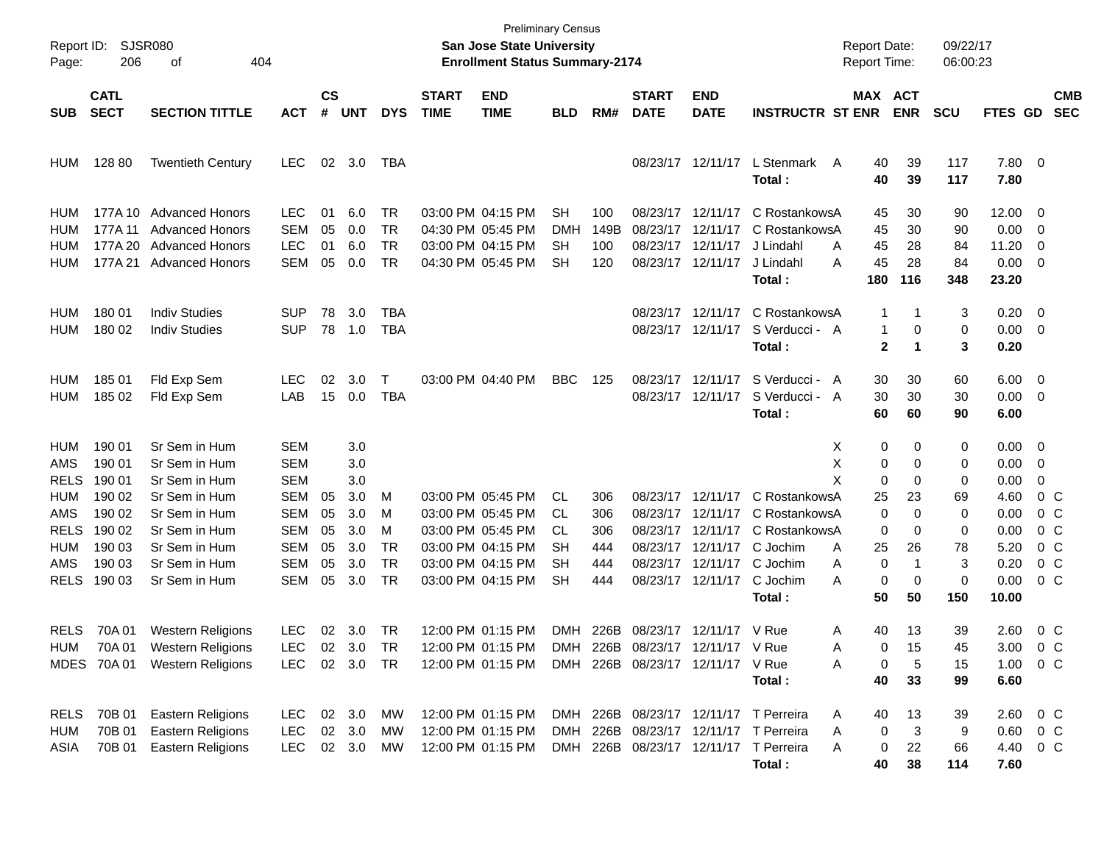| Report ID:<br>Page:                                                                 | <b>SJSR080</b><br>206                                                                  | 404                                                                                                                                                   |                                                                                                              |                                  |                                                             |                                                    | <b>Preliminary Census</b><br><b>San Jose State University</b><br><b>Enrollment Status Summary-2174</b> |                                                                                                                            |                                                 |                                        |                                                                                                 |                                                                                                          | <b>Report Date:</b><br>Report Time:                                                                                                              |                                                   | 09/22/17<br>06:00:23                                                         |                                                    |                                                                                      |                                                                                                        |
|-------------------------------------------------------------------------------------|----------------------------------------------------------------------------------------|-------------------------------------------------------------------------------------------------------------------------------------------------------|--------------------------------------------------------------------------------------------------------------|----------------------------------|-------------------------------------------------------------|----------------------------------------------------|--------------------------------------------------------------------------------------------------------|----------------------------------------------------------------------------------------------------------------------------|-------------------------------------------------|----------------------------------------|-------------------------------------------------------------------------------------------------|----------------------------------------------------------------------------------------------------------|--------------------------------------------------------------------------------------------------------------------------------------------------|---------------------------------------------------|------------------------------------------------------------------------------|----------------------------------------------------|--------------------------------------------------------------------------------------|--------------------------------------------------------------------------------------------------------|
| <b>SUB</b>                                                                          | <b>CATL</b><br><b>SECT</b><br><b>SECTION TITTLE</b><br><b>ACT</b>                      |                                                                                                                                                       |                                                                                                              |                                  | $\mathsf{cs}$<br><b>UNT</b>                                 | <b>DYS</b>                                         | <b>START</b><br><b>TIME</b>                                                                            | <b>END</b><br><b>TIME</b>                                                                                                  | BLD                                             | RM#                                    | <b>START</b><br><b>DATE</b>                                                                     | <b>END</b><br><b>DATE</b>                                                                                | <b>INSTRUCTR ST ENR</b>                                                                                                                          | <b>MAX ACT</b>                                    | <b>ENR</b>                                                                   | <b>SCU</b>                                         | <b>FTES GD</b>                                                                       | <b>CMB</b><br><b>SEC</b>                                                                               |
| <b>HUM</b>                                                                          | 128 80                                                                                 | <b>Twentieth Century</b>                                                                                                                              | <b>LEC</b>                                                                                                   | 02                               | 3.0                                                         | TBA                                                |                                                                                                        |                                                                                                                            |                                                 |                                        |                                                                                                 | 08/23/17 12/11/17                                                                                        | L Stenmark A<br>Total:                                                                                                                           | 40<br>40                                          | 39<br>39                                                                     | 117<br>117                                         | 7.80 0<br>7.80                                                                       |                                                                                                        |
| HUM<br>HUM<br>HUM<br>HUM                                                            | 177A 11<br>177A 20<br>177A 21                                                          | 177A 10 Advanced Honors<br><b>Advanced Honors</b><br><b>Advanced Honors</b><br><b>Advanced Honors</b>                                                 | <b>LEC</b><br><b>SEM</b><br><b>LEC</b><br><b>SEM</b>                                                         | 01<br>05<br>01<br>05             | 6.0<br>0.0<br>6.0<br>0.0                                    | TR<br><b>TR</b><br><b>TR</b><br><b>TR</b>          |                                                                                                        | 03:00 PM 04:15 PM<br>04:30 PM 05:45 PM<br>03:00 PM 04:15 PM<br>04:30 PM 05:45 PM                                           | SН<br>DMH<br>SН<br>SН                           | 100<br>149B<br>100<br>120              | 08/23/17<br>08/23/17                                                                            | 08/23/17 12/11/17<br>12/11/17<br>12/11/17<br>08/23/17 12/11/17                                           | C RostankowsA<br>C RostankowsA<br>J Lindahl<br>A<br>А<br>J Lindahl<br>Total:                                                                     | 45<br>45<br>45<br>45<br>180                       | 30<br>30<br>28<br>28<br>116                                                  | 90<br>90<br>84<br>84<br>348                        | 12.00<br>0.00<br>11.20<br>$0.00 \t 0$<br>23.20                                       | $\overline{\phantom{0}}$<br>$\overline{\phantom{0}}$<br>0                                              |
| HUM<br>HUM                                                                          | 180 01<br>180 02                                                                       | <b>Indiv Studies</b><br><b>Indiv Studies</b>                                                                                                          | <b>SUP</b><br><b>SUP</b>                                                                                     | 78<br>78                         | 3.0<br>1.0                                                  | TBA<br><b>TBA</b>                                  |                                                                                                        |                                                                                                                            |                                                 |                                        |                                                                                                 | 08/23/17 12/11/17<br>08/23/17 12/11/17                                                                   | C RostankowsA<br>S Verducci - A<br>Total:                                                                                                        | 1<br>$\mathbf{1}$<br>$\mathbf{2}$                 | 1<br>0<br>1                                                                  | 3<br>0<br>3                                        | 0.20<br>$0.00 \t 0$<br>0.20                                                          | $\overline{\phantom{0}}$                                                                               |
| HUM<br><b>HUM</b>                                                                   | 185 01<br>185 02                                                                       | Fld Exp Sem<br>Fld Exp Sem                                                                                                                            | <b>LEC</b><br>LAB                                                                                            | 02<br>15                         | 3.0<br>0.0                                                  | Т<br><b>TBA</b>                                    |                                                                                                        | 03:00 PM 04:40 PM                                                                                                          | <b>BBC</b>                                      | 125                                    |                                                                                                 | 08/23/17 12/11/17<br>08/23/17 12/11/17                                                                   | S Verducci - A<br>S Verducci - A<br>Total:                                                                                                       | 30<br>30<br>60                                    | 30<br>30<br>60                                                               | 60<br>30<br>90                                     | $6.00 \quad 0$<br>$0.00 \t 0$<br>6.00                                                |                                                                                                        |
| HUM<br>AMS<br><b>RELS</b><br>HUM<br>AMS<br><b>RELS</b><br>HUM<br>AMS<br><b>RELS</b> | 190 01<br>190 01<br>190 01<br>190 02<br>190 02<br>190 02<br>190 03<br>190 03<br>190 03 | Sr Sem in Hum<br>Sr Sem in Hum<br>Sr Sem in Hum<br>Sr Sem in Hum<br>Sr Sem in Hum<br>Sr Sem in Hum<br>Sr Sem in Hum<br>Sr Sem in Hum<br>Sr Sem in Hum | SEM<br><b>SEM</b><br><b>SEM</b><br><b>SEM</b><br><b>SEM</b><br><b>SEM</b><br><b>SEM</b><br>SEM<br><b>SEM</b> | 05<br>05<br>05<br>05<br>05<br>05 | 3.0<br>3.0<br>3.0<br>3.0<br>3.0<br>3.0<br>3.0<br>3.0<br>3.0 | М<br>м<br>м<br><b>TR</b><br><b>TR</b><br><b>TR</b> |                                                                                                        | 03:00 PM 05:45 PM<br>03:00 PM 05:45 PM<br>03:00 PM 05:45 PM<br>03:00 PM 04:15 PM<br>03:00 PM 04:15 PM<br>03:00 PM 04:15 PM | CL.<br><b>CL</b><br>CL<br>SН<br>SН<br><b>SH</b> | 306<br>306<br>306<br>444<br>444<br>444 | 08/23/17<br>08/23/17                                                                            | 08/23/17 12/11/17<br>12/11/17<br>12/11/17<br>08/23/17 12/11/17<br>08/23/17 12/11/17<br>08/23/17 12/11/17 | X<br>X<br>X<br>C RostankowsA<br>C RostankowsA<br>C RostankowsA<br>C Jochim<br>A<br>C Jochim<br>Α<br>C Jochim<br>A<br>Total:                      | 0<br>0<br>0<br>25<br>0<br>0<br>25<br>0<br>0<br>50 | 0<br>0<br>0<br>23<br>$\Omega$<br>0<br>26<br>$\mathbf 1$<br>$\mathbf 0$<br>50 | 0<br>0<br>0<br>69<br>0<br>0<br>78<br>3<br>0<br>150 | $0.00 \t 0$<br>0.00<br>0.00<br>4.60<br>0.00<br>0.00<br>5.20<br>0.20<br>0.00<br>10.00 | - 0<br>0<br>0 <sup>o</sup><br>0 <sup>o</sup><br>0 <sup>o</sup><br>$0\,$ C<br>$0\,$ C<br>0 <sup>o</sup> |
| <b>RELS</b><br>HUM                                                                  | 70A 01<br>MDES 70A 01                                                                  | <b>Western Religions</b><br>70A 01 Western Religions<br><b>Western Religions</b>                                                                      | LEC.<br><b>LEC</b><br>LEC.                                                                                   |                                  | 02 3.0 TR<br>02 3.0<br>02 3.0 TR                            | <b>TR</b>                                          |                                                                                                        | 12:00 PM 01:15 PM<br>12:00 PM 01:15 PM<br>12:00 PM 01:15 PM                                                                |                                                 | DMH 226B                               | 08/23/17 12/11/17 V Rue<br>DMH 226B 08/23/17 12/11/17 V Rue<br>DMH 226B 08/23/17 12/11/17 V Rue |                                                                                                          | Α<br>A<br>Α<br>Total:                                                                                                                            | 40<br>0<br>0<br>40                                | 13<br>15<br>5<br>33                                                          | 39<br>45<br>15<br>99                               | 2.60<br>$1.00 \t 0 C$<br>6.60                                                        | 0 C<br>3.00 0 C                                                                                        |
| <b>RELS</b><br><b>HUM</b><br>ASIA                                                   | 70B 01<br>70B 01<br>70B 01                                                             | <b>Eastern Religions</b><br><b>Eastern Religions</b><br><b>Eastern Religions</b>                                                                      | LEC.<br><b>LEC</b><br><b>LEC</b>                                                                             |                                  | 02 3.0<br>02 3.0<br>02 3.0                                  | МW<br>MW<br>МW                                     |                                                                                                        | 12:00 PM 01:15 PM<br>12:00 PM 01:15 PM<br>12:00 PM 01:15 PM                                                                |                                                 |                                        |                                                                                                 |                                                                                                          | DMH 226B 08/23/17 12/11/17 T Perreira<br>A<br>DMH 226B 08/23/17 12/11/17 T Perreira<br>A<br>DMH 226B 08/23/17 12/11/17 T Perreira<br>A<br>Total: | 40<br>0<br>0<br>40                                | 13<br>3<br>22<br>38                                                          | 39<br>9<br>66<br>114                               | $2.60 \t 0 \t C$<br>$0.60 \t 0 C$<br>4.40 0 C<br>7.60                                |                                                                                                        |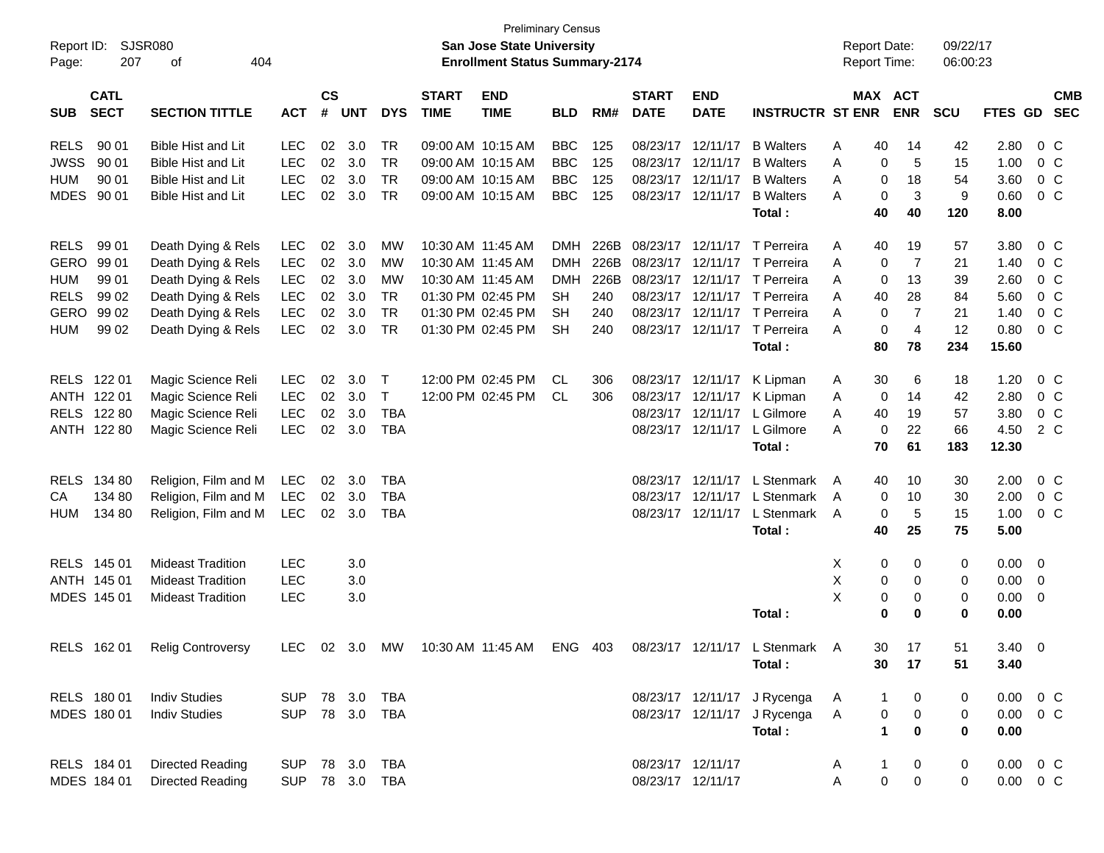| Report ID:<br>Page: | 207                        | <b>SJSR080</b><br>404<br>οf   |                |                |            |                |                             | <b>San Jose State University</b><br><b>Enrollment Status Summary-2174</b> | <b>Preliminary Census</b> |      |                             |                           |                                                                        | <b>Report Date:</b><br><b>Report Time:</b> |                | 09/22/17<br>06:00:23 |               |                          |                |
|---------------------|----------------------------|-------------------------------|----------------|----------------|------------|----------------|-----------------------------|---------------------------------------------------------------------------|---------------------------|------|-----------------------------|---------------------------|------------------------------------------------------------------------|--------------------------------------------|----------------|----------------------|---------------|--------------------------|----------------|
| <b>SUB</b>          | <b>CATL</b><br><b>SECT</b> | <b>SECTION TITTLE</b>         | <b>ACT</b>     | <b>CS</b><br># | <b>UNT</b> | <b>DYS</b>     | <b>START</b><br><b>TIME</b> | <b>END</b><br><b>TIME</b>                                                 | <b>BLD</b>                | RM#  | <b>START</b><br><b>DATE</b> | <b>END</b><br><b>DATE</b> | <b>INSTRUCTR ST ENR</b>                                                | MAX ACT                                    | <b>ENR</b>     | <b>SCU</b>           | FTES GD SEC   |                          | <b>CMB</b>     |
| <b>RELS</b>         | 90 01                      | Bible Hist and Lit            | <b>LEC</b>     | 02             | 3.0        | <b>TR</b>      |                             | 09:00 AM 10:15 AM                                                         | <b>BBC</b>                | 125  | 08/23/17 12/11/17           |                           | <b>B</b> Walters                                                       | 40<br>Α                                    | 14             | 42                   | 2.80          |                          | 0 <sup>o</sup> |
| <b>JWSS</b>         | 90 01                      | Bible Hist and Lit            | <b>LEC</b>     | 02             | 3.0        | <b>TR</b>      |                             | 09:00 AM 10:15 AM                                                         | <b>BBC</b>                | 125  | 08/23/17 12/11/17           |                           | <b>B</b> Walters                                                       | Α<br>0                                     | 5              | 15                   | 1.00          |                          | 0 <sup>o</sup> |
| <b>HUM</b>          | 90 01                      | Bible Hist and Lit            | <b>LEC</b>     | 02             | 3.0        | <b>TR</b>      |                             | 09:00 AM 10:15 AM                                                         | <b>BBC</b>                | 125  | 08/23/17 12/11/17           |                           | <b>B</b> Walters                                                       | 0<br>A                                     | 18             | 54                   | 3.60          |                          | 0 C            |
|                     | MDES 90 01                 | <b>Bible Hist and Lit</b>     | <b>LEC</b>     | 02             | 3.0        | <b>TR</b>      |                             | 09:00 AM 10:15 AM                                                         | <b>BBC</b>                | 125  |                             | 08/23/17 12/11/17         | <b>B</b> Walters                                                       | $\mathbf 0$<br>A                           | $\mathbf{3}$   | 9                    | 0.60          |                          | $0\,C$         |
|                     |                            |                               |                |                |            |                |                             |                                                                           |                           |      |                             |                           | Total:                                                                 | 40                                         | 40             | 120                  | 8.00          |                          |                |
| <b>RELS</b>         | 99 01                      | Death Dying & Rels            | <b>LEC</b>     | 02             | 3.0        | MW             |                             | 10:30 AM 11:45 AM                                                         | <b>DMH</b>                | 226B | 08/23/17 12/11/17           |                           | T Perreira                                                             | 40<br>A                                    | 19             | 57                   | 3.80          |                          | 0 <sup>o</sup> |
| GERO                | 99 01                      | Death Dying & Rels            | <b>LEC</b>     | 02             | 3.0        | MW             |                             | 10:30 AM 11:45 AM                                                         | <b>DMH</b>                | 226B | 08/23/17 12/11/17           |                           | T Perreira                                                             | A<br>0                                     | $\overline{7}$ | 21                   | 1.40          |                          | 0 <sup>o</sup> |
| <b>HUM</b>          | 99 01                      | Death Dying & Rels            | <b>LEC</b>     | 02             | 3.0        | MW             |                             | 10:30 AM 11:45 AM                                                         | <b>DMH</b>                | 226B |                             | 08/23/17 12/11/17         | T Perreira                                                             | A<br>0                                     | 13             | 39                   | 2.60          |                          | 0 <sup>o</sup> |
| <b>RELS</b>         | 99 02                      | Death Dying & Rels            | <b>LEC</b>     | 02             | 3.0        | <b>TR</b>      |                             | 01:30 PM 02:45 PM                                                         | <b>SH</b>                 | 240  |                             | 08/23/17 12/11/17         | T Perreira                                                             | 40<br>A                                    | 28             | 84                   | 5.60          |                          | 0 <sup>o</sup> |
| GERO                | 99 02                      | Death Dying & Rels            | <b>LEC</b>     | 02             | 3.0        | <b>TR</b>      |                             | 01:30 PM 02:45 PM                                                         | SН                        | 240  |                             |                           | 08/23/17 12/11/17 T Perreira                                           | 0<br>A                                     | $\overline{7}$ | 21                   | 1.40          |                          | 0 <sup>o</sup> |
| <b>HUM</b>          | 99 02                      | Death Dying & Rels            | <b>LEC</b>     | 02             | 3.0        | <b>TR</b>      |                             | 01:30 PM 02:45 PM                                                         | <b>SH</b>                 | 240  |                             |                           | 08/23/17 12/11/17 T Perreira                                           | $\mathbf 0$<br>A                           | $\overline{4}$ | 12                   | 0.80          |                          | 0 <sup>o</sup> |
|                     |                            |                               |                |                |            |                |                             |                                                                           |                           |      |                             |                           | Total:                                                                 | 80                                         | 78             | 234                  | 15.60         |                          |                |
|                     | RELS 122 01                | Magic Science Reli            | <b>LEC</b>     | 02             | 3.0        | $\top$         |                             | 12:00 PM 02:45 PM                                                         | CL.                       | 306  | 08/23/17 12/11/17           |                           | K Lipman                                                               | 30<br>A                                    | 6              | 18                   | 1.20          |                          | 0 <sup>o</sup> |
|                     | ANTH 122 01                | Magic Science Reli            | <b>LEC</b>     | 02             | 3.0        | $\top$         |                             | 12:00 PM 02:45 PM                                                         | CL.                       | 306  | 08/23/17 12/11/17           |                           | K Lipman                                                               | 0<br>A                                     | 14             | 42                   | 2.80          |                          | 0 <sup>o</sup> |
| <b>RELS</b>         | 122 80                     | Magic Science Reli            | <b>LEC</b>     | 02             | 3.0        | <b>TBA</b>     |                             |                                                                           |                           |      |                             | 08/23/17 12/11/17         | L Gilmore                                                              | 40<br>A                                    | 19             | 57                   | 3.80          |                          | 0 <sup>o</sup> |
|                     | ANTH 122 80                | Magic Science Reli            | <b>LEC</b>     | 02             | 3.0        | <b>TBA</b>     |                             |                                                                           |                           |      |                             | 08/23/17 12/11/17         | L Gilmore                                                              | 0<br>A                                     | 22             | 66                   | 4.50          |                          | 2 C            |
|                     |                            |                               |                |                |            |                |                             |                                                                           |                           |      |                             |                           | Total:                                                                 | 70                                         | 61             | 183                  | 12.30         |                          |                |
| <b>RELS</b>         | 134 80                     | Religion, Film and M          | LEC            | 02             | 3.0        | <b>TBA</b>     |                             |                                                                           |                           |      |                             | 08/23/17 12/11/17         | L Stenmark                                                             | 40<br>A                                    | 10             | 30                   | 2.00          |                          | 0 <sup>o</sup> |
| CA                  | 134 80                     | Religion, Film and M          | <b>LEC</b>     | 02             | 3.0        | <b>TBA</b>     |                             |                                                                           |                           |      |                             | 08/23/17 12/11/17         | L Stenmark                                                             | 0<br>A                                     | 10             | 30                   | 2.00          |                          | 0 <sup>o</sup> |
| <b>HUM</b>          | 134 80                     | Religion, Film and M          | <b>LEC</b>     | 02             | 3.0        | <b>TBA</b>     |                             |                                                                           |                           |      |                             | 08/23/17 12/11/17         | L Stenmark                                                             | 0<br>A                                     | 5              | 15                   | 1.00          |                          | 0 <sup>o</sup> |
|                     |                            |                               |                |                |            |                |                             |                                                                           |                           |      |                             |                           | Total:                                                                 | 40                                         | 25             | 75                   | 5.00          |                          |                |
|                     | RELS 145 01                | <b>Mideast Tradition</b>      | <b>LEC</b>     |                | 3.0        |                |                             |                                                                           |                           |      |                             |                           |                                                                        | 0<br>X                                     | 0              | 0                    | 0.00          | $\overline{\phantom{0}}$ |                |
|                     | ANTH 145 01                | <b>Mideast Tradition</b>      | <b>LEC</b>     |                | 3.0        |                |                             |                                                                           |                           |      |                             |                           |                                                                        | Χ<br>$\pmb{0}$                             | 0              | 0                    | 0.00          | $\overline{\mathbf{0}}$  |                |
|                     | MDES 145 01                | <b>Mideast Tradition</b>      | <b>LEC</b>     |                | 3.0        |                |                             |                                                                           |                           |      |                             |                           |                                                                        | Χ<br>$\pmb{0}$                             | 0              | 0                    | 0.00          | $\overline{\mathbf{0}}$  |                |
|                     |                            |                               |                |                |            |                |                             |                                                                           |                           |      |                             |                           | Total:                                                                 | $\bf{0}$                                   | $\bf{0}$       | $\bf{0}$             | 0.00          |                          |                |
|                     |                            | RELS 162 01 Relig Controversy |                |                |            |                |                             |                                                                           |                           |      |                             |                           | LEC 02 3.0 MW 10:30 AM 11:45 AM ENG 403 08/23/17 12/11/17 L Stenmark A |                                            | 30<br>17       | 51                   | $3.40 \ 0$    |                          |                |
|                     |                            |                               |                |                |            |                |                             |                                                                           |                           |      |                             |                           | Total:                                                                 | 30                                         | 17             | 51                   | 3.40          |                          |                |
|                     | RELS 180 01                | <b>Indiv Studies</b>          | SUP 78 3.0 TBA |                |            |                |                             |                                                                           |                           |      |                             |                           | 08/23/17 12/11/17 J Rycenga                                            | A<br>1                                     | 0              | 0                    | $0.00 \t 0 C$ |                          |                |
|                     | MDES 180 01                | <b>Indiv Studies</b>          |                |                |            | SUP 78 3.0 TBA |                             |                                                                           |                           |      |                             |                           | 08/23/17 12/11/17 J Rycenga                                            | $\pmb{0}$<br>A                             | $\pmb{0}$      | 0                    | $0.00 \t 0 C$ |                          |                |
|                     |                            |                               |                |                |            |                |                             |                                                                           |                           |      |                             |                           | Total:                                                                 | $\mathbf{1}$                               | $\mathbf 0$    | $\mathbf 0$          | 0.00          |                          |                |
|                     | RELS 184 01                | <b>Directed Reading</b>       | SUP            |                |            | 78 3.0 TBA     |                             |                                                                           |                           |      | 08/23/17 12/11/17           |                           |                                                                        | 1<br>A                                     | 0              | 0                    | $0.00 \t 0 C$ |                          |                |
|                     | MDES 184 01                | <b>Directed Reading</b>       |                |                |            | SUP 78 3.0 TBA |                             |                                                                           |                           |      | 08/23/17 12/11/17           |                           |                                                                        | $\pmb{0}$<br>А                             | $\mathbf 0$    | 0                    | $0.00 \t 0 C$ |                          |                |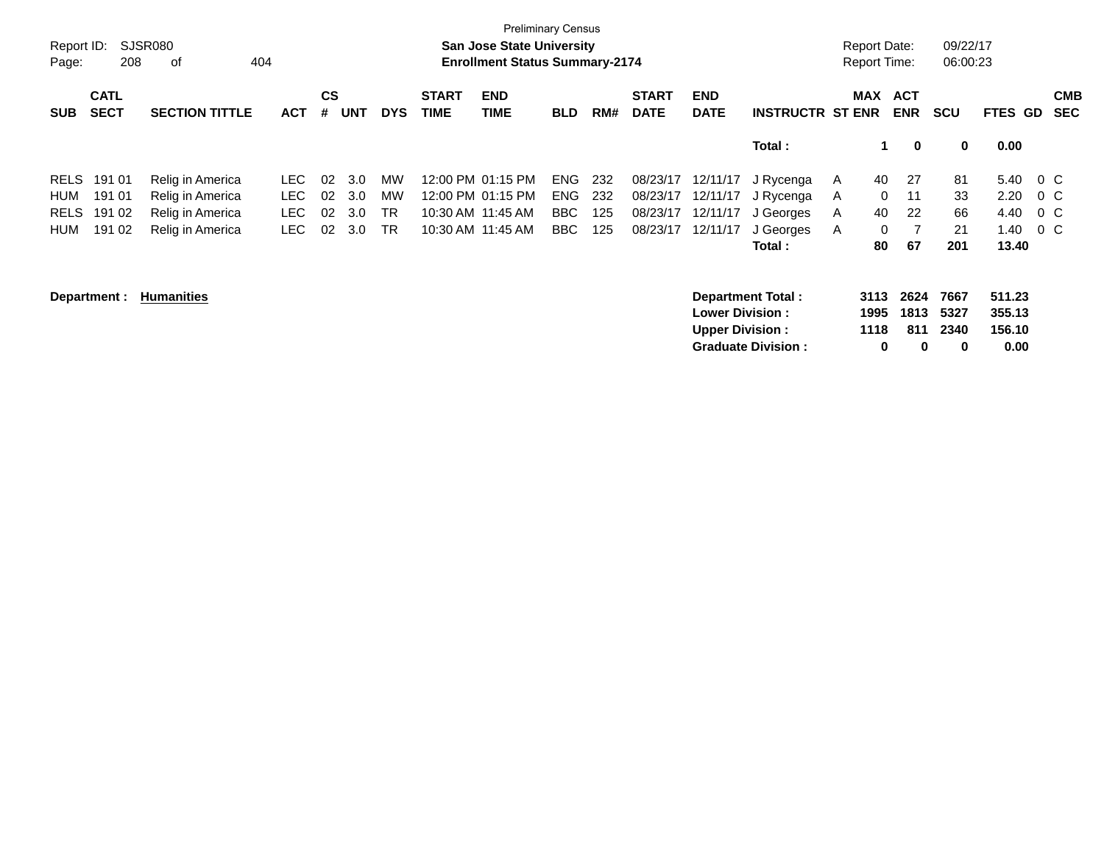| Report ID:<br>Page: | 208                        | SJSR080<br>404<br>οf  |            |                |            |            |                             | <b>Preliminary Census</b><br><b>San Jose State University</b><br><b>Enrollment Status Summary-2174</b> |            |     |                             |                           |                           |   | <b>Report Date:</b><br><b>Report Time:</b> |                          | 09/22/17<br>06:00:23 |                          |         |                          |
|---------------------|----------------------------|-----------------------|------------|----------------|------------|------------|-----------------------------|--------------------------------------------------------------------------------------------------------|------------|-----|-----------------------------|---------------------------|---------------------------|---|--------------------------------------------|--------------------------|----------------------|--------------------------|---------|--------------------------|
| <b>SUB</b>          | <b>CATL</b><br><b>SECT</b> | <b>SECTION TITTLE</b> | <b>ACT</b> | <b>CS</b><br># | <b>UNT</b> | <b>DYS</b> | <b>START</b><br><b>TIME</b> | <b>END</b><br><b>TIME</b>                                                                              | <b>BLD</b> | RM# | <b>START</b><br><b>DATE</b> | <b>END</b><br><b>DATE</b> | <b>INSTRUCTR ST ENR</b>   |   | MAX                                        | <b>ACT</b><br><b>ENR</b> | <b>SCU</b>           | <b>GD</b><br><b>FTES</b> |         | <b>CMB</b><br><b>SEC</b> |
|                     |                            |                       |            |                |            |            |                             |                                                                                                        |            |     |                             |                           | Total:                    |   | 1.                                         | $\mathbf 0$              | 0                    | 0.00                     |         |                          |
| <b>RELS</b>         | 191 01                     | Relig in America      | LEC.       | 02             | 3.0        | MW         |                             | 12:00 PM 01:15 PM                                                                                      | <b>ENG</b> | 232 | 08/23/17                    | 12/11/17                  | J Rycenga                 | A | 40                                         | -27                      | 81                   | 5.40                     | $0\,$ C |                          |
| HUM                 | 191 01                     | Relig in America      | <b>LEC</b> | 02             | 3.0        | MW         |                             | 12:00 PM 01:15 PM                                                                                      | <b>ENG</b> | 232 | 08/23/17                    | 12/11/17                  | J Rycenga                 | A | $\Omega$                                   | 11                       | 33                   | 2.20                     | $0\,C$  |                          |
| <b>RELS</b>         | 191 02                     | Relig in America      | LEC.       | 02             | 3.0        | <b>TR</b>  |                             | 10:30 AM 11:45 AM                                                                                      | BBC        | 125 | 08/23/17                    | 12/11/17                  | J Georges                 | A | 40                                         | 22                       | 66                   | 4.40                     | $0\,$ C |                          |
| <b>HUM</b>          | 191 02                     | Relig in America      | <b>LEC</b> | 02             | 3.0        | <b>TR</b>  |                             | 10:30 AM 11:45 AM                                                                                      | <b>BBC</b> | 125 | 08/23/17                    | 12/11/17                  | J Georges                 | A | $\mathbf{0}$                               |                          | 21                   | 1.40                     | $0\,C$  |                          |
|                     |                            |                       |            |                |            |            |                             |                                                                                                        |            |     |                             |                           | Total :                   |   | 80                                         | 67                       | 201                  | 13.40                    |         |                          |
|                     | Department :               | <b>Humanities</b>     |            |                |            |            |                             |                                                                                                        |            |     |                             | <b>Lower Division:</b>    | <b>Department Total:</b>  |   | 3113<br>1995                               | 2624<br>1813             | 7667<br>5327         | 511.23<br>355.13         |         |                          |
|                     |                            |                       |            |                |            |            |                             |                                                                                                        |            |     |                             | <b>Upper Division:</b>    |                           |   | 1118                                       | 811                      | 2340                 | 156.10                   |         |                          |
|                     |                            |                       |            |                |            |            |                             |                                                                                                        |            |     |                             |                           | <b>Graduate Division:</b> |   | 0                                          | 0                        | 0                    | 0.00                     |         |                          |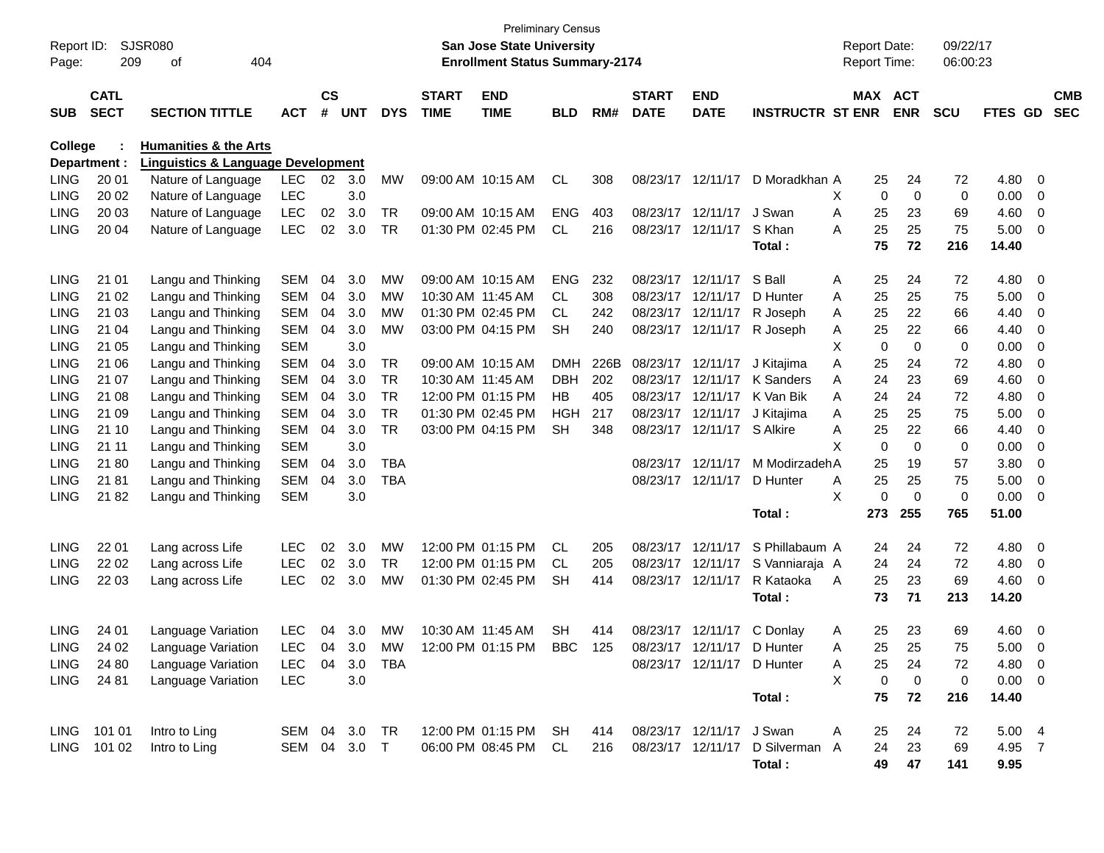| Report ID:<br>Page: | 209                        | <b>SJSR080</b><br>404<br>οf                   |                |                    |            |            |                             | <b>Preliminary Census</b><br>San Jose State University<br><b>Enrollment Status Summary-2174</b> |            |      |                             |                            |                                 |   | <b>Report Date:</b><br><b>Report Time:</b> |            | 09/22/17<br>06:00:23 |                |                |                          |
|---------------------|----------------------------|-----------------------------------------------|----------------|--------------------|------------|------------|-----------------------------|-------------------------------------------------------------------------------------------------|------------|------|-----------------------------|----------------------------|---------------------------------|---|--------------------------------------------|------------|----------------------|----------------|----------------|--------------------------|
| <b>SUB</b>          | <b>CATL</b><br><b>SECT</b> | <b>SECTION TITTLE</b>                         | <b>ACT</b>     | $\mathsf{cs}$<br># | <b>UNT</b> | <b>DYS</b> | <b>START</b><br><b>TIME</b> | <b>END</b><br><b>TIME</b>                                                                       | <b>BLD</b> | RM#  | <b>START</b><br><b>DATE</b> | <b>END</b><br><b>DATE</b>  | <b>INSTRUCTR ST ENR</b>         |   | MAX ACT                                    | <b>ENR</b> | <b>SCU</b>           | FTES GD        |                | <b>CMB</b><br><b>SEC</b> |
| College             |                            | <b>Humanities &amp; the Arts</b>              |                |                    |            |            |                             |                                                                                                 |            |      |                             |                            |                                 |   |                                            |            |                      |                |                |                          |
|                     | Department :               | <b>Linguistics &amp; Language Development</b> |                |                    |            |            |                             |                                                                                                 |            |      |                             |                            |                                 |   |                                            |            |                      |                |                |                          |
| <b>LING</b>         | 20 01                      | Nature of Language                            | <b>LEC</b>     | 02                 | 3.0        | <b>MW</b>  |                             | 09:00 AM 10:15 AM                                                                               | CL         | 308  |                             | 08/23/17 12/11/17          | D Moradkhan A                   |   | 25                                         | 24         | 72                   | 4.80           | 0              |                          |
| LING                | 20 02                      | Nature of Language                            | <b>LEC</b>     |                    | 3.0        |            |                             |                                                                                                 |            |      |                             |                            |                                 | X | 0                                          | 0          | 0                    | 0.00           | 0              |                          |
| <b>LING</b>         | 20 03                      | Nature of Language                            | <b>LEC</b>     | 02                 | 3.0        | TR         |                             | 09:00 AM 10:15 AM                                                                               | ENG        | 403  |                             | 08/23/17 12/11/17          | J Swan                          | A | 25                                         | 23         | 69                   | 4.60           | 0              |                          |
| <b>LING</b>         | 20 04                      | Nature of Language                            | <b>LEC</b>     | 02                 | 3.0        | <b>TR</b>  |                             | 01:30 PM 02:45 PM                                                                               | CL         | 216  |                             | 08/23/17 12/11/17          | S Khan<br>Total:                | A | 25<br>75                                   | 25<br>72   | 75<br>216            | 5.00<br>14.40  | 0              |                          |
| <b>LING</b>         | 21 01                      | Langu and Thinking                            | <b>SEM</b>     | 04                 | 3.0        | МW         |                             | 09:00 AM 10:15 AM                                                                               | <b>ENG</b> | 232  |                             | 08/23/17 12/11/17          | S Ball                          | A | 25                                         | 24         | 72                   | 4.80           | 0              |                          |
| <b>LING</b>         | 21 02                      | Langu and Thinking                            | <b>SEM</b>     | 04                 | 3.0        | МW         |                             | 10:30 AM 11:45 AM                                                                               | CL.        | 308  |                             | 08/23/17 12/11/17          | D Hunter                        | A | 25                                         | 25         | 75                   | 5.00           | 0              |                          |
| LING                | 21 03                      | Langu and Thinking                            | <b>SEM</b>     | 04                 | 3.0        | МW         |                             | 01:30 PM 02:45 PM                                                                               | CL.        | 242  |                             | 08/23/17 12/11/17          | R Joseph                        | A | 25                                         | 22         | 66                   | 4.40           | 0              |                          |
| <b>LING</b>         | 21 04                      | Langu and Thinking                            | <b>SEM</b>     | 04                 | 3.0        | <b>MW</b>  |                             | 03:00 PM 04:15 PM                                                                               | <b>SH</b>  | 240  |                             | 08/23/17 12/11/17          | R Joseph                        | A | 25                                         | 22         | 66                   | 4.40           | 0              |                          |
| <b>LING</b>         | 21 05                      | Langu and Thinking                            | <b>SEM</b>     |                    | 3.0        |            |                             |                                                                                                 |            |      |                             |                            |                                 | X | $\mathbf 0$                                | 0          | 0                    | 0.00           | 0              |                          |
| LING                | 21 06                      | Langu and Thinking                            | <b>SEM</b>     | 04                 | 3.0        | TR         |                             | 09:00 AM 10:15 AM                                                                               | <b>DMH</b> | 226B | 08/23/17 12/11/17           |                            | J Kitajima                      | A | 25                                         | 24         | 72                   | 4.80           | 0              |                          |
| <b>LING</b>         | 21 07                      | Langu and Thinking                            | <b>SEM</b>     | 04                 | 3.0        | <b>TR</b>  | 10:30 AM 11:45 AM           |                                                                                                 | <b>DBH</b> | 202  |                             | 08/23/17 12/11/17          | K Sanders                       | A | 24                                         | 23         | 69                   | 4.60           | 0              |                          |
| <b>LING</b>         | 21 08                      | Langu and Thinking                            | <b>SEM</b>     | 04                 | 3.0        | <b>TR</b>  |                             | 12:00 PM 01:15 PM                                                                               | HB         | 405  |                             | 08/23/17 12/11/17          | K Van Bik                       | A | 24                                         | 24         | 72                   | 4.80           | 0              |                          |
| LING                | 21 09                      | Langu and Thinking                            | <b>SEM</b>     | 04                 | 3.0        | <b>TR</b>  |                             | 01:30 PM 02:45 PM                                                                               | HGH        | 217  |                             | 08/23/17 12/11/17          | J Kitajima                      | A | 25                                         | 25         | 75                   | 5.00           | 0              |                          |
| LING                | 21 10                      | Langu and Thinking                            | <b>SEM</b>     | 04                 | 3.0        | <b>TR</b>  |                             | 03:00 PM 04:15 PM                                                                               | <b>SH</b>  | 348  |                             | 08/23/17 12/11/17          | S Alkire                        | A | 25                                         | 22         | 66                   | 4.40           | 0              |                          |
| <b>LING</b>         | 21 11                      | Langu and Thinking                            | <b>SEM</b>     |                    | 3.0        |            |                             |                                                                                                 |            |      |                             |                            |                                 | X | $\mathbf 0$                                | 0          | 0                    | 0.00           | 0              |                          |
| <b>LING</b>         | 2180                       | Langu and Thinking                            | <b>SEM</b>     | 04                 | 3.0        | <b>TBA</b> |                             |                                                                                                 |            |      |                             | 08/23/17 12/11/17          | M ModirzadehA                   |   | 25                                         | 19         | 57                   | 3.80           | 0              |                          |
| <b>LING</b>         | 2181                       | Langu and Thinking                            | <b>SEM</b>     | 04                 | 3.0        | <b>TBA</b> |                             |                                                                                                 |            |      |                             | 08/23/17 12/11/17          | D Hunter                        | A | 25                                         | 25         | 75                   | 5.00           | 0              |                          |
| <b>LING</b>         | 2182                       | Langu and Thinking                            | <b>SEM</b>     |                    | 3.0        |            |                             |                                                                                                 |            |      |                             |                            |                                 | X | $\Omega$                                   | 0          | 0                    | 0.00           | 0              |                          |
|                     |                            |                                               |                |                    |            |            |                             |                                                                                                 |            |      |                             |                            | Total:                          |   | 273                                        | 255        | 765                  | 51.00          |                |                          |
| <b>LING</b>         | 22 01                      | Lang across Life                              | <b>LEC</b>     | 02                 | 3.0        | <b>MW</b>  |                             | 12:00 PM 01:15 PM                                                                               | <b>CL</b>  | 205  |                             | 08/23/17 12/11/17          | S Phillabaum A                  |   | 24                                         | 24         | 72                   | 4.80           | $\overline{0}$ |                          |
| <b>LING</b>         | 22 02                      | Lang across Life                              | <b>LEC</b>     | 02                 | 3.0        | TR         |                             | 12:00 PM 01:15 PM                                                                               | CL.        | 205  |                             | 08/23/17 12/11/17          | S Vanniaraja A                  |   | 24                                         | 24         | 72                   | 4.80           | 0              |                          |
| <b>LING</b>         | 22 03                      | Lang across Life                              | <b>LEC</b>     | 02                 | 3.0        | МW         |                             | 01:30 PM 02:45 PM                                                                               | <b>SH</b>  | 414  |                             | 08/23/17 12/11/17          | R Kataoka                       | A | 25                                         | 23         | 69                   | 4.60           | $\overline{0}$ |                          |
|                     |                            |                                               |                |                    |            |            |                             |                                                                                                 |            |      |                             |                            | Total :                         |   | 73                                         | 71         | 213                  | 14.20          |                |                          |
| <b>LING</b>         | 24 01                      | Language Variation                            | <b>LEC</b>     | 04                 | 3.0        | МW         | 10:30 AM 11:45 AM           |                                                                                                 | <b>SH</b>  | 414  |                             | 08/23/17 12/11/17          | C Donlay                        | A | 25                                         | 23         | 69                   | 4.60           | $\overline{0}$ |                          |
| <b>LING</b>         | 24 02                      | Language Variation                            | LEC            |                    | 04 3.0     | <b>MW</b>  |                             | 12:00 PM 01:15 PM                                                                               | BBC        | 125  |                             | 08/23/17 12/11/17 D Hunter |                                 | A | 25                                         | 25         | 75                   | 5.00           | $\overline{0}$ |                          |
| LING                | 24 80                      | Language Variation                            | LEC 04 3.0 TBA |                    |            |            |                             |                                                                                                 |            |      |                             | 08/23/17 12/11/17 D Hunter |                                 | A | 25                                         | 24         | 72                   | 4.80 0         |                |                          |
| LING                | 24 81                      | Language Variation                            | <b>LEC</b>     |                    | 3.0        |            |                             |                                                                                                 |            |      |                             |                            |                                 | X | $\mathbf 0$                                | 0          | $\mathbf 0$          | $0.00 \t 0$    |                |                          |
|                     |                            |                                               |                |                    |            |            |                             |                                                                                                 |            |      |                             |                            | Total:                          |   | 75                                         | 72         | 216                  | 14.40          |                |                          |
|                     | LING 101 01                | Intro to Ling                                 | SEM 04 3.0 TR  |                    |            |            |                             | 12:00 PM 01:15 PM SH                                                                            |            | 414  |                             | 08/23/17 12/11/17 J Swan   |                                 | A | 25                                         | 24         | 72                   | $5.00 \quad 4$ |                |                          |
|                     | LING 101 02                | Intro to Ling                                 | SEM 04 3.0 T   |                    |            |            |                             | 06:00 PM 08:45 PM CL                                                                            |            | 216  |                             |                            | 08/23/17 12/11/17 D Silverman A |   | 24                                         | 23         | 69                   | 4.95 7         |                |                          |
|                     |                            |                                               |                |                    |            |            |                             |                                                                                                 |            |      |                             |                            | Total:                          |   | 49                                         | 47         | 141                  | 9.95           |                |                          |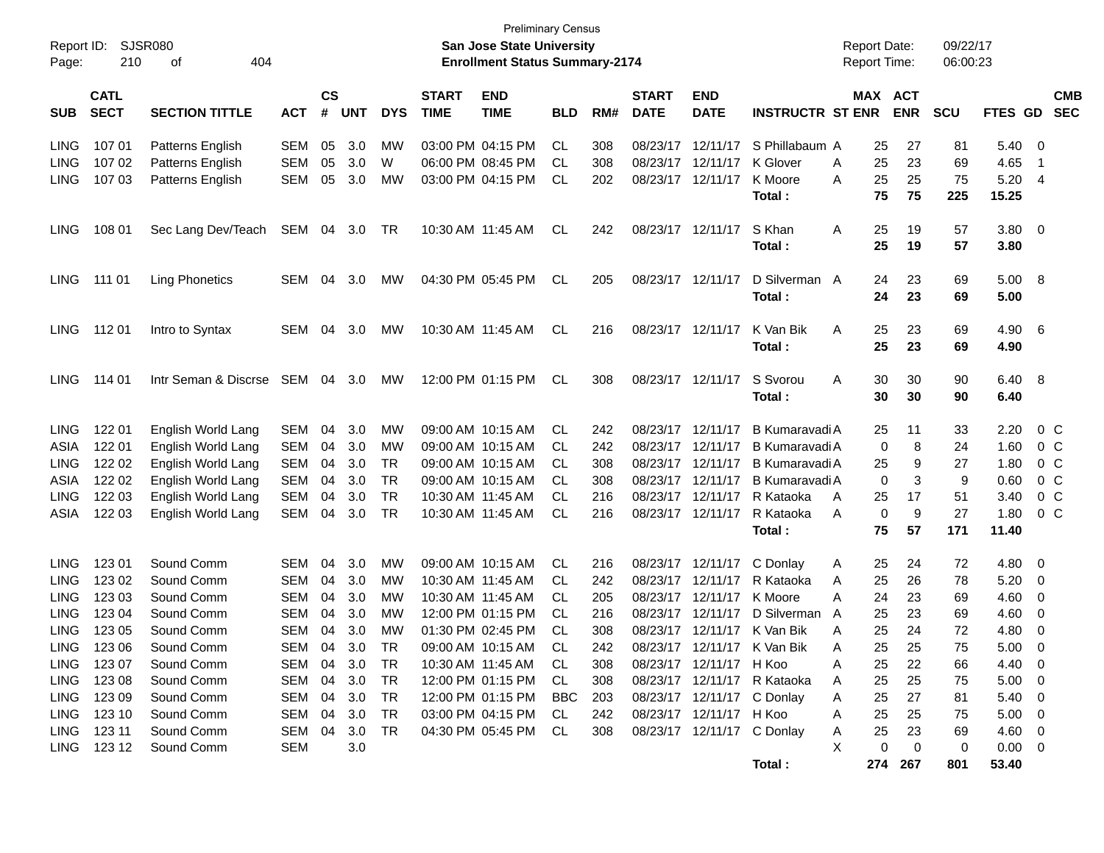| Report ID:<br>Page: | 210                        | <b>SJSR080</b><br>404<br>οf |                   |                |            |            |                             | <b>Preliminary Census</b><br>San Jose State University<br><b>Enrollment Status Summary-2174</b> |            |     |                             |                           |                             | <b>Report Date:</b><br><b>Report Time:</b> |                       | 09/22/17<br>06:00:23 |                         |                          |
|---------------------|----------------------------|-----------------------------|-------------------|----------------|------------|------------|-----------------------------|-------------------------------------------------------------------------------------------------|------------|-----|-----------------------------|---------------------------|-----------------------------|--------------------------------------------|-----------------------|----------------------|-------------------------|--------------------------|
| <b>SUB</b>          | <b>CATL</b><br><b>SECT</b> | <b>SECTION TITTLE</b>       | АСТ               | <b>CS</b><br># | <b>UNT</b> | <b>DYS</b> | <b>START</b><br><b>TIME</b> | <b>END</b><br><b>TIME</b>                                                                       | <b>BLD</b> | RM# | <b>START</b><br><b>DATE</b> | <b>END</b><br><b>DATE</b> | <b>INSTRUCTR ST ENR</b>     |                                            | MAX ACT<br><b>ENR</b> | <b>SCU</b>           | FTES GD                 | <b>CMB</b><br><b>SEC</b> |
| <b>LING</b>         | 107 01                     | Patterns English            | SEM               | 05             | 3.0        | МW         |                             | 03:00 PM 04:15 PM                                                                               | CL         | 308 | 08/23/17 12/11/17           |                           | S Phillabaum A              | 25                                         | 27                    | 81                   | 5.40                    | - 0                      |
| <b>LING</b>         | 107 02                     | Patterns English            | <b>SEM</b>        | 05             | 3.0        | W          |                             | 06:00 PM 08:45 PM                                                                               | CL         | 308 | 08/23/17 12/11/17           |                           | K Glover                    | 25<br>A                                    | 23                    | 69                   | 4.65                    | - 1                      |
| <b>LING</b>         | 107 03                     | Patterns English            | SEM               | 05             | 3.0        | MW         |                             | 03:00 PM 04:15 PM                                                                               | CL         | 202 | 08/23/17 12/11/17           |                           | K Moore                     | 25<br>A                                    | 25                    | 75                   | 5.20                    | - 4                      |
|                     |                            |                             |                   |                |            |            |                             |                                                                                                 |            |     |                             |                           | Total:                      | 75                                         | 75                    | 225                  | 15.25                   |                          |
| <b>LING</b>         | 108 01                     | Sec Lang Dev/Teach          | SEM 04            |                | 3.0        | TR         |                             | 10:30 AM 11:45 AM                                                                               | CL         | 242 | 08/23/17 12/11/17           |                           | S Khan                      | A<br>25                                    | 19                    | 57                   | 3.80                    | $\overline{\phantom{0}}$ |
|                     |                            |                             |                   |                |            |            |                             |                                                                                                 |            |     |                             |                           | Total :                     | 25                                         | 19                    | 57                   | 3.80                    |                          |
| <b>LING</b>         | 111 01                     | <b>Ling Phonetics</b>       | SEM               | 04             | 3.0        | <b>MW</b>  |                             | 04:30 PM 05:45 PM                                                                               | CL         | 205 | 08/23/17 12/11/17           |                           | D Silverman A               | 24                                         | 23                    | 69                   | 5.00                    | $_{\rm 8}$               |
|                     |                            |                             |                   |                |            |            |                             |                                                                                                 |            |     |                             |                           | Total:                      | 24                                         | 23                    | 69                   | 5.00                    |                          |
| <b>LING</b>         | 11201                      | Intro to Syntax             | SEM               | 04             | 3.0        | <b>MW</b>  |                             | 10:30 AM 11:45 AM                                                                               | CL         | 216 | 08/23/17 12/11/17           |                           | K Van Bik                   | 25<br>A                                    | 23                    | 69                   | 4.90                    | - 6                      |
|                     |                            |                             |                   |                |            |            |                             |                                                                                                 |            |     |                             |                           | Total:                      | 25                                         | 23                    | 69                   | 4.90                    |                          |
| <b>LING</b>         | 114 01                     | Intr Seman & Discrse        | SEM 04            |                | 3.0        | MW         |                             | 12:00 PM 01:15 PM                                                                               | CL         | 308 | 08/23/17 12/11/17           |                           | S Svorou                    | A<br>30                                    | 30                    | 90                   | 6.40                    | - 8                      |
|                     |                            |                             |                   |                |            |            |                             |                                                                                                 |            |     |                             |                           | Total:                      | 30                                         | 30                    | 90                   | 6.40                    |                          |
| <b>LING</b>         | 122 01                     | English World Lang          | SEM               | 04             | 3.0        | МW         |                             | 09:00 AM 10:15 AM                                                                               | CL         | 242 | 08/23/17 12/11/17           |                           | B Kumaravadi A              | 25                                         | 11                    | 33                   | 2.20                    | $0\,C$                   |
| ASIA                | 122 01                     | English World Lang          | SEM               | 04             | 3.0        | МW         |                             | 09:00 AM 10:15 AM                                                                               | CL         | 242 | 08/23/17 12/11/17           |                           | B Kumaravadi A              |                                            | 8<br>0                | 24                   | 1.60                    | $0\,C$                   |
| <b>LING</b>         | 122 02                     | English World Lang          | SEM               | 04             | 3.0        | TR         |                             | 09:00 AM 10:15 AM                                                                               | CL         | 308 | 08/23/17 12/11/17           |                           | B Kumaravadi A              | 25                                         | 9                     | 27                   | 1.80                    | $0\,C$                   |
| ASIA                | 122 02                     | English World Lang          | <b>SEM</b>        | 04             | 3.0        | TR         |                             | 09:00 AM 10:15 AM                                                                               | CL         | 308 | 08/23/17 12/11/17           |                           | B Kumaravadi A              |                                            | 3<br>0                | 9                    | 0.60                    | $0\,C$                   |
| <b>LING</b>         | 122 03                     | English World Lang          | <b>SEM</b>        | 04             | 3.0        | <b>TR</b>  |                             | 10:30 AM 11:45 AM                                                                               | CL         | 216 | 08/23/17 12/11/17           |                           | R Kataoka                   | 25<br>A                                    | 17                    | 51                   | 3.40                    | $0\,C$                   |
| ASIA                | 122 03                     | English World Lang          | SEM               | 04             | 3.0        | <b>TR</b>  |                             | 10:30 AM 11:45 AM                                                                               | CL         | 216 | 08/23/17 12/11/17           |                           | R Kataoka                   | A                                          | 9<br>0                | 27                   | 1.80                    | $0\,C$                   |
|                     |                            |                             |                   |                |            |            |                             |                                                                                                 |            |     |                             |                           | Total:                      | 75                                         | 57                    | 171                  | 11.40                   |                          |
| <b>LING</b>         | 123 01                     | Sound Comm                  | SEM               | 04             | 3.0        | <b>MW</b>  |                             | 09:00 AM 10:15 AM                                                                               | CL.        | 216 |                             | 08/23/17 12/11/17         | C Donlay                    | A<br>25                                    | 24                    | 72                   | 4.80                    | - 0                      |
| <b>LING</b>         | 123 02                     | Sound Comm                  | SEM               | 04             | 3.0        | МW         |                             | 10:30 AM 11:45 AM                                                                               | CL         | 242 | 08/23/17 12/11/17           |                           | R Kataoka                   | 25<br>A                                    | 26                    | 78                   | 5.20                    | $\overline{0}$           |
| <b>LING</b>         | 123 03                     | Sound Comm                  | SEM               | 04             | 3.0        | МW         |                             | 10:30 AM 11:45 AM                                                                               | CL.        | 205 | 08/23/17 12/11/17           |                           | K Moore                     | 24<br>A                                    | 23                    | 69                   | 4.60                    | 0                        |
| <b>LING</b>         | 123 04                     | Sound Comm                  | <b>SEM</b>        | 04             | 3.0        | <b>MW</b>  |                             | 12:00 PM 01:15 PM                                                                               | CL         | 216 | 08/23/17 12/11/17           |                           | D Silverman                 | 25<br>A                                    | 23                    | 69                   | 4.60                    | - 0                      |
| <b>LING</b>         | 123 05                     | Sound Comm                  | <b>SEM</b>        | 04             | 3.0        | МW         |                             | 01:30 PM 02:45 PM                                                                               | CL         | 308 |                             | 08/23/17 12/11/17         | K Van Bik                   | 25<br>A                                    | 24                    | 72                   | 4.80                    | 0                        |
|                     | LING 123 06                | Sound Comm                  | <b>SEM</b>        |                | 04 3.0     | <b>TR</b>  |                             | 09:00 AM 10:15 AM                                                                               | CL         | 242 |                             |                           | 08/23/17 12/11/17 K Van Bik | 25<br>Α                                    | 25                    | 75                   | 5.00                    | $\overline{\phantom{0}}$ |
| LING                | 123 07                     | Sound Comm                  | SEM 04            |                | 3.0        | TR         |                             | 10:30 AM 11:45 AM                                                                               | CL.        | 308 |                             | 08/23/17 12/11/17 H Koo   |                             | 25<br>Α                                    | 22                    | 66                   | 4.40                    | $\overline{\phantom{0}}$ |
| LING                | 123 08                     | Sound Comm                  | SEM               | 04             | 3.0        | TR         |                             | 12:00 PM 01:15 PM                                                                               | -CL        | 308 |                             |                           | 08/23/17 12/11/17 R Kataoka | 25<br>A                                    | 25                    | 75                   | 5.00                    | $\overline{\phantom{0}}$ |
| <b>LING</b>         | 123 09                     | Sound Comm                  | SEM               | 04             | 3.0        | TR         |                             | 12:00 PM 01:15 PM                                                                               | BBC        | 203 |                             |                           | 08/23/17 12/11/17 C Donlay  | 25<br>A                                    | 27                    | 81                   | 5.40                    | $\overline{\phantom{0}}$ |
| LING                | 123 10                     | Sound Comm                  | SEM               | 04             | 3.0        | TR         |                             | 03:00 PM 04:15 PM                                                                               | CL         | 242 |                             | 08/23/17 12/11/17 H Koo   |                             | 25<br>A                                    | 25                    | 75                   | 5.00                    | $\overline{\phantom{0}}$ |
|                     | LING 123 11<br>LING 12312  | Sound Comm<br>Sound Comm    | SEM<br><b>SEM</b> | 04             | 3.0<br>3.0 | TR         |                             | 04:30 PM 05:45 PM CL                                                                            |            | 308 |                             |                           | 08/23/17 12/11/17 C Donlay  | 25<br>A<br>X                               | 23<br>0<br>0          | 69<br>0              | $4.60$ 0<br>$0.00 \t 0$ |                          |
|                     |                            |                             |                   |                |            |            |                             |                                                                                                 |            |     |                             |                           | Total:                      |                                            | 274 267               | 801                  | 53.40                   |                          |
|                     |                            |                             |                   |                |            |            |                             |                                                                                                 |            |     |                             |                           |                             |                                            |                       |                      |                         |                          |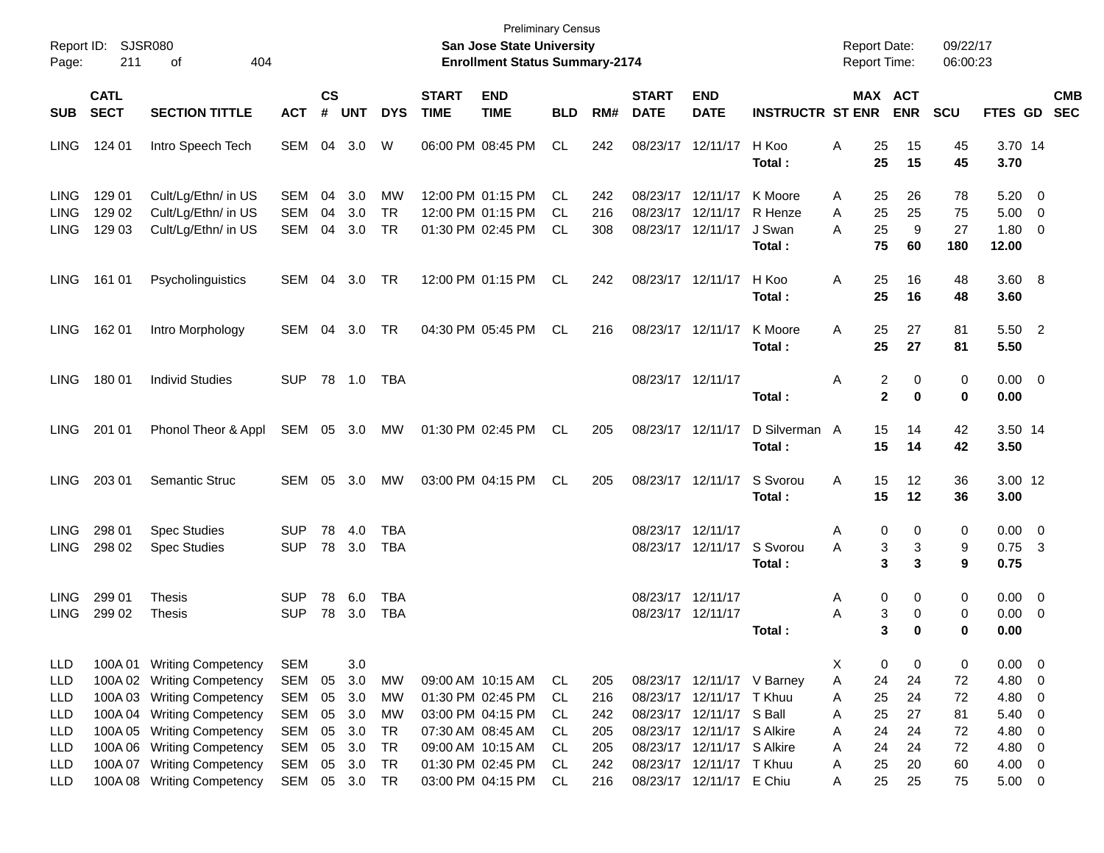| Page:       | Report ID: SJSR080<br>211<br>404<br>οf |                            |            |                    |            |            |                             | <b>Preliminary Census</b><br>San Jose State University<br><b>Enrollment Status Summary-2174</b> |            |     |                             |                            |                         | <b>Report Date:</b><br><b>Report Time:</b> |                       |               | 09/22/17<br>06:00:23 |                        |                          |            |
|-------------|----------------------------------------|----------------------------|------------|--------------------|------------|------------|-----------------------------|-------------------------------------------------------------------------------------------------|------------|-----|-----------------------------|----------------------------|-------------------------|--------------------------------------------|-----------------------|---------------|----------------------|------------------------|--------------------------|------------|
| <b>SUB</b>  | <b>CATL</b><br><b>SECT</b>             | <b>SECTION TITTLE</b>      | <b>ACT</b> | $\mathsf{cs}$<br># | <b>UNT</b> | <b>DYS</b> | <b>START</b><br><b>TIME</b> | <b>END</b><br><b>TIME</b>                                                                       | <b>BLD</b> | RM# | <b>START</b><br><b>DATE</b> | <b>END</b><br><b>DATE</b>  | <b>INSTRUCTR ST ENR</b> |                                            | MAX ACT<br><b>ENR</b> |               | <b>SCU</b>           | FTES GD SEC            |                          | <b>CMB</b> |
|             |                                        |                            |            |                    |            |            |                             |                                                                                                 |            |     |                             |                            |                         |                                            |                       |               |                      |                        |                          |            |
| <b>LING</b> | 124 01                                 | Intro Speech Tech          | SEM        | 04                 | 3.0        | W          |                             | 06:00 PM 08:45 PM                                                                               | <b>CL</b>  | 242 |                             | 08/23/17 12/11/17          | H Koo<br>Total :        | Α                                          | 25<br>25              | 15<br>15      | 45<br>45             | 3.70 14<br>3.70        |                          |            |
| <b>LING</b> | 129 01                                 | Cult/Lg/Ethn/ in US        | SEM        | 04                 | 3.0        | MW         |                             | 12:00 PM 01:15 PM                                                                               | CL         | 242 |                             | 08/23/17 12/11/17          | K Moore                 | Α                                          | 25                    | 26            | 78                   | 5.20                   | $\overline{\mathbf{0}}$  |            |
| <b>LING</b> | 129 02                                 | Cult/Lg/Ethn/ in US        | <b>SEM</b> | 04                 | 3.0        | <b>TR</b>  |                             | 12:00 PM 01:15 PM                                                                               | CL         | 216 |                             | 08/23/17 12/11/17          | R Henze                 | Α                                          | 25                    | 25            | 75                   | 5.00                   | $\overline{0}$           |            |
| <b>LING</b> | 129 03                                 | Cult/Lg/Ethn/ in US        | SEM        | 04                 | 3.0        | <b>TR</b>  |                             | 01:30 PM 02:45 PM                                                                               | <b>CL</b>  | 308 |                             | 08/23/17 12/11/17          | J Swan                  | Α                                          | 25                    | 9             | 27                   | 1.80                   | $\overline{\mathbf{0}}$  |            |
|             |                                        |                            |            |                    |            |            |                             |                                                                                                 |            |     |                             |                            | Total:                  |                                            | 75                    | 60            | 180                  | 12.00                  |                          |            |
| <b>LING</b> | 161 01                                 | Psycholinguistics          | SEM        | 04                 | 3.0        | TR         |                             | 12:00 PM 01:15 PM                                                                               | CL         | 242 |                             | 08/23/17 12/11/17          | H Koo<br>Total:         | Α                                          | 25<br>25              | 16<br>16      | 48<br>48             | 3.60 8<br>3.60         |                          |            |
| <b>LING</b> | 162 01                                 | Intro Morphology           | SEM        | 04                 | 3.0        | TR         |                             | 04:30 PM 05:45 PM                                                                               | CL         | 216 |                             | 08/23/17 12/11/17          | K Moore<br>Total:       | Α                                          | 27<br>25<br>25        | 27            | 81<br>81             | 5.50 2<br>5.50         |                          |            |
| <b>LING</b> | 180 01                                 | <b>Individ Studies</b>     | SUP        |                    | 78 1.0     | TBA        |                             |                                                                                                 |            |     | 08/23/17 12/11/17           |                            | Total:                  | Α                                          | 2<br>$\mathbf{2}$     | 0<br>$\bf{0}$ | 0<br>0               | $0.00 \quad 0$<br>0.00 |                          |            |
| <b>LING</b> | 201 01                                 | Phonol Theor & Appl        | SEM 05 3.0 |                    |            | MW         |                             | 01:30 PM 02:45 PM                                                                               | CL         | 205 |                             | 08/23/17 12/11/17          | D Silverman A<br>Total: |                                            | 15<br>15              | 14<br>14      | 42<br>42             | 3.50 14<br>3.50        |                          |            |
| <b>LING</b> | 203 01                                 | Semantic Struc             | SEM        | 05                 | 3.0        | МW         |                             | 03:00 PM 04:15 PM                                                                               | CL         | 205 |                             | 08/23/17 12/11/17          | S Svorou<br>Total:      | Α                                          | 15<br>15              | 12<br>12      | 36<br>36             | 3.00 12<br>3.00        |                          |            |
| <b>LING</b> | 298 01                                 | <b>Spec Studies</b>        | <b>SUP</b> | 78                 | 4.0        | TBA        |                             |                                                                                                 |            |     | 08/23/17 12/11/17           |                            |                         | Α                                          | 0                     | 0             | 0                    | $0.00 \quad 0$         |                          |            |
| <b>LING</b> | 298 02                                 | <b>Spec Studies</b>        | <b>SUP</b> | 78                 | 3.0        | <b>TBA</b> |                             |                                                                                                 |            |     |                             | 08/23/17 12/11/17          | S Svorou                | Α                                          | 3                     | 3             | 9                    | $0.75$ 3               |                          |            |
|             |                                        |                            |            |                    |            |            |                             |                                                                                                 |            |     |                             |                            | Total:                  |                                            | 3                     | 3             | 9                    | 0.75                   |                          |            |
| <b>LING</b> | 299 01                                 | <b>Thesis</b>              | <b>SUP</b> | 78                 | 6.0        | TBA        |                             |                                                                                                 |            |     | 08/23/17 12/11/17           |                            |                         | A                                          | 0                     | 0             | 0                    | 0.00                   | $\overline{\mathbf{0}}$  |            |
| LING        | 299 02                                 | <b>Thesis</b>              | <b>SUP</b> | 78                 | 3.0        | <b>TBA</b> |                             |                                                                                                 |            |     | 08/23/17 12/11/17           |                            |                         | Α                                          | 3                     | 0             | 0                    | 0.00                   | $\overline{\mathbf{0}}$  |            |
|             |                                        |                            |            |                    |            |            |                             |                                                                                                 |            |     |                             |                            | Total:                  |                                            | 3                     | 0             | 0                    | 0.00                   |                          |            |
| LLD         |                                        | 100A 01 Writing Competency | <b>SEM</b> |                    | 3.0        |            |                             |                                                                                                 |            |     |                             |                            |                         | X                                          | 0                     | 0             | 0                    | 0.00                   | $\overline{\mathbf{0}}$  |            |
| <b>LLD</b>  |                                        | 100A 02 Writing Competency | SEM        | 05                 | 3.0        | <b>MW</b>  |                             | 09:00 AM 10:15 AM                                                                               | CL.        | 205 |                             | 08/23/17 12/11/17 V Barney |                         | Α                                          | 24                    | 24            | 72                   | 4.80                   | 0                        |            |
| <b>LLD</b>  |                                        | 100A 03 Writing Competency | SEM        | 05                 | 3.0        | <b>MW</b>  |                             | 01:30 PM 02:45 PM                                                                               | CL.        | 216 |                             | 08/23/17 12/11/17 TKhuu    |                         | Α                                          | 25                    | 24            | 72                   | 4.80                   | $\mathbf 0$              |            |
| <b>LLD</b>  |                                        | 100A 04 Writing Competency | <b>SEM</b> | 05                 | 3.0        | <b>MW</b>  |                             | 03:00 PM 04:15 PM                                                                               | CL         | 242 |                             | 08/23/17 12/11/17 S Ball   |                         | Α                                          | 25                    | 27            | 81                   | 5.40                   | $\mathbf 0$              |            |
| <b>LLD</b>  |                                        | 100A 05 Writing Competency | SEM        | 05                 | 3.0        | <b>TR</b>  |                             | 07:30 AM 08:45 AM                                                                               | CL.        | 205 |                             | 08/23/17 12/11/17 S Alkire |                         | Α                                          | 24                    | 24            | 72                   | 4.80                   | 0                        |            |
| <b>LLD</b>  |                                        | 100A 06 Writing Competency | SEM        | 05                 | 3.0        | <b>TR</b>  |                             | 09:00 AM 10:15 AM                                                                               | CL.        | 205 |                             | 08/23/17 12/11/17 S Alkire |                         | Α                                          | 24                    | 24            | 72                   | 4.80                   | $\mathbf 0$              |            |
| <b>LLD</b>  |                                        | 100A 07 Writing Competency | SEM        | 05                 | 3.0        | <b>TR</b>  |                             | 01:30 PM 02:45 PM                                                                               | CL.        | 242 |                             | 08/23/17 12/11/17 T Khuu   |                         | Α                                          | 25                    | 20            | 60                   | 4.00                   | $\overline{\phantom{0}}$ |            |
| <b>LLD</b>  |                                        | 100A 08 Writing Competency | SEM        |                    | 05 3.0 TR  |            |                             | 03:00 PM 04:15 PM                                                                               | CL         | 216 |                             | 08/23/17 12/11/17 E Chiu   |                         | A                                          | 25                    | 25            | 75                   | $5.00 \t 0$            |                          |            |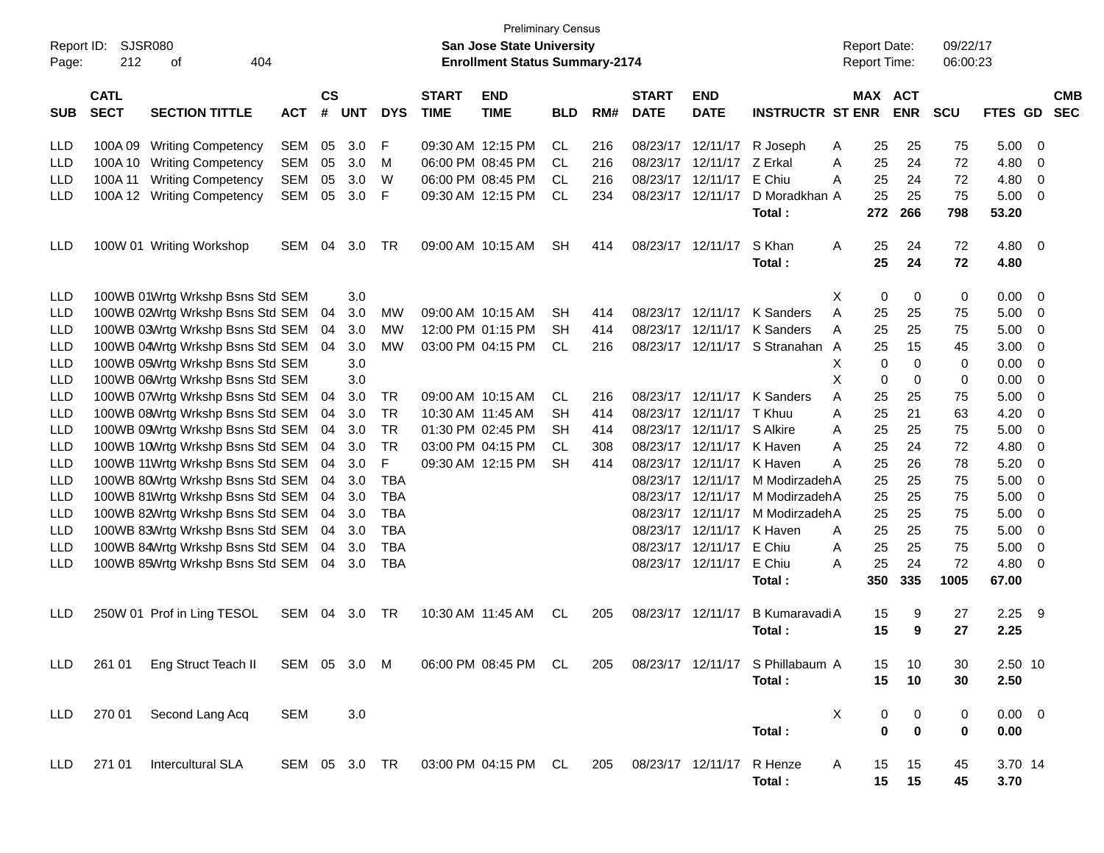| Report ID:<br>Page: | SJSR080<br>212             | 404<br>οf                                                                                             |            |                    |            |            |                             | <b>Preliminary Census</b><br>San Jose State University<br><b>Enrollment Status Summary-2174</b> |            |     |                             |                           |                         |   |             | <b>Report Date:</b><br><b>Report Time:</b> | 09/22/17<br>06:00:23 |                |             |                          |
|---------------------|----------------------------|-------------------------------------------------------------------------------------------------------|------------|--------------------|------------|------------|-----------------------------|-------------------------------------------------------------------------------------------------|------------|-----|-----------------------------|---------------------------|-------------------------|---|-------------|--------------------------------------------|----------------------|----------------|-------------|--------------------------|
| <b>SUB</b>          | <b>CATL</b><br><b>SECT</b> | <b>SECTION TITTLE</b>                                                                                 | <b>ACT</b> | $\mathsf{cs}$<br># | <b>UNT</b> | <b>DYS</b> | <b>START</b><br><b>TIME</b> | <b>END</b><br><b>TIME</b>                                                                       | <b>BLD</b> | RM# | <b>START</b><br><b>DATE</b> | <b>END</b><br><b>DATE</b> | <b>INSTRUCTR ST ENR</b> |   |             | <b>MAX ACT</b><br><b>ENR</b>               | <b>SCU</b>           | <b>FTES GD</b> |             | <b>CMB</b><br><b>SEC</b> |
| LLD                 | 100A 09                    | <b>Writing Competency</b>                                                                             | SEM        | 05                 | 3.0        | F          |                             | 09:30 AM 12:15 PM                                                                               | CL.        | 216 |                             | 08/23/17 12/11/17         | R Joseph                | A | 25          | 25                                         | 75                   | 5.00           | 0           |                          |
| <b>LLD</b>          |                            | 100A 10 Writing Competency                                                                            | <b>SEM</b> | 05                 | 3.0        | м          |                             | 06:00 PM 08:45 PM                                                                               | CL         | 216 |                             | 08/23/17 12/11/17         | Z Erkal                 | A | 25          | 24                                         | 72                   | 4.80           | 0           |                          |
| LLD                 | 100A 11                    | <b>Writing Competency</b>                                                                             | <b>SEM</b> | 05                 | 3.0        | W          |                             | 06:00 PM 08:45 PM                                                                               | CL.        | 216 | 08/23/17 12/11/17           |                           | E Chiu                  | A | 25          | 24                                         | 72                   | 4.80           | 0           |                          |
| LLD                 |                            | 100A 12 Writing Competency                                                                            | <b>SEM</b> | 05                 | 3.0        | F          |                             | 09:30 AM 12:15 PM                                                                               | CL.        | 234 | 08/23/17 12/11/17           |                           | D Moradkhan A           |   | 25          | 25                                         | 75                   | 5.00           | 0           |                          |
|                     |                            |                                                                                                       |            |                    |            |            |                             |                                                                                                 |            |     |                             |                           | Total:                  |   | 272         | 266                                        | 798                  | 53.20          |             |                          |
| LLD                 |                            | 100W 01 Writing Workshop                                                                              | SEM        | 04                 | 3.0        | TR         |                             | 09:00 AM 10:15 AM                                                                               | <b>SH</b>  | 414 | 08/23/17 12/11/17           |                           | S Khan                  | A | 25          | 24                                         | 72                   | 4.80           | $\mathbf 0$ |                          |
|                     |                            |                                                                                                       |            |                    |            |            |                             |                                                                                                 |            |     |                             |                           | Total:                  |   | 25          | 24                                         | 72                   | 4.80           |             |                          |
| <b>LLD</b>          |                            | 100WB 01Wrtg Wrkshp Bsns Std SEM                                                                      |            |                    | 3.0        |            |                             |                                                                                                 |            |     |                             |                           |                         | Χ | 0           | 0                                          | 0                    | 0.00           | 0           |                          |
| <b>LLD</b>          |                            | 100WB 02Wrtg Wrkshp Bsns Std SEM                                                                      |            | 04                 | 3.0        | МW         |                             | 09:00 AM 10:15 AM                                                                               | SН         | 414 | 08/23/17 12/11/17           |                           | K Sanders               | A | 25          | 25                                         | 75                   | 5.00           | 0           |                          |
| LLD                 |                            | 100WB 03Wrtg Wrkshp Bsns Std SEM                                                                      |            | 04                 | 3.0        | MW         |                             | 12:00 PM 01:15 PM                                                                               | <b>SH</b>  | 414 |                             | 08/23/17 12/11/17         | K Sanders               | A | 25          | 25                                         | 75                   | 5.00           | 0           |                          |
| LLD                 |                            | 100WB 04Wrtg Wrkshp Bsns Std SEM                                                                      |            | 04                 | 3.0        | MW         |                             | 03:00 PM 04:15 PM                                                                               | CL         | 216 |                             | 08/23/17 12/11/17         | S Stranahan A           |   | 25          | 15                                         | 45                   | 3.00           | 0           |                          |
| <b>LLD</b>          |                            | 100WB 05Wrtg Wrkshp Bsns Std SEM                                                                      |            |                    | 3.0        |            |                             |                                                                                                 |            |     |                             |                           |                         | Χ | 0           | $\mathbf 0$                                | 0                    | 0.00           | 0           |                          |
| <b>LLD</b>          |                            | 100WB 06Wrtg Wrkshp Bsns Std SEM                                                                      |            |                    | 3.0        |            |                             |                                                                                                 |            |     |                             |                           |                         | X | 0           | $\mathbf 0$                                | 0                    | 0.00           | 0           |                          |
| <b>LLD</b>          |                            | 100WB 07Wrtg Wrkshp Bsns Std SEM                                                                      |            | 04                 | 3.0        | TR         |                             | 09:00 AM 10:15 AM                                                                               | CL         | 216 | 08/23/17 12/11/17           |                           | K Sanders               | Α | 25          | 25                                         | 75                   | 5.00           | 0           |                          |
| <b>LLD</b>          |                            | 100WB 08Wrtg Wrkshp Bsns Std SEM                                                                      |            | 04                 | 3.0        | <b>TR</b>  |                             | 10:30 AM 11:45 AM                                                                               | <b>SH</b>  | 414 | 08/23/17 12/11/17           |                           | T Khuu                  | Α | 25          | 21                                         | 63                   | 4.20           | 0           |                          |
| <b>LLD</b>          |                            | 100WB 09Wrtg Wrkshp Bsns Std SEM                                                                      |            | 04                 | 3.0        | <b>TR</b>  |                             | 01:30 PM 02:45 PM                                                                               | <b>SH</b>  | 414 | 08/23/17 12/11/17           |                           | S Alkire                | Α | 25          | 25                                         | 75                   | 5.00           | 0           |                          |
| <b>LLD</b>          |                            | 100WB 10Wrtg Wrkshp Bsns Std SEM                                                                      |            | 04                 | 3.0        | <b>TR</b>  |                             | 03:00 PM 04:15 PM                                                                               | CL         | 308 |                             | 08/23/17 12/11/17         | K Haven                 | A | 25          | 24                                         | 72                   | 4.80           | 0           |                          |
| <b>LLD</b>          |                            | 100WB 11Wrtg Wrkshp Bsns Std SEM                                                                      |            | 04                 | 3.0        | F          |                             | 09:30 AM 12:15 PM                                                                               | <b>SH</b>  | 414 |                             | 08/23/17 12/11/17         | K Haven                 | Α | 25          | 26                                         | 78                   | 5.20           | 0           |                          |
| <b>LLD</b>          |                            | 100WB 80Wrtg Wrkshp Bsns Std SEM                                                                      |            | 04                 | 3.0        | <b>TBA</b> |                             |                                                                                                 |            |     |                             | 08/23/17 12/11/17         | M ModirzadehA           |   | 25          | 25                                         | 75                   | 5.00           | 0           |                          |
| <b>LLD</b>          |                            | 100WB 81Wrtg Wrkshp Bsns Std SEM                                                                      |            | 04                 | 3.0        | <b>TBA</b> |                             |                                                                                                 |            |     | 08/23/17                    | 12/11/17                  | M Modirzadeh A          |   | 25          | 25                                         | 75                   | 5.00           | 0           |                          |
| <b>LLD</b>          |                            | 100WB 82Wrtg Wrkshp Bsns Std SEM                                                                      |            | 04                 | 3.0        | <b>TBA</b> |                             |                                                                                                 |            |     | 08/23/17                    | 12/11/17                  | M Modirzadeh A          |   | 25          | 25                                         | 75                   | 5.00           | 0           |                          |
| <b>LLD</b>          |                            | 100WB 83Wrtg Wrkshp Bsns Std SEM                                                                      |            | 04                 | 3.0        | <b>TBA</b> |                             |                                                                                                 |            |     | 08/23/17                    | 12/11/17                  | K Haven                 | A | 25          | 25                                         | 75                   | 5.00           | 0           |                          |
| LLD                 |                            | 100WB 84Wrtg Wrkshp Bsns Std SEM                                                                      |            | 04                 | 3.0        | <b>TBA</b> |                             |                                                                                                 |            |     |                             | 08/23/17 12/11/17         | E Chiu                  | A | 25          | 25                                         | 75                   | 5.00           | 0           |                          |
| LLD                 |                            | 100WB 85Wrtg Wrkshp Bsns Std SEM                                                                      |            | 04                 | 3.0        | <b>TBA</b> |                             |                                                                                                 |            |     |                             | 08/23/17 12/11/17         | E Chiu                  | Α | 25          | 24                                         | 72                   | 4.80           | 0           |                          |
|                     |                            |                                                                                                       |            |                    |            |            |                             |                                                                                                 |            |     |                             |                           | Total:                  |   | 350         | 335                                        | 1005                 | 67.00          |             |                          |
| <b>LLD</b>          |                            | 250W 01 Prof in Ling TESOL                                                                            | SEM        | 04                 | 3.0        | TR         | 10:30 AM 11:45 AM           |                                                                                                 | CL         | 205 | 08/23/17 12/11/17           |                           | B Kumaravadi A          |   | 15          | 9                                          | 27                   | 2.25           | 9           |                          |
|                     |                            |                                                                                                       |            |                    |            |            |                             |                                                                                                 |            |     |                             |                           | Total:                  |   | 15          | 9                                          | 27                   | 2.25           |             |                          |
|                     |                            | LLD 261 01 Eng Struct Teach II SEM 05 3.0 M 06:00 PM 08:45 PM CL 205 08/23/17 12/11/17 S Phillabaum A |            |                    |            |            |                             |                                                                                                 |            |     |                             |                           |                         |   | 15          | 10                                         | 30                   | 2.50 10        |             |                          |
|                     |                            |                                                                                                       |            |                    |            |            |                             |                                                                                                 |            |     |                             |                           | Total:                  |   | 15          | 10                                         | 30                   | 2.50           |             |                          |
| LLD -               |                            | 270 01 Second Lang Acq                                                                                | SEM        |                    | 3.0        |            |                             |                                                                                                 |            |     |                             |                           |                         | Χ | 0           | $\boldsymbol{0}$                           | 0                    | $0.00 \t 0$    |             |                          |
|                     |                            |                                                                                                       |            |                    |            |            |                             |                                                                                                 |            |     |                             |                           | Total:                  |   | $\mathbf 0$ | $\bf{0}$                                   | 0                    | 0.00           |             |                          |
| LLD.                |                            | 271 01 Intercultural SLA                                                                              |            |                    |            |            |                             | SEM 05 3.0 TR 03:00 PM 04:15 PM CL 205 08/23/17 12/11/17                                        |            |     |                             |                           | R Henze                 | A | 15          | 15                                         | 45                   | 3.70 14        |             |                          |
|                     |                            |                                                                                                       |            |                    |            |            |                             |                                                                                                 |            |     |                             |                           | Total:                  |   |             | $15 \qquad 15$                             | 45                   | 3.70           |             |                          |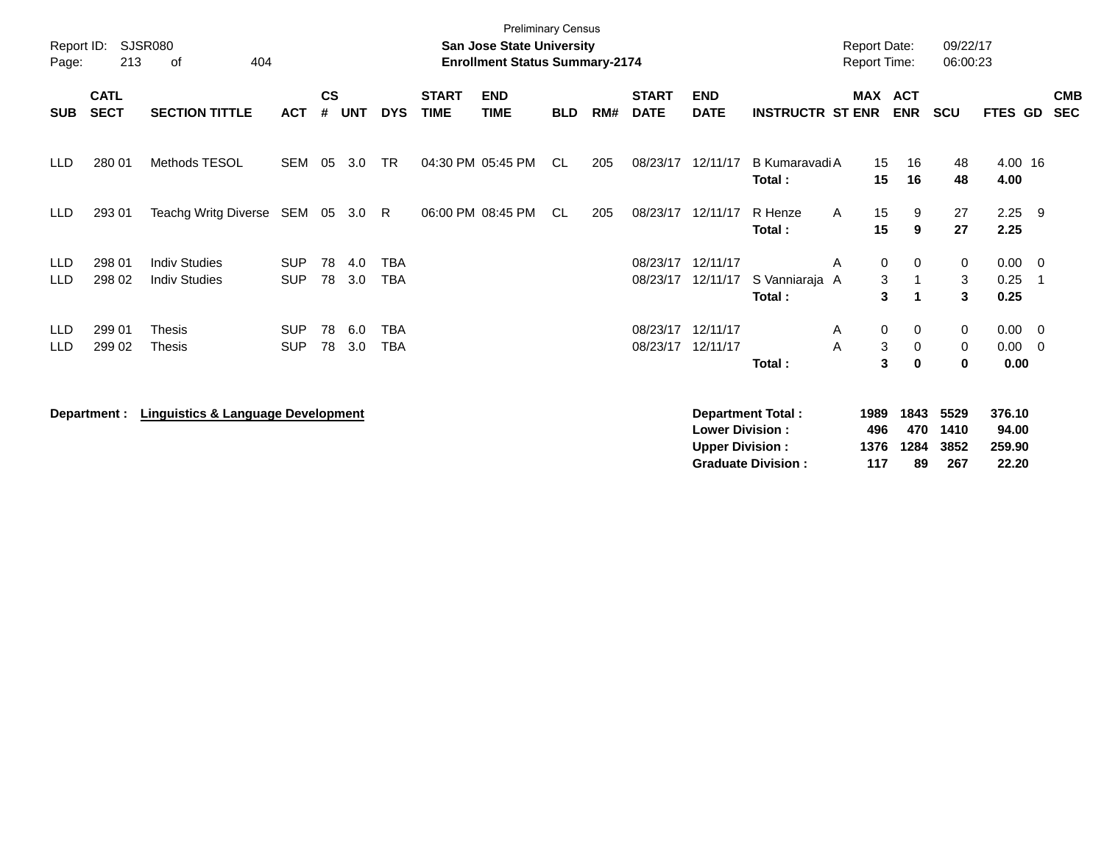| Report ID:<br>Page:      | 213                        | SJSR080<br>404<br>οf                          |                          |                    |            |                          |                             | <b>Preliminary Census</b><br><b>San Jose State University</b><br><b>Enrollment Status Summary-2174</b> |            |     |                             |                                                  |                                                       |        | <b>Report Date:</b><br>Report Time: |                           | 09/22/17<br>06:00:23              |                                    |                |                          |
|--------------------------|----------------------------|-----------------------------------------------|--------------------------|--------------------|------------|--------------------------|-----------------------------|--------------------------------------------------------------------------------------------------------|------------|-----|-----------------------------|--------------------------------------------------|-------------------------------------------------------|--------|-------------------------------------|---------------------------|-----------------------------------|------------------------------------|----------------|--------------------------|
| <b>SUB</b>               | <b>CATL</b><br><b>SECT</b> | <b>SECTION TITTLE</b>                         | <b>ACT</b>               | $\mathsf{cs}$<br># | <b>UNT</b> | <b>DYS</b>               | <b>START</b><br><b>TIME</b> | <b>END</b><br><b>TIME</b>                                                                              | <b>BLD</b> | RM# | <b>START</b><br><b>DATE</b> | <b>END</b><br><b>DATE</b>                        | <b>INSTRUCTR ST ENR</b>                               |        | MAX ACT                             | <b>ENR</b>                | <b>SCU</b>                        | <b>FTES GD</b>                     |                | <b>CMB</b><br><b>SEC</b> |
| <b>LLD</b>               | 280 01                     | Methods TESOL                                 | SEM                      | 05                 | 3.0        | <b>TR</b>                |                             | 04:30 PM 05:45 PM                                                                                      | CL.        | 205 | 08/23/17                    | 12/11/17                                         | B Kumaravadi A<br>Total:                              |        | 15<br>15                            | 16<br>16                  | 48<br>48                          | 4.00 16<br>4.00                    |                |                          |
| <b>LLD</b>               | 293 01                     | Teachg Writg Diverse SEM 05                   |                          |                    | 3.0        | - R                      |                             | 06:00 PM 08:45 PM                                                                                      | CL         | 205 | 08/23/17                    | 12/11/17                                         | R Henze<br>Total:                                     | A      | 15<br>15                            | 9<br>9                    | 27<br>27                          | 2.25<br>2.25                       | - 9            |                          |
| <b>LLD</b><br><b>LLD</b> | 298 01<br>298 02           | <b>Indiv Studies</b><br><b>Indiv Studies</b>  | <b>SUP</b><br><b>SUP</b> | 78<br>78           | 4.0<br>3.0 | <b>TBA</b><br><b>TBA</b> |                             |                                                                                                        |            |     | 08/23/17<br>08/23/17        | 12/11/17<br>12/11/17                             | S Vanniaraja A<br>Total:                              | A      | 0<br>3<br>3                         | 0<br>1                    | 0<br>3<br>$\overline{\mathbf{3}}$ | $0.00 \quad 0$<br>0.25<br>0.25     |                |                          |
| <b>LLD</b><br><b>LLD</b> | 299 01<br>299 02           | <b>Thesis</b><br>Thesis                       | <b>SUP</b><br><b>SUP</b> | 78<br>78           | 6.0<br>3.0 | <b>TBA</b><br><b>TBA</b> |                             |                                                                                                        |            |     | 08/23/17<br>08/23/17        | 12/11/17<br>12/11/17                             | Total:                                                | A<br>Α | 0<br>3<br>3                         | 0<br>0<br>$\bf{0}$        | $\mathbf 0$<br>0<br>$\bf{0}$      | $0.00 \t 0$<br>0.00<br>0.00        | $\overline{0}$ |                          |
|                          | Department :               | <b>Linguistics &amp; Language Development</b> |                          |                    |            |                          |                             |                                                                                                        |            |     |                             | <b>Lower Division:</b><br><b>Upper Division:</b> | <b>Department Total:</b><br><b>Graduate Division:</b> |        | 1989<br>496<br>1376<br>117          | 1843<br>470<br>1284<br>89 | 5529<br>1410<br>3852<br>267       | 376.10<br>94.00<br>259.90<br>22.20 |                |                          |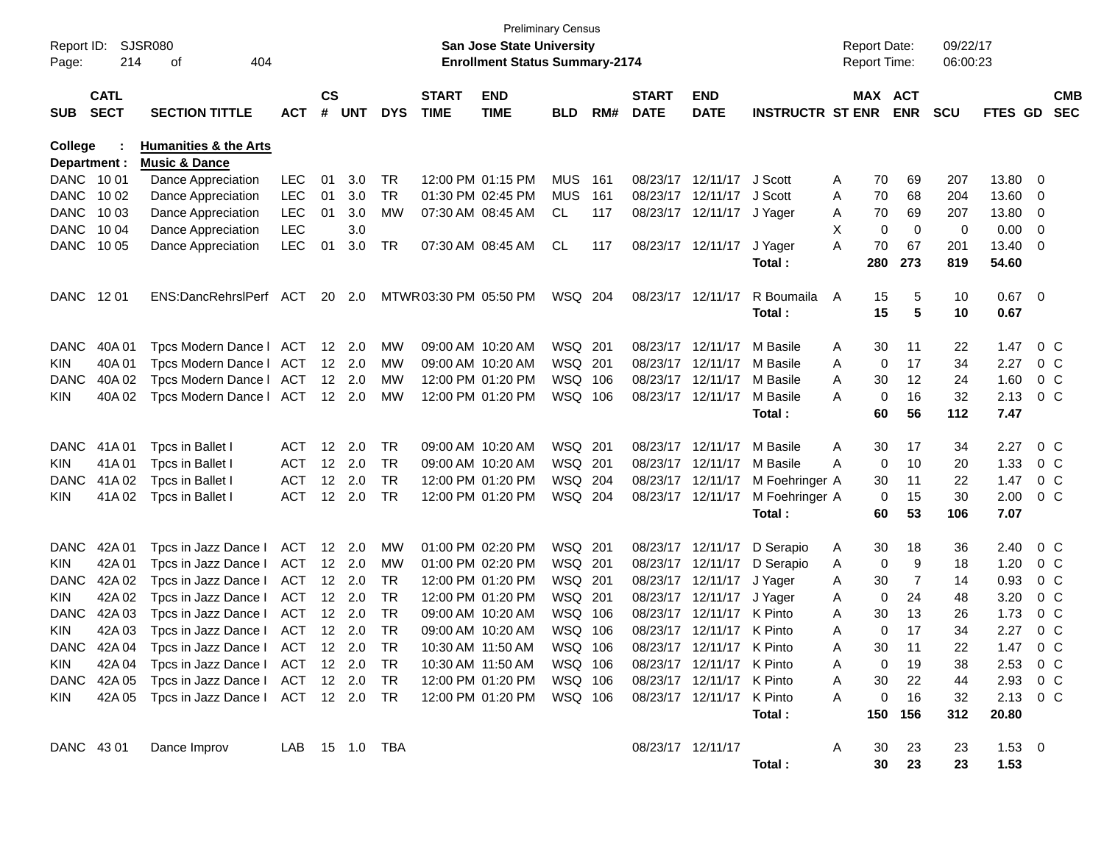| Report ID:<br>Page:     | 214                        | SJSR080<br>404<br>οf                                         |                |    |                |            |                             | <b>San Jose State University</b><br><b>Enrollment Status Summary-2174</b> | <b>Preliminary Census</b> |     |                             |                           |                         |    | <b>Report Date:</b><br><b>Report Time:</b> |            | 09/22/17<br>06:00:23 |                   |                          |                          |
|-------------------------|----------------------------|--------------------------------------------------------------|----------------|----|----------------|------------|-----------------------------|---------------------------------------------------------------------------|---------------------------|-----|-----------------------------|---------------------------|-------------------------|----|--------------------------------------------|------------|----------------------|-------------------|--------------------------|--------------------------|
| <b>SUB</b>              | <b>CATL</b><br><b>SECT</b> | <b>SECTION TITTLE</b>                                        | ACT            | CS | # UNT          | <b>DYS</b> | <b>START</b><br><b>TIME</b> | <b>END</b><br><b>TIME</b>                                                 | <b>BLD</b>                | RM# | <b>START</b><br><b>DATE</b> | <b>END</b><br><b>DATE</b> | <b>INSTRUCTR ST ENR</b> |    | MAX ACT                                    | <b>ENR</b> | <b>SCU</b>           | FTES GD           |                          | <b>CMB</b><br><b>SEC</b> |
| College<br>Department : |                            | <b>Humanities &amp; the Arts</b><br><b>Music &amp; Dance</b> |                |    |                |            |                             |                                                                           |                           |     |                             |                           |                         |    |                                            |            |                      |                   |                          |                          |
| DANC 1001               |                            | Dance Appreciation                                           | <b>LEC</b>     | 01 | 3.0            | TR         |                             | 12:00 PM 01:15 PM                                                         | <b>MUS</b>                | 161 | 08/23/17                    | 12/11/17                  | J Scott                 | A  | 70                                         | 69         | 207                  | 13.80             | 0                        |                          |
| <b>DANC</b>             | 10 02                      | Dance Appreciation                                           | <b>LEC</b>     | 01 | 3.0            | TR         |                             | 01:30 PM 02:45 PM                                                         | <b>MUS</b>                | 161 | 08/23/17                    | 12/11/17                  | J Scott                 | A  | 70                                         | 68         | 204                  | 13.60             | 0                        |                          |
| <b>DANC</b>             | 10 03                      | Dance Appreciation                                           | <b>LEC</b>     | 01 | 3.0            | MW         |                             | 07:30 AM 08:45 AM                                                         | CL                        | 117 | 08/23/17                    | 12/11/17 J Yager          |                         | Α  | 70                                         | 69         | 207                  | 13.80             | 0                        |                          |
| <b>DANC</b>             | 10 04                      | Dance Appreciation                                           | <b>LEC</b>     |    | 3.0            |            |                             |                                                                           |                           |     |                             |                           |                         | X. | 0                                          | 0          | 0                    | 0.00              | 0                        |                          |
| DANC                    | 10 05                      | Dance Appreciation                                           | <b>LEC</b>     | 01 | 3.0            | TR         |                             | 07:30 AM 08:45 AM                                                         | CL                        | 117 |                             | 08/23/17 12/11/17         | J Yager<br>Total:       | A  | 70<br>280                                  | 67<br>273  | 201<br>819           | 13.40<br>54.60    | 0                        |                          |
| DANC                    | 12 01                      | ENS:DancRehrslPerf                                           | ACT            | 20 | 2.0            |            | MTWR03:30 PM 05:50 PM       |                                                                           | WSQ 204                   |     | 08/23/17                    | 12/11/17                  | R Boumaila<br>Total:    | A  | 15<br>15                                   | 5<br>5     | 10<br>10             | 0.67<br>0.67      | $\overline{\phantom{0}}$ |                          |
| <b>DANC</b>             | 40A 01                     | Tpcs Modern Dance I                                          | ACT            |    | 12 2.0         | MW         | 09:00 AM 10:20 AM           |                                                                           | WSQ 201                   |     | 08/23/17                    | 12/11/17                  | M Basile                | A  | 30                                         | 11         | 22                   | 1.47              |                          | $0\,C$                   |
| <b>KIN</b>              | 40A01                      | Tpcs Modern Dance I                                          | <b>ACT</b>     |    | 12 2.0         | MW         | 09:00 AM 10:20 AM           |                                                                           | WSQ 201                   |     | 08/23/17                    | 12/11/17                  | M Basile                | A  | 0                                          | 17         | 34                   | 2.27              |                          | $0\,C$                   |
| DANC                    | 40A 02                     | Tpcs Modern Dance I                                          | <b>ACT</b>     |    | $12 \quad 2.0$ | МW         |                             | 12:00 PM 01:20 PM                                                         | WSQ 106                   |     | 08/23/17                    | 12/11/17                  | M Basile                | A  | 30                                         | 12         | 24                   | 1.60              |                          | $0\,C$                   |
| KIN.                    | 40A 02                     | Tpcs Modern Dance I                                          | <b>ACT</b>     |    | $12 \quad 2.0$ | МW         |                             | 12:00 PM 01:20 PM                                                         | WSQ 106                   |     |                             | 08/23/17 12/11/17         | M Basile                | A  | 0                                          | 16         | 32                   | 2.13              |                          | $0\,C$                   |
|                         |                            |                                                              |                |    |                |            |                             |                                                                           |                           |     |                             |                           | Total:                  |    | 60                                         | 56         | 112                  | 7.47              |                          |                          |
| <b>DANC</b>             | 41A 01                     | Tpcs in Ballet I                                             | <b>ACT</b>     |    | 12 2.0         | TR         | 09:00 AM 10:20 AM           |                                                                           | WSQ 201                   |     | 08/23/17                    | 12/11/17                  | M Basile                | A  | 30                                         | 17         | 34                   | 2.27              |                          | $0\,C$                   |
| <b>KIN</b>              | 41A01                      | Tpcs in Ballet I                                             | <b>ACT</b>     |    | 12 2.0         | TR         | 09:00 AM 10:20 AM           |                                                                           | WSQ 201                   |     | 08/23/17                    | 12/11/17                  | M Basile                | A  | 0                                          | 10         | 20                   | 1.33              |                          | $0\,C$                   |
| DANC                    | 41A 02                     | Tpcs in Ballet I                                             | <b>ACT</b>     |    | 12 2.0         | <b>TR</b>  |                             | 12:00 PM 01:20 PM                                                         | WSQ 204                   |     | 08/23/17                    | 12/11/17                  | M Foehringer A          |    | 30                                         | -11        | 22                   | 1.47              |                          | $0\,C$                   |
| KIN.                    | 41A 02                     | Tpcs in Ballet I                                             | <b>ACT</b>     |    | 12 2.0         | TR         |                             | 12:00 PM 01:20 PM                                                         | WSQ 204                   |     |                             | 08/23/17 12/11/17         | M Foehringer A          |    | 0                                          | 15         | 30                   | 2.00              |                          | $0\,C$                   |
|                         |                            |                                                              |                |    |                |            |                             |                                                                           |                           |     |                             |                           | Total:                  |    | 60                                         | 53         | 106                  | 7.07              |                          |                          |
| <b>DANC</b>             | 42A 01                     | Tpcs in Jazz Dance I                                         | ACT            |    | 12 2.0         | MW         |                             | 01:00 PM 02:20 PM                                                         | WSQ 201                   |     | 08/23/17                    | 12/11/17                  | D Serapio               | A  | 30                                         | 18         | 36                   | 2.40              |                          | $0\,C$                   |
| <b>KIN</b>              | 42A 01                     | Tpcs in Jazz Dance I                                         | <b>ACT</b>     |    | 12 2.0         | MW         |                             | 01:00 PM 02:20 PM                                                         | WSQ 201                   |     | 08/23/17                    | 12/11/17                  | D Serapio               | A  | 0                                          | 9          | 18                   | 1.20              |                          | $0\,C$                   |
| DANC                    | 42A 02                     | Tpcs in Jazz Dance I                                         | <b>ACT</b>     |    | $12 \quad 2.0$ | TR         |                             | 12:00 PM 01:20 PM                                                         | WSQ 201                   |     | 08/23/17                    | 12/11/17                  | J Yager                 | A  | 30                                         | 7          | 14                   | 0.93              |                          | $0\,C$                   |
| <b>KIN</b>              | 42A 02                     | Tpcs in Jazz Dance I                                         | ACT            |    | $12 \quad 2.0$ | <b>TR</b>  |                             | 12:00 PM 01:20 PM                                                         | WSQ 201                   |     | 08/23/17                    | 12/11/17                  | J Yager                 | Α  | 0                                          | 24         | 48                   | 3.20              |                          | $0\,C$                   |
| <b>DANC</b>             | 42A 03                     | Tpcs in Jazz Dance I                                         | <b>ACT</b>     |    | $12 \quad 2.0$ | TR         | 09:00 AM 10:20 AM           |                                                                           | WSQ 106                   |     | 08/23/17                    | 12/11/17 K Pinto          |                         | A  | 30                                         | 13         | 26                   | 1.73              |                          | $0\,C$                   |
| <b>KIN</b>              | 42A 03                     | Tpcs in Jazz Dance I                                         | <b>ACT</b>     |    | 12 2.0         | <b>TR</b>  | 09:00 AM 10:20 AM           |                                                                           | WSQ 106                   |     | 08/23/17                    | 12/11/17 K Pinto          |                         | A  | 0                                          | 17         | 34                   | 2.27              |                          | $0\,C$                   |
|                         |                            | DANC 42A 04 Tpcs in Jazz Dance I ACT 12 2.0                  |                |    |                | TR         |                             | 10:30 AM 11:50 AM                                                         | WSQ 106                   |     |                             | 08/23/17 12/11/17 K Pinto |                         | А  | 30                                         | 11         | 22                   | 1.47              |                          | $0\,C$                   |
| KIN.                    |                            | 42A 04 Tpcs in Jazz Dance I ACT 12 2.0 TR                    |                |    |                |            | 10:30 AM 11:50 AM           |                                                                           | WSQ 106                   |     |                             | 08/23/17 12/11/17 K Pinto |                         | Α  | 0                                          | 19         | 38                   | $2.53 \t 0 C$     |                          |                          |
|                         |                            | DANC 42A 05 Tpcs in Jazz Dance   ACT 12 2.0                  |                |    |                | TR         |                             | 12:00 PM 01:20 PM                                                         | WSQ 106                   |     |                             | 08/23/17 12/11/17 K Pinto |                         | A  | 30                                         | 22         | 44                   | 2.93 0 C          |                          |                          |
| KIN.                    |                            | 42A 05 Tpcs in Jazz Dance   ACT 12 2.0 TR                    |                |    |                |            |                             | 12:00 PM 01:20 PM                                                         | WSQ 106                   |     |                             | 08/23/17 12/11/17 K Pinto | Total:                  | A  | 0<br>150                                   | 16<br>156  | 32<br>312            | 2.13 0 C<br>20.80 |                          |                          |
| DANC 43 01              |                            | Dance Improv                                                 | LAB 15 1.0 TBA |    |                |            |                             |                                                                           |                           |     | 08/23/17 12/11/17           |                           |                         | A  | 30                                         | 23         | 23                   | $1.53 \t 0$       |                          |                          |
|                         |                            |                                                              |                |    |                |            |                             |                                                                           |                           |     |                             |                           | Total:                  |    | 30                                         | 23         | 23                   | 1.53              |                          |                          |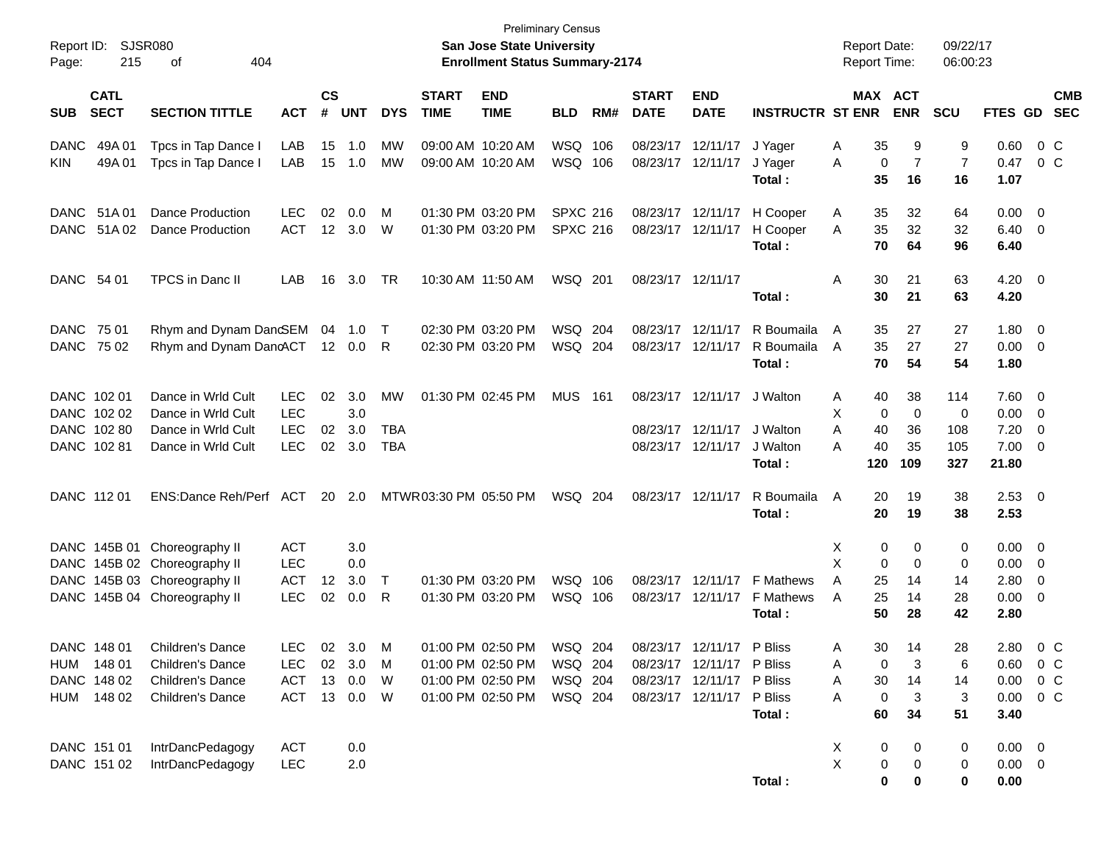| Report ID:<br>215<br>Page:               | SJSR080<br>404<br>οf         |              |                   |            |            |                             | <b>Preliminary Census</b><br><b>San Jose State University</b><br><b>Enrollment Status Summary-2174</b> |                 |       |                             |                           |                             | <b>Report Date:</b><br><b>Report Time:</b> |                      | 09/22/17<br>06:00:23 |                        |                          |
|------------------------------------------|------------------------------|--------------|-------------------|------------|------------|-----------------------------|--------------------------------------------------------------------------------------------------------|-----------------|-------|-----------------------------|---------------------------|-----------------------------|--------------------------------------------|----------------------|----------------------|------------------------|--------------------------|
| <b>CATL</b><br><b>SECT</b><br><b>SUB</b> | <b>SECTION TITTLE</b>        | <b>ACT</b>   | <b>CS</b><br>#    | <b>UNT</b> | <b>DYS</b> | <b>START</b><br><b>TIME</b> | <b>END</b><br><b>TIME</b>                                                                              | <b>BLD</b>      | RM#   | <b>START</b><br><b>DATE</b> | <b>END</b><br><b>DATE</b> | <b>INSTRUCTR ST ENR</b>     | MAX ACT                                    | <b>ENR</b>           | <b>SCU</b>           | FTES GD                | <b>CMB</b><br><b>SEC</b> |
| 49A 01<br><b>DANC</b>                    | Tpcs in Tap Dance I          | LAB          | 15                | 1.0        | МW         |                             | 09:00 AM 10:20 AM                                                                                      | WSQ 106         |       |                             | 08/23/17 12/11/17         | J Yager                     | 35<br>Α                                    | 9                    | 9                    | 0.60                   | 0 C                      |
| 49A01<br><b>KIN</b>                      | Tpcs in Tap Dance I          | LAB          | 15                | 1.0        | MW         |                             | 09:00 AM 10:20 AM                                                                                      | WSQ 106         |       |                             | 08/23/17 12/11/17         | J Yager<br>Total:           | A<br>0<br>35                               | $\overline{7}$<br>16 | $\overline{7}$<br>16 | 0.47<br>1.07           | $0\,$ C                  |
| DANC 51A 01                              | <b>Dance Production</b>      | <b>LEC</b>   | 02                | 0.0        | M          |                             | 01:30 PM 03:20 PM                                                                                      | <b>SPXC 216</b> |       |                             | 08/23/17 12/11/17         | H Cooper                    | 35<br>A                                    | 32                   | 64                   | $0.00 \t 0$            |                          |
| DANC<br>51A 02                           | <b>Dance Production</b>      | <b>ACT</b>   |                   | 12 3.0     | W          |                             | 01:30 PM 03:20 PM                                                                                      | <b>SPXC 216</b> |       |                             | 08/23/17 12/11/17         | H Cooper<br>Total:          | A<br>35<br>70                              | 32<br>64             | 32<br>96             | $6.40 \quad 0$<br>6.40 |                          |
| DANC 54 01                               | <b>TPCS</b> in Danc II       | LAB          | 16                | 3.0        | TR         |                             | 10:30 AM 11:50 AM                                                                                      | WSQ 201         |       | 08/23/17 12/11/17           |                           |                             | Α<br>30                                    | 21                   | 63                   | $4.20 \ 0$             |                          |
|                                          |                              |              |                   |            |            |                             |                                                                                                        |                 |       |                             |                           | Total:                      | 30                                         | 21                   | 63                   | 4.20                   |                          |
| DANC 75 01                               | Rhym and Dynam DanGEM 04 1.0 |              |                   |            | $\top$     |                             | 02:30 PM 03:20 PM                                                                                      | WSQ 204         |       |                             | 08/23/17 12/11/17         | R Boumaila                  | 35<br>A                                    | 27                   | 27                   | $1.80 \ 0$             |                          |
| DANC 75 02                               | Rhym and Dynam DancACT       |              |                   | 12  0.0    | R          |                             | 02:30 PM 03:20 PM                                                                                      | WSQ 204         |       |                             | 08/23/17 12/11/17         | R Boumaila<br>Total:        | 35<br>A<br>70                              | 27<br>54             | 27<br>54             | $0.00 \t 0$<br>1.80    |                          |
| DANC 102 01                              | Dance in Wrld Cult           | <b>LEC</b>   | 02                | 3.0        | MW         |                             | 01:30 PM 02:45 PM                                                                                      | <b>MUS</b>      | - 161 |                             | 08/23/17 12/11/17         | J Walton                    | 40<br>Α                                    | 38                   | 114                  | $7.60\quad 0$          |                          |
| DANC 102 02                              | Dance in Wrld Cult           | <b>LEC</b>   |                   | 3.0        |            |                             |                                                                                                        |                 |       |                             |                           |                             | X<br>$\mathbf 0$                           | $\mathbf 0$          | 0                    | 0.00                   | $\overline{\phantom{0}}$ |
| DANC 102 80                              | Dance in Wrld Cult           | <b>LEC</b>   | 02                | 3.0        | <b>TBA</b> |                             |                                                                                                        |                 |       |                             | 08/23/17 12/11/17         | J Walton                    | 40<br>Α                                    | 36                   | 108                  | 7.20                   | - 0                      |
| DANC 102 81                              | Dance in Wrld Cult           | <b>LEC</b>   | 02                | 3.0        | <b>TBA</b> |                             |                                                                                                        |                 |       |                             | 08/23/17 12/11/17         | J Walton<br>Total:          | 40<br>A<br>120                             | 35<br>109            | 105<br>327           | $7.00 \t 0$<br>21.80   |                          |
| DANC 112 01                              | ENS:Dance Reh/Perf ACT       |              |                   | 20 2.0     |            | MTWR 03:30 PM 05:50 PM      |                                                                                                        | WSQ 204         |       | 08/23/17 12/11/17           |                           | R Boumaila<br>Total:        | 20<br>A<br>20                              | 19<br>19             | 38<br>38             | $2.53$ 0<br>2.53       |                          |
|                                          | DANC 145B 01 Choreography II | <b>ACT</b>   |                   | 3.0        |            |                             |                                                                                                        |                 |       |                             |                           |                             | 0<br>х                                     | 0                    | 0                    | $0.00 \ 0$             |                          |
|                                          | DANC 145B 02 Choreography II | <b>LEC</b>   |                   | 0.0        |            |                             |                                                                                                        |                 |       |                             |                           |                             | X<br>0                                     | 0                    | 0                    | 0.00                   | $\overline{\mathbf{0}}$  |
|                                          | DANC 145B 03 Choreography II | <b>ACT</b>   | $12 \overline{ }$ | 3.0        | $\top$     |                             | 01:30 PM 03:20 PM                                                                                      | WSQ             | 106   |                             |                           | 08/23/17 12/11/17 F Mathews | Α<br>25                                    | 14                   | 14                   | 2.80                   | - 0                      |
|                                          | DANC 145B 04 Choreography II | <b>LEC</b>   | 02                | 0.0        | R          |                             | 01:30 PM 03:20 PM                                                                                      | WSQ 106         |       |                             | 08/23/17 12/11/17         | F Mathews                   | 25<br>A                                    | 14                   | 28                   | $0.00 \t 0$            |                          |
|                                          |                              |              |                   |            |            |                             |                                                                                                        |                 |       |                             |                           | Total:                      | 50                                         | 28                   | 42                   | 2.80                   |                          |
| DANC 148 01                              | Children's Dance             | <b>LEC</b>   |                   | 02 3.0     | M          |                             | 01:00 PM 02:50 PM                                                                                      | WSQ 204         |       |                             | 08/23/17 12/11/17 P Bliss |                             | 30<br>Α                                    | 14                   | 28                   | 2.80                   | $0\,$ C                  |
| HUM 148 01                               | Children's Dance             | <b>LEC</b>   | 02                | 3.0        | M          |                             | 01:00 PM 02:50 PM                                                                                      | WSQ 204         |       |                             | 08/23/17 12/11/17 P Bliss |                             | 0<br>Α                                     | 3                    | 6                    |                        | $0.60 \t 0 C$            |
| DANC 148 02                              | Children's Dance             | <b>ACT</b>   |                   | 13 0.0     | W          |                             | 01:00 PM 02:50 PM                                                                                      | WSQ 204         |       |                             | 08/23/17 12/11/17 P Bliss |                             | 30<br>Α                                    | 14                   | 14                   |                        | $0.00 \t 0 C$            |
| HUM 148 02                               | Children's Dance             | ACT 13 0.0 W |                   |            |            |                             | 01:00 PM 02:50 PM                                                                                      | WSQ 204         |       |                             | 08/23/17 12/11/17 P Bliss |                             | 0<br>Α                                     | 3                    | 3                    |                        | $0.00 \t 0 C$            |
|                                          |                              |              |                   |            |            |                             |                                                                                                        |                 |       |                             |                           | Total:                      | 60                                         | 34                   | 51                   | 3.40                   |                          |
| DANC 151 01                              | IntrDancPedagogy             | <b>ACT</b>   |                   | 0.0        |            |                             |                                                                                                        |                 |       |                             |                           |                             | X<br>0                                     | 0                    | 0                    | $0.00 \t 0$            |                          |
| DANC 151 02                              | IntrDancPedagogy             | <b>LEC</b>   |                   | 2.0        |            |                             |                                                                                                        |                 |       |                             |                           |                             | $\sf X$<br>0                               | 0                    | 0                    | $0.00 \t 0$            |                          |
|                                          |                              |              |                   |            |            |                             |                                                                                                        |                 |       |                             |                           | Total:                      | 0                                          | 0                    | 0                    | 0.00                   |                          |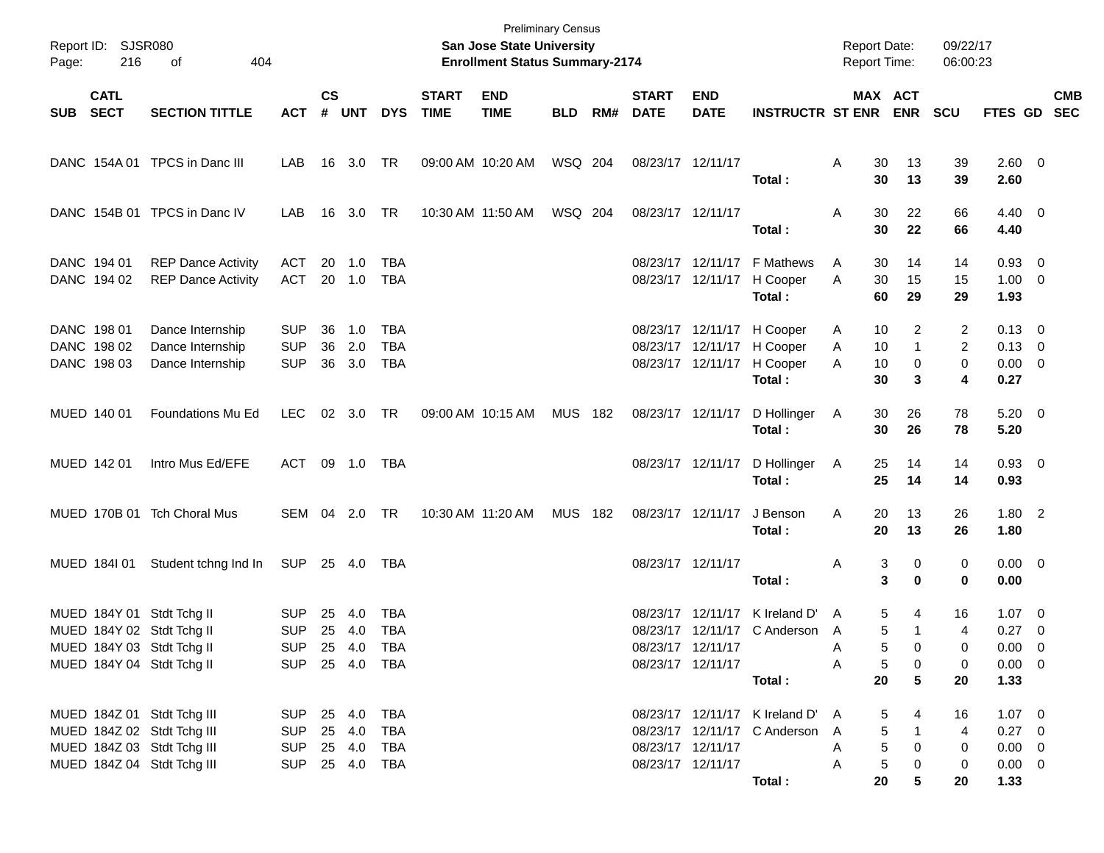| Report ID: SJSR080<br>Page:               | 216<br>404<br>of                                                                                                     |                                                              |               |                         |                                 |                             | <b>Preliminary Census</b><br>San Jose State University<br><b>Enrollment Status Summary-2174</b> |                |     |                             |                                        |                                                                                                  | <b>Report Date:</b><br>Report Time: |                                                                | 09/22/17<br>06:00:23                 |                                                                 |            |
|-------------------------------------------|----------------------------------------------------------------------------------------------------------------------|--------------------------------------------------------------|---------------|-------------------------|---------------------------------|-----------------------------|-------------------------------------------------------------------------------------------------|----------------|-----|-----------------------------|----------------------------------------|--------------------------------------------------------------------------------------------------|-------------------------------------|----------------------------------------------------------------|--------------------------------------|-----------------------------------------------------------------|------------|
| <b>CATL</b><br>SUB SECT                   | <b>SECTION TITTLE</b>                                                                                                | <b>ACT</b>                                                   | $\mathsf{cs}$ | # UNT                   | <b>DYS</b>                      | <b>START</b><br><b>TIME</b> | <b>END</b><br><b>TIME</b>                                                                       | <b>BLD</b>     | RM# | <b>START</b><br><b>DATE</b> | <b>END</b><br><b>DATE</b>              | <b>INSTRUCTR ST ENR ENR</b>                                                                      |                                     | MAX ACT                                                        | <b>SCU</b>                           | FTES GD SEC                                                     | <b>CMB</b> |
|                                           | DANC 154A 01 TPCS in Danc III                                                                                        | LAB                                                          |               | 16 3.0 TR               |                                 |                             | 09:00 AM 10:20 AM                                                                               | WSQ 204        |     |                             | 08/23/17 12/11/17                      | Total :                                                                                          | Α<br>30<br>30                       | 13<br>13                                                       | 39<br>39                             | 2.60 0<br>2.60                                                  |            |
|                                           | DANC 154B 01 TPCS in Danc IV                                                                                         | LAB                                                          |               | 16 3.0                  | TR                              |                             | 10:30 AM 11:50 AM                                                                               | WSQ 204        |     |                             | 08/23/17 12/11/17                      | Total :                                                                                          | 30<br>Α<br>30                       | 22<br>22                                                       | 66<br>66                             | $4.40 \quad 0$<br>4.40                                          |            |
| DANC 194 01<br>DANC 194 02                | <b>REP Dance Activity</b><br><b>REP Dance Activity</b>                                                               | <b>ACT</b><br>ACT                                            |               | 20 1.0<br>20 1.0        | TBA<br><b>TBA</b>               |                             |                                                                                                 |                |     |                             |                                        | 08/23/17 12/11/17 F Mathews<br>08/23/17 12/11/17 H Cooper<br>Total:                              | A<br>30<br>30<br>A<br>60            | 14<br>15<br>29                                                 | 14<br>15<br>29                       | $0.93 \ 0$<br>$1.00 \t 0$<br>1.93                               |            |
| DANC 198 01<br>DANC 198 02<br>DANC 198 03 | Dance Internship<br>Dance Internship<br>Dance Internship                                                             | <b>SUP</b><br><b>SUP</b><br><b>SUP</b>                       | 36            | 1.0<br>36 2.0<br>36 3.0 | TBA<br><b>TBA</b><br><b>TBA</b> |                             |                                                                                                 |                |     |                             |                                        | 08/23/17 12/11/17 H Cooper<br>08/23/17 12/11/17 H Cooper<br>08/23/17 12/11/17 H Cooper<br>Total: | 10<br>Α<br>10<br>A<br>10<br>A<br>30 | 2<br>1<br>0<br>3                                               | 2<br>2<br>0<br>4                     | $0.13 \ 0$<br>$0.13 \quad 0$<br>$0.00 \t 0$<br>0.27             |            |
| MUED 140 01                               | Foundations Mu Ed                                                                                                    | LEC                                                          |               | 02 3.0 TR               |                                 |                             | 09:00 AM 10:15 AM                                                                               | MUS 182        |     |                             | 08/23/17 12/11/17                      | D Hollinger<br>Total:                                                                            | 30<br>A<br>30                       | 26<br>26                                                       | 78<br>78                             | $5.20 \t 0$<br>5.20                                             |            |
| MUED 142 01                               | Intro Mus Ed/EFE                                                                                                     | <b>ACT</b>                                                   |               | 09 1.0 TBA              |                                 |                             |                                                                                                 |                |     |                             | 08/23/17 12/11/17                      | D Hollinger<br>Total:                                                                            | 25<br>A<br>25                       | 14<br>14                                                       | 14<br>14                             | $0.93 \ 0$<br>0.93                                              |            |
|                                           | MUED 170B 01 Tch Choral Mus                                                                                          | SEM 04 2.0                                                   |               |                         | TR                              |                             | 10:30 AM 11:20 AM                                                                               | <b>MUS 182</b> |     |                             | 08/23/17 12/11/17                      | J Benson<br>Total :                                                                              | Α<br>20<br>20                       | 13<br>13                                                       | 26<br>26                             | $1.80$ 2<br>1.80                                                |            |
|                                           | MUED 1841 01 Student tchng Ind In                                                                                    | SUP 25 4.0                                                   |               |                         | TBA                             |                             |                                                                                                 |                |     |                             | 08/23/17 12/11/17                      | Total :                                                                                          | Α                                   | 3<br>0<br>3<br>$\bf{0}$                                        | 0<br>0                               | $0.00 \quad 0$<br>0.00                                          |            |
|                                           | MUED 184Y 01 Stdt Tchg II<br>MUED 184Y 02 Stdt Tchg II<br>MUED 184Y 03 Stdt Tchg II<br>MUED 184Y 04 Stdt Tchg II     | <b>SUP</b><br><b>SUP</b><br>SUP 25 4.0<br>SUP 25 4.0 TBA     |               | 25 4.0<br>25 4.0        | TBA<br><b>TBA</b><br>TBA        |                             |                                                                                                 |                |     |                             | 08/23/17 12/11/17<br>08/23/17 12/11/17 | 08/23/17 12/11/17 K Ireland D'<br>08/23/17 12/11/17 C Anderson A<br>Total:                       | A<br>A<br>A<br>20                   | 5<br>4<br>5<br>1<br>5<br>0<br>5<br>0<br>5                      | 16<br>$\overline{4}$<br>0<br>0<br>20 | $1.07 \t 0$<br>$0.27 \ 0$<br>$0.00 \t 0$<br>$0.00 \t 0$<br>1.33 |            |
|                                           | MUED 184Z 01 Stdt Tchg III<br>MUED 184Z 02 Stdt Tchg III<br>MUED 184Z 03 Stdt Tchg III<br>MUED 184Z 04 Stdt Tchg III | SUP 25 4.0 TBA<br>SUP 25 4.0<br>SUP 25 4.0<br>SUP 25 4.0 TBA |               |                         | TBA<br>TBA                      |                             |                                                                                                 |                |     |                             | 08/23/17 12/11/17<br>08/23/17 12/11/17 | 08/23/17 12/11/17 K Ireland D' A<br>08/23/17 12/11/17 C Anderson A<br>Total :                    | A<br>A<br>20                        | 4<br>5<br>5<br>$\mathbf{1}$<br>5<br>0<br>$\,$ 5 $\,$<br>0<br>5 | 16<br>4<br>0<br>0<br>20              | $1.07 \t 0$<br>$0.27 \ 0$<br>$0.00 \t 0$<br>$0.00 \t 0$<br>1.33 |            |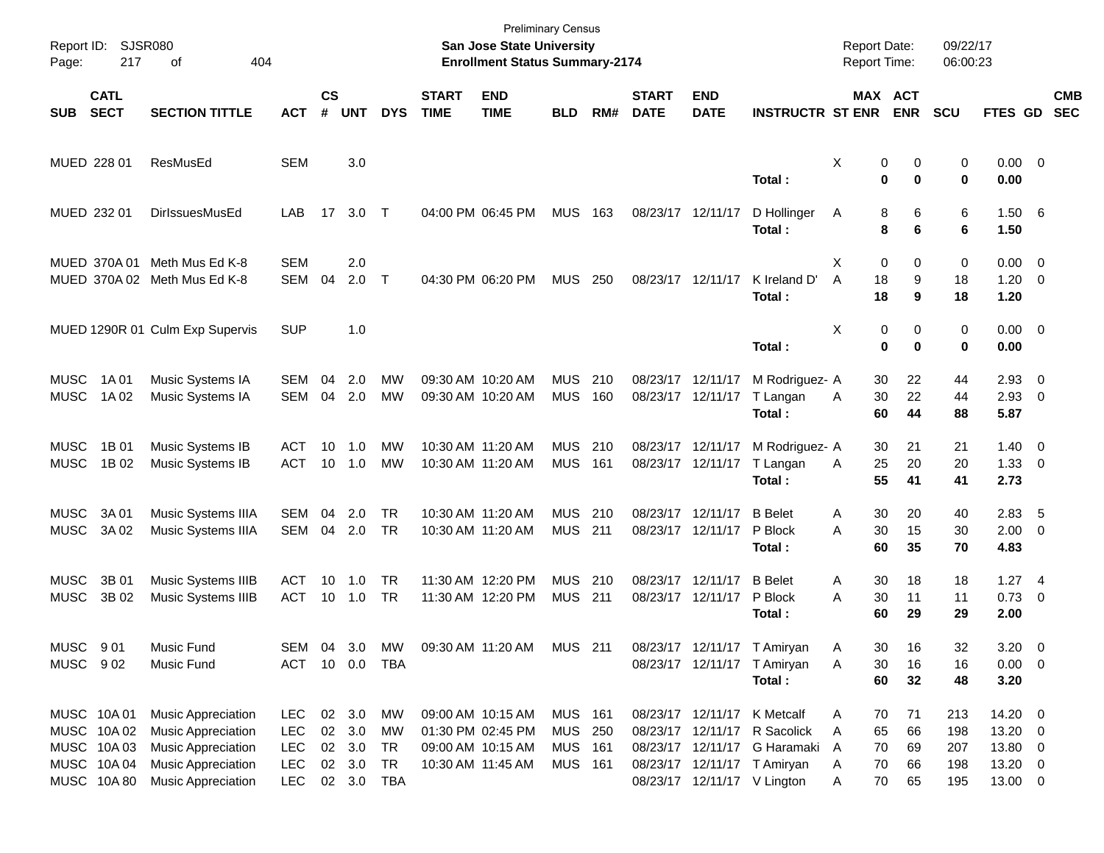| Report ID:<br>Page:        | 217                                                                   | <b>SJSR080</b><br>404<br>of                                                                                                            |                                                                    |                    |                                   |                                                  |                             | <b>Preliminary Census</b><br><b>San Jose State University</b><br><b>Enrollment Status Summary-2174</b> |                                          |            |                             |                                        |                                                                                                                                                           | <b>Report Date:</b><br>Report Time:                 |                            | 09/22/17<br>06:00:23            |                                                     |                          |  |
|----------------------------|-----------------------------------------------------------------------|----------------------------------------------------------------------------------------------------------------------------------------|--------------------------------------------------------------------|--------------------|-----------------------------------|--------------------------------------------------|-----------------------------|--------------------------------------------------------------------------------------------------------|------------------------------------------|------------|-----------------------------|----------------------------------------|-----------------------------------------------------------------------------------------------------------------------------------------------------------|-----------------------------------------------------|----------------------------|---------------------------------|-----------------------------------------------------|--------------------------|--|
| <b>SUB</b>                 | <b>CATL</b><br><b>SECT</b>                                            | <b>SECTION TITTLE</b>                                                                                                                  | <b>ACT</b>                                                         | $\mathsf{cs}$<br># | <b>UNT</b>                        | <b>DYS</b>                                       | <b>START</b><br><b>TIME</b> | <b>END</b><br><b>TIME</b>                                                                              | <b>BLD</b>                               | RM#        | <b>START</b><br><b>DATE</b> | <b>END</b><br><b>DATE</b>              | <b>INSTRUCTR ST ENR</b>                                                                                                                                   |                                                     | MAX ACT<br><b>ENR</b>      | SCU                             | FTES GD                                             | <b>CMB</b><br><b>SEC</b> |  |
|                            | MUED 228 01                                                           | ResMusEd                                                                                                                               | <b>SEM</b>                                                         |                    | 3.0                               |                                                  |                             |                                                                                                        |                                          |            |                             |                                        | Total:                                                                                                                                                    | Χ<br>0<br>$\bf{0}$                                  | 0<br>$\bf{0}$              | 0<br>0                          | $0.00 \t 0$<br>0.00                                 |                          |  |
|                            | MUED 232 01                                                           | DirlssuesMusEd                                                                                                                         | LAB                                                                | 17                 | 3.0 T                             |                                                  |                             | 04:00 PM 06:45 PM                                                                                      | <b>MUS</b>                               | 163        | 08/23/17 12/11/17           |                                        | D Hollinger<br>Total:                                                                                                                                     | 8<br>A<br>8                                         | 6<br>6                     | 6<br>6                          | 1.50 6<br>1.50                                      |                          |  |
|                            |                                                                       | MUED 370A 01 Meth Mus Ed K-8<br>MUED 370A 02 Meth Mus Ed K-8                                                                           | <b>SEM</b><br>SEM                                                  | 04                 | 2.0<br>2.0                        | $\top$                                           |                             | 04:30 PM 06:20 PM                                                                                      | <b>MUS</b>                               | 250        |                             | 08/23/17 12/11/17                      | K Ireland D'<br>Total:                                                                                                                                    | X<br>0<br>18<br>A<br>18                             | 0<br>9<br>9                | 0<br>18<br>18                   | $0.00 \t 0$<br>$1.20 \t 0$<br>1.20                  |                          |  |
|                            |                                                                       | MUED 1290R 01 Culm Exp Supervis                                                                                                        | <b>SUP</b>                                                         |                    | 1.0                               |                                                  |                             |                                                                                                        |                                          |            |                             |                                        | Total:                                                                                                                                                    | X<br>0<br>$\mathbf 0$                               | 0<br>$\bf{0}$              | 0<br>0                          | $0.00 \t 0$<br>0.00                                 |                          |  |
| <b>MUSC</b><br><b>MUSC</b> | 1A 01<br>1A 02                                                        | Music Systems IA<br>Music Systems IA                                                                                                   | SEM<br><b>SEM</b>                                                  | 04<br>04           | 2.0<br>2.0                        | MW<br><b>MW</b>                                  |                             | 09:30 AM 10:20 AM<br>09:30 AM 10:20 AM                                                                 | <b>MUS</b><br><b>MUS</b>                 | 210<br>160 |                             | 08/23/17 12/11/17<br>08/23/17 12/11/17 | M Rodriguez- A<br>T Langan<br>Total:                                                                                                                      | 30<br>30<br>Α<br>60                                 | 22<br>22<br>44             | 44<br>44<br>88                  | 2.93<br>$2.93$ 0<br>5.87                            | - 0                      |  |
| <b>MUSC</b><br><b>MUSC</b> | 1B 01<br>1B 02                                                        | Music Systems IB<br>Music Systems IB                                                                                                   | <b>ACT</b><br><b>ACT</b>                                           | 10<br>10           | 1.0<br>1.0                        | MW<br><b>MW</b>                                  |                             | 10:30 AM 11:20 AM<br>10:30 AM 11:20 AM                                                                 | <b>MUS</b><br><b>MUS</b>                 | 210<br>161 |                             | 08/23/17 12/11/17<br>08/23/17 12/11/17 | M Rodriguez- A<br>T Langan<br>Total:                                                                                                                      | 30<br>25<br>Α<br>55                                 | 21<br>20<br>41             | 21<br>20<br>41                  | $1.40 \ 0$<br>$1.33 \ 0$<br>2.73                    |                          |  |
| <b>MUSC</b><br><b>MUSC</b> | 3A 01<br>3A 02                                                        | Music Systems IIIA<br>Music Systems IIIA                                                                                               | <b>SEM</b><br>SEM                                                  | 04                 | 2.0<br>04 2.0                     | <b>TR</b><br><b>TR</b>                           |                             | 10:30 AM 11:20 AM<br>10:30 AM 11:20 AM                                                                 | <b>MUS</b><br><b>MUS 211</b>             | 210        |                             | 08/23/17 12/11/17<br>08/23/17 12/11/17 | <b>B</b> Belet<br>P Block<br>Total:                                                                                                                       | 30<br>Α<br>30<br>A<br>60                            | 20<br>15<br>35             | 40<br>30<br>70                  | $2.83$ 5<br>$2.00 \t 0$<br>4.83                     |                          |  |
| <b>MUSC</b><br><b>MUSC</b> | 3B 01<br>3B 02                                                        | Music Systems IIIB<br>Music Systems IIIB                                                                                               | ACT<br><b>ACT</b>                                                  | 10<br>10           | 1.0<br>1.0                        | <b>TR</b><br><b>TR</b>                           |                             | 11:30 AM 12:20 PM<br>11:30 AM 12:20 PM                                                                 | <b>MUS</b><br><b>MUS</b>                 | 210<br>211 |                             | 08/23/17 12/11/17<br>08/23/17 12/11/17 | <b>B</b> Belet<br>P Block<br>Total:                                                                                                                       | 30<br>Α<br>30<br>A<br>60                            | 18<br>11<br>29             | 18<br>11<br>29                  | $1.27$ 4<br>$0.73 \quad 0$<br>2.00                  |                          |  |
| MUSC 901                   | MUSC 902                                                              | Music Fund<br>Music Fund                                                                                                               | <b>SEM</b><br><b>ACT</b>                                           |                    | 10  0.0  TBA                      | 04 3.0 MW                                        |                             | 09:30 AM 11:20 AM MUS 211                                                                              |                                          |            |                             |                                        | 08/23/17 12/11/17 T Amiryan<br>08/23/17 12/11/17 T Amiryan<br>Total:                                                                                      | 30<br>Α<br>Α<br>30<br>60                            | 16<br>16<br>32             | 32<br>16<br>48                  | 3.20<br>$0.00 \t 0$<br>3.20                         | $\overline{\phantom{0}}$ |  |
|                            | MUSC 10A 01<br>MUSC 10A02<br>MUSC 10A03<br>MUSC 10A 04<br>MUSC 10A 80 | <b>Music Appreciation</b><br><b>Music Appreciation</b><br><b>Music Appreciation</b><br>Music Appreciation<br><b>Music Appreciation</b> | <b>LEC</b><br><b>LEC</b><br><b>LEC</b><br><b>LEC</b><br><b>LEC</b> | 02                 | 02 3.0<br>3.0<br>02 3.0<br>02 3.0 | МW<br><b>MW</b><br>TR<br><b>TR</b><br>02 3.0 TBA |                             | 09:00 AM 10:15 AM<br>01:30 PM 02:45 PM<br>09:00 AM 10:15 AM<br>10:30 AM 11:45 AM                       | MUS 161<br>MUS 250<br>MUS 161<br>MUS 161 |            |                             |                                        | 08/23/17 12/11/17 K Metcalf<br>08/23/17 12/11/17 R Sacolick<br>08/23/17 12/11/17 G Haramaki<br>08/23/17 12/11/17 T Amiryan<br>08/23/17 12/11/17 V Lington | 70<br>A<br>65<br>A<br>70<br>A<br>70<br>A<br>70<br>Α | 71<br>66<br>69<br>66<br>65 | 213<br>198<br>207<br>198<br>195 | 14.20 0<br>13.20 0<br>13.80 0<br>13.20 0<br>13.00 0 |                          |  |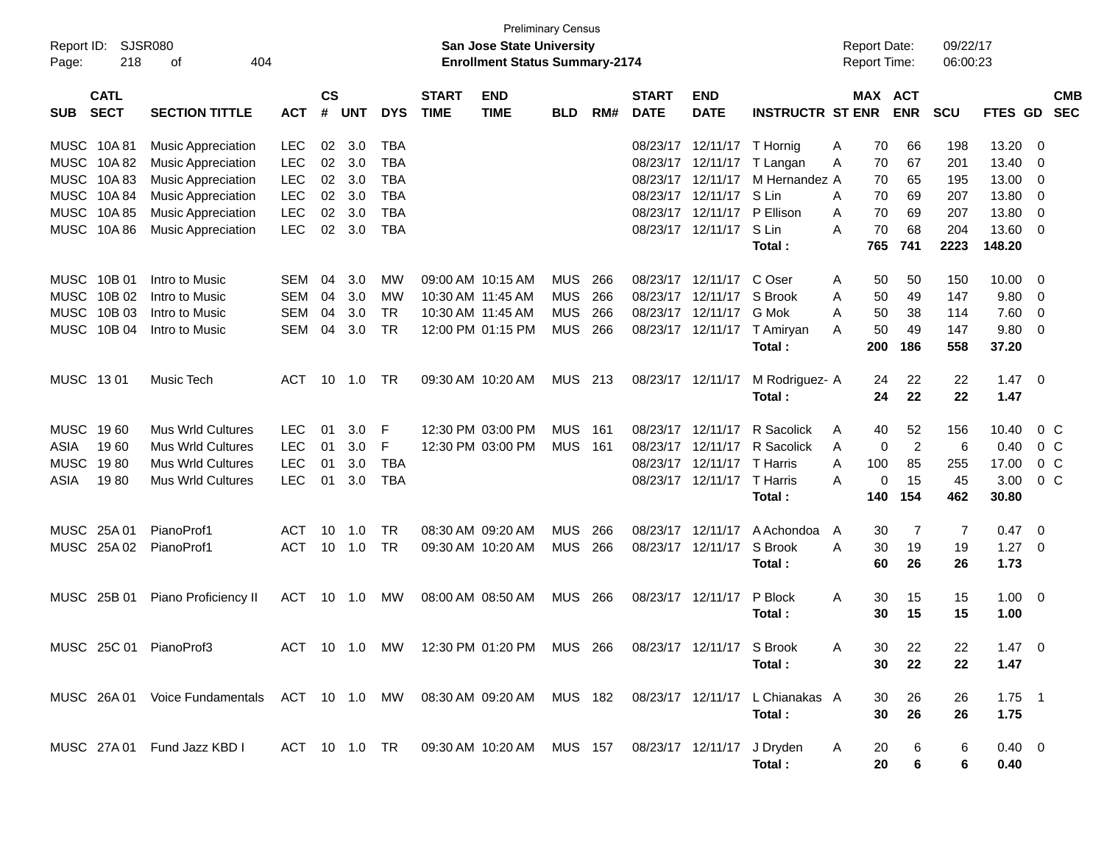| Report ID:<br>Page:                        | 404                          |                                                                                                              |                                                      |                      |                          | <b>Preliminary Census</b><br>San Jose State University<br><b>Enrollment Status Summary-2174</b> |                             |                                                                    |                                        |                   |                                  | <b>Report Date:</b><br><b>Report Time:</b>            |                                                            | 09/22/17<br>06:00:23                 |                                               |                              |                                         |                                               |
|--------------------------------------------|------------------------------|--------------------------------------------------------------------------------------------------------------|------------------------------------------------------|----------------------|--------------------------|-------------------------------------------------------------------------------------------------|-----------------------------|--------------------------------------------------------------------|----------------------------------------|-------------------|----------------------------------|-------------------------------------------------------|------------------------------------------------------------|--------------------------------------|-----------------------------------------------|------------------------------|-----------------------------------------|-----------------------------------------------|
| <b>SUB</b>                                 | <b>CATL</b><br><b>SECT</b>   | <b>SECTION TITTLE</b>                                                                                        | <b>ACT</b>                                           | <b>CS</b><br>#       | <b>UNT</b>               | <b>DYS</b>                                                                                      | <b>START</b><br><b>TIME</b> | <b>END</b><br><b>TIME</b>                                          | <b>BLD</b>                             | RM#               | <b>START</b><br><b>DATE</b>      | <b>END</b><br><b>DATE</b>                             | <b>INSTRUCTR ST ENR</b>                                    |                                      | MAX ACT<br><b>ENR</b>                         | <b>SCU</b>                   | FTES GD                                 | <b>CMB</b><br><b>SEC</b>                      |
| <b>MUSC</b><br><b>MUSC</b>                 | 10A 81<br>10A 82             | <b>Music Appreciation</b><br><b>Music Appreciation</b>                                                       | <b>LEC</b><br><b>LEC</b>                             | 02<br>02             | 3.0<br>3.0               | <b>TBA</b><br><b>TBA</b>                                                                        |                             |                                                                    |                                        |                   |                                  | 08/23/17 12/11/17 T Hornig                            | 08/23/17 12/11/17 T Langan                                 | A<br>A                               | 70<br>66<br>70<br>67                          | 198<br>201                   | 13.20<br>13.40                          | - 0<br>- 0                                    |
| <b>MUSC</b><br><b>MUSC</b><br><b>MUSC</b>  | 10A83<br>10A 84<br>10A 85    | <b>Music Appreciation</b><br><b>Music Appreciation</b><br><b>Music Appreciation</b>                          | <b>LEC</b><br><b>LEC</b><br><b>LEC</b>               | 02<br>02<br>02       | 3.0<br>3.0<br>3.0        | <b>TBA</b><br><b>TBA</b><br><b>TBA</b>                                                          |                             |                                                                    |                                        |                   | 08/23/17                         | 12/11/17<br>08/23/17 12/11/17<br>08/23/17 12/11/17    | M Hernandez A<br>S Lin<br>P Ellison                        | 70<br>70<br>A<br>70<br>A             | 65<br>69<br>69                                | 195<br>207<br>207            | 13.00<br>13.80<br>13.80                 | - 0<br>- 0<br>$\overline{\mathbf{0}}$         |
| <b>MUSC</b>                                | 10A 86                       | <b>Music Appreciation</b>                                                                                    | <b>LEC</b>                                           | 02                   | 3.0                      | <b>TBA</b>                                                                                      |                             |                                                                    |                                        |                   |                                  | 08/23/17 12/11/17                                     | S Lin<br>Total:                                            | 70<br>A<br>765                       | 68<br>741                                     | 204<br>2223                  | 13.60<br>148.20                         | $\overline{\mathbf{0}}$                       |
| <b>MUSC</b><br><b>MUSC</b><br><b>MUSC</b>  | 10B 01<br>10B 02<br>10B 03   | Intro to Music<br>Intro to Music<br>Intro to Music                                                           | <b>SEM</b><br><b>SEM</b><br><b>SEM</b>               | 04<br>04<br>04       | 3.0<br>3.0<br>3.0        | MW<br>MW<br><b>TR</b>                                                                           |                             | 09:00 AM 10:15 AM<br>10:30 AM 11:45 AM<br>10:30 AM 11:45 AM        | <b>MUS</b><br><b>MUS</b><br><b>MUS</b> | 266<br>266<br>266 | 08/23/17                         | 08/23/17 12/11/17<br>12/11/17<br>08/23/17 12/11/17    | C Oser<br>S Brook<br>G Mok                                 | 50<br>A<br>50<br>A<br>50<br>A        | 50<br>49<br>38                                | 150<br>147<br>114            | 10.00<br>9.80<br>7.60                   | - 0<br>- 0<br>$\overline{\mathbf{0}}$         |
| <b>MUSC</b>                                | 10B 04                       | Intro to Music                                                                                               | <b>SEM</b>                                           | 04                   | 3.0                      | <b>TR</b>                                                                                       |                             | 12:00 PM 01:15 PM                                                  | MUS                                    | 266               |                                  | 08/23/17 12/11/17                                     | T Amiryan<br>Total:                                        | 50<br>А<br>200                       | 49<br>186                                     | 147<br>558                   | 9.80<br>37.20                           | $\overline{\mathbf{0}}$                       |
| MUSC 1301                                  |                              | Music Tech                                                                                                   | ACT                                                  | 10                   | 1.0                      | <b>TR</b>                                                                                       |                             | 09:30 AM 10:20 AM                                                  | MUS                                    | 213               |                                  | 08/23/17 12/11/17                                     | M Rodriguez- A<br>Total:                                   | 24                                   | 22<br>22<br>24                                | 22<br>22                     | 1.47<br>1.47                            | $\overline{\phantom{0}}$                      |
| <b>MUSC</b><br>ASIA<br><b>MUSC</b><br>ASIA | 1960<br>1960<br>1980<br>1980 | <b>Mus Wrld Cultures</b><br><b>Mus Wrld Cultures</b><br><b>Mus Wrld Cultures</b><br><b>Mus Wrld Cultures</b> | <b>LEC</b><br><b>LEC</b><br><b>LEC</b><br><b>LEC</b> | 01<br>01<br>01<br>01 | 3.0<br>3.0<br>3.0<br>3.0 | F<br>F<br><b>TBA</b><br>TBA                                                                     |                             | 12:30 PM 03:00 PM<br>12:30 PM 03:00 PM                             | <b>MUS</b><br>MUS                      | 161<br>- 161      | 08/23/17<br>08/23/17<br>08/23/17 | 12/11/17<br>12/11/17<br>12/11/17<br>08/23/17 12/11/17 | R Sacolick<br>R Sacolick<br>T Harris<br>T Harris<br>Total: | 40<br>A<br>A<br>100<br>A<br>А<br>140 | 52<br>$\sqrt{2}$<br>0<br>85<br>15<br>0<br>154 | 156<br>6<br>255<br>45<br>462 | 10.40<br>0.40<br>17.00<br>3.00<br>30.80 | $0\,C$<br>$0\,$ C<br>0 <sup>C</sup><br>$0\,C$ |
| <b>MUSC</b>                                | 25A 01<br>MUSC 25A 02        | PianoProf1<br>PianoProf1                                                                                     | ACT<br>ACT                                           | 10<br>10             | 1.0<br>1.0               | TR<br>TR                                                                                        |                             | 08:30 AM 09:20 AM<br>09:30 AM 10:20 AM                             | <b>MUS</b><br>MUS                      | 266<br>266        | 08/23/17                         | 12/11/17<br>08/23/17 12/11/17                         | A Achondoa<br>S Brook<br>Total:                            | A<br>30<br>A<br>60                   | 7<br>30<br>19<br>26                           | 7<br>19<br>26                | 0.47<br>1.27<br>1.73                    | - 0<br>- 0                                    |
|                                            | MUSC 25B 01                  | Piano Proficiency II                                                                                         | ACT                                                  | 10                   | 1.0                      | MW.                                                                                             |                             | 08:00 AM 08:50 AM                                                  | MUS                                    | 266               |                                  | 08/23/17 12/11/17                                     | P Block<br>Total:                                          | A                                    | 30<br>15<br>15<br>30                          | 15<br>15                     | 1.00<br>1.00                            | $\overline{\phantom{0}}$                      |
|                                            |                              | MUSC 25C 01 PianoProf3                                                                                       |                                                      |                      |                          |                                                                                                 |                             | ACT 10 1.0 MW 12:30 PM 01:20 PM MUS 266                            |                                        |                   |                                  | 08/23/17 12/11/17 S Brook                             | Total:                                                     | A                                    | 22<br>30<br>30<br>22                          | 22<br>22                     | $1.47 \t 0$<br>1.47                     |                                               |
|                                            |                              | MUSC 26A 01 Voice Fundamentals ACT 10 1.0 MW 08:30 AM 09:20 AM MUS 182 08/23/17 12/11/17 L Chianakas A       |                                                      |                      |                          |                                                                                                 |                             |                                                                    |                                        |                   |                                  |                                                       | Total:                                                     |                                      | 30<br>26<br>30<br>26                          | 26<br>26                     | $1.75$ 1<br>1.75                        |                                               |
|                                            |                              | MUSC 27A 01 Fund Jazz KBD I                                                                                  |                                                      |                      |                          |                                                                                                 |                             | ACT 10 1.0 TR 09:30 AM 10:20 AM MUS 157 08/23/17 12/11/17 J Dryden |                                        |                   |                                  |                                                       | Total:                                                     | A<br>20<br>20                        | 6<br>6                                        | 6<br>6                       | $0.40 \quad 0$<br>0.40                  |                                               |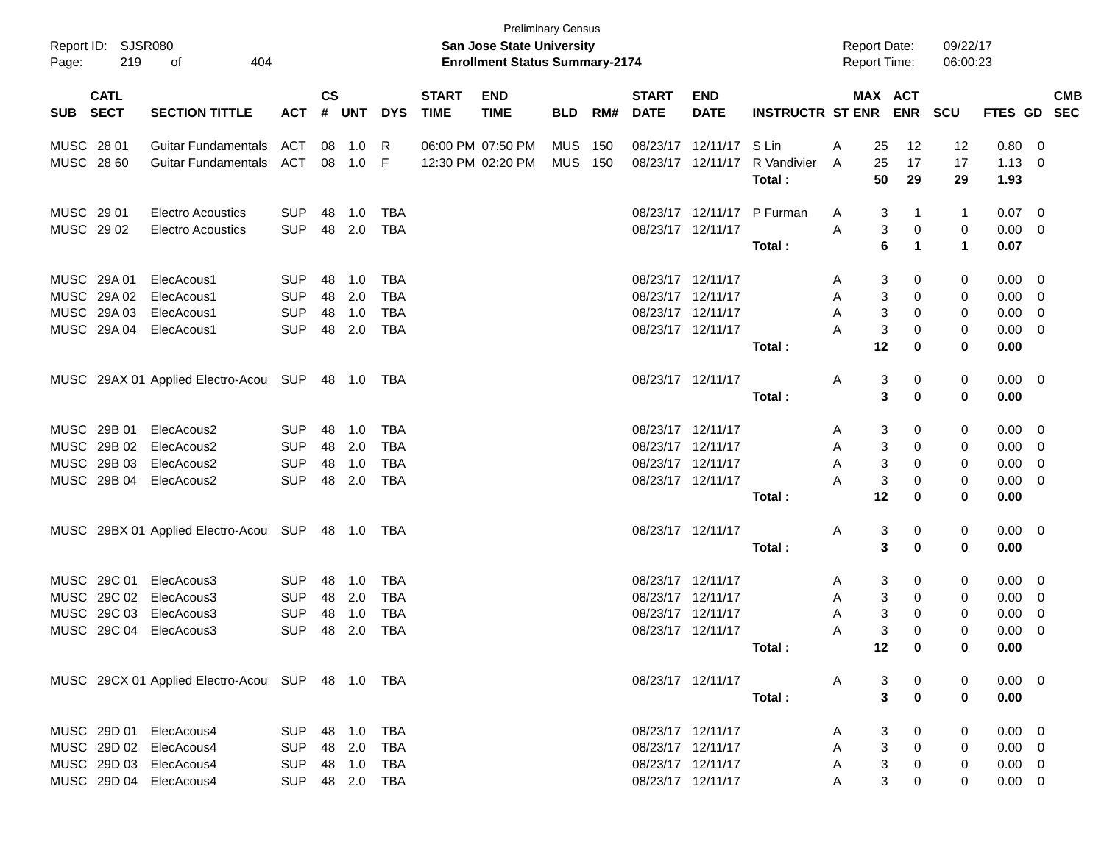| Report ID: SJSR080<br>Page: | 219                        | 404<br>οf                                        |                |                |              |            |                             | <b>Preliminary Census</b><br>San Jose State University<br><b>Enrollment Status Summary-2174</b> |            |     |                             |                           |                         | <b>Report Date:</b><br><b>Report Time:</b> |                |                       | 09/22/17<br>06:00:23 |                |     |                          |
|-----------------------------|----------------------------|--------------------------------------------------|----------------|----------------|--------------|------------|-----------------------------|-------------------------------------------------------------------------------------------------|------------|-----|-----------------------------|---------------------------|-------------------------|--------------------------------------------|----------------|-----------------------|----------------------|----------------|-----|--------------------------|
| <b>SUB</b>                  | <b>CATL</b><br><b>SECT</b> | <b>SECTION TITTLE</b>                            | <b>ACT</b>     | <b>CS</b><br># | <b>UNT</b>   | <b>DYS</b> | <b>START</b><br><b>TIME</b> | <b>END</b><br><b>TIME</b>                                                                       | <b>BLD</b> | RM# | <b>START</b><br><b>DATE</b> | <b>END</b><br><b>DATE</b> | <b>INSTRUCTR ST ENR</b> |                                            |                | MAX ACT<br><b>ENR</b> | <b>SCU</b>           | <b>FTES GD</b> |     | <b>CMB</b><br><b>SEC</b> |
| MUSC 28 01                  |                            | Guitar Fundamentals                              | ACT            | 08             | 1.0          | R          |                             | 06:00 PM 07:50 PM                                                                               | <b>MUS</b> | 150 |                             | 08/23/17 12/11/17         | S Lin                   | Α                                          | 25             | 12                    | 12                   | 0.80           | 0   |                          |
| MUSC 28 60                  |                            | <b>Guitar Fundamentals</b>                       | ACT            |                | 08 1.0       | F          |                             | 12:30 PM 02:20 PM                                                                               | <b>MUS</b> | 150 | 08/23/17 12/11/17           |                           | R Vandivier             | A                                          | 25             | 17                    | 17                   | 1.13           | - 0 |                          |
|                             |                            |                                                  |                |                |              |            |                             |                                                                                                 |            |     |                             |                           | Total:                  |                                            | 50             | 29                    | 29                   | 1.93           |     |                          |
| MUSC 29 01                  |                            | <b>Electro Acoustics</b>                         | <b>SUP</b>     | 48             | 1.0          | <b>TBA</b> |                             |                                                                                                 |            |     |                             | 08/23/17 12/11/17         | P Furman                | A                                          | 3              | $\mathbf 1$           | 1                    | 0.07           | 0   |                          |
| MUSC 2902                   |                            | <b>Electro Acoustics</b>                         | <b>SUP</b>     |                | 48 2.0       | <b>TBA</b> |                             |                                                                                                 |            |     | 08/23/17 12/11/17           |                           |                         | A                                          | 3              | 0                     | 0                    | 0.00           | 0   |                          |
|                             |                            |                                                  |                |                |              |            |                             |                                                                                                 |            |     |                             |                           | Total:                  |                                            | 6              | $\mathbf 1$           | 1                    | 0.07           |     |                          |
| MUSC 29A 01                 |                            | ElecAcous1                                       | <b>SUP</b>     | 48             | 1.0          | <b>TBA</b> |                             |                                                                                                 |            |     | 08/23/17 12/11/17           |                           |                         | A                                          | 3              | 0                     | 0                    | 0.00           | - 0 |                          |
| MUSC 29A 02                 |                            | ElecAcous1                                       | <b>SUP</b>     | 48             | 2.0          | <b>TBA</b> |                             |                                                                                                 |            |     | 08/23/17 12/11/17           |                           |                         | Α                                          | 3              | 0                     | 0                    | 0.00           | 0   |                          |
| MUSC 29A 03                 |                            | ElecAcous1                                       | <b>SUP</b>     | 48             | 1.0          | <b>TBA</b> |                             |                                                                                                 |            |     | 08/23/17 12/11/17           |                           |                         | Α                                          | 3              | 0                     | 0                    | 0.00           | 0   |                          |
| MUSC 29A 04                 |                            | ElecAcous1                                       | <b>SUP</b>     | 48             | 2.0          | <b>TBA</b> |                             |                                                                                                 |            |     | 08/23/17 12/11/17           |                           |                         | Α                                          | 3              | 0                     | 0                    | 0.00           | 0   |                          |
|                             |                            |                                                  |                |                |              |            |                             |                                                                                                 |            |     |                             |                           | Total:                  |                                            | 12             | 0                     | 0                    | 0.00           |     |                          |
|                             |                            | MUSC 29AX 01 Applied Electro-Acou SUP            |                |                | 48  1.0  TBA |            |                             |                                                                                                 |            |     | 08/23/17 12/11/17           |                           |                         | Α                                          | 3              | 0                     | 0                    | $0.00 \t 0$    |     |                          |
|                             |                            |                                                  |                |                |              |            |                             |                                                                                                 |            |     |                             |                           | Total:                  |                                            | 3              | 0                     | 0                    | 0.00           |     |                          |
| MUSC 29B 01                 |                            | ElecAcous2                                       | <b>SUP</b>     | 48             | 1.0          | <b>TBA</b> |                             |                                                                                                 |            |     | 08/23/17 12/11/17           |                           |                         | A                                          | 3              | 0                     | 0                    | 0.00           | 0   |                          |
| MUSC 29B 02                 |                            | ElecAcous2                                       | <b>SUP</b>     | 48             | 2.0          | <b>TBA</b> |                             |                                                                                                 |            |     | 08/23/17 12/11/17           |                           |                         | Α                                          | 3              | 0                     | 0                    | 0.00           | 0   |                          |
| MUSC 29B 03                 |                            | ElecAcous2                                       | <b>SUP</b>     | 48             | 1.0          | <b>TBA</b> |                             |                                                                                                 |            |     | 08/23/17 12/11/17           |                           |                         | Α                                          | 3              | 0                     | 0                    | 0.00           | 0   |                          |
| MUSC 29B 04                 |                            | ElecAcous2                                       | <b>SUP</b>     | 48             | 2.0          | <b>TBA</b> |                             |                                                                                                 |            |     | 08/23/17 12/11/17           |                           |                         | А                                          | 3              | 0                     | 0                    | 0.00           | 0   |                          |
|                             |                            |                                                  |                |                |              |            |                             |                                                                                                 |            |     |                             |                           | Total:                  |                                            | 12             | 0                     | 0                    | 0.00           |     |                          |
|                             |                            | MUSC 29BX 01 Applied Electro-Acou SUP            |                |                | 48  1.0  TBA |            |                             |                                                                                                 |            |     | 08/23/17 12/11/17           |                           |                         | A                                          | 3              | 0                     | 0                    | $0.00 \t 0$    |     |                          |
|                             |                            |                                                  |                |                |              |            |                             |                                                                                                 |            |     |                             |                           | Total:                  |                                            | 3              | 0                     | 0                    | 0.00           |     |                          |
| MUSC 29C 01                 |                            | ElecAcous3                                       | <b>SUP</b>     | 48             | 1.0          | <b>TBA</b> |                             |                                                                                                 |            |     | 08/23/17 12/11/17           |                           |                         | A                                          | 3              | 0                     | 0                    | 0.00           | 0   |                          |
| <b>MUSC</b>                 | 29C 02                     | ElecAcous3                                       | <b>SUP</b>     | 48             | 2.0          | <b>TBA</b> |                             |                                                                                                 |            |     | 08/23/17 12/11/17           |                           |                         | Α                                          | 3              | 0                     | 0                    | 0.00           | 0   |                          |
| MUSC                        | 29C 03                     | ElecAcous3                                       | <b>SUP</b>     | 48             | 1.0          | <b>TBA</b> |                             |                                                                                                 |            |     | 08/23/17 12/11/17           |                           |                         | Α                                          | 3              | 0                     | 0                    | 0.00           | 0   |                          |
| MUSC 29C 04                 |                            | ElecAcous3                                       | <b>SUP</b>     | 48             | 2.0          | <b>TBA</b> |                             |                                                                                                 |            |     | 08/23/17 12/11/17           |                           |                         | Α                                          | 3              | $\mathbf 0$           | 0                    | 0.00           | 0   |                          |
|                             |                            |                                                  |                |                |              |            |                             |                                                                                                 |            |     |                             |                           | Total :                 |                                            | 12             | $\bf{0}$              | 0                    | 0.00           |     |                          |
|                             |                            | MUSC 29CX 01 Applied Electro-Acou SUP 48 1.0 TBA |                |                |              |            |                             |                                                                                                 |            |     |                             | 08/23/17 12/11/17         |                         | A                                          | 3              | $\mathbf 0$           | 0                    | $0.00 \t 0$    |     |                          |
|                             |                            |                                                  |                |                |              |            |                             |                                                                                                 |            |     |                             |                           | Total:                  |                                            | $\mathbf{3}$   | $\mathbf 0$           | 0                    | 0.00           |     |                          |
|                             |                            | MUSC 29D 01 ElecAcous4                           | SUP            |                | 48 1.0 TBA   |            |                             |                                                                                                 |            |     |                             | 08/23/17 12/11/17         |                         | A                                          | 3              | 0                     | 0                    | $0.00 \t 0$    |     |                          |
|                             |                            | MUSC 29D 02 ElecAcous4                           | <b>SUP</b>     |                | 48 2.0       | TBA        |                             |                                                                                                 |            |     |                             | 08/23/17 12/11/17         |                         | A                                          | 3              | $\mathbf 0$           | 0                    | $0.00 \t 0$    |     |                          |
|                             |                            | MUSC 29D 03 ElecAcous4                           | <b>SUP</b>     |                | 48 1.0       | TBA        |                             |                                                                                                 |            |     |                             | 08/23/17 12/11/17         |                         | A                                          | $\mathbf{3}$   | $\mathbf 0$           | 0                    | $0.00 \t 0$    |     |                          |
|                             |                            | MUSC 29D 04 ElecAcous4                           | SUP 48 2.0 TBA |                |              |            |                             |                                                                                                 |            |     |                             | 08/23/17 12/11/17         |                         | A                                          | 3 <sup>1</sup> | $\pmb{0}$             | 0                    | $0.00 \t 0$    |     |                          |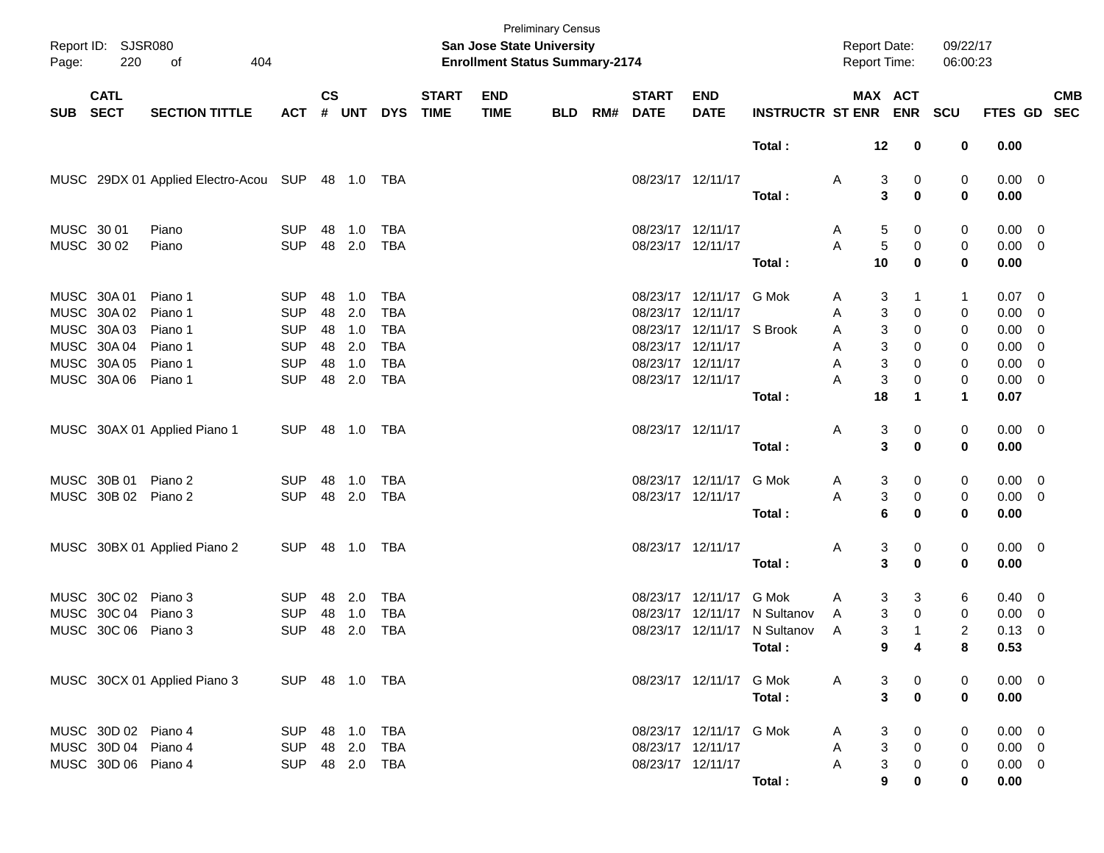| Page:      | Report ID: SJSR080<br>220  | οf<br>404                             |                |                    |            |            |                             | San Jose State University<br><b>Enrollment Status Summary-2174</b> | <b>Preliminary Census</b> |     |                             |                           |                              | <b>Report Date:</b><br><b>Report Time:</b> |                                | 09/22/17<br>06:00:23 |                        |                          |            |
|------------|----------------------------|---------------------------------------|----------------|--------------------|------------|------------|-----------------------------|--------------------------------------------------------------------|---------------------------|-----|-----------------------------|---------------------------|------------------------------|--------------------------------------------|--------------------------------|----------------------|------------------------|--------------------------|------------|
| <b>SUB</b> | <b>CATL</b><br><b>SECT</b> | <b>SECTION TITTLE</b>                 | <b>ACT</b>     | $\mathsf{cs}$<br># | <b>UNT</b> | <b>DYS</b> | <b>START</b><br><b>TIME</b> | <b>END</b><br><b>TIME</b>                                          | <b>BLD</b>                | RM# | <b>START</b><br><b>DATE</b> | <b>END</b><br><b>DATE</b> | <b>INSTRUCTR ST ENR</b>      |                                            | MAX ACT                        | ENR SCU              | FTES GD SEC            |                          | <b>CMB</b> |
|            |                            |                                       |                |                    |            |            |                             |                                                                    |                           |     |                             |                           | Total:                       | 12                                         | 0                              | 0                    | 0.00                   |                          |            |
|            |                            | MUSC 29DX 01 Applied Electro-Acou SUP |                |                    |            |            |                             |                                                                    |                           |     | 08/23/17 12/11/17           |                           | Total:                       | A                                          | 3<br>0<br>3<br>$\bf{0}$        | 0<br>0               | $0.00 \quad 0$<br>0.00 |                          |            |
| MUSC 30 01 |                            | Piano                                 | <b>SUP</b>     | 48                 | 1.0        | <b>TBA</b> |                             |                                                                    |                           |     | 08/23/17 12/11/17           |                           |                              | A                                          | 5<br>0                         | 0                    | $0.00 \quad 0$         |                          |            |
| MUSC 30 02 |                            | Piano                                 | <b>SUP</b>     |                    | 48 2.0     | TBA        |                             |                                                                    |                           |     | 08/23/17 12/11/17           |                           |                              | A                                          | $\sqrt{5}$<br>0                | 0                    | $0.00 \t 0$            |                          |            |
|            |                            |                                       |                |                    |            |            |                             |                                                                    |                           |     |                             |                           | Total:                       | 10                                         | $\bf{0}$                       | 0                    | 0.00                   |                          |            |
|            | MUSC 30A 01                | Piano 1                               | <b>SUP</b>     | 48                 | 1.0        | <b>TBA</b> |                             |                                                                    |                           |     |                             | 08/23/17 12/11/17 G Mok   |                              | A                                          | 3<br>1                         | 1                    | $0.07 \ 0$             |                          |            |
|            | MUSC 30A 02                | Piano 1                               | <b>SUP</b>     | 48                 | 2.0        | <b>TBA</b> |                             |                                                                    |                           |     | 08/23/17 12/11/17           |                           |                              | A                                          | 3<br>0                         | 0                    | 0.00                   | $\overline{\phantom{0}}$ |            |
|            | MUSC 30A03                 | Piano 1                               | <b>SUP</b>     | 48                 | 1.0        | <b>TBA</b> |                             |                                                                    |                           |     |                             | 08/23/17 12/11/17 S Brook |                              | A                                          | 3<br>0                         | 0                    | 0.00                   | $\overline{\phantom{0}}$ |            |
|            | MUSC 30A 04                | Piano 1                               | <b>SUP</b>     | 48                 | 2.0        | <b>TBA</b> |                             |                                                                    |                           |     | 08/23/17 12/11/17           |                           |                              | A                                          | 3<br>0                         | 0                    | 0.00                   | $\overline{\phantom{0}}$ |            |
|            | MUSC 30A 05                | Piano 1                               | <b>SUP</b>     | 48                 | 1.0        | <b>TBA</b> |                             |                                                                    |                           |     | 08/23/17 12/11/17           |                           |                              | A                                          | 3<br>0                         | 0                    | $0.00 \t 0$            |                          |            |
|            | MUSC 30A 06                | Piano 1                               | <b>SUP</b>     | 48                 | 2.0        | <b>TBA</b> |                             |                                                                    |                           |     | 08/23/17 12/11/17           |                           |                              | Α                                          | 3<br>0                         | 0                    | $0.00 \t 0$            |                          |            |
|            |                            |                                       |                |                    |            |            |                             |                                                                    |                           |     |                             |                           | Total:                       | 18                                         | 1                              | $\blacktriangleleft$ | 0.07                   |                          |            |
|            |                            | MUSC 30AX 01 Applied Piano 1          | <b>SUP</b>     | 48                 | 1.0        | TBA        |                             |                                                                    |                           |     | 08/23/17 12/11/17           |                           |                              | A                                          | 3<br>0                         | 0                    | $0.00 \t 0$            |                          |            |
|            |                            |                                       |                |                    |            |            |                             |                                                                    |                           |     |                             |                           | Total:                       |                                            | 3<br>$\bf{0}$                  | 0                    | 0.00                   |                          |            |
|            | MUSC 30B 01                | Piano 2                               | <b>SUP</b>     | 48                 | 1.0        | <b>TBA</b> |                             |                                                                    |                           |     |                             | 08/23/17 12/11/17         | G Mok                        | A                                          | 3<br>0                         | 0                    | $0.00 \quad 0$         |                          |            |
|            | MUSC 30B 02                | Piano 2                               | <b>SUP</b>     |                    | 48 2.0     | TBA        |                             |                                                                    |                           |     | 08/23/17 12/11/17           |                           |                              | A                                          | 3<br>0                         | 0                    | $0.00 \t 0$            |                          |            |
|            |                            |                                       |                |                    |            |            |                             |                                                                    |                           |     |                             |                           | Total:                       |                                            | 6<br>0                         | 0                    | 0.00                   |                          |            |
|            |                            | MUSC 30BX 01 Applied Piano 2          | <b>SUP</b>     | 48                 | 1.0        | TBA        |                             |                                                                    |                           |     | 08/23/17 12/11/17           |                           |                              | A                                          | 3<br>0                         | 0                    | $0.00 \t 0$            |                          |            |
|            |                            |                                       |                |                    |            |            |                             |                                                                    |                           |     |                             |                           | Total:                       |                                            | 3<br>$\bf{0}$                  | 0                    | 0.00                   |                          |            |
|            | MUSC 30C 02                | Piano 3                               | <b>SUP</b>     | 48                 | 2.0        | <b>TBA</b> |                             |                                                                    |                           |     | 08/23/17                    | 12/11/17 G Mok            |                              | A                                          | 3<br>3                         | 6                    | $0.40 \quad 0$         |                          |            |
| MUSC       | 30C 04                     | Piano 3                               | <b>SUP</b>     | 48                 | 1.0        | <b>TBA</b> |                             |                                                                    |                           |     | 08/23/17                    |                           | 12/11/17 N Sultanov          | A                                          | 3<br>0                         | 0                    | 0.00                   | $\overline{\mathbf{0}}$  |            |
|            | MUSC 30C 06 Piano 3        |                                       | <b>SUP</b>     | 48                 | 2.0        | <b>TBA</b> |                             |                                                                    |                           |     |                             |                           | 08/23/17 12/11/17 N Sultanov | A                                          | 3<br>$\mathbf 1$               | 2                    | $0.13 \ 0$             |                          |            |
|            |                            |                                       |                |                    |            |            |                             |                                                                    |                           |     |                             |                           | Total :                      |                                            | 9<br>4                         | 8                    | 0.53                   |                          |            |
|            |                            | MUSC 30CX 01 Applied Piano 3          | SUP 48 1.0 TBA |                    |            |            |                             |                                                                    |                           |     |                             | 08/23/17 12/11/17 G Mok   |                              | A                                          | 3<br>0                         | 0                    | $0.00 \t 0$            |                          |            |
|            |                            |                                       |                |                    |            |            |                             |                                                                    |                           |     |                             |                           | Total:                       |                                            | $\mathbf{3}$<br>$\mathbf 0$    | 0                    | 0.00                   |                          |            |
|            | MUSC 30D 02 Piano 4        |                                       | <b>SUP</b>     |                    |            | TBA        |                             |                                                                    |                           |     |                             | 08/23/17 12/11/17 G Mok   |                              | A                                          | 3<br>0                         | 0                    | $0.00 \t 0$            |                          |            |
|            | MUSC 30D 04 Piano 4        |                                       | SUP            |                    | 48 2.0     | TBA        |                             |                                                                    |                           |     | 08/23/17 12/11/17           |                           |                              | A                                          | $\ensuremath{\mathsf{3}}$<br>0 | 0                    | $0.00 \t 0$            |                          |            |
|            | MUSC 30D 06 Piano 4        |                                       | <b>SUP</b>     |                    | 48 2.0     | TBA        |                             |                                                                    |                           |     |                             | 08/23/17 12/11/17         |                              | Α                                          | $\ensuremath{\mathsf{3}}$<br>0 | 0                    | $0.00 \t 0$            |                          |            |
|            |                            |                                       |                |                    |            |            |                             |                                                                    |                           |     |                             |                           | Total:                       |                                            | 9<br>0                         | 0                    | 0.00                   |                          |            |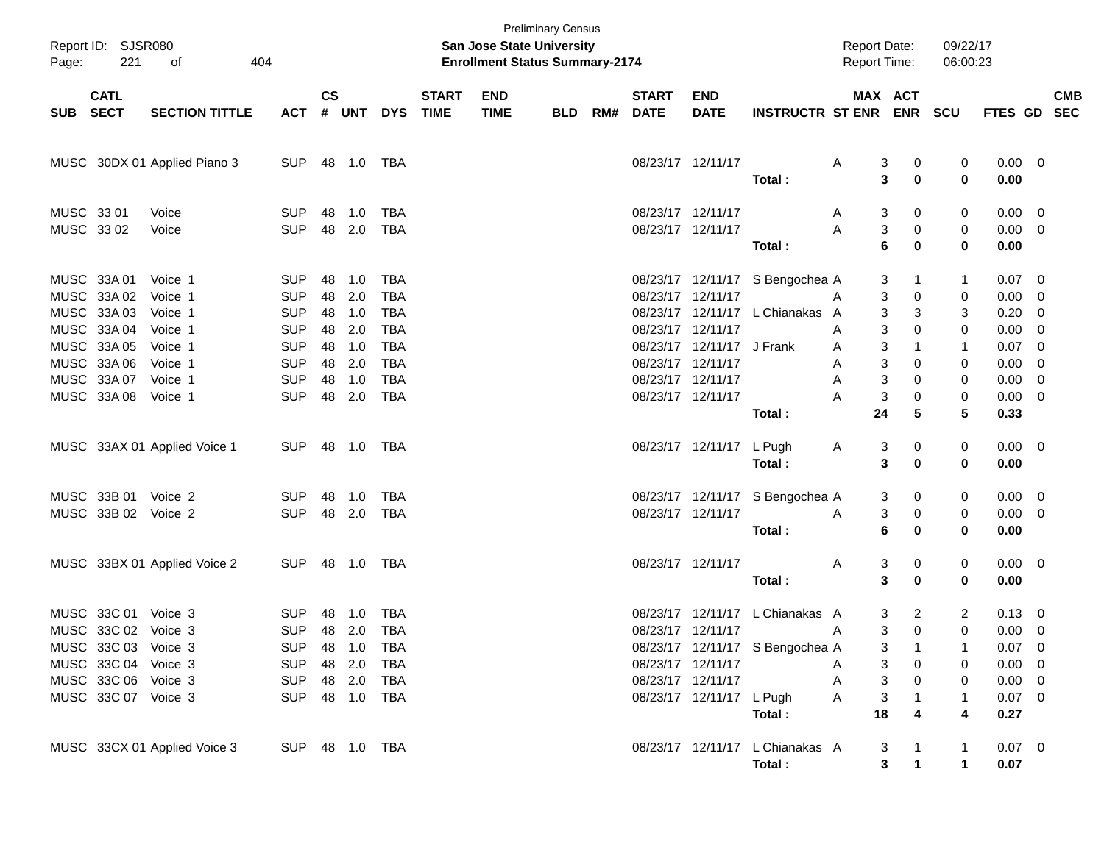| Page: | Report ID: SJSR080<br>221                                         | 404<br>of                     |                                        |                |                      |                                        |                             | <b>Preliminary Census</b><br>San Jose State University<br><b>Enrollment Status Summary-2174</b> |     |     |                                        |                                               |                                           | <b>Report Date:</b><br><b>Report Time:</b> |                                                 | 09/22/17<br>06:00:23   |                                              |            |
|-------|-------------------------------------------------------------------|-------------------------------|----------------------------------------|----------------|----------------------|----------------------------------------|-----------------------------|-------------------------------------------------------------------------------------------------|-----|-----|----------------------------------------|-----------------------------------------------|-------------------------------------------|--------------------------------------------|-------------------------------------------------|------------------------|----------------------------------------------|------------|
|       | <b>CATL</b><br>SUB SECT                                           | <b>SECTION TITTLE</b>         | <b>ACT</b>                             | $\mathsf{cs}$  | # UNT                | <b>DYS</b>                             | <b>START</b><br><b>TIME</b> | <b>END</b><br><b>TIME</b>                                                                       | BLD | RM# | <b>START</b><br><b>DATE</b>            | <b>END</b><br><b>DATE</b>                     | <b>INSTRUCTR ST ENR</b>                   |                                            | MAX ACT                                         | <b>ENR SCU</b>         | FTES GD SEC                                  | <b>CMB</b> |
|       |                                                                   | MUSC 30DX 01 Applied Piano 3  | <b>SUP</b>                             |                | 48  1.0  TBA         |                                        |                             |                                                                                                 |     |     |                                        | 08/23/17 12/11/17                             | Total:                                    | Α                                          | 3<br>0<br>3<br>$\mathbf 0$                      | 0<br>0                 | $0.00 \t 0$<br>0.00                          |            |
|       | MUSC 33 01<br>MUSC 33 02                                          | Voice<br>Voice                | <b>SUP</b><br><b>SUP</b>               | 48             | 1.0<br>48 2.0        | <b>TBA</b><br><b>TBA</b>               |                             |                                                                                                 |     |     | 08/23/17 12/11/17                      | 08/23/17 12/11/17                             | Total:                                    | A<br>Α                                     | 3<br>0<br>3<br>0<br>$6\phantom{1}6$<br>$\bf{0}$ | 0<br>0<br>0            | $0.00 \t 0$<br>$0.00 \t 0$<br>0.00           |            |
|       | MUSC 33A 01<br>MUSC 33A 02                                        | Voice 1<br>Voice 1            | <b>SUP</b><br><b>SUP</b>               | 48<br>48       | 1.0<br>2.0           | <b>TBA</b><br><b>TBA</b>               |                             |                                                                                                 |     |     | 08/23/17 12/11/17                      |                                               | 08/23/17 12/11/17 S Bengochea A           | A                                          | 3<br>1<br>3<br>0                                | 1<br>0                 | $0.07 \t 0$<br>$0.00 \t 0$                   |            |
|       | MUSC 33A 03<br>MUSC 33A 04<br>MUSC 33A 05                         | Voice 1<br>Voice 1<br>Voice 1 | <b>SUP</b><br><b>SUP</b><br><b>SUP</b> | 48<br>48<br>48 | 1.0<br>2.0<br>1.0    | <b>TBA</b><br><b>TBA</b><br><b>TBA</b> |                             |                                                                                                 |     |     | 08/23/17 12/11/17                      | 08/23/17 12/11/17 J Frank                     | 08/23/17 12/11/17 L Chianakas A           | A<br>A                                     | 3<br>3<br>3<br>0<br>3<br>$\mathbf{1}$           | 3<br>0<br>$\mathbf{1}$ | $0.20 \t 0$<br>$0.00 \t 0$<br>$0.07$ 0       |            |
|       | MUSC 33A 06<br>MUSC 33A 07<br>MUSC 33A 08                         | Voice 1<br>Voice 1<br>Voice 1 | <b>SUP</b><br><b>SUP</b><br><b>SUP</b> | 48<br>48       | 2.0<br>1.0<br>48 2.0 | <b>TBA</b><br><b>TBA</b><br><b>TBA</b> |                             |                                                                                                 |     |     | 08/23/17 12/11/17<br>08/23/17 12/11/17 | 08/23/17 12/11/17                             |                                           | A<br>A<br>Α                                | 3<br>0<br>3<br>0<br>3<br>0                      | 0<br>0<br>0            | $0.00 \t 0$<br>$0.00 \t 0$<br>$0.00 \t 0$    |            |
|       |                                                                   | MUSC 33AX 01 Applied Voice 1  | SUP 48 1.0 TBA                         |                |                      |                                        |                             |                                                                                                 |     |     |                                        | 08/23/17 12/11/17 L Pugh                      | Total:<br>Total:                          | A                                          | 24<br>5<br>3<br>0<br>3<br>$\mathbf 0$           | 5<br>0<br>0            | 0.33<br>$0.00 \t 0$<br>0.00                  |            |
|       | MUSC 33B 01<br>MUSC 33B 02 Voice 2                                | Voice 2                       | <b>SUP</b><br><b>SUP</b>               | 48             | 1.0<br>48 2.0        | TBA<br>TBA                             |                             |                                                                                                 |     |     |                                        | 08/23/17 12/11/17                             | 08/23/17 12/11/17 S Bengochea A           | A                                          | 0<br>3<br>3<br>0                                | 0<br>0                 | $0.00 \quad 0$<br>$0.00 \t 0$                |            |
|       |                                                                   | MUSC 33BX 01 Applied Voice 2  | <b>SUP</b>                             |                |                      |                                        |                             |                                                                                                 |     |     | 08/23/17 12/11/17                      |                                               | Total:                                    | A                                          | 6<br>$\bf{0}$<br>3<br>0                         | 0<br>0                 | 0.00<br>$0.00 \t 0$                          |            |
|       | MUSC 33C 01                                                       | Voice 3                       | <b>SUP</b>                             | 48             | 1.0                  | <b>TBA</b>                             |                             |                                                                                                 |     |     |                                        |                                               | Total:<br>08/23/17 12/11/17 L Chianakas A |                                            | 3<br>$\mathbf 0$<br>$\overline{2}$<br>3         | 0<br>$\overline{2}$    | 0.00<br>$0.13 \quad 0$                       |            |
|       | MUSC 33C 02 Voice 3<br>MUSC 33C 03 Voice 3<br>MUSC 33C 04 Voice 3 |                               | <b>SUP</b><br>SUP 48 1.0<br><b>SUP</b> |                | 48 2.0<br>48 2.0     | <b>TBA</b><br>TBA<br>TBA               |                             |                                                                                                 |     |     | 08/23/17 12/11/17                      | 08/23/17 12/11/17                             | 08/23/17 12/11/17 S Bengochea A           | A<br>A                                     | 3<br>$\mathbf 0$<br>3<br>3<br>0                 | 0<br>0                 | $0.00 \t 0$<br>$0.07 \quad 0$<br>$0.00 \t 0$ |            |
|       | MUSC 33C 06 Voice 3<br>MUSC 33C 07 Voice 3                        |                               | <b>SUP</b><br>SUP 48 1.0 TBA           |                | 48 2.0               | TBA                                    |                             |                                                                                                 |     |     |                                        | 08/23/17 12/11/17<br>08/23/17 12/11/17 L Pugh | Total:                                    | A<br>A                                     | 3<br>0<br>3<br>18<br>4                          | 0<br>1<br>4            | $0.00 \t 0$<br>$0.07$ 0<br>0.27              |            |
|       |                                                                   | MUSC 33CX 01 Applied Voice 3  | SUP 48 1.0 TBA                         |                |                      |                                        |                             |                                                                                                 |     |     |                                        |                                               | 08/23/17 12/11/17 L Chianakas A<br>Total: |                                            | 3<br>$\mathbf{3}$<br>$\mathbf 1$                | 1<br>$\mathbf 1$       | $0.07$ 0<br>0.07                             |            |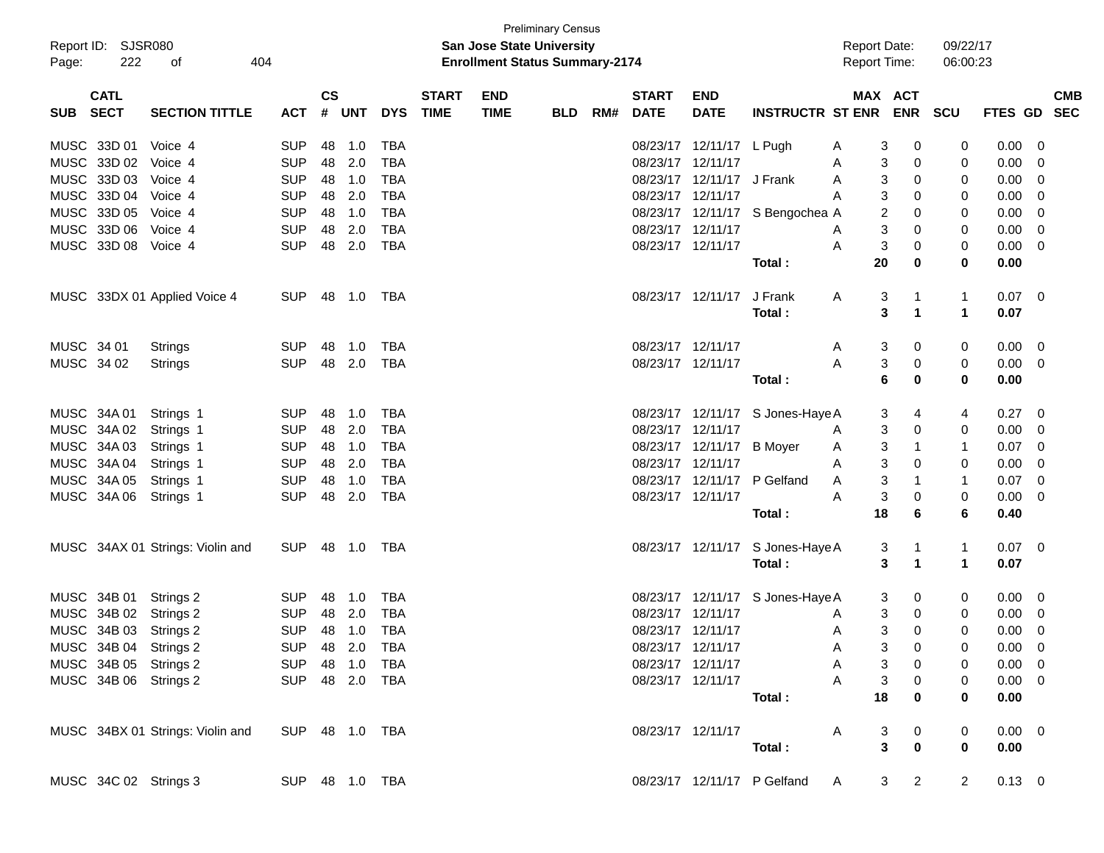|            |                           |                                  |                |               |              |            |              |                                                                    | <b>Preliminary Census</b> |     |                   |                           |                                  |                                            |                                  |                      |                |                         |  |
|------------|---------------------------|----------------------------------|----------------|---------------|--------------|------------|--------------|--------------------------------------------------------------------|---------------------------|-----|-------------------|---------------------------|----------------------------------|--------------------------------------------|----------------------------------|----------------------|----------------|-------------------------|--|
| Page:      | Report ID: SJSR080<br>222 | οf<br>404                        |                |               |              |            |              | San Jose State University<br><b>Enrollment Status Summary-2174</b> |                           |     |                   |                           |                                  | <b>Report Date:</b><br><b>Report Time:</b> |                                  | 09/22/17<br>06:00:23 |                |                         |  |
|            | <b>CATL</b>               |                                  |                | $\mathsf{cs}$ |              |            | <b>START</b> | <b>END</b>                                                         |                           |     | <b>START</b>      | <b>END</b>                |                                  | MAX ACT                                    |                                  |                      |                | <b>CMB</b>              |  |
| SUB SECT   |                           | <b>SECTION TITTLE</b>            | <b>ACT</b>     | #             | UNT          | <b>DYS</b> | <b>TIME</b>  | <b>TIME</b>                                                        | <b>BLD</b>                | RM# | <b>DATE</b>       | <b>DATE</b>               | <b>INSTRUCTR ST ENR</b>          |                                            | <b>ENR</b>                       | <b>SCU</b>           | <b>FTES GD</b> | <b>SEC</b>              |  |
|            | MUSC 33D 01               | Voice 4                          | <b>SUP</b>     | 48            | 1.0          | TBA        |              |                                                                    |                           |     |                   | 08/23/17 12/11/17 L Pugh  |                                  | 3<br>A                                     | 0                                | 0                    | 0.00           | - 0                     |  |
|            | MUSC 33D 02 Voice 4       |                                  | <b>SUP</b>     |               | 48 2.0       | TBA        |              |                                                                    |                           |     | 08/23/17 12/11/17 |                           |                                  | 3<br>A                                     | 0                                | 0                    | 0.00           | $\mathbf 0$             |  |
|            | MUSC 33D 03 Voice 4       |                                  | <b>SUP</b>     |               | 48 1.0       | TBA        |              |                                                                    |                           |     |                   | 08/23/17 12/11/17 J Frank |                                  | 3<br>A                                     | 0                                | 0                    | 0.00           | $\mathbf 0$             |  |
|            | MUSC 33D 04 Voice 4       |                                  | <b>SUP</b>     | 48            | 2.0          | TBA        |              |                                                                    |                           |     | 08/23/17 12/11/17 |                           |                                  | 3<br>Α                                     | 0                                | 0                    | 0.00           | 0                       |  |
|            | MUSC 33D 05 Voice 4       |                                  | <b>SUP</b>     | 48            | 1.0          | <b>TBA</b> |              |                                                                    |                           |     |                   |                           | 08/23/17 12/11/17 S Bengochea A  | 2                                          | 0                                | 0                    | 0.00           | 0                       |  |
|            | MUSC 33D 06 Voice 4       |                                  | <b>SUP</b>     | 48            | 2.0          | <b>TBA</b> |              |                                                                    |                           |     | 08/23/17 12/11/17 |                           |                                  | 3<br>A                                     | 0                                | 0                    | 0.00           | 0                       |  |
|            | MUSC 33D 08 Voice 4       |                                  | <b>SUP</b>     |               | 48 2.0       | <b>TBA</b> |              |                                                                    |                           |     | 08/23/17 12/11/17 |                           |                                  | $\mathsf 3$<br>A                           | 0                                | 0                    | 0.00           | 0                       |  |
|            |                           |                                  |                |               |              |            |              |                                                                    |                           |     |                   |                           | Total:                           | 20                                         | 0                                | 0                    | 0.00           |                         |  |
|            |                           | MUSC 33DX 01 Applied Voice 4     | <b>SUP</b>     |               | 48  1.0      | TBA        |              |                                                                    |                           |     |                   | 08/23/17 12/11/17         | J Frank                          | Α<br>3                                     | 1                                | 1                    | $0.07 \quad 0$ |                         |  |
|            |                           |                                  |                |               |              |            |              |                                                                    |                           |     |                   |                           | Total:                           | 3                                          | 1                                | $\mathbf 1$          | 0.07           |                         |  |
| MUSC 34 01 |                           | Strings                          | <b>SUP</b>     | 48            | 1.0          | TBA        |              |                                                                    |                           |     | 08/23/17 12/11/17 |                           |                                  | 3<br>A                                     | $\mathbf 0$                      | 0                    | 0.00           | $\overline{\mathbf{0}}$ |  |
| MUSC 34 02 |                           | Strings                          | <b>SUP</b>     |               | 48 2.0       | TBA        |              |                                                                    |                           |     | 08/23/17 12/11/17 |                           |                                  | $\mathsf 3$<br>A                           | 0                                | 0                    | $0.00 \quad 0$ |                         |  |
|            |                           |                                  |                |               |              |            |              |                                                                    |                           |     |                   |                           | Total:                           | $6\phantom{1}6$                            | $\bf{0}$                         | 0                    | 0.00           |                         |  |
|            | MUSC 34A 01               | Strings 1                        | <b>SUP</b>     | 48            | 1.0          | TBA        |              |                                                                    |                           |     |                   |                           | 08/23/17 12/11/17 S Jones-Haye A | 3                                          | 4                                | 4                    | 0.27           | - 0                     |  |
|            | MUSC 34A 02               | Strings 1                        | <b>SUP</b>     |               | 48 2.0       | TBA        |              |                                                                    |                           |     | 08/23/17 12/11/17 |                           |                                  | 3<br>A                                     | 0                                | 0                    | 0.00           | $\overline{0}$          |  |
|            | MUSC 34A 03               | Strings 1                        | <b>SUP</b>     |               | 48 1.0       | <b>TBA</b> |              |                                                                    |                           |     |                   | 08/23/17 12/11/17 B Moyer |                                  | 3<br>A                                     | 1                                | 1                    | 0.07           | - 0                     |  |
|            | MUSC 34A 04               | Strings 1                        | <b>SUP</b>     |               | 48 2.0       | TBA        |              |                                                                    |                           |     | 08/23/17 12/11/17 |                           |                                  | 3<br>A                                     | 0                                | 0                    | 0.00           | 0                       |  |
|            | MUSC 34A 05               | Strings 1                        | <b>SUP</b>     | 48            | 1.0          | <b>TBA</b> |              |                                                                    |                           |     |                   | 08/23/17 12/11/17         | P Gelfand                        | 3<br>A                                     | 1                                | 1                    | 0.07           | 0                       |  |
|            | MUSC 34A 06               | Strings 1                        | <b>SUP</b>     | 48            | 2.0          | TBA        |              |                                                                    |                           |     | 08/23/17 12/11/17 |                           |                                  | $\mathsf 3$<br>A                           | 0                                | 0                    | 0.00           | - 0                     |  |
|            |                           |                                  |                |               |              |            |              |                                                                    |                           |     |                   |                           | Total:                           | 18                                         | 6                                | 6                    | 0.40           |                         |  |
|            |                           | MUSC 34AX 01 Strings: Violin and | <b>SUP</b>     |               | 48  1.0  TBA |            |              |                                                                    |                           |     |                   | 08/23/17 12/11/17         | S Jones-Haye A                   | 3                                          | 1                                | 1                    | $0.07 \quad 0$ |                         |  |
|            |                           |                                  |                |               |              |            |              |                                                                    |                           |     |                   |                           | Total:                           | 3                                          | $\mathbf{1}$                     | $\mathbf 1$          | 0.07           |                         |  |
|            | MUSC 34B 01               | Strings 2                        | <b>SUP</b>     | 48            | 1.0          | TBA        |              |                                                                    |                           |     |                   |                           | 08/23/17 12/11/17 S Jones-Haye A | 3                                          | 0                                | 0                    | 0.00           | $\overline{0}$          |  |
|            |                           | MUSC 34B 02 Strings 2            | <b>SUP</b>     |               | 48 2.0       | TBA        |              |                                                                    |                           |     | 08/23/17 12/11/17 |                           |                                  | 3<br>A                                     | 0                                | 0                    | 0.00           | $\overline{0}$          |  |
|            |                           | MUSC 34B 03 Strings 2            | <b>SUP</b>     |               | 48 1.0       | TBA        |              |                                                                    |                           |     | 08/23/17 12/11/17 |                           |                                  | $\mathfrak{S}$<br>A                        | 0                                | 0                    | 0.00           | 0                       |  |
|            |                           | MUSC 34B 04 Strings 2            | SUP 48 2.0 TBA |               |              |            |              |                                                                    |                           |     | 08/23/17 12/11/17 |                           |                                  | A                                          | $\mathbf{3}$<br>0                | 0                    | $0.00 \t 0$    |                         |  |
|            |                           | MUSC 34B 05 Strings 2            | SUP 48 1.0     |               |              | TBA        |              |                                                                    |                           |     |                   | 08/23/17 12/11/17         |                                  | 3<br>A                                     | 0                                | 0                    | $0.00 \t 0$    |                         |  |
|            |                           | MUSC 34B 06 Strings 2            | SUP 48 2.0 TBA |               |              |            |              |                                                                    |                           |     |                   | 08/23/17 12/11/17         |                                  | 3<br>A                                     | 0                                | 0                    | $0.00 \t 0$    |                         |  |
|            |                           |                                  |                |               |              |            |              |                                                                    |                           |     |                   |                           | Total:                           | 18                                         | $\bf{0}$                         | 0                    | 0.00           |                         |  |
|            |                           | MUSC 34BX 01 Strings: Violin and | SUP 48 1.0 TBA |               |              |            |              |                                                                    |                           |     |                   | 08/23/17 12/11/17         |                                  | A<br>3                                     | 0                                | 0                    | $0.00 \t 0$    |                         |  |
|            |                           |                                  |                |               |              |            |              |                                                                    |                           |     |                   |                           | Total:                           | $\overline{3}$                             | $\pmb{0}$                        | $\mathbf 0$          | 0.00           |                         |  |
|            |                           | MUSC 34C 02 Strings 3            | SUP 48 1.0 TBA |               |              |            |              |                                                                    |                           |     |                   |                           | 08/23/17 12/11/17 P Gelfand      | A                                          | $\overline{2}$<br>3 <sup>1</sup> | $\mathbf{2}$         | $0.13 \ 0$     |                         |  |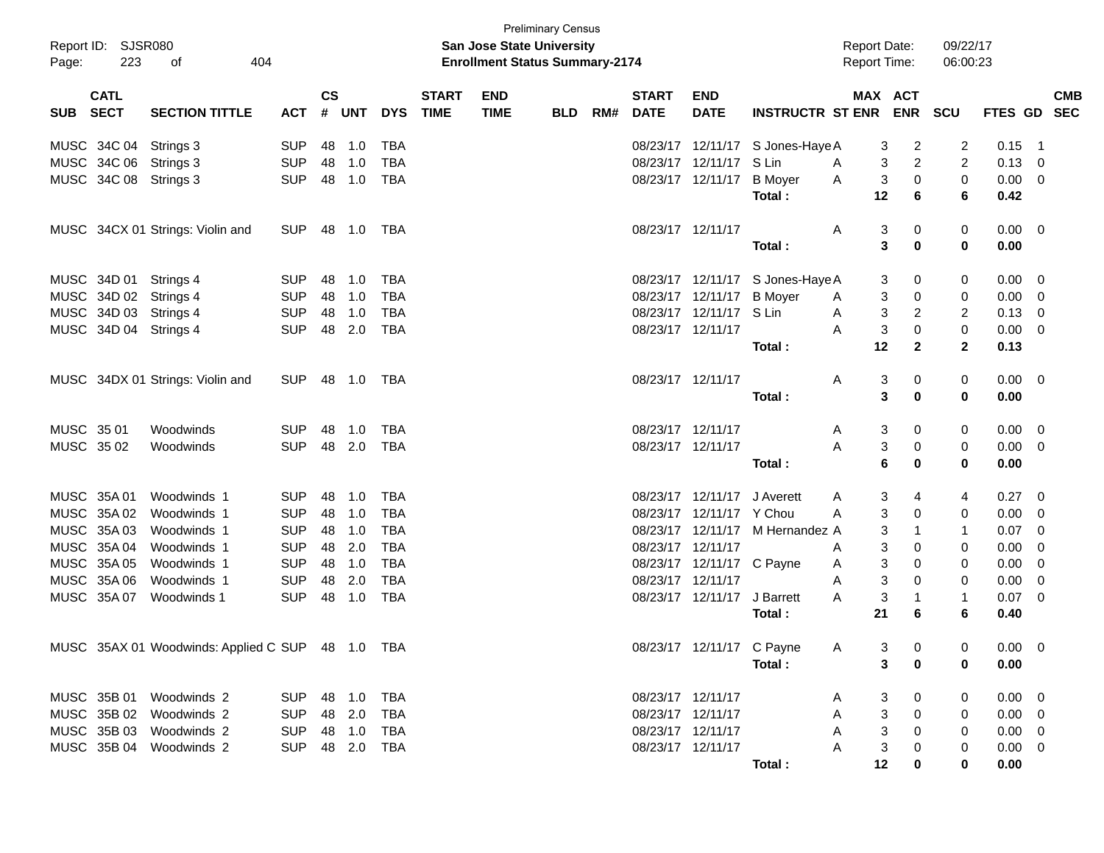| Page:      | Report ID: SJSR080<br>223  | 404<br>οf                                        |                |                    |            |            |                             | <b>San Jose State University</b><br><b>Enrollment Status Summary-2174</b> | <b>Preliminary Census</b> |     |                             |                           |                                  | <b>Report Date:</b><br>Report Time: |   | 09/22/17<br>06:00:23 |                |                           |
|------------|----------------------------|--------------------------------------------------|----------------|--------------------|------------|------------|-----------------------------|---------------------------------------------------------------------------|---------------------------|-----|-----------------------------|---------------------------|----------------------------------|-------------------------------------|---|----------------------|----------------|---------------------------|
| <b>SUB</b> | <b>CATL</b><br><b>SECT</b> | <b>SECTION TITTLE</b>                            | ACT            | $\mathsf{cs}$<br># | <b>UNT</b> | <b>DYS</b> | <b>START</b><br><b>TIME</b> | <b>END</b><br><b>TIME</b>                                                 | <b>BLD</b>                | RM# | <b>START</b><br><b>DATE</b> | <b>END</b><br><b>DATE</b> | <b>INSTRUCTR ST ENR ENR</b>      | MAX ACT                             |   | <b>SCU</b>           |                | <b>CMB</b><br>FTES GD SEC |
|            | MUSC 34C 04                | Strings 3                                        | <b>SUP</b>     | 48                 | 1.0        | TBA        |                             |                                                                           |                           |     |                             | 08/23/17 12/11/17         | S Jones-Haye A                   | 3                                   | 2 | 2                    | 0.15           | - 1                       |
|            | MUSC 34C 06                | Strings 3                                        | <b>SUP</b>     | 48                 | 1.0        | <b>TBA</b> |                             |                                                                           |                           |     | 08/23/17                    | 12/11/17                  | S Lin                            | 3<br>Α                              | 2 | 2                    | 0.13           | 0                         |
|            | MUSC 34C 08                | Strings 3                                        | <b>SUP</b>     | 48                 | 1.0        | <b>TBA</b> |                             |                                                                           |                           |     |                             | 08/23/17 12/11/17         | <b>B</b> Moyer                   | 3<br>A                              | 0 | 0                    | 0.00           | 0                         |
|            |                            |                                                  |                |                    |            |            |                             |                                                                           |                           |     |                             |                           | Total:                           | 12                                  | 6 | 6                    | 0.42           |                           |
|            |                            | MUSC 34CX 01 Strings: Violin and                 | <b>SUP</b>     | 48                 | 1.0        | TBA        |                             |                                                                           |                           |     | 08/23/17 12/11/17           |                           |                                  | 3<br>Α                              | 0 | 0                    | $0.00 \quad 0$ |                           |
|            |                            |                                                  |                |                    |            |            |                             |                                                                           |                           |     |                             |                           | Total :                          | 3                                   | 0 | 0                    | 0.00           |                           |
|            | MUSC 34D 01                | Strings 4                                        | <b>SUP</b>     | 48                 | 1.0        | TBA        |                             |                                                                           |                           |     |                             |                           | 08/23/17 12/11/17 S Jones-Haye A | 3                                   | 0 | 0                    | 0.00           | 0                         |
|            |                            | MUSC 34D 02 Strings 4                            | <b>SUP</b>     | 48                 | 1.0        | <b>TBA</b> |                             |                                                                           |                           |     |                             | 08/23/17 12/11/17         | <b>B</b> Moyer                   | 3<br>A                              | 0 | 0                    | 0.00           | 0                         |
|            | MUSC 34D 03                | Strings 4                                        | <b>SUP</b>     | 48                 | 1.0        | <b>TBA</b> |                             |                                                                           |                           |     |                             | 08/23/17 12/11/17         | S Lin                            | 3<br>A                              | 2 | 2                    | 0.13           | 0                         |
|            |                            | MUSC 34D 04 Strings 4                            | <b>SUP</b>     | 48                 | 2.0        | <b>TBA</b> |                             |                                                                           |                           |     | 08/23/17 12/11/17           |                           |                                  | 3<br>A                              | 0 | 0                    | 0.00           | 0                         |
|            |                            |                                                  |                |                    |            |            |                             |                                                                           |                           |     |                             |                           | Total:                           | 12                                  | 2 | 2                    | 0.13           |                           |
|            |                            | MUSC 34DX 01 Strings: Violin and                 | <b>SUP</b>     |                    | 48 1.0     | TBA        |                             |                                                                           |                           |     | 08/23/17 12/11/17           |                           |                                  | 3<br>Α                              | 0 | 0                    | $0.00 \quad 0$ |                           |
|            |                            |                                                  |                |                    |            |            |                             |                                                                           |                           |     |                             |                           | Total :                          | 3                                   | 0 | 0                    | 0.00           |                           |
| MUSC 35 01 |                            | Woodwinds                                        | <b>SUP</b>     | 48                 | 1.0        | TBA        |                             |                                                                           |                           |     | 08/23/17 12/11/17           |                           |                                  | 3<br>A                              | 0 | 0                    | 0.00           | 0                         |
| MUSC 3502  |                            | Woodwinds                                        | <b>SUP</b>     |                    | 48 2.0     | TBA        |                             |                                                                           |                           |     | 08/23/17 12/11/17           |                           |                                  | 3<br>A                              | 0 | 0                    | 0.00           | 0                         |
|            |                            |                                                  |                |                    |            |            |                             |                                                                           |                           |     |                             |                           | Total:                           | 6                                   | 0 | 0                    | 0.00           |                           |
|            | MUSC 35A 01                | Woodwinds 1                                      | <b>SUP</b>     | 48                 | 1.0        | TBA        |                             |                                                                           |                           |     |                             | 08/23/17 12/11/17         | J Averett                        | 3<br>Α                              | 4 | 4                    | 0.27           | 0                         |
|            | MUSC 35A 02                | Woodwinds 1                                      | <b>SUP</b>     | 48                 | 1.0        | <b>TBA</b> |                             |                                                                           |                           |     | 08/23/17                    | 12/11/17 Y Chou           |                                  | 3<br>A                              | 0 | 0                    | 0.00           | 0                         |
|            | MUSC 35A 03                | Woodwinds 1                                      | <b>SUP</b>     | 48                 | 1.0        | <b>TBA</b> |                             |                                                                           |                           |     |                             | 08/23/17 12/11/17         | M Hernandez A                    | 3                                   | 1 | 1                    | 0.07           | 0                         |
|            | MUSC 35A 04                | Woodwinds 1                                      | <b>SUP</b>     | 48                 | 2.0        | <b>TBA</b> |                             |                                                                           |                           |     | 08/23/17 12/11/17           |                           |                                  | 3<br>Α                              | 0 | 0                    | 0.00           | 0                         |
|            | MUSC 35A 05                | Woodwinds 1                                      | <b>SUP</b>     | 48                 | 1.0        | <b>TBA</b> |                             |                                                                           |                           |     |                             | 08/23/17 12/11/17 C Payne |                                  | 3<br>A                              | 0 | 0                    | 0.00           | 0                         |
|            | MUSC 35A 06                | Woodwinds 1                                      | <b>SUP</b>     | 48                 | 2.0        | <b>TBA</b> |                             |                                                                           |                           |     | 08/23/17 12/11/17           |                           |                                  | 3<br>A                              | 0 | 0                    | 0.00           | 0                         |
|            | MUSC 35A 07                | Woodwinds 1                                      | <b>SUP</b>     | 48                 | 1.0        | <b>TBA</b> |                             |                                                                           |                           |     |                             | 08/23/17 12/11/17         | J Barrett                        | 3<br>A                              | 1 | $\mathbf{1}$         | 0.07           | 0                         |
|            |                            |                                                  |                |                    |            |            |                             |                                                                           |                           |     |                             |                           | Total :                          | 21                                  | 6 | 6                    | 0.40           |                           |
|            |                            | MUSC 35AX 01 Woodwinds: Applied C SUP 48 1.0 TBA |                |                    |            |            |                             |                                                                           |                           |     |                             | 08/23/17 12/11/17 C Payne |                                  | 3<br>A                              | 0 | 0                    | $0.00 \t 0$    |                           |
|            |                            |                                                  |                |                    |            |            |                             |                                                                           |                           |     |                             |                           | Total:                           | 3                                   | 0 | 0                    | 0.00           |                           |
|            |                            | MUSC 35B 01 Woodwinds 2                          | SUP 48 1.0 TBA |                    |            |            |                             |                                                                           |                           |     |                             | 08/23/17 12/11/17         |                                  | 3<br>A                              | 0 | 0                    | $0.00 \quad 0$ |                           |
|            |                            | MUSC 35B 02 Woodwinds 2                          | SUP 48 2.0     |                    |            | TBA        |                             |                                                                           |                           |     |                             | 08/23/17 12/11/17         |                                  | 3<br>A                              | 0 | 0                    | $0.00 \quad 0$ |                           |
|            |                            | MUSC 35B 03 Woodwinds 2                          | SUP 48 1.0     |                    |            | TBA        |                             |                                                                           |                           |     |                             | 08/23/17 12/11/17         |                                  | 3<br>A                              | 0 | 0                    | $0.00 \quad 0$ |                           |
|            |                            | MUSC 35B 04 Woodwinds 2                          | SUP 48 2.0 TBA |                    |            |            |                             |                                                                           |                           |     |                             | 08/23/17 12/11/17         |                                  | 3                                   | 0 | 0                    | $0.00 \t 0$    |                           |
|            |                            |                                                  |                |                    |            |            |                             |                                                                           |                           |     |                             |                           | Total:                           | 12                                  | 0 | 0                    | 0.00           |                           |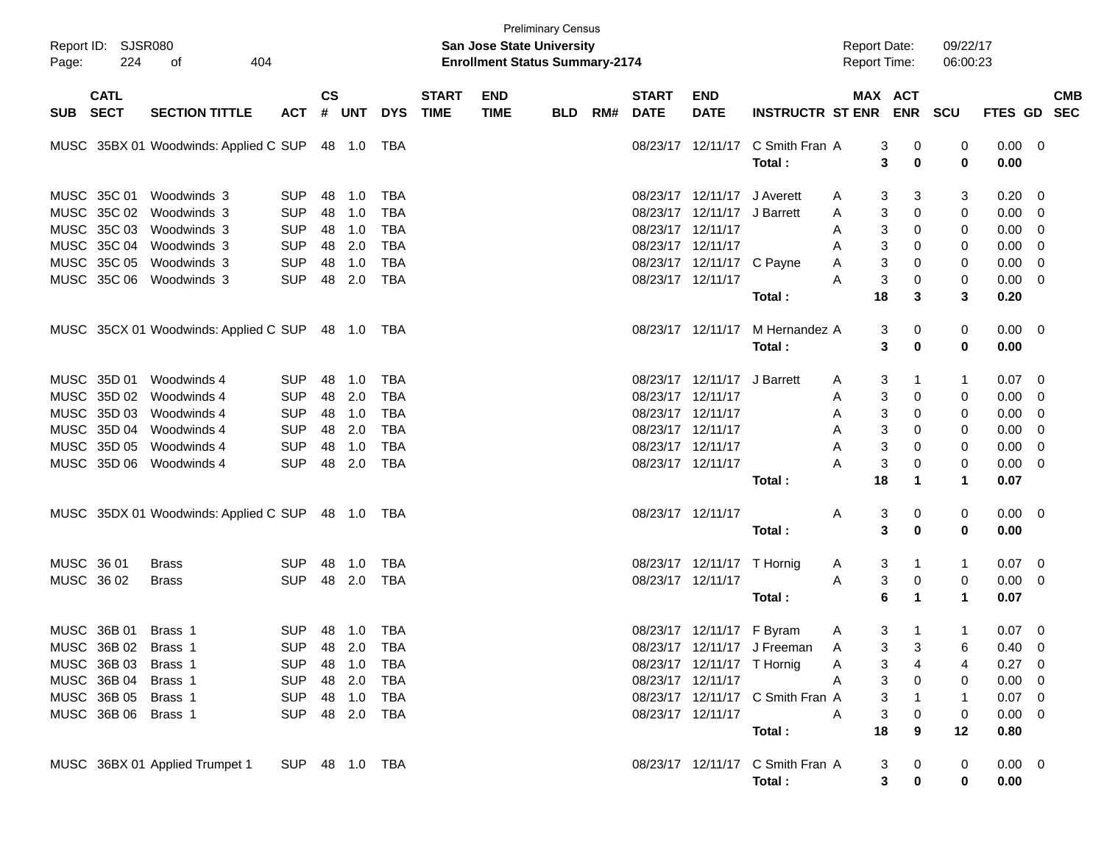| Page:      | Report ID: SJSR080<br>224                         | 404<br>оf                                 |                                        |                    |                                |                                        |                             | <b>San Jose State University</b><br><b>Enrollment Status Summary-2174</b> | <b>Preliminary Census</b> |     |                                                             |                                                         |                                            | <b>Report Date:</b><br>Report Time:        |                                  | 09/22/17<br>06:00:23      |                                     |                                 |  |
|------------|---------------------------------------------------|-------------------------------------------|----------------------------------------|--------------------|--------------------------------|----------------------------------------|-----------------------------|---------------------------------------------------------------------------|---------------------------|-----|-------------------------------------------------------------|---------------------------------------------------------|--------------------------------------------|--------------------------------------------|----------------------------------|---------------------------|-------------------------------------|---------------------------------|--|
| <b>SUB</b> | <b>CATL</b><br><b>SECT</b>                        | <b>SECTION TITTLE</b>                     | <b>ACT</b>                             | $\mathsf{cs}$<br># | <b>UNT</b>                     | <b>DYS</b>                             | <b>START</b><br><b>TIME</b> | <b>END</b><br><b>TIME</b>                                                 | <b>BLD</b>                | RM# | <b>START</b><br><b>DATE</b>                                 | <b>END</b><br><b>DATE</b>                               | <b>INSTRUCTR ST ENR</b>                    | MAX ACT                                    | <b>ENR</b>                       | SCU                       | <b>FTES GD</b>                      | <b>CMB</b><br><b>SEC</b>        |  |
|            |                                                   | MUSC 35BX 01 Woodwinds: Applied C SUP     |                                        |                    |                                |                                        |                             |                                                                           |                           |     |                                                             | 08/23/17 12/11/17                                       | C Smith Fran A<br>Total:                   | 3<br>3                                     | 0<br>$\bf{0}$                    | 0<br>0                    | 0.00<br>0.00                        | - 0                             |  |
|            | MUSC 35C 01<br>MUSC 35C 02<br>MUSC 35C 03         | Woodwinds 3<br>Woodwinds 3<br>Woodwinds 3 | <b>SUP</b><br><b>SUP</b><br><b>SUP</b> | 48<br>48<br>48     | 1.0<br>1.0<br>1.0              | <b>TBA</b><br><b>TBA</b><br><b>TBA</b> |                             |                                                                           |                           |     | 08/23/17<br>08/23/17 12/11/17                               | 08/23/17 12/11/17 J Averett<br>12/11/17 J Barrett       |                                            | 3<br>A<br>3<br>A<br>3<br>A                 | 3<br>0<br>0                      | 3<br>0<br>0               | 0.20<br>0.00<br>0.00                | - 0<br>0<br>0                   |  |
|            | MUSC 35C 04<br>MUSC 35C 05<br>MUSC 35C 06         | Woodwinds 3<br>Woodwinds 3<br>Woodwinds 3 | <b>SUP</b><br><b>SUP</b><br><b>SUP</b> | 48<br>48<br>48     | 2.0<br>1.0<br>2.0              | <b>TBA</b><br><b>TBA</b><br><b>TBA</b> |                             |                                                                           |                           |     | 08/23/17 12/11/17<br>08/23/17 12/11/17                      | 08/23/17 12/11/17 C Payne                               | Total:                                     | 3<br>A<br>3<br>A<br>$\mathsf 3$<br>А<br>18 | 0<br>0<br>0<br>3                 | 0<br>0<br>0<br>3          | 0.00<br>0.00<br>0.00<br>0.20        | 0<br>0<br>0                     |  |
|            |                                                   | MUSC 35CX 01 Woodwinds: Applied C SUP     |                                        |                    |                                |                                        |                             |                                                                           |                           |     |                                                             | 08/23/17 12/11/17                                       | M Hernandez A<br>Total:                    | 3<br>3                                     | 0<br>$\bf{0}$                    | 0<br>0                    | $0.00 \t 0$<br>0.00                 |                                 |  |
|            | MUSC 35D 01<br>MUSC 35D 02<br>MUSC 35D 03         | Woodwinds 4<br>Woodwinds 4<br>Woodwinds 4 | <b>SUP</b><br><b>SUP</b><br><b>SUP</b> | 48<br>48<br>48     | 1.0<br>2.0<br>1.0              | <b>TBA</b><br><b>TBA</b><br><b>TBA</b> |                             |                                                                           |                           |     | 08/23/17 12/11/17<br>08/23/17 12/11/17                      | 08/23/17 12/11/17 J Barrett                             |                                            | 3<br>A<br>3<br>A<br>3<br>A                 | 1<br>0<br>0                      | 1<br>0<br>0               | 0.07<br>0.00<br>0.00                | 0<br>0<br>0                     |  |
|            | MUSC 35D 04<br>MUSC 35D 05<br>MUSC 35D 06         | Woodwinds 4<br>Woodwinds 4<br>Woodwinds 4 | <b>SUP</b><br><b>SUP</b><br><b>SUP</b> | 48<br>48<br>48     | 2.0<br>1.0<br>2.0              | <b>TBA</b><br><b>TBA</b><br><b>TBA</b> |                             |                                                                           |                           |     | 08/23/17 12/11/17<br>08/23/17 12/11/17<br>08/23/17 12/11/17 |                                                         |                                            | 3<br>A<br>3<br>A<br>$\mathsf 3$<br>А       | 0<br>0<br>0                      | 0<br>0<br>0               | 0.00<br>0.00<br>0.00                | 0<br>0<br>0                     |  |
|            |                                                   | MUSC 35DX 01 Woodwinds: Applied C SUP     |                                        |                    |                                |                                        |                             |                                                                           |                           |     | 08/23/17 12/11/17                                           |                                                         | Total:                                     | 18<br>3<br>A                               | 1<br>0                           | 1<br>0                    | 0.07<br>$0.00 \t 0$                 |                                 |  |
| MUSC 36 01 |                                                   | Brass                                     | SUP                                    | 48                 | 1.0                            | <b>TBA</b>                             |                             |                                                                           |                           |     |                                                             | 08/23/17 12/11/17 T Hornig                              | Total:                                     | 3<br>3<br>A                                | $\mathbf 0$<br>1                 | 0<br>1                    | 0.00<br>0.07                        | - 0                             |  |
| MUSC 36 02 |                                                   | <b>Brass</b>                              | <b>SUP</b>                             | 48                 | 2.0                            | <b>TBA</b>                             |                             |                                                                           |                           |     | 08/23/17 12/11/17                                           |                                                         | Total :                                    | 3<br>A<br>6                                | $\pmb{0}$<br>1                   | 0<br>$\blacktriangleleft$ | 0.00<br>0.07                        | 0                               |  |
|            | MUSC 36B 01<br>MUSC 36B 02 Brass 1<br>MUSC 36B 03 | Brass 1<br>Brass 1                        | SUP.<br><b>SUP</b><br><b>SUP</b>       |                    | 48 1.0<br>48 2.0<br>48 1.0     | TBA<br>TBA<br>TBA                      |                             |                                                                           |                           |     |                                                             | 08/23/17 12/11/17 F Byram<br>08/23/17 12/11/17 T Hornig | 08/23/17 12/11/17 J Freeman                | 3<br>A<br>3<br>$\overline{A}$<br>3<br>A    | 1<br>3<br>4                      | 1<br>6<br>4               | 0.07<br>$0.40 \quad 0$<br>0.27      | 0<br>0                          |  |
|            | MUSC 36B 04<br>MUSC 36B 05<br>MUSC 36B 06 Brass 1 | Brass 1<br>Brass 1                        | <b>SUP</b><br><b>SUP</b><br><b>SUP</b> |                    | 48 2.0<br>48 1.0<br>48 2.0 TBA | <b>TBA</b><br>TBA                      |                             |                                                                           |                           |     | 08/23/17 12/11/17<br>08/23/17 12/11/17                      |                                                         | 08/23/17 12/11/17 C Smith Fran A<br>Total: | 3<br>A<br>3<br>3<br>A<br>18                | 0<br>$\boldsymbol{0}$<br>9       | 0<br>1<br>0<br>12         | 0.00<br>0.07<br>$0.00 \t 0$<br>0.80 | - 0<br>$\overline{\phantom{0}}$ |  |
|            |                                                   | MUSC 36BX 01 Applied Trumpet 1            | SUP 48 1.0 TBA                         |                    |                                |                                        |                             |                                                                           |                           |     |                                                             |                                                         | 08/23/17 12/11/17 C Smith Fran A<br>Total: | 3                                          | 0<br>3 <sup>1</sup><br>$\pmb{0}$ | 0<br>0                    | $0.00 \t 0$<br>0.00                 |                                 |  |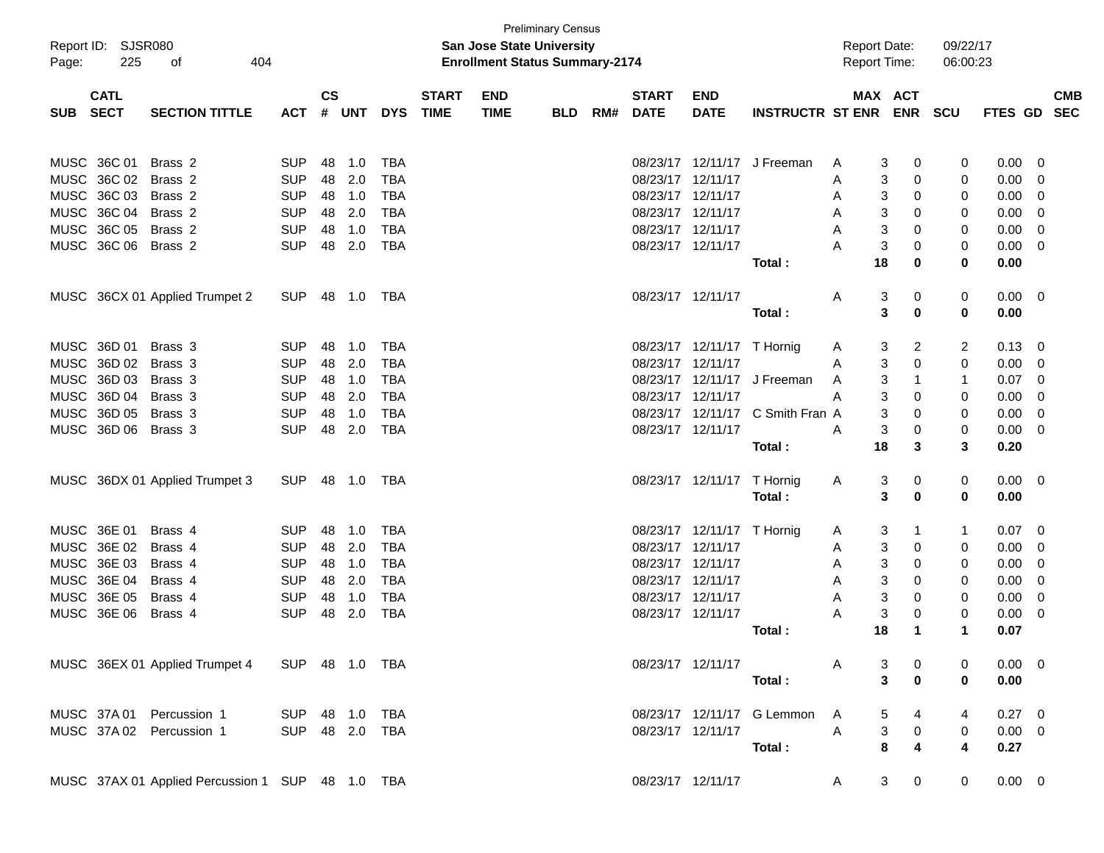| Page: | Report ID: SJSR080<br>225 | 404<br>of                                        |                |               |       |            |              | <b>San Jose State University</b><br><b>Enrollment Status Summary-2174</b> | <b>Preliminary Census</b> |     |                   |                            |                             | <b>Report Date:</b><br><b>Report Time:</b> |                                | 09/22/17<br>06:00:23 |                |                |            |
|-------|---------------------------|--------------------------------------------------|----------------|---------------|-------|------------|--------------|---------------------------------------------------------------------------|---------------------------|-----|-------------------|----------------------------|-----------------------------|--------------------------------------------|--------------------------------|----------------------|----------------|----------------|------------|
|       | <b>CATL</b>               |                                                  |                | $\mathsf{cs}$ |       |            | <b>START</b> | <b>END</b>                                                                |                           |     | <b>START</b>      | <b>END</b>                 |                             |                                            | MAX ACT                        |                      |                |                | <b>CMB</b> |
| SUB   | <b>SECT</b>               | <b>SECTION TITTLE</b>                            | <b>ACT</b>     |               | # UNT | <b>DYS</b> | <b>TIME</b>  | <b>TIME</b>                                                               | <b>BLD</b>                | RM# | <b>DATE</b>       | <b>DATE</b>                | <b>INSTRUCTR ST ENR</b>     |                                            | <b>ENR</b>                     | <b>SCU</b>           | <b>FTES GD</b> |                | <b>SEC</b> |
|       | MUSC 36C 01               | Brass 2                                          | <b>SUP</b>     | 48            | 1.0   | <b>TBA</b> |              |                                                                           |                           |     |                   |                            | 08/23/17 12/11/17 J Freeman | A                                          | 0<br>3                         | 0                    | 0.00           | 0              |            |
|       | MUSC 36C 02               | Brass <sub>2</sub>                               | <b>SUP</b>     | 48            | 2.0   | <b>TBA</b> |              |                                                                           |                           |     |                   | 08/23/17 12/11/17          |                             | A                                          | 3<br>0                         | 0                    | 0.00           | 0              |            |
|       | MUSC 36C 03               | Brass <sub>2</sub>                               | <b>SUP</b>     | 48            | 1.0   | <b>TBA</b> |              |                                                                           |                           |     |                   | 08/23/17 12/11/17          |                             | A                                          | 3<br>0                         | 0                    | 0.00           | 0              |            |
|       | MUSC 36C 04               | Brass 2                                          | <b>SUP</b>     | 48            | 2.0   | <b>TBA</b> |              |                                                                           |                           |     |                   | 08/23/17 12/11/17          |                             | A                                          | 3<br>0                         | 0                    | 0.00           | 0              |            |
|       | MUSC 36C 05               | Brass 2                                          | <b>SUP</b>     | 48            | 1.0   | <b>TBA</b> |              |                                                                           |                           |     |                   | 08/23/17 12/11/17          |                             | A                                          | 3<br>0                         | 0                    | 0.00           | $\overline{0}$ |            |
|       | MUSC 36C 06               | Brass 2                                          | <b>SUP</b>     | 48            | 2.0   | <b>TBA</b> |              |                                                                           |                           |     |                   | 08/23/17 12/11/17          |                             | А                                          | 3<br>0                         | 0                    | 0.00           | 0              |            |
|       |                           |                                                  |                |               |       |            |              |                                                                           |                           |     |                   |                            | Total:                      | 18                                         | 0                              | 0                    | 0.00           |                |            |
|       |                           | MUSC 36CX 01 Applied Trumpet 2                   | <b>SUP</b>     | 48            | 1.0   | TBA        |              |                                                                           |                           |     |                   | 08/23/17 12/11/17          |                             | A                                          | 3<br>0                         | 0                    | $0.00 \t 0$    |                |            |
|       |                           |                                                  |                |               |       |            |              |                                                                           |                           |     |                   |                            | Total:                      |                                            | 3<br>0                         | 0                    | 0.00           |                |            |
|       | MUSC 36D 01               | Brass 3                                          | <b>SUP</b>     | 48            | 1.0   | <b>TBA</b> |              |                                                                           |                           |     |                   | 08/23/17 12/11/17 T Hornig |                             | A                                          | 3<br>2                         | 2                    | 0.13           | 0              |            |
|       | MUSC 36D 02               | Brass 3                                          | <b>SUP</b>     | 48            | 2.0   | <b>TBA</b> |              |                                                                           |                           |     | 08/23/17 12/11/17 |                            |                             | A                                          | 3<br>0                         | 0                    | 0.00           | 0              |            |
|       | MUSC 36D 03               | Brass 3                                          | <b>SUP</b>     | 48            | 1.0   | <b>TBA</b> |              |                                                                           |                           |     |                   | 08/23/17 12/11/17          | J Freeman                   | A                                          | 3<br>1                         | 1                    | 0.07           | 0              |            |
|       | MUSC 36D 04               | Brass 3                                          | <b>SUP</b>     | 48            | 2.0   | <b>TBA</b> |              |                                                                           |                           |     |                   | 08/23/17 12/11/17          |                             | A                                          | 3<br>0                         | 0                    | 0.00           | 0              |            |
|       | MUSC 36D 05               | Brass 3                                          | <b>SUP</b>     | 48            | 1.0   | <b>TBA</b> |              |                                                                           |                           |     |                   | 08/23/17 12/11/17          | C Smith Fran A              |                                            | 3<br>0                         | 0                    | 0.00           | 0              |            |
|       | MUSC 36D 06               | Brass 3                                          | <b>SUP</b>     | 48            | 2.0   | <b>TBA</b> |              |                                                                           |                           |     |                   | 08/23/17 12/11/17          |                             | A<br>18                                    | 3<br>0<br>3                    | 0<br>3               | 0.00           | 0              |            |
|       |                           |                                                  |                |               |       |            |              |                                                                           |                           |     |                   |                            | Total:                      |                                            |                                |                      | 0.20           |                |            |
|       |                           | MUSC 36DX 01 Applied Trumpet 3                   | <b>SUP</b>     | 48            | 1.0   | TBA        |              |                                                                           |                           |     |                   | 08/23/17 12/11/17          | T Hornig                    | A                                          | 3<br>0                         | 0                    | $0.00 \t 0$    |                |            |
|       |                           |                                                  |                |               |       |            |              |                                                                           |                           |     |                   |                            | Total:                      |                                            | 3<br>0                         | 0                    | 0.00           |                |            |
|       | MUSC 36E 01               | Brass 4                                          | <b>SUP</b>     | 48            | 1.0   | TBA        |              |                                                                           |                           |     |                   | 08/23/17 12/11/17 T Hornig |                             | A                                          | 3<br>1                         | 1                    | 0.07           | 0              |            |
|       | MUSC 36E 02               | Brass 4                                          | <b>SUP</b>     | 48            | 2.0   | <b>TBA</b> |              |                                                                           |                           |     |                   | 08/23/17 12/11/17          |                             | A                                          | 3<br>0                         | 0                    | 0.00           | 0              |            |
|       | MUSC 36E 03               | Brass 4                                          | <b>SUP</b>     | 48            | 1.0   | <b>TBA</b> |              |                                                                           |                           |     |                   | 08/23/17 12/11/17          |                             | A                                          | 3<br>0                         | 0                    | 0.00           | 0              |            |
|       | MUSC 36E 04               | Brass 4                                          | <b>SUP</b>     | 48            | 2.0   | <b>TBA</b> |              |                                                                           |                           |     |                   | 08/23/17 12/11/17          |                             | A                                          | 3<br>0                         | 0                    | 0.00           | 0              |            |
|       | MUSC 36E 05               | Brass 4                                          | <b>SUP</b>     | 48            | 1.0   | <b>TBA</b> |              |                                                                           |                           |     |                   | 08/23/17 12/11/17          |                             | A                                          | 3<br>0                         | 0                    | 0.00           | 0              |            |
|       | MUSC 36E 06               | Brass 4                                          | <b>SUP</b>     | 48            | 2.0   | <b>TBA</b> |              |                                                                           |                           |     | 08/23/17 12/11/17 |                            |                             | А                                          | 3<br>0                         | 0                    | 0.00           | 0              |            |
|       |                           |                                                  |                |               |       |            |              |                                                                           |                           |     |                   |                            | Total :                     | 18                                         | 1                              | 1                    | 0.07           |                |            |
|       |                           | MUSC 36EX 01 Applied Trumpet 4                   | SUP 48 1.0 TBA |               |       |            |              |                                                                           |                           |     |                   | 08/23/17 12/11/17          |                             | A                                          | 3<br>0                         | 0                    | $0.00 \quad 0$ |                |            |
|       |                           |                                                  |                |               |       |            |              |                                                                           |                           |     |                   |                            | Total:                      |                                            | 3<br>$\mathbf 0$               | $\bf{0}$             | 0.00           |                |            |
|       |                           | MUSC 37A 01 Percussion 1                         | SUP 48 1.0 TBA |               |       |            |              |                                                                           |                           |     |                   |                            | 08/23/17 12/11/17 G Lemmon  | A                                          | 5<br>4                         | 4                    | $0.27 \quad 0$ |                |            |
|       |                           | MUSC 37A 02 Percussion 1                         | SUP 48 2.0 TBA |               |       |            |              |                                                                           |                           |     |                   | 08/23/17 12/11/17          |                             | Α                                          | $\ensuremath{\mathsf{3}}$<br>0 | 0                    | $0.00 \t 0$    |                |            |
|       |                           |                                                  |                |               |       |            |              |                                                                           |                           |     |                   |                            | Total:                      |                                            | 8<br>4                         | 4                    | 0.27           |                |            |
|       |                           | MUSC 37AX 01 Applied Percussion 1 SUP 48 1.0 TBA |                |               |       |            |              |                                                                           |                           |     |                   | 08/23/17 12/11/17          |                             | A                                          | 3 <sup>7</sup><br>$\mathbf 0$  | 0                    | $0.00 \t 0$    |                |            |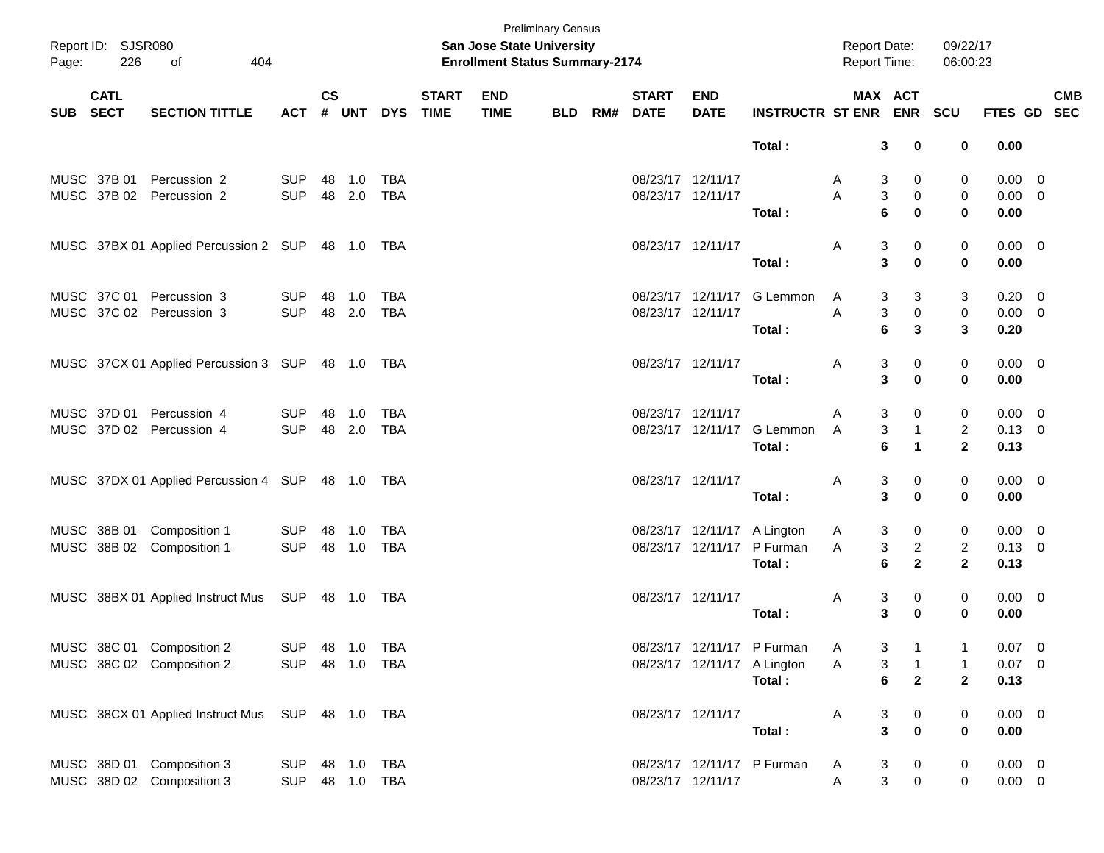| Page:    | Report ID: SJSR080<br>226 | 404<br>of                                        |                |               |              |            |                             | <b>San Jose State University</b><br><b>Enrollment Status Summary-2174</b> | <b>Preliminary Census</b> |                          |                             |                             | <b>Report Date:</b><br>Report Time: |                | 09/22/17<br>06:00:23    |                |                           |
|----------|---------------------------|--------------------------------------------------|----------------|---------------|--------------|------------|-----------------------------|---------------------------------------------------------------------------|---------------------------|--------------------------|-----------------------------|-----------------------------|-------------------------------------|----------------|-------------------------|----------------|---------------------------|
| SUB SECT | <b>CATL</b>               | <b>SECTION TITTLE</b>                            | <b>ACT</b>     | $\mathsf{cs}$ | # UNT        | <b>DYS</b> | <b>START</b><br><b>TIME</b> | <b>END</b><br><b>TIME</b>                                                 | BLD                       | <b>START</b><br>RM# DATE | <b>END</b><br><b>DATE</b>   | INSTRUCTR ST ENR ENR SCU    | MAX ACT                             |                |                         |                | <b>CMB</b><br>FTES GD SEC |
|          |                           |                                                  |                |               |              |            |                             |                                                                           |                           |                          |                             | Total:                      | 3                                   | 0              | 0                       | 0.00           |                           |
|          | MUSC 37B 01               | Percussion 2                                     | <b>SUP</b>     | 48            | 1.0          | <b>TBA</b> |                             |                                                                           |                           | 08/23/17 12/11/17        |                             |                             | 3<br>A                              | 0              | 0                       | $0.00 \t 0$    |                           |
|          |                           | MUSC 37B 02 Percussion 2                         | <b>SUP</b>     |               | 48 2.0       | <b>TBA</b> |                             |                                                                           |                           | 08/23/17 12/11/17        |                             |                             | 3<br>A                              | 0              | 0                       | $0.00 \t 0$    |                           |
|          |                           |                                                  |                |               |              |            |                             |                                                                           |                           |                          |                             | Total:                      | 6                                   | $\bf{0}$       | $\bf{0}$                | 0.00           |                           |
|          |                           | MUSC 37BX 01 Applied Percussion 2 SUP 48 1.0 TBA |                |               |              |            |                             |                                                                           |                           | 08/23/17 12/11/17        |                             |                             | 3<br>A                              | 0              | 0                       | $0.00 \quad 0$ |                           |
|          |                           |                                                  |                |               |              |            |                             |                                                                           |                           |                          |                             | Total:                      | 3                                   | $\bf{0}$       | 0                       | 0.00           |                           |
|          |                           | MUSC 37C 01 Percussion 3                         | <b>SUP</b>     | 48            | 1.0          | TBA        |                             |                                                                           |                           |                          |                             | 08/23/17 12/11/17 G Lemmon  | A<br>3                              | 3              | 3                       | $0.20 \ 0$     |                           |
|          |                           | MUSC 37C 02 Percussion 3                         | <b>SUP</b>     |               | 48 2.0       | <b>TBA</b> |                             |                                                                           |                           | 08/23/17 12/11/17        |                             |                             | 3<br>A                              | 0              | 0                       | $0.00 \t 0$    |                           |
|          |                           |                                                  |                |               |              |            |                             |                                                                           |                           |                          |                             | Total:                      | 6                                   | 3              | 3                       | 0.20           |                           |
|          |                           | MUSC 37CX 01 Applied Percussion 3 SUP 48 1.0 TBA |                |               |              |            |                             |                                                                           |                           | 08/23/17 12/11/17        |                             |                             | 3<br>A                              | 0              | 0                       | $0.00 \t 0$    |                           |
|          |                           |                                                  |                |               |              |            |                             |                                                                           |                           |                          |                             | Total:                      | 3                                   | $\bf{0}$       | $\mathbf 0$             | 0.00           |                           |
|          |                           | MUSC 37D 01 Percussion 4                         | <b>SUP</b>     | 48            | 1.0          | <b>TBA</b> |                             |                                                                           |                           | 08/23/17 12/11/17        |                             |                             | 3<br>A                              | 0              | 0                       | $0.00 \quad 0$ |                           |
|          |                           | MUSC 37D 02 Percussion 4                         | <b>SUP</b>     |               | 48 2.0       | TBA        |                             |                                                                           |                           |                          |                             | 08/23/17 12/11/17 G Lemmon  | 3<br>A                              | $\mathbf{1}$   | $\overline{\mathbf{c}}$ | $0.13 \ 0$     |                           |
|          |                           |                                                  |                |               |              |            |                             |                                                                           |                           |                          |                             | Total:                      | 6                                   | 1              | $\overline{2}$          | 0.13           |                           |
|          |                           | MUSC 37DX 01 Applied Percussion 4 SUP 48 1.0 TBA |                |               |              |            |                             |                                                                           |                           | 08/23/17 12/11/17        |                             |                             | 3<br>A                              | 0              | 0                       | $0.00 \t 0$    |                           |
|          |                           |                                                  |                |               |              |            |                             |                                                                           |                           |                          |                             | Total:                      | 3                                   | $\bf{0}$       | 0                       | 0.00           |                           |
|          |                           | MUSC 38B 01 Composition 1                        | <b>SUP</b>     | 48            | 1.0          | TBA        |                             |                                                                           |                           |                          | 08/23/17 12/11/17 A Lington |                             | 3<br>A                              | 0              | 0                       | $0.00 \quad 0$ |                           |
|          |                           | MUSC 38B 02 Composition 1                        | <b>SUP</b>     |               | 48 1.0       | TBA        |                             |                                                                           |                           |                          |                             | 08/23/17 12/11/17 P Furman  | 3<br>A                              | $\overline{c}$ | $\overline{a}$          | $0.13 \ 0$     |                           |
|          |                           |                                                  |                |               |              |            |                             |                                                                           |                           |                          |                             | Total:                      | 6                                   | $\mathbf{2}$   | $\overline{2}$          | 0.13           |                           |
|          |                           | MUSC 38BX 01 Applied Instruct Mus SUP 48 1.0 TBA |                |               |              |            |                             |                                                                           |                           | 08/23/17 12/11/17        |                             |                             | 3<br>A                              | 0              | 0                       | $0.00 \t 0$    |                           |
|          |                           |                                                  |                |               |              |            |                             |                                                                           |                           |                          |                             | Total:                      | 3                                   | $\bf{0}$       | 0                       | 0.00           |                           |
|          |                           | MUSC 38C 01 Composition 2                        | SUP 48 1.0 TBA |               |              |            |                             |                                                                           |                           |                          |                             | 08/23/17 12/11/17 P Furman  | 3<br>Α                              | $\overline{1}$ |                         | $0.07 \t 0$    |                           |
|          |                           | MUSC 38C 02 Composition 2                        | <b>SUP</b>     |               |              |            |                             |                                                                           |                           |                          |                             | 08/23/17 12/11/17 A Lington | 3<br>A                              | $\overline{1}$ | 1                       | $0.07$ 0       |                           |
|          |                           |                                                  |                |               |              |            |                             |                                                                           |                           |                          |                             | Total:                      | 6                                   | $\mathbf{2}$   | $\mathbf{2}$            | 0.13           |                           |
|          |                           | MUSC 38CX 01 Applied Instruct Mus SUP 48 1.0 TBA |                |               |              |            |                             |                                                                           |                           | 08/23/17 12/11/17        |                             |                             | 3<br>A                              | 0              | 0                       | $0.00 \t 0$    |                           |
|          |                           |                                                  |                |               |              |            |                             |                                                                           |                           |                          |                             | Total:                      | $\mathbf{3}$                        | $\pmb{0}$      | 0                       | 0.00           |                           |
|          |                           | MUSC 38D 01 Composition 3                        | <b>SUP</b>     |               | 48  1.0  TBA |            |                             |                                                                           |                           |                          |                             | 08/23/17 12/11/17 P Furman  | 3<br>A                              | $\mathbf 0$    | 0                       | $0.00 \t 0$    |                           |
|          |                           | MUSC 38D 02 Composition 3                        | <b>SUP</b>     |               | 48 1.0 TBA   |            |                             |                                                                           |                           |                          | 08/23/17 12/11/17           |                             | $\mathbf{3}$<br>A                   | $\mathbf 0$    | 0                       | $0.00 \t 0$    |                           |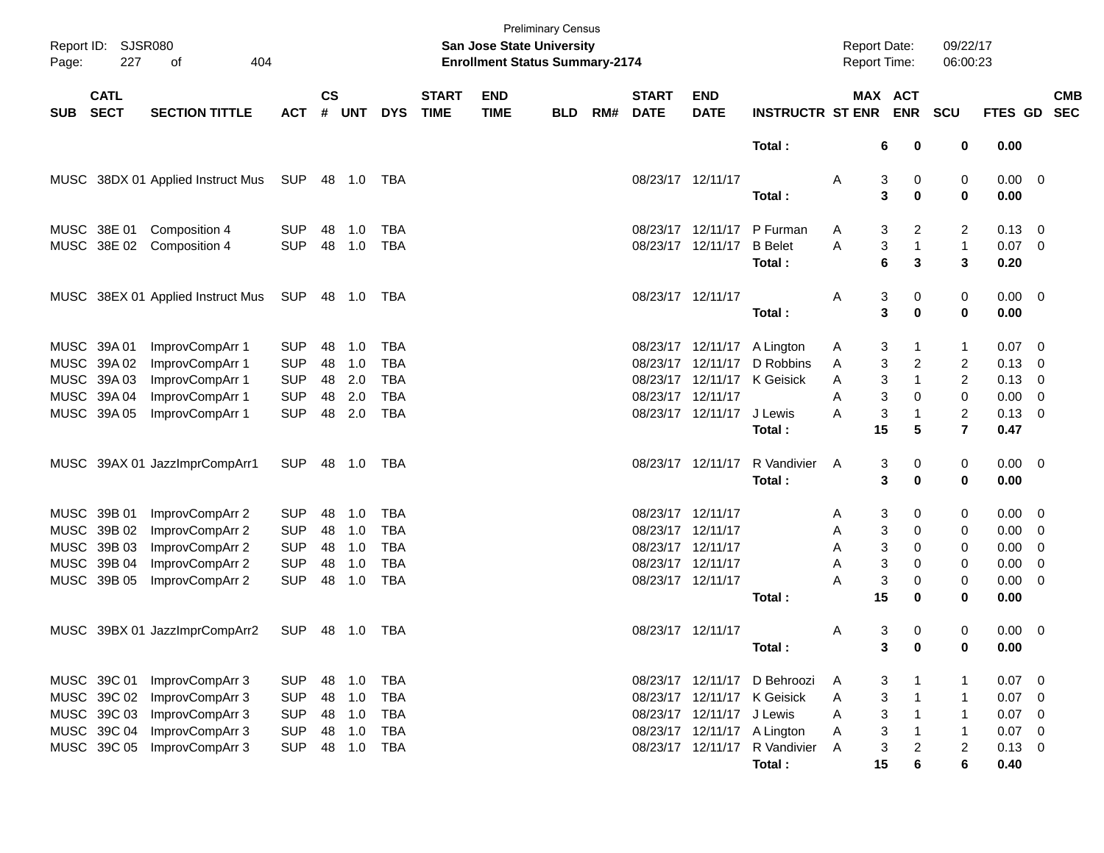| Page:      | Report ID: SJSR080<br>227  | 404<br>οf                         |            |                    |            |            |                             | <b>San Jose State University</b><br><b>Enrollment Status Summary-2174</b> | <b>Preliminary Census</b> |     |                             |                           |                               | <b>Report Date:</b><br><b>Report Time:</b> |                       |                  | 09/22/17<br>06:00:23    |                |                          |                          |
|------------|----------------------------|-----------------------------------|------------|--------------------|------------|------------|-----------------------------|---------------------------------------------------------------------------|---------------------------|-----|-----------------------------|---------------------------|-------------------------------|--------------------------------------------|-----------------------|------------------|-------------------------|----------------|--------------------------|--------------------------|
| <b>SUB</b> | <b>CATL</b><br><b>SECT</b> | <b>SECTION TITTLE</b>             | <b>ACT</b> | $\mathsf{cs}$<br># | <b>UNT</b> | <b>DYS</b> | <b>START</b><br><b>TIME</b> | <b>END</b><br><b>TIME</b>                                                 | <b>BLD</b>                | RM# | <b>START</b><br><b>DATE</b> | <b>END</b><br><b>DATE</b> | <b>INSTRUCTR ST ENR</b>       |                                            | MAX ACT<br><b>ENR</b> |                  | <b>SCU</b>              | <b>FTES GD</b> |                          | <b>CMB</b><br><b>SEC</b> |
|            |                            |                                   |            |                    |            |            |                             |                                                                           |                           |     |                             |                           | Total:                        |                                            | 6                     | 0                | 0                       | 0.00           |                          |                          |
|            |                            | MUSC 38DX 01 Applied Instruct Mus | SUP        | 48                 | 1.0        | TBA        |                             |                                                                           |                           |     | 08/23/17 12/11/17           |                           | Total:                        | Α                                          | 3<br>3                | 0<br>$\mathbf 0$ | 0<br>0                  | 0.00<br>0.00   | $\overline{\phantom{0}}$ |                          |
|            | MUSC 38E 01                | Composition 4                     | <b>SUP</b> | 48                 | 1.0        | <b>TBA</b> |                             |                                                                           |                           |     |                             | 08/23/17 12/11/17         | P Furman                      | A                                          | 3                     | $\overline{c}$   | 2                       | 0.13           | - 0                      |                          |
|            | MUSC 38E 02                | Composition 4                     | <b>SUP</b> | 48                 | 1.0        | <b>TBA</b> |                             |                                                                           |                           |     |                             | 08/23/17 12/11/17         | <b>B</b> Belet                | A                                          | 3                     | $\mathbf{1}$     | $\mathbf{1}$            | 0.07           | - 0                      |                          |
|            |                            |                                   |            |                    |            |            |                             |                                                                           |                           |     |                             |                           | Total:                        |                                            | 6                     | 3                | 3                       | 0.20           |                          |                          |
|            |                            | MUSC 38EX 01 Applied Instruct Mus | SUP        | 48                 | 1.0        | TBA        |                             |                                                                           |                           |     | 08/23/17 12/11/17           |                           |                               | Α                                          | 3                     | 0                | 0                       | $0.00 \t 0$    |                          |                          |
|            |                            |                                   |            |                    |            |            |                             |                                                                           |                           |     |                             |                           | Total:                        |                                            | 3                     | $\mathbf 0$      | 0                       | 0.00           |                          |                          |
|            | MUSC 39A 01                | ImprovCompArr 1                   | <b>SUP</b> | 48                 | 1.0        | <b>TBA</b> |                             |                                                                           |                           |     |                             | 08/23/17 12/11/17         | A Lington                     | A                                          | 3                     | 1                | 1                       | 0.07           | - 0                      |                          |
|            | MUSC 39A 02                | ImprovCompArr 1                   | <b>SUP</b> | 48                 | 1.0        | <b>TBA</b> |                             |                                                                           |                           |     | 08/23/17                    | 12/11/17                  | D Robbins                     | Α                                          | 3                     | $\overline{c}$   | $\overline{\mathbf{c}}$ | 0.13           | 0                        |                          |
|            | MUSC 39A 03                | ImprovCompArr 1                   | <b>SUP</b> | 48                 | 2.0        | <b>TBA</b> |                             |                                                                           |                           |     |                             | 08/23/17 12/11/17         | K Geisick                     | A                                          | 3                     | $\mathbf{1}$     | $\overline{c}$          | 0.13           | 0                        |                          |
|            | MUSC 39A 04                | ImprovCompArr 1                   | <b>SUP</b> | 48                 | 2.0        | <b>TBA</b> |                             |                                                                           |                           |     | 08/23/17 12/11/17           |                           |                               | A                                          | 3                     | 0                | $\mathbf 0$             | 0.00           | 0                        |                          |
|            | MUSC 39A 05                | ImprovCompArr 1                   | <b>SUP</b> | 48                 | 2.0        | <b>TBA</b> |                             |                                                                           |                           |     |                             | 08/23/17 12/11/17         | J Lewis                       | A                                          | 3                     | $\mathbf{1}$     | $\overline{c}$          | 0.13           | 0                        |                          |
|            |                            |                                   |            |                    |            |            |                             |                                                                           |                           |     |                             |                           | Total:                        |                                            | 15                    | 5                | $\overline{7}$          | 0.47           |                          |                          |
|            |                            | MUSC 39AX 01 JazzImprCompArr1     | <b>SUP</b> | 48                 | 1.0        | TBA        |                             |                                                                           |                           |     |                             | 08/23/17 12/11/17         | R Vandivier                   | A                                          | 3                     | 0                | 0                       | $0.00 \t 0$    |                          |                          |
|            |                            |                                   |            |                    |            |            |                             |                                                                           |                           |     |                             |                           | Total:                        |                                            | 3                     | $\mathbf 0$      | 0                       | 0.00           |                          |                          |
|            | MUSC 39B 01                | ImprovCompArr 2                   | <b>SUP</b> | 48                 | 1.0        | <b>TBA</b> |                             |                                                                           |                           |     | 08/23/17 12/11/17           |                           |                               | A                                          | 3                     | 0                | 0                       | 0.00           | - 0                      |                          |
|            | MUSC 39B 02                | ImprovCompArr 2                   | <b>SUP</b> | 48                 | 1.0        | <b>TBA</b> |                             |                                                                           |                           |     | 08/23/17 12/11/17           |                           |                               | A                                          | 3                     | 0                | 0                       | 0.00           | 0                        |                          |
|            | MUSC 39B 03                | ImprovCompArr 2                   | <b>SUP</b> | 48                 | 1.0        | <b>TBA</b> |                             |                                                                           |                           |     | 08/23/17 12/11/17           |                           |                               | A                                          | 3                     | 0                | 0                       | 0.00           | 0                        |                          |
|            | MUSC 39B 04                | ImprovCompArr 2                   | <b>SUP</b> | 48                 | 1.0        | <b>TBA</b> |                             |                                                                           |                           |     | 08/23/17 12/11/17           |                           |                               | A                                          | 3                     | 0                | 0                       | 0.00           | 0                        |                          |
|            | MUSC 39B 05                | ImprovCompArr 2                   | <b>SUP</b> | 48                 | 1.0        | <b>TBA</b> |                             |                                                                           |                           |     | 08/23/17 12/11/17           |                           |                               | A                                          | 3                     | 0                | 0                       | 0.00           | 0                        |                          |
|            |                            |                                   |            |                    |            |            |                             |                                                                           |                           |     |                             |                           | Total :                       |                                            | 15                    | $\mathbf 0$      | 0                       | 0.00           |                          |                          |
|            |                            | MUSC 39BX 01 JazzImprCompArr2     | <b>SUP</b> | 48                 | 1.0        | TBA        |                             |                                                                           |                           |     | 08/23/17 12/11/17           |                           |                               | A                                          | 3                     | 0                | 0                       | 0.00           | $\overline{\phantom{0}}$ |                          |
|            |                            |                                   |            |                    |            |            |                             |                                                                           |                           |     |                             |                           | Total :                       |                                            | 3                     | $\bf{0}$         | 0                       | 0.00           |                          |                          |
|            | MUSC 39C 01                | ImprovCompArr 3                   | <b>SUP</b> | 48                 | 1.0        | <b>TBA</b> |                             |                                                                           |                           |     |                             | 08/23/17 12/11/17         | D Behroozi                    | A                                          | 3                     | $\mathbf{1}$     | 1                       | 0.07           | $\overline{\phantom{0}}$ |                          |
|            | MUSC 39C 02                | ImprovCompArr 3                   | <b>SUP</b> | 48                 | 1.0        | <b>TBA</b> |                             |                                                                           |                           |     |                             |                           | 08/23/17 12/11/17 K Geisick   | A                                          | 3                     | $\mathbf{1}$     | $\mathbf{1}$            | 0.07           | 0                        |                          |
|            | MUSC 39C 03                | ImprovCompArr 3                   | <b>SUP</b> | 48                 | 1.0        | <b>TBA</b> |                             |                                                                           |                           |     |                             | 08/23/17 12/11/17 J Lewis |                               | Α                                          | 3                     | $\mathbf{1}$     | $\mathbf{1}$            | 0.07           | 0                        |                          |
|            | MUSC 39C 04                | ImprovCompArr 3                   | <b>SUP</b> | 48                 | 1.0        | <b>TBA</b> |                             |                                                                           |                           |     |                             |                           | 08/23/17 12/11/17 A Lington   | Α                                          | 3                     | $\mathbf{1}$     | $\mathbf{1}$            | 0.07           | $\overline{0}$           |                          |
|            | MUSC 39C 05                | ImprovCompArr 3                   | <b>SUP</b> | 48                 | 1.0        | TBA        |                             |                                                                           |                           |     |                             |                           | 08/23/17 12/11/17 R Vandivier | $\mathsf{A}$                               | 3                     | $\overline{c}$   | $\overline{c}$          | 0.13           | - 0                      |                          |
|            |                            |                                   |            |                    |            |            |                             |                                                                           |                           |     |                             |                           | Total:                        |                                            | 15                    | 6                | $\bf 6$                 | 0.40           |                          |                          |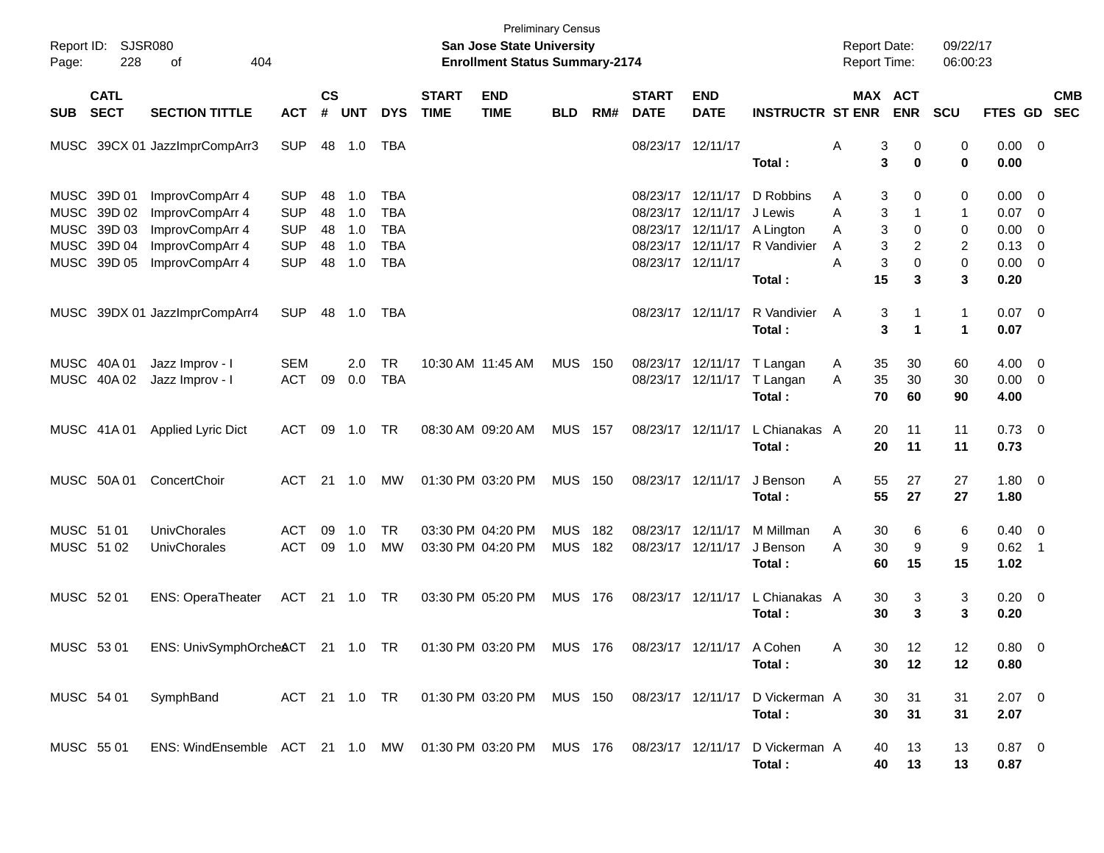| Report ID:<br>Page:      | SJSR080<br>228                                                          | 404<br>οf                                                                                       |                                                                    |                            |                                 |                                                                    |                             | <b>Preliminary Census</b><br>San Jose State University<br><b>Enrollment Status Summary-2174</b> |                          |            |                                                                   |                                              |                                                            | <b>Report Date:</b><br><b>Report Time:</b>           |                                 | 09/22/17<br>06:00:23                  |                                              |                                                              |                          |
|--------------------------|-------------------------------------------------------------------------|-------------------------------------------------------------------------------------------------|--------------------------------------------------------------------|----------------------------|---------------------------------|--------------------------------------------------------------------|-----------------------------|-------------------------------------------------------------------------------------------------|--------------------------|------------|-------------------------------------------------------------------|----------------------------------------------|------------------------------------------------------------|------------------------------------------------------|---------------------------------|---------------------------------------|----------------------------------------------|--------------------------------------------------------------|--------------------------|
| <b>SUB</b>               | <b>CATL</b><br><b>SECT</b>                                              | <b>SECTION TITTLE</b>                                                                           | <b>ACT</b>                                                         | $\mathsf{cs}$<br>#         | <b>UNT</b>                      | <b>DYS</b>                                                         | <b>START</b><br><b>TIME</b> | <b>END</b><br><b>TIME</b>                                                                       | <b>BLD</b>               | RM#        | <b>START</b><br><b>DATE</b>                                       | <b>END</b><br><b>DATE</b>                    | <b>INSTRUCTR ST ENR</b>                                    |                                                      | MAX ACT<br><b>ENR</b>           | <b>SCU</b>                            | <b>FTES GD</b>                               |                                                              | <b>CMB</b><br><b>SEC</b> |
|                          |                                                                         | MUSC 39CX 01 JazzImprCompArr3                                                                   | <b>SUP</b>                                                         | 48                         | 1.0                             | TBA                                                                |                             |                                                                                                 |                          |            | 08/23/17 12/11/17                                                 |                                              | Total:                                                     | Α<br>3<br>3                                          | 0<br>0                          | 0<br>$\mathbf 0$                      | 0.00<br>0.00                                 | $\overline{0}$                                               |                          |
|                          | MUSC 39D 01<br>MUSC 39D 02<br>MUSC 39D 03<br>MUSC 39D 04<br>MUSC 39D 05 | ImprovCompArr 4<br>ImprovCompArr 4<br>ImprovCompArr 4<br>ImprovCompArr 4<br>ImprovCompArr 4     | <b>SUP</b><br><b>SUP</b><br><b>SUP</b><br><b>SUP</b><br><b>SUP</b> | 48<br>48<br>48<br>48<br>48 | 1.0<br>1.0<br>1.0<br>1.0<br>1.0 | <b>TBA</b><br><b>TBA</b><br><b>TBA</b><br><b>TBA</b><br><b>TBA</b> |                             |                                                                                                 |                          |            | 08/23/17<br>08/23/17<br>08/23/17<br>08/23/17<br>08/23/17 12/11/17 | 12/11/17<br>12/11/17<br>12/11/17<br>12/11/17 | D Robbins<br>J Lewis<br>A Lington<br>R Vandivier<br>Total: | 3<br>Α<br>3<br>Α<br>3<br>A<br>3<br>Α<br>3<br>A<br>15 | 0<br>0<br>2<br>$\mathbf 0$<br>3 | 0<br>$\mathbf{1}$<br>0<br>2<br>0<br>3 | 0.00<br>0.07<br>0.00<br>0.13<br>0.00<br>0.20 | $\overline{0}$<br>$\overline{0}$<br>$\overline{0}$<br>0<br>0 |                          |
|                          |                                                                         | MUSC 39DX 01 JazzImprCompArr4                                                                   | <b>SUP</b>                                                         | 48                         | 1.0                             | TBA                                                                |                             |                                                                                                 |                          |            | 08/23/17 12/11/17                                                 |                                              | R Vandivier<br>Total:                                      | 3<br>A<br>3                                          | $\mathbf 1$                     | $\mathbf{1}$<br>1                     | 0.07<br>0.07                                 | $\overline{\mathbf{0}}$                                      |                          |
|                          | MUSC 40A 01<br>MUSC 40A 02                                              | Jazz Improv - I<br>Jazz Improv - I                                                              | <b>SEM</b><br><b>ACT</b>                                           | 09                         | 2.0<br>0.0                      | <b>TR</b><br><b>TBA</b>                                            |                             | 10:30 AM 11:45 AM                                                                               | MUS                      | 150        |                                                                   | 08/23/17 12/11/17                            | T Langan<br>08/23/17 12/11/17 T Langan<br>Total:           | 35<br>A<br>35<br>A<br>70                             | 30<br>30<br>60                  | 60<br>30<br>90                        | 4.00<br>0.00<br>4.00                         | $\overline{0}$<br>0                                          |                          |
|                          | MUSC 41A 01                                                             | <b>Applied Lyric Dict</b>                                                                       | ACT                                                                | 09                         | 1.0                             | TR                                                                 |                             | 08:30 AM 09:20 AM                                                                               | MUS                      | 157        | 08/23/17 12/11/17                                                 |                                              | L Chianakas A<br>Total:                                    | 20<br>20                                             | 11<br>11                        | 11<br>11                              | 0.73<br>0.73                                 | $\overline{0}$                                               |                          |
|                          | MUSC 50A 01                                                             | ConcertChoir                                                                                    | ACT                                                                | 21                         | 1.0                             | MW                                                                 |                             | 01:30 PM 03:20 PM                                                                               | <b>MUS 150</b>           |            | 08/23/17 12/11/17                                                 |                                              | J Benson<br>Total:                                         | A<br>55<br>55                                        | 27<br>27                        | 27<br>27                              | 1.80<br>1.80                                 | $\overline{0}$                                               |                          |
| MUSC 51 01<br>MUSC 51 02 |                                                                         | UnivChorales<br><b>UnivChorales</b>                                                             | ACT<br><b>ACT</b>                                                  | 09<br>09                   | 1.0<br>1.0                      | <b>TR</b><br><b>MW</b>                                             |                             | 03:30 PM 04:20 PM<br>03:30 PM 04:20 PM                                                          | <b>MUS</b><br><b>MUS</b> | 182<br>182 | 08/23/17<br>08/23/17                                              | 12/11/17<br>12/11/17                         | M Millman<br>J Benson<br>Total:                            | 30<br>A<br>30<br>Α<br>60                             | 6<br>9<br>15                    | 6<br>9<br>15                          | 0.40<br>0.62<br>1.02                         | $\overline{0}$<br>$\overline{\phantom{0}}$ 1                 |                          |
| MUSC 52 01               |                                                                         | <b>ENS: OperaTheater</b>                                                                        | <b>ACT</b>                                                         | 21                         | 1.0                             | TR                                                                 |                             | 03:30 PM 05:20 PM                                                                               | <b>MUS 176</b>           |            | 08/23/17 12/11/17                                                 |                                              | L Chianakas A<br>Total:                                    | 30<br>30                                             | 3<br>3                          | 3<br>3                                | 0.20<br>0.20                                 | $\overline{\mathbf{0}}$                                      |                          |
|                          |                                                                         | MUSC 53 01 ENS: UnivSymphOrcheACT 21 1.0 TR 01:30 PM 03:20 PM MUS 176 08/23/17 12/11/17 A Cohen |                                                                    |                            |                                 |                                                                    |                             |                                                                                                 |                          |            |                                                                   |                                              | Total:                                                     | 30 <sub>o</sub><br>Α<br>30                           | 12<br>12                        | 12<br>12                              | $0.80 \t 0$<br>0.80                          |                                                              |                          |
| MUSC 54 01               |                                                                         | SymphBand                                                                                       |                                                                    |                            |                                 |                                                                    |                             | ACT 21 1.0 TR  01:30 PM  03:20 PM  MUS  150                                                     |                          |            | 08/23/17 12/11/17                                                 |                                              | D Vickerman A<br>Total:                                    | 30<br>30                                             | 31<br>31                        | 31<br>31                              | $2.07$ 0<br>2.07                             |                                                              |                          |
| MUSC 55 01               |                                                                         | ENS: WindEnsemble ACT 21 1.0 MW 01:30 PM 03:20 PM MUS 176 08/23/17 12/11/17                     |                                                                    |                            |                                 |                                                                    |                             |                                                                                                 |                          |            |                                                                   |                                              | D Vickerman A<br>Total:                                    | 40<br>40                                             | 13<br>13                        | 13<br>13                              | $0.87 \ 0$<br>0.87                           |                                                              |                          |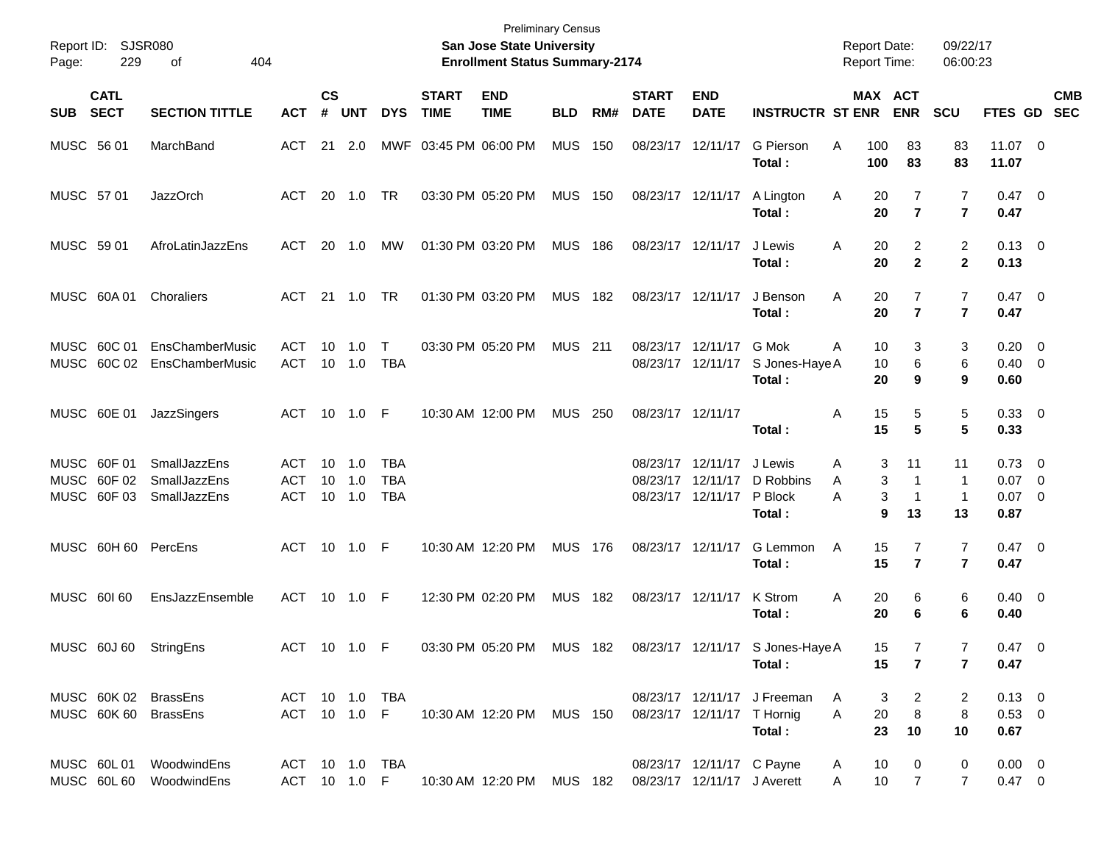| Page:      | Report ID: SJSR080<br>229                 | 404<br>οf                                                  |                                 |                |                   |                                        |                             | <b>Preliminary Census</b><br>San Jose State University<br><b>Enrollment Status Summary-2174</b> |                |     |                             |                                                             |                                             | <b>Report Date:</b><br><b>Report Time:</b> |                                                   | 09/22/17<br>06:00:23                   |                                                |            |
|------------|-------------------------------------------|------------------------------------------------------------|---------------------------------|----------------|-------------------|----------------------------------------|-----------------------------|-------------------------------------------------------------------------------------------------|----------------|-----|-----------------------------|-------------------------------------------------------------|---------------------------------------------|--------------------------------------------|---------------------------------------------------|----------------------------------------|------------------------------------------------|------------|
| <b>SUB</b> | <b>CATL</b><br><b>SECT</b>                | <b>SECTION TITTLE</b>                                      | <b>ACT</b>                      | <b>CS</b><br># | <b>UNT</b>        | <b>DYS</b>                             | <b>START</b><br><b>TIME</b> | <b>END</b><br><b>TIME</b>                                                                       | <b>BLD</b>     | RM# | <b>START</b><br><b>DATE</b> | <b>END</b><br><b>DATE</b>                                   | <b>INSTRUCTR ST ENR</b>                     |                                            | MAX ACT<br><b>ENR</b>                             | <b>SCU</b>                             | FTES GD SEC                                    | <b>CMB</b> |
| MUSC 56 01 |                                           | MarchBand                                                  | ACT                             |                | $21 \quad 2.0$    |                                        | MWF 03:45 PM 06:00 PM       |                                                                                                 | <b>MUS</b>     | 150 |                             | 08/23/17 12/11/17                                           | G Pierson<br>Total:                         | Α<br>100<br>100                            | 83<br>83                                          | 83<br>83                               | $11.07$ 0<br>11.07                             |            |
| MUSC 57 01 |                                           | <b>JazzOrch</b>                                            | ACT                             |                | 20 1.0            | TR                                     |                             | 03:30 PM 05:20 PM                                                                               | <b>MUS 150</b> |     |                             | 08/23/17 12/11/17                                           | A Lington<br>Total:                         | A<br>20<br>20                              | 7<br>$\overline{7}$                               | 7<br>$\overline{7}$                    | $0.47 \quad 0$<br>0.47                         |            |
| MUSC 59 01 |                                           | AfroLatinJazzEns                                           | ACT                             | 20             | 1.0               | MW                                     |                             | 01:30 PM 03:20 PM                                                                               | <b>MUS 186</b> |     | 08/23/17 12/11/17           |                                                             | J Lewis<br>Total :                          | 20<br>A<br>20                              | 2<br>$\overline{2}$                               | $\overline{2}$<br>$\mathbf{2}$         | $0.13 \quad 0$<br>0.13                         |            |
|            | MUSC 60A 01                               | Choraliers                                                 | ACT                             |                | 21 1.0            | TR                                     |                             | 01:30 PM 03:20 PM                                                                               | <b>MUS 182</b> |     | 08/23/17 12/11/17           |                                                             | J Benson<br>Total :                         | A<br>20<br>20                              | 7<br>$\overline{7}$                               | $\overline{7}$<br>$\overline{7}$       | $0.47 \quad 0$<br>0.47                         |            |
|            | MUSC 60C 01<br>MUSC 60C 02                | EnsChamberMusic<br>EnsChamberMusic                         | ACT<br>ACT                      | 10             | 1.0<br>10 1.0     | $\top$<br>TBA                          |                             | 03:30 PM 05:20 PM                                                                               | <b>MUS 211</b> |     |                             | 08/23/17 12/11/17<br>08/23/17 12/11/17                      | G Mok<br>S Jones-Haye A<br>Total:           | A<br>10<br>10<br>20                        | 3<br>6<br>9                                       | 3<br>6<br>9                            | $0.20 \ 0$<br>$0.40 \quad 0$<br>0.60           |            |
|            | MUSC 60E 01                               | JazzSingers                                                | ACT 10 1.0 F                    |                |                   |                                        |                             | 10:30 AM 12:00 PM                                                                               | <b>MUS 250</b> |     | 08/23/17 12/11/17           |                                                             | Total :                                     | Α<br>15<br>15                              | 5<br>5                                            | 5<br>5                                 | $0.33 \ 0$<br>0.33                             |            |
|            | MUSC 60F 01<br>MUSC 60F 02<br>MUSC 60F 03 | <b>SmallJazzEns</b><br><b>SmallJazzEns</b><br>SmallJazzEns | ACT<br><b>ACT</b><br><b>ACT</b> | 10<br>10<br>10 | 1.0<br>1.0<br>1.0 | <b>TBA</b><br><b>TBA</b><br><b>TBA</b> |                             |                                                                                                 |                |     |                             | 08/23/17 12/11/17<br>08/23/17 12/11/17<br>08/23/17 12/11/17 | J Lewis<br>D Robbins<br>P Block<br>Total:   | Α<br>A<br>A                                | 11<br>3<br>3<br>-1<br>3<br>-1<br>9<br>13          | 11<br>$\mathbf 1$<br>$\mathbf 1$<br>13 | $0.73 \quad 0$<br>$0.07$ 0<br>$0.07$ 0<br>0.87 |            |
|            |                                           | MUSC 60H 60 PercEns                                        | ACT 10 1.0 F                    |                |                   |                                        |                             | 10:30 AM 12:20 PM                                                                               | MUS 176        |     |                             | 08/23/17 12/11/17                                           | G Lemmon<br>Total:                          | A<br>15<br>15                              | 7<br>$\overline{7}$                               | 7<br>$\overline{7}$                    | 0.47 0<br>0.47                                 |            |
| MUSC 60160 |                                           | EnsJazzEnsemble                                            | ACT 10 1.0 F                    |                |                   |                                        |                             | 12:30 PM 02:20 PM                                                                               | <b>MUS 182</b> |     | 08/23/17 12/11/17           |                                                             | K Strom<br>Total :                          | Α<br>20<br>20                              | 6<br>6                                            | 6<br>6                                 | $0.40 \quad 0$<br>0.40                         |            |
|            | MUSC 60J 60                               | StringEns                                                  | ACT 10 1.0 F                    |                |                   |                                        |                             | 03:30 PM 05:20 PM                                                                               | MUS 182        |     |                             |                                                             | 08/23/17 12/11/17 S Jones-Haye A<br>Total : | 15                                         | 15<br>7<br>$\overline{7}$                         | 7<br>7                                 | $0.47 \quad 0$<br>0.47                         |            |
|            |                                           | MUSC 60K 02 BrassEns<br>MUSC 60K 60 BrassEns               | ACT 10 1.0 TBA                  |                |                   |                                        |                             | ACT 10 1.0 F 10:30 AM 12:20 PM MUS 150 08/23/17 12/11/17 T Hornig                               |                |     |                             |                                                             | 08/23/17 12/11/17 J Freeman<br>Total:       | A<br>20<br>A<br>23                         | 2<br>3<br>8<br>10                                 | 2<br>8<br>10                           | $0.13 \quad 0$<br>$0.53 \ 0$<br>0.67           |            |
|            |                                           | MUSC 60L01 WoodwindEns<br>MUSC 60L60 WoodwindEns           | ACT 10 1.0 TBA                  |                |                   |                                        |                             | ACT 10 1.0 F 10:30 AM 12:20 PM MUS 182 08/23/17 12/11/17 J Averett                              |                |     |                             | 08/23/17 12/11/17 C Payne                                   |                                             | A<br>10<br>A                               | $\mathbf{0}$<br>10 <sup>1</sup><br>$\overline{7}$ | 0<br>7                                 | $0.00 \quad 0$<br>$0.47 \ 0$                   |            |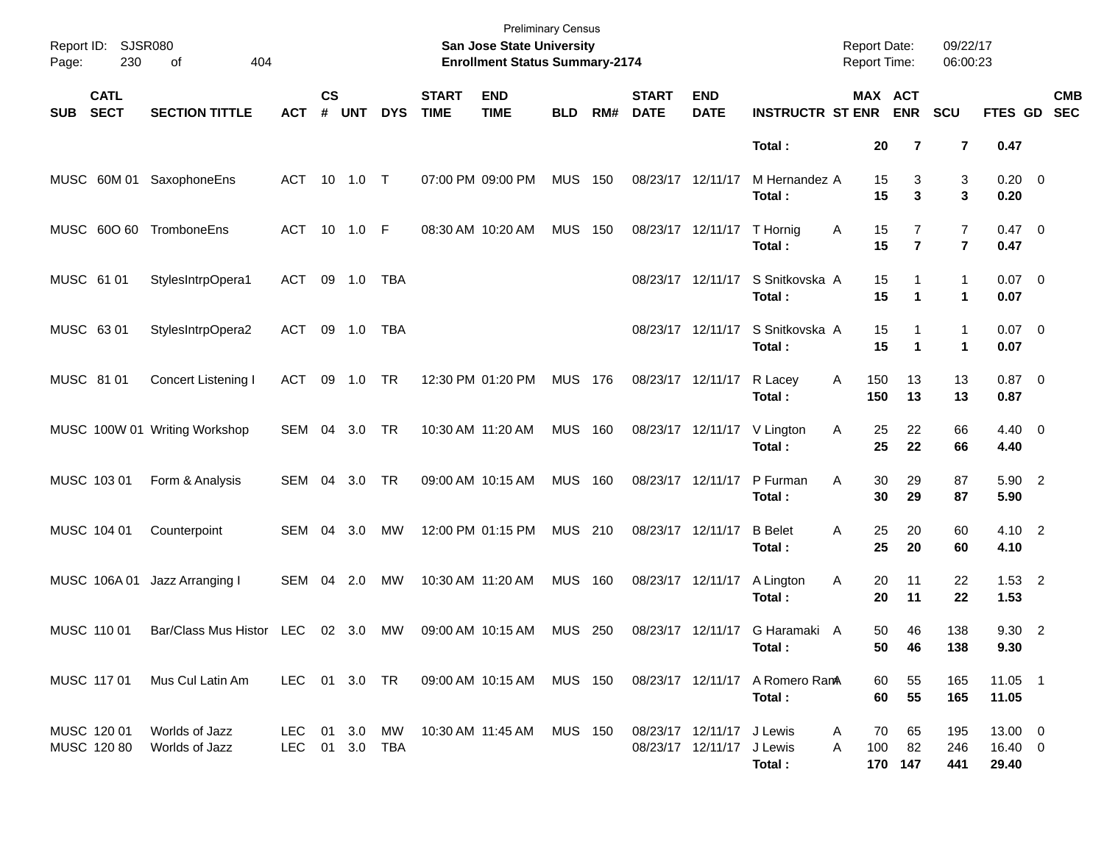| Page:      | Report ID: SJSR080<br>230  | 404<br>of                        |                    |                    |                      |            |                             | <b>Preliminary Census</b><br>San Jose State University<br><b>Enrollment Status Summary-2174</b> |                |     |                             |                                                        |                          | <b>Report Date:</b><br>Report Time: |                                  | 09/22/17<br>06:00:23                      |                             |                          |
|------------|----------------------------|----------------------------------|--------------------|--------------------|----------------------|------------|-----------------------------|-------------------------------------------------------------------------------------------------|----------------|-----|-----------------------------|--------------------------------------------------------|--------------------------|-------------------------------------|----------------------------------|-------------------------------------------|-----------------------------|--------------------------|
| <b>SUB</b> | <b>CATL</b><br><b>SECT</b> | <b>SECTION TITTLE</b>            | <b>ACT</b>         | $\mathsf{cs}$<br># | <b>UNT</b>           | <b>DYS</b> | <b>START</b><br><b>TIME</b> | <b>END</b><br><b>TIME</b>                                                                       | <b>BLD</b>     | RM# | <b>START</b><br><b>DATE</b> | <b>END</b><br><b>DATE</b>                              | <b>INSTRUCTR ST ENR</b>  |                                     | MAX ACT<br><b>ENR</b>            | SCU                                       | FTES GD                     | <b>CMB</b><br><b>SEC</b> |
|            |                            |                                  |                    |                    |                      |            |                             |                                                                                                 |                |     |                             |                                                        | Total:                   | 20                                  | $\overline{7}$                   | $\overline{\mathbf{r}}$                   | 0.47                        |                          |
|            |                            | MUSC 60M 01 SaxophoneEns         | ACT 10 1.0 T       |                    |                      |            |                             | 07:00 PM 09:00 PM                                                                               | <b>MUS</b>     | 150 | 08/23/17 12/11/17           |                                                        | M Hernandez A<br>Total:  | 15<br>15                            | 3<br>3                           | 3<br>3                                    | $0.20 \ 0$<br>0.20          |                          |
|            | MUSC 600 60                | TromboneEns                      | ACT 10 1.0 F       |                    |                      |            |                             | 08:30 AM 10:20 AM                                                                               | <b>MUS</b>     | 150 | 08/23/17 12/11/17           |                                                        | T Hornig<br>Total:       | 15<br>Α<br>15                       | $\overline{7}$<br>$\overline{7}$ | $\overline{7}$<br>$\overline{\mathbf{r}}$ | $0.47 \quad 0$<br>0.47      |                          |
| MUSC 61 01 |                            | StylesIntrpOpera1                | ACT                |                    | 09 1.0               | TBA        |                             |                                                                                                 |                |     |                             | 08/23/17 12/11/17                                      | S Snitkovska A<br>Total: | 15<br>15                            | 1<br>$\blacktriangleleft$        | $\mathbf{1}$<br>1                         | $0.07$ 0<br>0.07            |                          |
| MUSC 63 01 |                            | StylesIntrpOpera2                | ACT                |                    | 09 1.0               | TBA        |                             |                                                                                                 |                |     |                             | 08/23/17 12/11/17                                      | S Snitkovska A<br>Total: | 15<br>15                            | 1<br>$\blacktriangleleft$        | 1<br>1                                    | $0.07$ 0<br>0.07            |                          |
| MUSC 81 01 |                            | Concert Listening I              | ACT                | 09                 | 1.0                  | <b>TR</b>  |                             | 12:30 PM 01:20 PM                                                                               | <b>MUS</b>     | 176 | 08/23/17 12/11/17           |                                                        | R Lacey<br>Total:        | 150<br>A<br>150                     | 13<br>13                         | 13<br>13                                  | $0.87$ 0<br>0.87            |                          |
|            |                            | MUSC 100W 01 Writing Workshop    | SEM                | 04                 | 3.0                  | <b>TR</b>  |                             | 10:30 AM 11:20 AM                                                                               | <b>MUS</b>     | 160 | 08/23/17 12/11/17           |                                                        | V Lington<br>Total:      | 25<br>Α<br>25                       | 22<br>22                         | 66<br>66                                  | $4.40 \quad 0$<br>4.40      |                          |
|            | MUSC 103 01                | Form & Analysis                  | SEM                | 04                 | 3.0                  | TR         |                             | 09:00 AM 10:15 AM                                                                               | <b>MUS</b>     | 160 | 08/23/17 12/11/17           |                                                        | P Furman<br>Total:       | 30<br>A<br>30                       | 29<br>29                         | 87<br>87                                  | 5.90 2<br>5.90              |                          |
|            | MUSC 104 01                | Counterpoint                     | <b>SEM</b>         | 04                 | 3.0                  | MW         |                             | 12:00 PM 01:15 PM                                                                               | <b>MUS 210</b> |     | 08/23/17 12/11/17           |                                                        | <b>B</b> Belet<br>Total: | 25<br>Α<br>25                       | 20<br>20                         | 60<br>60                                  | 4.10 2<br>4.10              |                          |
|            | MUSC 106A01                | Jazz Arranging I                 | SEM                | 04                 | 2.0                  | MW         |                             | 10:30 AM 11:20 AM                                                                               | <b>MUS</b>     | 160 | 08/23/17 12/11/17           |                                                        | A Lington<br>Total:      | 20<br>Α<br>20                       | 11<br>11                         | 22<br>22                                  | $1.53$ 2<br>1.53            |                          |
|            | MUSC 110 01                | Bar/Class Mus Histor LEC         |                    |                    | 02 3.0               | МW         |                             | 09:00 AM 10:15 AM                                                                               | <b>MUS 250</b> |     |                             | 08/23/17 12/11/17                                      | G Haramaki A<br>Total:   | 50                                  | 46<br>50<br>46                   | 138<br>138                                | 9.30 2<br>9.30              |                          |
|            | MUSC 117 01                | Mus Cul Latin Am                 | LEC 01 3.0 TR      |                    |                      |            |                             | 09:00 AM 10:15 AM                                                                               | <b>MUS 150</b> |     |                             | 08/23/17 12/11/17                                      | A Romero RanA<br>Total:  | 60<br>60                            | 55<br>55                         | 165<br>165                                | $11.05$ 1<br>11.05          |                          |
|            | MUSC 120 01<br>MUSC 120 80 | Worlds of Jazz<br>Worlds of Jazz | LEC.<br><b>LEC</b> |                    | 01 3.0<br>01 3.0 TBA | MW         |                             | 10:30 AM 11:45 AM                                                                               | <b>MUS 150</b> |     |                             | 08/23/17 12/11/17 J Lewis<br>08/23/17 12/11/17 J Lewis | Total:                   | 70<br>A<br>100<br>A                 | 65<br>82<br>170 147              | 195<br>246<br>441                         | 13.00 0<br>16.40 0<br>29.40 |                          |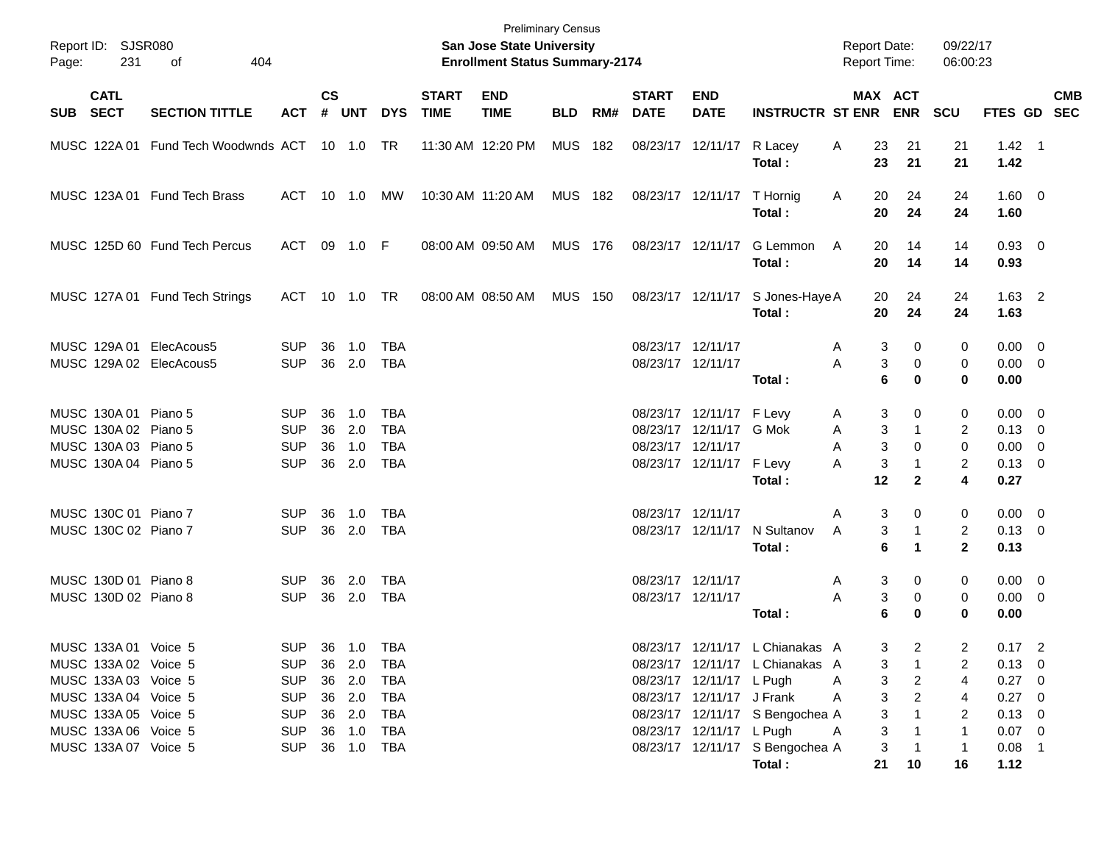| Page: | Report ID: SJSR080<br>231                                                                                                                    | 404<br>оf                                          |                                                                                  |                |                                                          |                                               |                             | <b>Preliminary Census</b><br>San Jose State University<br><b>Enrollment Status Summary-2174</b> |                |     |                                        |                                                                                   |                                                                                                       | <b>Report Date:</b><br><b>Report Time:</b> |                                                             | 09/22/17<br>06:00:23                 |                                                                          |            |
|-------|----------------------------------------------------------------------------------------------------------------------------------------------|----------------------------------------------------|----------------------------------------------------------------------------------|----------------|----------------------------------------------------------|-----------------------------------------------|-----------------------------|-------------------------------------------------------------------------------------------------|----------------|-----|----------------------------------------|-----------------------------------------------------------------------------------|-------------------------------------------------------------------------------------------------------|--------------------------------------------|-------------------------------------------------------------|--------------------------------------|--------------------------------------------------------------------------|------------|
|       | <b>CATL</b><br>SUB SECT                                                                                                                      | <b>SECTION TITTLE</b>                              | <b>ACT</b>                                                                       | <b>CS</b>      | # UNT                                                    | <b>DYS</b>                                    | <b>START</b><br><b>TIME</b> | <b>END</b><br><b>TIME</b>                                                                       | BLD            | RM# | <b>START</b><br><b>DATE</b>            | <b>END</b><br><b>DATE</b>                                                         | <b>INSTRUCTR ST ENR</b>                                                                               | MAX ACT                                    | <b>ENR</b>                                                  | <b>SCU</b>                           | FTES GD SEC                                                              | <b>CMB</b> |
|       |                                                                                                                                              | MUSC 122A 01 Fund Tech Woodwnds ACT 10 1.0 TR      |                                                                                  |                |                                                          |                                               |                             | 11:30 AM 12:20 PM                                                                               | <b>MUS 182</b> |     |                                        | 08/23/17 12/11/17                                                                 | R Lacey<br>Total:                                                                                     | Α<br>23<br>23                              | 21<br>21                                                    | 21<br>21                             | $1.42 \quad 1$<br>1.42                                                   |            |
|       |                                                                                                                                              | MUSC 123A 01 Fund Tech Brass                       | ACT.                                                                             |                | 10 1.0                                                   | МW                                            |                             | 10:30 AM 11:20 AM                                                                               | <b>MUS 182</b> |     |                                        | 08/23/17 12/11/17                                                                 | T Hornig<br>Total:                                                                                    | 20<br>A<br>20                              | 24<br>24                                                    | 24<br>24                             | $1.60 \ 0$<br>1.60                                                       |            |
|       |                                                                                                                                              | MUSC 125D 60 Fund Tech Percus                      | ACT                                                                              |                | 09 1.0 F                                                 |                                               |                             | 08:00 AM 09:50 AM                                                                               | <b>MUS 176</b> |     |                                        | 08/23/17 12/11/17                                                                 | G Lemmon<br>Total:                                                                                    | 20<br>A<br>20                              | 14<br>14                                                    | 14<br>14                             | 0.93 0<br>0.93                                                           |            |
|       |                                                                                                                                              | MUSC 127A 01 Fund Tech Strings                     | ACT                                                                              |                |                                                          |                                               |                             | 08:00 AM 08:50 AM                                                                               | <b>MUS 150</b> |     |                                        | 08/23/17 12/11/17                                                                 | S Jones-Haye A<br>Total:                                                                              | 20<br>20                                   | 24<br>24                                                    | 24<br>24                             | $1.63$ 2<br>1.63                                                         |            |
|       |                                                                                                                                              | MUSC 129A 01 ElecAcous5<br>MUSC 129A 02 ElecAcous5 | <b>SUP</b><br><b>SUP</b>                                                         | 36             | 1.0<br>36 2.0                                            | TBA<br><b>TBA</b>                             |                             |                                                                                                 |                |     | 08/23/17 12/11/17<br>08/23/17 12/11/17 |                                                                                   | Total:                                                                                                | 3<br>A<br>3<br>Α<br>6                      | 0<br>0<br>$\bf{0}$                                          | 0<br>0<br>$\bf{0}$                   | $0.00 \quad 0$<br>$0.00 \t 0$<br>0.00                                    |            |
|       | MUSC 130A 01 Piano 5<br>MUSC 130A 02 Piano 5<br>MUSC 130A 03 Piano 5<br>MUSC 130A 04 Piano 5                                                 |                                                    | <b>SUP</b><br><b>SUP</b><br><b>SUP</b><br><b>SUP</b>                             | 36<br>36<br>36 | 1.0<br>2.0<br>1.0<br>36 2.0                              | TBA<br><b>TBA</b><br><b>TBA</b><br><b>TBA</b> |                             |                                                                                                 |                |     | 08/23/17 12/11/17                      | 08/23/17 12/11/17<br>08/23/17 12/11/17 G Mok<br>08/23/17 12/11/17                 | F Levy<br>F Levy<br>Total:                                                                            | 3<br>A<br>3<br>A<br>3<br>Α<br>3<br>A<br>12 | 0<br>$\mathbf 1$<br>$\Omega$<br>$\mathbf 1$<br>$\mathbf{2}$ | 0<br>2<br>0<br>$\overline{2}$<br>4   | $0.00 \quad 0$<br>$0.13 \quad 0$<br>$0.00 \quad 0$<br>$0.13 \ 0$<br>0.27 |            |
|       | MUSC 130C 01 Piano 7<br>MUSC 130C 02 Piano 7                                                                                                 |                                                    | <b>SUP</b><br><b>SUP</b>                                                         | 36             | 1.0<br>36 2.0                                            | TBA<br><b>TBA</b>                             |                             |                                                                                                 |                |     | 08/23/17 12/11/17                      | 08/23/17 12/11/17                                                                 | N Sultanov<br>Total:                                                                                  | 3<br>A<br>3<br>A<br>6                      | 0<br>1                                                      | 0<br>$\overline{c}$<br>$\mathbf{2}$  | $0.00 \quad 0$<br>$0.13 \ 0$<br>0.13                                     |            |
|       | MUSC 130D 01 Piano 8<br>MUSC 130D 02 Piano 8                                                                                                 |                                                    | <b>SUP</b><br><b>SUP</b>                                                         | 36             | 2.0<br>36 2.0                                            | TBA<br><b>TBA</b>                             |                             |                                                                                                 |                |     | 08/23/17 12/11/17<br>08/23/17 12/11/17 |                                                                                   | Total:                                                                                                | 3<br>A<br>3<br>Α<br>6                      | 0<br>$\mathbf 0$<br>$\bf{0}$                                | 0<br>0<br>$\bf{0}$                   | $0.00 \quad 0$<br>$0.00 \t 0$<br>0.00                                    |            |
|       | MUSC 133A 01 Voice 5<br>MUSC 133A 02 Voice 5<br>MUSC 133A 03 Voice 5<br>MUSC 133A 04 Voice 5<br>MUSC 133A 05 Voice 5<br>MUSC 133A 06 Voice 5 |                                                    | <b>SUP</b><br><b>SUP</b><br><b>SUP</b><br><b>SUP</b><br><b>SUP</b><br><b>SUP</b> |                | 36 1.0<br>36 2.0<br>36 2.0<br>36 2.0<br>36 2.0<br>36 1.0 | TBA<br>TBA<br>TBA<br>TBA<br>TBA<br>TBA        |                             |                                                                                                 |                |     |                                        | 08/23/17 12/11/17 L Pugh<br>08/23/17 12/11/17 J Frank<br>08/23/17 12/11/17 L Pugh | 08/23/17 12/11/17 L Chianakas A<br>08/23/17 12/11/17 L Chianakas A<br>08/23/17 12/11/17 S Bengochea A | 3<br>3<br>3<br>A<br>3<br>A<br>3<br>3<br>A  | 2<br>2<br>$\overline{2}$                                    | 2<br>2<br>4<br>4<br>2<br>$\mathbf 1$ | $0.17$ 2<br>$0.13 \ 0$<br>0.27 0<br>0.27 0<br>$0.13 \quad 0$<br>$0.07$ 0 |            |
|       | MUSC 133A 07 Voice 5                                                                                                                         |                                                    | <b>SUP</b>                                                                       |                | 36 1.0                                                   | TBA                                           |                             |                                                                                                 |                |     |                                        |                                                                                   | 08/23/17 12/11/17 S Bengochea A<br>Total:                                                             | 3<br>21                                    | 10                                                          | -1<br>16                             | $0.08$ 1<br>1.12                                                         |            |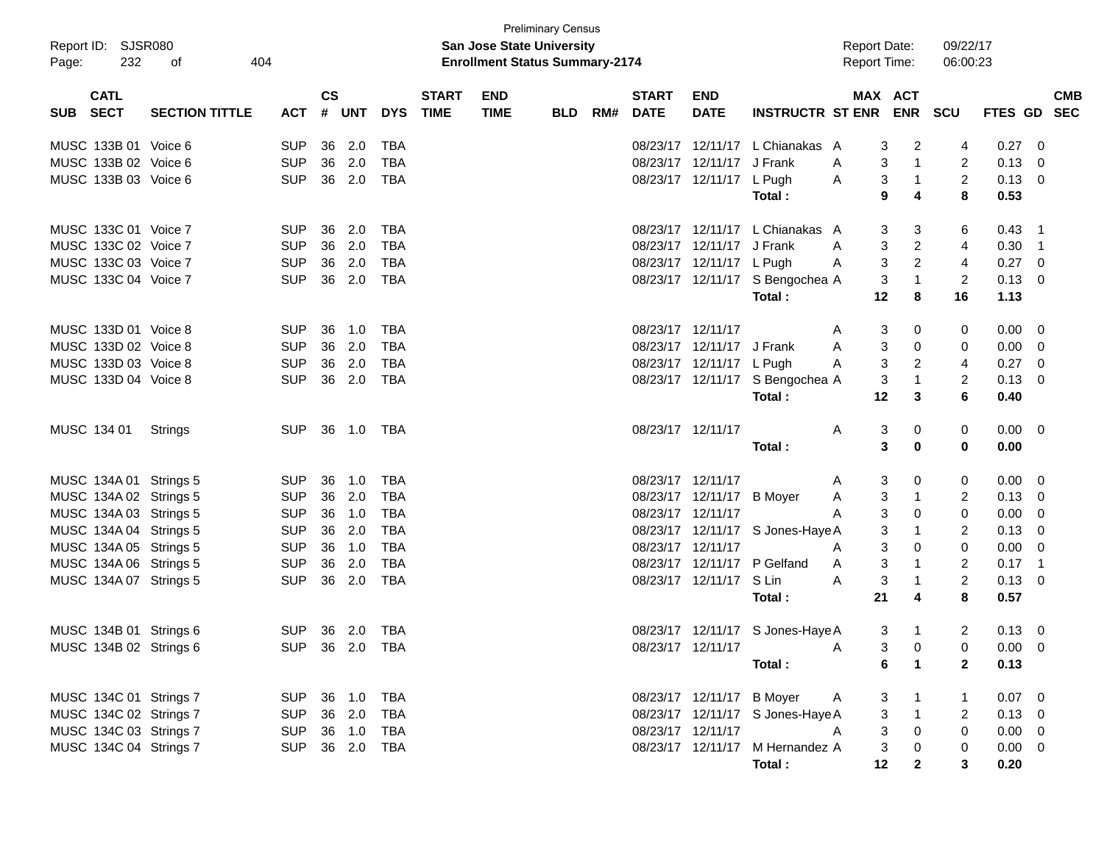|          | Report ID: SJSR080     |                       |                |               |        |            |                             | <b>San Jose State University</b>      | <b>Preliminary Census</b> |     |                             |                           |                                  | <b>Report Date:</b> |                           | 09/22/17       |                |                |
|----------|------------------------|-----------------------|----------------|---------------|--------|------------|-----------------------------|---------------------------------------|---------------------------|-----|-----------------------------|---------------------------|----------------------------------|---------------------|---------------------------|----------------|----------------|----------------|
| Page:    | 232                    | 404<br>οf             |                |               |        |            |                             | <b>Enrollment Status Summary-2174</b> |                           |     |                             |                           |                                  | <b>Report Time:</b> |                           | 06:00:23       |                |                |
| SUB SECT | <b>CATL</b>            | <b>SECTION TITTLE</b> | <b>ACT</b>     | $\mathsf{cs}$ | # UNT  | <b>DYS</b> | <b>START</b><br><b>TIME</b> | <b>END</b><br><b>TIME</b>             | <b>BLD</b>                | RM# | <b>START</b><br><b>DATE</b> | <b>END</b><br><b>DATE</b> | <b>INSTRUCTR ST ENR ENR SCU</b>  |                     | MAX ACT                   |                | FTES GD SEC    | <b>CMB</b>     |
|          | MUSC 133B 01 Voice 6   |                       | <b>SUP</b>     | 36            | 2.0    | TBA        |                             |                                       |                           |     |                             |                           | 08/23/17 12/11/17 L Chianakas A  | 3                   | 2                         | 4              | 0.27           | 0              |
|          | MUSC 133B 02 Voice 6   |                       | <b>SUP</b>     |               | 36 2.0 | TBA        |                             |                                       |                           |     |                             | 08/23/17 12/11/17 J Frank |                                  | 3<br>A              | $\overline{1}$            | 2              | 0.13           | $\mathbf{0}$   |
|          | MUSC 133B 03 Voice 6   |                       | <b>SUP</b>     |               | 36 2.0 | TBA        |                             |                                       |                           |     |                             | 08/23/17 12/11/17 L Pugh  |                                  | 3<br>A              | $\mathbf{1}$              | $\overline{2}$ | 0.13           | $\overline{0}$ |
|          |                        |                       |                |               |        |            |                             |                                       |                           |     |                             |                           | Total:                           | 9                   | 4                         | 8              | 0.53           |                |
|          | MUSC 133C 01 Voice 7   |                       | <b>SUP</b>     | 36            | 2.0    | TBA        |                             |                                       |                           |     |                             |                           | 08/23/17 12/11/17 L Chianakas A  | 3                   | 3                         | 6              | 0.43           | $\overline{1}$ |
|          | MUSC 133C 02 Voice 7   |                       | <b>SUP</b>     |               | 36 2.0 | TBA        |                             |                                       |                           |     |                             | 08/23/17 12/11/17 J Frank |                                  | 3<br>A              | $\overline{2}$            | 4              | 0.30           | $\overline{1}$ |
|          | MUSC 133C 03 Voice 7   |                       | <b>SUP</b>     |               | 36 2.0 | TBA        |                             |                                       |                           |     |                             | 08/23/17 12/11/17 L Pugh  |                                  | 3<br>A              | $\overline{2}$            | 4              | 0.27           | $\mathbf{0}$   |
|          | MUSC 133C 04 Voice 7   |                       | <b>SUP</b>     |               | 36 2.0 | TBA        |                             |                                       |                           |     |                             |                           | 08/23/17 12/11/17 S Bengochea A  | 3                   | $\mathbf{1}$              | 2              | 0.13           | - 0            |
|          |                        |                       |                |               |        |            |                             |                                       |                           |     |                             |                           | Total:                           | 12                  | 8                         | 16             | 1.13           |                |
|          | MUSC 133D 01 Voice 8   |                       | <b>SUP</b>     |               | 36 1.0 | TBA        |                             |                                       |                           |     | 08/23/17 12/11/17           |                           |                                  | 3<br>A              | 0                         | 0              | $0.00\,$       | - 0            |
|          | MUSC 133D 02 Voice 8   |                       | <b>SUP</b>     |               | 36 2.0 | TBA        |                             |                                       |                           |     |                             | 08/23/17 12/11/17 J Frank |                                  | 3<br>A              | 0                         | 0              | 0.00           | $\mathbf{0}$   |
|          | MUSC 133D 03 Voice 8   |                       | <b>SUP</b>     |               | 36 2.0 | TBA        |                             |                                       |                           |     |                             | 08/23/17 12/11/17 L Pugh  |                                  | 3<br>A              | $\overline{2}$            | 4              | 0.27           | $\mathbf{0}$   |
|          | MUSC 133D 04 Voice 8   |                       | <b>SUP</b>     |               | 36 2.0 | TBA        |                             |                                       |                           |     |                             |                           | 08/23/17 12/11/17 S Bengochea A  | 3                   | $\mathbf{1}$              | 2              | 0.13           | 0              |
|          |                        |                       |                |               |        |            |                             |                                       |                           |     |                             |                           | Total:                           | 12                  | 3                         | 6              | 0.40           |                |
|          | MUSC 134 01            | Strings               | SUP 36 1.0 TBA |               |        |            |                             |                                       |                           |     | 08/23/17 12/11/17           |                           |                                  | 3<br>A              | 0                         | 0              | $0.00 \quad 0$ |                |
|          |                        |                       |                |               |        |            |                             |                                       |                           |     |                             |                           | Total:                           | 3                   | 0                         | 0              | 0.00           |                |
|          | MUSC 134A 01 Strings 5 |                       | <b>SUP</b>     |               | 36 1.0 | TBA        |                             |                                       |                           |     | 08/23/17 12/11/17           |                           |                                  | 3<br>A              | 0                         | 0              | $0.00\,$       | - 0            |
|          | MUSC 134A 02 Strings 5 |                       | <b>SUP</b>     |               | 36 2.0 | TBA        |                             |                                       |                           |     |                             | 08/23/17 12/11/17 B Moyer |                                  | 3<br>A              | $\mathbf{1}$              | 2              | 0.13           | $\overline{0}$ |
|          | MUSC 134A 03 Strings 5 |                       | <b>SUP</b>     |               | 36 1.0 | TBA        |                             |                                       |                           |     | 08/23/17 12/11/17           |                           |                                  | 3<br>A              | 0                         | 0              | 0.00           | 0              |
|          | MUSC 134A 04 Strings 5 |                       | <b>SUP</b>     |               | 36 2.0 | TBA        |                             |                                       |                           |     |                             |                           | 08/23/17 12/11/17 S Jones-Haye A | 3                   | 1                         | 2              | 0.13           | 0              |
|          | MUSC 134A 05 Strings 5 |                       | <b>SUP</b>     |               | 36 1.0 | TBA        |                             |                                       |                           |     | 08/23/17 12/11/17           |                           |                                  | 3<br>A              | 0                         | 0              | 0.00           | 0              |
|          | MUSC 134A 06 Strings 5 |                       | <b>SUP</b>     | 36            | 2.0    | TBA        |                             |                                       |                           |     |                             | 08/23/17 12/11/17         | P Gelfand                        | 3<br>A              | $\mathbf{1}$              | $\overline{2}$ | 0.17           | $\overline{1}$ |
|          | MUSC 134A 07 Strings 5 |                       | <b>SUP</b>     |               | 36 2.0 | TBA        |                             |                                       |                           |     |                             | 08/23/17 12/11/17 S Lin   |                                  | 3<br>A              | $\mathbf{1}$              | $\overline{c}$ | 0.13           | - 0            |
|          |                        |                       |                |               |        |            |                             |                                       |                           |     |                             |                           | Total:                           | 21                  | 4                         | 8              | 0.57           |                |
|          | MUSC 134B 01 Strings 6 |                       | SUP 36 2.0 TBA |               |        |            |                             |                                       |                           |     |                             |                           | 08/23/17 12/11/17 S Jones-Haye A | 3                   | $\overline{1}$            | 2              | $0.13 \quad 0$ |                |
|          | MUSC 134B 02 Strings 6 |                       | SUP 36 2.0 TBA |               |        |            |                             |                                       |                           |     |                             | 08/23/17 12/11/17         |                                  | A                   | $3 \t 0$                  |                | 0 0.00 0       |                |
|          |                        |                       |                |               |        |            |                             |                                       |                           |     |                             |                           | Total :                          |                     | $\blacktriangleleft$<br>6 | $\mathbf{2}$   | 0.13           |                |
|          | MUSC 134C 01 Strings 7 |                       | SUP 36 1.0 TBA |               |        |            |                             |                                       |                           |     |                             | 08/23/17 12/11/17 B Moyer |                                  | A<br>3              |                           |                | $0.07$ 0       |                |
|          | MUSC 134C 02 Strings 7 |                       | SUP 36 2.0     |               |        | TBA        |                             |                                       |                           |     |                             |                           | 08/23/17 12/11/17 S Jones-Haye A |                     | 3<br>$\overline{1}$       | 2              | $0.13 \ 0$     |                |
|          | MUSC 134C 03 Strings 7 |                       | SUP 36 1.0 TBA |               |        |            |                             |                                       |                           |     | 08/23/17 12/11/17           |                           |                                  | $\mathfrak{Z}$<br>A | $\mathbf 0$               | $\mathbf 0$    | $0.00 \t 0$    |                |
|          | MUSC 134C 04 Strings 7 |                       | SUP 36 2.0 TBA |               |        |            |                             |                                       |                           |     |                             |                           | 08/23/17 12/11/17 M Hernandez A  | $\mathbf{3}$        | $\mathbf{0}$              | 0              | $0.00 \quad 0$ |                |
|          |                        |                       |                |               |        |            |                             |                                       |                           |     |                             |                           | Total:                           | 12                  | $\overline{2}$            | 3              | 0.20           |                |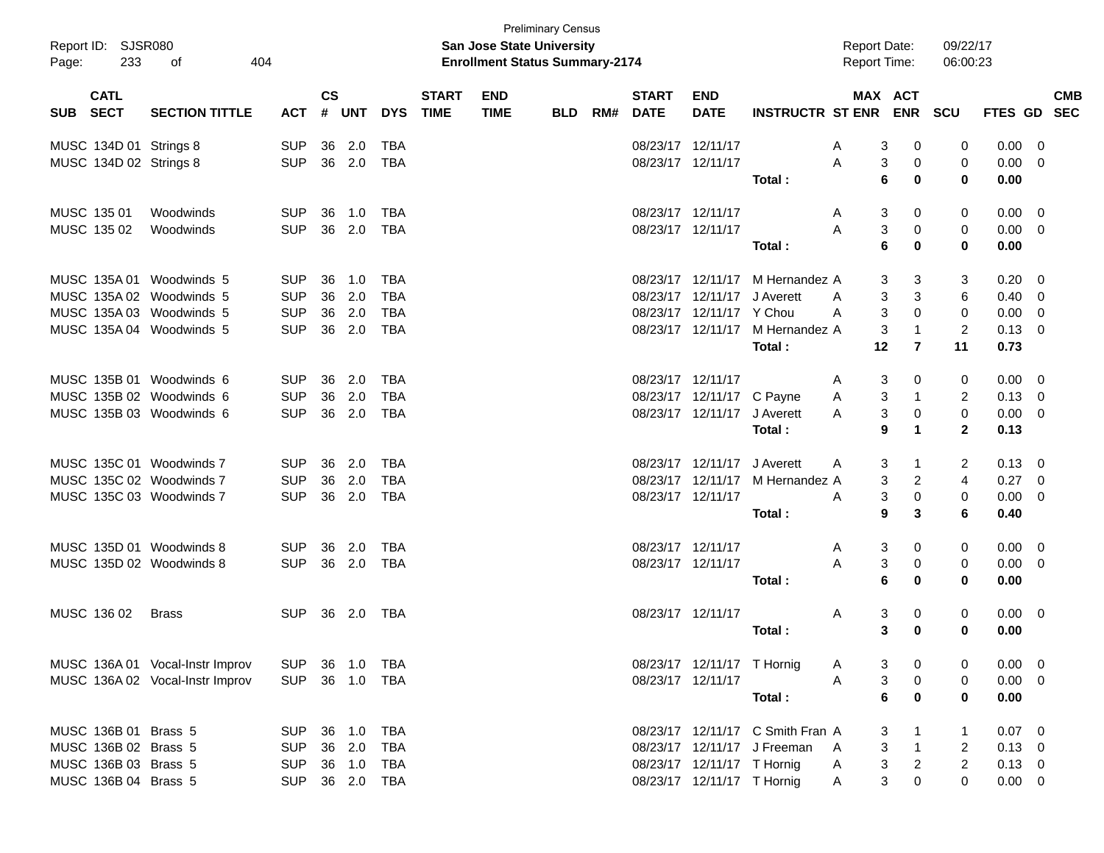| Report ID: SJSR080<br>233<br>Page: | 404<br>οf                       |            |               |            |            |              | San Jose State University<br><b>Enrollment Status Summary-2174</b> | <b>Preliminary Census</b> |     |                   |                            |                                  | <b>Report Date:</b><br><b>Report Time:</b> |                | 09/22/17<br>06:00:23 |                |                          |
|------------------------------------|---------------------------------|------------|---------------|------------|------------|--------------|--------------------------------------------------------------------|---------------------------|-----|-------------------|----------------------------|----------------------------------|--------------------------------------------|----------------|----------------------|----------------|--------------------------|
| <b>CATL</b>                        |                                 |            | $\mathsf{cs}$ |            |            | <b>START</b> | <b>END</b>                                                         |                           |     | <b>START</b>      | <b>END</b>                 |                                  |                                            | MAX ACT        |                      |                | <b>CMB</b>               |
| <b>SECT</b><br>SUB                 | <b>SECTION TITTLE</b>           | <b>ACT</b> | #             | <b>UNT</b> | <b>DYS</b> | <b>TIME</b>  | <b>TIME</b>                                                        | <b>BLD</b>                | RM# | <b>DATE</b>       | <b>DATE</b>                | <b>INSTRUCTR ST ENR ENR</b>      |                                            |                | <b>SCU</b>           |                | FTES GD SEC              |
| MUSC 134D 01 Strings 8             |                                 | <b>SUP</b> | 36            | 2.0        | <b>TBA</b> |              |                                                                    |                           |     |                   | 08/23/17 12/11/17          |                                  | 3<br>A                                     | 0              | 0                    | 0.00           | $\overline{0}$           |
| MUSC 134D 02 Strings 8             |                                 | <b>SUP</b> |               | 36 2.0     | <b>TBA</b> |              |                                                                    |                           |     | 08/23/17 12/11/17 |                            |                                  | 3<br>A                                     | 0              | 0                    | 0.00           | 0                        |
|                                    |                                 |            |               |            |            |              |                                                                    |                           |     |                   |                            | Total :                          | 6                                          | 0              | 0                    | 0.00           |                          |
| MUSC 135 01                        | Woodwinds                       | <b>SUP</b> | 36            | 1.0        | TBA        |              |                                                                    |                           |     |                   | 08/23/17 12/11/17          |                                  | 3<br>A                                     | 0              | 0                    | 0.00           | $\overline{0}$           |
| MUSC 135 02                        | Woodwinds                       | <b>SUP</b> |               | 36 2.0     | TBA        |              |                                                                    |                           |     | 08/23/17 12/11/17 |                            |                                  | 3<br>A                                     | 0              | 0                    | 0.00           | $\overline{0}$           |
|                                    |                                 |            |               |            |            |              |                                                                    |                           |     |                   |                            | Total :                          | 6                                          | $\bf{0}$       | 0                    | 0.00           |                          |
| MUSC 135A 01                       | Woodwinds 5                     | <b>SUP</b> | 36            | 1.0        | <b>TBA</b> |              |                                                                    |                           |     |                   | 08/23/17 12/11/17          | M Hernandez A                    | 3                                          | 3              | 3                    | 0.20           | 0                        |
| MUSC 135A 02 Woodwinds 5           |                                 | <b>SUP</b> | 36            | 2.0        | <b>TBA</b> |              |                                                                    |                           |     | 08/23/17          | 12/11/17                   | J Averett                        | 3<br>A                                     | 3              | 6                    | 0.40           | 0                        |
| MUSC 135A 03 Woodwinds 5           |                                 | <b>SUP</b> | 36            | 2.0        | <b>TBA</b> |              |                                                                    |                           |     |                   | 08/23/17 12/11/17 Y Chou   |                                  | 3<br>A                                     | 0              | 0                    | 0.00           | $\mathbf 0$              |
| MUSC 135A 04 Woodwinds 5           |                                 | <b>SUP</b> | 36            | 2.0        | <b>TBA</b> |              |                                                                    |                           |     |                   | 08/23/17 12/11/17          | M Hernandez A                    | 3                                          | $\mathbf{1}$   | 2                    | 0.13           | $\overline{0}$           |
|                                    |                                 |            |               |            |            |              |                                                                    |                           |     |                   |                            | Total:                           | 12                                         | $\overline{7}$ | 11                   | 0.73           |                          |
| MUSC 135B 01 Woodwinds 6           |                                 | <b>SUP</b> | 36            | 2.0        | <b>TBA</b> |              |                                                                    |                           |     |                   | 08/23/17 12/11/17          |                                  | 3<br>Α                                     | 0              | 0                    | 0.00           | 0                        |
| MUSC 135B 02 Woodwinds 6           |                                 | <b>SUP</b> | 36            | 2.0        | <b>TBA</b> |              |                                                                    |                           |     |                   | 08/23/17 12/11/17 C Payne  |                                  | 3<br>A                                     | 1              | 2                    | 0.13           | $\overline{0}$           |
| MUSC 135B 03 Woodwinds 6           |                                 | <b>SUP</b> | 36            | 2.0        | TBA        |              |                                                                    |                           |     |                   | 08/23/17 12/11/17          | J Averett                        | 3<br>A                                     | 0              | 0                    | 0.00           | $\overline{0}$           |
|                                    |                                 |            |               |            |            |              |                                                                    |                           |     |                   |                            | Total:                           | 9                                          | 1              | $\mathbf{2}$         | 0.13           |                          |
| MUSC 135C 01 Woodwinds 7           |                                 | <b>SUP</b> | 36            | 2.0        | <b>TBA</b> |              |                                                                    |                           |     |                   | 08/23/17 12/11/17          | J Averett                        | 3<br>A                                     | 1              | 2                    | 0.13           | 0                        |
| MUSC 135C 02 Woodwinds 7           |                                 | <b>SUP</b> | 36            | 2.0        | <b>TBA</b> |              |                                                                    |                           |     |                   | 08/23/17 12/11/17          | M Hernandez A                    | 3                                          | 2              | 4                    | 0.27           | $\overline{0}$           |
| MUSC 135C 03 Woodwinds 7           |                                 | <b>SUP</b> |               | 36 2.0     | TBA        |              |                                                                    |                           |     |                   | 08/23/17 12/11/17          |                                  | 3<br>A                                     | 0              | 0                    | 0.00           | $\overline{0}$           |
|                                    |                                 |            |               |            |            |              |                                                                    |                           |     |                   |                            | Total:                           | 9                                          | 3              | 6                    | 0.40           |                          |
| MUSC 135D 01 Woodwinds 8           |                                 | <b>SUP</b> | 36            | 2.0        | TBA        |              |                                                                    |                           |     | 08/23/17 12/11/17 |                            |                                  | 3<br>A                                     | 0              | 0                    | 0.00           | 0                        |
| MUSC 135D 02 Woodwinds 8           |                                 | <b>SUP</b> |               | 36 2.0     | TBA        |              |                                                                    |                           |     | 08/23/17 12/11/17 |                            |                                  | 3<br>A                                     | 0              | 0                    | 0.00           | $\overline{0}$           |
|                                    |                                 |            |               |            |            |              |                                                                    |                           |     |                   |                            | Total:                           | 6                                          | 0              | 0                    | 0.00           |                          |
| MUSC 136 02                        | <b>Brass</b>                    | <b>SUP</b> |               | 36 2.0     | TBA        |              |                                                                    |                           |     |                   | 08/23/17 12/11/17          |                                  | 3<br>Α                                     | 0              | 0                    | 0.00           | 0                        |
|                                    |                                 |            |               |            |            |              |                                                                    |                           |     |                   |                            | Total :                          | 3                                          | 0              | 0                    | 0.00           |                          |
|                                    |                                 |            |               |            |            |              |                                                                    |                           |     |                   |                            |                                  |                                            |                |                      |                |                          |
|                                    | MUSC 136A 01 Vocal-Instr Improv | <b>SUP</b> |               | 36 1.0     | TBA        |              |                                                                    |                           |     |                   | 08/23/17 12/11/17 T Hornig |                                  | A<br>3                                     | 0              | 0                    | 0.00           | $\overline{\phantom{0}}$ |
|                                    | MUSC 136A 02 Vocal-Instr Improv | <b>SUP</b> |               | 36 1.0     | TBA        |              |                                                                    |                           |     |                   | 08/23/17 12/11/17          |                                  | 3<br>Α                                     | 0              | 0                    | $0.00 \t 0$    |                          |
|                                    |                                 |            |               |            |            |              |                                                                    |                           |     |                   |                            | Total:                           | 6                                          | 0              | $\bf{0}$             | 0.00           |                          |
| MUSC 136B 01 Brass 5               |                                 | <b>SUP</b> |               | 36 1.0     | TBA        |              |                                                                    |                           |     |                   |                            | 08/23/17 12/11/17 C Smith Fran A | 3                                          | 1              | 1                    | $0.07 \quad 0$ |                          |
| MUSC 136B 02 Brass 5               |                                 | <b>SUP</b> |               | 36 2.0     | TBA        |              |                                                                    |                           |     |                   |                            | 08/23/17 12/11/17 J Freeman      | 3<br>A                                     | $\overline{1}$ | 2                    | $0.13 \ 0$     |                          |
| MUSC 136B 03 Brass 5               |                                 | <b>SUP</b> |               | 36 1.0     | TBA        |              |                                                                    |                           |     |                   | 08/23/17 12/11/17 T Hornig |                                  | $\mathbf{3}$<br>A                          | $\overline{2}$ | $\overline{2}$       | $0.13 \ 0$     |                          |
| MUSC 136B 04 Brass 5               |                                 | <b>SUP</b> |               | 36 2.0 TBA |            |              |                                                                    |                           |     |                   | 08/23/17 12/11/17 T Hornig |                                  | 3<br>A                                     | 0              | 0                    | $0.00 \t 0$    |                          |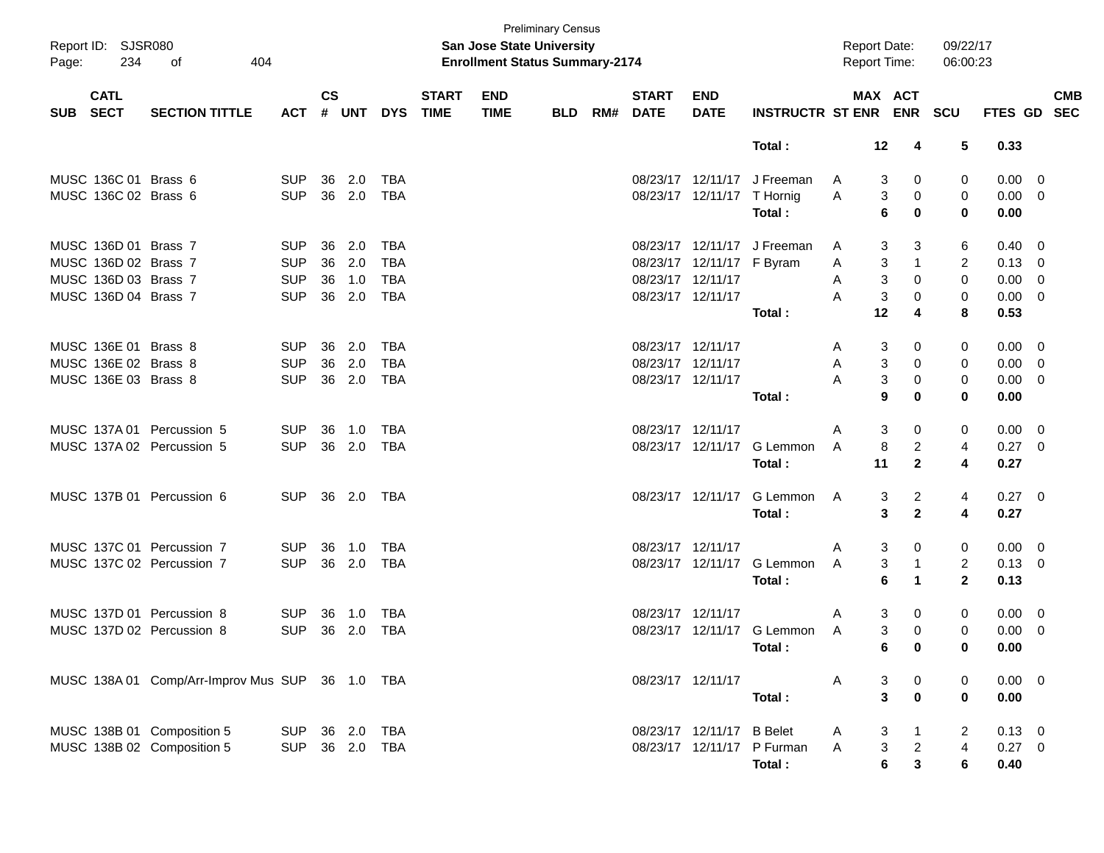| Page:      | Report ID: SJSR080<br>234  | 404<br>оf                                       |                |               |        |            |                             | <b>Preliminary Census</b><br><b>San Jose State University</b><br><b>Enrollment Status Summary-2174</b> |            |                          |                            |                             | <b>Report Date:</b><br><b>Report Time:</b> |                         |                | 09/22/17<br>06:00:23 |                |                          |                          |
|------------|----------------------------|-------------------------------------------------|----------------|---------------|--------|------------|-----------------------------|--------------------------------------------------------------------------------------------------------|------------|--------------------------|----------------------------|-----------------------------|--------------------------------------------|-------------------------|----------------|----------------------|----------------|--------------------------|--------------------------|
| <b>SUB</b> | <b>CATL</b><br><b>SECT</b> | <b>SECTION TITTLE</b>                           | <b>ACT</b>     | $\mathsf{cs}$ | # UNT  | <b>DYS</b> | <b>START</b><br><b>TIME</b> | <b>END</b><br><b>TIME</b>                                                                              | <b>BLD</b> | <b>START</b><br>RM# DATE | <b>END</b><br><b>DATE</b>  | INSTRUCTR ST ENR ENR SCU    |                                            |                         | MAX ACT        |                      | <b>FTES GD</b> |                          | <b>CMB</b><br><b>SEC</b> |
|            |                            |                                                 |                |               |        |            |                             |                                                                                                        |            |                          |                            | Total:                      |                                            | 12                      | 4              | 5                    | 0.33           |                          |                          |
|            | MUSC 136C 01 Brass 6       |                                                 | <b>SUP</b>     | 36            | 2.0    | TBA        |                             |                                                                                                        |            |                          | 08/23/17 12/11/17          | J Freeman                   | A                                          | 3                       | 0              | 0                    | $0.00 \ 0$     |                          |                          |
|            | MUSC 136C 02 Brass 6       |                                                 | <b>SUP</b>     | 36            | 2.0    | <b>TBA</b> |                             |                                                                                                        |            |                          | 08/23/17 12/11/17 T Hornig |                             | Α                                          | 3                       | 0              | 0                    | $0.00 \t 0$    |                          |                          |
|            |                            |                                                 |                |               |        |            |                             |                                                                                                        |            |                          |                            | Total:                      |                                            | 6                       | 0              | 0                    | 0.00           |                          |                          |
|            | MUSC 136D 01 Brass 7       |                                                 | SUP.           | 36            | 2.0    | <b>TBA</b> |                             |                                                                                                        |            |                          |                            | 08/23/17 12/11/17 J Freeman | A                                          | 3                       | 3              | 6                    | $0.40 \quad 0$ |                          |                          |
|            | MUSC 136D 02 Brass 7       |                                                 | <b>SUP</b>     | 36            | 2.0    | <b>TBA</b> |                             |                                                                                                        |            |                          | 08/23/17 12/11/17 F Byram  |                             | Α                                          | 3                       | $\mathbf{1}$   | 2                    | $0.13 \ 0$     |                          |                          |
|            | MUSC 136D 03 Brass 7       |                                                 | <b>SUP</b>     | 36            | 1.0    | <b>TBA</b> |                             |                                                                                                        |            | 08/23/17 12/11/17        |                            |                             | Α                                          | 3                       | 0              | $\mathbf 0$          | 0.00           | $\overline{\phantom{0}}$ |                          |
|            | MUSC 136D 04 Brass 7       |                                                 | <b>SUP</b>     | 36            | 2.0    | <b>TBA</b> |                             |                                                                                                        |            | 08/23/17 12/11/17        |                            |                             | Α                                          | 3                       | 0              | 0                    | $0.00 \ 0$     |                          |                          |
|            |                            |                                                 |                |               |        |            |                             |                                                                                                        |            |                          |                            | Total:                      |                                            | 12                      | 4              | 8                    | 0.53           |                          |                          |
|            | MUSC 136E 01 Brass 8       |                                                 | SUP.           | 36            | 2.0    | <b>TBA</b> |                             |                                                                                                        |            | 08/23/17 12/11/17        |                            |                             | A                                          | 3                       | 0              | 0                    | $0.00 \ 0$     |                          |                          |
|            | MUSC 136E 02 Brass 8       |                                                 | <b>SUP</b>     | 36            | 2.0    | <b>TBA</b> |                             |                                                                                                        |            | 08/23/17 12/11/17        |                            |                             | Α                                          | 3                       | 0              | 0                    | $0.00 \t 0$    |                          |                          |
|            | MUSC 136E 03 Brass 8       |                                                 | <b>SUP</b>     | 36            | 2.0    | <b>TBA</b> |                             |                                                                                                        |            | 08/23/17 12/11/17        |                            |                             | А                                          | 3                       | 0              | 0                    | $0.00 \t 0$    |                          |                          |
|            |                            |                                                 |                |               |        |            |                             |                                                                                                        |            |                          |                            | Total:                      |                                            | 9                       | $\bf{0}$       | 0                    | 0.00           |                          |                          |
|            |                            | MUSC 137A 01 Percussion 5                       | <b>SUP</b>     | 36            | 1.0    | TBA        |                             |                                                                                                        |            | 08/23/17 12/11/17        |                            |                             | Α                                          | 3                       | 0              | 0                    | $0.00 \ 0$     |                          |                          |
|            |                            | MUSC 137A 02 Percussion 5                       | <b>SUP</b>     |               | 36 2.0 | <b>TBA</b> |                             |                                                                                                        |            |                          |                            | 08/23/17 12/11/17 G Lemmon  | A                                          | 8                       | $\overline{c}$ | 4                    | $0.27$ 0       |                          |                          |
|            |                            |                                                 |                |               |        |            |                             |                                                                                                        |            |                          |                            | Total:                      |                                            | 11                      | $\mathbf{2}$   | 4                    | 0.27           |                          |                          |
|            |                            | MUSC 137B 01 Percussion 6                       | <b>SUP</b>     |               | 36 2.0 | TBA        |                             |                                                                                                        |            |                          | 08/23/17 12/11/17          | G Lemmon                    | A                                          | 3                       | $\overline{2}$ | 4                    | $0.27$ 0       |                          |                          |
|            |                            |                                                 |                |               |        |            |                             |                                                                                                        |            |                          |                            | Total:                      |                                            | 3                       | $\mathbf{2}$   | 4                    | 0.27           |                          |                          |
|            |                            | MUSC 137C 01 Percussion 7                       | <b>SUP</b>     | 36            | 1.0    | TBA        |                             |                                                                                                        |            | 08/23/17 12/11/17        |                            |                             | Α                                          | 3                       | 0              | 0                    | $0.00 \t 0$    |                          |                          |
|            |                            | MUSC 137C 02 Percussion 7                       | <b>SUP</b>     | 36            | 2.0    | <b>TBA</b> |                             |                                                                                                        |            |                          | 08/23/17 12/11/17          | G Lemmon                    | A                                          | 3                       | 1              | 2                    | $0.13 \ 0$     |                          |                          |
|            |                            |                                                 |                |               |        |            |                             |                                                                                                        |            |                          |                            | Total:                      |                                            | 6                       | $\mathbf 1$    | $\mathbf{2}$         | 0.13           |                          |                          |
|            |                            | MUSC 137D 01 Percussion 8                       | <b>SUP</b>     | 36            | 1.0    | <b>TBA</b> |                             |                                                                                                        |            | 08/23/17 12/11/17        |                            |                             | Α                                          | 3                       | 0              | 0                    | $0.00 \ 0$     |                          |                          |
|            |                            | MUSC 137D 02 Percussion 8                       | <b>SUP</b>     | 36            | 2.0    | <b>TBA</b> |                             |                                                                                                        |            |                          |                            | 08/23/17 12/11/17 G Lemmon  | A                                          | 3                       | 0              | 0                    | 0.00           | - 0                      |                          |
|            |                            |                                                 |                |               |        |            |                             |                                                                                                        |            |                          |                            | Total:                      |                                            | 6                       | $\bf{0}$       | 0                    | 0.00           |                          |                          |
|            |                            | MUSC 138A 01 Comp/Arr-Improv Mus SUP 36 1.0 TBA |                |               |        |            |                             |                                                                                                        |            |                          | 08/23/17 12/11/17          |                             | A                                          | 3                       | $\overline{0}$ | 0                    | $0.00 \t 0$    |                          |                          |
|            |                            |                                                 |                |               |        |            |                             |                                                                                                        |            |                          |                            | Total:                      |                                            | $\overline{\mathbf{3}}$ | $\pmb{0}$      | $\mathbf 0$          | 0.00           |                          |                          |
|            |                            | MUSC 138B 01 Composition 5                      | SUP 36 2.0 TBA |               |        |            |                             |                                                                                                        |            |                          | 08/23/17 12/11/17 B Belet  |                             | A                                          | 3                       | $\mathbf{1}$   | 2                    | $0.13 \ 0$     |                          |                          |
|            |                            | MUSC 138B 02 Composition 5                      | SUP 36 2.0 TBA |               |        |            |                             |                                                                                                        |            |                          |                            | 08/23/17 12/11/17 P Furman  | $\mathsf{A}$                               | $\mathbf{3}$            | $\overline{a}$ | 4                    | $0.27$ 0       |                          |                          |
|            |                            |                                                 |                |               |        |            |                             |                                                                                                        |            |                          |                            | Total:                      |                                            | $6\phantom{a}$          | $\mathbf 3$    | 6                    | 0.40           |                          |                          |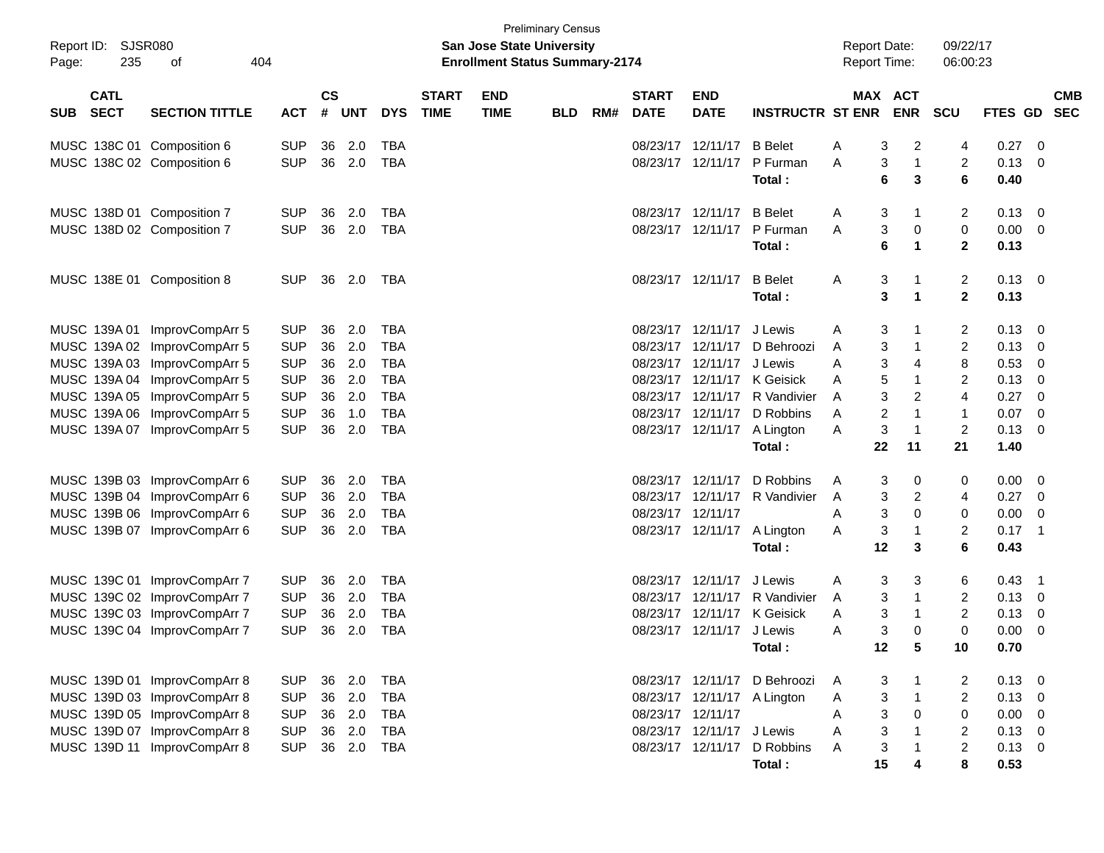| Report ID:<br>Page: | SJSR080<br>235             | 404<br>оf                    |            |                    |            |            |                             | <b>San Jose State University</b><br><b>Enrollment Status Summary-2174</b> | <b>Preliminary Census</b> |     |                             |                             |                              | <b>Report Date:</b><br><b>Report Time:</b> |                |                          | 09/22/17<br>06:00:23    |         |                          |  |
|---------------------|----------------------------|------------------------------|------------|--------------------|------------|------------|-----------------------------|---------------------------------------------------------------------------|---------------------------|-----|-----------------------------|-----------------------------|------------------------------|--------------------------------------------|----------------|--------------------------|-------------------------|---------|--------------------------|--|
| <b>SUB</b>          | <b>CATL</b><br><b>SECT</b> | <b>SECTION TITTLE</b>        | <b>ACT</b> | $\mathsf{cs}$<br># | <b>UNT</b> | <b>DYS</b> | <b>START</b><br><b>TIME</b> | <b>END</b><br><b>TIME</b>                                                 | <b>BLD</b>                | RM# | <b>START</b><br><b>DATE</b> | <b>END</b><br><b>DATE</b>   | <b>INSTRUCTR ST ENR</b>      | MAX                                        |                | <b>ACT</b><br><b>ENR</b> | <b>SCU</b>              | FTES GD | <b>CMB</b><br><b>SEC</b> |  |
|                     |                            | MUSC 138C 01 Composition 6   | <b>SUP</b> | 36                 | 2.0        | <b>TBA</b> |                             |                                                                           |                           |     | 08/23/17                    | 12/11/17                    | <b>B</b> Belet               | A                                          | 3              | 2                        | 4                       | 0.27    | 0                        |  |
|                     |                            | MUSC 138C 02 Composition 6   | <b>SUP</b> | 36                 | 2.0        | TBA        |                             |                                                                           |                           |     | 08/23/17                    | 12/11/17                    | P Furman                     | A                                          | 3              | 1                        | $\overline{c}$          | 0.13    | 0                        |  |
|                     |                            |                              |            |                    |            |            |                             |                                                                           |                           |     |                             |                             | Total:                       |                                            | 6              | 3                        | 6                       | 0.40    |                          |  |
|                     |                            | MUSC 138D 01 Composition 7   | <b>SUP</b> | 36                 | 2.0        | <b>TBA</b> |                             |                                                                           |                           |     | 08/23/17                    | 12/11/17                    | <b>B</b> Belet               | A                                          | 3              | 1                        | $\overline{2}$          | 0.13    | 0                        |  |
|                     |                            | MUSC 138D 02 Composition 7   | <b>SUP</b> | 36                 | 2.0        | TBA        |                             |                                                                           |                           |     |                             | 08/23/17 12/11/17           | P Furman                     | A                                          | 3              | 0                        | 0                       | 0.00    | 0                        |  |
|                     |                            |                              |            |                    |            |            |                             |                                                                           |                           |     |                             |                             | Total:                       |                                            | 6              | 1                        | $\overline{2}$          | 0.13    |                          |  |
|                     |                            | MUSC 138E 01 Composition 8   | <b>SUP</b> | 36                 | 2.0        | TBA        |                             |                                                                           |                           |     |                             | 08/23/17 12/11/17           | <b>B</b> Belet               | A                                          | 3              | 1                        | $\overline{2}$          | 0.13    | 0                        |  |
|                     |                            |                              |            |                    |            |            |                             |                                                                           |                           |     |                             |                             | Total:                       |                                            | 3              | 1                        | $\mathbf{2}$            | 0.13    |                          |  |
|                     | MUSC 139A 01               | ImprovCompArr 5              | <b>SUP</b> | 36                 | 2.0        | <b>TBA</b> |                             |                                                                           |                           |     | 08/23/17                    | 12/11/17                    | J Lewis                      | A                                          | 3              | 1                        | $\overline{c}$          | 0.13    | 0                        |  |
|                     |                            | MUSC 139A 02 ImprovCompArr 5 | <b>SUP</b> | 36                 | 2.0        | <b>TBA</b> |                             |                                                                           |                           |     | 08/23/17                    | 12/11/17                    | D Behroozi                   | A                                          | 3              | 1                        | $\overline{2}$          | 0.13    | 0                        |  |
|                     |                            | MUSC 139A 03 ImprovCompArr 5 | <b>SUP</b> | 36                 | 2.0        | <b>TBA</b> |                             |                                                                           |                           |     | 08/23/17                    | 12/11/17                    | J Lewis                      | A                                          | 3              | 4                        | 8                       | 0.53    | 0                        |  |
|                     |                            | MUSC 139A 04 ImprovCompArr 5 | <b>SUP</b> | 36                 | 2.0        | <b>TBA</b> |                             |                                                                           |                           |     | 08/23/17                    | 12/11/17                    | K Geisick                    | A                                          | 5              | 1                        | 2                       | 0.13    | 0                        |  |
|                     |                            | MUSC 139A 05 ImprovCompArr 5 | <b>SUP</b> | 36                 | 2.0        | <b>TBA</b> |                             |                                                                           |                           |     | 08/23/17                    | 12/11/17                    | R Vandivier                  | A                                          | 3              | 2                        | 4                       | 0.27    | 0                        |  |
|                     |                            | MUSC 139A 06 ImprovCompArr 5 | <b>SUP</b> | 36                 | 1.0        | <b>TBA</b> |                             |                                                                           |                           |     | 08/23/17                    | 12/11/17                    | D Robbins                    | A                                          | $\overline{2}$ | 1                        | $\mathbf{1}$            | 0.07    | 0                        |  |
|                     |                            | MUSC 139A 07 ImprovCompArr 5 | <b>SUP</b> | 36                 | 2.0        | <b>TBA</b> |                             |                                                                           |                           |     |                             | 08/23/17 12/11/17           | A Lington                    | A                                          | 3              | 1                        | 2                       | 0.13    | 0                        |  |
|                     |                            |                              |            |                    |            |            |                             |                                                                           |                           |     |                             |                             | Total:                       |                                            | 22             | 11                       | 21                      | 1.40    |                          |  |
|                     |                            | MUSC 139B 03 ImprovCompArr 6 | <b>SUP</b> | 36                 | 2.0        | <b>TBA</b> |                             |                                                                           |                           |     | 08/23/17                    | 12/11/17                    | D Robbins                    | A                                          | 3              | 0                        | 0                       | 0.00    | 0                        |  |
|                     |                            | MUSC 139B 04 ImprovCompArr 6 | <b>SUP</b> | 36                 | 2.0        | <b>TBA</b> |                             |                                                                           |                           |     | 08/23/17                    | 12/11/17                    | R Vandivier                  | A                                          | 3              | 2                        | 4                       | 0.27    | 0                        |  |
|                     |                            | MUSC 139B 06 ImprovCompArr 6 | <b>SUP</b> | 36                 | 2.0        | <b>TBA</b> |                             |                                                                           |                           |     | 08/23/17                    | 12/11/17                    |                              | Α                                          | 3              | 0                        | 0                       | 0.00    | 0                        |  |
|                     |                            | MUSC 139B 07 ImprovCompArr 6 | <b>SUP</b> | 36                 | 2.0        | <b>TBA</b> |                             |                                                                           |                           |     |                             | 08/23/17 12/11/17           | A Lington                    | A                                          | 3              | 1                        | $\overline{\mathbf{c}}$ | 0.17    | $\mathbf 1$              |  |
|                     |                            |                              |            |                    |            |            |                             |                                                                           |                           |     |                             |                             | Total:                       |                                            | 12             | 3                        | 6                       | 0.43    |                          |  |
|                     |                            | MUSC 139C 01 ImprovCompArr 7 | <b>SUP</b> | 36                 | 2.0        | <b>TBA</b> |                             |                                                                           |                           |     | 08/23/17                    | 12/11/17                    | J Lewis                      | A                                          | 3              | 3                        | 6                       | 0.43    | $\mathbf 1$              |  |
|                     |                            | MUSC 139C 02 ImprovCompArr 7 | <b>SUP</b> | 36                 | 2.0        | <b>TBA</b> |                             |                                                                           |                           |     | 08/23/17                    | 12/11/17                    | R Vandivier                  | A                                          | 3              | 1                        | $\overline{\mathbf{c}}$ | 0.13    | 0                        |  |
|                     |                            | MUSC 139C 03 ImprovCompArr 7 | <b>SUP</b> | 36                 | 2.0        | <b>TBA</b> |                             |                                                                           |                           |     | 08/23/17                    | 12/11/17                    | K Geisick                    | A                                          | 3              | 1                        | 2                       | 0.13    | 0                        |  |
|                     |                            | MUSC 139C 04 ImprovCompArr 7 | <b>SUP</b> | 36                 | 2.0        | <b>TBA</b> |                             |                                                                           |                           |     | 08/23/17                    | 12/11/17                    | J Lewis                      | A                                          | 3              | 0                        | $\mathbf 0$             | 0.00    | 0                        |  |
|                     |                            |                              |            |                    |            |            |                             |                                                                           |                           |     |                             |                             | Total:                       |                                            | 12             | 5                        | 10                      | 0.70    |                          |  |
|                     |                            | MUSC 139D 01 ImprovCompArr 8 | <b>SUP</b> | 36                 | 2.0        | <b>TBA</b> |                             |                                                                           |                           |     |                             |                             | 08/23/17 12/11/17 D Behroozi | A                                          | 3              |                          | 2                       | 0.13    | $\overline{\mathbf{0}}$  |  |
|                     |                            | MUSC 139D 03 ImprovCompArr 8 | <b>SUP</b> | 36                 | 2.0        | <b>TBA</b> |                             |                                                                           |                           |     |                             | 08/23/17 12/11/17 A Lington |                              | A                                          | 3              | $\mathbf{1}$             | $\overline{2}$          | 0.13    | 0                        |  |
|                     |                            | MUSC 139D 05 ImprovCompArr 8 | <b>SUP</b> |                    | 36 2.0     | <b>TBA</b> |                             |                                                                           |                           |     | 08/23/17 12/11/17           |                             |                              | A                                          | 3              | 0                        | 0                       | 0.00    | 0                        |  |
|                     |                            | MUSC 139D 07 ImprovCompArr 8 | <b>SUP</b> | 36                 | 2.0        | <b>TBA</b> |                             |                                                                           |                           |     |                             | 08/23/17 12/11/17 J Lewis   |                              | Α                                          | 3              | $\mathbf{1}$             | 2                       | 0.13    | 0                        |  |
|                     |                            | MUSC 139D 11 ImprovCompArr 8 | <b>SUP</b> | 36                 | 2.0        | <b>TBA</b> |                             |                                                                           |                           |     |                             | 08/23/17 12/11/17           | D Robbins                    | A                                          | 3              | 1                        | $\overline{c}$          | 0.13    | 0                        |  |
|                     |                            |                              |            |                    |            |            |                             |                                                                           |                           |     |                             |                             | Total:                       |                                            | 15             | 4                        | 8                       | 0.53    |                          |  |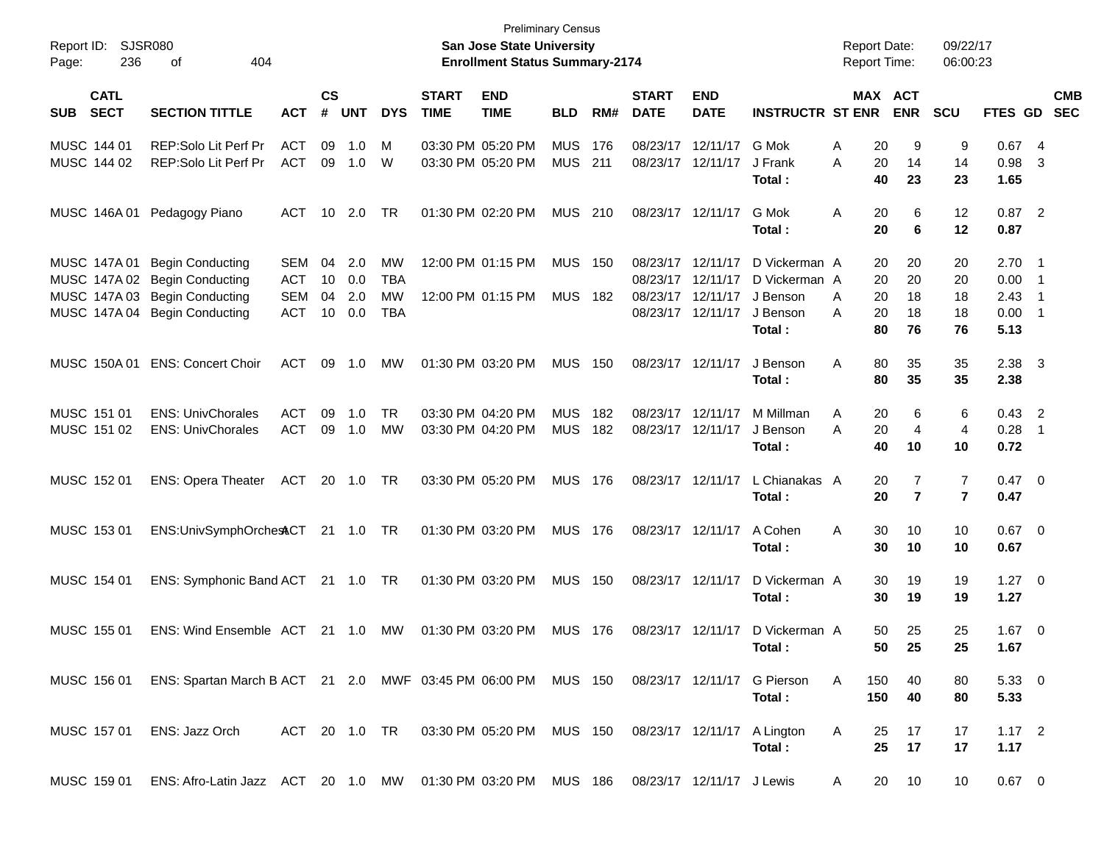| Report ID:<br>236<br>Page:               | SJSR080<br>404<br>οf                                                                                                       |                                               |                                   |                          |                                      |                             | <b>Preliminary Census</b><br>San Jose State University<br><b>Enrollment Status Summary-2174</b> |                              |            |                             |                                                                                  |                                                                   | <b>Report Date:</b><br><b>Report Time:</b> |                                                          | 09/22/17<br>06:00:23       |                                                  |                          |                          |
|------------------------------------------|----------------------------------------------------------------------------------------------------------------------------|-----------------------------------------------|-----------------------------------|--------------------------|--------------------------------------|-----------------------------|-------------------------------------------------------------------------------------------------|------------------------------|------------|-----------------------------|----------------------------------------------------------------------------------|-------------------------------------------------------------------|--------------------------------------------|----------------------------------------------------------|----------------------------|--------------------------------------------------|--------------------------|--------------------------|
| <b>CATL</b><br><b>SECT</b><br><b>SUB</b> | <b>SECTION TITTLE</b>                                                                                                      | <b>ACT</b>                                    | $\mathsf{cs}$<br>#                | <b>UNT</b>               | <b>DYS</b>                           | <b>START</b><br><b>TIME</b> | <b>END</b><br><b>TIME</b>                                                                       | <b>BLD</b>                   | RM#        | <b>START</b><br><b>DATE</b> | <b>END</b><br><b>DATE</b>                                                        | <b>INSTRUCTR ST ENR</b>                                           |                                            | MAX ACT<br><b>ENR</b>                                    | <b>SCU</b>                 | FTES GD                                          |                          | <b>CMB</b><br><b>SEC</b> |
| MUSC 144 01<br>MUSC 144 02               | REP:Solo Lit Perf Pr<br>REP:Solo Lit Perf Pr                                                                               | <b>ACT</b><br><b>ACT</b>                      | 09                                | 1.0<br>09 1.0            | M<br>W                               |                             | 03:30 PM 05:20 PM<br>03:30 PM 05:20 PM                                                          | <b>MUS</b><br><b>MUS</b>     | 176<br>211 |                             | 08/23/17 12/11/17<br>08/23/17 12/11/17                                           | G Mok<br>J Frank<br>Total :                                       | Α<br>Α                                     | 20<br>9<br>20<br>14<br>40<br>23                          | 9<br>14<br>23              | 0.674<br>0.98<br>1.65                            | -3                       |                          |
| MUSC 146A 01                             | Pedagogy Piano                                                                                                             | ACT                                           |                                   | 10 2.0                   | TR                                   |                             | 01:30 PM 02:20 PM                                                                               | MUS 210                      |            |                             | 08/23/17 12/11/17                                                                | G Mok<br>Total :                                                  | Α                                          | 20<br>6<br>20<br>6                                       | 12<br>12                   | $0.87$ 2<br>0.87                                 |                          |                          |
| MUSC 147A 01                             | <b>Begin Conducting</b><br>MUSC 147A 02 Begin Conducting<br>MUSC 147A 03 Begin Conducting<br>MUSC 147A 04 Begin Conducting | SEM<br><b>ACT</b><br><b>SEM</b><br><b>ACT</b> | 04<br>10<br>04<br>10 <sup>°</sup> | 2.0<br>0.0<br>2.0<br>0.0 | MW<br><b>TBA</b><br>MW<br><b>TBA</b> |                             | 12:00 PM 01:15 PM<br>12:00 PM 01:15 PM                                                          | <b>MUS</b><br><b>MUS 182</b> | - 150      |                             | 08/23/17 12/11/17<br>08/23/17 12/11/17<br>08/23/17 12/11/17<br>08/23/17 12/11/17 | D Vickerman A<br>D Vickerman A<br>J Benson<br>J Benson<br>Total : | A<br>A                                     | 20<br>20<br>20<br>20<br>20<br>18<br>20<br>18<br>80<br>76 | 20<br>20<br>18<br>18<br>76 | $2.70$ 1<br>$0.00$ 1<br>2.43<br>$0.00$ 1<br>5.13 | $\overline{\phantom{1}}$ |                          |
| MUSC 150A 01                             | <b>ENS: Concert Choir</b>                                                                                                  | <b>ACT</b>                                    | 09                                | 1.0                      | MW                                   |                             | 01:30 PM 03:20 PM                                                                               | <b>MUS 150</b>               |            |                             | 08/23/17 12/11/17                                                                | J Benson<br>Total :                                               | Α                                          | 80<br>35<br>80<br>35                                     | 35<br>35                   | $2.38$ 3<br>2.38                                 |                          |                          |
| MUSC 151 01<br>MUSC 151 02               | <b>ENS: UnivChorales</b><br><b>ENS: UnivChorales</b>                                                                       | <b>ACT</b><br><b>ACT</b>                      | 09                                | 1.0<br>09 1.0            | <b>TR</b><br>MW                      |                             | 03:30 PM 04:20 PM<br>03:30 PM 04:20 PM                                                          | <b>MUS</b><br><b>MUS</b>     | 182<br>182 |                             | 08/23/17 12/11/17<br>08/23/17 12/11/17                                           | M Millman<br>J Benson<br>Total :                                  | A<br>Α                                     | 20<br>6<br>20<br>$\overline{4}$<br>40<br>10              | 6<br>4<br>10               | $0.43$ 2<br>$0.28$ 1<br>0.72                     |                          |                          |
| MUSC 152 01                              | ENS: Opera Theater ACT                                                                                                     |                                               |                                   | 20 1.0 TR                |                                      |                             | 03:30 PM 05:20 PM                                                                               | <b>MUS 176</b>               |            |                             | 08/23/17 12/11/17                                                                | L Chianakas A<br>Total :                                          |                                            | 20<br>7<br>$\overline{7}$<br>20                          | 7<br>$\overline{7}$        | $0.47 \quad 0$<br>0.47                           |                          |                          |
| MUSC 153 01                              | ENS:UnivSymphOrchesACT 21 1.0 TR                                                                                           |                                               |                                   |                          |                                      |                             | 01:30 PM 03:20 PM                                                                               | <b>MUS 176</b>               |            |                             | 08/23/17 12/11/17                                                                | A Cohen<br>Total :                                                | Α                                          | 30<br>10<br>30<br>10                                     | 10<br>10                   | $0.67$ 0<br>0.67                                 |                          |                          |
| MUSC 154 01                              | ENS: Symphonic Band ACT 21 1.0 TR                                                                                          |                                               |                                   |                          |                                      |                             | 01:30 PM 03:20 PM                                                                               | <b>MUS 150</b>               |            |                             | 08/23/17 12/11/17                                                                | D Vickerman A<br>Total :                                          |                                            | 30<br>19<br>30<br>19                                     | 19<br>19                   | $1.27 \t 0$<br>1.27                              |                          |                          |
| MUSC 155 01                              | ENS: Wind Ensemble ACT                                                                                                     |                                               |                                   | 21 1.0                   | МW                                   |                             | 01:30 PM 03:20 PM                                                                               | <b>MUS 176</b>               |            |                             | 08/23/17 12/11/17                                                                | D Vickerman A<br>Total :                                          |                                            | 25<br>50<br>50<br>25                                     | 25<br>25                   | $1.67$ 0<br>1.67                                 |                          |                          |
| MUSC 156 01                              | ENS: Spartan March B ACT 21 2.0 MWF 03:45 PM 06:00 PM MUS 150 08/23/17 12/11/17 G Pierson                                  |                                               |                                   |                          |                                      |                             |                                                                                                 |                              |            |                             |                                                                                  | Total:                                                            | A<br>150<br>150                            | 40<br>40                                                 | 80<br>80                   | $5.33 \ 0$<br>5.33                               |                          |                          |
| MUSC 157 01                              | ENS: Jazz Orch                                                                                                             |                                               |                                   |                          |                                      |                             | ACT 20 1.0 TR 03:30 PM 05:20 PM MUS 150                                                         |                              |            |                             |                                                                                  | 08/23/17 12/11/17 A Lington<br>Total:                             | A                                          | 17<br>25<br>25<br>17                                     | 17<br>17                   | $1.17$ 2<br>1.17                                 |                          |                          |
| MUSC 159 01                              | ENS: Afro-Latin Jazz ACT 20 1.0 MW 01:30 PM 03:20 PM MUS 186 08/23/17 12/11/17 J Lewis                                     |                                               |                                   |                          |                                      |                             |                                                                                                 |                              |            |                             |                                                                                  |                                                                   | A                                          | 20<br>10                                                 | 10 <sup>°</sup>            | $0.67$ 0                                         |                          |                          |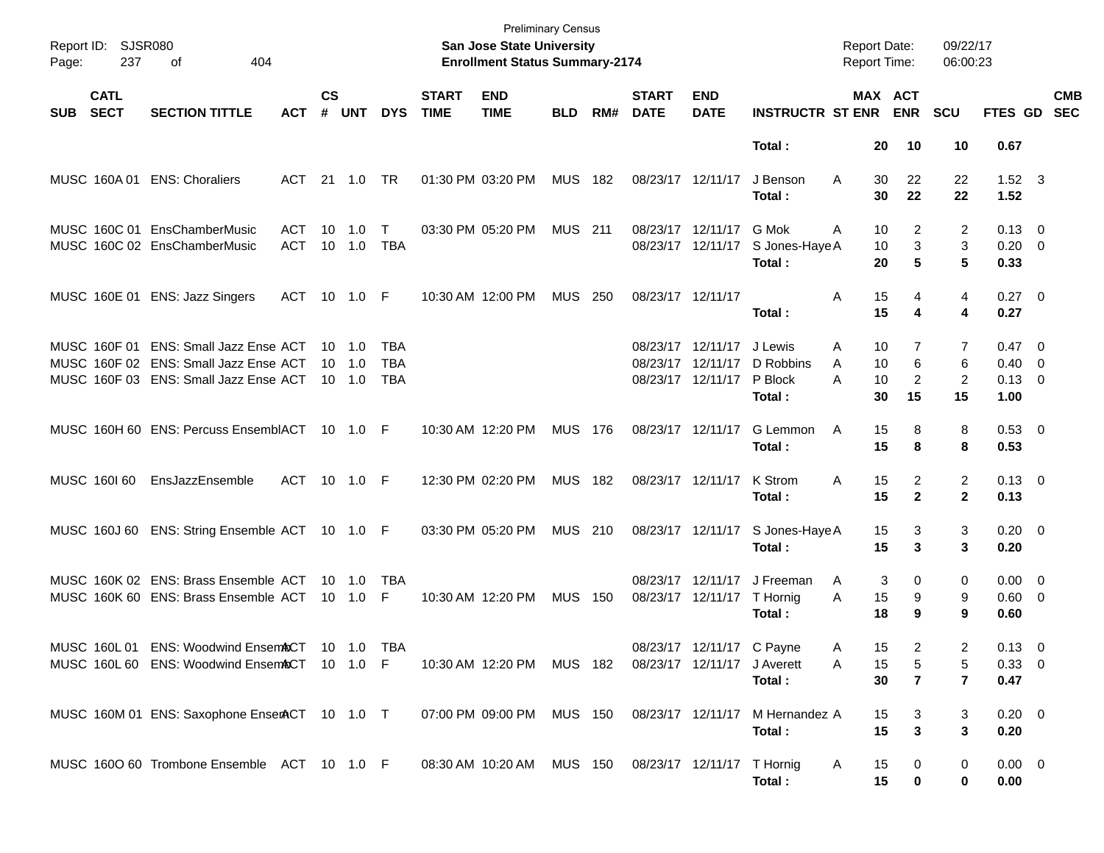| Report ID:<br>Page: | <b>SJSR080</b><br>237      | 404<br>оf                                      |            |                    |                |            |                             | <b>Preliminary Census</b><br><b>San Jose State University</b><br><b>Enrollment Status Summary-2174</b> |                |     |                             |                             |                                  | <b>Report Date:</b><br>Report Time: |                | 09/22/17<br>06:00:23 |                        |                           |
|---------------------|----------------------------|------------------------------------------------|------------|--------------------|----------------|------------|-----------------------------|--------------------------------------------------------------------------------------------------------|----------------|-----|-----------------------------|-----------------------------|----------------------------------|-------------------------------------|----------------|----------------------|------------------------|---------------------------|
| <b>SUB</b>          | <b>CATL</b><br><b>SECT</b> | <b>SECTION TITTLE</b>                          | ACT        | $\mathsf{cs}$<br># | <b>UNT</b>     | <b>DYS</b> | <b>START</b><br><b>TIME</b> | <b>END</b><br><b>TIME</b>                                                                              | <b>BLD</b>     | RM# | <b>START</b><br><b>DATE</b> | <b>END</b><br><b>DATE</b>   | <b>INSTRUCTR ST ENR</b>          | MAX ACT                             | <b>ENR</b>     | SCU                  |                        | <b>CMB</b><br>FTES GD SEC |
|                     |                            |                                                |            |                    |                |            |                             |                                                                                                        |                |     |                             |                             | Total:                           | 20                                  | 10             | 10                   | 0.67                   |                           |
|                     |                            | MUSC 160A 01 ENS: Choraliers                   | ACT        |                    | 21  1.0        | <b>TR</b>  |                             | 01:30 PM 03:20 PM                                                                                      | <b>MUS 182</b> |     |                             | 08/23/17 12/11/17           | J Benson<br>Total:               | A<br>30<br>30                       | 22<br>22       | 22<br>22             | $1.52 \quad 3$<br>1.52 |                           |
|                     |                            | MUSC 160C 01 EnsChamberMusic                   | <b>ACT</b> | 10                 | 1.0            | Т          |                             | 03:30 PM 05:20 PM                                                                                      | <b>MUS 211</b> |     |                             | 08/23/17 12/11/17           | G Mok                            | A<br>10                             | 2              | $\overline{2}$       | $0.13 \quad 0$         |                           |
|                     |                            | MUSC 160C 02 EnsChamberMusic                   | <b>ACT</b> |                    | 10 1.0         | <b>TBA</b> |                             |                                                                                                        |                |     |                             | 08/23/17 12/11/17           | S Jones-Haye A                   | 10                                  | 3              | 3                    | $0.20 \ 0$             |                           |
|                     |                            |                                                |            |                    |                |            |                             |                                                                                                        |                |     |                             |                             | Total:                           | 20                                  | 5              | 5                    | 0.33                   |                           |
|                     |                            | MUSC 160E 01 ENS: Jazz Singers                 | <b>ACT</b> |                    | 10 1.0 F       |            |                             | 10:30 AM 12:00 PM                                                                                      | MUS 250        |     | 08/23/17 12/11/17           |                             |                                  | 15<br>Α                             | 4              | 4                    | $0.27$ 0               |                           |
|                     |                            |                                                |            |                    |                |            |                             |                                                                                                        |                |     |                             |                             | Total:                           | 15                                  | 4              | 4                    | 0.27                   |                           |
|                     |                            | MUSC 160F 01 ENS: Small Jazz Ense ACT          |            | 10 1.0             |                | TBA        |                             |                                                                                                        |                |     |                             | 08/23/17 12/11/17           | J Lewis                          | 10<br>A                             |                | 7                    | $0.47 \quad 0$         |                           |
|                     |                            | MUSC 160F 02 ENS: Small Jazz Ense ACT          |            | $10 \quad 1.0$     |                | <b>TBA</b> |                             |                                                                                                        |                |     |                             | 08/23/17 12/11/17           | D Robbins                        | 10<br>A                             | 6              | 6                    | $0.40 \quad 0$         |                           |
|                     |                            | MUSC 160F 03 ENS: Small Jazz Ense ACT          |            | $10 \quad 1.0$     |                | <b>TBA</b> |                             |                                                                                                        |                |     |                             | 08/23/17 12/11/17 P Block   |                                  | A<br>10                             | $\overline{2}$ | $\overline{2}$       | $0.13 \quad 0$         |                           |
|                     |                            |                                                |            |                    |                |            |                             |                                                                                                        |                |     |                             |                             | Total:                           | 30                                  | 15             | 15                   | 1.00                   |                           |
|                     |                            | MUSC 160H 60 ENS: Percuss EnsemblACT 10 1.0 F  |            |                    |                |            |                             | 10:30 AM 12:20 PM                                                                                      | <b>MUS 176</b> |     |                             | 08/23/17 12/11/17           | G Lemmon                         | 15<br>A                             | 8              | 8                    | $0.53$ 0               |                           |
|                     |                            |                                                |            |                    |                |            |                             |                                                                                                        |                |     |                             |                             | Total:                           | 15                                  | 8              | 8                    | 0.53                   |                           |
|                     | MUSC 160160                | EnsJazzEnsemble                                | <b>ACT</b> |                    | 10 1.0 F       |            |                             | 12:30 PM 02:20 PM                                                                                      | MUS 182        |     |                             | 08/23/17 12/11/17           | K Strom                          | A<br>15                             | 2              | $\overline{2}$       | $0.13 \quad 0$         |                           |
|                     |                            |                                                |            |                    |                |            |                             |                                                                                                        |                |     |                             |                             | Total:                           | 15                                  | $\mathbf{2}$   | $\mathbf 2$          | 0.13                   |                           |
|                     |                            | MUSC 160J 60 ENS: String Ensemble ACT 10 1.0 F |            |                    |                |            |                             | 03:30 PM 05:20 PM                                                                                      | <b>MUS 210</b> |     |                             |                             | 08/23/17 12/11/17 S Jones-Haye A | 15                                  | 3              | 3                    | $0.20 \ 0$             |                           |
|                     |                            |                                                |            |                    |                |            |                             |                                                                                                        |                |     |                             |                             | Total:                           | 15                                  | 3              | 3                    | 0.20                   |                           |
|                     |                            | MUSC 160K 02 ENS: Brass Ensemble ACT           |            |                    | $10 \quad 1.0$ | TBA        |                             |                                                                                                        |                |     |                             | 08/23/17 12/11/17           | J Freeman                        | 3<br>A                              | 0              | 0                    | $0.00 \quad 0$         |                           |
|                     |                            | MUSC 160K 60 ENS: Brass Ensemble ACT           |            |                    | $10 \quad 1.0$ | F          |                             | 10:30 AM 12:20 PM                                                                                      | <b>MUS 150</b> |     |                             | 08/23/17 12/11/17 T Hornig  |                                  | 15<br>A                             | 9              | 9                    | $0.60 \quad 0$         |                           |
|                     |                            |                                                |            |                    |                |            |                             |                                                                                                        |                |     |                             |                             | Total:                           | 18                                  | 9              | 9                    | 0.60                   |                           |
|                     |                            | MUSC 160L 01 ENS: Woodwind EnsemACT            |            |                    | 10 1.0 TBA     |            |                             |                                                                                                        |                |     |                             | 08/23/17 12/11/17 C Payne   |                                  | 15<br>A                             | $\overline{c}$ | $\overline{c}$       | $0.13 \ 0$             |                           |
|                     |                            | MUSC 160L 60 ENS: Woodwind EnsemACT            |            |                    | 10 1.0 F       |            |                             | 10:30 AM 12:20 PM MUS 182                                                                              |                |     |                             | 08/23/17 12/11/17 J Averett |                                  | 15<br>Α                             | 5              | 5                    | 0.33 0                 |                           |
|                     |                            |                                                |            |                    |                |            |                             |                                                                                                        |                |     |                             |                             | Total:                           | 30                                  | $\overline{7}$ | 7                    | 0.47                   |                           |
|                     |                            | MUSC 160M 01 ENS: Saxophone EnserACT 10 1.0 T  |            |                    |                |            |                             | 07:00 PM 09:00 PM MUS 150                                                                              |                |     |                             |                             | 08/23/17 12/11/17 M Hernandez A  | 15                                  | 3              | 3                    | $0.20 \ 0$             |                           |
|                     |                            |                                                |            |                    |                |            |                             |                                                                                                        |                |     |                             |                             | Total:                           | 15                                  | 3              | 3                    | 0.20                   |                           |
|                     |                            | MUSC 160O 60 Trombone Ensemble ACT 10 1.0 F    |            |                    |                |            |                             | 08:30 AM 10:20 AM MUS 150 08/23/17 12/11/17 T Hornig                                                   |                |     |                             |                             |                                  | A<br>15                             | $\mathbf 0$    | 0                    | $0.00 \t 0$            |                           |
|                     |                            |                                                |            |                    |                |            |                             |                                                                                                        |                |     |                             |                             | Total:                           | 15                                  | 0              | 0                    | 0.00                   |                           |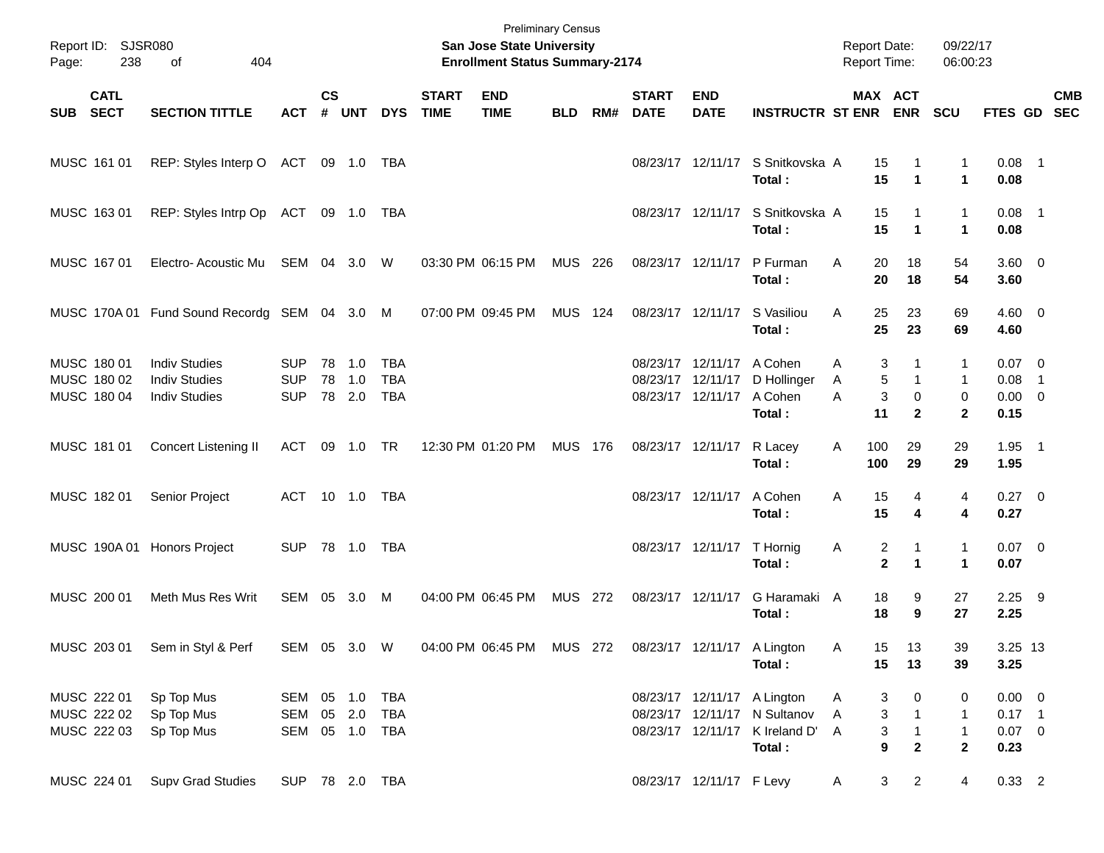| Page:      | Report ID: SJSR080<br>238                 | 404<br>of                                                            |                                         |                    |                         |                                        |                             | <b>San Jose State University</b><br><b>Enrollment Status Summary-2174</b> | <b>Preliminary Census</b> |     |                             |                                                                             |                                                                                                         | <b>Report Date:</b><br><b>Report Time:</b> |                                                                       | 09/22/17<br>06:00:23                   |                                               |     |            |
|------------|-------------------------------------------|----------------------------------------------------------------------|-----------------------------------------|--------------------|-------------------------|----------------------------------------|-----------------------------|---------------------------------------------------------------------------|---------------------------|-----|-----------------------------|-----------------------------------------------------------------------------|---------------------------------------------------------------------------------------------------------|--------------------------------------------|-----------------------------------------------------------------------|----------------------------------------|-----------------------------------------------|-----|------------|
| <b>SUB</b> | <b>CATL</b><br><b>SECT</b>                | <b>SECTION TITTLE</b>                                                | <b>ACT</b>                              | $\mathsf{cs}$<br># | <b>UNT</b>              | <b>DYS</b>                             | <b>START</b><br><b>TIME</b> | <b>END</b><br><b>TIME</b>                                                 | <b>BLD</b>                | RM# | <b>START</b><br><b>DATE</b> | <b>END</b><br><b>DATE</b>                                                   | <b>INSTRUCTR ST ENR ENR</b>                                                                             |                                            | MAX ACT                                                               | <b>SCU</b>                             | FTES GD SEC                                   |     | <b>CMB</b> |
|            | MUSC 161 01                               | REP: Styles Interp O ACT 09 1.0 TBA                                  |                                         |                    |                         |                                        |                             |                                                                           |                           |     |                             |                                                                             | 08/23/17 12/11/17 S Snitkovska A<br>Total:                                                              |                                            | 15<br>1<br>15<br>$\blacktriangleleft$                                 | 1<br>$\mathbf 1$                       | $0.08$ 1<br>0.08                              |     |            |
|            | MUSC 163 01                               | REP: Styles Intrp Op ACT 09 1.0 TBA                                  |                                         |                    |                         |                                        |                             |                                                                           |                           |     |                             |                                                                             | 08/23/17 12/11/17 S Snitkovska A<br>Total:                                                              |                                            | 15<br>1<br>15<br>$\blacktriangleleft$                                 | $\mathbf{1}$<br>$\mathbf 1$            | $0.08$ 1<br>0.08                              |     |            |
|            | MUSC 167 01                               | Electro-Acoustic Mu SEM 04 3.0                                       |                                         |                    |                         | W                                      |                             | 03:30 PM 06:15 PM                                                         | MUS 226                   |     |                             | 08/23/17 12/11/17                                                           | P Furman<br>Total:                                                                                      | A                                          | 20<br>18<br>20<br>18                                                  | 54<br>54                               | $3.60 \ 0$<br>3.60                            |     |            |
|            |                                           | MUSC 170A 01 Fund Sound Recordg SEM 04 3.0 M                         |                                         |                    |                         |                                        |                             | 07:00 PM 09:45 PM                                                         | <b>MUS 124</b>            |     |                             | 08/23/17 12/11/17                                                           | S Vasiliou<br>Total:                                                                                    | A                                          | 25<br>23<br>25<br>23                                                  | 69<br>69                               | $4.60 \ 0$<br>4.60                            |     |            |
|            | MUSC 180 01<br>MUSC 180 02<br>MUSC 180 04 | <b>Indiv Studies</b><br><b>Indiv Studies</b><br><b>Indiv Studies</b> | <b>SUP</b><br><b>SUP</b><br><b>SUP</b>  | 78                 | 78 1.0<br>1.0<br>78 2.0 | <b>TBA</b><br><b>TBA</b><br><b>TBA</b> |                             |                                                                           |                           |     |                             | 08/23/17 12/11/17 A Cohen<br>08/23/17 12/11/17<br>08/23/17 12/11/17 A Cohen | D Hollinger<br>Total:                                                                                   | A<br>Α<br>A                                | 3<br>1<br>5<br>$\mathbf{1}$<br>3<br>$\mathbf 0$<br>11<br>$\mathbf{2}$ | 1<br>1<br>0<br>$\mathbf{2}$            | $0.07 \quad 0$<br>0.08<br>$0.00 \t 0$<br>0.15 | - 1 |            |
|            | MUSC 181 01                               | Concert Listening II                                                 | ACT                                     | 09                 | 1.0 TR                  |                                        |                             | 12:30 PM 01:20 PM                                                         | <b>MUS 176</b>            |     |                             | 08/23/17 12/11/17                                                           | R Lacey<br>Total:                                                                                       | 100<br>A<br>100                            | 29<br>29                                                              | 29<br>29                               | $1.95$ 1<br>1.95                              |     |            |
|            | MUSC 182 01                               | Senior Project                                                       | ACT 10 1.0 TBA                          |                    |                         |                                        |                             |                                                                           |                           |     |                             | 08/23/17 12/11/17                                                           | A Cohen<br>Total:                                                                                       | Α                                          | 15<br>4<br>15<br>4                                                    | 4<br>4                                 | $0.27$ 0<br>0.27                              |     |            |
|            |                                           | MUSC 190A 01 Honors Project                                          | <b>SUP</b>                              |                    | 78 1.0                  | TBA                                    |                             |                                                                           |                           |     |                             | 08/23/17 12/11/17                                                           | T Hornig<br>Total:                                                                                      | Α                                          | 2<br>1<br>$\overline{2}$<br>$\blacktriangleleft$                      | 1<br>$\blacktriangleleft$              | $0.07$ 0<br>0.07                              |     |            |
|            | MUSC 200 01                               | Meth Mus Res Writ                                                    | SEM                                     |                    | 05 3.0                  | M                                      |                             | 04:00 PM 06:45 PM                                                         | MUS 272                   |     |                             | 08/23/17 12/11/17                                                           | G Haramaki A<br>Total:                                                                                  |                                            | 18<br>9<br>18<br>9                                                    | 27<br>27                               | $2.25$ 9<br>2.25                              |     |            |
|            |                                           | MUSC 203 01 Sem in Styl & Perf                                       | SEM 05 3.0 W                            |                    |                         |                                        |                             | 04:00 PM 06:45 PM MUS 272 08/23/17 12/11/17 A Lington                     |                           |     |                             |                                                                             | Total:                                                                                                  | Α                                          | 13<br>15<br>15<br>13                                                  | 39<br>39                               | 3.25 13<br>3.25                               |     |            |
|            | MUSC 222 01<br>MUSC 222 02<br>MUSC 222 03 | Sp Top Mus<br>Sp Top Mus<br>Sp Top Mus                               | SEM 05 1.0 TBA<br>SEM<br>SEM 05 1.0 TBA |                    |                         | 05 2.0 TBA                             |                             |                                                                           |                           |     |                             |                                                                             | 08/23/17 12/11/17 A Lington<br>08/23/17 12/11/17 N Sultanov<br>08/23/17 12/11/17 K Ireland D'<br>Total: | A<br>A<br>A                                | 3<br>0<br>3<br>$\mathbf{1}$<br>3<br>$\mathbf{1}$<br>9<br>$\mathbf{2}$ | 0<br>1<br>$\mathbf{1}$<br>$\mathbf{2}$ | $0.00 \t 0$<br>$0.17$ 1<br>$0.07$ 0<br>0.23   |     |            |
|            | MUSC 224 01                               | <b>Supv Grad Studies</b>                                             | SUP 78 2.0 TBA                          |                    |                         |                                        |                             |                                                                           |                           |     |                             | 08/23/17 12/11/17 F Levy                                                    |                                                                                                         | A                                          | 3 <sup>1</sup><br>$\overline{2}$                                      | $\overline{4}$                         | $0.33$ 2                                      |     |            |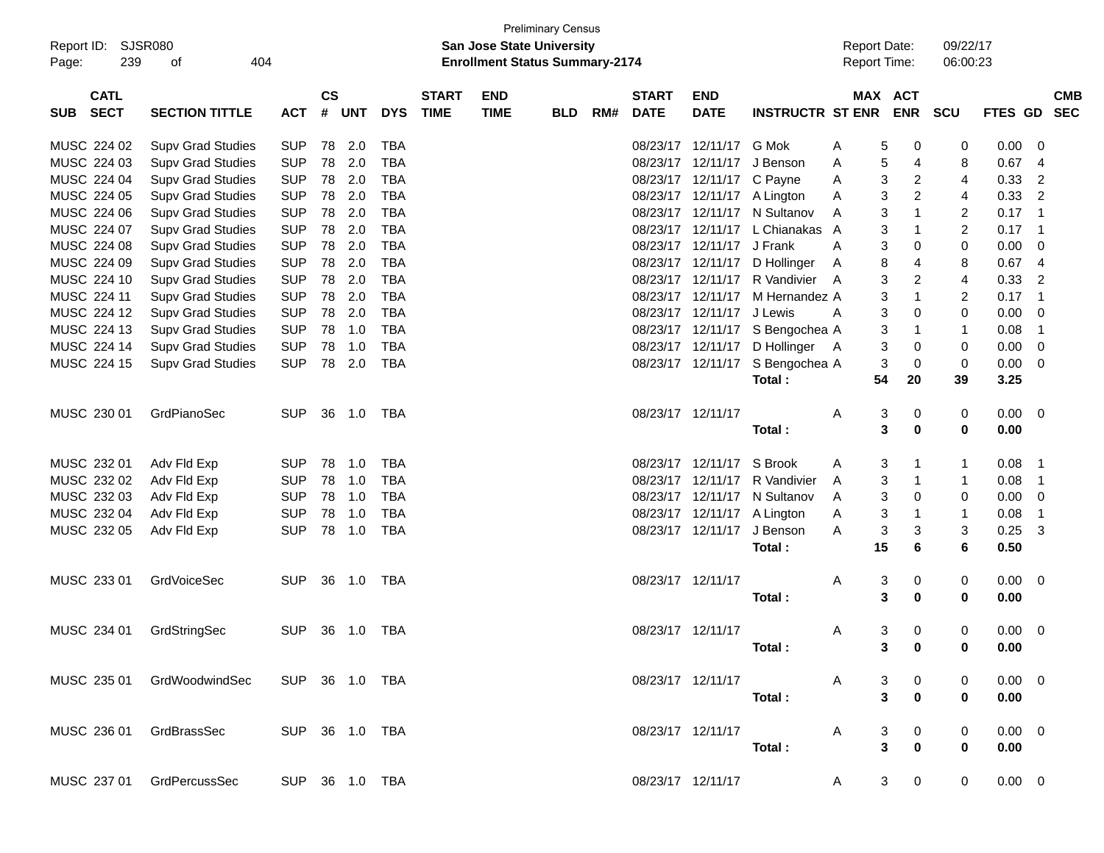| $\mathsf{cs}$<br><b>CATL</b><br><b>START</b><br><b>END</b><br><b>START</b><br><b>END</b><br>MAX ACT<br><b>CMB</b><br><b>SECT</b><br><b>TIME</b><br><b>INSTRUCTR ST ENR</b><br><b>ENR</b><br><b>SECTION TITTLE</b><br>#<br><b>UNT</b><br><b>DYS</b><br><b>TIME</b><br>RM#<br><b>DATE</b><br><b>DATE</b><br><b>SCU</b><br><b>FTES GD</b><br><b>SEC</b><br><b>SUB</b><br><b>ACT</b><br><b>BLD</b><br><b>SUP</b><br>78<br>2.0<br><b>TBA</b><br>12/11/17<br>G Mok<br>0.00<br>MUSC 224 02<br><b>Supv Grad Studies</b><br>08/23/17<br>5<br>0<br>0<br>0<br>A<br><b>SUP</b><br>2.0<br><b>TBA</b><br>MUSC 224 03<br>78<br>08/23/17<br>12/11/17<br>J Benson<br>5<br>0.67<br><b>Supv Grad Studies</b><br>4<br>8<br>A<br>4<br><b>SUP</b><br>2.0<br><b>TBA</b><br>3<br>MUSC 224 04<br>78<br>08/23/17<br>12/11/17 C Payne<br>0.33<br>$\overline{2}$<br><b>Supv Grad Studies</b><br>2<br>4<br>A<br><b>SUP</b><br>2.0<br><b>TBA</b><br>3<br>$\overline{c}$<br>MUSC 224 05<br>78<br>12/11/17 A Lington<br>0.33<br>$\overline{2}$<br><b>Supv Grad Studies</b><br>08/23/17<br>4<br>A<br><b>SUP</b><br>2.0<br><b>TBA</b><br>3<br>$\mathbf{1}$<br>$\overline{c}$<br>MUSC 224 06<br>78<br>08/23/17<br>12/11/17 N Sultanov<br>0.17<br>$\overline{\mathbf{1}}$<br><b>Supv Grad Studies</b><br>A<br><b>SUP</b><br>2.0<br><b>TBA</b><br>3<br>$\overline{c}$<br>MUSC 224 07<br>78<br>08/23/17<br>12/11/17<br>L Chianakas A<br>1<br>0.17<br>$\overline{1}$<br><b>Supv Grad Studies</b><br><b>SUP</b><br>2.0<br><b>TBA</b><br>MUSC 224 08<br>78<br>08/23/17<br>12/11/17 J Frank<br>3<br>0<br>0.00<br><b>Supv Grad Studies</b><br>0<br>0<br>A<br><b>SUP</b><br>2.0<br><b>TBA</b><br>MUSC 224 09<br>78<br>08/23/17<br>12/11/17<br>8<br>8<br>0.67<br><b>Supv Grad Studies</b><br>D Hollinger<br>4<br>$\overline{4}$<br>A<br><b>SUP</b><br>2.0<br><b>TBA</b><br>3<br>$\overline{\mathbf{c}}$<br>MUSC 224 10<br>78<br>12/11/17 R Vandivier<br>4<br>0.33<br>$\overline{2}$<br><b>Supv Grad Studies</b><br>08/23/17<br>A<br><b>SUP</b><br>78<br>2.0<br><b>TBA</b><br>3<br>$\mathbf{1}$<br>$\overline{c}$<br>MUSC 224 11<br>08/23/17<br>12/11/17<br>M Hernandez A<br>0.17<br>$\overline{1}$<br><b>Supv Grad Studies</b><br><b>SUP</b><br>2.0<br><b>TBA</b><br>3<br>MUSC 224 12<br>78<br>08/23/17<br>12/11/17 J Lewis<br>0<br>0<br>0.00<br><b>Supv Grad Studies</b><br>0<br>A<br><b>SUP</b><br><b>TBA</b><br>MUSC 224 13<br>78<br>1.0<br>08/23/17<br>12/11/17 S Bengochea A<br>3<br>0.08<br><b>Supv Grad Studies</b><br>1<br>$\mathbf{1}$<br>$\overline{1}$<br><b>SUP</b><br><b>TBA</b><br>MUSC 224 14<br>78<br>1.0<br>12/11/17<br>3<br>0.00<br><b>Supv Grad Studies</b><br>08/23/17<br>D Hollinger<br>0<br>0<br>0<br>- A<br><b>SUP</b><br>2.0<br><b>TBA</b><br>3<br>MUSC 224 15<br>78<br>08/23/17 12/11/17<br>S Bengochea A<br>0<br>0<br>0.00<br><b>Supv Grad Studies</b><br>0<br>54<br>20<br>Total:<br>39<br>3.25<br>MUSC 230 01<br>GrdPianoSec<br><b>SUP</b><br>36 1.0<br>TBA<br>08/23/17 12/11/17<br>3<br>0<br>0<br>0.00<br>0<br>A<br>3<br>0<br>0<br>0.00<br>Total:<br>MUSC 232 01<br>78<br><b>TBA</b><br>12/11/17<br>S Brook<br>Adv Fld Exp<br><b>SUP</b><br>1.0<br>08/23/17<br>3<br>0.08<br>-1<br>A<br>1<br>1<br><b>SUP</b><br><b>TBA</b><br>MUSC 232 02<br>78<br>1.0<br>12/11/17<br>R Vandivier<br>3<br>0.08<br>Adv Fld Exp<br>08/23/17<br>$\mathbf 1$<br>1<br>-1<br>A<br><b>SUP</b><br><b>TBA</b><br>MUSC 232 03<br>78<br>1.0<br>12/11/17<br>N Sultanov<br>3<br>0.00<br>Adv Fld Exp<br>08/23/17<br>0<br>0<br>0<br>A<br><b>SUP</b><br><b>TBA</b><br>MUSC 232 04<br>78<br>1.0<br>12/11/17 A Lington<br>3<br>0.08<br>Adv Fld Exp<br>08/23/17<br>1<br>$\mathbf{1}$<br>$\overline{1}$<br>A<br><b>SUP</b><br><b>TBA</b><br>3<br>3<br>3<br>MUSC 232 05<br>78<br>1.0<br>08/23/17 12/11/17<br>J Benson<br>0.25<br>3<br>Adv Fld Exp<br>A<br>15<br>6<br>6<br>0.50<br>Total:<br>MUSC 233 01<br><b>SUP</b><br>36 1.0<br><b>TBA</b><br>08/23/17 12/11/17<br>3<br>GrdVoiceSec<br>0<br>0.00<br>0<br>A<br>0<br>3<br>0<br>0<br>0.00<br>Total:<br>MUSC 234 01<br><b>TBA</b><br>08/23/17 12/11/17<br>3<br>0.00<br>GrdStringSec<br><b>SUP</b><br>36 1.0<br>0<br>0<br>0<br>A<br>Total:<br>3 0<br>0.00<br>U<br>$0.00 \t 0$<br>MUSC 235 01 GrdWoodwindSec<br>SUP 36 1.0 TBA<br>08/23/17 12/11/17<br>3<br>0<br>$\mathsf{A}$<br>0<br>$\pmb{0}$<br>3<br>$\bf{0}$<br>0.00<br>Total:<br>MUSC 236 01 GrdBrassSec | Report ID:<br>239<br>Page: | <b>SJSR080</b><br>404<br>οf |  |  | <b>San Jose State University</b><br><b>Enrollment Status Summary-2174</b> | <b>Preliminary Census</b> |  |  | <b>Report Date:</b><br>Report Time: |   | 09/22/17<br>06:00:23 |             |  |
|-----------------------------------------------------------------------------------------------------------------------------------------------------------------------------------------------------------------------------------------------------------------------------------------------------------------------------------------------------------------------------------------------------------------------------------------------------------------------------------------------------------------------------------------------------------------------------------------------------------------------------------------------------------------------------------------------------------------------------------------------------------------------------------------------------------------------------------------------------------------------------------------------------------------------------------------------------------------------------------------------------------------------------------------------------------------------------------------------------------------------------------------------------------------------------------------------------------------------------------------------------------------------------------------------------------------------------------------------------------------------------------------------------------------------------------------------------------------------------------------------------------------------------------------------------------------------------------------------------------------------------------------------------------------------------------------------------------------------------------------------------------------------------------------------------------------------------------------------------------------------------------------------------------------------------------------------------------------------------------------------------------------------------------------------------------------------------------------------------------------------------------------------------------------------------------------------------------------------------------------------------------------------------------------------------------------------------------------------------------------------------------------------------------------------------------------------------------------------------------------------------------------------------------------------------------------------------------------------------------------------------------------------------------------------------------------------------------------------------------------------------------------------------------------------------------------------------------------------------------------------------------------------------------------------------------------------------------------------------------------------------------------------------------------------------------------------------------------------------------------------------------------------------------------------------------------------------------------------------------------------------------------------------------------------------------------------------------------------------------------------------------------------------------------------------------------------------------------------------------------------------------------------------------------------------------------------------------------------------------------------------------------------------------------------------------------------------------------------------------------------------------------------------------------------------------------------------------------------------------------------------------------------------------------------------------------------------------------------------------------------------------------------------------------------------------------------------------------------------------------------------------------------------------------------------------------------------------------------------------------------------------------------------------------------------------------------------------------------------|----------------------------|-----------------------------|--|--|---------------------------------------------------------------------------|---------------------------|--|--|-------------------------------------|---|----------------------|-------------|--|
|                                                                                                                                                                                                                                                                                                                                                                                                                                                                                                                                                                                                                                                                                                                                                                                                                                                                                                                                                                                                                                                                                                                                                                                                                                                                                                                                                                                                                                                                                                                                                                                                                                                                                                                                                                                                                                                                                                                                                                                                                                                                                                                                                                                                                                                                                                                                                                                                                                                                                                                                                                                                                                                                                                                                                                                                                                                                                                                                                                                                                                                                                                                                                                                                                                                                                                                                                                                                                                                                                                                                                                                                                                                                                                                                                                                                                                                                                                                                                                                                                                                                                                                                                                                                                                                                                                                                                     |                            |                             |  |  |                                                                           |                           |  |  |                                     |   |                      |             |  |
|                                                                                                                                                                                                                                                                                                                                                                                                                                                                                                                                                                                                                                                                                                                                                                                                                                                                                                                                                                                                                                                                                                                                                                                                                                                                                                                                                                                                                                                                                                                                                                                                                                                                                                                                                                                                                                                                                                                                                                                                                                                                                                                                                                                                                                                                                                                                                                                                                                                                                                                                                                                                                                                                                                                                                                                                                                                                                                                                                                                                                                                                                                                                                                                                                                                                                                                                                                                                                                                                                                                                                                                                                                                                                                                                                                                                                                                                                                                                                                                                                                                                                                                                                                                                                                                                                                                                                     |                            |                             |  |  |                                                                           |                           |  |  |                                     |   |                      |             |  |
|                                                                                                                                                                                                                                                                                                                                                                                                                                                                                                                                                                                                                                                                                                                                                                                                                                                                                                                                                                                                                                                                                                                                                                                                                                                                                                                                                                                                                                                                                                                                                                                                                                                                                                                                                                                                                                                                                                                                                                                                                                                                                                                                                                                                                                                                                                                                                                                                                                                                                                                                                                                                                                                                                                                                                                                                                                                                                                                                                                                                                                                                                                                                                                                                                                                                                                                                                                                                                                                                                                                                                                                                                                                                                                                                                                                                                                                                                                                                                                                                                                                                                                                                                                                                                                                                                                                                                     |                            |                             |  |  |                                                                           |                           |  |  |                                     |   |                      |             |  |
|                                                                                                                                                                                                                                                                                                                                                                                                                                                                                                                                                                                                                                                                                                                                                                                                                                                                                                                                                                                                                                                                                                                                                                                                                                                                                                                                                                                                                                                                                                                                                                                                                                                                                                                                                                                                                                                                                                                                                                                                                                                                                                                                                                                                                                                                                                                                                                                                                                                                                                                                                                                                                                                                                                                                                                                                                                                                                                                                                                                                                                                                                                                                                                                                                                                                                                                                                                                                                                                                                                                                                                                                                                                                                                                                                                                                                                                                                                                                                                                                                                                                                                                                                                                                                                                                                                                                                     |                            |                             |  |  |                                                                           |                           |  |  |                                     |   |                      |             |  |
|                                                                                                                                                                                                                                                                                                                                                                                                                                                                                                                                                                                                                                                                                                                                                                                                                                                                                                                                                                                                                                                                                                                                                                                                                                                                                                                                                                                                                                                                                                                                                                                                                                                                                                                                                                                                                                                                                                                                                                                                                                                                                                                                                                                                                                                                                                                                                                                                                                                                                                                                                                                                                                                                                                                                                                                                                                                                                                                                                                                                                                                                                                                                                                                                                                                                                                                                                                                                                                                                                                                                                                                                                                                                                                                                                                                                                                                                                                                                                                                                                                                                                                                                                                                                                                                                                                                                                     |                            |                             |  |  |                                                                           |                           |  |  |                                     |   |                      |             |  |
|                                                                                                                                                                                                                                                                                                                                                                                                                                                                                                                                                                                                                                                                                                                                                                                                                                                                                                                                                                                                                                                                                                                                                                                                                                                                                                                                                                                                                                                                                                                                                                                                                                                                                                                                                                                                                                                                                                                                                                                                                                                                                                                                                                                                                                                                                                                                                                                                                                                                                                                                                                                                                                                                                                                                                                                                                                                                                                                                                                                                                                                                                                                                                                                                                                                                                                                                                                                                                                                                                                                                                                                                                                                                                                                                                                                                                                                                                                                                                                                                                                                                                                                                                                                                                                                                                                                                                     |                            |                             |  |  |                                                                           |                           |  |  |                                     |   |                      |             |  |
|                                                                                                                                                                                                                                                                                                                                                                                                                                                                                                                                                                                                                                                                                                                                                                                                                                                                                                                                                                                                                                                                                                                                                                                                                                                                                                                                                                                                                                                                                                                                                                                                                                                                                                                                                                                                                                                                                                                                                                                                                                                                                                                                                                                                                                                                                                                                                                                                                                                                                                                                                                                                                                                                                                                                                                                                                                                                                                                                                                                                                                                                                                                                                                                                                                                                                                                                                                                                                                                                                                                                                                                                                                                                                                                                                                                                                                                                                                                                                                                                                                                                                                                                                                                                                                                                                                                                                     |                            |                             |  |  |                                                                           |                           |  |  |                                     |   |                      |             |  |
|                                                                                                                                                                                                                                                                                                                                                                                                                                                                                                                                                                                                                                                                                                                                                                                                                                                                                                                                                                                                                                                                                                                                                                                                                                                                                                                                                                                                                                                                                                                                                                                                                                                                                                                                                                                                                                                                                                                                                                                                                                                                                                                                                                                                                                                                                                                                                                                                                                                                                                                                                                                                                                                                                                                                                                                                                                                                                                                                                                                                                                                                                                                                                                                                                                                                                                                                                                                                                                                                                                                                                                                                                                                                                                                                                                                                                                                                                                                                                                                                                                                                                                                                                                                                                                                                                                                                                     |                            |                             |  |  |                                                                           |                           |  |  |                                     |   |                      |             |  |
|                                                                                                                                                                                                                                                                                                                                                                                                                                                                                                                                                                                                                                                                                                                                                                                                                                                                                                                                                                                                                                                                                                                                                                                                                                                                                                                                                                                                                                                                                                                                                                                                                                                                                                                                                                                                                                                                                                                                                                                                                                                                                                                                                                                                                                                                                                                                                                                                                                                                                                                                                                                                                                                                                                                                                                                                                                                                                                                                                                                                                                                                                                                                                                                                                                                                                                                                                                                                                                                                                                                                                                                                                                                                                                                                                                                                                                                                                                                                                                                                                                                                                                                                                                                                                                                                                                                                                     |                            |                             |  |  |                                                                           |                           |  |  |                                     |   |                      |             |  |
|                                                                                                                                                                                                                                                                                                                                                                                                                                                                                                                                                                                                                                                                                                                                                                                                                                                                                                                                                                                                                                                                                                                                                                                                                                                                                                                                                                                                                                                                                                                                                                                                                                                                                                                                                                                                                                                                                                                                                                                                                                                                                                                                                                                                                                                                                                                                                                                                                                                                                                                                                                                                                                                                                                                                                                                                                                                                                                                                                                                                                                                                                                                                                                                                                                                                                                                                                                                                                                                                                                                                                                                                                                                                                                                                                                                                                                                                                                                                                                                                                                                                                                                                                                                                                                                                                                                                                     |                            |                             |  |  |                                                                           |                           |  |  |                                     |   |                      |             |  |
|                                                                                                                                                                                                                                                                                                                                                                                                                                                                                                                                                                                                                                                                                                                                                                                                                                                                                                                                                                                                                                                                                                                                                                                                                                                                                                                                                                                                                                                                                                                                                                                                                                                                                                                                                                                                                                                                                                                                                                                                                                                                                                                                                                                                                                                                                                                                                                                                                                                                                                                                                                                                                                                                                                                                                                                                                                                                                                                                                                                                                                                                                                                                                                                                                                                                                                                                                                                                                                                                                                                                                                                                                                                                                                                                                                                                                                                                                                                                                                                                                                                                                                                                                                                                                                                                                                                                                     |                            |                             |  |  |                                                                           |                           |  |  |                                     |   |                      |             |  |
|                                                                                                                                                                                                                                                                                                                                                                                                                                                                                                                                                                                                                                                                                                                                                                                                                                                                                                                                                                                                                                                                                                                                                                                                                                                                                                                                                                                                                                                                                                                                                                                                                                                                                                                                                                                                                                                                                                                                                                                                                                                                                                                                                                                                                                                                                                                                                                                                                                                                                                                                                                                                                                                                                                                                                                                                                                                                                                                                                                                                                                                                                                                                                                                                                                                                                                                                                                                                                                                                                                                                                                                                                                                                                                                                                                                                                                                                                                                                                                                                                                                                                                                                                                                                                                                                                                                                                     |                            |                             |  |  |                                                                           |                           |  |  |                                     |   |                      |             |  |
|                                                                                                                                                                                                                                                                                                                                                                                                                                                                                                                                                                                                                                                                                                                                                                                                                                                                                                                                                                                                                                                                                                                                                                                                                                                                                                                                                                                                                                                                                                                                                                                                                                                                                                                                                                                                                                                                                                                                                                                                                                                                                                                                                                                                                                                                                                                                                                                                                                                                                                                                                                                                                                                                                                                                                                                                                                                                                                                                                                                                                                                                                                                                                                                                                                                                                                                                                                                                                                                                                                                                                                                                                                                                                                                                                                                                                                                                                                                                                                                                                                                                                                                                                                                                                                                                                                                                                     |                            |                             |  |  |                                                                           |                           |  |  |                                     |   |                      |             |  |
|                                                                                                                                                                                                                                                                                                                                                                                                                                                                                                                                                                                                                                                                                                                                                                                                                                                                                                                                                                                                                                                                                                                                                                                                                                                                                                                                                                                                                                                                                                                                                                                                                                                                                                                                                                                                                                                                                                                                                                                                                                                                                                                                                                                                                                                                                                                                                                                                                                                                                                                                                                                                                                                                                                                                                                                                                                                                                                                                                                                                                                                                                                                                                                                                                                                                                                                                                                                                                                                                                                                                                                                                                                                                                                                                                                                                                                                                                                                                                                                                                                                                                                                                                                                                                                                                                                                                                     |                            |                             |  |  |                                                                           |                           |  |  |                                     |   |                      |             |  |
|                                                                                                                                                                                                                                                                                                                                                                                                                                                                                                                                                                                                                                                                                                                                                                                                                                                                                                                                                                                                                                                                                                                                                                                                                                                                                                                                                                                                                                                                                                                                                                                                                                                                                                                                                                                                                                                                                                                                                                                                                                                                                                                                                                                                                                                                                                                                                                                                                                                                                                                                                                                                                                                                                                                                                                                                                                                                                                                                                                                                                                                                                                                                                                                                                                                                                                                                                                                                                                                                                                                                                                                                                                                                                                                                                                                                                                                                                                                                                                                                                                                                                                                                                                                                                                                                                                                                                     |                            |                             |  |  |                                                                           |                           |  |  |                                     |   |                      |             |  |
|                                                                                                                                                                                                                                                                                                                                                                                                                                                                                                                                                                                                                                                                                                                                                                                                                                                                                                                                                                                                                                                                                                                                                                                                                                                                                                                                                                                                                                                                                                                                                                                                                                                                                                                                                                                                                                                                                                                                                                                                                                                                                                                                                                                                                                                                                                                                                                                                                                                                                                                                                                                                                                                                                                                                                                                                                                                                                                                                                                                                                                                                                                                                                                                                                                                                                                                                                                                                                                                                                                                                                                                                                                                                                                                                                                                                                                                                                                                                                                                                                                                                                                                                                                                                                                                                                                                                                     |                            |                             |  |  |                                                                           |                           |  |  |                                     |   |                      |             |  |
|                                                                                                                                                                                                                                                                                                                                                                                                                                                                                                                                                                                                                                                                                                                                                                                                                                                                                                                                                                                                                                                                                                                                                                                                                                                                                                                                                                                                                                                                                                                                                                                                                                                                                                                                                                                                                                                                                                                                                                                                                                                                                                                                                                                                                                                                                                                                                                                                                                                                                                                                                                                                                                                                                                                                                                                                                                                                                                                                                                                                                                                                                                                                                                                                                                                                                                                                                                                                                                                                                                                                                                                                                                                                                                                                                                                                                                                                                                                                                                                                                                                                                                                                                                                                                                                                                                                                                     |                            |                             |  |  |                                                                           |                           |  |  |                                     |   |                      |             |  |
|                                                                                                                                                                                                                                                                                                                                                                                                                                                                                                                                                                                                                                                                                                                                                                                                                                                                                                                                                                                                                                                                                                                                                                                                                                                                                                                                                                                                                                                                                                                                                                                                                                                                                                                                                                                                                                                                                                                                                                                                                                                                                                                                                                                                                                                                                                                                                                                                                                                                                                                                                                                                                                                                                                                                                                                                                                                                                                                                                                                                                                                                                                                                                                                                                                                                                                                                                                                                                                                                                                                                                                                                                                                                                                                                                                                                                                                                                                                                                                                                                                                                                                                                                                                                                                                                                                                                                     |                            |                             |  |  |                                                                           |                           |  |  |                                     |   |                      |             |  |
|                                                                                                                                                                                                                                                                                                                                                                                                                                                                                                                                                                                                                                                                                                                                                                                                                                                                                                                                                                                                                                                                                                                                                                                                                                                                                                                                                                                                                                                                                                                                                                                                                                                                                                                                                                                                                                                                                                                                                                                                                                                                                                                                                                                                                                                                                                                                                                                                                                                                                                                                                                                                                                                                                                                                                                                                                                                                                                                                                                                                                                                                                                                                                                                                                                                                                                                                                                                                                                                                                                                                                                                                                                                                                                                                                                                                                                                                                                                                                                                                                                                                                                                                                                                                                                                                                                                                                     |                            |                             |  |  |                                                                           |                           |  |  |                                     |   |                      |             |  |
|                                                                                                                                                                                                                                                                                                                                                                                                                                                                                                                                                                                                                                                                                                                                                                                                                                                                                                                                                                                                                                                                                                                                                                                                                                                                                                                                                                                                                                                                                                                                                                                                                                                                                                                                                                                                                                                                                                                                                                                                                                                                                                                                                                                                                                                                                                                                                                                                                                                                                                                                                                                                                                                                                                                                                                                                                                                                                                                                                                                                                                                                                                                                                                                                                                                                                                                                                                                                                                                                                                                                                                                                                                                                                                                                                                                                                                                                                                                                                                                                                                                                                                                                                                                                                                                                                                                                                     |                            |                             |  |  |                                                                           |                           |  |  |                                     |   |                      |             |  |
|                                                                                                                                                                                                                                                                                                                                                                                                                                                                                                                                                                                                                                                                                                                                                                                                                                                                                                                                                                                                                                                                                                                                                                                                                                                                                                                                                                                                                                                                                                                                                                                                                                                                                                                                                                                                                                                                                                                                                                                                                                                                                                                                                                                                                                                                                                                                                                                                                                                                                                                                                                                                                                                                                                                                                                                                                                                                                                                                                                                                                                                                                                                                                                                                                                                                                                                                                                                                                                                                                                                                                                                                                                                                                                                                                                                                                                                                                                                                                                                                                                                                                                                                                                                                                                                                                                                                                     |                            |                             |  |  |                                                                           |                           |  |  |                                     |   |                      |             |  |
|                                                                                                                                                                                                                                                                                                                                                                                                                                                                                                                                                                                                                                                                                                                                                                                                                                                                                                                                                                                                                                                                                                                                                                                                                                                                                                                                                                                                                                                                                                                                                                                                                                                                                                                                                                                                                                                                                                                                                                                                                                                                                                                                                                                                                                                                                                                                                                                                                                                                                                                                                                                                                                                                                                                                                                                                                                                                                                                                                                                                                                                                                                                                                                                                                                                                                                                                                                                                                                                                                                                                                                                                                                                                                                                                                                                                                                                                                                                                                                                                                                                                                                                                                                                                                                                                                                                                                     |                            |                             |  |  |                                                                           |                           |  |  |                                     |   |                      |             |  |
|                                                                                                                                                                                                                                                                                                                                                                                                                                                                                                                                                                                                                                                                                                                                                                                                                                                                                                                                                                                                                                                                                                                                                                                                                                                                                                                                                                                                                                                                                                                                                                                                                                                                                                                                                                                                                                                                                                                                                                                                                                                                                                                                                                                                                                                                                                                                                                                                                                                                                                                                                                                                                                                                                                                                                                                                                                                                                                                                                                                                                                                                                                                                                                                                                                                                                                                                                                                                                                                                                                                                                                                                                                                                                                                                                                                                                                                                                                                                                                                                                                                                                                                                                                                                                                                                                                                                                     |                            |                             |  |  |                                                                           |                           |  |  |                                     |   |                      |             |  |
|                                                                                                                                                                                                                                                                                                                                                                                                                                                                                                                                                                                                                                                                                                                                                                                                                                                                                                                                                                                                                                                                                                                                                                                                                                                                                                                                                                                                                                                                                                                                                                                                                                                                                                                                                                                                                                                                                                                                                                                                                                                                                                                                                                                                                                                                                                                                                                                                                                                                                                                                                                                                                                                                                                                                                                                                                                                                                                                                                                                                                                                                                                                                                                                                                                                                                                                                                                                                                                                                                                                                                                                                                                                                                                                                                                                                                                                                                                                                                                                                                                                                                                                                                                                                                                                                                                                                                     |                            |                             |  |  |                                                                           |                           |  |  |                                     |   |                      |             |  |
|                                                                                                                                                                                                                                                                                                                                                                                                                                                                                                                                                                                                                                                                                                                                                                                                                                                                                                                                                                                                                                                                                                                                                                                                                                                                                                                                                                                                                                                                                                                                                                                                                                                                                                                                                                                                                                                                                                                                                                                                                                                                                                                                                                                                                                                                                                                                                                                                                                                                                                                                                                                                                                                                                                                                                                                                                                                                                                                                                                                                                                                                                                                                                                                                                                                                                                                                                                                                                                                                                                                                                                                                                                                                                                                                                                                                                                                                                                                                                                                                                                                                                                                                                                                                                                                                                                                                                     |                            |                             |  |  |                                                                           |                           |  |  |                                     |   |                      |             |  |
|                                                                                                                                                                                                                                                                                                                                                                                                                                                                                                                                                                                                                                                                                                                                                                                                                                                                                                                                                                                                                                                                                                                                                                                                                                                                                                                                                                                                                                                                                                                                                                                                                                                                                                                                                                                                                                                                                                                                                                                                                                                                                                                                                                                                                                                                                                                                                                                                                                                                                                                                                                                                                                                                                                                                                                                                                                                                                                                                                                                                                                                                                                                                                                                                                                                                                                                                                                                                                                                                                                                                                                                                                                                                                                                                                                                                                                                                                                                                                                                                                                                                                                                                                                                                                                                                                                                                                     |                            |                             |  |  |                                                                           |                           |  |  |                                     |   |                      |             |  |
|                                                                                                                                                                                                                                                                                                                                                                                                                                                                                                                                                                                                                                                                                                                                                                                                                                                                                                                                                                                                                                                                                                                                                                                                                                                                                                                                                                                                                                                                                                                                                                                                                                                                                                                                                                                                                                                                                                                                                                                                                                                                                                                                                                                                                                                                                                                                                                                                                                                                                                                                                                                                                                                                                                                                                                                                                                                                                                                                                                                                                                                                                                                                                                                                                                                                                                                                                                                                                                                                                                                                                                                                                                                                                                                                                                                                                                                                                                                                                                                                                                                                                                                                                                                                                                                                                                                                                     |                            |                             |  |  |                                                                           |                           |  |  |                                     |   |                      |             |  |
|                                                                                                                                                                                                                                                                                                                                                                                                                                                                                                                                                                                                                                                                                                                                                                                                                                                                                                                                                                                                                                                                                                                                                                                                                                                                                                                                                                                                                                                                                                                                                                                                                                                                                                                                                                                                                                                                                                                                                                                                                                                                                                                                                                                                                                                                                                                                                                                                                                                                                                                                                                                                                                                                                                                                                                                                                                                                                                                                                                                                                                                                                                                                                                                                                                                                                                                                                                                                                                                                                                                                                                                                                                                                                                                                                                                                                                                                                                                                                                                                                                                                                                                                                                                                                                                                                                                                                     |                            |                             |  |  |                                                                           |                           |  |  |                                     |   |                      |             |  |
|                                                                                                                                                                                                                                                                                                                                                                                                                                                                                                                                                                                                                                                                                                                                                                                                                                                                                                                                                                                                                                                                                                                                                                                                                                                                                                                                                                                                                                                                                                                                                                                                                                                                                                                                                                                                                                                                                                                                                                                                                                                                                                                                                                                                                                                                                                                                                                                                                                                                                                                                                                                                                                                                                                                                                                                                                                                                                                                                                                                                                                                                                                                                                                                                                                                                                                                                                                                                                                                                                                                                                                                                                                                                                                                                                                                                                                                                                                                                                                                                                                                                                                                                                                                                                                                                                                                                                     |                            |                             |  |  |                                                                           |                           |  |  |                                     |   |                      |             |  |
|                                                                                                                                                                                                                                                                                                                                                                                                                                                                                                                                                                                                                                                                                                                                                                                                                                                                                                                                                                                                                                                                                                                                                                                                                                                                                                                                                                                                                                                                                                                                                                                                                                                                                                                                                                                                                                                                                                                                                                                                                                                                                                                                                                                                                                                                                                                                                                                                                                                                                                                                                                                                                                                                                                                                                                                                                                                                                                                                                                                                                                                                                                                                                                                                                                                                                                                                                                                                                                                                                                                                                                                                                                                                                                                                                                                                                                                                                                                                                                                                                                                                                                                                                                                                                                                                                                                                                     |                            |                             |  |  |                                                                           |                           |  |  |                                     |   |                      |             |  |
|                                                                                                                                                                                                                                                                                                                                                                                                                                                                                                                                                                                                                                                                                                                                                                                                                                                                                                                                                                                                                                                                                                                                                                                                                                                                                                                                                                                                                                                                                                                                                                                                                                                                                                                                                                                                                                                                                                                                                                                                                                                                                                                                                                                                                                                                                                                                                                                                                                                                                                                                                                                                                                                                                                                                                                                                                                                                                                                                                                                                                                                                                                                                                                                                                                                                                                                                                                                                                                                                                                                                                                                                                                                                                                                                                                                                                                                                                                                                                                                                                                                                                                                                                                                                                                                                                                                                                     |                            |                             |  |  |                                                                           |                           |  |  |                                     |   |                      |             |  |
|                                                                                                                                                                                                                                                                                                                                                                                                                                                                                                                                                                                                                                                                                                                                                                                                                                                                                                                                                                                                                                                                                                                                                                                                                                                                                                                                                                                                                                                                                                                                                                                                                                                                                                                                                                                                                                                                                                                                                                                                                                                                                                                                                                                                                                                                                                                                                                                                                                                                                                                                                                                                                                                                                                                                                                                                                                                                                                                                                                                                                                                                                                                                                                                                                                                                                                                                                                                                                                                                                                                                                                                                                                                                                                                                                                                                                                                                                                                                                                                                                                                                                                                                                                                                                                                                                                                                                     |                            |                             |  |  |                                                                           |                           |  |  |                                     |   |                      |             |  |
|                                                                                                                                                                                                                                                                                                                                                                                                                                                                                                                                                                                                                                                                                                                                                                                                                                                                                                                                                                                                                                                                                                                                                                                                                                                                                                                                                                                                                                                                                                                                                                                                                                                                                                                                                                                                                                                                                                                                                                                                                                                                                                                                                                                                                                                                                                                                                                                                                                                                                                                                                                                                                                                                                                                                                                                                                                                                                                                                                                                                                                                                                                                                                                                                                                                                                                                                                                                                                                                                                                                                                                                                                                                                                                                                                                                                                                                                                                                                                                                                                                                                                                                                                                                                                                                                                                                                                     |                            |                             |  |  |                                                                           |                           |  |  |                                     |   |                      |             |  |
|                                                                                                                                                                                                                                                                                                                                                                                                                                                                                                                                                                                                                                                                                                                                                                                                                                                                                                                                                                                                                                                                                                                                                                                                                                                                                                                                                                                                                                                                                                                                                                                                                                                                                                                                                                                                                                                                                                                                                                                                                                                                                                                                                                                                                                                                                                                                                                                                                                                                                                                                                                                                                                                                                                                                                                                                                                                                                                                                                                                                                                                                                                                                                                                                                                                                                                                                                                                                                                                                                                                                                                                                                                                                                                                                                                                                                                                                                                                                                                                                                                                                                                                                                                                                                                                                                                                                                     |                            |                             |  |  |                                                                           |                           |  |  |                                     |   |                      |             |  |
|                                                                                                                                                                                                                                                                                                                                                                                                                                                                                                                                                                                                                                                                                                                                                                                                                                                                                                                                                                                                                                                                                                                                                                                                                                                                                                                                                                                                                                                                                                                                                                                                                                                                                                                                                                                                                                                                                                                                                                                                                                                                                                                                                                                                                                                                                                                                                                                                                                                                                                                                                                                                                                                                                                                                                                                                                                                                                                                                                                                                                                                                                                                                                                                                                                                                                                                                                                                                                                                                                                                                                                                                                                                                                                                                                                                                                                                                                                                                                                                                                                                                                                                                                                                                                                                                                                                                                     |                            |                             |  |  |                                                                           |                           |  |  |                                     |   |                      |             |  |
|                                                                                                                                                                                                                                                                                                                                                                                                                                                                                                                                                                                                                                                                                                                                                                                                                                                                                                                                                                                                                                                                                                                                                                                                                                                                                                                                                                                                                                                                                                                                                                                                                                                                                                                                                                                                                                                                                                                                                                                                                                                                                                                                                                                                                                                                                                                                                                                                                                                                                                                                                                                                                                                                                                                                                                                                                                                                                                                                                                                                                                                                                                                                                                                                                                                                                                                                                                                                                                                                                                                                                                                                                                                                                                                                                                                                                                                                                                                                                                                                                                                                                                                                                                                                                                                                                                                                                     |                            |                             |  |  |                                                                           |                           |  |  | A                                   | 3 | 0                    | $0.00 \t 0$ |  |
| SUP 36 1.0 TBA<br>08/23/17 12/11/17<br>0<br>3<br>$\pmb{0}$<br>0<br>0.00<br>Total:                                                                                                                                                                                                                                                                                                                                                                                                                                                                                                                                                                                                                                                                                                                                                                                                                                                                                                                                                                                                                                                                                                                                                                                                                                                                                                                                                                                                                                                                                                                                                                                                                                                                                                                                                                                                                                                                                                                                                                                                                                                                                                                                                                                                                                                                                                                                                                                                                                                                                                                                                                                                                                                                                                                                                                                                                                                                                                                                                                                                                                                                                                                                                                                                                                                                                                                                                                                                                                                                                                                                                                                                                                                                                                                                                                                                                                                                                                                                                                                                                                                                                                                                                                                                                                                                   |                            |                             |  |  |                                                                           |                           |  |  |                                     |   |                      |             |  |
|                                                                                                                                                                                                                                                                                                                                                                                                                                                                                                                                                                                                                                                                                                                                                                                                                                                                                                                                                                                                                                                                                                                                                                                                                                                                                                                                                                                                                                                                                                                                                                                                                                                                                                                                                                                                                                                                                                                                                                                                                                                                                                                                                                                                                                                                                                                                                                                                                                                                                                                                                                                                                                                                                                                                                                                                                                                                                                                                                                                                                                                                                                                                                                                                                                                                                                                                                                                                                                                                                                                                                                                                                                                                                                                                                                                                                                                                                                                                                                                                                                                                                                                                                                                                                                                                                                                                                     |                            |                             |  |  |                                                                           |                           |  |  |                                     |   |                      |             |  |
| MUSC 237 01 GrdPercussSec<br>08/23/17 12/11/17<br>3 <sup>1</sup><br>$0.00 \t 0$<br>SUP 36 1.0 TBA<br>0<br>0<br>A                                                                                                                                                                                                                                                                                                                                                                                                                                                                                                                                                                                                                                                                                                                                                                                                                                                                                                                                                                                                                                                                                                                                                                                                                                                                                                                                                                                                                                                                                                                                                                                                                                                                                                                                                                                                                                                                                                                                                                                                                                                                                                                                                                                                                                                                                                                                                                                                                                                                                                                                                                                                                                                                                                                                                                                                                                                                                                                                                                                                                                                                                                                                                                                                                                                                                                                                                                                                                                                                                                                                                                                                                                                                                                                                                                                                                                                                                                                                                                                                                                                                                                                                                                                                                                    |                            |                             |  |  |                                                                           |                           |  |  |                                     |   |                      |             |  |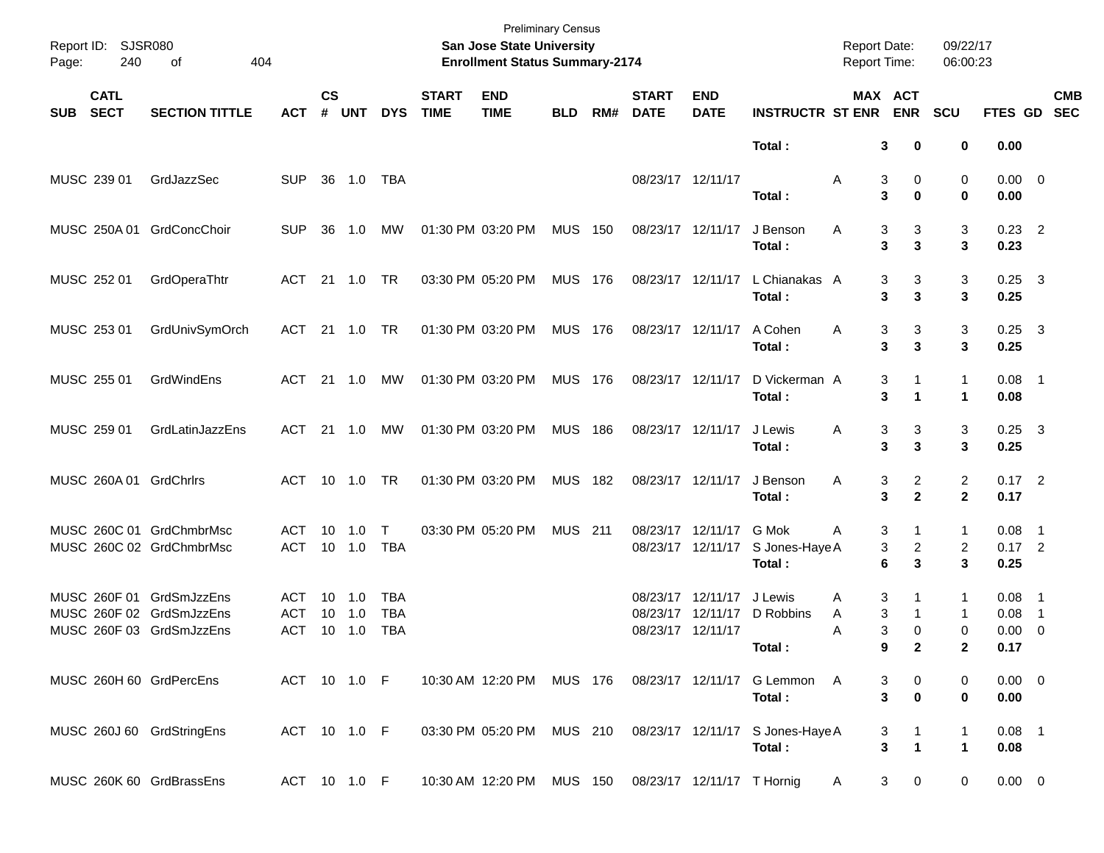| Page:      | Report ID: SJSR080<br>240  | of<br>404                                                                        |                          |                    |                              |                                 |                             | <b>Preliminary Census</b><br>San Jose State University<br><b>Enrollment Status Summary-2174</b> |                |     |                             |                                                    |                                   | <b>Report Date:</b><br>Report Time: |                                        | 09/22/17<br>06:00:23 |                                     |           |            |
|------------|----------------------------|----------------------------------------------------------------------------------|--------------------------|--------------------|------------------------------|---------------------------------|-----------------------------|-------------------------------------------------------------------------------------------------|----------------|-----|-----------------------------|----------------------------------------------------|-----------------------------------|-------------------------------------|----------------------------------------|----------------------|-------------------------------------|-----------|------------|
| <b>SUB</b> | <b>CATL</b><br><b>SECT</b> | <b>SECTION TITTLE</b>                                                            | <b>ACT</b>               | $\mathsf{cs}$<br># | <b>UNT</b>                   | <b>DYS</b>                      | <b>START</b><br><b>TIME</b> | <b>END</b><br><b>TIME</b>                                                                       | <b>BLD</b>     | RM# | <b>START</b><br><b>DATE</b> | <b>END</b><br><b>DATE</b>                          | <b>INSTRUCTR ST ENR</b>           | MAX ACT                             | <b>ENR</b>                             | <b>SCU</b>           | FTES GD SEC                         |           | <b>CMB</b> |
|            |                            |                                                                                  |                          |                    |                              |                                 |                             |                                                                                                 |                |     |                             |                                                    | Total:                            | 3                                   | 0                                      | 0                    | 0.00                                |           |            |
|            | MUSC 239 01                | GrdJazzSec                                                                       | <b>SUP</b>               | 36                 | 1.0                          | TBA                             |                             |                                                                                                 |                |     | 08/23/17 12/11/17           |                                                    | Total:                            | 3<br>Α<br>3                         | 0<br>0                                 | 0<br>0               | $0.00 \t 0$<br>0.00                 |           |            |
|            |                            | MUSC 250A 01 GrdConcChoir                                                        | <b>SUP</b>               | 36                 | 1.0                          | MW                              |                             | 01:30 PM 03:20 PM                                                                               | <b>MUS 150</b> |     |                             | 08/23/17 12/11/17                                  | J Benson<br>Total:                | 3<br>Α<br>3                         | 3<br>$\mathbf{3}$                      | 3<br>3               | $0.23$ 2<br>0.23                    |           |            |
|            | MUSC 252 01                | GrdOperaThtr                                                                     | ACT                      | 21                 | 1.0                          | TR                              |                             | 03:30 PM 05:20 PM                                                                               | <b>MUS 176</b> |     |                             | 08/23/17 12/11/17                                  | L Chianakas A<br>Total:           | 3<br>3                              | 3<br>$\mathbf{3}$                      | 3<br>3               | $0.25$ 3<br>0.25                    |           |            |
|            | MUSC 253 01                | GrdUnivSymOrch                                                                   | ACT                      | - 21               | 1.0                          | TR                              |                             | 01:30 PM 03:20 PM                                                                               | <b>MUS 176</b> |     |                             | 08/23/17 12/11/17                                  | A Cohen<br>Total:                 | 3<br>Α<br>3                         | 3<br>$\mathbf{3}$                      | 3<br>3               | $0.25$ 3<br>0.25                    |           |            |
|            | MUSC 255 01                | GrdWindEns                                                                       | ACT                      | - 21               | 1.0                          | MW                              |                             | 01:30 PM 03:20 PM                                                                               | <b>MUS 176</b> |     |                             | 08/23/17 12/11/17                                  | D Vickerman A<br>Total:           | 3<br>3                              | 1<br>1                                 | 1<br>1               | $0.08$ 1<br>0.08                    |           |            |
|            | MUSC 259 01                | GrdLatinJazzEns                                                                  | ACT                      | -21                | 1.0                          | MW                              |                             | 01:30 PM 03:20 PM                                                                               | MUS            | 186 |                             | 08/23/17 12/11/17                                  | J Lewis<br>Total:                 | 3<br>Α<br>3                         | 3<br>$\mathbf{3}$                      | 3<br>3               | $0.25$ 3<br>0.25                    |           |            |
|            |                            | MUSC 260A 01 GrdChrlrs                                                           | ACT                      |                    | 10 1.0                       | TR.                             |                             | 01:30 PM 03:20 PM                                                                               | MUS            | 182 |                             | 08/23/17 12/11/17                                  | J Benson<br>Total:                | Α<br>3<br>3                         | $\overline{a}$<br>$\overline{2}$       | 2<br>$\mathbf{2}$    | $0.17$ 2<br>0.17                    |           |            |
|            |                            | MUSC 260C 01 GrdChmbrMsc<br>MUSC 260C 02 GrdChmbrMsc                             | ACT<br>ACT               | 10                 | 1.0<br>10 1.0                | T<br><b>TBA</b>                 |                             | 03:30 PM 05:20 PM                                                                               | <b>MUS 211</b> |     |                             | 08/23/17 12/11/17<br>08/23/17 12/11/17             | G Mok<br>S Jones-Haye A<br>Total: | 3<br>Α<br>3<br>6                    | 1<br>$\overline{c}$<br>3               | 1<br>2<br>3          | $0.08$ 1<br>$0.17$ 2<br>0.25        |           |            |
|            |                            | MUSC 260F 01 GrdSmJzzEns<br>MUSC 260F 02 GrdSmJzzEns<br>MUSC 260F 03 GrdSmJzzEns | ACT<br><b>ACT</b><br>ACT | 10<br>10           | 1.0<br>1.0<br>$10 \quad 1.0$ | TBA<br><b>TBA</b><br><b>TBA</b> |                             |                                                                                                 |                |     | 08/23/17                    | 08/23/17 12/11/17<br>12/11/17<br>08/23/17 12/11/17 | J Lewis<br>D Robbins<br>Total:    | 3<br>Α<br>3<br>Α<br>3<br>Α<br>9     | 1<br>$\mathbf{1}$<br>0<br>$\mathbf{2}$ | 1<br>1<br>0<br>2     | 0.08<br>0.08<br>$0.00 \t 0$<br>0.17 | - 1<br>-1 |            |
|            |                            | MUSC 260H 60 GrdPercEns                                                          | ACT 10 1.0 F             |                    |                              |                                 |                             | 10:30 AM 12:20 PM MUS 176                                                                       |                |     |                             | 08/23/17 12/11/17                                  | G Lemmon A<br>Total:              | 3<br>3                              | 0<br>$\bf{0}$                          | 0<br>0               | $0.00 \t 0$<br>0.00                 |           |            |
|            |                            | MUSC 260J 60 GrdStringEns                                                        | ACT 10 1.0 F             |                    |                              |                                 |                             | 03:30 PM 05:20 PM MUS 210                                                                       |                |     |                             | 08/23/17 12/11/17                                  | S Jones-Haye A<br>Total:          | 3<br>3                              | 1<br>$\mathbf{1}$                      | 1<br>1               | $0.08$ 1<br>0.08                    |           |            |
|            |                            | MUSC 260K 60 GrdBrassEns                                                         | ACT 10 1.0 F             |                    |                              |                                 |                             | 10:30 AM 12:20 PM MUS 150                                                                       |                |     |                             | 08/23/17 12/11/17 T Hornig                         |                                   | 3<br>A                              | 0                                      | 0                    | $0.00 \t 0$                         |           |            |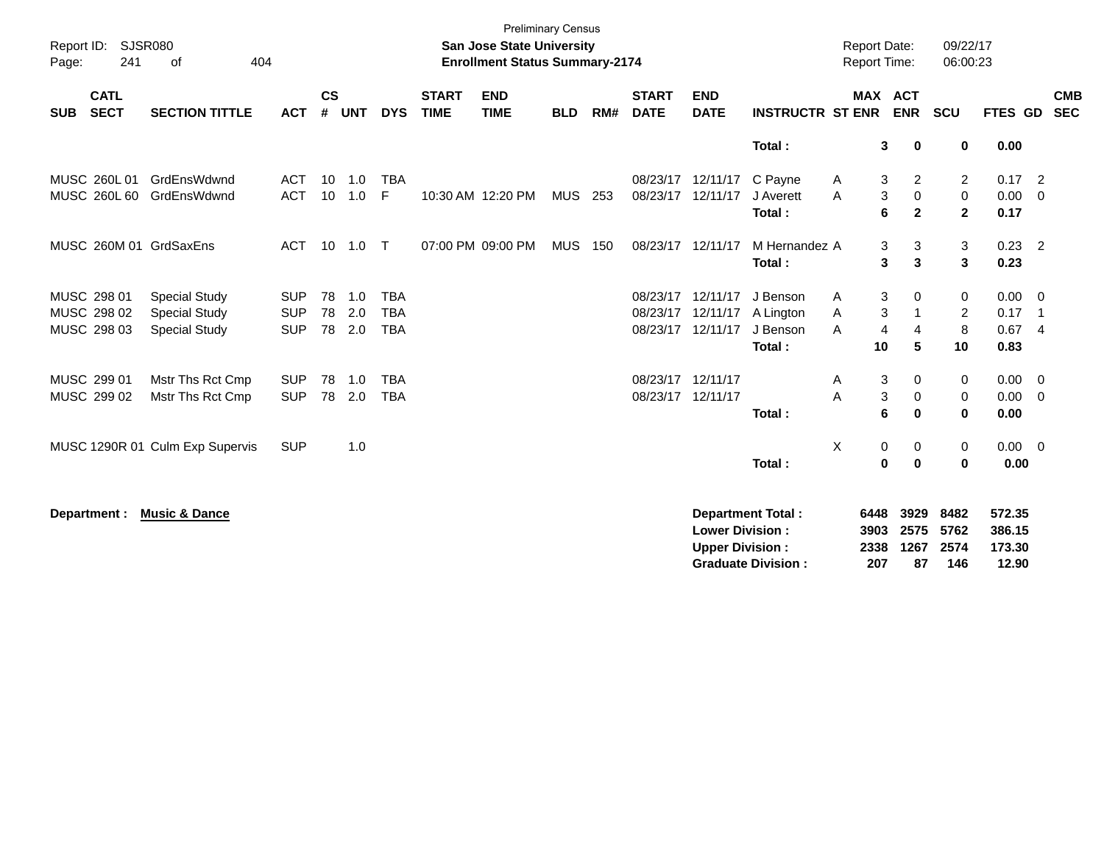| Report ID:<br>Page: | 241                                       | <b>SJSR080</b><br>404<br>οf                                          |                                        |                       |                   |                                        |                             | <b>Preliminary Census</b><br><b>San Jose State University</b><br><b>Enrollment Status Summary-2174</b> |            |     |                                        |                                                  |                                                       | <b>Report Date:</b><br><b>Report Time:</b> |                                |                                     | 09/22/17<br>06:00:23                          |                                     |                                                              |
|---------------------|-------------------------------------------|----------------------------------------------------------------------|----------------------------------------|-----------------------|-------------------|----------------------------------------|-----------------------------|--------------------------------------------------------------------------------------------------------|------------|-----|----------------------------------------|--------------------------------------------------|-------------------------------------------------------|--------------------------------------------|--------------------------------|-------------------------------------|-----------------------------------------------|-------------------------------------|--------------------------------------------------------------|
| <b>SUB</b>          | <b>CATL</b><br><b>SECT</b>                | <b>SECTION TITTLE</b>                                                | <b>ACT</b>                             | $\mathsf{cs}$<br>#    | <b>UNT</b>        | <b>DYS</b>                             | <b>START</b><br><b>TIME</b> | <b>END</b><br><b>TIME</b>                                                                              | <b>BLD</b> | RM# | <b>START</b><br><b>DATE</b>            | <b>END</b><br><b>DATE</b>                        | <b>INSTRUCTR ST ENR</b>                               |                                            |                                | <b>MAX ACT</b><br><b>ENR</b>        | <b>SCU</b>                                    | FTES GD                             | <b>CMB</b><br><b>SEC</b>                                     |
|                     |                                           |                                                                      |                                        |                       |                   |                                        |                             |                                                                                                        |            |     |                                        |                                                  | Total:                                                |                                            | 3                              | $\mathbf 0$                         | 0                                             | 0.00                                |                                                              |
|                     | MUSC 260L 01<br>MUSC 260L 60              | GrdEnsWdwnd<br>GrdEnsWdwnd                                           | <b>ACT</b><br><b>ACT</b>               | 10 <sup>1</sup><br>10 | 1.0<br>1.0        | <b>TBA</b><br>F                        |                             | 10:30 AM 12:20 PM                                                                                      | MUS 253    |     | 08/23/17<br>08/23/17                   | 12/11/17<br>12/11/17                             | C Payne<br>J Averett<br>Total:                        | A<br>A                                     | 3<br>3<br>6                    | $\overline{c}$<br>0<br>$\mathbf{2}$ | $\overline{c}$<br>$\mathbf 0$<br>$\mathbf{2}$ | $0.17$ 2<br>0.00<br>0.17            | $\overline{0}$                                               |
|                     |                                           | MUSC 260M 01 GrdSaxEns                                               | <b>ACT</b>                             |                       | 10 1.0            | $\top$                                 |                             | 07:00 PM 09:00 PM                                                                                      | <b>MUS</b> | 150 | 08/23/17 12/11/17                      |                                                  | M Hernandez A<br>Total:                               |                                            | 3<br>3                         | 3<br>3                              | 3<br>3                                        | $0.23$ 2<br>0.23                    |                                                              |
|                     | MUSC 298 01<br>MUSC 298 02<br>MUSC 298 03 | <b>Special Study</b><br><b>Special Study</b><br><b>Special Study</b> | <b>SUP</b><br><b>SUP</b><br><b>SUP</b> | 78<br>78<br>78        | 1.0<br>2.0<br>2.0 | <b>TBA</b><br><b>TBA</b><br><b>TBA</b> |                             |                                                                                                        |            |     | 08/23/17<br>08/23/17<br>08/23/17       | 12/11/17<br>12/11/17<br>12/11/17                 | J Benson<br>A Lington<br>J Benson<br>Total:           | A<br>Α<br>A                                | 3<br>3<br>$\overline{4}$<br>10 | $\Omega$<br>-1<br>4<br>5            | 0<br>$\overline{2}$<br>8<br>10                | 0.00<br>0.17<br>0.67<br>0.83        | $\overline{0}$<br>$\overline{\phantom{1}}$<br>$\overline{4}$ |
|                     | MUSC 299 01<br>MUSC 299 02                | Mstr Ths Rct Cmp<br>Mstr Ths Rct Cmp                                 | <b>SUP</b><br><b>SUP</b>               | 78<br>78              | 1.0<br>2.0        | <b>TBA</b><br><b>TBA</b>               |                             |                                                                                                        |            |     | 08/23/17 12/11/17<br>08/23/17 12/11/17 |                                                  | Total:                                                | A<br>A                                     | 3<br>3<br>6                    | 0<br>$\mathbf 0$<br>$\bf{0}$        | 0<br>0<br>$\mathbf{0}$                        | $0.00 \t 0$<br>0.00<br>0.00         | $\overline{0}$                                               |
|                     |                                           | MUSC 1290R 01 Culm Exp Supervis                                      | <b>SUP</b>                             |                       | 1.0               |                                        |                             |                                                                                                        |            |     |                                        |                                                  | Total:                                                | Χ                                          | 0<br>$\pmb{0}$                 | 0<br>$\bf{0}$                       | 0<br>0                                        | $0.00 \t 0$<br>0.00                 |                                                              |
|                     | Department :                              | <b>Music &amp; Dance</b>                                             |                                        |                       |                   |                                        |                             |                                                                                                        |            |     |                                        | <b>Lower Division:</b><br><b>Upper Division:</b> | <b>Department Total:</b><br><b>Graduate Division:</b> |                                            | 6448<br>3903<br>2338<br>207    | 3929<br>2575<br>1267<br>87          | 8482<br>5762<br>2574<br>146                   | 572.35<br>386.15<br>173.30<br>12.90 |                                                              |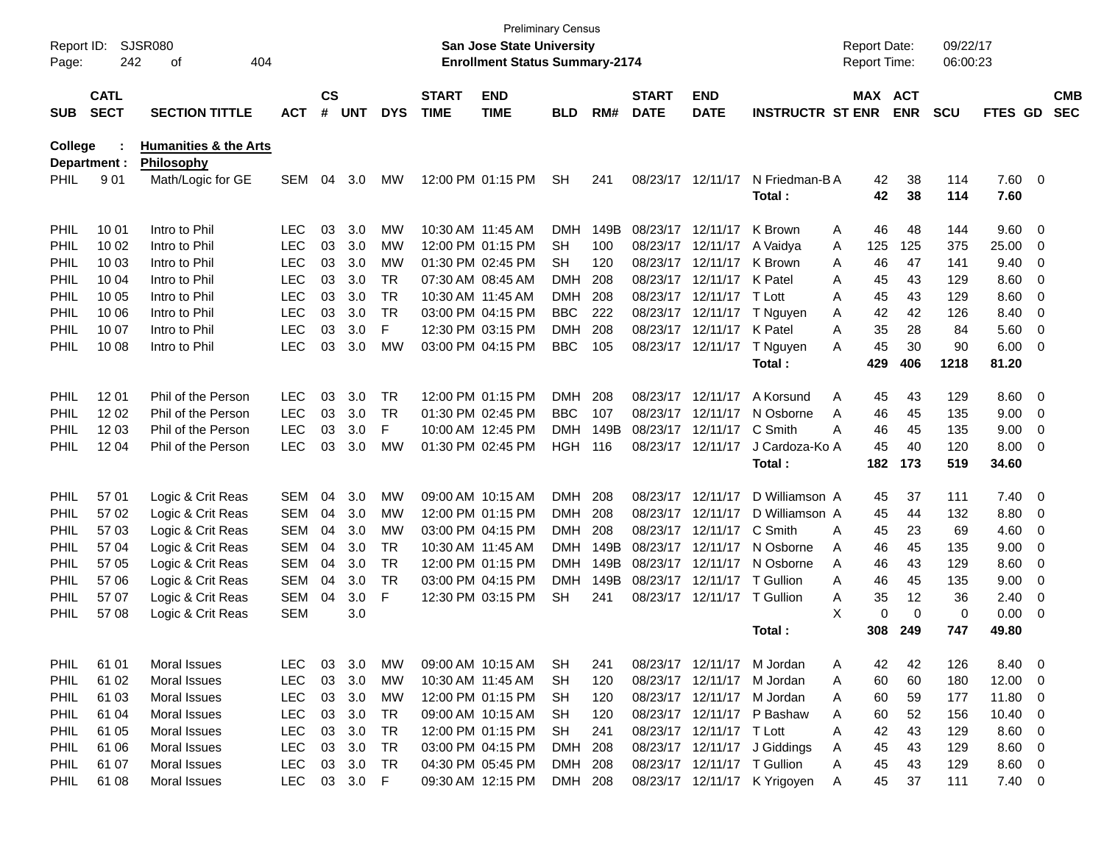| Report ID:<br>Page: | 242                        | <b>SJSR080</b><br>404<br>οf                    |            |                    |            |            |                             | <b>San Jose State University</b><br><b>Enrollment Status Summary-2174</b> | <b>Preliminary Census</b> |      |                             |                             |                              | <b>Report Date:</b><br>Report Time: |            | 09/22/17<br>06:00:23 |                |                          |                          |
|---------------------|----------------------------|------------------------------------------------|------------|--------------------|------------|------------|-----------------------------|---------------------------------------------------------------------------|---------------------------|------|-----------------------------|-----------------------------|------------------------------|-------------------------------------|------------|----------------------|----------------|--------------------------|--------------------------|
| <b>SUB</b>          | <b>CATL</b><br><b>SECT</b> | <b>SECTION TITTLE</b>                          | <b>ACT</b> | $\mathsf{cs}$<br># | <b>UNT</b> | <b>DYS</b> | <b>START</b><br><b>TIME</b> | <b>END</b><br><b>TIME</b>                                                 | BLD                       | RM#  | <b>START</b><br><b>DATE</b> | <b>END</b><br><b>DATE</b>   | <b>INSTRUCTR ST ENR</b>      | <b>MAX ACT</b>                      | <b>ENR</b> | <b>SCU</b>           | FTES GD        |                          | <b>CMB</b><br><b>SEC</b> |
| <b>College</b>      |                            | <b>Humanities &amp; the Arts</b><br>Philosophy |            |                    |            |            |                             |                                                                           |                           |      |                             |                             |                              |                                     |            |                      |                |                          |                          |
| <b>PHIL</b>         | Department :<br>901        | Math/Logic for GE                              | <b>SEM</b> | 04                 | 3.0        | МW         |                             | 12:00 PM 01:15 PM                                                         | <b>SH</b>                 | 241  |                             | 08/23/17 12/11/17           | N Friedman-B A<br>Total:     | 42<br>42                            | 38<br>38   | 114<br>114           | 7.60 0<br>7.60 |                          |                          |
| <b>PHIL</b>         | 10 01                      | Intro to Phil                                  | LEC        | 03                 | 3.0        | МW         |                             | 10:30 AM 11:45 AM                                                         | DMH                       | 149B |                             | 08/23/17 12/11/17           | K Brown                      | 46<br>A                             | 48         | 144                  | 9.60           | - 0                      |                          |
| PHIL                | 10 02                      | Intro to Phil                                  | <b>LEC</b> | 03                 | 3.0        | МW         |                             | 12:00 PM 01:15 PM                                                         | SН                        | 100  |                             | 08/23/17 12/11/17           | A Vaidya                     | 125<br>A                            | 125        | 375                  | 25.00          | -0                       |                          |
| PHIL                | 10 03                      | Intro to Phil                                  | <b>LEC</b> | 03                 | 3.0        | МW         |                             | 01:30 PM 02:45 PM                                                         | SН                        | 120  |                             | 08/23/17 12/11/17           | K Brown                      | 46<br>A                             | 47         | 141                  | 9.40           | 0                        |                          |
| PHIL                | 10 04                      | Intro to Phil                                  | <b>LEC</b> | 03                 | 3.0        | TR.        |                             | 07:30 AM 08:45 AM                                                         | DMH                       | 208  |                             | 08/23/17 12/11/17 K Patel   |                              | 45<br>A                             | 43         | 129                  | 8.60           | $\overline{0}$           |                          |
| PHIL                | 10 05                      | Intro to Phil                                  | <b>LEC</b> | 03                 | 3.0        | <b>TR</b>  |                             | 10:30 AM 11:45 AM                                                         | DMH                       | 208  |                             | 08/23/17 12/11/17 T Lott    |                              | 45<br>A                             | 43         | 129                  | 8.60           | 0                        |                          |
| PHIL                | 10 06                      | Intro to Phil                                  | <b>LEC</b> | 03                 | 3.0        | <b>TR</b>  |                             | 03:00 PM 04:15 PM                                                         | <b>BBC</b>                | 222  |                             | 08/23/17 12/11/17           | T Nguyen                     | 42<br>Α                             | 42         | 126                  | 8.40           | 0                        |                          |
| PHIL                | 10 07                      | Intro to Phil                                  | <b>LEC</b> | 03                 | 3.0        | F          |                             | 12:30 PM 03:15 PM                                                         | DMH                       | 208  |                             | 08/23/17 12/11/17 K Patel   |                              | 35<br>Α                             | 28         | 84                   | 5.60           | - 0                      |                          |
| PHIL                | 10 08                      | Intro to Phil                                  | <b>LEC</b> | 03                 | 3.0        | МW         |                             | 03:00 PM 04:15 PM                                                         | <b>BBC</b>                | 105  |                             | 08/23/17 12/11/17           | T Nguyen                     | 45<br>A                             | 30         | 90                   | 6.00           | - 0                      |                          |
|                     |                            |                                                |            |                    |            |            |                             |                                                                           |                           |      |                             |                             | Total:                       | 429                                 | 406        | 1218                 | 81.20          |                          |                          |
| <b>PHIL</b>         | 12 01                      | Phil of the Person                             | <b>LEC</b> | 03                 | 3.0        | TR.        |                             | 12:00 PM 01:15 PM                                                         | DMH.                      | 208  |                             | 08/23/17 12/11/17           | A Korsund                    | 45<br>Α                             | 43         | 129                  | 8.60           | - 0                      |                          |
| PHIL                | 12 02                      | Phil of the Person                             | <b>LEC</b> | 03                 | 3.0        | <b>TR</b>  |                             | 01:30 PM 02:45 PM                                                         | <b>BBC</b>                | 107  |                             | 08/23/17 12/11/17           | N Osborne                    | Α<br>46                             | 45         | 135                  | 9.00           | 0                        |                          |
| PHIL                | 12 03                      | Phil of the Person                             | <b>LEC</b> | 03                 | 3.0        | F          |                             | 10:00 AM 12:45 PM                                                         | DMH                       | 149B |                             | 08/23/17 12/11/17           | C Smith                      | Α<br>46                             | 45         | 135                  | 9.00           | $\overline{0}$           |                          |
| PHIL                | 12 04                      | Phil of the Person                             | <b>LEC</b> | 03                 | 3.0        | МW         |                             | 01:30 PM 02:45 PM                                                         | HGH                       | 116  |                             | 08/23/17 12/11/17           | J Cardoza-Ko A               | 45                                  | 40         | 120                  | 8.00           | - 0                      |                          |
|                     |                            |                                                |            |                    |            |            |                             |                                                                           |                           |      |                             |                             | Total:                       | 182                                 | 173        | 519                  | 34.60          |                          |                          |
| <b>PHIL</b>         | 57 01                      | Logic & Crit Reas                              | <b>SEM</b> | 04                 | 3.0        | МW         |                             | 09:00 AM 10:15 AM                                                         | DMH.                      | 208  |                             | 08/23/17 12/11/17           | D Williamson A               | 45                                  | 37         | 111                  | 7.40           | - 0                      |                          |
| PHIL                | 57 02                      | Logic & Crit Reas                              | <b>SEM</b> | 04                 | 3.0        | МW         |                             | 12:00 PM 01:15 PM                                                         | DMH                       | 208  |                             | 08/23/17 12/11/17           | D Williamson A               | 45                                  | 44         | 132                  | 8.80           | 0                        |                          |
| PHIL                | 57 03                      | Logic & Crit Reas                              | <b>SEM</b> | 04                 | 3.0        | МW         |                             | 03:00 PM 04:15 PM                                                         | DMH                       | 208  |                             | 08/23/17 12/11/17           | C Smith                      | 45<br>A                             | 23         | 69                   | 4.60           | 0                        |                          |
| PHIL                | 57 04                      | Logic & Crit Reas                              | <b>SEM</b> | 04                 | 3.0        | TR.        |                             | 10:30 AM 11:45 AM                                                         | DMH                       | 149B |                             | 08/23/17 12/11/17           | N Osborne                    | 46<br>Α                             | 45         | 135                  | 9.00           | 0                        |                          |
| PHIL                | 57 05                      | Logic & Crit Reas                              | <b>SEM</b> | 04                 | 3.0        | <b>TR</b>  |                             | 12:00 PM 01:15 PM                                                         | DMH                       | 149B |                             | 08/23/17 12/11/17           | N Osborne                    | 46<br>A                             | 43         | 129                  | 8.60           | 0                        |                          |
| PHIL                | 57 06                      | Logic & Crit Reas                              | <b>SEM</b> | 04                 | 3.0        | <b>TR</b>  |                             | 03:00 PM 04:15 PM                                                         | DMH                       | 149B |                             | 08/23/17 12/11/17 T Gullion |                              | Α<br>46                             | 45         | 135                  | 9.00           | 0                        |                          |
| PHIL                | 57 07                      | Logic & Crit Reas                              | <b>SEM</b> | 04                 | 3.0        | F          |                             | 12:30 PM 03:15 PM                                                         | SH                        | 241  |                             | 08/23/17 12/11/17 T Gullion |                              | 35<br>Α                             | 12         | 36                   | 2.40           | 0                        |                          |
| <b>PHIL</b>         | 57 08                      | Logic & Crit Reas                              | <b>SEM</b> |                    | 3.0        |            |                             |                                                                           |                           |      |                             |                             |                              | X<br>0                              | $\Omega$   | 0                    | 0.00           | - 0                      |                          |
|                     |                            |                                                |            |                    |            |            |                             |                                                                           |                           |      |                             |                             | Total:                       | 308                                 | 249        | 747                  | 49.80          |                          |                          |
| <b>PHIL</b>         | 61 01                      | Moral Issues                                   | <b>LEC</b> | 03                 | 3.0        | МW         |                             | 09:00 AM 10:15 AM                                                         | <b>SH</b>                 | 241  |                             |                             | 08/23/17 12/11/17 M Jordan   | 42<br>Α                             | 42         | 126                  | 8.40 0         |                          |                          |
| <b>PHIL</b>         | 61 02                      | Moral Issues                                   | <b>LEC</b> | 03                 | 3.0        | MW         |                             | 10:30 AM 11:45 AM                                                         | <b>SH</b>                 | 120  |                             |                             | 08/23/17 12/11/17 M Jordan   | 60<br>A                             | 60         | 180                  | 12.00          | $\overline{\phantom{0}}$ |                          |
| <b>PHIL</b>         | 61 03                      | Moral Issues                                   | <b>LEC</b> | 03                 | 3.0        | МW         |                             | 12:00 PM 01:15 PM                                                         | <b>SH</b>                 | 120  |                             |                             | 08/23/17 12/11/17 M Jordan   | 60<br>A                             | 59         | 177                  | 11.80          | $\overline{\phantom{0}}$ |                          |
| PHIL                | 61 04                      | Moral Issues                                   | <b>LEC</b> | 03                 | 3.0        | <b>TR</b>  |                             | 09:00 AM 10:15 AM                                                         | <b>SH</b>                 | 120  |                             |                             | 08/23/17 12/11/17 P Bashaw   | 60<br>Α                             | 52         | 156                  | 10.40          | $\overline{\phantom{0}}$ |                          |
| PHIL                | 61 05                      | Moral Issues                                   | <b>LEC</b> | 03                 | 3.0        | <b>TR</b>  |                             | 12:00 PM 01:15 PM                                                         | <b>SH</b>                 | 241  |                             | 08/23/17 12/11/17 T Lott    |                              | 42<br>Α                             | 43         | 129                  | $8.60$ 0       |                          |                          |
| PHIL                | 61 06                      | Moral Issues                                   | <b>LEC</b> | 03                 | 3.0        | <b>TR</b>  |                             | 03:00 PM 04:15 PM                                                         | DMH                       | 208  |                             |                             | 08/23/17 12/11/17 J Giddings | 45<br>A                             | 43         | 129                  | $8.60$ 0       |                          |                          |
| <b>PHIL</b>         | 61 07                      | Moral Issues                                   | <b>LEC</b> | 03                 | 3.0        | TR         |                             | 04:30 PM 05:45 PM                                                         | <b>DMH</b>                | 208  |                             | 08/23/17 12/11/17 T Gullion |                              | 45<br>Α                             | 43         | 129                  | $8.60$ 0       |                          |                          |
| <b>PHIL</b>         | 61 08                      | Moral Issues                                   | <b>LEC</b> |                    | 03 3.0 F   |            |                             | 09:30 AM 12:15 PM                                                         | DMH 208                   |      |                             |                             | 08/23/17 12/11/17 K Yrigoyen | 45<br>Α                             | 37         | 111                  | $7.40 \ 0$     |                          |                          |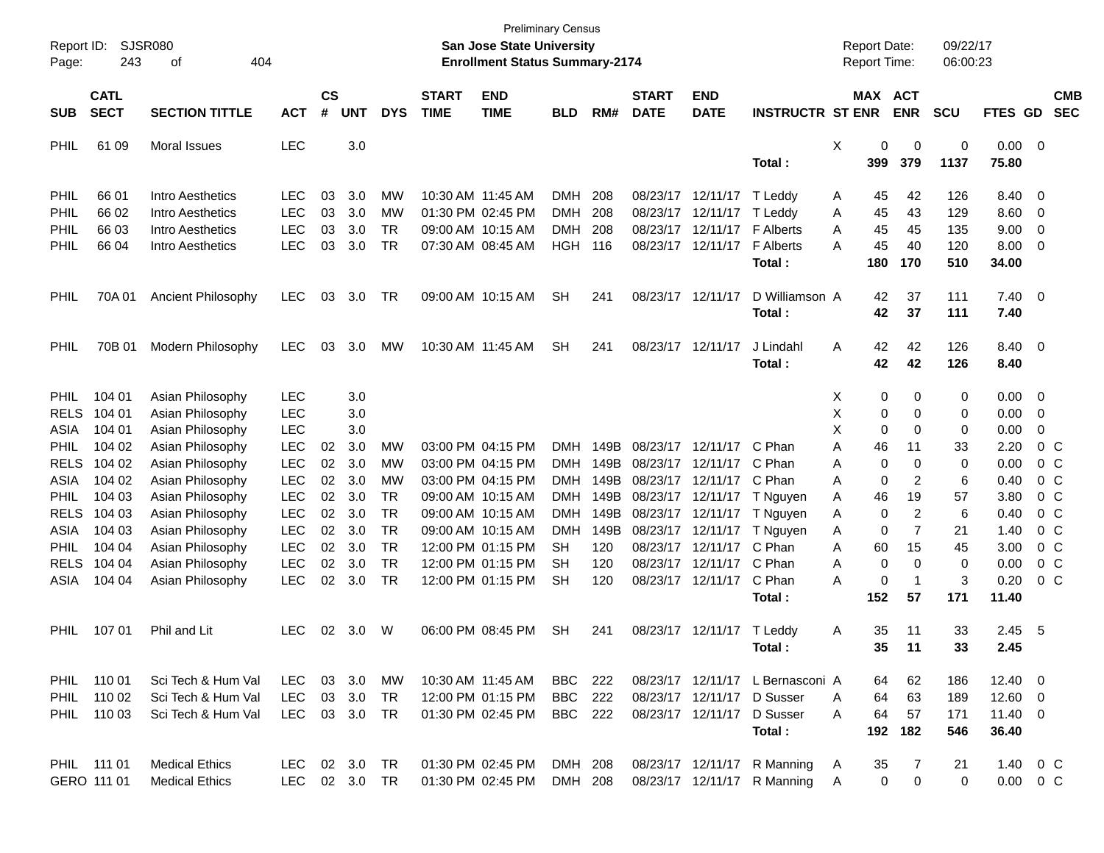| Report ID:<br>Page:  | 243                        | <b>SJSR080</b><br>404<br>οf                              |                                 |                    |                        |                       |                             | San Jose State University<br><b>Enrollment Status Summary-2174</b> | <b>Preliminary Census</b>       |                   |                             |                                                                     |                                                            | <b>Report Date:</b><br>Report Time: |                | 09/22/17<br>06:00:23 |                           |                          |
|----------------------|----------------------------|----------------------------------------------------------|---------------------------------|--------------------|------------------------|-----------------------|-----------------------------|--------------------------------------------------------------------|---------------------------------|-------------------|-----------------------------|---------------------------------------------------------------------|------------------------------------------------------------|-------------------------------------|----------------|----------------------|---------------------------|--------------------------|
| <b>SUB</b>           | <b>CATL</b><br><b>SECT</b> | <b>SECTION TITTLE</b>                                    | <b>ACT</b>                      | $\mathsf{cs}$<br># | <b>UNT</b>             | <b>DYS</b>            | <b>START</b><br><b>TIME</b> | <b>END</b><br><b>TIME</b>                                          | <b>BLD</b>                      | RM#               | <b>START</b><br><b>DATE</b> | <b>END</b><br><b>DATE</b>                                           | <b>INSTRUCTR ST ENR</b>                                    | <b>MAX ACT</b>                      | <b>ENR</b>     | <b>SCU</b>           | FTES GD                   | <b>CMB</b><br><b>SEC</b> |
| PHIL                 | 61 09                      | <b>Moral Issues</b>                                      | <b>LEC</b>                      |                    | 3.0                    |                       |                             |                                                                    |                                 |                   |                             |                                                                     | Total:                                                     | Χ<br>0<br>399                       | 0<br>379       | 0<br>1137            | 0.00<br>75.80             | $\overline{\phantom{0}}$ |
| PHIL<br>PHIL<br>PHIL | 66 01<br>66 02<br>66 03    | Intro Aesthetics<br>Intro Aesthetics<br>Intro Aesthetics | LEC<br><b>LEC</b><br><b>LEC</b> | 03<br>03<br>03     | 3.0<br>3.0<br>3.0      | МW<br>МW<br><b>TR</b> |                             | 10:30 AM 11:45 AM<br>01:30 PM 02:45 PM<br>09:00 AM 10:15 AM        | DMH<br><b>DMH</b><br><b>DMH</b> | 208<br>208<br>208 |                             | 08/23/17 12/11/17 T Leddy<br>08/23/17 12/11/17<br>08/23/17 12/11/17 | T Leddy<br><b>F</b> Alberts                                | 45<br>A<br>45<br>Α<br>45<br>Α       | 42<br>43<br>45 | 126<br>129<br>135    | 8.40<br>8.60<br>9.00      | 0<br>0<br>0              |
| PHIL                 | 66 04                      | Intro Aesthetics                                         | <b>LEC</b>                      | 03                 | 3.0                    | <b>TR</b>             |                             | 07:30 AM 08:45 AM                                                  | HGH                             | 116               |                             | 08/23/17 12/11/17                                                   | <b>F</b> Alberts<br>Total:                                 | 45<br>A<br>180                      | 40<br>170      | 120<br>510           | 8.00<br>34.00             | 0                        |
| PHIL                 | 70A 01                     | Ancient Philosophy                                       | <b>LEC</b>                      | 03                 | 3.0                    | TR                    |                             | 09:00 AM 10:15 AM                                                  | <b>SH</b>                       | 241               |                             | 08/23/17 12/11/17                                                   | D Williamson A<br>Total:                                   | 42<br>42                            | 37<br>37       | 111<br>111           | $7.40 \quad 0$<br>7.40    |                          |
| PHIL                 | 70B 01                     | Modern Philosophy                                        | <b>LEC</b>                      | 03                 | 3.0                    | MW                    |                             | 10:30 AM 11:45 AM                                                  | <b>SH</b>                       | 241               |                             | 08/23/17 12/11/17                                                   | J Lindahl<br>Total:                                        | 42<br>A<br>42                       | 42<br>42       | 126<br>126           | 8.40<br>8.40              | $\overline{\phantom{0}}$ |
| <b>PHIL</b>          | 104 01                     | Asian Philosophy                                         | <b>LEC</b>                      |                    | 3.0                    |                       |                             |                                                                    |                                 |                   |                             |                                                                     |                                                            | 0<br>X.                             | 0              | 0                    | 0.00                      | $\overline{0}$           |
| <b>RELS</b>          | 104 01                     | Asian Philosophy                                         | <b>LEC</b>                      |                    | 3.0                    |                       |                             |                                                                    |                                 |                   |                             |                                                                     |                                                            | X<br>0                              | 0              | 0                    | 0.00                      | 0                        |
| ASIA<br><b>PHIL</b>  | 104 01<br>104 02           | Asian Philosophy<br>Asian Philosophy                     | <b>LEC</b><br><b>LEC</b>        | 02                 | 3.0<br>3.0             | МW                    |                             | 03:00 PM 04:15 PM                                                  | <b>DMH</b>                      | 149B              |                             | 08/23/17 12/11/17                                                   | C Phan                                                     | X<br>$\mathbf 0$<br>46<br>Α         | 0<br>11        | 0                    | 0.00<br>2.20              | 0<br>$0\,$ C             |
| <b>RELS</b>          | 104 02                     | Asian Philosophy                                         | <b>LEC</b>                      | 02                 | 3.0                    | МW                    |                             | 03:00 PM 04:15 PM                                                  | <b>DMH</b>                      | 149B              |                             | 08/23/17 12/11/17                                                   | C Phan                                                     | $\mathbf 0$<br>Α                    | 0              | 33<br>0              | 0.00                      | $0\,$ C                  |
| ASIA                 | 104 02                     | Asian Philosophy                                         | <b>LEC</b>                      | 02                 | 3.0                    | МW                    |                             | 03:00 PM 04:15 PM                                                  | <b>DMH</b>                      | 149B              |                             | 08/23/17 12/11/17 C Phan                                            |                                                            | 0<br>Α                              | 2              | 6                    | 0.40                      | 0 <sup>o</sup>           |
| <b>PHIL</b>          | 104 03                     | Asian Philosophy                                         | <b>LEC</b>                      | 02                 | 3.0                    | TR                    |                             | 09:00 AM 10:15 AM                                                  | <b>DMH</b>                      | 149B              |                             |                                                                     | 08/23/17 12/11/17 T Nguyen                                 | Α<br>46                             | 19             | 57                   | 3.80                      | 0 <sup>o</sup>           |
| <b>RELS</b>          | 104 03                     | Asian Philosophy                                         | <b>LEC</b>                      | 02                 | 3.0                    | <b>TR</b>             |                             | 09:00 AM 10:15 AM                                                  | <b>DMH</b>                      | 149B              |                             | 08/23/17 12/11/17                                                   | T Nguyen                                                   | $\mathbf 0$<br>Α                    | 2              | 6                    | 0.40                      | 0 <sup>o</sup>           |
| ASIA                 | 104 03                     | Asian Philosophy                                         | <b>LEC</b>                      | 02                 | 3.0                    | <b>TR</b>             |                             | 09:00 AM 10:15 AM                                                  | <b>DMH</b>                      | 149B              |                             | 08/23/17 12/11/17                                                   | T Nguyen                                                   | $\mathbf 0$<br>Α                    | 7              | 21                   | 1.40                      | 0 <sup>o</sup>           |
| <b>PHIL</b>          | 104 04                     | Asian Philosophy                                         | <b>LEC</b>                      | 02                 | 3.0                    | <b>TR</b>             |                             | 12:00 PM 01:15 PM                                                  | SН                              | 120               |                             | 08/23/17 12/11/17                                                   | C Phan                                                     | 60<br>Α                             | 15             | 45                   | 3.00                      | 0 <sup>o</sup>           |
| <b>RELS</b>          | 104 04                     | Asian Philosophy                                         | <b>LEC</b>                      | 02                 | 3.0                    | <b>TR</b>             |                             | 12:00 PM 01:15 PM                                                  | SН                              | 120               |                             | 08/23/17 12/11/17                                                   | C Phan                                                     | 0<br>Α                              | 0              | 0                    | 0.00                      | 0 <sup>o</sup>           |
| ASIA                 | 104 04                     | Asian Philosophy                                         | <b>LEC</b>                      | 02                 | 3.0                    | <b>TR</b>             |                             | 12:00 PM 01:15 PM                                                  | <b>SH</b>                       | 120               |                             | 08/23/17 12/11/17                                                   | C Phan                                                     | 0<br>Α                              | $\mathbf 1$    | 3                    | 0.20                      | 0 <sup>o</sup>           |
|                      |                            |                                                          |                                 |                    |                        |                       |                             |                                                                    |                                 |                   |                             |                                                                     | Total:                                                     | 152                                 | 57             | 171                  | 11.40                     |                          |
| <b>PHIL</b>          | 107 01                     | Phil and Lit                                             | <b>LEC</b>                      | 02                 | 3.0                    | W                     |                             | 06:00 PM 08:45 PM                                                  | <b>SH</b>                       | 241               |                             | 08/23/17 12/11/17 T Leddy                                           | Total:                                                     | 35<br>Α<br>35                       | 11<br>11       | 33<br>33             | 2.45<br>2.45              | - 5                      |
|                      | PHIL 110 01                | Sci Tech & Hum Val                                       | LEC.                            |                    | 03 3.0                 | МW                    |                             | 10:30 AM 11:45 AM                                                  | BBC                             | - 222             |                             |                                                                     | 08/23/17 12/11/17 L Bernasconi A                           | 64                                  | 62             | 186                  | $12.40 \ 0$               |                          |
| <b>PHIL</b>          | 110 02                     | Sci Tech & Hum Val                                       | <b>LEC</b>                      |                    | 03 3.0                 | TR                    |                             | 12:00 PM 01:15 PM                                                  | BBC                             | 222               |                             |                                                                     | 08/23/17 12/11/17 D Susser                                 | 64<br>A                             | 63             | 189                  | $12.60 \t 0$              |                          |
|                      | PHIL 110 03                | Sci Tech & Hum Val                                       | <b>LEC</b>                      |                    | 03 3.0 TR              |                       |                             | 01:30 PM 02:45 PM                                                  | <b>BBC</b> 222                  |                   |                             |                                                                     | 08/23/17 12/11/17 D Susser                                 | 64<br>A                             | 57             | 171                  | $11.40 \t 0$              |                          |
|                      |                            |                                                          |                                 |                    |                        |                       |                             |                                                                    |                                 |                   |                             |                                                                     | Total:                                                     |                                     | 192 182        | 546                  | 36.40                     |                          |
|                      | PHIL 111 01<br>GERO 111 01 | <b>Medical Ethics</b><br><b>Medical Ethics</b>           | LEC.<br>LEC                     |                    | 02 3.0 TR<br>02 3.0 TR |                       |                             | 01:30 PM 02:45 PM<br>01:30 PM 02:45 PM                             | DMH 208<br>DMH 208              |                   |                             |                                                                     | 08/23/17 12/11/17 R Manning<br>08/23/17 12/11/17 R Manning | 35<br>A<br>0<br>A                   | 7<br>0         | 21<br>0              | 1.40 0 C<br>$0.00 \t 0 C$ |                          |
|                      |                            |                                                          |                                 |                    |                        |                       |                             |                                                                    |                                 |                   |                             |                                                                     |                                                            |                                     |                |                      |                           |                          |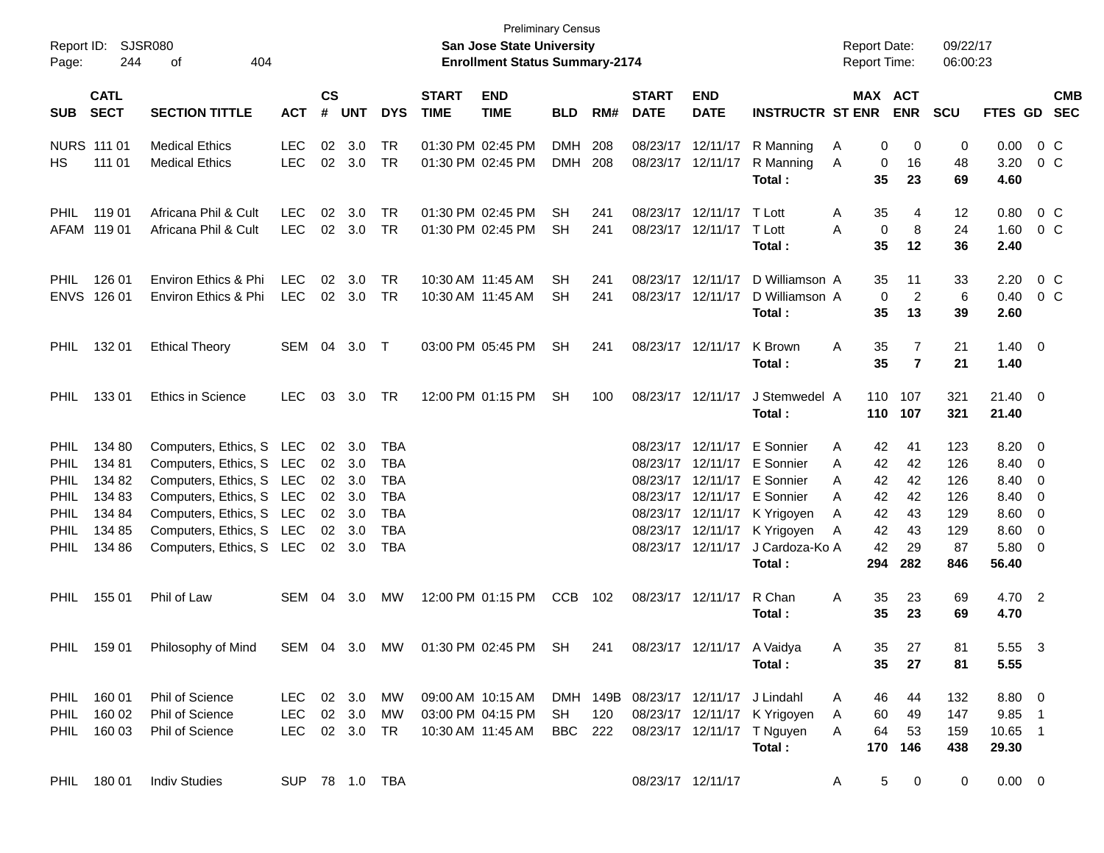| SJSR080<br>Report ID:<br>244<br>404<br>Page:<br>οf                                             |                                                                    |                                                                                                                                                                                                  |                                    | <b>Preliminary Census</b><br>San Jose State University<br><b>Enrollment Status Summary-2174</b> |                                                                            |                                                                                  |                             |                                                             |                          |            |                                      |                                        |                                                                                                                                                                                                                      | <b>Report Date:</b><br><b>Report Time:</b>                                  |                                               |                                                     | 09/22/17<br>06:00:23                                                                            |                |            |  |
|------------------------------------------------------------------------------------------------|--------------------------------------------------------------------|--------------------------------------------------------------------------------------------------------------------------------------------------------------------------------------------------|------------------------------------|-------------------------------------------------------------------------------------------------|----------------------------------------------------------------------------|----------------------------------------------------------------------------------|-----------------------------|-------------------------------------------------------------|--------------------------|------------|--------------------------------------|----------------------------------------|----------------------------------------------------------------------------------------------------------------------------------------------------------------------------------------------------------------------|-----------------------------------------------------------------------------|-----------------------------------------------|-----------------------------------------------------|-------------------------------------------------------------------------------------------------|----------------|------------|--|
| <b>SUB</b>                                                                                     | <b>CATL</b><br><b>SECT</b>                                         | <b>SECTION TITTLE</b>                                                                                                                                                                            | <b>ACT</b>                         | $\mathsf{cs}$<br>#                                                                              | <b>UNT</b>                                                                 | <b>DYS</b>                                                                       | <b>START</b><br><b>TIME</b> | <b>END</b><br><b>TIME</b>                                   | <b>BLD</b>               | RM#        | <b>START</b><br><b>DATE</b>          | <b>END</b><br><b>DATE</b>              | <b>INSTRUCTR ST ENR</b>                                                                                                                                                                                              |                                                                             | MAX ACT<br><b>ENR</b>                         | <b>SCU</b>                                          | FTES GD                                                                                         | <b>SEC</b>     | <b>CMB</b> |  |
| HS.                                                                                            | <b>NURS 111 01</b><br>111 01                                       | <b>Medical Ethics</b><br><b>Medical Ethics</b>                                                                                                                                                   | <b>LEC</b><br><b>LEC</b>           | 02                                                                                              | 3.0<br>02 3.0                                                              | TR<br>TR                                                                         |                             | 01:30 PM 02:45 PM<br>01:30 PM 02:45 PM                      | <b>DMH</b><br><b>DMH</b> | 208<br>208 |                                      | 08/23/17 12/11/17<br>08/23/17 12/11/17 | R Manning<br>R Manning<br>Total:                                                                                                                                                                                     | A<br>Α<br>35                                                                | 0<br>0<br>16<br>0<br>23                       | 0<br>48<br>69                                       | 0.00<br>3.20<br>4.60                                                                            | $0\,C$<br>0 C  |            |  |
| <b>PHIL</b>                                                                                    | 119 01<br>AFAM 119 01                                              | Africana Phil & Cult<br>Africana Phil & Cult                                                                                                                                                     | <b>LEC</b><br><b>LEC</b>           | 02                                                                                              | 3.0<br>02 3.0                                                              | <b>TR</b><br>TR                                                                  |                             | 01:30 PM 02:45 PM<br>01:30 PM 02:45 PM                      | SН<br><b>SH</b>          | 241<br>241 |                                      | 08/23/17 12/11/17<br>08/23/17 12/11/17 | T Lott<br>T Lott<br>Total :                                                                                                                                                                                          | 35<br>A<br>A<br>35                                                          | 4<br>$\mathbf 0$<br>8<br>12                   | 12<br>24<br>36                                      | 0.80<br>1.60<br>2.40                                                                            | $0\,C$<br>0 C  |            |  |
| <b>PHIL</b>                                                                                    | 126 01<br>ENVS 126 01                                              | Environ Ethics & Phi<br>Environ Ethics & Phi                                                                                                                                                     | <b>LEC</b><br><b>LEC</b>           | 02                                                                                              | 3.0<br>02 3.0                                                              | TR<br>TR                                                                         |                             | 10:30 AM 11:45 AM<br>10:30 AM 11:45 AM                      | SН<br><b>SH</b>          | 241<br>241 |                                      | 08/23/17 12/11/17<br>08/23/17 12/11/17 | D Williamson A<br>D Williamson A<br>Total :                                                                                                                                                                          | 35<br>35                                                                    | 11<br>0<br>2<br>13                            | 33<br>6<br>39                                       | 2.20<br>0.40<br>2.60                                                                            | $0\,$ C<br>0 C |            |  |
| <b>PHIL</b>                                                                                    | 13201                                                              | <b>Ethical Theory</b>                                                                                                                                                                            | SEM                                | 04                                                                                              | 3.0                                                                        | $\top$                                                                           |                             | 03:00 PM 05:45 PM                                           | <b>SH</b>                | 241        |                                      | 08/23/17 12/11/17                      | K Brown<br>Total :                                                                                                                                                                                                   | Α<br>35<br>35                                                               | $\overline{7}$<br>$\overline{7}$              | 21<br>21                                            | $1.40 \ 0$<br>1.40                                                                              |                |            |  |
| <b>PHIL</b>                                                                                    | 13301                                                              | <b>Ethics in Science</b>                                                                                                                                                                         | <b>LEC</b>                         |                                                                                                 | 03 3.0                                                                     | TR                                                                               |                             | 12:00 PM 01:15 PM                                           | <b>SH</b>                | 100        |                                      | 08/23/17 12/11/17                      | J Stemwedel A<br>Total:                                                                                                                                                                                              | 110<br>110                                                                  | 107<br>107                                    | 321<br>321                                          | $21.40 \ 0$<br>21.40                                                                            |                |            |  |
| <b>PHIL</b><br><b>PHIL</b><br>PHIL<br><b>PHIL</b><br><b>PHIL</b><br><b>PHIL</b><br><b>PHIL</b> | 134 80<br>134 81<br>134 82<br>134 83<br>134 84<br>134 85<br>134 86 | Computers, Ethics, S LEC<br>Computers, Ethics, S LEC<br>Computers, Ethics, S LEC<br>Computers, Ethics, S LEC<br>Computers, Ethics, S LEC<br>Computers, Ethics, S LEC<br>Computers, Ethics, S LEC |                                    |                                                                                                 | $02 \quad 3.0$<br>02 3.0<br>02 3.0<br>02 3.0<br>02 3.0<br>02 3.0<br>02 3.0 | TBA<br>TBA<br><b>TBA</b><br><b>TBA</b><br><b>TBA</b><br><b>TBA</b><br><b>TBA</b> |                             |                                                             |                          |            |                                      | 08/23/17 12/11/17                      | 08/23/17 12/11/17 E Sonnier<br>08/23/17 12/11/17 E Sonnier<br>08/23/17 12/11/17 E Sonnier<br>08/23/17 12/11/17 E Sonnier<br>08/23/17 12/11/17 K Yrigoyen<br>08/23/17 12/11/17 K Yrigoyen<br>J Cardoza-Ko A<br>Total: | 42<br>A<br>42<br>A<br>42<br>A<br>42<br>A<br>42<br>A<br>42<br>A<br>42<br>294 | 41<br>42<br>42<br>42<br>43<br>43<br>29<br>282 | 123<br>126<br>126<br>126<br>129<br>129<br>87<br>846 | $8.20 \ 0$<br>8.40 0<br>8.40 0<br>8.40 0<br>$8.60 \quad 0$<br>$8.60 \quad 0$<br>5.80 0<br>56.40 |                |            |  |
| <b>PHIL</b>                                                                                    | 155 01                                                             | Phil of Law                                                                                                                                                                                      | SEM                                | 04                                                                                              | 3.0                                                                        | MW                                                                               |                             | 12:00 PM 01:15 PM                                           | <b>CCB</b>               | 102        |                                      | 08/23/17 12/11/17                      | R Chan<br>Total :                                                                                                                                                                                                    | 35<br>A<br>35                                                               | 23<br>23                                      | 69<br>69                                            | 4.70 2<br>4.70                                                                                  |                |            |  |
| PHIL                                                                                           | 159 01                                                             | Philosophy of Mind                                                                                                                                                                               | SEM 04 3.0                         |                                                                                                 |                                                                            | MW                                                                               |                             | 01:30 PM 02:45 PM                                           | SH                       | 241        |                                      | 08/23/17 12/11/17 A Vaidya             | Total :                                                                                                                                                                                                              | 35.<br>A<br>35                                                              | 27<br>27                                      | 81<br>81                                            | 5.55<br>5.55                                                                                    | - 3            |            |  |
|                                                                                                | PHIL 160 01<br>PHIL 160 02<br>PHIL 160 03                          | Phil of Science<br>Phil of Science<br>Phil of Science                                                                                                                                            | LEC 02 3.0<br>LEC<br>LEC 02 3.0 TR |                                                                                                 | 02 3.0                                                                     | MW<br>MW                                                                         |                             | 09:00 AM 10:15 AM<br>03:00 PM 04:15 PM<br>10:30 AM 11:45 AM | <b>SH</b><br>BBC 222     | 120        | DMH 149B 08/23/17 12/11/17 J Lindahl |                                        | 08/23/17 12/11/17 K Yrigoyen<br>08/23/17 12/11/17 T Nguyen<br>Total:                                                                                                                                                 | 46<br>A<br>60<br>A<br>64<br>A<br>170                                        | 44<br>49<br>53<br>146                         | 132<br>147<br>159<br>438                            | 8.80 0<br>9.85 1<br>10.65 1<br>29.30                                                            |                |            |  |
|                                                                                                | PHIL 180 01                                                        | <b>Indiv Studies</b>                                                                                                                                                                             | SUP 78 1.0 TBA                     |                                                                                                 |                                                                            |                                                                                  |                             |                                                             |                          |            |                                      | 08/23/17 12/11/17                      |                                                                                                                                                                                                                      | A                                                                           | 5<br>$\mathbf 0$                              | 0                                                   | $0.00 \t 0$                                                                                     |                |            |  |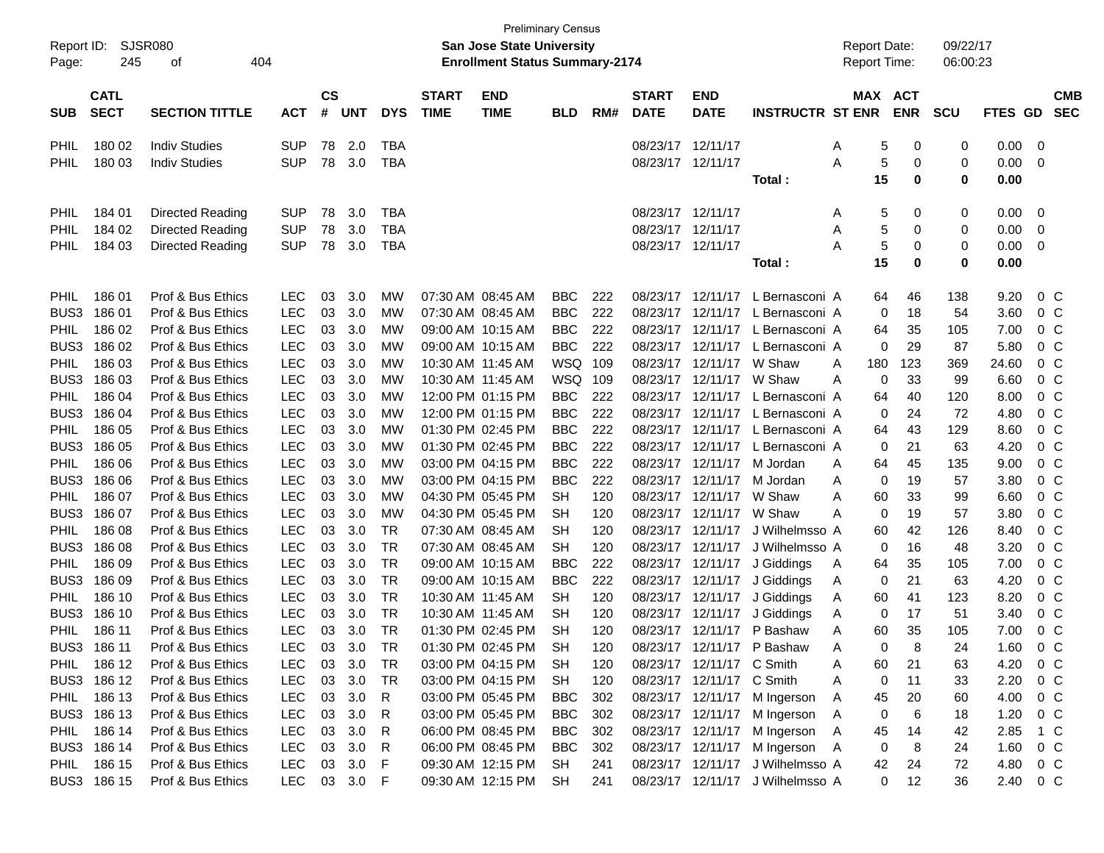|             | <b>Preliminary Census</b> |                                        |            |               |        |            |              |                                       |            |     |                   |                           |                                  |                     |                   |            |         |                |            |
|-------------|---------------------------|----------------------------------------|------------|---------------|--------|------------|--------------|---------------------------------------|------------|-----|-------------------|---------------------------|----------------------------------|---------------------|-------------------|------------|---------|----------------|------------|
| Report ID:  | <b>SJSR080</b>            |                                        |            |               |        |            |              | San Jose State University             |            |     |                   |                           |                                  | <b>Report Date:</b> |                   | 09/22/17   |         |                |            |
| Page:       | 245                       | 404<br>οf                              |            |               |        |            |              | <b>Enrollment Status Summary-2174</b> |            |     |                   |                           |                                  | <b>Report Time:</b> |                   | 06:00:23   |         |                |            |
|             |                           |                                        |            |               |        |            |              |                                       |            |     |                   |                           |                                  |                     |                   |            |         |                |            |
|             | <b>CATL</b>               |                                        |            | $\mathsf{cs}$ |        |            | <b>START</b> | <b>END</b>                            |            |     | <b>START</b>      | <b>END</b>                |                                  | MAX                 | <b>ACT</b>        |            |         |                | <b>CMB</b> |
| <b>SUB</b>  | <b>SECT</b>               | <b>SECTION TITTLE</b>                  | ACT        | #             | UNT    | <b>DYS</b> | <b>TIME</b>  | <b>TIME</b>                           | <b>BLD</b> | RM# | <b>DATE</b>       | <b>DATE</b>               | <b>INSTRUCTR ST ENR</b>          |                     | <b>ENR</b>        | <b>SCU</b> | FTES GD |                | <b>SEC</b> |
|             |                           |                                        |            |               |        |            |              |                                       |            |     |                   |                           |                                  |                     |                   |            |         |                |            |
| PHIL        | 180 02                    | <b>Indiv Studies</b>                   | <b>SUP</b> | 78            | 2.0    | <b>TBA</b> |              |                                       |            |     | 08/23/17 12/11/17 |                           |                                  | A                   | 5<br>0            | 0          | 0.00    | 0              |            |
| <b>PHIL</b> | 18003                     | <b>Indiv Studies</b>                   | <b>SUP</b> | 78            | 3.0    | <b>TBA</b> |              |                                       |            |     | 08/23/17 12/11/17 |                           |                                  | Α                   | 5<br>0            | 0          | 0.00    | 0              |            |
|             |                           |                                        |            |               |        |            |              |                                       |            |     |                   |                           | Total:                           |                     | 15<br>0           | 0          | 0.00    |                |            |
| PHIL        | 184 01                    | Directed Reading                       | <b>SUP</b> | 78            | 3.0    | <b>TBA</b> |              |                                       |            |     | 08/23/17 12/11/17 |                           |                                  | Α                   | 5<br>0            | 0          | 0.00    | $\mathbf 0$    |            |
| <b>PHIL</b> | 184 02                    |                                        | <b>SUP</b> | 78            | 3.0    | <b>TBA</b> |              |                                       |            |     | 08/23/17 12/11/17 |                           |                                  |                     | 5<br>0            | 0          | 0.00    | 0              |            |
| <b>PHIL</b> |                           | Directed Reading                       | <b>SUP</b> | 78            | 3.0    | <b>TBA</b> |              |                                       |            |     | 08/23/17 12/11/17 |                           |                                  | Α<br>А              | 0                 | 0          | 0.00    |                |            |
|             | 184 03                    | Directed Reading                       |            |               |        |            |              |                                       |            |     |                   |                           |                                  |                     | 5<br>15<br>0      | 0          | 0.00    | 0              |            |
|             |                           |                                        |            |               |        |            |              |                                       |            |     |                   |                           | Total :                          |                     |                   |            |         |                |            |
| <b>PHIL</b> | 186 01                    | Prof & Bus Ethics                      | <b>LEC</b> | 03            | 3.0    | MW         |              | 07:30 AM 08:45 AM                     | <b>BBC</b> | 222 | 08/23/17          | 12/11/17                  | L Bernasconi A                   |                     | 46<br>64          | 138        | 9.20    | 0 <sup>o</sup> |            |
| BUS3        | 18601                     | Prof & Bus Ethics                      | <b>LEC</b> | 03            | 3.0    | MW         |              | 07:30 AM 08:45 AM                     | <b>BBC</b> | 222 | 08/23/17          | 12/11/17                  | L Bernasconi A                   |                     | 18<br>0           | 54         | 3.60    | 0 <sup>o</sup> |            |
| PHIL        | 186 02                    | Prof & Bus Ethics                      | <b>LEC</b> | 03            | 3.0    | MW         |              | 09:00 AM 10:15 AM                     | <b>BBC</b> | 222 | 08/23/17          | 12/11/17                  | L Bernasconi A                   |                     | 35<br>64          | 105        | 7.00    | 0 <sup>o</sup> |            |
| BUS3        | 18602                     | Prof & Bus Ethics                      | <b>LEC</b> | 03            | 3.0    | МW         |              | 09:00 AM 10:15 AM                     | <b>BBC</b> | 222 | 08/23/17          | 12/11/17                  | L Bernasconi A                   |                     | 29<br>0           | 87         | 5.80    | 0 <sup>o</sup> |            |
| PHIL        | 186 03                    | Prof & Bus Ethics                      | <b>LEC</b> | 03            | 3.0    | МW         |              | 10:30 AM 11:45 AM                     | WSQ        | 109 | 08/23/17          | 12/11/17                  | W Shaw                           | A<br>180            | 123               | 369        | 24.60   | 0 <sup>o</sup> |            |
| BUS3        | 186 03                    | Prof & Bus Ethics                      | <b>LEC</b> | 03            | 3.0    | МW         |              | 10:30 AM 11:45 AM                     | <b>WSQ</b> | 109 | 08/23/17          | 12/11/17                  | W Shaw                           | A                   | 33<br>0           | 99         | 6.60    | 0 <sup>o</sup> |            |
| PHIL        | 186 04                    | Prof & Bus Ethics                      | <b>LEC</b> | 03            | 3.0    | MW         |              | 12:00 PM 01:15 PM                     | <b>BBC</b> | 222 | 08/23/17          | 12/11/17                  | L Bernasconi A                   |                     | 40<br>64          | 120        | 8.00    | 0 <sup>o</sup> |            |
| BUS3        | 18604                     | Prof & Bus Ethics                      | <b>LEC</b> | 03            | 3.0    | МW         |              | 12:00 PM 01:15 PM                     | <b>BBC</b> | 222 | 08/23/17          | 12/11/17                  | L Bernasconi A                   |                     | 24<br>0           | 72         | 4.80    | 0 <sup>o</sup> |            |
| PHIL        | 186 05                    | Prof & Bus Ethics                      | <b>LEC</b> | 03            | 3.0    | МW         |              | 01:30 PM 02:45 PM                     | <b>BBC</b> | 222 | 08/23/17          | 12/11/17                  | L Bernasconi A                   |                     | 43<br>64          | 129        | 8.60    | 0 <sup>o</sup> |            |
| BUS3        | 186 05                    | Prof & Bus Ethics                      | <b>LEC</b> | 03            | 3.0    | МW         |              | 01:30 PM 02:45 PM                     | <b>BBC</b> | 222 | 08/23/17          | 12/11/17                  | L Bernasconi A                   |                     | 21<br>0           | 63         | 4.20    | 0 <sup>o</sup> |            |
| PHIL        | 186 06                    | Prof & Bus Ethics                      | <b>LEC</b> | 03            | 3.0    | МW         |              | 03:00 PM 04:15 PM                     | <b>BBC</b> | 222 | 08/23/17          | 12/11/17                  | M Jordan                         | A                   | 45<br>64          | 135        | 9.00    | 0 <sup>o</sup> |            |
| BUS3        | 186 06                    | Prof & Bus Ethics                      | <b>LEC</b> | 03            | 3.0    | МW         |              | 03:00 PM 04:15 PM                     | <b>BBC</b> | 222 | 08/23/17          | 12/11/17                  | M Jordan                         | A                   | 19<br>0           | 57         | 3.80    | 0 <sup>o</sup> |            |
| PHIL        | 186 07                    | Prof & Bus Ethics                      | <b>LEC</b> | 03            | 3.0    | МW         |              | 04:30 PM 05:45 PM                     | <b>SH</b>  | 120 | 08/23/17          | 12/11/17                  | W Shaw                           | Α                   | 60<br>33          | 99         | 6.60    | 0 <sup>o</sup> |            |
| BUS3        | 186 07                    | Prof & Bus Ethics                      | <b>LEC</b> | 03            | 3.0    | МW         |              | 04:30 PM 05:45 PM                     | SH         | 120 | 08/23/17          | 12/11/17                  | W Shaw                           | Α                   | 19<br>0           | 57         | 3.80    | 0 <sup>o</sup> |            |
| PHIL        | 186 08                    | Prof & Bus Ethics                      | <b>LEC</b> | 03            | 3.0    | <b>TR</b>  |              | 07:30 AM 08:45 AM                     | <b>SH</b>  | 120 | 08/23/17          | 12/11/17                  | J Wilhelmsso A                   |                     | 42<br>60          | 126        | 8.40    | 0 <sup>o</sup> |            |
| BUS3        | 186 08                    | Prof & Bus Ethics                      | <b>LEC</b> | 03            | 3.0    | <b>TR</b>  |              | 07:30 AM 08:45 AM                     | <b>SH</b>  | 120 | 08/23/17          | 12/11/17                  | J Wilhelmsso A                   |                     | 16<br>0           | 48         | 3.20    | 0 <sup>o</sup> |            |
| PHIL        | 186 09                    | Prof & Bus Ethics                      | <b>LEC</b> | 03            | 3.0    | <b>TR</b>  |              | 09:00 AM 10:15 AM                     | <b>BBC</b> | 222 | 08/23/17          | 12/11/17                  | J Giddings                       | A                   | 35<br>64          | 105        | 7.00    | 0 <sup>o</sup> |            |
| BUS3        | 186 09                    | Prof & Bus Ethics                      | <b>LEC</b> | 03            | 3.0    | <b>TR</b>  |              | 09:00 AM 10:15 AM                     | <b>BBC</b> | 222 | 08/23/17          | 12/11/17                  | J Giddings                       | A                   | 21<br>0           | 63         | 4.20    | 0 <sup>o</sup> |            |
| PHIL        | 186 10                    | Prof & Bus Ethics                      | <b>LEC</b> | 03            | 3.0    | <b>TR</b>  |              | 10:30 AM 11:45 AM                     | <b>SH</b>  | 120 | 08/23/17          | 12/11/17                  | J Giddings                       | A                   | 60<br>41          | 123        | 8.20    | 0 <sup>o</sup> |            |
| BUS3        | 186 10                    | Prof & Bus Ethics                      | <b>LEC</b> | 03            | 3.0    | <b>TR</b>  |              | 10:30 AM 11:45 AM                     | <b>SH</b>  | 120 | 08/23/17          | 12/11/17                  | J Giddings                       | A                   | 17<br>0           | 51         | 3.40    | 0 <sup>o</sup> |            |
| <b>PHIL</b> | 186 11                    | Prof & Bus Ethics                      | <b>LEC</b> | 03            | 3.0    | <b>TR</b>  |              | 01:30 PM 02:45 PM                     | <b>SH</b>  | 120 |                   | 08/23/17 12/11/17         | P Bashaw                         | Α                   | 60<br>35          | 105        | 7.00    | 0 <sup>o</sup> |            |
|             | BUS3 186 11               | Prof & Bus Ethics                      | LEC        |               | 03 3.0 | <b>TR</b>  |              | 01:30 PM 02:45 PM                     | SH         | 120 |                   |                           | 08/23/17 12/11/17 P Bashaw       | Α                   | 0<br>8            | 24         | 1.60    | $0\,C$         |            |
|             | PHIL 186 12               | Prof & Bus Ethics                      | <b>LEC</b> |               | 03 3.0 | TR         |              | 03:00 PM 04:15 PM                     | – SH       | 120 |                   | 08/23/17 12/11/17 C Smith |                                  | Α                   | 60<br>21          | 63         | 4.20    | $0\,C$         |            |
|             | BUS3 186 12               | Prof & Bus Ethics                      | <b>LEC</b> | 03            | 3.0    | TR         |              | 03:00 PM 04:15 PM                     | SH         | 120 |                   | 08/23/17 12/11/17 C Smith |                                  | A                   | 11<br>0           | 33         | 2.20    | $0\,C$         |            |
|             | PHIL 186 13               | Prof & Bus Ethics                      | <b>LEC</b> | 03            | 3.0    | R          |              | 03:00 PM 05:45 PM                     | BBC        | 302 |                   |                           | 08/23/17 12/11/17 M Ingerson     | A                   | 20<br>45          | 60         | 4.00    | $0\,C$         |            |
|             | BUS3 186 13               | Prof & Bus Ethics                      | LEC        | 03            | 3.0    | R          |              | 03:00 PM 05:45 PM                     | BBC        | 302 |                   |                           | 08/23/17 12/11/17 M Ingerson     | Α                   | $\,6$<br>0        | 18         | 1.20    | $0\,C$         |            |
|             | PHIL 186 14               | Prof & Bus Ethics                      | <b>LEC</b> | 03            | 3.0    | R          |              | 06:00 PM 08:45 PM                     | BBC        | 302 |                   |                           | 08/23/17 12/11/17 M Ingerson     | A                   | 45<br>14          | 42         | 2.85    | 1 C            |            |
|             | BUS3 186 14               | Prof & Bus Ethics                      | <b>LEC</b> | 03            | 3.0    | R          |              | 06:00 PM 08:45 PM                     | BBC        | 302 |                   |                           | 08/23/17 12/11/17 M Ingerson A   |                     | 8<br>0            | 24         | 1.60    | $0\,C$         |            |
|             | PHIL 186 15               |                                        | <b>LEC</b> | 03            | 3.0    |            |              |                                       |            |     |                   |                           | 08/23/17 12/11/17 J Wilhelmsso A |                     | 42<br>24          | 72         |         | $0\,C$         |            |
|             |                           | Prof & Bus Ethics<br>Prof & Bus Ethics |            |               |        | F          |              | 09:30 AM 12:15 PM SH                  |            | 241 |                   |                           |                                  |                     |                   |            | 4.80    |                |            |
|             | BUS3 186 15               |                                        | <b>LEC</b> |               | 03 3.0 | F          |              | 09:30 AM 12:15 PM SH                  |            | 241 |                   |                           | 08/23/17 12/11/17 J Wilhelmsso A |                     | $\mathbf 0$<br>12 | 36         | 2.40    | $0\,C$         |            |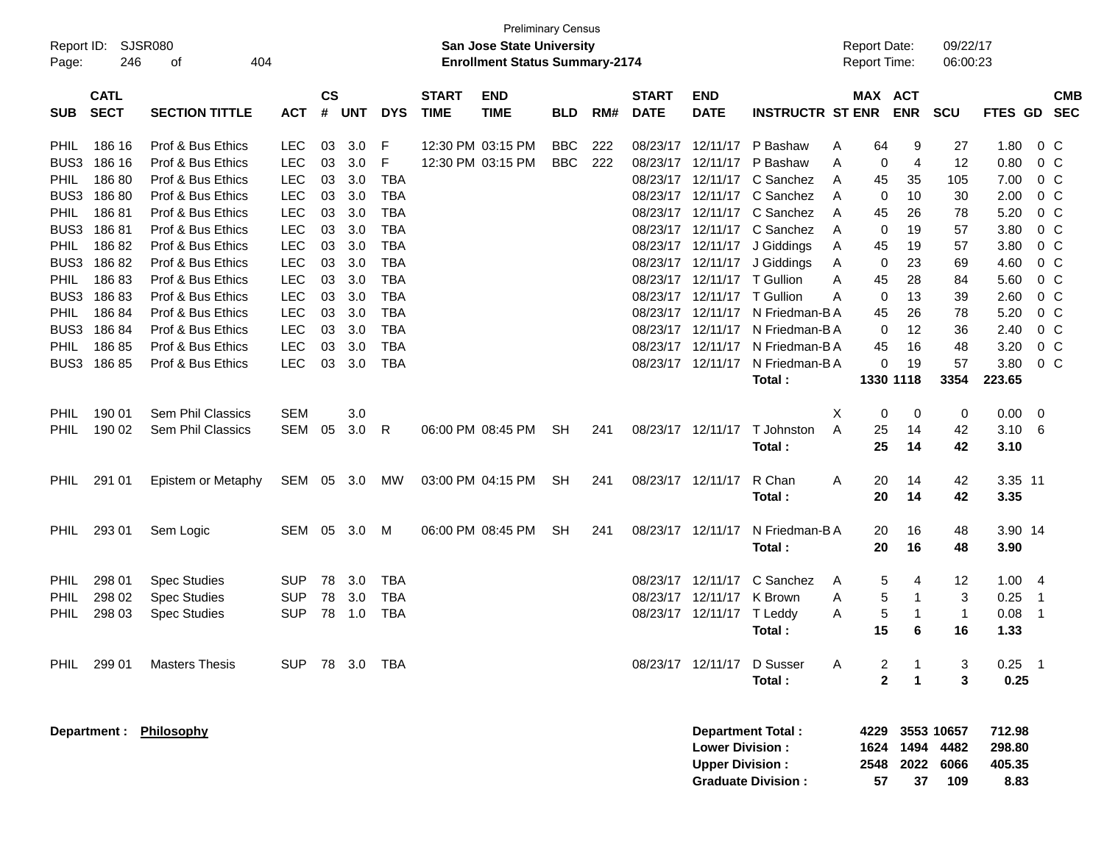| <b>SJSR080</b><br>Report ID:<br>246<br>404<br>Page:<br>оf |                            |                                        |                          | <b>Preliminary Census</b><br>San Jose State University<br><b>Enrollment Status Summary-2174</b> |            |                          |                             |                           |            |     |                             |                                                  |                                                       | <b>Report Date:</b><br>Report Time: |                            |                      | 09/22/17<br>06:00:23              |                                    |                         |                          |
|-----------------------------------------------------------|----------------------------|----------------------------------------|--------------------------|-------------------------------------------------------------------------------------------------|------------|--------------------------|-----------------------------|---------------------------|------------|-----|-----------------------------|--------------------------------------------------|-------------------------------------------------------|-------------------------------------|----------------------------|----------------------|-----------------------------------|------------------------------------|-------------------------|--------------------------|
| <b>SUB</b>                                                | <b>CATL</b><br><b>SECT</b> | <b>SECTION TITTLE</b>                  | <b>ACT</b>               | <b>CS</b><br>#                                                                                  | <b>UNT</b> | <b>DYS</b>               | <b>START</b><br><b>TIME</b> | <b>END</b><br><b>TIME</b> | <b>BLD</b> | RM# | <b>START</b><br><b>DATE</b> | <b>END</b><br><b>DATE</b>                        | <b>INSTRUCTR ST ENR</b>                               |                                     | MAX ACT                    | <b>ENR</b>           | <b>SCU</b>                        | FTES GD                            |                         | <b>CMB</b><br><b>SEC</b> |
| <b>PHIL</b>                                               | 186 16                     | Prof & Bus Ethics                      | <b>LEC</b>               | 03                                                                                              | 3.0        | F                        |                             | 12:30 PM 03:15 PM         | <b>BBC</b> | 222 |                             | 08/23/17 12/11/17                                | P Bashaw                                              | Α                                   | 64                         | 9                    | 27                                | 1.80                               |                         | $0\,C$                   |
| BUS3                                                      | 186 16                     | Prof & Bus Ethics                      | <b>LEC</b>               | 03                                                                                              | 3.0        | F                        |                             | 12:30 PM 03:15 PM         | <b>BBC</b> | 222 | 08/23/17                    | 12/11/17                                         | P Bashaw                                              | A                                   | 0                          | 4                    | 12                                | 0.80                               |                         | $0\,C$                   |
| PHIL                                                      | 18680                      | Prof & Bus Ethics                      | <b>LEC</b>               | 03                                                                                              | 3.0        | <b>TBA</b>               |                             |                           |            |     | 08/23/17                    | 12/11/17                                         | C Sanchez                                             | A                                   | 45                         | 35                   | 105                               | 7.00                               |                         | $0\,C$                   |
| BUS3                                                      | 18680                      | Prof & Bus Ethics                      | <b>LEC</b>               | 03                                                                                              | 3.0        | <b>TBA</b>               |                             |                           |            |     |                             | 08/23/17 12/11/17                                | C Sanchez                                             | A                                   | 0                          | 10                   | 30                                | 2.00                               |                         | $0\,C$                   |
| <b>PHIL</b>                                               | 18681                      | Prof & Bus Ethics                      | <b>LEC</b>               | 03                                                                                              | 3.0        | <b>TBA</b>               |                             |                           |            |     |                             | 08/23/17 12/11/17                                | C Sanchez                                             | A                                   | 45                         | 26                   | 78                                | 5.20                               |                         | $0\,C$                   |
| BUS3                                                      | 18681                      | Prof & Bus Ethics                      | <b>LEC</b>               | 03                                                                                              | 3.0        | <b>TBA</b>               |                             |                           |            |     |                             | 08/23/17 12/11/17                                | C Sanchez                                             | A                                   | 0                          | 19                   | 57                                | 3.80                               |                         | $0\,C$                   |
| <b>PHIL</b>                                               | 18682                      | Prof & Bus Ethics                      | <b>LEC</b>               | 03                                                                                              | 3.0        | TBA                      |                             |                           |            |     |                             | 08/23/17 12/11/17                                | J Giddings                                            | Α                                   | 45                         | 19                   | 57                                | 3.80                               |                         | 0 <sup>C</sup>           |
| BUS3                                                      | 18682                      | Prof & Bus Ethics                      | <b>LEC</b>               | 03                                                                                              | 3.0        | <b>TBA</b>               |                             |                           |            |     |                             | 08/23/17 12/11/17                                | J Giddings                                            | Α                                   | 0                          | 23                   | 69                                | 4.60                               |                         | $0\,C$                   |
| <b>PHIL</b>                                               | 18683                      | Prof & Bus Ethics                      | <b>LEC</b>               | 03                                                                                              | 3.0        | <b>TBA</b>               |                             |                           |            |     |                             | 08/23/17 12/11/17                                | T Gullion                                             | A                                   | 45                         | 28                   | 84                                | 5.60                               |                         | $0\,C$                   |
| BUS3                                                      | 18683                      | Prof & Bus Ethics                      | <b>LEC</b>               | 03                                                                                              | 3.0        | <b>TBA</b>               |                             |                           |            |     |                             | 08/23/17 12/11/17                                | T Gullion                                             | A                                   | 0                          | 13                   | 39                                | 2.60                               |                         | $0\,C$                   |
| <b>PHIL</b>                                               | 18684                      | Prof & Bus Ethics                      | <b>LEC</b>               | 03                                                                                              | 3.0        | TBA                      |                             |                           |            |     | 08/23/17                    | 12/11/17                                         | N Friedman-B A                                        |                                     | 45                         | 26                   | 78                                | 5.20                               |                         | $0\,C$                   |
|                                                           | BUS3 186 84                | Prof & Bus Ethics<br>Prof & Bus Ethics | <b>LEC</b>               | 03                                                                                              | 3.0        | <b>TBA</b>               |                             |                           |            |     |                             | 08/23/17 12/11/17                                | N Friedman-B A                                        |                                     | 0                          | 12                   | 36                                | 2.40                               |                         | $0\,C$                   |
| <b>PHIL</b>                                               | 18685<br>BUS3 186 85       | Prof & Bus Ethics                      | <b>LEC</b><br><b>LEC</b> | 03<br>03                                                                                        | 3.0<br>3.0 | <b>TBA</b><br><b>TBA</b> |                             |                           |            |     |                             | 08/23/17 12/11/17<br>08/23/17 12/11/17           | N Friedman-B A<br>N Friedman-BA                       |                                     | 45<br>0                    | 16<br>19             | 48<br>57                          | 3.20<br>3.80                       |                         | $0\,C$<br>$0\,C$         |
|                                                           |                            |                                        |                          |                                                                                                 |            |                          |                             |                           |            |     |                             |                                                  | Total:                                                |                                     |                            | 1330 1118            | 3354                              | 223.65                             |                         |                          |
|                                                           |                            |                                        |                          |                                                                                                 |            |                          |                             |                           |            |     |                             |                                                  |                                                       |                                     |                            |                      |                                   |                                    |                         |                          |
| <b>PHIL</b>                                               | 190 01                     | Sem Phil Classics                      | <b>SEM</b>               |                                                                                                 | 3.0        |                          |                             |                           |            |     |                             |                                                  |                                                       | Χ                                   | 0                          | 0                    | 0                                 | 0.00                               | $\overline{\mathbf{0}}$ |                          |
| <b>PHIL</b>                                               | 190 02                     | Sem Phil Classics                      | SEM                      | 05                                                                                              | 3.0        | R                        |                             | 06:00 PM 08:45 PM         | <b>SH</b>  | 241 |                             | 08/23/17 12/11/17                                | T Johnston                                            | A                                   | 25                         | 14                   | 42                                | 3.10                               | 6                       |                          |
|                                                           |                            |                                        |                          |                                                                                                 |            |                          |                             |                           |            |     |                             |                                                  | Total:                                                |                                     | 25                         | 14                   | 42                                | 3.10                               |                         |                          |
|                                                           |                            |                                        |                          |                                                                                                 |            |                          |                             |                           |            |     |                             |                                                  |                                                       |                                     |                            |                      |                                   |                                    |                         |                          |
| <b>PHIL</b>                                               | 291 01                     | Epistem or Metaphy                     | SEM 05                   |                                                                                                 | 3.0        | МW                       |                             | 03:00 PM 04:15 PM         | <b>SH</b>  | 241 |                             | 08/23/17 12/11/17                                | R Chan                                                | A                                   | 20                         | 14                   | 42                                | 3.35 11                            |                         |                          |
|                                                           |                            |                                        |                          |                                                                                                 |            |                          |                             |                           |            |     |                             |                                                  | Total:                                                |                                     | 20                         | 14                   | 42                                | 3.35                               |                         |                          |
|                                                           |                            |                                        |                          |                                                                                                 |            |                          |                             |                           |            |     |                             |                                                  |                                                       |                                     |                            |                      |                                   |                                    |                         |                          |
| <b>PHIL</b>                                               | 293 01                     | Sem Logic                              | SEM                      | 05                                                                                              | 3.0        | M                        |                             | 06:00 PM 08:45 PM         | <b>SH</b>  | 241 |                             | 08/23/17 12/11/17                                | N Friedman-BA                                         |                                     | 20                         | 16                   | 48                                | 3.90 14                            |                         |                          |
|                                                           |                            |                                        |                          |                                                                                                 |            |                          |                             |                           |            |     |                             |                                                  | Total:                                                |                                     | 20                         | 16                   | 48                                | 3.90                               |                         |                          |
|                                                           |                            |                                        |                          |                                                                                                 |            |                          |                             |                           |            |     |                             |                                                  |                                                       |                                     |                            |                      |                                   |                                    |                         |                          |
| <b>PHIL</b>                                               | 298 01                     | <b>Spec Studies</b>                    | <b>SUP</b>               | 78                                                                                              | 3.0        | TBA                      |                             |                           |            |     |                             | 08/23/17 12/11/17                                | C Sanchez                                             | A                                   | 5                          | 4                    | 12                                | 1.00                               | $\overline{4}$          |                          |
| <b>PHIL</b>                                               | 298 02                     | <b>Spec Studies</b>                    | <b>SUP</b>               | 78                                                                                              | 3.0        | TBA                      |                             |                           |            |     |                             | 08/23/17 12/11/17                                | K Brown                                               | Α                                   | 5                          | 1                    | 3                                 | 0.25                               | $\mathbf 1$             |                          |
| PHIL                                                      | 298 03                     | <b>Spec Studies</b>                    | <b>SUP</b>               | 78                                                                                              | 1.0        | <b>TBA</b>               |                             |                           |            |     |                             | 08/23/17 12/11/17                                | T Leddy                                               | Α                                   | 5                          | 1                    | $\mathbf{1}$                      | 0.08                               | -1                      |                          |
|                                                           |                            |                                        |                          |                                                                                                 |            |                          |                             |                           |            |     |                             |                                                  | Total:                                                |                                     | 15                         | 6                    | 16                                | 1.33                               |                         |                          |
|                                                           |                            |                                        |                          |                                                                                                 |            |                          |                             |                           |            |     |                             |                                                  |                                                       |                                     |                            |                      |                                   |                                    |                         |                          |
|                                                           | PHIL 299 01                | <b>Masters Thesis</b>                  | SUP.                     |                                                                                                 | 78 3.0 TBA |                          |                             |                           |            |     |                             | 08/23/17 12/11/17                                | D Susser                                              | Α                                   | 2<br>$\overline{2}$        |                      | 3                                 | 0.25                               |                         |                          |
|                                                           |                            |                                        |                          |                                                                                                 |            |                          |                             |                           |            |     |                             |                                                  | Total:                                                |                                     |                            | $\blacktriangleleft$ | 3                                 | 0.25                               |                         |                          |
|                                                           |                            | Department: Philosophy                 |                          |                                                                                                 |            |                          |                             |                           |            |     |                             | <b>Lower Division:</b><br><b>Upper Division:</b> | <b>Department Total:</b><br><b>Graduate Division:</b> |                                     | 4229<br>1624<br>2548<br>57 | 1494<br>2022<br>37   | 3553 10657<br>4482<br>6066<br>109 | 712.98<br>298.80<br>405.35<br>8.83 |                         |                          |
|                                                           |                            |                                        |                          |                                                                                                 |            |                          |                             |                           |            |     |                             |                                                  |                                                       |                                     |                            |                      |                                   |                                    |                         |                          |